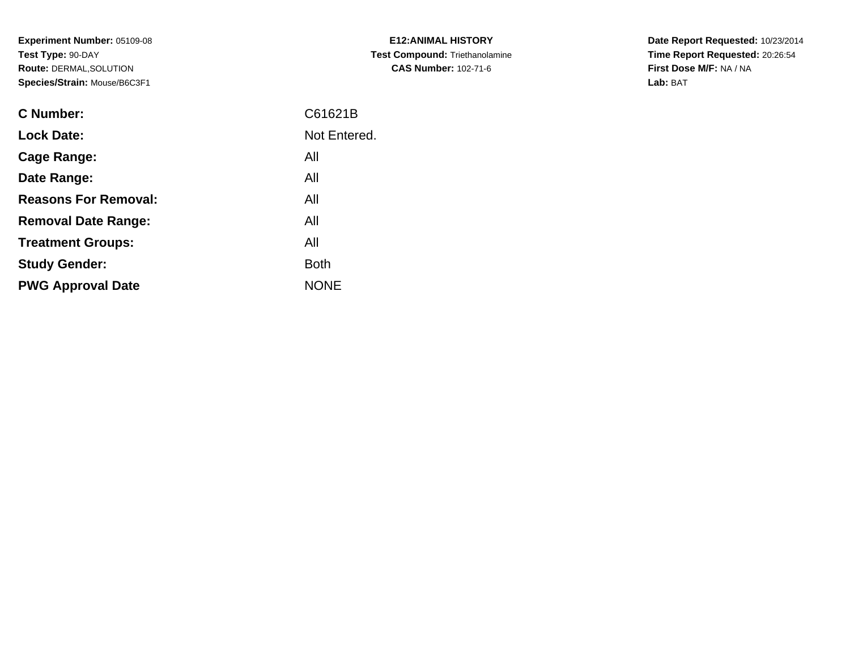**Experiment Number:** 05109-08**Test Type:** 90-DAY **Route:** DERMAL,SOLUTION**Species/Strain:** Mouse/B6C3F1

| <b>C Number:</b>            | C61621B      |
|-----------------------------|--------------|
| <b>Lock Date:</b>           | Not Entered. |
| <b>Cage Range:</b>          | All          |
| Date Range:                 | All          |
| <b>Reasons For Removal:</b> | All          |
| <b>Removal Date Range:</b>  | All          |
| <b>Treatment Groups:</b>    | All          |
| <b>Study Gender:</b>        | <b>Both</b>  |
| <b>PWG Approval Date</b>    | <b>NONE</b>  |
|                             |              |

**E12:ANIMAL HISTORY Test Compound:** Triethanolamine**CAS Number:** 102-71-6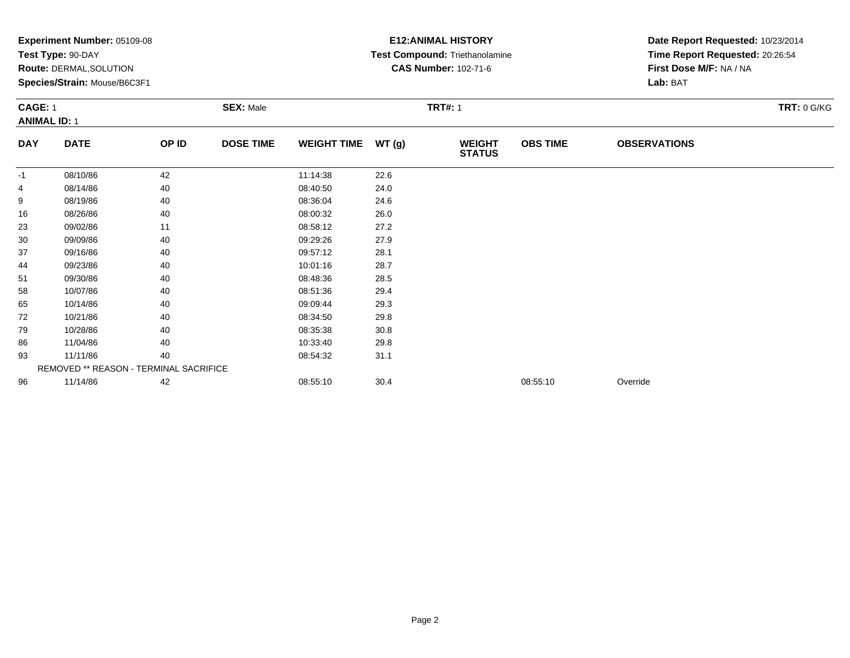|            | Experiment Number: 05109-08<br>Test Type: 90-DAY<br>Route: DERMAL, SOLUTION<br>Species/Strain: Mouse/B6C3F1<br><b>SEX: Male</b><br><b>CAGE: 1</b> |       |                  |                    |       | <b>E12: ANIMAL HISTORY</b><br>Test Compound: Triethanolamine<br><b>CAS Number: 102-71-6</b><br><b>TRT#: 1</b> | Date Report Requested: 10/23/2014<br>Time Report Requested: 20:26:54<br>First Dose M/F: NA / NA<br>Lab: BAT<br>TRT: 0 G/KG |                     |  |
|------------|---------------------------------------------------------------------------------------------------------------------------------------------------|-------|------------------|--------------------|-------|---------------------------------------------------------------------------------------------------------------|----------------------------------------------------------------------------------------------------------------------------|---------------------|--|
|            | <b>ANIMAL ID: 1</b>                                                                                                                               |       |                  |                    |       |                                                                                                               |                                                                                                                            |                     |  |
| <b>DAY</b> | <b>DATE</b>                                                                                                                                       | OP ID | <b>DOSE TIME</b> | <b>WEIGHT TIME</b> | WT(g) | <b>WEIGHT</b><br><b>STATUS</b>                                                                                | <b>OBS TIME</b>                                                                                                            | <b>OBSERVATIONS</b> |  |
| -1         | 08/10/86                                                                                                                                          | 42    |                  | 11:14:38           | 22.6  |                                                                                                               |                                                                                                                            |                     |  |
| 4          | 08/14/86                                                                                                                                          | 40    |                  | 08:40:50           | 24.0  |                                                                                                               |                                                                                                                            |                     |  |
| 9          | 08/19/86                                                                                                                                          | 40    |                  | 08:36:04           | 24.6  |                                                                                                               |                                                                                                                            |                     |  |
| 16         | 08/26/86                                                                                                                                          | 40    |                  | 08:00:32           | 26.0  |                                                                                                               |                                                                                                                            |                     |  |
| 23         | 09/02/86                                                                                                                                          | 11    |                  | 08:58:12           | 27.2  |                                                                                                               |                                                                                                                            |                     |  |
| 30         | 09/09/86                                                                                                                                          | 40    |                  | 09:29:26           | 27.9  |                                                                                                               |                                                                                                                            |                     |  |
| 37         | 09/16/86                                                                                                                                          | 40    |                  | 09:57:12           | 28.1  |                                                                                                               |                                                                                                                            |                     |  |
| 44         | 09/23/86                                                                                                                                          | 40    |                  | 10:01:16           | 28.7  |                                                                                                               |                                                                                                                            |                     |  |
| 51         | 09/30/86                                                                                                                                          | 40    |                  | 08:48:36           | 28.5  |                                                                                                               |                                                                                                                            |                     |  |
| 58         | 10/07/86                                                                                                                                          | 40    |                  | 08:51:36           | 29.4  |                                                                                                               |                                                                                                                            |                     |  |
| 65         | 10/14/86                                                                                                                                          | 40    |                  | 09:09:44           | 29.3  |                                                                                                               |                                                                                                                            |                     |  |
| 72         | 10/21/86                                                                                                                                          | 40    |                  | 08:34:50           | 29.8  |                                                                                                               |                                                                                                                            |                     |  |
| 79         | 10/28/86                                                                                                                                          | 40    |                  | 08:35:38           | 30.8  |                                                                                                               |                                                                                                                            |                     |  |
| 86         | 11/04/86                                                                                                                                          | 40    |                  | 10:33:40           | 29.8  |                                                                                                               |                                                                                                                            |                     |  |
| 93         | 11/11/86                                                                                                                                          | 40    |                  | 08:54:32           | 31.1  |                                                                                                               |                                                                                                                            |                     |  |
|            | REMOVED ** REASON - TERMINAL SACRIFICE                                                                                                            |       |                  |                    |       |                                                                                                               |                                                                                                                            |                     |  |
| 96         | 11/14/86                                                                                                                                          | 42    |                  | 08:55:10           | 30.4  |                                                                                                               | 08:55:10                                                                                                                   | Override            |  |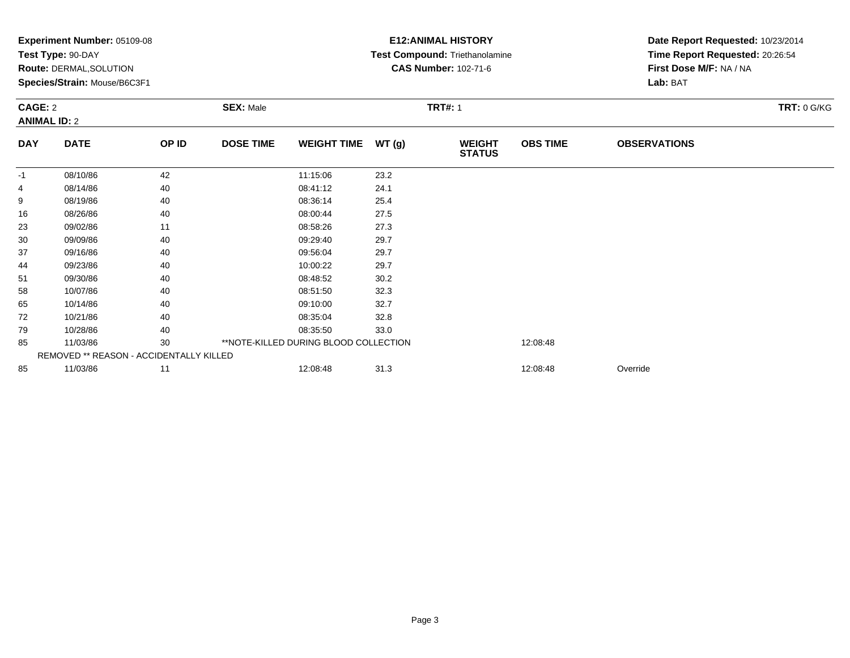| <b>Experiment Number: 05109-08</b><br>Test Type: 90-DAY<br>Route: DERMAL, SOLUTION<br>Species/Strain: Mouse/B6C3F1 |                                         |       |                                    |                                       | <b>E12:ANIMAL HISTORY</b><br>Test Compound: Triethanolamine<br><b>CAS Number: 102-71-6</b> |                                | Date Report Requested: 10/23/2014<br>Time Report Requested: 20:26:54<br>First Dose M/F: NA / NA<br>Lab: BAT |                     |                    |
|--------------------------------------------------------------------------------------------------------------------|-----------------------------------------|-------|------------------------------------|---------------------------------------|--------------------------------------------------------------------------------------------|--------------------------------|-------------------------------------------------------------------------------------------------------------|---------------------|--------------------|
|                                                                                                                    | CAGE: 2<br><b>ANIMAL ID: 2</b>          |       | <b>TRT#: 1</b><br><b>SEX: Male</b> |                                       |                                                                                            |                                |                                                                                                             |                     | <b>TRT: 0 G/KG</b> |
| <b>DAY</b>                                                                                                         | <b>DATE</b>                             | OP ID | <b>DOSE TIME</b>                   | <b>WEIGHT TIME</b>                    | WT(g)                                                                                      | <b>WEIGHT</b><br><b>STATUS</b> | <b>OBS TIME</b>                                                                                             | <b>OBSERVATIONS</b> |                    |
| $-1$                                                                                                               | 08/10/86                                | 42    |                                    | 11:15:06                              | 23.2                                                                                       |                                |                                                                                                             |                     |                    |
| 4                                                                                                                  | 08/14/86                                | 40    |                                    | 08:41:12                              | 24.1                                                                                       |                                |                                                                                                             |                     |                    |
| 9                                                                                                                  | 08/19/86                                | 40    |                                    | 08:36:14                              | 25.4                                                                                       |                                |                                                                                                             |                     |                    |
| 16                                                                                                                 | 08/26/86                                | 40    |                                    | 08:00:44                              | 27.5                                                                                       |                                |                                                                                                             |                     |                    |
| 23                                                                                                                 | 09/02/86                                | 11    |                                    | 08:58:26                              | 27.3                                                                                       |                                |                                                                                                             |                     |                    |
| 30                                                                                                                 | 09/09/86                                | 40    |                                    | 09:29:40                              | 29.7                                                                                       |                                |                                                                                                             |                     |                    |
| 37                                                                                                                 | 09/16/86                                | 40    |                                    | 09:56:04                              | 29.7                                                                                       |                                |                                                                                                             |                     |                    |
| 44                                                                                                                 | 09/23/86                                | 40    |                                    | 10:00:22                              | 29.7                                                                                       |                                |                                                                                                             |                     |                    |
| 51                                                                                                                 | 09/30/86                                | 40    |                                    | 08:48:52                              | 30.2                                                                                       |                                |                                                                                                             |                     |                    |
| 58                                                                                                                 | 10/07/86                                | 40    |                                    | 08:51:50                              | 32.3                                                                                       |                                |                                                                                                             |                     |                    |
| 65                                                                                                                 | 10/14/86                                | 40    |                                    | 09:10:00                              | 32.7                                                                                       |                                |                                                                                                             |                     |                    |
| 72                                                                                                                 | 10/21/86                                | 40    |                                    | 08:35:04                              | 32.8                                                                                       |                                |                                                                                                             |                     |                    |
| 79                                                                                                                 | 10/28/86                                | 40    |                                    | 08:35:50                              | 33.0                                                                                       |                                |                                                                                                             |                     |                    |
| 85                                                                                                                 | 11/03/86                                | 30    |                                    | **NOTE-KILLED DURING BLOOD COLLECTION |                                                                                            |                                | 12:08:48                                                                                                    |                     |                    |
|                                                                                                                    | REMOVED ** REASON - ACCIDENTALLY KILLED |       |                                    |                                       |                                                                                            |                                |                                                                                                             |                     |                    |
| 85                                                                                                                 | 11/03/86                                | 11    |                                    | 12:08:48                              | 31.3                                                                                       |                                | 12:08:48                                                                                                    | Override            |                    |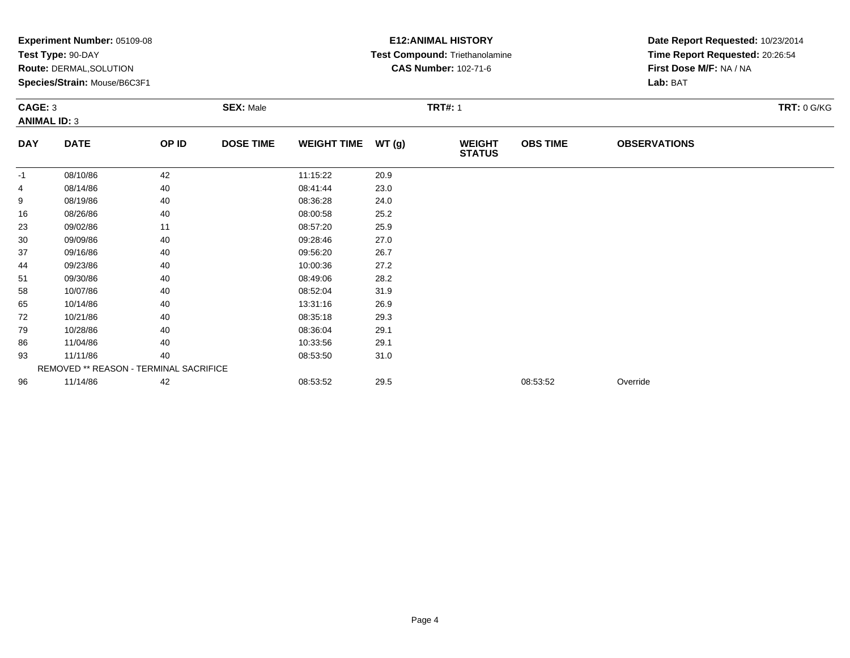|                     | Experiment Number: 05109-08<br>Test Type: 90-DAY<br>Route: DERMAL, SOLUTION<br>Species/Strain: Mouse/B6C3F1<br><b>SEX: Male</b><br><b>CAGE: 3</b> |       |                  |                    |       | <b>E12: ANIMAL HISTORY</b><br>Test Compound: Triethanolamine<br><b>CAS Number: 102-71-6</b> | Date Report Requested: 10/23/2014<br>Time Report Requested: 20:26:54<br>First Dose M/F: NA / NA<br>Lab: BAT |                     |                    |
|---------------------|---------------------------------------------------------------------------------------------------------------------------------------------------|-------|------------------|--------------------|-------|---------------------------------------------------------------------------------------------|-------------------------------------------------------------------------------------------------------------|---------------------|--------------------|
| <b>ANIMAL ID: 3</b> |                                                                                                                                                   |       |                  |                    |       | <b>TRT#: 1</b>                                                                              |                                                                                                             |                     | <b>TRT: 0 G/KG</b> |
| <b>DAY</b>          | <b>DATE</b>                                                                                                                                       | OP ID | <b>DOSE TIME</b> | <b>WEIGHT TIME</b> | WT(g) | <b>WEIGHT</b><br><b>STATUS</b>                                                              | <b>OBS TIME</b>                                                                                             | <b>OBSERVATIONS</b> |                    |
| -1                  | 08/10/86                                                                                                                                          | 42    |                  | 11:15:22           | 20.9  |                                                                                             |                                                                                                             |                     |                    |
| 4                   | 08/14/86                                                                                                                                          | 40    |                  | 08:41:44           | 23.0  |                                                                                             |                                                                                                             |                     |                    |
| 9                   | 08/19/86                                                                                                                                          | 40    |                  | 08:36:28           | 24.0  |                                                                                             |                                                                                                             |                     |                    |
| 16                  | 08/26/86                                                                                                                                          | 40    |                  | 08:00:58           | 25.2  |                                                                                             |                                                                                                             |                     |                    |
| 23                  | 09/02/86                                                                                                                                          | 11    |                  | 08:57:20           | 25.9  |                                                                                             |                                                                                                             |                     |                    |
| 30                  | 09/09/86                                                                                                                                          | 40    |                  | 09:28:46           | 27.0  |                                                                                             |                                                                                                             |                     |                    |
| 37                  | 09/16/86                                                                                                                                          | 40    |                  | 09:56:20           | 26.7  |                                                                                             |                                                                                                             |                     |                    |
| 44                  | 09/23/86                                                                                                                                          | 40    |                  | 10:00:36           | 27.2  |                                                                                             |                                                                                                             |                     |                    |
| 51                  | 09/30/86                                                                                                                                          | 40    |                  | 08:49:06           | 28.2  |                                                                                             |                                                                                                             |                     |                    |
| 58                  | 10/07/86                                                                                                                                          | 40    |                  | 08:52:04           | 31.9  |                                                                                             |                                                                                                             |                     |                    |
| 65                  | 10/14/86                                                                                                                                          | 40    |                  | 13:31:16           | 26.9  |                                                                                             |                                                                                                             |                     |                    |
| 72                  | 10/21/86                                                                                                                                          | 40    |                  | 08:35:18           | 29.3  |                                                                                             |                                                                                                             |                     |                    |
| 79                  | 10/28/86                                                                                                                                          | 40    |                  | 08:36:04           | 29.1  |                                                                                             |                                                                                                             |                     |                    |
| 86                  | 11/04/86                                                                                                                                          | 40    |                  | 10:33:56           | 29.1  |                                                                                             |                                                                                                             |                     |                    |
| 93                  | 11/11/86                                                                                                                                          | 40    |                  | 08:53:50           | 31.0  |                                                                                             |                                                                                                             |                     |                    |
|                     | REMOVED ** REASON - TERMINAL SACRIFICE                                                                                                            |       |                  |                    |       |                                                                                             |                                                                                                             |                     |                    |
| 96                  | 11/14/86                                                                                                                                          | 42    |                  | 08:53:52           | 29.5  |                                                                                             | 08:53:52                                                                                                    | Override            |                    |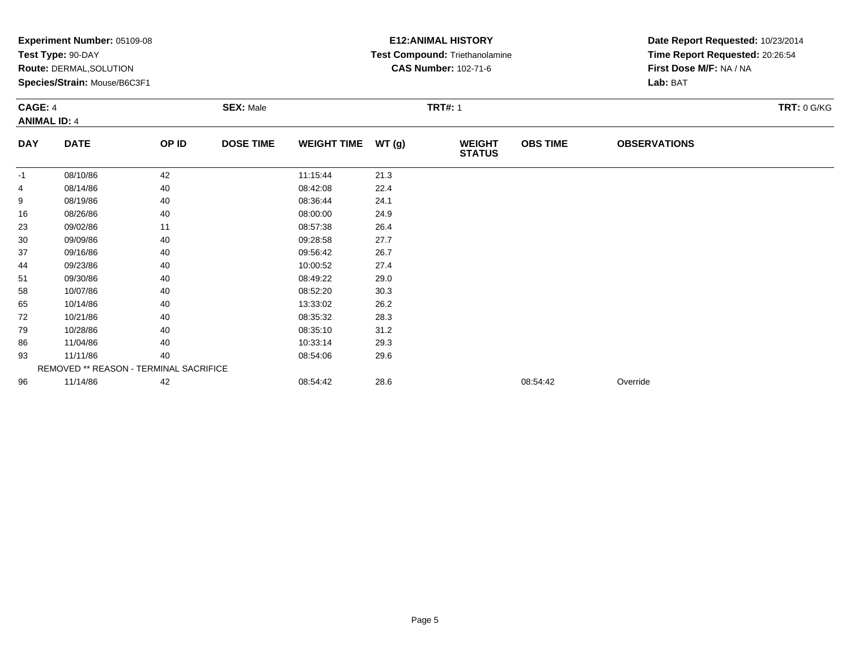|                                       | Experiment Number: 05109-08<br>Test Type: 90-DAY<br>Route: DERMAL, SOLUTION<br>Species/Strain: Mouse/B6C3F1 |       |                  |                    |       | <b>E12: ANIMAL HISTORY</b><br>Test Compound: Triethanolamine<br><b>CAS Number: 102-71-6</b> | Date Report Requested: 10/23/2014<br>Time Report Requested: 20:26:54<br>First Dose M/F: NA / NA<br>Lab: BAT |                     |                    |
|---------------------------------------|-------------------------------------------------------------------------------------------------------------|-------|------------------|--------------------|-------|---------------------------------------------------------------------------------------------|-------------------------------------------------------------------------------------------------------------|---------------------|--------------------|
| <b>CAGE: 4</b><br><b>ANIMAL ID: 4</b> |                                                                                                             |       | <b>SEX: Male</b> |                    |       | <b>TRT#: 1</b>                                                                              |                                                                                                             |                     | <b>TRT: 0 G/KG</b> |
| <b>DAY</b>                            | <b>DATE</b>                                                                                                 | OP ID | <b>DOSE TIME</b> | <b>WEIGHT TIME</b> | WT(g) | <b>WEIGHT</b><br><b>STATUS</b>                                                              | <b>OBS TIME</b>                                                                                             | <b>OBSERVATIONS</b> |                    |
| -1                                    | 08/10/86                                                                                                    | 42    |                  | 11:15:44           | 21.3  |                                                                                             |                                                                                                             |                     |                    |
| 4                                     | 08/14/86                                                                                                    | 40    |                  | 08:42:08           | 22.4  |                                                                                             |                                                                                                             |                     |                    |
| 9                                     | 08/19/86                                                                                                    | 40    |                  | 08:36:44           | 24.1  |                                                                                             |                                                                                                             |                     |                    |
| 16                                    | 08/26/86                                                                                                    | 40    |                  | 08:00:00           | 24.9  |                                                                                             |                                                                                                             |                     |                    |
| 23                                    | 09/02/86                                                                                                    | 11    |                  | 08:57:38           | 26.4  |                                                                                             |                                                                                                             |                     |                    |
| 30                                    | 09/09/86                                                                                                    | 40    |                  | 09:28:58           | 27.7  |                                                                                             |                                                                                                             |                     |                    |
| 37                                    | 09/16/86                                                                                                    | 40    |                  | 09:56:42           | 26.7  |                                                                                             |                                                                                                             |                     |                    |
| 44                                    | 09/23/86                                                                                                    | 40    |                  | 10:00:52           | 27.4  |                                                                                             |                                                                                                             |                     |                    |
| 51                                    | 09/30/86                                                                                                    | 40    |                  | 08:49:22           | 29.0  |                                                                                             |                                                                                                             |                     |                    |
| 58                                    | 10/07/86                                                                                                    | 40    |                  | 08:52:20           | 30.3  |                                                                                             |                                                                                                             |                     |                    |
| 65                                    | 10/14/86                                                                                                    | 40    |                  | 13:33:02           | 26.2  |                                                                                             |                                                                                                             |                     |                    |
| 72                                    | 10/21/86                                                                                                    | 40    |                  | 08:35:32           | 28.3  |                                                                                             |                                                                                                             |                     |                    |
| 79                                    | 10/28/86                                                                                                    | 40    |                  | 08:35:10           | 31.2  |                                                                                             |                                                                                                             |                     |                    |
| 86                                    | 11/04/86                                                                                                    | 40    |                  | 10:33:14           | 29.3  |                                                                                             |                                                                                                             |                     |                    |
| 93                                    | 11/11/86                                                                                                    | 40    |                  | 08:54:06           | 29.6  |                                                                                             |                                                                                                             |                     |                    |
|                                       | REMOVED ** REASON - TERMINAL SACRIFICE                                                                      |       |                  |                    |       |                                                                                             |                                                                                                             |                     |                    |
| 96                                    | 11/14/86                                                                                                    | 42    |                  | 08:54:42           | 28.6  |                                                                                             | 08:54:42                                                                                                    | Override            |                    |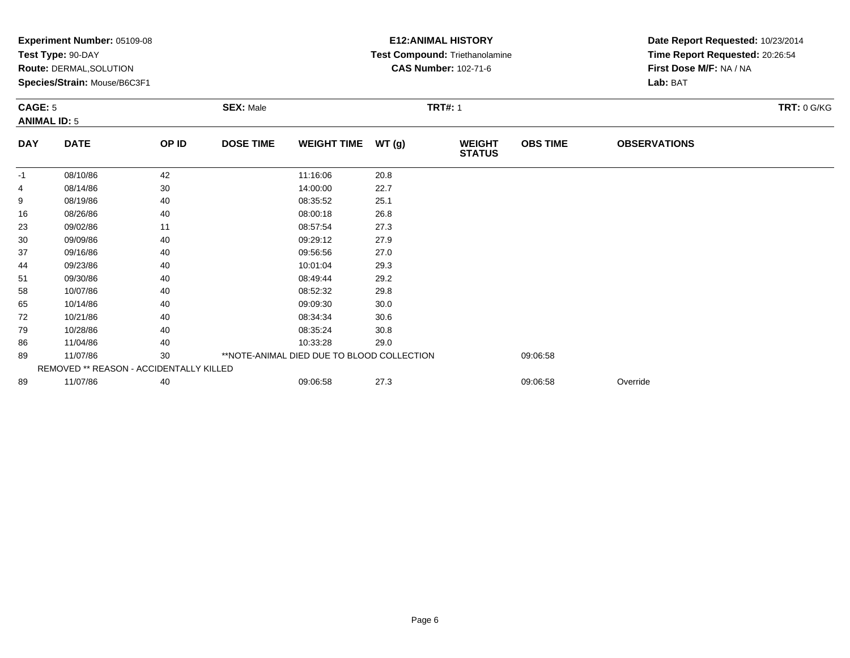| <b>Experiment Number: 05109-08</b><br>Test Type: 90-DAY<br><b>Route: DERMAL, SOLUTION</b><br>Species/Strain: Mouse/B6C3F1<br><b>CAGE: 5</b><br><b>SEX: Male</b><br><b>ANIMAL ID: 5</b> |                                         |       |                  |                                            | <b>E12:ANIMAL HISTORY</b><br>Test Compound: Triethanolamine<br><b>CAS Number: 102-71-6</b> | Date Report Requested: 10/23/2014<br>Time Report Requested: 20:26:54<br>First Dose M/F: NA / NA<br>Lab: BAT |                 |                     |  |
|----------------------------------------------------------------------------------------------------------------------------------------------------------------------------------------|-----------------------------------------|-------|------------------|--------------------------------------------|--------------------------------------------------------------------------------------------|-------------------------------------------------------------------------------------------------------------|-----------------|---------------------|--|
|                                                                                                                                                                                        |                                         |       |                  | <b>TRT#: 1</b>                             |                                                                                            |                                                                                                             |                 | <b>TRT: 0 G/KG</b>  |  |
| <b>DAY</b>                                                                                                                                                                             | <b>DATE</b>                             | OP ID | <b>DOSE TIME</b> | <b>WEIGHT TIME</b>                         | WT(g)                                                                                      | <b>WEIGHT</b><br><b>STATUS</b>                                                                              | <b>OBS TIME</b> | <b>OBSERVATIONS</b> |  |
| $-1$                                                                                                                                                                                   | 08/10/86                                | 42    |                  | 11:16:06                                   | 20.8                                                                                       |                                                                                                             |                 |                     |  |
| 4                                                                                                                                                                                      | 08/14/86                                | 30    |                  | 14:00:00                                   | 22.7                                                                                       |                                                                                                             |                 |                     |  |
| 9                                                                                                                                                                                      | 08/19/86                                | 40    |                  | 08:35:52                                   | 25.1                                                                                       |                                                                                                             |                 |                     |  |
| 16                                                                                                                                                                                     | 08/26/86                                | 40    |                  | 08:00:18                                   | 26.8                                                                                       |                                                                                                             |                 |                     |  |
| 23                                                                                                                                                                                     | 09/02/86                                | 11    |                  | 08:57:54                                   | 27.3                                                                                       |                                                                                                             |                 |                     |  |
| 30                                                                                                                                                                                     | 09/09/86                                | 40    |                  | 09:29:12                                   | 27.9                                                                                       |                                                                                                             |                 |                     |  |
| 37                                                                                                                                                                                     | 09/16/86                                | 40    |                  | 09:56:56                                   | 27.0                                                                                       |                                                                                                             |                 |                     |  |
| 44                                                                                                                                                                                     | 09/23/86                                | 40    |                  | 10:01:04                                   | 29.3                                                                                       |                                                                                                             |                 |                     |  |
| 51                                                                                                                                                                                     | 09/30/86                                | 40    |                  | 08:49:44                                   | 29.2                                                                                       |                                                                                                             |                 |                     |  |
| 58                                                                                                                                                                                     | 10/07/86                                | 40    |                  | 08:52:32                                   | 29.8                                                                                       |                                                                                                             |                 |                     |  |
| 65                                                                                                                                                                                     | 10/14/86                                | 40    |                  | 09:09:30                                   | 30.0                                                                                       |                                                                                                             |                 |                     |  |
| 72                                                                                                                                                                                     | 10/21/86                                | 40    |                  | 08:34:34                                   | 30.6                                                                                       |                                                                                                             |                 |                     |  |
| 79                                                                                                                                                                                     | 10/28/86                                | 40    |                  | 08:35:24                                   | 30.8                                                                                       |                                                                                                             |                 |                     |  |
| 86                                                                                                                                                                                     | 11/04/86                                | 40    |                  | 10:33:28                                   | 29.0                                                                                       |                                                                                                             |                 |                     |  |
| 89                                                                                                                                                                                     | 11/07/86                                | 30    |                  | **NOTE-ANIMAL DIED DUE TO BLOOD COLLECTION |                                                                                            |                                                                                                             | 09:06:58        |                     |  |
|                                                                                                                                                                                        | REMOVED ** REASON - ACCIDENTALLY KILLED |       |                  |                                            |                                                                                            |                                                                                                             |                 |                     |  |
| 89                                                                                                                                                                                     | 11/07/86                                | 40    |                  | 09:06:58                                   | 27.3                                                                                       |                                                                                                             | 09:06:58        | Override            |  |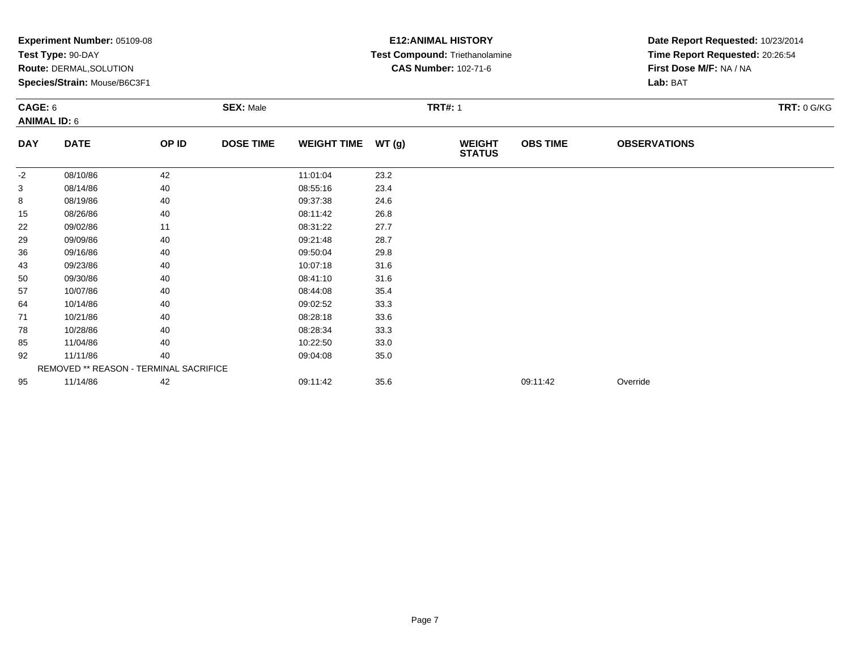|            | Experiment Number: 05109-08            |       |                  | <b>E12: ANIMAL HISTORY</b> | Date Report Requested: 10/23/2014 |                                |                 |                                 |                    |  |
|------------|----------------------------------------|-------|------------------|----------------------------|-----------------------------------|--------------------------------|-----------------|---------------------------------|--------------------|--|
|            | Test Type: 90-DAY                      |       |                  |                            |                                   | Test Compound: Triethanolamine |                 | Time Report Requested: 20:26:54 |                    |  |
|            | Route: DERMAL, SOLUTION                |       |                  |                            |                                   | <b>CAS Number: 102-71-6</b>    |                 | First Dose M/F: NA / NA         |                    |  |
|            | Species/Strain: Mouse/B6C3F1           |       |                  |                            |                                   |                                |                 | Lab: BAT                        |                    |  |
| CAGE: 6    |                                        |       | <b>SEX: Male</b> |                            | <b>TRT#: 1</b>                    |                                |                 |                                 | <b>TRT: 0 G/KG</b> |  |
|            | <b>ANIMAL ID: 6</b>                    |       |                  |                            |                                   |                                |                 |                                 |                    |  |
| <b>DAY</b> | <b>DATE</b>                            | OP ID | <b>DOSE TIME</b> | <b>WEIGHT TIME</b>         | WT(g)                             | <b>WEIGHT</b><br><b>STATUS</b> | <b>OBS TIME</b> | <b>OBSERVATIONS</b>             |                    |  |
| $-2$       | 08/10/86                               | 42    |                  | 11:01:04                   | 23.2                              |                                |                 |                                 |                    |  |
| 3          | 08/14/86                               | 40    |                  | 08:55:16                   | 23.4                              |                                |                 |                                 |                    |  |
| 8          | 08/19/86                               | 40    |                  | 09:37:38                   | 24.6                              |                                |                 |                                 |                    |  |
| 15         | 08/26/86                               | 40    |                  | 08:11:42                   | 26.8                              |                                |                 |                                 |                    |  |
| 22         | 09/02/86                               | 11    |                  | 08:31:22                   | 27.7                              |                                |                 |                                 |                    |  |
| 29         | 09/09/86                               | 40    |                  | 09:21:48                   | 28.7                              |                                |                 |                                 |                    |  |
| 36         | 09/16/86                               | 40    |                  | 09:50:04                   | 29.8                              |                                |                 |                                 |                    |  |
| 43         | 09/23/86                               | 40    |                  | 10:07:18                   | 31.6                              |                                |                 |                                 |                    |  |
| 50         | 09/30/86                               | 40    |                  | 08:41:10                   | 31.6                              |                                |                 |                                 |                    |  |
| 57         | 10/07/86                               | 40    |                  | 08:44:08                   | 35.4                              |                                |                 |                                 |                    |  |
| 64         | 10/14/86                               | 40    |                  | 09:02:52                   | 33.3                              |                                |                 |                                 |                    |  |
| 71         | 10/21/86                               | 40    |                  | 08:28:18                   | 33.6                              |                                |                 |                                 |                    |  |
| 78         | 10/28/86                               | 40    |                  | 08:28:34                   | 33.3                              |                                |                 |                                 |                    |  |
| 85         | 11/04/86                               | 40    |                  | 10:22:50                   | 33.0                              |                                |                 |                                 |                    |  |
| 92         | 11/11/86                               | 40    |                  | 09:04:08                   | 35.0                              |                                |                 |                                 |                    |  |
|            | REMOVED ** REASON - TERMINAL SACRIFICE |       |                  |                            |                                   |                                |                 |                                 |                    |  |
| 95         | 11/14/86                               | 42    |                  | 09:11:42                   | 35.6                              |                                | 09:11:42        | Override                        |                    |  |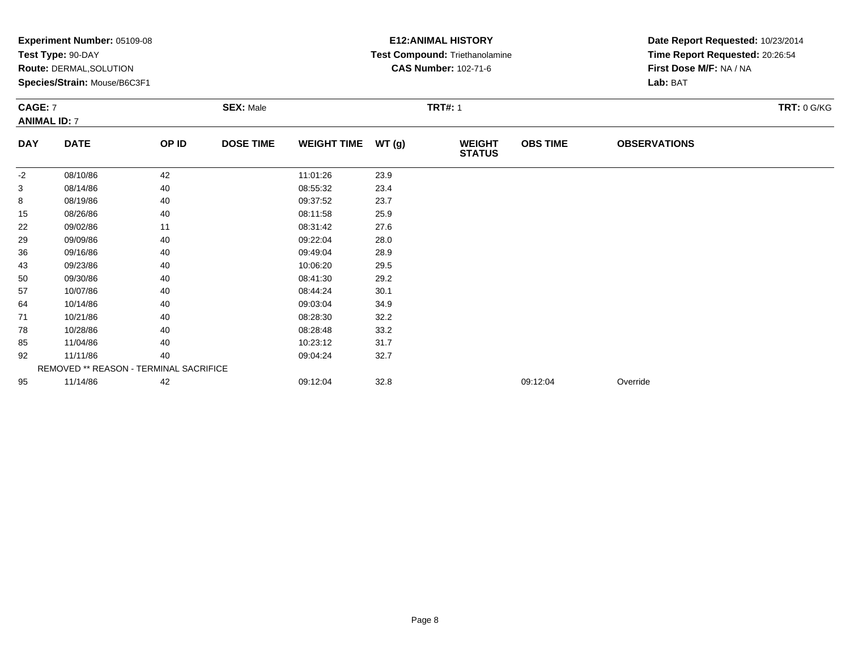|            | Experiment Number: 05109-08            |       |                  |                    |       | <b>E12: ANIMAL HISTORY</b>     | Date Report Requested: 10/23/2014 |                                                            |                    |  |
|------------|----------------------------------------|-------|------------------|--------------------|-------|--------------------------------|-----------------------------------|------------------------------------------------------------|--------------------|--|
|            | Test Type: 90-DAY                      |       |                  |                    |       | Test Compound: Triethanolamine |                                   | Time Report Requested: 20:26:54<br>First Dose M/F: NA / NA |                    |  |
|            | <b>Route: DERMAL, SOLUTION</b>         |       |                  |                    |       | <b>CAS Number: 102-71-6</b>    |                                   |                                                            |                    |  |
|            | Species/Strain: Mouse/B6C3F1           |       |                  |                    |       |                                |                                   | Lab: BAT                                                   |                    |  |
|            | CAGE: 7                                |       | <b>SEX: Male</b> |                    |       | <b>TRT#: 1</b>                 |                                   |                                                            | <b>TRT: 0 G/KG</b> |  |
|            | <b>ANIMAL ID: 7</b>                    |       |                  |                    |       |                                |                                   |                                                            |                    |  |
| <b>DAY</b> | <b>DATE</b>                            | OP ID | <b>DOSE TIME</b> | <b>WEIGHT TIME</b> | WT(g) | <b>WEIGHT</b><br><b>STATUS</b> | <b>OBS TIME</b>                   | <b>OBSERVATIONS</b>                                        |                    |  |
| -2         | 08/10/86                               | 42    |                  | 11:01:26           | 23.9  |                                |                                   |                                                            |                    |  |
| 3          | 08/14/86                               | 40    |                  | 08:55:32           | 23.4  |                                |                                   |                                                            |                    |  |
| 8          | 08/19/86                               | 40    |                  | 09:37:52           | 23.7  |                                |                                   |                                                            |                    |  |
| 15         | 08/26/86                               | 40    |                  | 08:11:58           | 25.9  |                                |                                   |                                                            |                    |  |
| 22         | 09/02/86                               | 11    |                  | 08:31:42           | 27.6  |                                |                                   |                                                            |                    |  |
| 29         | 09/09/86                               | 40    |                  | 09:22:04           | 28.0  |                                |                                   |                                                            |                    |  |
| 36         | 09/16/86                               | 40    |                  | 09:49:04           | 28.9  |                                |                                   |                                                            |                    |  |
| 43         | 09/23/86                               | 40    |                  | 10:06:20           | 29.5  |                                |                                   |                                                            |                    |  |
| 50         | 09/30/86                               | 40    |                  | 08:41:30           | 29.2  |                                |                                   |                                                            |                    |  |
| 57         | 10/07/86                               | 40    |                  | 08:44:24           | 30.1  |                                |                                   |                                                            |                    |  |
| 64         | 10/14/86                               | 40    |                  | 09:03:04           | 34.9  |                                |                                   |                                                            |                    |  |
| 71         | 10/21/86                               | 40    |                  | 08:28:30           | 32.2  |                                |                                   |                                                            |                    |  |
| 78         | 10/28/86                               | 40    |                  | 08:28:48           | 33.2  |                                |                                   |                                                            |                    |  |
| 85         | 11/04/86                               | 40    |                  | 10:23:12           | 31.7  |                                |                                   |                                                            |                    |  |
| 92         | 11/11/86                               | 40    |                  | 09:04:24           | 32.7  |                                |                                   |                                                            |                    |  |
|            | REMOVED ** REASON - TERMINAL SACRIFICE |       |                  |                    |       |                                |                                   |                                                            |                    |  |
| 95         | 11/14/86                               | 42    |                  | 09:12:04           | 32.8  |                                | 09:12:04                          | Override                                                   |                    |  |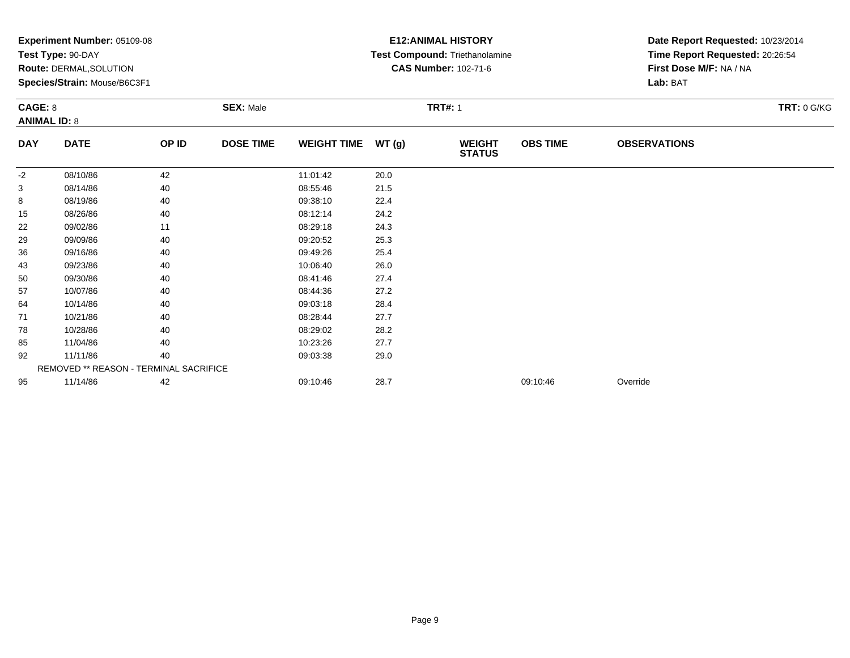|                                       | Experiment Number: 05109-08<br>Test Type: 90-DAY<br>Route: DERMAL, SOLUTION<br>Species/Strain: Mouse/B6C3F1 |       |                  |                    |       | <b>E12: ANIMAL HISTORY</b><br>Test Compound: Triethanolamine<br><b>CAS Number: 102-71-6</b> | Date Report Requested: 10/23/2014<br>Time Report Requested: 20:26:54<br>First Dose M/F: NA / NA<br>Lab: BAT |                     |                    |
|---------------------------------------|-------------------------------------------------------------------------------------------------------------|-------|------------------|--------------------|-------|---------------------------------------------------------------------------------------------|-------------------------------------------------------------------------------------------------------------|---------------------|--------------------|
| <b>CAGE: 8</b><br><b>ANIMAL ID: 8</b> |                                                                                                             |       | <b>SEX: Male</b> |                    |       | <b>TRT#: 1</b>                                                                              |                                                                                                             |                     | <b>TRT: 0 G/KG</b> |
| <b>DAY</b>                            | <b>DATE</b>                                                                                                 | OP ID | <b>DOSE TIME</b> | <b>WEIGHT TIME</b> | WT(g) | <b>WEIGHT</b><br><b>STATUS</b>                                                              | <b>OBS TIME</b>                                                                                             | <b>OBSERVATIONS</b> |                    |
| $-2$                                  | 08/10/86                                                                                                    | 42    |                  | 11:01:42           | 20.0  |                                                                                             |                                                                                                             |                     |                    |
| 3                                     | 08/14/86                                                                                                    | 40    |                  | 08:55:46           | 21.5  |                                                                                             |                                                                                                             |                     |                    |
| 8                                     | 08/19/86                                                                                                    | 40    |                  | 09:38:10           | 22.4  |                                                                                             |                                                                                                             |                     |                    |
| 15                                    | 08/26/86                                                                                                    | 40    |                  | 08:12:14           | 24.2  |                                                                                             |                                                                                                             |                     |                    |
| 22                                    | 09/02/86                                                                                                    | 11    |                  | 08:29:18           | 24.3  |                                                                                             |                                                                                                             |                     |                    |
| 29                                    | 09/09/86                                                                                                    | 40    |                  | 09:20:52           | 25.3  |                                                                                             |                                                                                                             |                     |                    |
| 36                                    | 09/16/86                                                                                                    | 40    |                  | 09:49:26           | 25.4  |                                                                                             |                                                                                                             |                     |                    |
| 43                                    | 09/23/86                                                                                                    | 40    |                  | 10:06:40           | 26.0  |                                                                                             |                                                                                                             |                     |                    |
| 50                                    | 09/30/86                                                                                                    | 40    |                  | 08:41:46           | 27.4  |                                                                                             |                                                                                                             |                     |                    |
| 57                                    | 10/07/86                                                                                                    | 40    |                  | 08:44:36           | 27.2  |                                                                                             |                                                                                                             |                     |                    |
| 64                                    | 10/14/86                                                                                                    | 40    |                  | 09:03:18           | 28.4  |                                                                                             |                                                                                                             |                     |                    |
| 71                                    | 10/21/86                                                                                                    | 40    |                  | 08:28:44           | 27.7  |                                                                                             |                                                                                                             |                     |                    |
| 78                                    | 10/28/86                                                                                                    | 40    |                  | 08:29:02           | 28.2  |                                                                                             |                                                                                                             |                     |                    |
| 85                                    | 11/04/86                                                                                                    | 40    |                  | 10:23:26           | 27.7  |                                                                                             |                                                                                                             |                     |                    |
| 92                                    | 11/11/86                                                                                                    | 40    |                  | 09:03:38           | 29.0  |                                                                                             |                                                                                                             |                     |                    |
|                                       | REMOVED ** REASON - TERMINAL SACRIFICE                                                                      |       |                  |                    |       |                                                                                             |                                                                                                             |                     |                    |
| 95                                    | 11/14/86                                                                                                    | 42    |                  | 09:10:46           | 28.7  |                                                                                             | 09:10:46                                                                                                    | Override            |                    |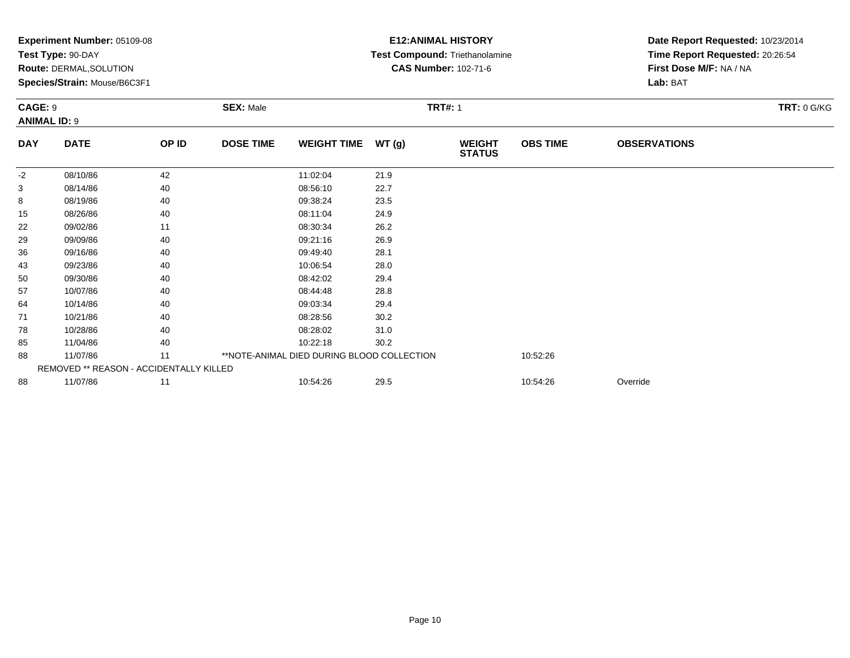| Experiment Number: 05109-08<br>Test Type: 90-DAY |                                                                |       |                  |                                            |       | <b>E12: ANIMAL HISTORY</b><br>Test Compound: Triethanolamine | Date Report Requested: 10/23/2014<br>Time Report Requested: 20:26:54 |                                     |                    |  |
|--------------------------------------------------|----------------------------------------------------------------|-------|------------------|--------------------------------------------|-------|--------------------------------------------------------------|----------------------------------------------------------------------|-------------------------------------|--------------------|--|
|                                                  | <b>Route: DERMAL, SOLUTION</b><br>Species/Strain: Mouse/B6C3F1 |       |                  |                                            |       | <b>CAS Number: 102-71-6</b>                                  |                                                                      | First Dose M/F: NA / NA<br>Lab: BAT |                    |  |
|                                                  |                                                                |       |                  |                                            |       |                                                              |                                                                      |                                     |                    |  |
| <b>CAGE: 9</b>                                   |                                                                |       | <b>SEX: Male</b> |                                            |       | <b>TRT#: 1</b>                                               |                                                                      |                                     | <b>TRT: 0 G/KG</b> |  |
|                                                  | <b>ANIMAL ID: 9</b>                                            |       |                  |                                            |       |                                                              |                                                                      |                                     |                    |  |
| <b>DAY</b>                                       | <b>DATE</b>                                                    | OP ID | <b>DOSE TIME</b> | <b>WEIGHT TIME</b>                         | WT(g) | <b>WEIGHT</b><br><b>STATUS</b>                               | <b>OBS TIME</b>                                                      | <b>OBSERVATIONS</b>                 |                    |  |
| $-2$                                             | 08/10/86                                                       | 42    |                  | 11:02:04                                   | 21.9  |                                                              |                                                                      |                                     |                    |  |
| 3                                                | 08/14/86                                                       | 40    |                  | 08:56:10                                   | 22.7  |                                                              |                                                                      |                                     |                    |  |
| 8                                                | 08/19/86                                                       | 40    |                  | 09:38:24                                   | 23.5  |                                                              |                                                                      |                                     |                    |  |
| 15                                               | 08/26/86                                                       | 40    |                  | 08:11:04                                   | 24.9  |                                                              |                                                                      |                                     |                    |  |
| 22                                               | 09/02/86                                                       | 11    |                  | 08:30:34                                   | 26.2  |                                                              |                                                                      |                                     |                    |  |
| 29                                               | 09/09/86                                                       | 40    |                  | 09:21:16                                   | 26.9  |                                                              |                                                                      |                                     |                    |  |
| 36                                               | 09/16/86                                                       | 40    |                  | 09:49:40                                   | 28.1  |                                                              |                                                                      |                                     |                    |  |
| 43                                               | 09/23/86                                                       | 40    |                  | 10:06:54                                   | 28.0  |                                                              |                                                                      |                                     |                    |  |
| 50                                               | 09/30/86                                                       | 40    |                  | 08:42:02                                   | 29.4  |                                                              |                                                                      |                                     |                    |  |
| 57                                               | 10/07/86                                                       | 40    |                  | 08:44:48                                   | 28.8  |                                                              |                                                                      |                                     |                    |  |
| 64                                               | 10/14/86                                                       | 40    |                  | 09:03:34                                   | 29.4  |                                                              |                                                                      |                                     |                    |  |
| 71                                               | 10/21/86                                                       | 40    |                  | 08:28:56                                   | 30.2  |                                                              |                                                                      |                                     |                    |  |
| 78                                               | 10/28/86                                                       | 40    |                  | 08:28:02                                   | 31.0  |                                                              |                                                                      |                                     |                    |  |
| 85                                               | 11/04/86                                                       | 40    |                  | 10:22:18                                   | 30.2  |                                                              |                                                                      |                                     |                    |  |
| 88                                               | 11/07/86                                                       | 11    |                  | **NOTE-ANIMAL DIED DURING BLOOD COLLECTION |       |                                                              | 10:52:26                                                             |                                     |                    |  |
|                                                  | REMOVED ** REASON - ACCIDENTALLY KILLED                        |       |                  |                                            |       |                                                              |                                                                      |                                     |                    |  |
| 88                                               | 11/07/86                                                       | 11    |                  | 10:54:26                                   | 29.5  |                                                              | 10:54:26                                                             | Override                            |                    |  |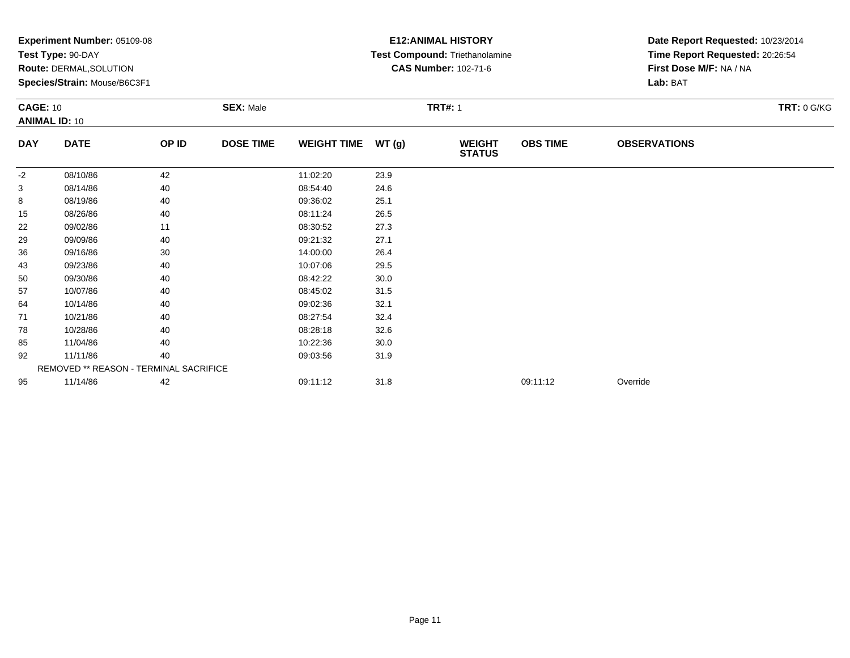|                      | Experiment Number: 05109-08<br>Test Type: 90-DAY<br>Route: DERMAL, SOLUTION<br>Species/Strain: Mouse/B6C3F1<br><b>SEX: Male</b><br><b>CAGE: 10</b> |       |                  |                    |       | <b>E12: ANIMAL HISTORY</b><br>Test Compound: Triethanolamine<br><b>CAS Number: 102-71-6</b> | Date Report Requested: 10/23/2014<br>Time Report Requested: 20:26:54<br>First Dose M/F: NA / NA<br>Lab: BAT |                     |                    |
|----------------------|----------------------------------------------------------------------------------------------------------------------------------------------------|-------|------------------|--------------------|-------|---------------------------------------------------------------------------------------------|-------------------------------------------------------------------------------------------------------------|---------------------|--------------------|
| <b>ANIMAL ID: 10</b> |                                                                                                                                                    |       |                  |                    |       | <b>TRT#: 1</b>                                                                              |                                                                                                             |                     | <b>TRT: 0 G/KG</b> |
| <b>DAY</b>           | <b>DATE</b>                                                                                                                                        | OP ID | <b>DOSE TIME</b> | <b>WEIGHT TIME</b> | WT(g) | <b>WEIGHT</b><br><b>STATUS</b>                                                              | <b>OBS TIME</b>                                                                                             | <b>OBSERVATIONS</b> |                    |
| -2                   | 08/10/86                                                                                                                                           | 42    |                  | 11:02:20           | 23.9  |                                                                                             |                                                                                                             |                     |                    |
| 3                    | 08/14/86                                                                                                                                           | 40    |                  | 08:54:40           | 24.6  |                                                                                             |                                                                                                             |                     |                    |
| 8                    | 08/19/86                                                                                                                                           | 40    |                  | 09:36:02           | 25.1  |                                                                                             |                                                                                                             |                     |                    |
| 15                   | 08/26/86                                                                                                                                           | 40    |                  | 08:11:24           | 26.5  |                                                                                             |                                                                                                             |                     |                    |
| 22                   | 09/02/86                                                                                                                                           | 11    |                  | 08:30:52           | 27.3  |                                                                                             |                                                                                                             |                     |                    |
| 29                   | 09/09/86                                                                                                                                           | 40    |                  | 09:21:32           | 27.1  |                                                                                             |                                                                                                             |                     |                    |
| 36                   | 09/16/86                                                                                                                                           | 30    |                  | 14:00:00           | 26.4  |                                                                                             |                                                                                                             |                     |                    |
| 43                   | 09/23/86                                                                                                                                           | 40    |                  | 10:07:06           | 29.5  |                                                                                             |                                                                                                             |                     |                    |
| 50                   | 09/30/86                                                                                                                                           | 40    |                  | 08:42:22           | 30.0  |                                                                                             |                                                                                                             |                     |                    |
| 57                   | 10/07/86                                                                                                                                           | 40    |                  | 08:45:02           | 31.5  |                                                                                             |                                                                                                             |                     |                    |
| 64                   | 10/14/86                                                                                                                                           | 40    |                  | 09:02:36           | 32.1  |                                                                                             |                                                                                                             |                     |                    |
| 71                   | 10/21/86                                                                                                                                           | 40    |                  | 08:27:54           | 32.4  |                                                                                             |                                                                                                             |                     |                    |
| 78                   | 10/28/86                                                                                                                                           | 40    |                  | 08:28:18           | 32.6  |                                                                                             |                                                                                                             |                     |                    |
| 85                   | 11/04/86                                                                                                                                           | 40    |                  | 10:22:36           | 30.0  |                                                                                             |                                                                                                             |                     |                    |
| 92                   | 11/11/86                                                                                                                                           | 40    |                  | 09:03:56           | 31.9  |                                                                                             |                                                                                                             |                     |                    |
|                      | REMOVED ** REASON - TERMINAL SACRIFICE                                                                                                             |       |                  |                    |       |                                                                                             |                                                                                                             |                     |                    |
| 95                   | 11/14/86                                                                                                                                           | 42    |                  | 09:11:12           | 31.8  |                                                                                             | 09:11:12                                                                                                    | Override            |                    |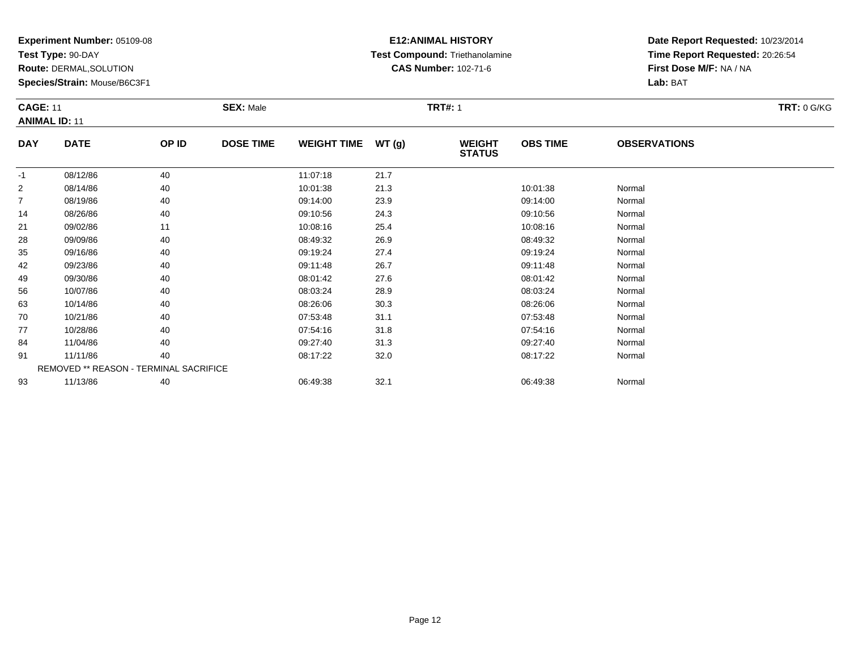**Test Type:** 90-DAY

93

**Route:** DERMAL,SOLUTION

**Species/Strain:** Mouse/B6C3F1

# **E12:ANIMAL HISTORY Test Compound:** Triethanolamine**CAS Number:** 102-71-6

**Date Report Requested:** 10/23/2014**Time Report Requested:** 20:26:54**First Dose M/F:** NA / NA**Lab:** BAT

|                | <b>CAGE: 11</b><br><b>ANIMAL ID: 11</b>       |       | <b>SEX: Male</b> |                    |       | <b>TRT#: 1</b>                 |                 |                     |  |  |  |
|----------------|-----------------------------------------------|-------|------------------|--------------------|-------|--------------------------------|-----------------|---------------------|--|--|--|
| <b>DAY</b>     | <b>DATE</b>                                   | OP ID | <b>DOSE TIME</b> | <b>WEIGHT TIME</b> | WT(g) | <b>WEIGHT</b><br><b>STATUS</b> | <b>OBS TIME</b> | <b>OBSERVATIONS</b> |  |  |  |
| $-1$           | 08/12/86                                      | 40    |                  | 11:07:18           | 21.7  |                                |                 |                     |  |  |  |
| $\overline{2}$ | 08/14/86                                      | 40    |                  | 10:01:38           | 21.3  |                                | 10:01:38        | Normal              |  |  |  |
| $\overline{7}$ | 08/19/86                                      | 40    |                  | 09:14:00           | 23.9  |                                | 09:14:00        | Normal              |  |  |  |
| 14             | 08/26/86                                      | 40    |                  | 09:10:56           | 24.3  |                                | 09:10:56        | Normal              |  |  |  |
| 21             | 09/02/86                                      | 11    |                  | 10:08:16           | 25.4  |                                | 10:08:16        | Normal              |  |  |  |
| 28             | 09/09/86                                      | 40    |                  | 08:49:32           | 26.9  |                                | 08:49:32        | Normal              |  |  |  |
| 35             | 09/16/86                                      | 40    |                  | 09:19:24           | 27.4  |                                | 09:19:24        | Normal              |  |  |  |
| 42             | 09/23/86                                      | 40    |                  | 09:11:48           | 26.7  |                                | 09:11:48        | Normal              |  |  |  |
| 49             | 09/30/86                                      | 40    |                  | 08:01:42           | 27.6  |                                | 08:01:42        | Normal              |  |  |  |
| 56             | 10/07/86                                      | 40    |                  | 08:03:24           | 28.9  |                                | 08:03:24        | Normal              |  |  |  |
| 63             | 10/14/86                                      | 40    |                  | 08:26:06           | 30.3  |                                | 08:26:06        | Normal              |  |  |  |
| 70             | 10/21/86                                      | 40    |                  | 07:53:48           | 31.1  |                                | 07:53:48        | Normal              |  |  |  |
| 77             | 10/28/86                                      | 40    |                  | 07:54:16           | 31.8  |                                | 07:54:16        | Normal              |  |  |  |
| 84             | 11/04/86                                      | 40    |                  | 09:27:40           | 31.3  |                                | 09:27:40        | Normal              |  |  |  |
| 91             | 11/11/86                                      | 40    |                  | 08:17:22           | 32.0  |                                | 08:17:22        | Normal              |  |  |  |
|                | <b>REMOVED ** REASON - TERMINAL SACRIFICE</b> |       |                  |                    |       |                                |                 |                     |  |  |  |

3 11/13/86 40 40 06:49:38 32.1 66:49:38 06:49:38 32.1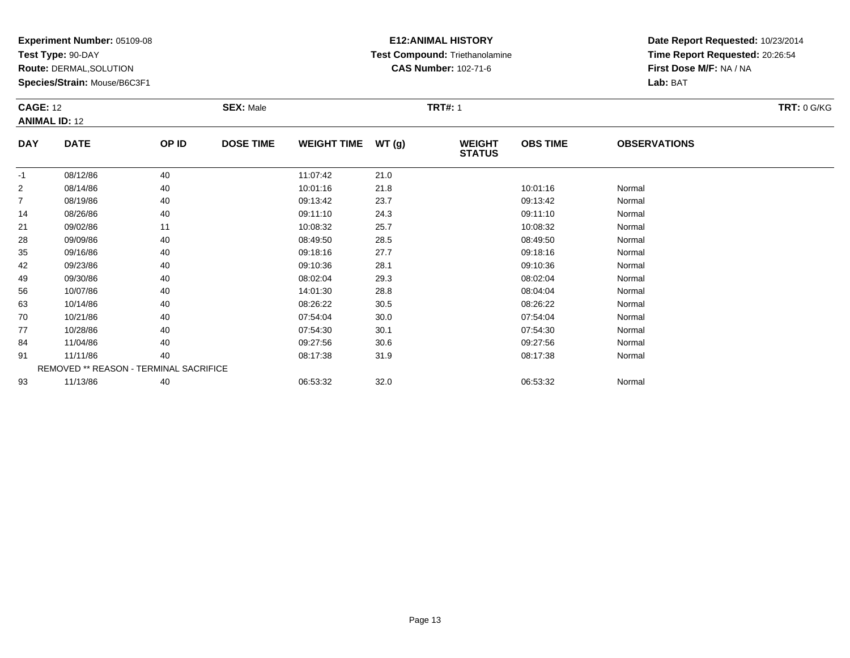**Test Type:** 90-DAY

**Route:** DERMAL,SOLUTION

**Species/Strain:** Mouse/B6C3F1

# **E12:ANIMAL HISTORY Test Compound:** Triethanolamine**CAS Number:** 102-71-6

|                | <b>CAGE: 12</b><br><b>ANIMAL ID: 12</b> |       | <b>SEX: Male</b> | <b>TRT: 0 G/KG</b> |       |                                |                 |                     |  |
|----------------|-----------------------------------------|-------|------------------|--------------------|-------|--------------------------------|-----------------|---------------------|--|
| <b>DAY</b>     | <b>DATE</b>                             | OP ID | <b>DOSE TIME</b> | <b>WEIGHT TIME</b> | WT(g) | <b>WEIGHT</b><br><b>STATUS</b> | <b>OBS TIME</b> | <b>OBSERVATIONS</b> |  |
| $-1$           | 08/12/86                                | 40    |                  | 11:07:42           | 21.0  |                                |                 |                     |  |
| $\overline{2}$ | 08/14/86                                | 40    |                  | 10:01:16           | 21.8  |                                | 10:01:16        | Normal              |  |
| $\overline{7}$ | 08/19/86                                | 40    |                  | 09:13:42           | 23.7  |                                | 09:13:42        | Normal              |  |
| 14             | 08/26/86                                | 40    |                  | 09:11:10           | 24.3  |                                | 09:11:10        | Normal              |  |
| 21             | 09/02/86                                | 11    |                  | 10:08:32           | 25.7  |                                | 10:08:32        | Normal              |  |
| 28             | 09/09/86                                | 40    |                  | 08:49:50           | 28.5  |                                | 08:49:50        | Normal              |  |
| 35             | 09/16/86                                | 40    |                  | 09:18:16           | 27.7  |                                | 09:18:16        | Normal              |  |
| 42             | 09/23/86                                | 40    |                  | 09:10:36           | 28.1  |                                | 09:10:36        | Normal              |  |
| 49             | 09/30/86                                | 40    |                  | 08:02:04           | 29.3  |                                | 08:02:04        | Normal              |  |
| 56             | 10/07/86                                | 40    |                  | 14:01:30           | 28.8  |                                | 08:04:04        | Normal              |  |
| 63             | 10/14/86                                | 40    |                  | 08:26:22           | 30.5  |                                | 08:26:22        | Normal              |  |
| 70             | 10/21/86                                | 40    |                  | 07:54:04           | 30.0  |                                | 07:54:04        | Normal              |  |
| 77             | 10/28/86                                | 40    |                  | 07:54:30           | 30.1  |                                | 07:54:30        | Normal              |  |
| 84             | 11/04/86                                | 40    |                  | 09:27:56           | 30.6  |                                | 09:27:56        | Normal              |  |
| 91             | 11/11/86                                | 40    |                  | 08:17:38           | 31.9  |                                | 08:17:38        | Normal              |  |
|                | REMOVED ** REASON - TERMINAL SACRIFICE  |       |                  |                    |       |                                |                 |                     |  |
| 93             | 11/13/86                                | 40    |                  | 06:53:32           | 32.0  |                                | 06:53:32        | Normal              |  |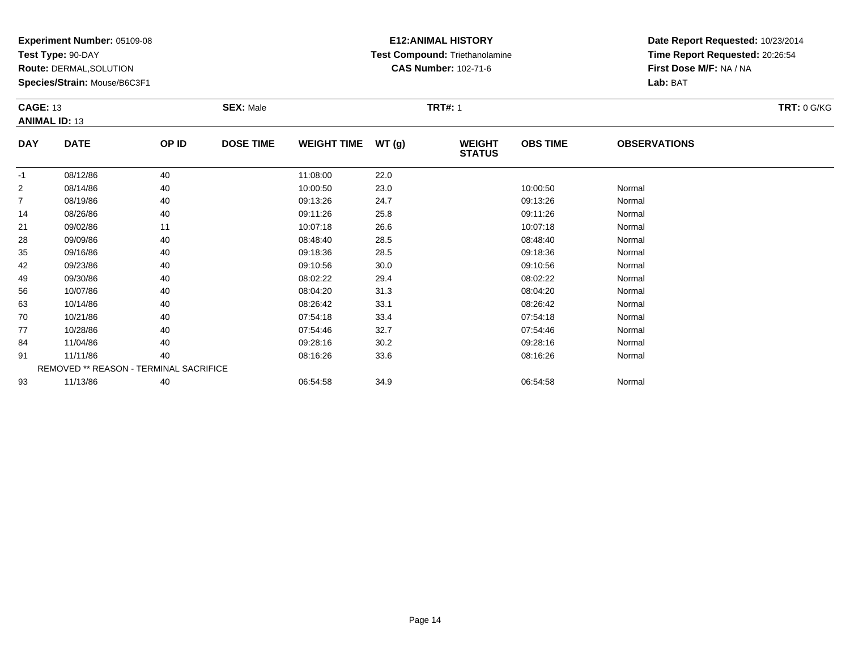**Test Type:** 90-DAY

**Route:** DERMAL,SOLUTION

**Species/Strain:** Mouse/B6C3F1

# **E12:ANIMAL HISTORY Test Compound:** Triethanolamine**CAS Number:** 102-71-6

**Date Report Requested:** 10/23/2014**Time Report Requested:** 20:26:54**First Dose M/F:** NA / NA**Lab:** BAT

|                | <b>CAGE: 13</b><br><b>ANIMAL ID: 13</b> |       | <b>SEX: Male</b> |                    |       | <b>TRT#: 1</b>                 | <b>TRT: 0 G/KG</b> |                     |  |
|----------------|-----------------------------------------|-------|------------------|--------------------|-------|--------------------------------|--------------------|---------------------|--|
| <b>DAY</b>     | <b>DATE</b>                             | OP ID | <b>DOSE TIME</b> | <b>WEIGHT TIME</b> | WT(g) | <b>WEIGHT</b><br><b>STATUS</b> | <b>OBS TIME</b>    | <b>OBSERVATIONS</b> |  |
| $-1$           | 08/12/86                                | 40    |                  | 11:08:00           | 22.0  |                                |                    |                     |  |
| 2              | 08/14/86                                | 40    |                  | 10:00:50           | 23.0  |                                | 10:00:50           | Normal              |  |
| $\overline{7}$ | 08/19/86                                | 40    |                  | 09:13:26           | 24.7  |                                | 09:13:26           | Normal              |  |
| 14             | 08/26/86                                | 40    |                  | 09:11:26           | 25.8  |                                | 09:11:26           | Normal              |  |
| 21             | 09/02/86                                | 11    |                  | 10:07:18           | 26.6  |                                | 10:07:18           | Normal              |  |
| 28             | 09/09/86                                | 40    |                  | 08:48:40           | 28.5  |                                | 08:48:40           | Normal              |  |
| 35             | 09/16/86                                | 40    |                  | 09:18:36           | 28.5  |                                | 09:18:36           | Normal              |  |
| 42             | 09/23/86                                | 40    |                  | 09:10:56           | 30.0  |                                | 09:10:56           | Normal              |  |
| 49             | 09/30/86                                | 40    |                  | 08:02:22           | 29.4  |                                | 08:02:22           | Normal              |  |
| 56             | 10/07/86                                | 40    |                  | 08:04:20           | 31.3  |                                | 08:04:20           | Normal              |  |
| 63             | 10/14/86                                | 40    |                  | 08:26:42           | 33.1  |                                | 08:26:42           | Normal              |  |
| 70             | 10/21/86                                | 40    |                  | 07:54:18           | 33.4  |                                | 07:54:18           | Normal              |  |
| 77             | 10/28/86                                | 40    |                  | 07:54:46           | 32.7  |                                | 07:54:46           | Normal              |  |
| 84             | 11/04/86                                | 40    |                  | 09:28:16           | 30.2  |                                | 09:28:16           | Normal              |  |
| 91             | 11/11/86                                | 40    |                  | 08:16:26           | 33.6  |                                | 08:16:26           | Normal              |  |
|                | REMOVED ** REASON - TERMINAL SACRIFICE  |       |                  |                    |       |                                |                    |                     |  |
| 93             | 11/13/86                                | 40    |                  | 06:54:58           | 34.9  |                                | 06:54:58           | Normal              |  |

3 11/13/86 40 40 06:54:58 34.9 34.9 06:54:58 Normal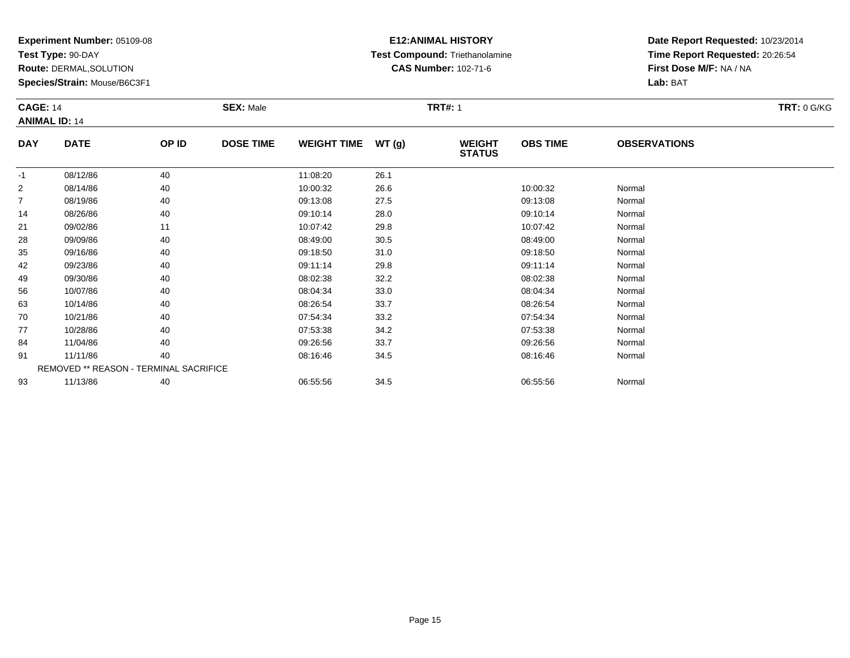**Test Type:** 90-DAY

**Route:** DERMAL,SOLUTION

**Species/Strain:** Mouse/B6C3F1

# **E12:ANIMAL HISTORY Test Compound:** Triethanolamine**CAS Number:** 102-71-6

|                | <b>CAGE: 14</b><br><b>ANIMAL ID: 14</b> |       | <b>SEX: Male</b> |                    |       | <b>TRT#: 1</b>                 | <b>TRT: 0 G/KG</b> |                     |  |
|----------------|-----------------------------------------|-------|------------------|--------------------|-------|--------------------------------|--------------------|---------------------|--|
| <b>DAY</b>     | <b>DATE</b>                             | OP ID | <b>DOSE TIME</b> | <b>WEIGHT TIME</b> | WT(g) | <b>WEIGHT</b><br><b>STATUS</b> | <b>OBS TIME</b>    | <b>OBSERVATIONS</b> |  |
| $-1$           | 08/12/86                                | 40    |                  | 11:08:20           | 26.1  |                                |                    |                     |  |
| $\overline{2}$ | 08/14/86                                | 40    |                  | 10:00:32           | 26.6  |                                | 10:00:32           | Normal              |  |
| $\overline{7}$ | 08/19/86                                | 40    |                  | 09:13:08           | 27.5  |                                | 09:13:08           | Normal              |  |
| 14             | 08/26/86                                | 40    |                  | 09:10:14           | 28.0  |                                | 09:10:14           | Normal              |  |
| 21             | 09/02/86                                | 11    |                  | 10:07:42           | 29.8  |                                | 10:07:42           | Normal              |  |
| 28             | 09/09/86                                | 40    |                  | 08:49:00           | 30.5  |                                | 08:49:00           | Normal              |  |
| 35             | 09/16/86                                | 40    |                  | 09:18:50           | 31.0  |                                | 09:18:50           | Normal              |  |
| 42             | 09/23/86                                | 40    |                  | 09:11:14           | 29.8  |                                | 09:11:14           | Normal              |  |
| 49             | 09/30/86                                | 40    |                  | 08:02:38           | 32.2  |                                | 08:02:38           | Normal              |  |
| 56             | 10/07/86                                | 40    |                  | 08:04:34           | 33.0  |                                | 08:04:34           | Normal              |  |
| 63             | 10/14/86                                | 40    |                  | 08:26:54           | 33.7  |                                | 08:26:54           | Normal              |  |
| 70             | 10/21/86                                | 40    |                  | 07:54:34           | 33.2  |                                | 07:54:34           | Normal              |  |
| 77             | 10/28/86                                | 40    |                  | 07:53:38           | 34.2  |                                | 07:53:38           | Normal              |  |
| 84             | 11/04/86                                | 40    |                  | 09:26:56           | 33.7  |                                | 09:26:56           | Normal              |  |
| 91             | 11/11/86                                | 40    |                  | 08:16:46           | 34.5  |                                | 08:16:46           | Normal              |  |
|                | REMOVED ** REASON - TERMINAL SACRIFICE  |       |                  |                    |       |                                |                    |                     |  |
| 93             | 11/13/86                                | 40    |                  | 06:55:56           | 34.5  |                                | 06:55:56           | Normal              |  |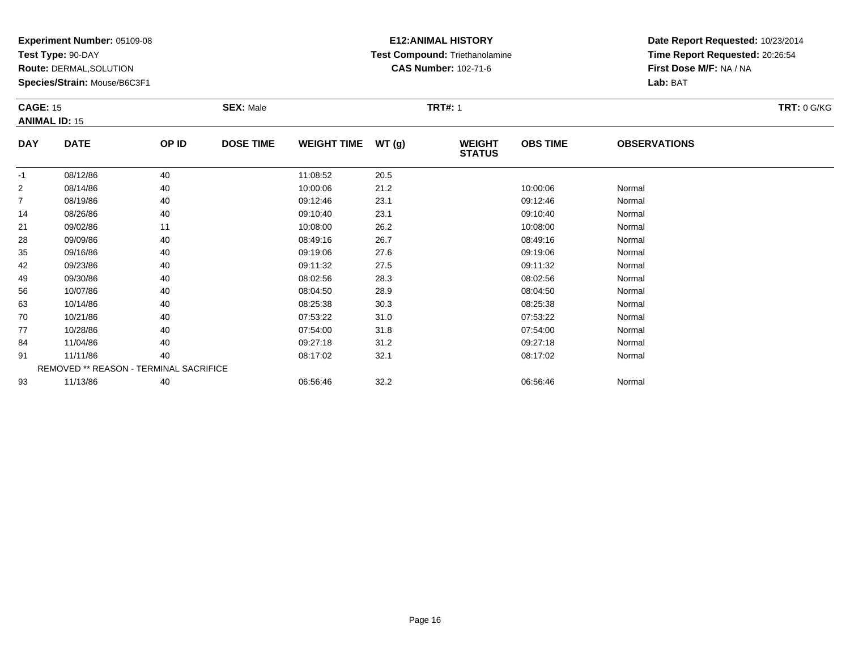**Test Type:** 90-DAY

**Route:** DERMAL,SOLUTION

**Species/Strain:** Mouse/B6C3F1

# **E12:ANIMAL HISTORY Test Compound:** Triethanolamine**CAS Number:** 102-71-6

|                | <b>CAGE: 15</b><br><b>ANIMAL ID: 15</b> |       | <b>SEX: Male</b> |                    |       | <b>TRT#: 1</b>                 |                 | <b>TRT: 0 G/KG</b>  |  |
|----------------|-----------------------------------------|-------|------------------|--------------------|-------|--------------------------------|-----------------|---------------------|--|
| <b>DAY</b>     | <b>DATE</b>                             | OP ID | <b>DOSE TIME</b> | <b>WEIGHT TIME</b> | WT(g) | <b>WEIGHT</b><br><b>STATUS</b> | <b>OBS TIME</b> | <b>OBSERVATIONS</b> |  |
| $-1$           | 08/12/86                                | 40    |                  | 11:08:52           | 20.5  |                                |                 |                     |  |
| $\overline{2}$ | 08/14/86                                | 40    |                  | 10:00:06           | 21.2  |                                | 10:00:06        | Normal              |  |
| $\overline{7}$ | 08/19/86                                | 40    |                  | 09:12:46           | 23.1  |                                | 09:12:46        | Normal              |  |
| 14             | 08/26/86                                | 40    |                  | 09:10:40           | 23.1  |                                | 09:10:40        | Normal              |  |
| 21             | 09/02/86                                | 11    |                  | 10:08:00           | 26.2  |                                | 10:08:00        | Normal              |  |
| 28             | 09/09/86                                | 40    |                  | 08:49:16           | 26.7  |                                | 08:49:16        | Normal              |  |
| 35             | 09/16/86                                | 40    |                  | 09:19:06           | 27.6  |                                | 09:19:06        | Normal              |  |
| 42             | 09/23/86                                | 40    |                  | 09:11:32           | 27.5  |                                | 09:11:32        | Normal              |  |
| 49             | 09/30/86                                | 40    |                  | 08:02:56           | 28.3  |                                | 08:02:56        | Normal              |  |
| 56             | 10/07/86                                | 40    |                  | 08:04:50           | 28.9  |                                | 08:04:50        | Normal              |  |
| 63             | 10/14/86                                | 40    |                  | 08:25:38           | 30.3  |                                | 08:25:38        | Normal              |  |
| 70             | 10/21/86                                | 40    |                  | 07:53:22           | 31.0  |                                | 07:53:22        | Normal              |  |
| 77             | 10/28/86                                | 40    |                  | 07:54:00           | 31.8  |                                | 07:54:00        | Normal              |  |
| 84             | 11/04/86                                | 40    |                  | 09:27:18           | 31.2  |                                | 09:27:18        | Normal              |  |
| 91             | 11/11/86                                | 40    |                  | 08:17:02           | 32.1  |                                | 08:17:02        | Normal              |  |
|                | REMOVED ** REASON - TERMINAL SACRIFICE  |       |                  |                    |       |                                |                 |                     |  |
| 93             | 11/13/86                                | 40    |                  | 06:56:46           | 32.2  |                                | 06:56:46        | Normal              |  |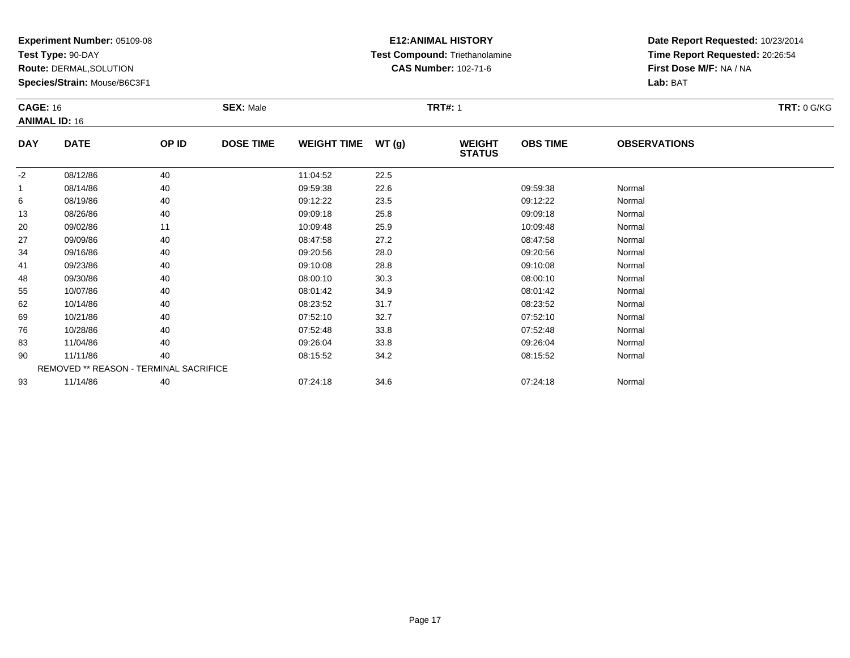**Test Type:** 90-DAY

**Route:** DERMAL,SOLUTION

**Species/Strain:** Mouse/B6C3F1

# **E12:ANIMAL HISTORY Test Compound:** Triethanolamine**CAS Number:** 102-71-6

|            | <b>CAGE: 16</b><br><b>ANIMAL ID: 16</b> |       | <b>SEX: Male</b> |                    |       | <b>TRT#: 1</b>                 |                 | <b>TRT: 0 G/KG</b>  |  |
|------------|-----------------------------------------|-------|------------------|--------------------|-------|--------------------------------|-----------------|---------------------|--|
| <b>DAY</b> | <b>DATE</b>                             | OP ID | <b>DOSE TIME</b> | <b>WEIGHT TIME</b> | WT(g) | <b>WEIGHT</b><br><b>STATUS</b> | <b>OBS TIME</b> | <b>OBSERVATIONS</b> |  |
| $-2$       | 08/12/86                                | 40    |                  | 11:04:52           | 22.5  |                                |                 |                     |  |
| 1          | 08/14/86                                | 40    |                  | 09:59:38           | 22.6  |                                | 09:59:38        | Normal              |  |
| 6          | 08/19/86                                | 40    |                  | 09:12:22           | 23.5  |                                | 09:12:22        | Normal              |  |
| 13         | 08/26/86                                | 40    |                  | 09:09:18           | 25.8  |                                | 09:09:18        | Normal              |  |
| 20         | 09/02/86                                | 11    |                  | 10:09:48           | 25.9  |                                | 10:09:48        | Normal              |  |
| 27         | 09/09/86                                | 40    |                  | 08:47:58           | 27.2  |                                | 08:47:58        | Normal              |  |
| 34         | 09/16/86                                | 40    |                  | 09:20:56           | 28.0  |                                | 09:20:56        | Normal              |  |
| 41         | 09/23/86                                | 40    |                  | 09:10:08           | 28.8  |                                | 09:10:08        | Normal              |  |
| 48         | 09/30/86                                | 40    |                  | 08:00:10           | 30.3  |                                | 08:00:10        | Normal              |  |
| 55         | 10/07/86                                | 40    |                  | 08:01:42           | 34.9  |                                | 08:01:42        | Normal              |  |
| 62         | 10/14/86                                | 40    |                  | 08:23:52           | 31.7  |                                | 08:23:52        | Normal              |  |
| 69         | 10/21/86                                | 40    |                  | 07:52:10           | 32.7  |                                | 07:52:10        | Normal              |  |
| 76         | 10/28/86                                | 40    |                  | 07:52:48           | 33.8  |                                | 07:52:48        | Normal              |  |
| 83         | 11/04/86                                | 40    |                  | 09:26:04           | 33.8  |                                | 09:26:04        | Normal              |  |
| 90         | 11/11/86                                | 40    |                  | 08:15:52           | 34.2  |                                | 08:15:52        | Normal              |  |
|            | REMOVED ** REASON - TERMINAL SACRIFICE  |       |                  |                    |       |                                |                 |                     |  |
| 93         | 11/14/86                                | 40    |                  | 07:24:18           | 34.6  |                                | 07:24:18        | Normal              |  |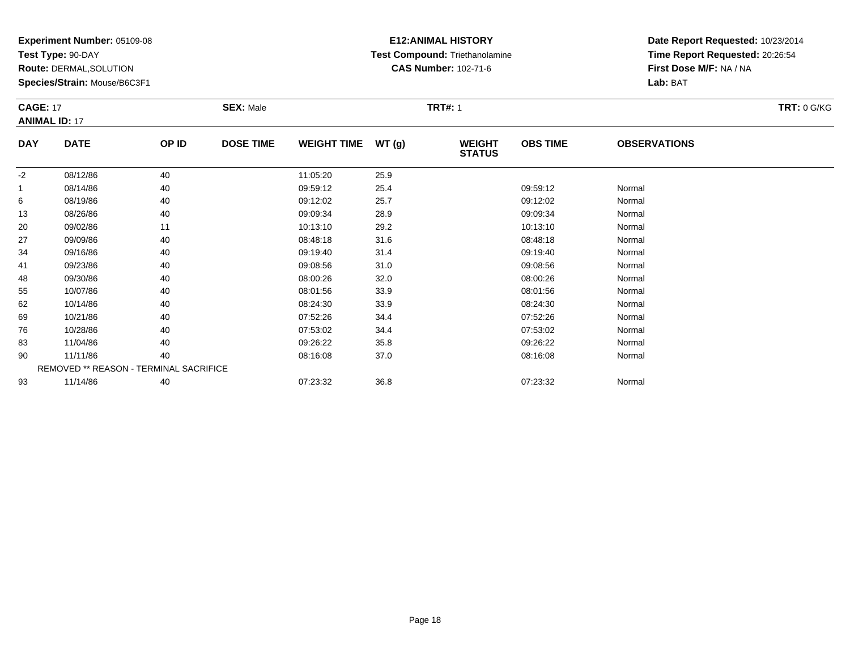**Test Type:** 90-DAY

**Route:** DERMAL,SOLUTION

**Species/Strain:** Mouse/B6C3F1

# **E12:ANIMAL HISTORY Test Compound:** Triethanolamine**CAS Number:** 102-71-6

**Date Report Requested:** 10/23/2014**Time Report Requested:** 20:26:54**First Dose M/F:** NA / NA**Lab:** BAT

| <b>CAGE: 17</b><br><b>ANIMAL ID: 17</b> |             | <b>SEX: Male</b> |                  |                    | <b>TRT#: 1</b> |                                | <b>TRT: 0 G/KG</b> |                     |  |
|-----------------------------------------|-------------|------------------|------------------|--------------------|----------------|--------------------------------|--------------------|---------------------|--|
| <b>DAY</b>                              | <b>DATE</b> | OP ID            | <b>DOSE TIME</b> | <b>WEIGHT TIME</b> | WT(g)          | <b>WEIGHT</b><br><b>STATUS</b> | <b>OBS TIME</b>    | <b>OBSERVATIONS</b> |  |
| $-2$                                    | 08/12/86    | 40               |                  | 11:05:20           | 25.9           |                                |                    |                     |  |
| 1                                       | 08/14/86    | 40               |                  | 09:59:12           | 25.4           |                                | 09:59:12           | Normal              |  |
| 6                                       | 08/19/86    | 40               |                  | 09:12:02           | 25.7           |                                | 09:12:02           | Normal              |  |
| 13                                      | 08/26/86    | 40               |                  | 09:09:34           | 28.9           |                                | 09:09:34           | Normal              |  |
| 20                                      | 09/02/86    | 11               |                  | 10:13:10           | 29.2           |                                | 10:13:10           | Normal              |  |
| 27                                      | 09/09/86    | 40               |                  | 08:48:18           | 31.6           |                                | 08:48:18           | Normal              |  |
| 34                                      | 09/16/86    | 40               |                  | 09:19:40           | 31.4           |                                | 09:19:40           | Normal              |  |
| 41                                      | 09/23/86    | 40               |                  | 09:08:56           | 31.0           |                                | 09:08:56           | Normal              |  |
| 48                                      | 09/30/86    | 40               |                  | 08:00:26           | 32.0           |                                | 08:00:26           | Normal              |  |
| 55                                      | 10/07/86    | 40               |                  | 08:01:56           | 33.9           |                                | 08:01:56           | Normal              |  |
| 62                                      | 10/14/86    | 40               |                  | 08:24:30           | 33.9           |                                | 08:24:30           | Normal              |  |
| 69                                      | 10/21/86    | 40               |                  | 07:52:26           | 34.4           |                                | 07:52:26           | Normal              |  |
| 76                                      | 10/28/86    | 40               |                  | 07:53:02           | 34.4           |                                | 07:53:02           | Normal              |  |
| 83                                      | 11/04/86    | 40               |                  | 09:26:22           | 35.8           |                                | 09:26:22           | Normal              |  |

| 90 | 11/11/86 | 40                                            | 08:16:08 | 37.0 | 08:16:08 | Normal |
|----|----------|-----------------------------------------------|----------|------|----------|--------|
|    |          | <b>REMOVED ** REASON - TERMINAL SACRIFICE</b> |          |      |          |        |
| 93 | 11/14/86 | 40                                            | 07:23:32 | 36.8 | 07:23:32 | Normal |

Page 18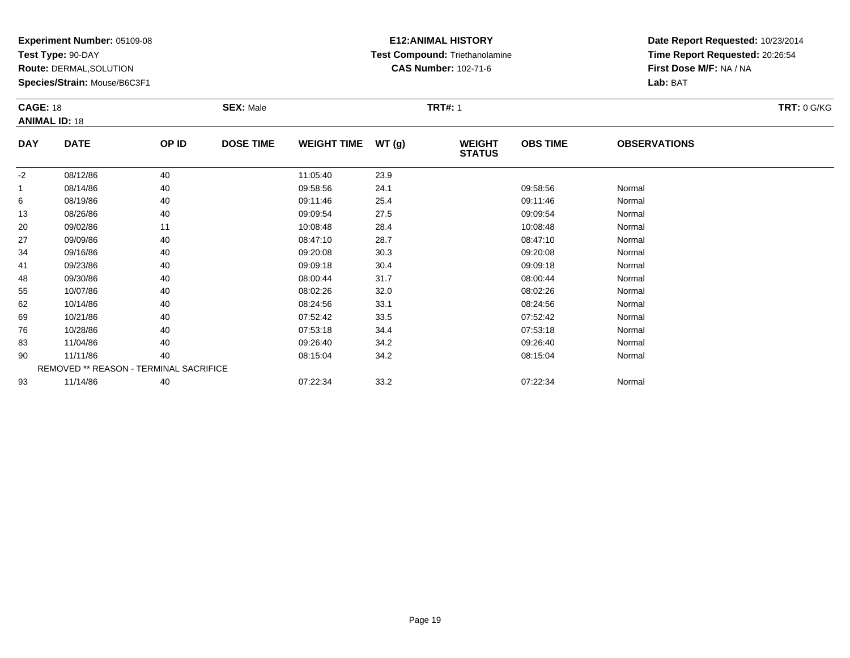**Test Type:** 90-DAY

**Route:** DERMAL,SOLUTION

**Species/Strain:** Mouse/B6C3F1

# **E12:ANIMAL HISTORY Test Compound:** Triethanolamine**CAS Number:** 102-71-6

|            | <b>CAGE: 18</b><br><b>ANIMAL ID: 18</b> |       | <b>SEX: Male</b> |                    |       | <b>TRT#: 1</b>                 |                 | <b>TRT: 0 G/KG</b>  |  |
|------------|-----------------------------------------|-------|------------------|--------------------|-------|--------------------------------|-----------------|---------------------|--|
| <b>DAY</b> | <b>DATE</b>                             | OP ID | <b>DOSE TIME</b> | <b>WEIGHT TIME</b> | WT(g) | <b>WEIGHT</b><br><b>STATUS</b> | <b>OBS TIME</b> | <b>OBSERVATIONS</b> |  |
| $-2$       | 08/12/86                                | 40    |                  | 11:05:40           | 23.9  |                                |                 |                     |  |
| 1          | 08/14/86                                | 40    |                  | 09:58:56           | 24.1  |                                | 09:58:56        | Normal              |  |
| 6          | 08/19/86                                | 40    |                  | 09:11:46           | 25.4  |                                | 09:11:46        | Normal              |  |
| 13         | 08/26/86                                | 40    |                  | 09:09:54           | 27.5  |                                | 09:09:54        | Normal              |  |
| 20         | 09/02/86                                | 11    |                  | 10:08:48           | 28.4  |                                | 10:08:48        | Normal              |  |
| 27         | 09/09/86                                | 40    |                  | 08:47:10           | 28.7  |                                | 08:47:10        | Normal              |  |
| 34         | 09/16/86                                | 40    |                  | 09:20:08           | 30.3  |                                | 09:20:08        | Normal              |  |
| 41         | 09/23/86                                | 40    |                  | 09:09:18           | 30.4  |                                | 09:09:18        | Normal              |  |
| 48         | 09/30/86                                | 40    |                  | 08:00:44           | 31.7  |                                | 08:00:44        | Normal              |  |
| 55         | 10/07/86                                | 40    |                  | 08:02:26           | 32.0  |                                | 08:02:26        | Normal              |  |
| 62         | 10/14/86                                | 40    |                  | 08:24:56           | 33.1  |                                | 08:24:56        | Normal              |  |
| 69         | 10/21/86                                | 40    |                  | 07:52:42           | 33.5  |                                | 07:52:42        | Normal              |  |
| 76         | 10/28/86                                | 40    |                  | 07:53:18           | 34.4  |                                | 07:53:18        | Normal              |  |
| 83         | 11/04/86                                | 40    |                  | 09:26:40           | 34.2  |                                | 09:26:40        | Normal              |  |
| 90         | 11/11/86                                | 40    |                  | 08:15:04           | 34.2  |                                | 08:15:04        | Normal              |  |
|            | REMOVED ** REASON - TERMINAL SACRIFICE  |       |                  |                    |       |                                |                 |                     |  |
| 93         | 11/14/86                                | 40    |                  | 07:22:34           | 33.2  |                                | 07:22:34        | Normal              |  |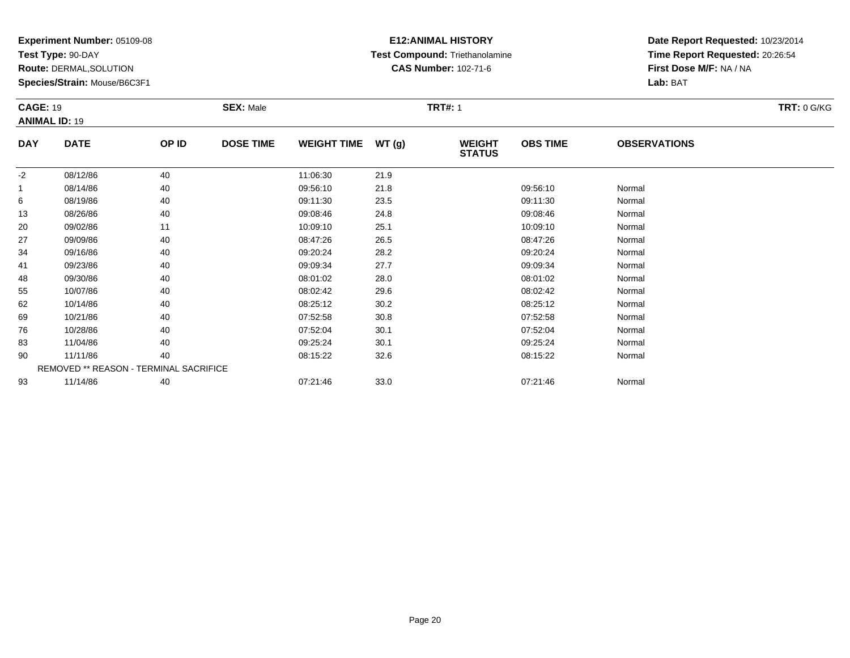**Test Type:** 90-DAY

**Route:** DERMAL,SOLUTION

**Species/Strain:** Mouse/B6C3F1

# **E12:ANIMAL HISTORY Test Compound:** Triethanolamine**CAS Number:** 102-71-6

|            | <b>CAGE: 19</b><br><b>ANIMAL ID: 19</b> |       | <b>SEX: Male</b> |                    |      | <b>TRT#: 1</b>                 |                 | <b>TRT: 0 G/KG</b>  |  |
|------------|-----------------------------------------|-------|------------------|--------------------|------|--------------------------------|-----------------|---------------------|--|
| <b>DAY</b> | <b>DATE</b>                             | OP ID | <b>DOSE TIME</b> | WEIGHT TIME WT (g) |      | <b>WEIGHT</b><br><b>STATUS</b> | <b>OBS TIME</b> | <b>OBSERVATIONS</b> |  |
| $-2$       | 08/12/86                                | 40    |                  | 11:06:30           | 21.9 |                                |                 |                     |  |
| 1          | 08/14/86                                | 40    |                  | 09:56:10           | 21.8 |                                | 09:56:10        | Normal              |  |
| 6          | 08/19/86                                | 40    |                  | 09:11:30           | 23.5 |                                | 09:11:30        | Normal              |  |
| 13         | 08/26/86                                | 40    |                  | 09:08:46           | 24.8 |                                | 09:08:46        | Normal              |  |
| 20         | 09/02/86                                | 11    |                  | 10:09:10           | 25.1 |                                | 10:09:10        | Normal              |  |
| 27         | 09/09/86                                | 40    |                  | 08:47:26           | 26.5 |                                | 08:47:26        | Normal              |  |
| 34         | 09/16/86                                | 40    |                  | 09:20:24           | 28.2 |                                | 09:20:24        | Normal              |  |
| 41         | 09/23/86                                | 40    |                  | 09:09:34           | 27.7 |                                | 09:09:34        | Normal              |  |
| 48         | 09/30/86                                | 40    |                  | 08:01:02           | 28.0 |                                | 08:01:02        | Normal              |  |
| 55         | 10/07/86                                | 40    |                  | 08:02:42           | 29.6 |                                | 08:02:42        | Normal              |  |
| 62         | 10/14/86                                | 40    |                  | 08:25:12           | 30.2 |                                | 08:25:12        | Normal              |  |
| 69         | 10/21/86                                | 40    |                  | 07:52:58           | 30.8 |                                | 07:52:58        | Normal              |  |
| 76         | 10/28/86                                | 40    |                  | 07:52:04           | 30.1 |                                | 07:52:04        | Normal              |  |
| 83         | 11/04/86                                | 40    |                  | 09:25:24           | 30.1 |                                | 09:25:24        | Normal              |  |
| 90         | 11/11/86                                | 40    |                  | 08:15:22           | 32.6 |                                | 08:15:22        | Normal              |  |
|            | REMOVED ** REASON - TERMINAL SACRIFICE  |       |                  |                    |      |                                |                 |                     |  |
| 93         | 11/14/86                                | 40    |                  | 07:21:46           | 33.0 |                                | 07:21:46        | Normal              |  |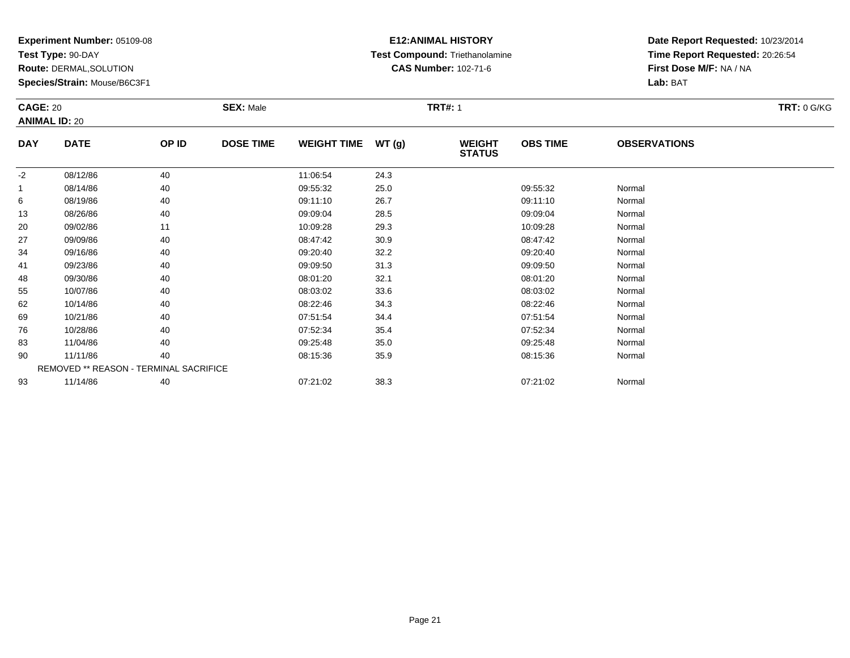**Test Type:** 90-DAY

**Route:** DERMAL,SOLUTION

**Species/Strain:** Mouse/B6C3F1

# **E12:ANIMAL HISTORY Test Compound:** Triethanolamine**CAS Number:** 102-71-6

|            | <b>CAGE: 20</b><br><b>ANIMAL ID: 20</b> |                                        | <b>SEX: Male</b> |                    |       | <b>TRT#: 1</b>                 |                 | <b>TRT: 0 G/KG</b>  |  |
|------------|-----------------------------------------|----------------------------------------|------------------|--------------------|-------|--------------------------------|-----------------|---------------------|--|
| <b>DAY</b> | <b>DATE</b>                             | OP ID                                  | <b>DOSE TIME</b> | <b>WEIGHT TIME</b> | WT(g) | <b>WEIGHT</b><br><b>STATUS</b> | <b>OBS TIME</b> | <b>OBSERVATIONS</b> |  |
| $-2$       | 08/12/86                                | 40                                     |                  | 11:06:54           | 24.3  |                                |                 |                     |  |
|            | 08/14/86                                | 40                                     |                  | 09:55:32           | 25.0  |                                | 09:55:32        | Normal              |  |
| 6          | 08/19/86                                | 40                                     |                  | 09:11:10           | 26.7  |                                | 09:11:10        | Normal              |  |
| 13         | 08/26/86                                | 40                                     |                  | 09:09:04           | 28.5  |                                | 09:09:04        | Normal              |  |
| 20         | 09/02/86                                | 11                                     |                  | 10:09:28           | 29.3  |                                | 10:09:28        | Normal              |  |
| 27         | 09/09/86                                | 40                                     |                  | 08:47:42           | 30.9  |                                | 08:47:42        | Normal              |  |
| 34         | 09/16/86                                | 40                                     |                  | 09:20:40           | 32.2  |                                | 09:20:40        | Normal              |  |
| 41         | 09/23/86                                | 40                                     |                  | 09:09:50           | 31.3  |                                | 09:09:50        | Normal              |  |
| 48         | 09/30/86                                | 40                                     |                  | 08:01:20           | 32.1  |                                | 08:01:20        | Normal              |  |
| 55         | 10/07/86                                | 40                                     |                  | 08:03:02           | 33.6  |                                | 08:03:02        | Normal              |  |
| 62         | 10/14/86                                | 40                                     |                  | 08:22:46           | 34.3  |                                | 08:22:46        | Normal              |  |
| 69         | 10/21/86                                | 40                                     |                  | 07:51:54           | 34.4  |                                | 07:51:54        | Normal              |  |
| 76         | 10/28/86                                | 40                                     |                  | 07:52:34           | 35.4  |                                | 07:52:34        | Normal              |  |
| 83         | 11/04/86                                | 40                                     |                  | 09:25:48           | 35.0  |                                | 09:25:48        | Normal              |  |
| 90         | 11/11/86                                | 40                                     |                  | 08:15:36           | 35.9  |                                | 08:15:36        | Normal              |  |
|            |                                         | REMOVED ** REASON - TERMINAL SACRIFICE |                  |                    |       |                                |                 |                     |  |
| 93         | 11/14/86                                | 40                                     |                  | 07:21:02           | 38.3  |                                | 07:21:02        | Normal              |  |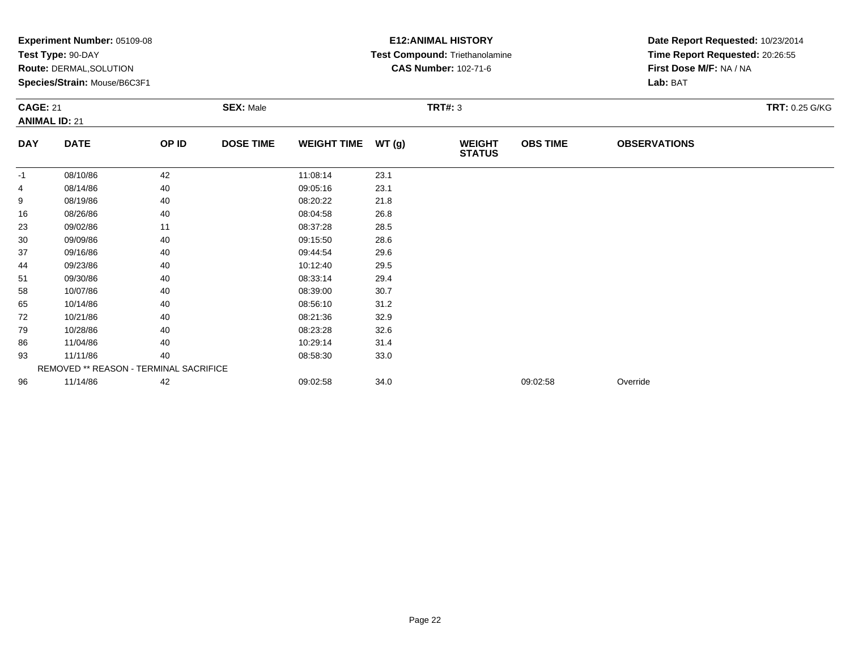|                                         | Experiment Number: 05109-08<br>Test Type: 90-DAY<br>Route: DERMAL, SOLUTION<br>Species/Strain: Mouse/B6C3F1<br><b>SEX: Male</b> |       |                  |                    |       | <b>E12: ANIMAL HISTORY</b><br>Test Compound: Triethanolamine<br><b>CAS Number: 102-71-6</b> | Date Report Requested: 10/23/2014<br>Time Report Requested: 20:26:55<br>First Dose M/F: NA / NA<br>Lab: BAT |                     |                |
|-----------------------------------------|---------------------------------------------------------------------------------------------------------------------------------|-------|------------------|--------------------|-------|---------------------------------------------------------------------------------------------|-------------------------------------------------------------------------------------------------------------|---------------------|----------------|
| <b>CAGE: 21</b><br><b>ANIMAL ID: 21</b> |                                                                                                                                 |       |                  |                    |       | <b>TRT#: 3</b>                                                                              |                                                                                                             |                     | TRT: 0.25 G/KG |
| <b>DAY</b>                              | <b>DATE</b>                                                                                                                     | OP ID | <b>DOSE TIME</b> | <b>WEIGHT TIME</b> | WT(g) | <b>WEIGHT</b><br><b>STATUS</b>                                                              | <b>OBS TIME</b>                                                                                             | <b>OBSERVATIONS</b> |                |
| $-1$                                    | 08/10/86                                                                                                                        | 42    |                  | 11:08:14           | 23.1  |                                                                                             |                                                                                                             |                     |                |
| 4                                       | 08/14/86                                                                                                                        | 40    |                  | 09:05:16           | 23.1  |                                                                                             |                                                                                                             |                     |                |
| 9                                       | 08/19/86                                                                                                                        | 40    |                  | 08:20:22           | 21.8  |                                                                                             |                                                                                                             |                     |                |
| 16                                      | 08/26/86                                                                                                                        | 40    |                  | 08:04:58           | 26.8  |                                                                                             |                                                                                                             |                     |                |
| 23                                      | 09/02/86                                                                                                                        | 11    |                  | 08:37:28           | 28.5  |                                                                                             |                                                                                                             |                     |                |
| 30                                      | 09/09/86                                                                                                                        | 40    |                  | 09:15:50           | 28.6  |                                                                                             |                                                                                                             |                     |                |
| 37                                      | 09/16/86                                                                                                                        | 40    |                  | 09:44:54           | 29.6  |                                                                                             |                                                                                                             |                     |                |
| 44                                      | 09/23/86                                                                                                                        | 40    |                  | 10:12:40           | 29.5  |                                                                                             |                                                                                                             |                     |                |
| 51                                      | 09/30/86                                                                                                                        | 40    |                  | 08:33:14           | 29.4  |                                                                                             |                                                                                                             |                     |                |
| 58                                      | 10/07/86                                                                                                                        | 40    |                  | 08:39:00           | 30.7  |                                                                                             |                                                                                                             |                     |                |
| 65                                      | 10/14/86                                                                                                                        | 40    |                  | 08:56:10           | 31.2  |                                                                                             |                                                                                                             |                     |                |
| 72                                      | 10/21/86                                                                                                                        | 40    |                  | 08:21:36           | 32.9  |                                                                                             |                                                                                                             |                     |                |
| 79                                      | 10/28/86                                                                                                                        | 40    |                  | 08:23:28           | 32.6  |                                                                                             |                                                                                                             |                     |                |
| 86                                      | 11/04/86                                                                                                                        | 40    |                  | 10:29:14           | 31.4  |                                                                                             |                                                                                                             |                     |                |
| 93                                      | 11/11/86                                                                                                                        | 40    |                  | 08:58:30           | 33.0  |                                                                                             |                                                                                                             |                     |                |
|                                         | REMOVED ** REASON - TERMINAL SACRIFICE                                                                                          |       |                  |                    |       |                                                                                             |                                                                                                             |                     |                |
| 96                                      | 11/14/86                                                                                                                        | 42    |                  | 09:02:58           | 34.0  |                                                                                             | 09:02:58                                                                                                    | Override            |                |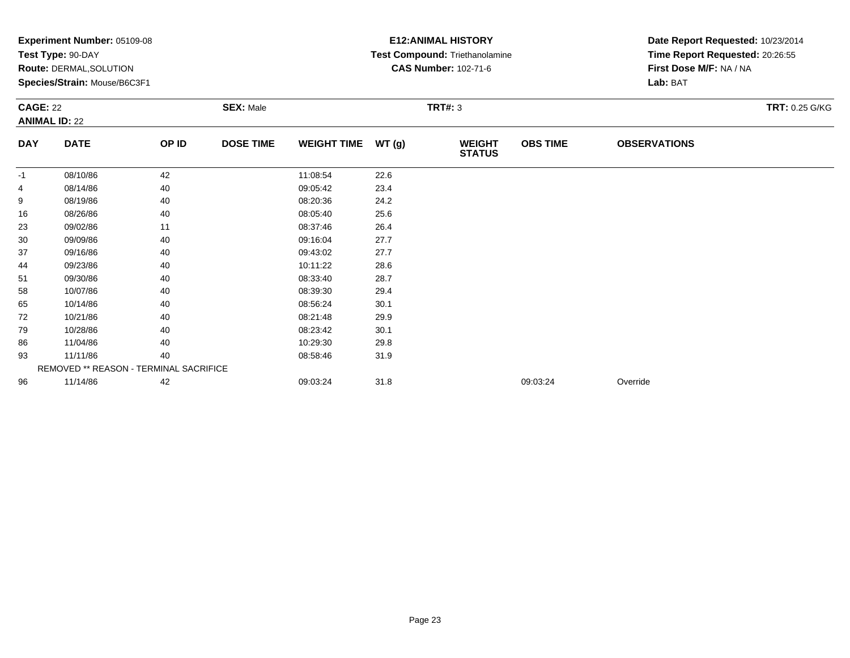|                                         | Experiment Number: 05109-08<br>Test Type: 90-DAY<br>Route: DERMAL, SOLUTION<br>Species/Strain: Mouse/B6C3F1<br><b>SEX: Male</b> |       |                  |                    |       | <b>E12: ANIMAL HISTORY</b><br>Test Compound: Triethanolamine<br><b>CAS Number: 102-71-6</b> | Date Report Requested: 10/23/2014<br>Time Report Requested: 20:26:55<br>First Dose M/F: NA / NA<br>Lab: BAT |                     |                       |
|-----------------------------------------|---------------------------------------------------------------------------------------------------------------------------------|-------|------------------|--------------------|-------|---------------------------------------------------------------------------------------------|-------------------------------------------------------------------------------------------------------------|---------------------|-----------------------|
| <b>CAGE: 22</b><br><b>ANIMAL ID: 22</b> |                                                                                                                                 |       |                  |                    |       | <b>TRT#: 3</b>                                                                              |                                                                                                             |                     | <b>TRT: 0.25 G/KG</b> |
| <b>DAY</b>                              | <b>DATE</b>                                                                                                                     | OP ID | <b>DOSE TIME</b> | <b>WEIGHT TIME</b> | WT(g) | <b>WEIGHT</b><br><b>STATUS</b>                                                              | <b>OBS TIME</b>                                                                                             | <b>OBSERVATIONS</b> |                       |
| -1                                      | 08/10/86                                                                                                                        | 42    |                  | 11:08:54           | 22.6  |                                                                                             |                                                                                                             |                     |                       |
| 4                                       | 08/14/86                                                                                                                        | 40    |                  | 09:05:42           | 23.4  |                                                                                             |                                                                                                             |                     |                       |
| 9                                       | 08/19/86                                                                                                                        | 40    |                  | 08:20:36           | 24.2  |                                                                                             |                                                                                                             |                     |                       |
| 16                                      | 08/26/86                                                                                                                        | 40    |                  | 08:05:40           | 25.6  |                                                                                             |                                                                                                             |                     |                       |
| 23                                      | 09/02/86                                                                                                                        | 11    |                  | 08:37:46           | 26.4  |                                                                                             |                                                                                                             |                     |                       |
| 30                                      | 09/09/86                                                                                                                        | 40    |                  | 09:16:04           | 27.7  |                                                                                             |                                                                                                             |                     |                       |
| 37                                      | 09/16/86                                                                                                                        | 40    |                  | 09:43:02           | 27.7  |                                                                                             |                                                                                                             |                     |                       |
| 44                                      | 09/23/86                                                                                                                        | 40    |                  | 10:11:22           | 28.6  |                                                                                             |                                                                                                             |                     |                       |
| 51                                      | 09/30/86                                                                                                                        | 40    |                  | 08:33:40           | 28.7  |                                                                                             |                                                                                                             |                     |                       |
| 58                                      | 10/07/86                                                                                                                        | 40    |                  | 08:39:30           | 29.4  |                                                                                             |                                                                                                             |                     |                       |
| 65                                      | 10/14/86                                                                                                                        | 40    |                  | 08:56:24           | 30.1  |                                                                                             |                                                                                                             |                     |                       |
| 72                                      | 10/21/86                                                                                                                        | 40    |                  | 08:21:48           | 29.9  |                                                                                             |                                                                                                             |                     |                       |
| 79                                      | 10/28/86                                                                                                                        | 40    |                  | 08:23:42           | 30.1  |                                                                                             |                                                                                                             |                     |                       |
| 86                                      | 11/04/86                                                                                                                        | 40    |                  | 10:29:30           | 29.8  |                                                                                             |                                                                                                             |                     |                       |
| 93                                      | 11/11/86                                                                                                                        | 40    |                  | 08:58:46           | 31.9  |                                                                                             |                                                                                                             |                     |                       |
|                                         | REMOVED ** REASON - TERMINAL SACRIFICE                                                                                          |       |                  |                    |       |                                                                                             |                                                                                                             |                     |                       |
| 96                                      | 11/14/86                                                                                                                        | 42    |                  | 09:03:24           | 31.8  |                                                                                             | 09:03:24                                                                                                    | Override            |                       |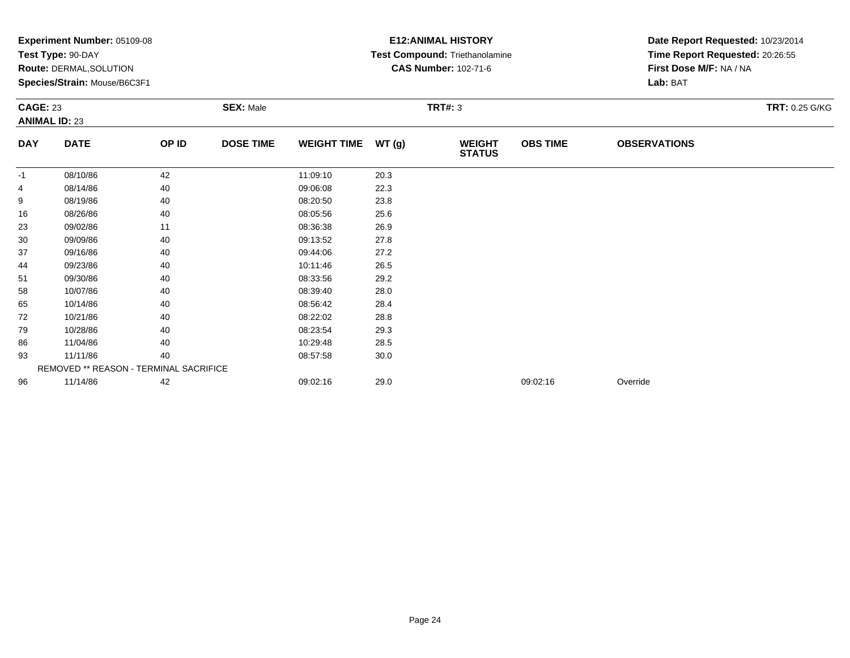|            | Experiment Number: 05109-08<br>Test Type: 90-DAY<br>Route: DERMAL, SOLUTION<br>Species/Strain: Mouse/B6C3F1<br><b>SEX: Male</b><br><b>CAGE: 23</b><br><b>ANIMAL ID: 23</b> |       |                  |                    |                | <b>E12: ANIMAL HISTORY</b><br>Test Compound: Triethanolamine<br><b>CAS Number: 102-71-6</b> | Date Report Requested: 10/23/2014<br>Time Report Requested: 20:26:55<br>First Dose M/F: NA / NA<br>Lab: BAT |                     |                       |
|------------|----------------------------------------------------------------------------------------------------------------------------------------------------------------------------|-------|------------------|--------------------|----------------|---------------------------------------------------------------------------------------------|-------------------------------------------------------------------------------------------------------------|---------------------|-----------------------|
|            |                                                                                                                                                                            |       |                  |                    | <b>TRT#: 3</b> |                                                                                             |                                                                                                             |                     | <b>TRT: 0.25 G/KG</b> |
| <b>DAY</b> | <b>DATE</b>                                                                                                                                                                | OP ID | <b>DOSE TIME</b> | <b>WEIGHT TIME</b> | WT(g)          | <b>WEIGHT</b><br><b>STATUS</b>                                                              | <b>OBS TIME</b>                                                                                             | <b>OBSERVATIONS</b> |                       |
| -1         | 08/10/86                                                                                                                                                                   | 42    |                  | 11:09:10           | 20.3           |                                                                                             |                                                                                                             |                     |                       |
| 4          | 08/14/86                                                                                                                                                                   | 40    |                  | 09:06:08           | 22.3           |                                                                                             |                                                                                                             |                     |                       |
| 9          | 08/19/86                                                                                                                                                                   | 40    |                  | 08:20:50           | 23.8           |                                                                                             |                                                                                                             |                     |                       |
| 16         | 08/26/86                                                                                                                                                                   | 40    |                  | 08:05:56           | 25.6           |                                                                                             |                                                                                                             |                     |                       |
| 23         | 09/02/86                                                                                                                                                                   | 11    |                  | 08:36:38           | 26.9           |                                                                                             |                                                                                                             |                     |                       |
| 30         | 09/09/86                                                                                                                                                                   | 40    |                  | 09:13:52           | 27.8           |                                                                                             |                                                                                                             |                     |                       |
| 37         | 09/16/86                                                                                                                                                                   | 40    |                  | 09:44:06           | 27.2           |                                                                                             |                                                                                                             |                     |                       |
| 44         | 09/23/86                                                                                                                                                                   | 40    |                  | 10:11:46           | 26.5           |                                                                                             |                                                                                                             |                     |                       |
| 51         | 09/30/86                                                                                                                                                                   | 40    |                  | 08:33:56           | 29.2           |                                                                                             |                                                                                                             |                     |                       |
| 58         | 10/07/86                                                                                                                                                                   | 40    |                  | 08:39:40           | 28.0           |                                                                                             |                                                                                                             |                     |                       |
| 65         | 10/14/86                                                                                                                                                                   | 40    |                  | 08:56:42           | 28.4           |                                                                                             |                                                                                                             |                     |                       |
| 72         | 10/21/86                                                                                                                                                                   | 40    |                  | 08:22:02           | 28.8           |                                                                                             |                                                                                                             |                     |                       |
| 79         | 10/28/86                                                                                                                                                                   | 40    |                  | 08:23:54           | 29.3           |                                                                                             |                                                                                                             |                     |                       |
| 86         | 11/04/86                                                                                                                                                                   | 40    |                  | 10:29:48           | 28.5           |                                                                                             |                                                                                                             |                     |                       |
| 93         | 11/11/86                                                                                                                                                                   | 40    |                  | 08:57:58           | 30.0           |                                                                                             |                                                                                                             |                     |                       |
|            | REMOVED ** REASON - TERMINAL SACRIFICE                                                                                                                                     |       |                  |                    |                |                                                                                             |                                                                                                             |                     |                       |
| 96         | 11/14/86                                                                                                                                                                   | 42    |                  | 09:02:16           | 29.0           |                                                                                             | 09:02:16                                                                                                    | Override            |                       |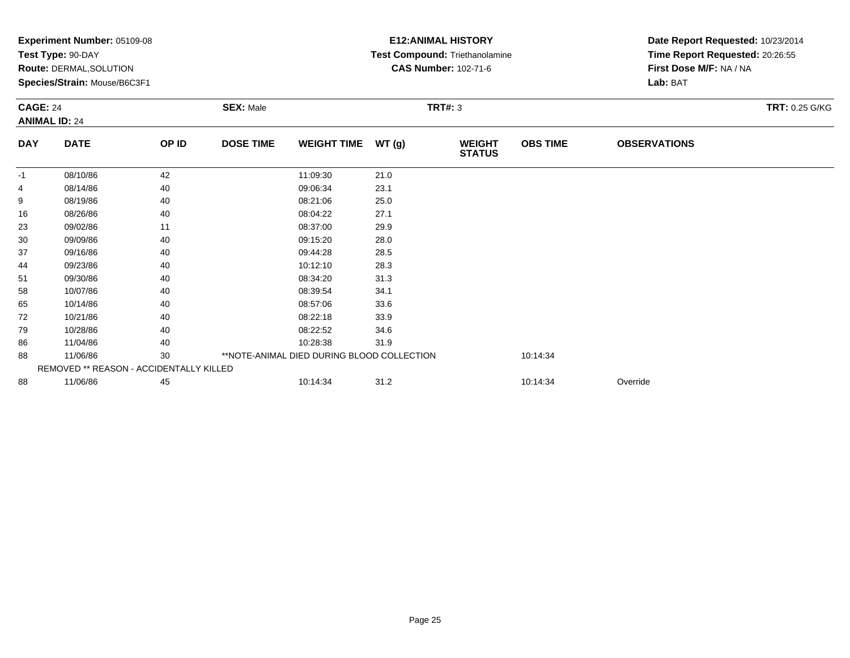|                 | Experiment Number: 05109-08<br>Test Type: 90-DAY<br><b>Route: DERMAL, SOLUTION</b><br>Species/Strain: Mouse/B6C3F1 |       |                                    |                                            |        | <b>E12: ANIMAL HISTORY</b><br>Test Compound: Triethanolamine<br><b>CAS Number: 102-71-6</b> | Date Report Requested: 10/23/2014<br>Time Report Requested: 20:26:55<br>First Dose M/F: NA / NA<br>Lab: BAT |                     |                       |
|-----------------|--------------------------------------------------------------------------------------------------------------------|-------|------------------------------------|--------------------------------------------|--------|---------------------------------------------------------------------------------------------|-------------------------------------------------------------------------------------------------------------|---------------------|-----------------------|
| <b>CAGE: 24</b> | <b>ANIMAL ID: 24</b>                                                                                               |       | <b>TRT#: 3</b><br><b>SEX: Male</b> |                                            |        |                                                                                             |                                                                                                             |                     | <b>TRT: 0.25 G/KG</b> |
| <b>DAY</b>      | <b>DATE</b>                                                                                                        | OP ID | <b>DOSE TIME</b>                   | <b>WEIGHT TIME</b>                         | WT (g) | <b>WEIGHT</b><br><b>STATUS</b>                                                              | <b>OBS TIME</b>                                                                                             | <b>OBSERVATIONS</b> |                       |
| $-1$            | 08/10/86                                                                                                           | 42    |                                    | 11:09:30                                   | 21.0   |                                                                                             |                                                                                                             |                     |                       |
|                 | 08/14/86                                                                                                           | 40    |                                    | 09:06:34                                   | 23.1   |                                                                                             |                                                                                                             |                     |                       |
| 9               | 08/19/86                                                                                                           | 40    |                                    | 08:21:06                                   | 25.0   |                                                                                             |                                                                                                             |                     |                       |
| 16              | 08/26/86                                                                                                           | 40    |                                    | 08:04:22                                   | 27.1   |                                                                                             |                                                                                                             |                     |                       |
| 23              | 09/02/86                                                                                                           | 11    |                                    | 08:37:00                                   | 29.9   |                                                                                             |                                                                                                             |                     |                       |
| 30              | 09/09/86                                                                                                           | 40    |                                    | 09:15:20                                   | 28.0   |                                                                                             |                                                                                                             |                     |                       |
| 37              | 09/16/86                                                                                                           | 40    |                                    | 09:44:28                                   | 28.5   |                                                                                             |                                                                                                             |                     |                       |
| 44              | 09/23/86                                                                                                           | 40    |                                    | 10:12:10                                   | 28.3   |                                                                                             |                                                                                                             |                     |                       |
| 51              | 09/30/86                                                                                                           | 40    |                                    | 08:34:20                                   | 31.3   |                                                                                             |                                                                                                             |                     |                       |
| 58              | 10/07/86                                                                                                           | 40    |                                    | 08:39:54                                   | 34.1   |                                                                                             |                                                                                                             |                     |                       |
| 65              | 10/14/86                                                                                                           | 40    |                                    | 08:57:06                                   | 33.6   |                                                                                             |                                                                                                             |                     |                       |
| 72              | 10/21/86                                                                                                           | 40    |                                    | 08:22:18                                   | 33.9   |                                                                                             |                                                                                                             |                     |                       |
| 79              | 10/28/86                                                                                                           | 40    |                                    | 08:22:52                                   | 34.6   |                                                                                             |                                                                                                             |                     |                       |
| 86              | 11/04/86                                                                                                           | 40    |                                    | 10:28:38                                   | 31.9   |                                                                                             |                                                                                                             |                     |                       |
| 88              | 11/06/86                                                                                                           | 30    |                                    | **NOTE-ANIMAL DIED DURING BLOOD COLLECTION |        |                                                                                             | 10:14:34                                                                                                    |                     |                       |
|                 | REMOVED ** REASON - ACCIDENTALLY KILLED                                                                            |       |                                    |                                            |        |                                                                                             |                                                                                                             |                     |                       |
| 88              | 11/06/86                                                                                                           | 45    |                                    | 10:14:34                                   | 31.2   |                                                                                             | 10:14:34                                                                                                    | Override            |                       |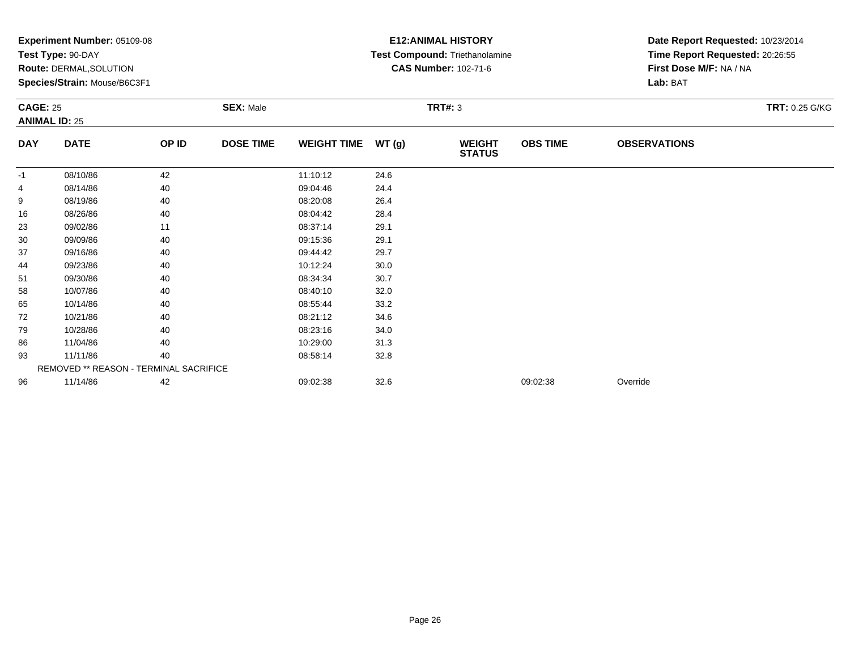|            | Experiment Number: 05109-08<br>Test Type: 90-DAY<br>Route: DERMAL, SOLUTION<br>Species/Strain: Mouse/B6C3F1<br><b>SEX: Male</b><br><b>CAGE: 25</b><br><b>ANIMAL ID: 25</b> |       |                  |                    |                | <b>E12: ANIMAL HISTORY</b><br>Test Compound: Triethanolamine<br><b>CAS Number: 102-71-6</b> | Date Report Requested: 10/23/2014<br>Time Report Requested: 20:26:55<br>First Dose M/F: NA / NA<br>Lab: BAT |                     |                       |
|------------|----------------------------------------------------------------------------------------------------------------------------------------------------------------------------|-------|------------------|--------------------|----------------|---------------------------------------------------------------------------------------------|-------------------------------------------------------------------------------------------------------------|---------------------|-----------------------|
|            |                                                                                                                                                                            |       |                  |                    | <b>TRT#: 3</b> |                                                                                             |                                                                                                             |                     | <b>TRT: 0.25 G/KG</b> |
| <b>DAY</b> | <b>DATE</b>                                                                                                                                                                | OP ID | <b>DOSE TIME</b> | <b>WEIGHT TIME</b> | WT(g)          | <b>WEIGHT</b><br><b>STATUS</b>                                                              | <b>OBS TIME</b>                                                                                             | <b>OBSERVATIONS</b> |                       |
| -1         | 08/10/86                                                                                                                                                                   | 42    |                  | 11:10:12           | 24.6           |                                                                                             |                                                                                                             |                     |                       |
| 4          | 08/14/86                                                                                                                                                                   | 40    |                  | 09:04:46           | 24.4           |                                                                                             |                                                                                                             |                     |                       |
| 9          | 08/19/86                                                                                                                                                                   | 40    |                  | 08:20:08           | 26.4           |                                                                                             |                                                                                                             |                     |                       |
| 16         | 08/26/86                                                                                                                                                                   | 40    |                  | 08:04:42           | 28.4           |                                                                                             |                                                                                                             |                     |                       |
| 23         | 09/02/86                                                                                                                                                                   | 11    |                  | 08:37:14           | 29.1           |                                                                                             |                                                                                                             |                     |                       |
| 30         | 09/09/86                                                                                                                                                                   | 40    |                  | 09:15:36           | 29.1           |                                                                                             |                                                                                                             |                     |                       |
| 37         | 09/16/86                                                                                                                                                                   | 40    |                  | 09:44:42           | 29.7           |                                                                                             |                                                                                                             |                     |                       |
| 44         | 09/23/86                                                                                                                                                                   | 40    |                  | 10:12:24           | 30.0           |                                                                                             |                                                                                                             |                     |                       |
| 51         | 09/30/86                                                                                                                                                                   | 40    |                  | 08:34:34           | 30.7           |                                                                                             |                                                                                                             |                     |                       |
| 58         | 10/07/86                                                                                                                                                                   | 40    |                  | 08:40:10           | 32.0           |                                                                                             |                                                                                                             |                     |                       |
| 65         | 10/14/86                                                                                                                                                                   | 40    |                  | 08:55:44           | 33.2           |                                                                                             |                                                                                                             |                     |                       |
| 72         | 10/21/86                                                                                                                                                                   | 40    |                  | 08:21:12           | 34.6           |                                                                                             |                                                                                                             |                     |                       |
| 79         | 10/28/86                                                                                                                                                                   | 40    |                  | 08:23:16           | 34.0           |                                                                                             |                                                                                                             |                     |                       |
| 86         | 11/04/86                                                                                                                                                                   | 40    |                  | 10:29:00           | 31.3           |                                                                                             |                                                                                                             |                     |                       |
| 93         | 11/11/86                                                                                                                                                                   | 40    |                  | 08:58:14           | 32.8           |                                                                                             |                                                                                                             |                     |                       |
|            | REMOVED ** REASON - TERMINAL SACRIFICE                                                                                                                                     |       |                  |                    |                |                                                                                             |                                                                                                             |                     |                       |
| 96         | 11/14/86                                                                                                                                                                   | 42    |                  | 09:02:38           | 32.6           |                                                                                             | 09:02:38                                                                                                    | Override            |                       |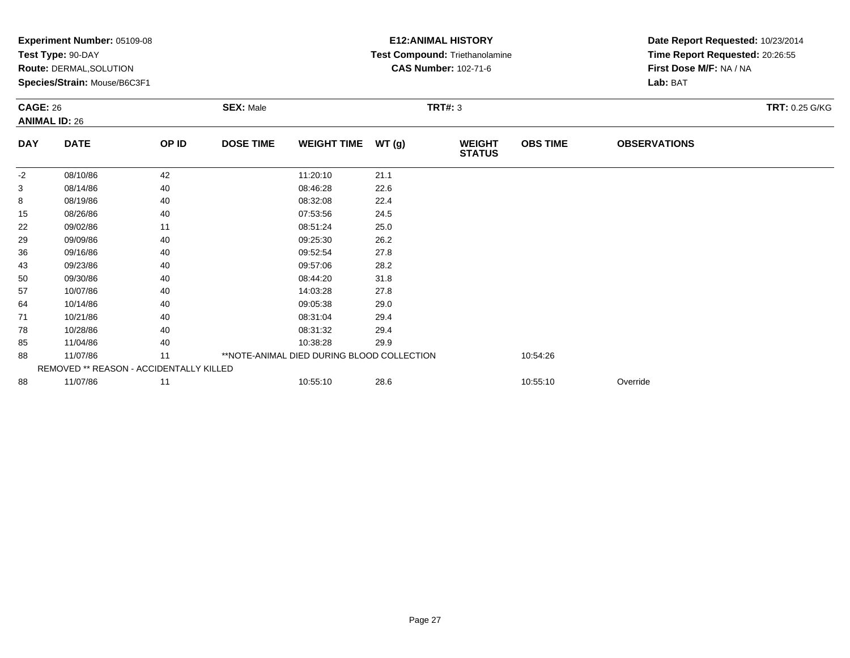|                 | Experiment Number: 05109-08<br>Test Type: 90-DAY<br>Route: DERMAL, SOLUTION<br>Species/Strain: Mouse/B6C3F1 |       |                                    |                                            | <b>E12: ANIMAL HISTORY</b><br>Test Compound: Triethanolamine<br><b>CAS Number: 102-71-6</b> |                                | Date Report Requested: 10/23/2014<br>Time Report Requested: 20:26:55<br>First Dose M/F: NA / NA<br>Lab: BAT |                     |                |
|-----------------|-------------------------------------------------------------------------------------------------------------|-------|------------------------------------|--------------------------------------------|---------------------------------------------------------------------------------------------|--------------------------------|-------------------------------------------------------------------------------------------------------------|---------------------|----------------|
| <b>CAGE: 26</b> | <b>ANIMAL ID: 26</b>                                                                                        |       | <b>SEX: Male</b><br><b>TRT#: 3</b> |                                            |                                                                                             |                                |                                                                                                             |                     | TRT: 0.25 G/KG |
| <b>DAY</b>      | <b>DATE</b>                                                                                                 | OP ID | <b>DOSE TIME</b>                   | <b>WEIGHT TIME</b>                         | WT(g)                                                                                       | <b>WEIGHT</b><br><b>STATUS</b> | <b>OBS TIME</b>                                                                                             | <b>OBSERVATIONS</b> |                |
| $-2$            | 08/10/86                                                                                                    | 42    |                                    | 11:20:10                                   | 21.1                                                                                        |                                |                                                                                                             |                     |                |
| 3               | 08/14/86                                                                                                    | 40    |                                    | 08:46:28                                   | 22.6                                                                                        |                                |                                                                                                             |                     |                |
| 8               | 08/19/86                                                                                                    | 40    |                                    | 08:32:08                                   | 22.4                                                                                        |                                |                                                                                                             |                     |                |
| 15              | 08/26/86                                                                                                    | 40    |                                    | 07:53:56                                   | 24.5                                                                                        |                                |                                                                                                             |                     |                |
| 22              | 09/02/86                                                                                                    | 11    |                                    | 08:51:24                                   | 25.0                                                                                        |                                |                                                                                                             |                     |                |
| 29              | 09/09/86                                                                                                    | 40    |                                    | 09:25:30                                   | 26.2                                                                                        |                                |                                                                                                             |                     |                |
| 36              | 09/16/86                                                                                                    | 40    |                                    | 09:52:54                                   | 27.8                                                                                        |                                |                                                                                                             |                     |                |
| 43              | 09/23/86                                                                                                    | 40    |                                    | 09:57:06                                   | 28.2                                                                                        |                                |                                                                                                             |                     |                |
| 50              | 09/30/86                                                                                                    | 40    |                                    | 08:44:20                                   | 31.8                                                                                        |                                |                                                                                                             |                     |                |
| 57              | 10/07/86                                                                                                    | 40    |                                    | 14:03:28                                   | 27.8                                                                                        |                                |                                                                                                             |                     |                |
| 64              | 10/14/86                                                                                                    | 40    |                                    | 09:05:38                                   | 29.0                                                                                        |                                |                                                                                                             |                     |                |
| 71              | 10/21/86                                                                                                    | 40    |                                    | 08:31:04                                   | 29.4                                                                                        |                                |                                                                                                             |                     |                |
| 78              | 10/28/86                                                                                                    | 40    |                                    | 08:31:32                                   | 29.4                                                                                        |                                |                                                                                                             |                     |                |
| 85              | 11/04/86                                                                                                    | 40    |                                    | 10:38:28                                   | 29.9                                                                                        |                                |                                                                                                             |                     |                |
| 88              | 11/07/86                                                                                                    | 11    |                                    | **NOTE-ANIMAL DIED DURING BLOOD COLLECTION |                                                                                             |                                | 10:54:26                                                                                                    |                     |                |
|                 | REMOVED ** REASON - ACCIDENTALLY KILLED                                                                     |       |                                    |                                            |                                                                                             |                                |                                                                                                             |                     |                |
| 88              | 11/07/86                                                                                                    | 11    |                                    | 10:55:10                                   | 28.6                                                                                        |                                | 10:55:10                                                                                                    | Override            |                |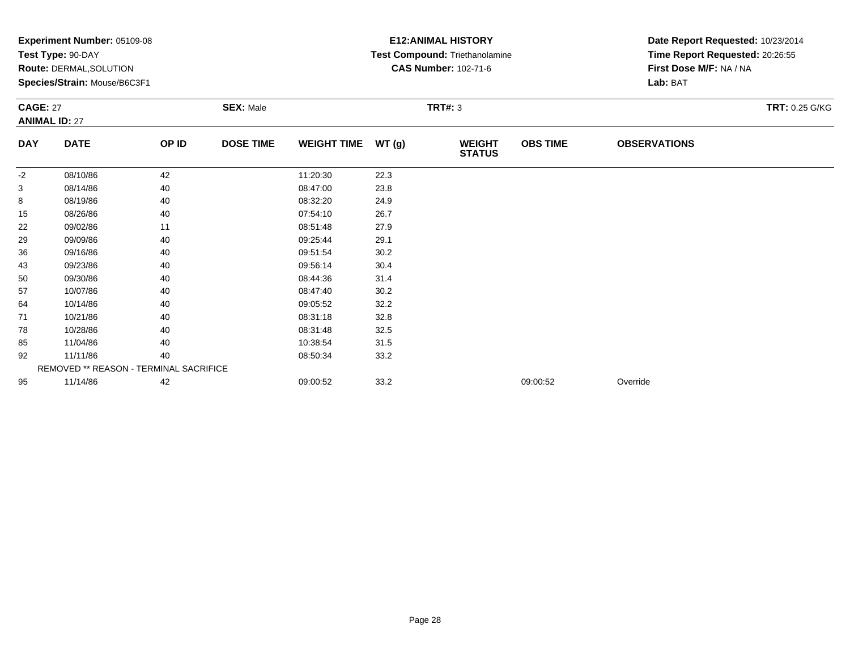|                 | Experiment Number: 05109-08<br>Test Type: 90-DAY<br>Route: DERMAL, SOLUTION<br>Species/Strain: Mouse/B6C3F1 |       |                  |                    | <b>E12: ANIMAL HISTORY</b><br>Test Compound: Triethanolamine<br><b>CAS Number: 102-71-6</b> | Date Report Requested: 10/23/2014<br>Time Report Requested: 20:26:55<br>First Dose M/F: NA / NA<br>Lab: BAT |                 |                     |                |
|-----------------|-------------------------------------------------------------------------------------------------------------|-------|------------------|--------------------|---------------------------------------------------------------------------------------------|-------------------------------------------------------------------------------------------------------------|-----------------|---------------------|----------------|
| <b>CAGE: 27</b> | <b>ANIMAL ID: 27</b>                                                                                        |       | <b>SEX: Male</b> |                    | <b>TRT#: 3</b>                                                                              |                                                                                                             |                 |                     | TRT: 0.25 G/KG |
| <b>DAY</b>      | <b>DATE</b>                                                                                                 | OP ID | <b>DOSE TIME</b> | <b>WEIGHT TIME</b> | WT(g)                                                                                       | <b>WEIGHT</b><br><b>STATUS</b>                                                                              | <b>OBS TIME</b> | <b>OBSERVATIONS</b> |                |
| -2              | 08/10/86                                                                                                    | 42    |                  | 11:20:30           | 22.3                                                                                        |                                                                                                             |                 |                     |                |
| 3               | 08/14/86                                                                                                    | 40    |                  | 08:47:00           | 23.8                                                                                        |                                                                                                             |                 |                     |                |
| 8               | 08/19/86                                                                                                    | 40    |                  | 08:32:20           | 24.9                                                                                        |                                                                                                             |                 |                     |                |
| 15              | 08/26/86                                                                                                    | 40    |                  | 07:54:10           | 26.7                                                                                        |                                                                                                             |                 |                     |                |
| 22              | 09/02/86                                                                                                    | 11    |                  | 08:51:48           | 27.9                                                                                        |                                                                                                             |                 |                     |                |
| 29              | 09/09/86                                                                                                    | 40    |                  | 09:25:44           | 29.1                                                                                        |                                                                                                             |                 |                     |                |
| 36              | 09/16/86                                                                                                    | 40    |                  | 09:51:54           | 30.2                                                                                        |                                                                                                             |                 |                     |                |
| 43              | 09/23/86                                                                                                    | 40    |                  | 09:56:14           | 30.4                                                                                        |                                                                                                             |                 |                     |                |
| 50              | 09/30/86                                                                                                    | 40    |                  | 08:44:36           | 31.4                                                                                        |                                                                                                             |                 |                     |                |
| 57              | 10/07/86                                                                                                    | 40    |                  | 08:47:40           | 30.2                                                                                        |                                                                                                             |                 |                     |                |
| 64              | 10/14/86                                                                                                    | 40    |                  | 09:05:52           | 32.2                                                                                        |                                                                                                             |                 |                     |                |
| 71              | 10/21/86                                                                                                    | 40    |                  | 08:31:18           | 32.8                                                                                        |                                                                                                             |                 |                     |                |
| 78              | 10/28/86                                                                                                    | 40    |                  | 08:31:48           | 32.5                                                                                        |                                                                                                             |                 |                     |                |
| 85              | 11/04/86                                                                                                    | 40    |                  | 10:38:54           | 31.5                                                                                        |                                                                                                             |                 |                     |                |
| 92              | 11/11/86                                                                                                    | 40    |                  | 08:50:34           | 33.2                                                                                        |                                                                                                             |                 |                     |                |
|                 | REMOVED ** REASON - TERMINAL SACRIFICE                                                                      |       |                  |                    |                                                                                             |                                                                                                             |                 |                     |                |
| 95              | 11/14/86                                                                                                    | 42    |                  | 09:00:52           | 33.2                                                                                        |                                                                                                             | 09:00:52        | Override            |                |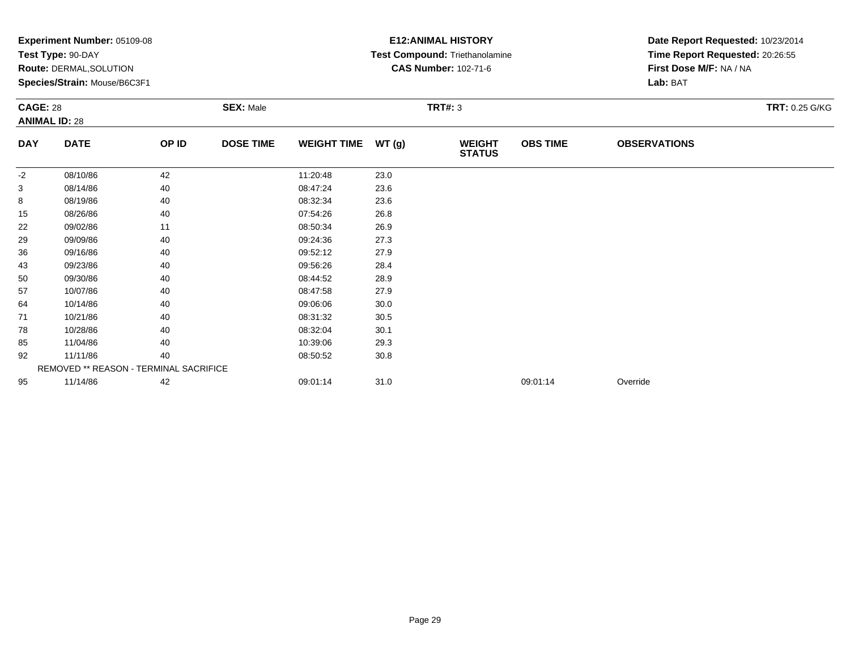|                 | Experiment Number: 05109-08<br>Test Type: 90-DAY<br>Route: DERMAL, SOLUTION<br>Species/Strain: Mouse/B6C3F1 |       |                  |                    |                | <b>E12: ANIMAL HISTORY</b><br>Test Compound: Triethanolamine<br><b>CAS Number: 102-71-6</b> | Date Report Requested: 10/23/2014<br>Time Report Requested: 20:26:55<br>First Dose M/F: NA / NA<br>Lab: BAT |                     |                       |
|-----------------|-------------------------------------------------------------------------------------------------------------|-------|------------------|--------------------|----------------|---------------------------------------------------------------------------------------------|-------------------------------------------------------------------------------------------------------------|---------------------|-----------------------|
| <b>CAGE: 28</b> | <b>ANIMAL ID: 28</b>                                                                                        |       | <b>SEX: Male</b> |                    | <b>TRT#: 3</b> |                                                                                             |                                                                                                             |                     | <b>TRT: 0.25 G/KG</b> |
| <b>DAY</b>      | <b>DATE</b>                                                                                                 | OP ID | <b>DOSE TIME</b> | <b>WEIGHT TIME</b> | WT(g)          | <b>WEIGHT</b><br><b>STATUS</b>                                                              | <b>OBS TIME</b>                                                                                             | <b>OBSERVATIONS</b> |                       |
| $-2$            | 08/10/86                                                                                                    | 42    |                  | 11:20:48           | 23.0           |                                                                                             |                                                                                                             |                     |                       |
| 3               | 08/14/86                                                                                                    | 40    |                  | 08:47:24           | 23.6           |                                                                                             |                                                                                                             |                     |                       |
| 8               | 08/19/86                                                                                                    | 40    |                  | 08:32:34           | 23.6           |                                                                                             |                                                                                                             |                     |                       |
| 15              | 08/26/86                                                                                                    | 40    |                  | 07:54:26           | 26.8           |                                                                                             |                                                                                                             |                     |                       |
| 22              | 09/02/86                                                                                                    | 11    |                  | 08:50:34           | 26.9           |                                                                                             |                                                                                                             |                     |                       |
| 29              | 09/09/86                                                                                                    | 40    |                  | 09:24:36           | 27.3           |                                                                                             |                                                                                                             |                     |                       |
| 36              | 09/16/86                                                                                                    | 40    |                  | 09:52:12           | 27.9           |                                                                                             |                                                                                                             |                     |                       |
| 43              | 09/23/86                                                                                                    | 40    |                  | 09:56:26           | 28.4           |                                                                                             |                                                                                                             |                     |                       |
| 50              | 09/30/86                                                                                                    | 40    |                  | 08:44:52           | 28.9           |                                                                                             |                                                                                                             |                     |                       |
| 57              | 10/07/86                                                                                                    | 40    |                  | 08:47:58           | 27.9           |                                                                                             |                                                                                                             |                     |                       |
| 64              | 10/14/86                                                                                                    | 40    |                  | 09:06:06           | 30.0           |                                                                                             |                                                                                                             |                     |                       |
| 71              | 10/21/86                                                                                                    | 40    |                  | 08:31:32           | 30.5           |                                                                                             |                                                                                                             |                     |                       |
| 78              | 10/28/86                                                                                                    | 40    |                  | 08:32:04           | 30.1           |                                                                                             |                                                                                                             |                     |                       |
| 85              | 11/04/86                                                                                                    | 40    |                  | 10:39:06           | 29.3           |                                                                                             |                                                                                                             |                     |                       |
| 92              | 11/11/86                                                                                                    | 40    |                  | 08:50:52           | 30.8           |                                                                                             |                                                                                                             |                     |                       |
|                 | REMOVED ** REASON - TERMINAL SACRIFICE                                                                      |       |                  |                    |                |                                                                                             |                                                                                                             |                     |                       |
| 95              | 11/14/86                                                                                                    | 42    |                  | 09:01:14           | 31.0           |                                                                                             | 09:01:14                                                                                                    | Override            |                       |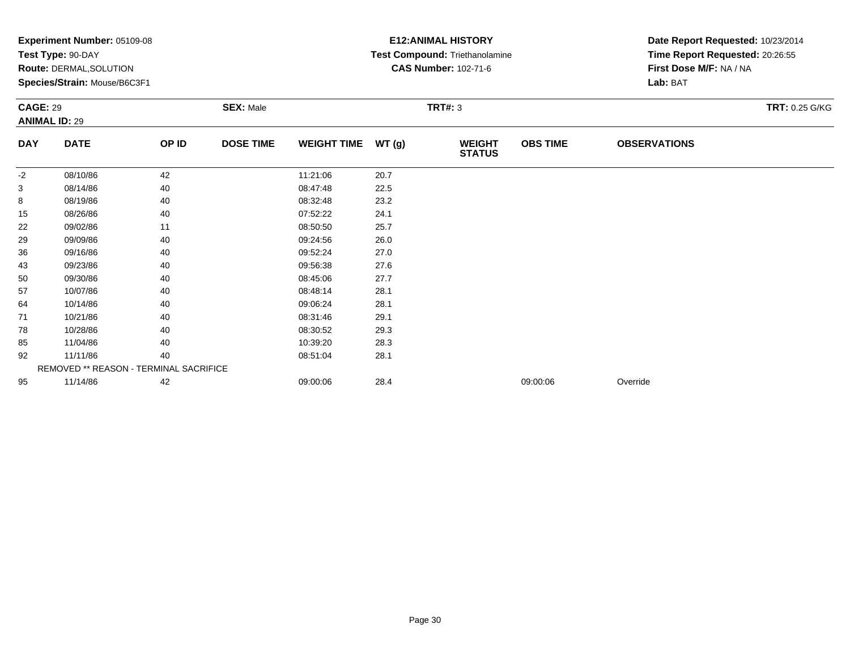|            | Experiment Number: 05109-08<br>Test Type: 90-DAY<br>Route: DERMAL, SOLUTION<br>Species/Strain: Mouse/B6C3F1<br><b>CAGE: 29</b><br><b>ANIMAL ID: 29</b> |       |                  |                    |                | <b>E12: ANIMAL HISTORY</b><br>Test Compound: Triethanolamine<br><b>CAS Number: 102-71-6</b> | Date Report Requested: 10/23/2014<br>Time Report Requested: 20:26:55<br>First Dose M/F: NA / NA<br>Lab: BAT |                     |                |
|------------|--------------------------------------------------------------------------------------------------------------------------------------------------------|-------|------------------|--------------------|----------------|---------------------------------------------------------------------------------------------|-------------------------------------------------------------------------------------------------------------|---------------------|----------------|
|            |                                                                                                                                                        |       | <b>SEX: Male</b> |                    | <b>TRT#: 3</b> |                                                                                             |                                                                                                             |                     | TRT: 0.25 G/KG |
| <b>DAY</b> | <b>DATE</b>                                                                                                                                            | OP ID | <b>DOSE TIME</b> | <b>WEIGHT TIME</b> | WT(g)          | <b>WEIGHT</b><br><b>STATUS</b>                                                              | <b>OBS TIME</b>                                                                                             | <b>OBSERVATIONS</b> |                |
| $-2$       | 08/10/86                                                                                                                                               | 42    |                  | 11:21:06           | 20.7           |                                                                                             |                                                                                                             |                     |                |
| 3          | 08/14/86                                                                                                                                               | 40    |                  | 08:47:48           | 22.5           |                                                                                             |                                                                                                             |                     |                |
| 8          | 08/19/86                                                                                                                                               | 40    |                  | 08:32:48           | 23.2           |                                                                                             |                                                                                                             |                     |                |
| 15         | 08/26/86                                                                                                                                               | 40    |                  | 07:52:22           | 24.1           |                                                                                             |                                                                                                             |                     |                |
| 22         | 09/02/86                                                                                                                                               | 11    |                  | 08:50:50           | 25.7           |                                                                                             |                                                                                                             |                     |                |
| 29         | 09/09/86                                                                                                                                               | 40    |                  | 09:24:56           | 26.0           |                                                                                             |                                                                                                             |                     |                |
| 36         | 09/16/86                                                                                                                                               | 40    |                  | 09:52:24           | 27.0           |                                                                                             |                                                                                                             |                     |                |
| 43         | 09/23/86                                                                                                                                               | 40    |                  | 09:56:38           | 27.6           |                                                                                             |                                                                                                             |                     |                |
| 50         | 09/30/86                                                                                                                                               | 40    |                  | 08:45:06           | 27.7           |                                                                                             |                                                                                                             |                     |                |
| 57         | 10/07/86                                                                                                                                               | 40    |                  | 08:48:14           | 28.1           |                                                                                             |                                                                                                             |                     |                |
| 64         | 10/14/86                                                                                                                                               | 40    |                  | 09:06:24           | 28.1           |                                                                                             |                                                                                                             |                     |                |
| 71         | 10/21/86                                                                                                                                               | 40    |                  | 08:31:46           | 29.1           |                                                                                             |                                                                                                             |                     |                |
| 78         | 10/28/86                                                                                                                                               | 40    |                  | 08:30:52           | 29.3           |                                                                                             |                                                                                                             |                     |                |
| 85         | 11/04/86                                                                                                                                               | 40    |                  | 10:39:20           | 28.3           |                                                                                             |                                                                                                             |                     |                |
| 92         | 11/11/86                                                                                                                                               | 40    |                  | 08:51:04           | 28.1           |                                                                                             |                                                                                                             |                     |                |
|            | REMOVED ** REASON - TERMINAL SACRIFICE                                                                                                                 |       |                  |                    |                |                                                                                             |                                                                                                             |                     |                |
| 95         | 11/14/86                                                                                                                                               | 42    |                  | 09:00:06           | 28.4           |                                                                                             | 09:00:06                                                                                                    | Override            |                |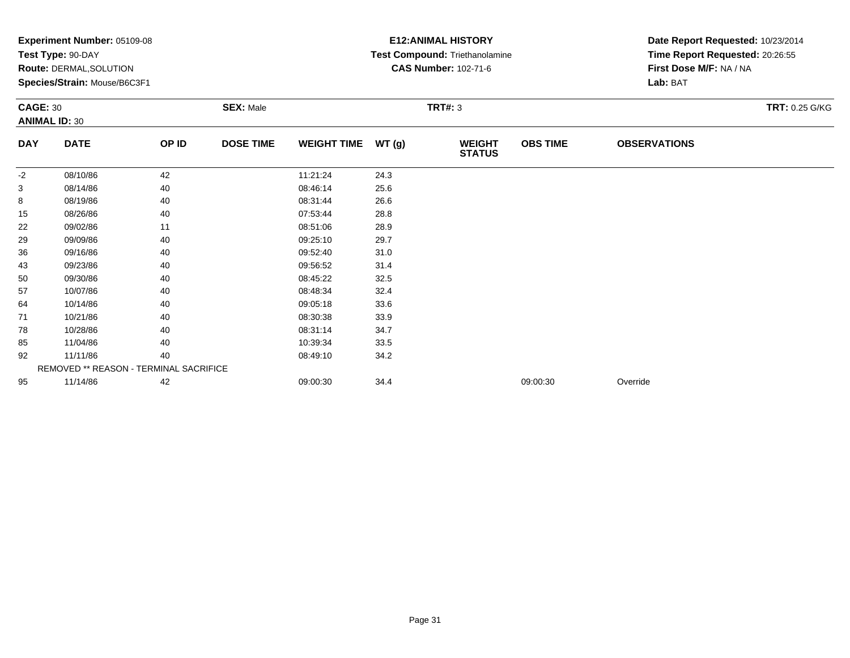|            | Experiment Number: 05109-08<br>Test Type: 90-DAY<br>Route: DERMAL, SOLUTION<br>Species/Strain: Mouse/B6C3F1<br><b>CAGE: 30</b><br><b>ANIMAL ID: 30</b> |       |                  |                    |                | <b>E12: ANIMAL HISTORY</b><br>Test Compound: Triethanolamine<br><b>CAS Number: 102-71-6</b> | Date Report Requested: 10/23/2014<br>Time Report Requested: 20:26:55<br>First Dose M/F: NA / NA<br>Lab: BAT |                     |                |
|------------|--------------------------------------------------------------------------------------------------------------------------------------------------------|-------|------------------|--------------------|----------------|---------------------------------------------------------------------------------------------|-------------------------------------------------------------------------------------------------------------|---------------------|----------------|
|            |                                                                                                                                                        |       | <b>SEX: Male</b> |                    | <b>TRT#: 3</b> |                                                                                             |                                                                                                             |                     | TRT: 0.25 G/KG |
| <b>DAY</b> | <b>DATE</b>                                                                                                                                            | OP ID | <b>DOSE TIME</b> | <b>WEIGHT TIME</b> | WT(g)          | <b>WEIGHT</b><br><b>STATUS</b>                                                              | <b>OBS TIME</b>                                                                                             | <b>OBSERVATIONS</b> |                |
| $-2$       | 08/10/86                                                                                                                                               | 42    |                  | 11:21:24           | 24.3           |                                                                                             |                                                                                                             |                     |                |
| 3          | 08/14/86                                                                                                                                               | 40    |                  | 08:46:14           | 25.6           |                                                                                             |                                                                                                             |                     |                |
| 8          | 08/19/86                                                                                                                                               | 40    |                  | 08:31:44           | 26.6           |                                                                                             |                                                                                                             |                     |                |
| 15         | 08/26/86                                                                                                                                               | 40    |                  | 07:53:44           | 28.8           |                                                                                             |                                                                                                             |                     |                |
| 22         | 09/02/86                                                                                                                                               | 11    |                  | 08:51:06           | 28.9           |                                                                                             |                                                                                                             |                     |                |
| 29         | 09/09/86                                                                                                                                               | 40    |                  | 09:25:10           | 29.7           |                                                                                             |                                                                                                             |                     |                |
| 36         | 09/16/86                                                                                                                                               | 40    |                  | 09:52:40           | 31.0           |                                                                                             |                                                                                                             |                     |                |
| 43         | 09/23/86                                                                                                                                               | 40    |                  | 09:56:52           | 31.4           |                                                                                             |                                                                                                             |                     |                |
| 50         | 09/30/86                                                                                                                                               | 40    |                  | 08:45:22           | 32.5           |                                                                                             |                                                                                                             |                     |                |
| 57         | 10/07/86                                                                                                                                               | 40    |                  | 08:48:34           | 32.4           |                                                                                             |                                                                                                             |                     |                |
| 64         | 10/14/86                                                                                                                                               | 40    |                  | 09:05:18           | 33.6           |                                                                                             |                                                                                                             |                     |                |
| 71         | 10/21/86                                                                                                                                               | 40    |                  | 08:30:38           | 33.9           |                                                                                             |                                                                                                             |                     |                |
| 78         | 10/28/86                                                                                                                                               | 40    |                  | 08:31:14           | 34.7           |                                                                                             |                                                                                                             |                     |                |
| 85         | 11/04/86                                                                                                                                               | 40    |                  | 10:39:34           | 33.5           |                                                                                             |                                                                                                             |                     |                |
| 92         | 11/11/86                                                                                                                                               | 40    |                  | 08:49:10           | 34.2           |                                                                                             |                                                                                                             |                     |                |
|            | REMOVED ** REASON - TERMINAL SACRIFICE                                                                                                                 |       |                  |                    |                |                                                                                             |                                                                                                             |                     |                |
| 95         | 11/14/86                                                                                                                                               | 42    |                  | 09:00:30           | 34.4           |                                                                                             | 09:00:30                                                                                                    | Override            |                |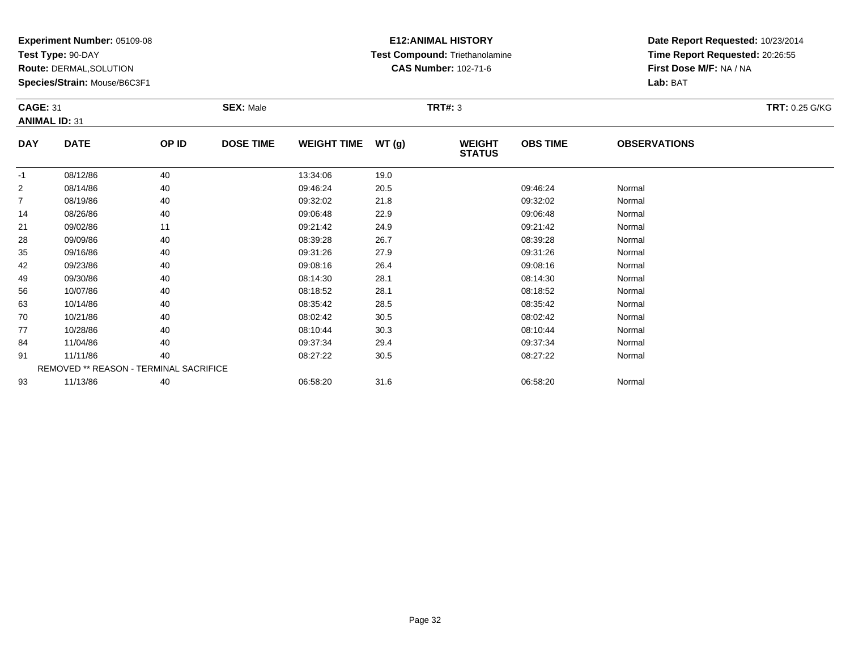**Test Type:** 90-DAY

**Route:** DERMAL,SOLUTION

**Species/Strain:** Mouse/B6C3F1

# **E12:ANIMAL HISTORY Test Compound:** Triethanolamine**CAS Number:** 102-71-6

| <b>CAGE: 31</b><br><b>ANIMAL ID: 31</b> |                                        |       | <b>SEX: Male</b> |                    |      | <b>TRT#: 3</b>                 |                 |                     | <b>TRT: 0.25 G/KG</b> |
|-----------------------------------------|----------------------------------------|-------|------------------|--------------------|------|--------------------------------|-----------------|---------------------|-----------------------|
| <b>DAY</b>                              | <b>DATE</b>                            | OP ID | <b>DOSE TIME</b> | WEIGHT TIME WT (g) |      | <b>WEIGHT</b><br><b>STATUS</b> | <b>OBS TIME</b> | <b>OBSERVATIONS</b> |                       |
| $-1$                                    | 08/12/86                               | 40    |                  | 13:34:06           | 19.0 |                                |                 |                     |                       |
| $\overline{c}$                          | 08/14/86                               | 40    |                  | 09:46:24           | 20.5 |                                | 09:46:24        | Normal              |                       |
| $\overline{7}$                          | 08/19/86                               | 40    |                  | 09:32:02           | 21.8 |                                | 09:32:02        | Normal              |                       |
| 14                                      | 08/26/86                               | 40    |                  | 09:06:48           | 22.9 |                                | 09:06:48        | Normal              |                       |
| 21                                      | 09/02/86                               | 11    |                  | 09:21:42           | 24.9 |                                | 09:21:42        | Normal              |                       |
| 28                                      | 09/09/86                               | 40    |                  | 08:39:28           | 26.7 |                                | 08:39:28        | Normal              |                       |
| 35                                      | 09/16/86                               | 40    |                  | 09:31:26           | 27.9 |                                | 09:31:26        | Normal              |                       |
| 42                                      | 09/23/86                               | 40    |                  | 09:08:16           | 26.4 |                                | 09:08:16        | Normal              |                       |
| 49                                      | 09/30/86                               | 40    |                  | 08:14:30           | 28.1 |                                | 08:14:30        | Normal              |                       |
| 56                                      | 10/07/86                               | 40    |                  | 08:18:52           | 28.1 |                                | 08:18:52        | Normal              |                       |
| 63                                      | 10/14/86                               | 40    |                  | 08:35:42           | 28.5 |                                | 08:35:42        | Normal              |                       |
| 70                                      | 10/21/86                               | 40    |                  | 08:02:42           | 30.5 |                                | 08:02:42        | Normal              |                       |
| 77                                      | 10/28/86                               | 40    |                  | 08:10:44           | 30.3 |                                | 08:10:44        | Normal              |                       |
| 84                                      | 11/04/86                               | 40    |                  | 09:37:34           | 29.4 |                                | 09:37:34        | Normal              |                       |
| 91                                      | 11/11/86                               | 40    |                  | 08:27:22           | 30.5 |                                | 08:27:22        | Normal              |                       |
|                                         | REMOVED ** REASON - TERMINAL SACRIFICE |       |                  |                    |      |                                |                 |                     |                       |
| 93                                      | 11/13/86                               | 40    |                  | 06:58:20           | 31.6 |                                | 06:58:20        | Normal              |                       |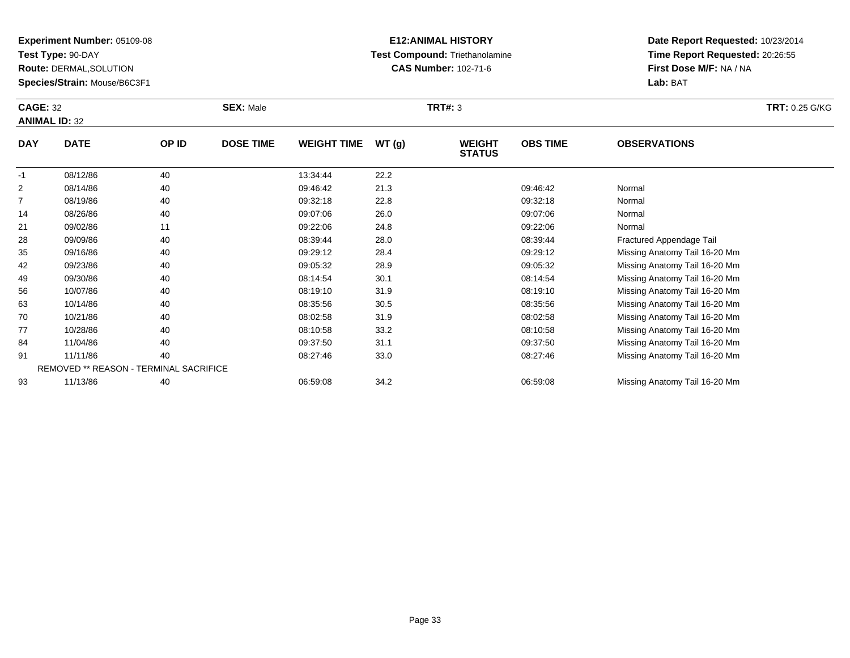**Test Type:** 90-DAY

93

**Route:** DERMAL,SOLUTION

**Species/Strain:** Mouse/B6C3F1

# **E12:ANIMAL HISTORY Test Compound:** Triethanolamine**CAS Number:** 102-71-6

**Date Report Requested:** 10/23/2014**Time Report Requested:** 20:26:55**First Dose M/F:** NA / NA**Lab:** BAT

| <b>CAGE: 32</b> | <b>ANIMAL ID: 32</b>                   |       | <b>SEX: Male</b> |                    |       | <b>TRT#: 3</b>                 |                 |                               | <b>TRT: 0.25 G/KG</b> |
|-----------------|----------------------------------------|-------|------------------|--------------------|-------|--------------------------------|-----------------|-------------------------------|-----------------------|
| <b>DAY</b>      | <b>DATE</b>                            | OP ID | <b>DOSE TIME</b> | <b>WEIGHT TIME</b> | WT(g) | <b>WEIGHT</b><br><b>STATUS</b> | <b>OBS TIME</b> | <b>OBSERVATIONS</b>           |                       |
| $-1$            | 08/12/86                               | 40    |                  | 13:34:44           | 22.2  |                                |                 |                               |                       |
| 2               | 08/14/86                               | 40    |                  | 09:46:42           | 21.3  |                                | 09:46:42        | Normal                        |                       |
| 7               | 08/19/86                               | 40    |                  | 09:32:18           | 22.8  |                                | 09:32:18        | Normal                        |                       |
| 14              | 08/26/86                               | 40    |                  | 09:07:06           | 26.0  |                                | 09:07:06        | Normal                        |                       |
| 21              | 09/02/86                               | 11    |                  | 09:22:06           | 24.8  |                                | 09:22:06        | Normal                        |                       |
| 28              | 09/09/86                               | 40    |                  | 08:39:44           | 28.0  |                                | 08:39:44        | Fractured Appendage Tail      |                       |
| 35              | 09/16/86                               | 40    |                  | 09:29:12           | 28.4  |                                | 09:29:12        | Missing Anatomy Tail 16-20 Mm |                       |
| 42              | 09/23/86                               | 40    |                  | 09:05:32           | 28.9  |                                | 09:05:32        | Missing Anatomy Tail 16-20 Mm |                       |
| 49              | 09/30/86                               | 40    |                  | 08:14:54           | 30.1  |                                | 08:14:54        | Missing Anatomy Tail 16-20 Mm |                       |
| 56              | 10/07/86                               | 40    |                  | 08:19:10           | 31.9  |                                | 08:19:10        | Missing Anatomy Tail 16-20 Mm |                       |
| 63              | 10/14/86                               | 40    |                  | 08:35:56           | 30.5  |                                | 08:35:56        | Missing Anatomy Tail 16-20 Mm |                       |
| 70              | 10/21/86                               | 40    |                  | 08:02:58           | 31.9  |                                | 08:02:58        | Missing Anatomy Tail 16-20 Mm |                       |
| 77              | 10/28/86                               | 40    |                  | 08:10:58           | 33.2  |                                | 08:10:58        | Missing Anatomy Tail 16-20 Mm |                       |
| 84              | 11/04/86                               | 40    |                  | 09:37:50           | 31.1  |                                | 09:37:50        | Missing Anatomy Tail 16-20 Mm |                       |
| 91              | 11/11/86                               | 40    |                  | 08:27:46           | 33.0  |                                | 08:27:46        | Missing Anatomy Tail 16-20 Mm |                       |
|                 | REMOVED ** REASON - TERMINAL SACRIFICE |       |                  |                    |       |                                |                 |                               |                       |

11/13/86 <sup>40</sup> 06:59:08 34.2 06:59:08 Missing Anatomy Tail 16-20 Mm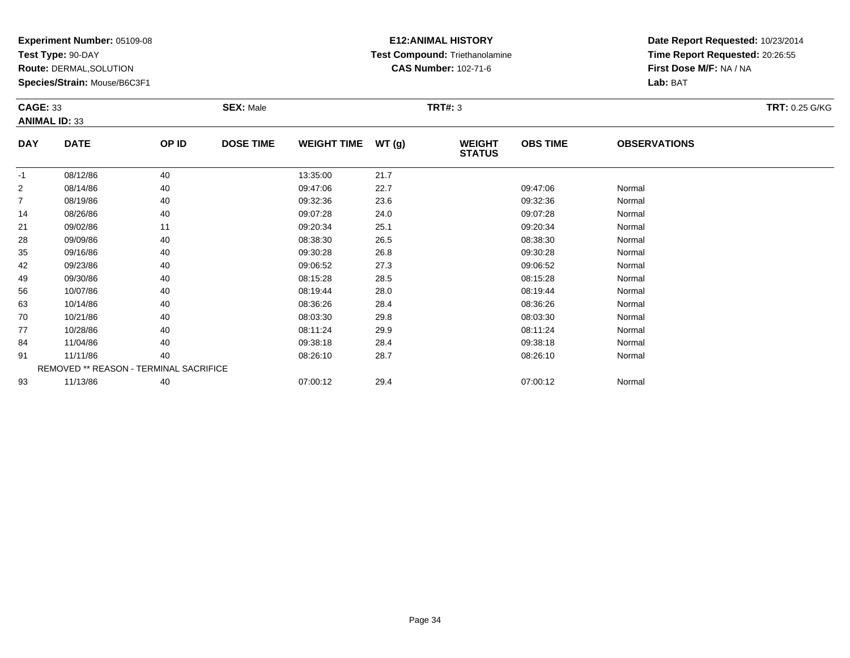**Test Type:** 90-DAY

**Route:** DERMAL,SOLUTION

**Species/Strain:** Mouse/B6C3F1

# **E12:ANIMAL HISTORY Test Compound:** Triethanolamine**CAS Number:** 102-71-6

| <b>CAGE: 33</b>      |                                        |       | <b>SEX: Male</b> |                    |      | <b>TRT#: 3</b>                 |                 |                     | <b>TRT: 0.25 G/KG</b> |
|----------------------|----------------------------------------|-------|------------------|--------------------|------|--------------------------------|-----------------|---------------------|-----------------------|
| <b>ANIMAL ID: 33</b> |                                        |       |                  |                    |      |                                |                 |                     |                       |
| <b>DAY</b>           | <b>DATE</b>                            | OP ID | <b>DOSE TIME</b> | WEIGHT TIME WT (g) |      | <b>WEIGHT</b><br><b>STATUS</b> | <b>OBS TIME</b> | <b>OBSERVATIONS</b> |                       |
| $-1$                 | 08/12/86                               | 40    |                  | 13:35:00           | 21.7 |                                |                 |                     |                       |
| $\overline{2}$       | 08/14/86                               | 40    |                  | 09:47:06           | 22.7 |                                | 09:47:06        | Normal              |                       |
| 7                    | 08/19/86                               | 40    |                  | 09:32:36           | 23.6 |                                | 09:32:36        | Normal              |                       |
| 14                   | 08/26/86                               | 40    |                  | 09:07:28           | 24.0 |                                | 09:07:28        | Normal              |                       |
| 21                   | 09/02/86                               | 11    |                  | 09:20:34           | 25.1 |                                | 09:20:34        | Normal              |                       |
| 28                   | 09/09/86                               | 40    |                  | 08:38:30           | 26.5 |                                | 08:38:30        | Normal              |                       |
| 35                   | 09/16/86                               | 40    |                  | 09:30:28           | 26.8 |                                | 09:30:28        | Normal              |                       |
| 42                   | 09/23/86                               | 40    |                  | 09:06:52           | 27.3 |                                | 09:06:52        | Normal              |                       |
| 49                   | 09/30/86                               | 40    |                  | 08:15:28           | 28.5 |                                | 08:15:28        | Normal              |                       |
| 56                   | 10/07/86                               | 40    |                  | 08:19:44           | 28.0 |                                | 08:19:44        | Normal              |                       |
| 63                   | 10/14/86                               | 40    |                  | 08:36:26           | 28.4 |                                | 08:36:26        | Normal              |                       |
| 70                   | 10/21/86                               | 40    |                  | 08:03:30           | 29.8 |                                | 08:03:30        | Normal              |                       |
| 77                   | 10/28/86                               | 40    |                  | 08:11:24           | 29.9 |                                | 08:11:24        | Normal              |                       |
| 84                   | 11/04/86                               | 40    |                  | 09:38:18           | 28.4 |                                | 09:38:18        | Normal              |                       |
| 91                   | 11/11/86                               | 40    |                  | 08:26:10           | 28.7 |                                | 08:26:10        | Normal              |                       |
|                      | REMOVED ** REASON - TERMINAL SACRIFICE |       |                  |                    |      |                                |                 |                     |                       |
| 93                   | 11/13/86                               | 40    |                  | 07:00:12           | 29.4 |                                | 07:00:12        | Normal              |                       |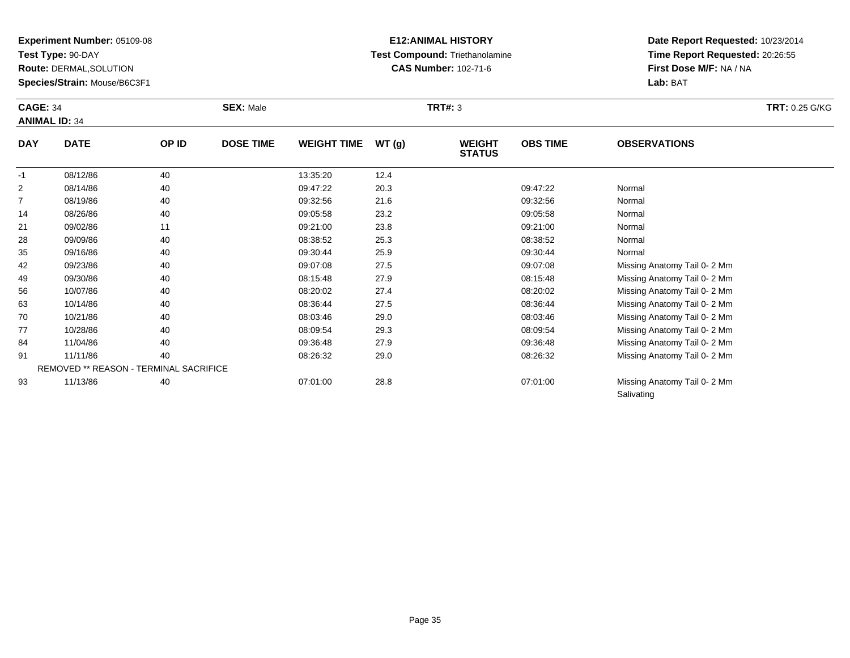**Test Type:** 90-DAY

**Route:** DERMAL,SOLUTION

**Species/Strain:** Mouse/B6C3F1

# **E12:ANIMAL HISTORY Test Compound:** Triethanolamine**CAS Number:** 102-71-6

**Date Report Requested:** 10/23/2014**Time Report Requested:** 20:26:55**First Dose M/F:** NA / NA**Lab:** BAT

**Salivating** 

| <b>CAGE: 34</b> | <b>ANIMAL ID: 34</b>                   |       | <b>SEX: Male</b> |                    |       | <b>TRT#: 3</b>                 |                 |                             | <b>TRT: 0.25 G/KG</b> |
|-----------------|----------------------------------------|-------|------------------|--------------------|-------|--------------------------------|-----------------|-----------------------------|-----------------------|
| <b>DAY</b>      | <b>DATE</b>                            | OP ID | <b>DOSE TIME</b> | <b>WEIGHT TIME</b> | WT(g) | <b>WEIGHT</b><br><b>STATUS</b> | <b>OBS TIME</b> | <b>OBSERVATIONS</b>         |                       |
| $-1$            | 08/12/86                               | 40    |                  | 13:35:20           | 12.4  |                                |                 |                             |                       |
| 2               | 08/14/86                               | 40    |                  | 09:47:22           | 20.3  |                                | 09:47:22        | Normal                      |                       |
| $\overline{7}$  | 08/19/86                               | 40    |                  | 09:32:56           | 21.6  |                                | 09:32:56        | Normal                      |                       |
| 14              | 08/26/86                               | 40    |                  | 09:05:58           | 23.2  |                                | 09:05:58        | Normal                      |                       |
| 21              | 09/02/86                               | 11    |                  | 09:21:00           | 23.8  |                                | 09:21:00        | Normal                      |                       |
| 28              | 09/09/86                               | 40    |                  | 08:38:52           | 25.3  |                                | 08:38:52        | Normal                      |                       |
| 35              | 09/16/86                               | 40    |                  | 09:30:44           | 25.9  |                                | 09:30:44        | Normal                      |                       |
| 42              | 09/23/86                               | 40    |                  | 09:07:08           | 27.5  |                                | 09:07:08        | Missing Anatomy Tail 0-2 Mm |                       |
| 49              | 09/30/86                               | 40    |                  | 08:15:48           | 27.9  |                                | 08:15:48        | Missing Anatomy Tail 0-2 Mm |                       |
| 56              | 10/07/86                               | 40    |                  | 08:20:02           | 27.4  |                                | 08:20:02        | Missing Anatomy Tail 0-2 Mm |                       |
| 63              | 10/14/86                               | 40    |                  | 08:36:44           | 27.5  |                                | 08:36:44        | Missing Anatomy Tail 0-2 Mm |                       |
| 70              | 10/21/86                               | 40    |                  | 08:03:46           | 29.0  |                                | 08:03:46        | Missing Anatomy Tail 0-2 Mm |                       |
| 77              | 10/28/86                               | 40    |                  | 08:09:54           | 29.3  |                                | 08:09:54        | Missing Anatomy Tail 0-2 Mm |                       |
| 84              | 11/04/86                               | 40    |                  | 09:36:48           | 27.9  |                                | 09:36:48        | Missing Anatomy Tail 0-2 Mm |                       |
| 91              | 11/11/86                               | 40    |                  | 08:26:32           | 29.0  |                                | 08:26:32        | Missing Anatomy Tail 0-2 Mm |                       |
|                 | REMOVED ** REASON - TERMINAL SACRIFICE |       |                  |                    |       |                                |                 |                             |                       |
| 93              | 11/13/86                               | 40    |                  | 07:01:00           | 28.8  |                                | 07:01:00        | Missing Anatomy Tail 0-2 Mm |                       |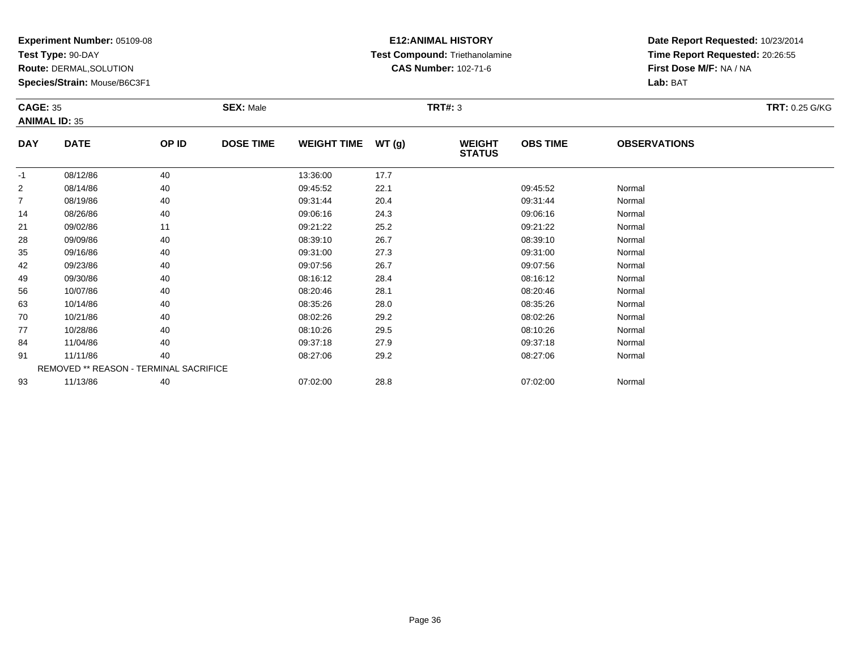**Test Type:** 90-DAY

**Route:** DERMAL,SOLUTION

**Species/Strain:** Mouse/B6C3F1

# **E12:ANIMAL HISTORY Test Compound:** Triethanolamine**CAS Number:** 102-71-6

| <b>CAGE: 35</b><br><b>ANIMAL ID: 35</b> |                                        |       | <b>SEX: Male</b> |                    | <b>TRT#: 3</b> |                                |                 |                     | <b>TRT: 0.25 G/KG</b> |
|-----------------------------------------|----------------------------------------|-------|------------------|--------------------|----------------|--------------------------------|-----------------|---------------------|-----------------------|
| <b>DAY</b>                              | <b>DATE</b>                            | OP ID | <b>DOSE TIME</b> | WEIGHT TIME WT (g) |                | <b>WEIGHT</b><br><b>STATUS</b> | <b>OBS TIME</b> | <b>OBSERVATIONS</b> |                       |
| $-1$                                    | 08/12/86                               | 40    |                  | 13:36:00           | 17.7           |                                |                 |                     |                       |
| $\overline{c}$                          | 08/14/86                               | 40    |                  | 09:45:52           | 22.1           |                                | 09:45:52        | Normal              |                       |
| $\overline{7}$                          | 08/19/86                               | 40    |                  | 09:31:44           | 20.4           |                                | 09:31:44        | Normal              |                       |
| 14                                      | 08/26/86                               | 40    |                  | 09:06:16           | 24.3           |                                | 09:06:16        | Normal              |                       |
| 21                                      | 09/02/86                               | 11    |                  | 09:21:22           | 25.2           |                                | 09:21:22        | Normal              |                       |
| 28                                      | 09/09/86                               | 40    |                  | 08:39:10           | 26.7           |                                | 08:39:10        | Normal              |                       |
| 35                                      | 09/16/86                               | 40    |                  | 09:31:00           | 27.3           |                                | 09:31:00        | Normal              |                       |
| 42                                      | 09/23/86                               | 40    |                  | 09:07:56           | 26.7           |                                | 09:07:56        | Normal              |                       |
| 49                                      | 09/30/86                               | 40    |                  | 08:16:12           | 28.4           |                                | 08:16:12        | Normal              |                       |
| 56                                      | 10/07/86                               | 40    |                  | 08:20:46           | 28.1           |                                | 08:20:46        | Normal              |                       |
| 63                                      | 10/14/86                               | 40    |                  | 08:35:26           | 28.0           |                                | 08:35:26        | Normal              |                       |
| 70                                      | 10/21/86                               | 40    |                  | 08:02:26           | 29.2           |                                | 08:02:26        | Normal              |                       |
| 77                                      | 10/28/86                               | 40    |                  | 08:10:26           | 29.5           |                                | 08:10:26        | Normal              |                       |
| 84                                      | 11/04/86                               | 40    |                  | 09:37:18           | 27.9           |                                | 09:37:18        | Normal              |                       |
| 91                                      | 11/11/86                               | 40    |                  | 08:27:06           | 29.2           |                                | 08:27:06        | Normal              |                       |
|                                         | REMOVED ** REASON - TERMINAL SACRIFICE |       |                  |                    |                |                                |                 |                     |                       |
| 93                                      | 11/13/86                               | 40    |                  | 07:02:00           | 28.8           |                                | 07:02:00        | Normal              |                       |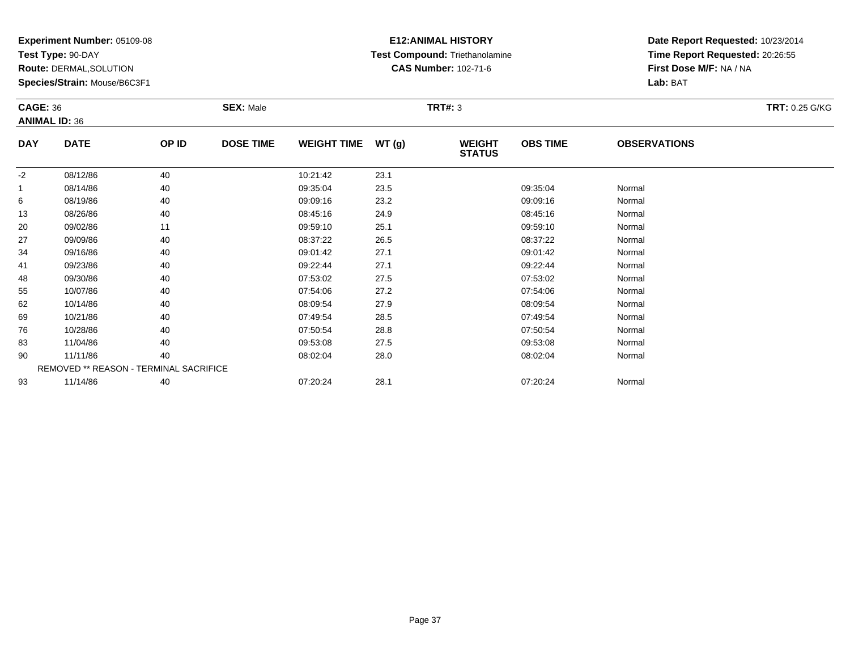**Test Type:** 90-DAY

**Route:** DERMAL,SOLUTION

**Species/Strain:** Mouse/B6C3F1

### **E12:ANIMAL HISTORY Test Compound:** Triethanolamine**CAS Number:** 102-71-6

| <b>CAGE: 36</b> |                                        |       | <b>SEX: Male</b> |                    |               | <b>TRT#: 3</b>                 |                 |                     | <b>TRT: 0.25 G/KG</b> |
|-----------------|----------------------------------------|-------|------------------|--------------------|---------------|--------------------------------|-----------------|---------------------|-----------------------|
|                 | <b>ANIMAL ID: 36</b>                   |       |                  |                    |               |                                |                 |                     |                       |
| <b>DAY</b>      | <b>DATE</b>                            | OP ID | <b>DOSE TIME</b> | <b>WEIGHT TIME</b> | <b>WT (g)</b> | <b>WEIGHT</b><br><b>STATUS</b> | <b>OBS TIME</b> | <b>OBSERVATIONS</b> |                       |
| $-2$            | 08/12/86                               | 40    |                  | 10:21:42           | 23.1          |                                |                 |                     |                       |
|                 | 08/14/86                               | 40    |                  | 09:35:04           | 23.5          |                                | 09:35:04        | Normal              |                       |
| 6               | 08/19/86                               | 40    |                  | 09:09:16           | 23.2          |                                | 09:09:16        | Normal              |                       |
| 13              | 08/26/86                               | 40    |                  | 08:45:16           | 24.9          |                                | 08:45:16        | Normal              |                       |
| 20              | 09/02/86                               | 11    |                  | 09:59:10           | 25.1          |                                | 09:59:10        | Normal              |                       |
| 27              | 09/09/86                               | 40    |                  | 08:37:22           | 26.5          |                                | 08:37:22        | Normal              |                       |
| 34              | 09/16/86                               | 40    |                  | 09:01:42           | 27.1          |                                | 09:01:42        | Normal              |                       |
| 41              | 09/23/86                               | 40    |                  | 09:22:44           | 27.1          |                                | 09:22:44        | Normal              |                       |
| 48              | 09/30/86                               | 40    |                  | 07:53:02           | 27.5          |                                | 07:53:02        | Normal              |                       |
| 55              | 10/07/86                               | 40    |                  | 07:54:06           | 27.2          |                                | 07:54:06        | Normal              |                       |
| 62              | 10/14/86                               | 40    |                  | 08:09:54           | 27.9          |                                | 08:09:54        | Normal              |                       |
| 69              | 10/21/86                               | 40    |                  | 07:49:54           | 28.5          |                                | 07:49:54        | Normal              |                       |
| 76              | 10/28/86                               | 40    |                  | 07:50:54           | 28.8          |                                | 07:50:54        | Normal              |                       |
| 83              | 11/04/86                               | 40    |                  | 09:53:08           | 27.5          |                                | 09:53:08        | Normal              |                       |
| 90              | 11/11/86                               | 40    |                  | 08:02:04           | 28.0          |                                | 08:02:04        | Normal              |                       |
|                 | REMOVED ** REASON - TERMINAL SACRIFICE |       |                  |                    |               |                                |                 |                     |                       |
| 93              | 11/14/86                               | 40    |                  | 07:20:24           | 28.1          |                                | 07:20:24        | Normal              |                       |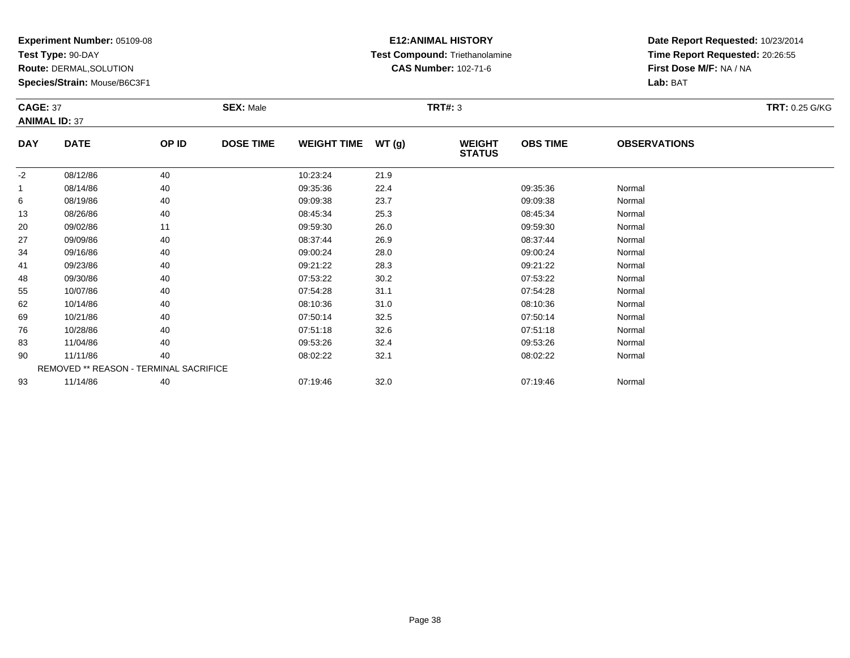**Test Type:** 90-DAY

**Route:** DERMAL,SOLUTION

**Species/Strain:** Mouse/B6C3F1

# **E12:ANIMAL HISTORY Test Compound:** Triethanolamine**CAS Number:** 102-71-6

| <b>CAGE: 37</b> | <b>ANIMAL ID: 37</b>                   |       | <b>SEX: Male</b> |                    |       | <b>TRT#: 3</b>                 |                 |                     | <b>TRT: 0.25 G/KG</b> |
|-----------------|----------------------------------------|-------|------------------|--------------------|-------|--------------------------------|-----------------|---------------------|-----------------------|
| <b>DAY</b>      | <b>DATE</b>                            | OP ID | <b>DOSE TIME</b> | <b>WEIGHT TIME</b> | WT(g) | <b>WEIGHT</b><br><b>STATUS</b> | <b>OBS TIME</b> | <b>OBSERVATIONS</b> |                       |
| $-2$            | 08/12/86                               | 40    |                  | 10:23:24           | 21.9  |                                |                 |                     |                       |
| $\mathbf{1}$    | 08/14/86                               | 40    |                  | 09:35:36           | 22.4  |                                | 09:35:36        | Normal              |                       |
| 6               | 08/19/86                               | 40    |                  | 09:09:38           | 23.7  |                                | 09:09:38        | Normal              |                       |
| 13              | 08/26/86                               | 40    |                  | 08:45:34           | 25.3  |                                | 08:45:34        | Normal              |                       |
| 20              | 09/02/86                               | 11    |                  | 09:59:30           | 26.0  |                                | 09:59:30        | Normal              |                       |
| 27              | 09/09/86                               | 40    |                  | 08:37:44           | 26.9  |                                | 08:37:44        | Normal              |                       |
| 34              | 09/16/86                               | 40    |                  | 09:00:24           | 28.0  |                                | 09:00:24        | Normal              |                       |
| 41              | 09/23/86                               | 40    |                  | 09:21:22           | 28.3  |                                | 09:21:22        | Normal              |                       |
| 48              | 09/30/86                               | 40    |                  | 07:53:22           | 30.2  |                                | 07:53:22        | Normal              |                       |
| 55              | 10/07/86                               | 40    |                  | 07:54:28           | 31.1  |                                | 07:54:28        | Normal              |                       |
| 62              | 10/14/86                               | 40    |                  | 08:10:36           | 31.0  |                                | 08:10:36        | Normal              |                       |
| 69              | 10/21/86                               | 40    |                  | 07:50:14           | 32.5  |                                | 07:50:14        | Normal              |                       |
| 76              | 10/28/86                               | 40    |                  | 07:51:18           | 32.6  |                                | 07:51:18        | Normal              |                       |
| 83              | 11/04/86                               | 40    |                  | 09:53:26           | 32.4  |                                | 09:53:26        | Normal              |                       |
| 90              | 11/11/86                               | 40    |                  | 08:02:22           | 32.1  |                                | 08:02:22        | Normal              |                       |
|                 | REMOVED ** REASON - TERMINAL SACRIFICE |       |                  |                    |       |                                |                 |                     |                       |
| 93              | 11/14/86                               | 40    |                  | 07:19:46           | 32.0  |                                | 07:19:46        | Normal              |                       |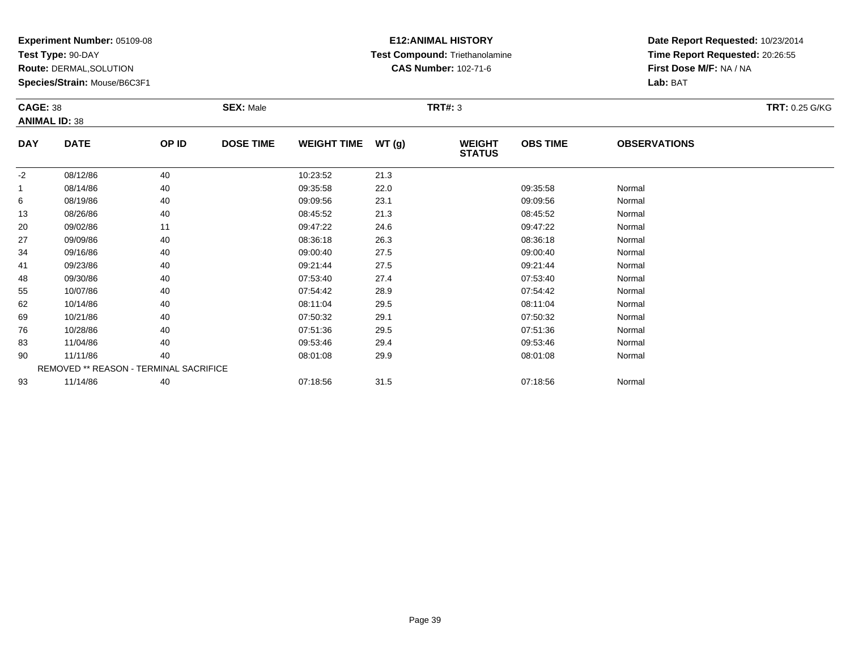**Test Type:** 90-DAY

**Route:** DERMAL,SOLUTION

**Species/Strain:** Mouse/B6C3F1

### **E12:ANIMAL HISTORY Test Compound:** Triethanolamine**CAS Number:** 102-71-6

| <b>CAGE: 38</b> |                                        |       | <b>SEX: Male</b> |                    |       | <b>TRT#: 3</b>                 |                 |                     | <b>TRT: 0.25 G/KG</b> |
|-----------------|----------------------------------------|-------|------------------|--------------------|-------|--------------------------------|-----------------|---------------------|-----------------------|
|                 | <b>ANIMAL ID: 38</b>                   |       |                  |                    |       |                                |                 |                     |                       |
| <b>DAY</b>      | <b>DATE</b>                            | OP ID | <b>DOSE TIME</b> | <b>WEIGHT TIME</b> | WT(g) | <b>WEIGHT</b><br><b>STATUS</b> | <b>OBS TIME</b> | <b>OBSERVATIONS</b> |                       |
| $-2$            | 08/12/86                               | 40    |                  | 10:23:52           | 21.3  |                                |                 |                     |                       |
|                 | 08/14/86                               | 40    |                  | 09:35:58           | 22.0  |                                | 09:35:58        | Normal              |                       |
| 6               | 08/19/86                               | 40    |                  | 09:09:56           | 23.1  |                                | 09:09:56        | Normal              |                       |
| 13              | 08/26/86                               | 40    |                  | 08:45:52           | 21.3  |                                | 08:45:52        | Normal              |                       |
| 20              | 09/02/86                               | 11    |                  | 09:47:22           | 24.6  |                                | 09:47:22        | Normal              |                       |
| 27              | 09/09/86                               | 40    |                  | 08:36:18           | 26.3  |                                | 08:36:18        | Normal              |                       |
| 34              | 09/16/86                               | 40    |                  | 09:00:40           | 27.5  |                                | 09:00:40        | Normal              |                       |
| 41              | 09/23/86                               | 40    |                  | 09:21:44           | 27.5  |                                | 09:21:44        | Normal              |                       |
| 48              | 09/30/86                               | 40    |                  | 07:53:40           | 27.4  |                                | 07:53:40        | Normal              |                       |
| 55              | 10/07/86                               | 40    |                  | 07:54:42           | 28.9  |                                | 07:54:42        | Normal              |                       |
| 62              | 10/14/86                               | 40    |                  | 08:11:04           | 29.5  |                                | 08:11:04        | Normal              |                       |
| 69              | 10/21/86                               | 40    |                  | 07:50:32           | 29.1  |                                | 07:50:32        | Normal              |                       |
| 76              | 10/28/86                               | 40    |                  | 07:51:36           | 29.5  |                                | 07:51:36        | Normal              |                       |
| 83              | 11/04/86                               | 40    |                  | 09:53:46           | 29.4  |                                | 09:53:46        | Normal              |                       |
| 90              | 11/11/86                               | 40    |                  | 08:01:08           | 29.9  |                                | 08:01:08        | Normal              |                       |
|                 | REMOVED ** REASON - TERMINAL SACRIFICE |       |                  |                    |       |                                |                 |                     |                       |
| 93              | 11/14/86                               | 40    |                  | 07:18:56           | 31.5  |                                | 07:18:56        | Normal              |                       |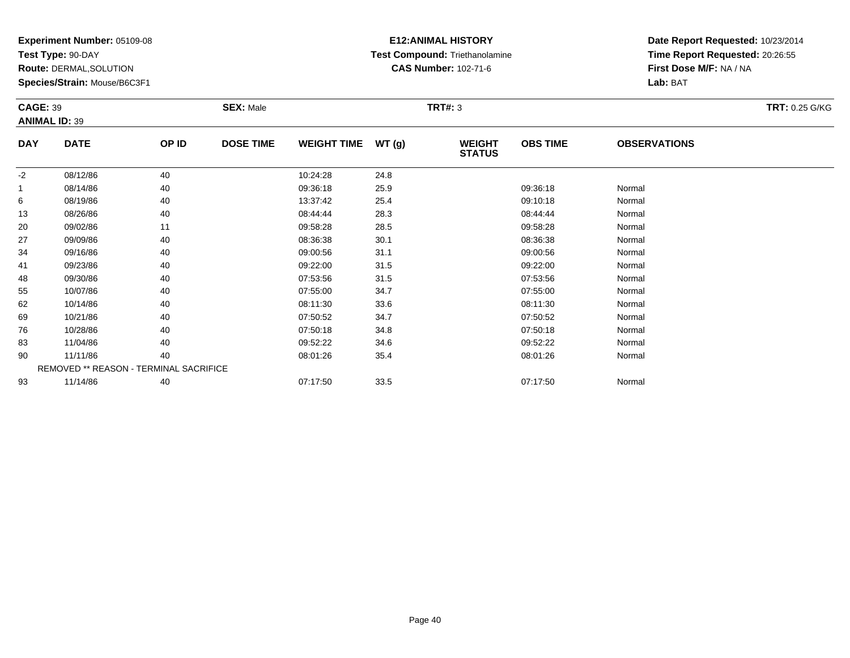**Test Type:** 90-DAY

**Route:** DERMAL,SOLUTION

**Species/Strain:** Mouse/B6C3F1

### **E12:ANIMAL HISTORY Test Compound:** Triethanolamine**CAS Number:** 102-71-6

| <b>CAGE: 39</b> |                                        |       | <b>SEX: Male</b> |                    |       | <b>TRT#: 3</b>                 |                 |                     | <b>TRT: 0.25 G/KG</b> |
|-----------------|----------------------------------------|-------|------------------|--------------------|-------|--------------------------------|-----------------|---------------------|-----------------------|
|                 | <b>ANIMAL ID: 39</b>                   |       |                  |                    |       |                                |                 |                     |                       |
| <b>DAY</b>      | <b>DATE</b>                            | OP ID | <b>DOSE TIME</b> | <b>WEIGHT TIME</b> | WT(g) | <b>WEIGHT</b><br><b>STATUS</b> | <b>OBS TIME</b> | <b>OBSERVATIONS</b> |                       |
| $-2$            | 08/12/86                               | 40    |                  | 10:24:28           | 24.8  |                                |                 |                     |                       |
| $\overline{1}$  | 08/14/86                               | 40    |                  | 09:36:18           | 25.9  |                                | 09:36:18        | Normal              |                       |
| 6               | 08/19/86                               | 40    |                  | 13:37:42           | 25.4  |                                | 09:10:18        | Normal              |                       |
| 13              | 08/26/86                               | 40    |                  | 08:44:44           | 28.3  |                                | 08:44:44        | Normal              |                       |
| 20              | 09/02/86                               | 11    |                  | 09:58:28           | 28.5  |                                | 09:58:28        | Normal              |                       |
| 27              | 09/09/86                               | 40    |                  | 08:36:38           | 30.1  |                                | 08:36:38        | Normal              |                       |
| 34              | 09/16/86                               | 40    |                  | 09:00:56           | 31.1  |                                | 09:00:56        | Normal              |                       |
| 41              | 09/23/86                               | 40    |                  | 09:22:00           | 31.5  |                                | 09:22:00        | Normal              |                       |
| 48              | 09/30/86                               | 40    |                  | 07:53:56           | 31.5  |                                | 07:53:56        | Normal              |                       |
| 55              | 10/07/86                               | 40    |                  | 07:55:00           | 34.7  |                                | 07:55:00        | Normal              |                       |
| 62              | 10/14/86                               | 40    |                  | 08:11:30           | 33.6  |                                | 08:11:30        | Normal              |                       |
| 69              | 10/21/86                               | 40    |                  | 07:50:52           | 34.7  |                                | 07:50:52        | Normal              |                       |
| 76              | 10/28/86                               | 40    |                  | 07:50:18           | 34.8  |                                | 07:50:18        | Normal              |                       |
| 83              | 11/04/86                               | 40    |                  | 09:52:22           | 34.6  |                                | 09:52:22        | Normal              |                       |
| 90              | 11/11/86                               | 40    |                  | 08:01:26           | 35.4  |                                | 08:01:26        | Normal              |                       |
|                 | REMOVED ** REASON - TERMINAL SACRIFICE |       |                  |                    |       |                                |                 |                     |                       |
| 93              | 11/14/86                               | 40    |                  | 07:17:50           | 33.5  |                                | 07:17:50        | Normal              |                       |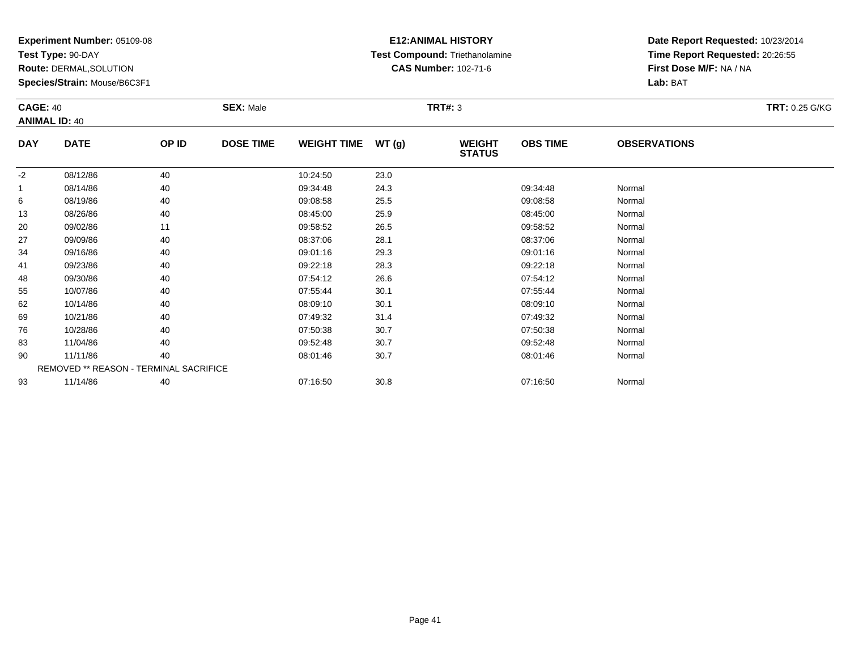**Test Type:** 90-DAY

**Route:** DERMAL,SOLUTION

**Species/Strain:** Mouse/B6C3F1

# **E12:ANIMAL HISTORY Test Compound:** Triethanolamine**CAS Number:** 102-71-6

| <b>CAGE: 40</b><br><b>ANIMAL ID: 40</b> |                                        |       | <b>SEX: Male</b> |                    |               | <b>TRT#: 3</b>                 |                 |                     | <b>TRT: 0.25 G/KG</b> |
|-----------------------------------------|----------------------------------------|-------|------------------|--------------------|---------------|--------------------------------|-----------------|---------------------|-----------------------|
| <b>DAY</b>                              | <b>DATE</b>                            | OP ID | <b>DOSE TIME</b> | <b>WEIGHT TIME</b> | <b>WT (g)</b> | <b>WEIGHT</b><br><b>STATUS</b> | <b>OBS TIME</b> | <b>OBSERVATIONS</b> |                       |
| $-2$                                    | 08/12/86                               | 40    |                  | 10:24:50           | 23.0          |                                |                 |                     |                       |
|                                         | 08/14/86                               | 40    |                  | 09:34:48           | 24.3          |                                | 09:34:48        | Normal              |                       |
| 6                                       | 08/19/86                               | 40    |                  | 09:08:58           | 25.5          |                                | 09:08:58        | Normal              |                       |
| 13                                      | 08/26/86                               | 40    |                  | 08:45:00           | 25.9          |                                | 08:45:00        | Normal              |                       |
| 20                                      | 09/02/86                               | 11    |                  | 09:58:52           | 26.5          |                                | 09:58:52        | Normal              |                       |
| 27                                      | 09/09/86                               | 40    |                  | 08:37:06           | 28.1          |                                | 08:37:06        | Normal              |                       |
| 34                                      | 09/16/86                               | 40    |                  | 09:01:16           | 29.3          |                                | 09:01:16        | Normal              |                       |
| 41                                      | 09/23/86                               | 40    |                  | 09:22:18           | 28.3          |                                | 09:22:18        | Normal              |                       |
| 48                                      | 09/30/86                               | 40    |                  | 07:54:12           | 26.6          |                                | 07:54:12        | Normal              |                       |
| 55                                      | 10/07/86                               | 40    |                  | 07:55:44           | 30.1          |                                | 07:55:44        | Normal              |                       |
| 62                                      | 10/14/86                               | 40    |                  | 08:09:10           | 30.1          |                                | 08:09:10        | Normal              |                       |
| 69                                      | 10/21/86                               | 40    |                  | 07:49:32           | 31.4          |                                | 07:49:32        | Normal              |                       |
| 76                                      | 10/28/86                               | 40    |                  | 07:50:38           | 30.7          |                                | 07:50:38        | Normal              |                       |
| 83                                      | 11/04/86                               | 40    |                  | 09:52:48           | 30.7          |                                | 09:52:48        | Normal              |                       |
| 90                                      | 11/11/86                               | 40    |                  | 08:01:46           | 30.7          |                                | 08:01:46        | Normal              |                       |
|                                         | REMOVED ** REASON - TERMINAL SACRIFICE |       |                  |                    |               |                                |                 |                     |                       |
| 93                                      | 11/14/86                               | 40    |                  | 07:16:50           | 30.8          |                                | 07:16:50        | Normal              |                       |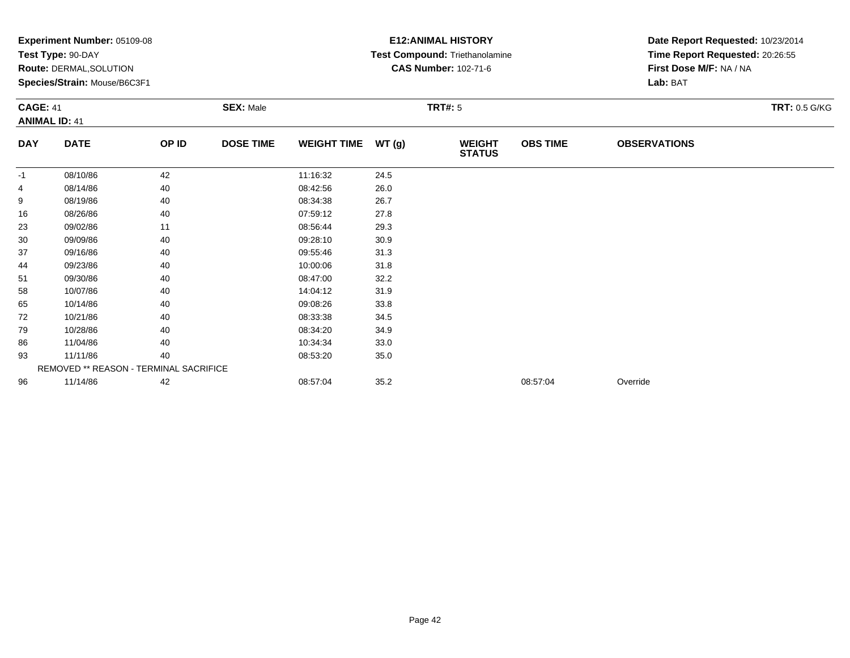|                 | Experiment Number: 05109-08<br>Test Type: 90-DAY<br>Route: DERMAL, SOLUTION<br>Species/Strain: Mouse/B6C3F1 |       |                  | <b>E12: ANIMAL HISTORY</b><br>Test Compound: Triethanolamine<br><b>CAS Number: 102-71-6</b> |       | Date Report Requested: 10/23/2014<br>Time Report Requested: 20:26:55<br>First Dose M/F: NA / NA<br>Lab: BAT |                 |                     |                      |
|-----------------|-------------------------------------------------------------------------------------------------------------|-------|------------------|---------------------------------------------------------------------------------------------|-------|-------------------------------------------------------------------------------------------------------------|-----------------|---------------------|----------------------|
| <b>CAGE: 41</b> | <b>ANIMAL ID: 41</b>                                                                                        |       | <b>SEX: Male</b> |                                                                                             |       | <b>TRT#: 5</b>                                                                                              |                 |                     | <b>TRT: 0.5 G/KG</b> |
| <b>DAY</b>      | <b>DATE</b>                                                                                                 | OP ID | <b>DOSE TIME</b> | <b>WEIGHT TIME</b>                                                                          | WT(g) | <b>WEIGHT</b><br><b>STATUS</b>                                                                              | <b>OBS TIME</b> | <b>OBSERVATIONS</b> |                      |
| -1              | 08/10/86                                                                                                    | 42    |                  | 11:16:32                                                                                    | 24.5  |                                                                                                             |                 |                     |                      |
| 4               | 08/14/86                                                                                                    | 40    |                  | 08:42:56                                                                                    | 26.0  |                                                                                                             |                 |                     |                      |
| 9               | 08/19/86                                                                                                    | 40    |                  | 08:34:38                                                                                    | 26.7  |                                                                                                             |                 |                     |                      |
| 16              | 08/26/86                                                                                                    | 40    |                  | 07:59:12                                                                                    | 27.8  |                                                                                                             |                 |                     |                      |
| 23              | 09/02/86                                                                                                    | 11    |                  | 08:56:44                                                                                    | 29.3  |                                                                                                             |                 |                     |                      |
| 30              | 09/09/86                                                                                                    | 40    |                  | 09:28:10                                                                                    | 30.9  |                                                                                                             |                 |                     |                      |
| 37              | 09/16/86                                                                                                    | 40    |                  | 09:55:46                                                                                    | 31.3  |                                                                                                             |                 |                     |                      |
| 44              | 09/23/86                                                                                                    | 40    |                  | 10:00:06                                                                                    | 31.8  |                                                                                                             |                 |                     |                      |
| 51              | 09/30/86                                                                                                    | 40    |                  | 08:47:00                                                                                    | 32.2  |                                                                                                             |                 |                     |                      |
| 58              | 10/07/86                                                                                                    | 40    |                  | 14:04:12                                                                                    | 31.9  |                                                                                                             |                 |                     |                      |
| 65              | 10/14/86                                                                                                    | 40    |                  | 09:08:26                                                                                    | 33.8  |                                                                                                             |                 |                     |                      |
| 72              | 10/21/86                                                                                                    | 40    |                  | 08:33:38                                                                                    | 34.5  |                                                                                                             |                 |                     |                      |
| 79              | 10/28/86                                                                                                    | 40    |                  | 08:34:20                                                                                    | 34.9  |                                                                                                             |                 |                     |                      |
| 86              | 11/04/86                                                                                                    | 40    |                  | 10:34:34                                                                                    | 33.0  |                                                                                                             |                 |                     |                      |
| 93              | 11/11/86                                                                                                    | 40    |                  | 08:53:20                                                                                    | 35.0  |                                                                                                             |                 |                     |                      |
|                 | REMOVED ** REASON - TERMINAL SACRIFICE                                                                      |       |                  |                                                                                             |       |                                                                                                             |                 |                     |                      |
| 96              | 11/14/86                                                                                                    | 42    |                  | 08:57:04                                                                                    | 35.2  |                                                                                                             | 08:57:04        | Override            |                      |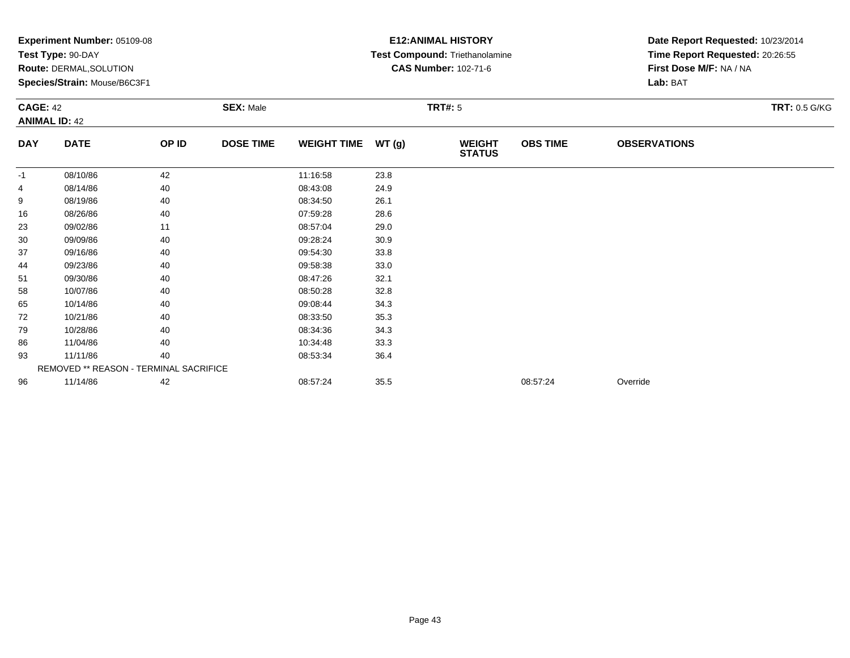|                 | Experiment Number: 05109-08<br>Test Type: 90-DAY<br>Route: DERMAL, SOLUTION<br>Species/Strain: Mouse/B6C3F1 |       |                  |                    |       | <b>E12: ANIMAL HISTORY</b><br>Test Compound: Triethanolamine<br><b>CAS Number: 102-71-6</b> | Date Report Requested: 10/23/2014<br>Time Report Requested: 20:26:55<br>First Dose M/F: NA / NA<br>Lab: BAT |                     |                      |
|-----------------|-------------------------------------------------------------------------------------------------------------|-------|------------------|--------------------|-------|---------------------------------------------------------------------------------------------|-------------------------------------------------------------------------------------------------------------|---------------------|----------------------|
| <b>CAGE: 42</b> | <b>ANIMAL ID: 42</b>                                                                                        |       | <b>SEX: Male</b> |                    |       | <b>TRT#: 5</b>                                                                              |                                                                                                             |                     | <b>TRT: 0.5 G/KG</b> |
| <b>DAY</b>      | <b>DATE</b>                                                                                                 | OP ID | <b>DOSE TIME</b> | <b>WEIGHT TIME</b> | WT(g) | <b>WEIGHT</b><br><b>STATUS</b>                                                              | <b>OBS TIME</b>                                                                                             | <b>OBSERVATIONS</b> |                      |
| $-1$            | 08/10/86                                                                                                    | 42    |                  | 11:16:58           | 23.8  |                                                                                             |                                                                                                             |                     |                      |
|                 | 08/14/86                                                                                                    | 40    |                  | 08:43:08           | 24.9  |                                                                                             |                                                                                                             |                     |                      |
| 9               | 08/19/86                                                                                                    | 40    |                  | 08:34:50           | 26.1  |                                                                                             |                                                                                                             |                     |                      |
| 16              | 08/26/86                                                                                                    | 40    |                  | 07:59:28           | 28.6  |                                                                                             |                                                                                                             |                     |                      |
| 23              | 09/02/86                                                                                                    | 11    |                  | 08:57:04           | 29.0  |                                                                                             |                                                                                                             |                     |                      |
| 30              | 09/09/86                                                                                                    | 40    |                  | 09:28:24           | 30.9  |                                                                                             |                                                                                                             |                     |                      |
| 37              | 09/16/86                                                                                                    | 40    |                  | 09:54:30           | 33.8  |                                                                                             |                                                                                                             |                     |                      |
| 44              | 09/23/86                                                                                                    | 40    |                  | 09:58:38           | 33.0  |                                                                                             |                                                                                                             |                     |                      |
| 51              | 09/30/86                                                                                                    | 40    |                  | 08:47:26           | 32.1  |                                                                                             |                                                                                                             |                     |                      |
| 58              | 10/07/86                                                                                                    | 40    |                  | 08:50:28           | 32.8  |                                                                                             |                                                                                                             |                     |                      |
| 65              | 10/14/86                                                                                                    | 40    |                  | 09:08:44           | 34.3  |                                                                                             |                                                                                                             |                     |                      |
| 72              | 10/21/86                                                                                                    | 40    |                  | 08:33:50           | 35.3  |                                                                                             |                                                                                                             |                     |                      |
| 79              | 10/28/86                                                                                                    | 40    |                  | 08:34:36           | 34.3  |                                                                                             |                                                                                                             |                     |                      |
| 86              | 11/04/86                                                                                                    | 40    |                  | 10:34:48           | 33.3  |                                                                                             |                                                                                                             |                     |                      |
| 93              | 11/11/86                                                                                                    | 40    |                  | 08:53:34           | 36.4  |                                                                                             |                                                                                                             |                     |                      |
|                 | REMOVED ** REASON - TERMINAL SACRIFICE                                                                      |       |                  |                    |       |                                                                                             |                                                                                                             |                     |                      |
| 96              | 11/14/86                                                                                                    | 42    |                  | 08:57:24           | 35.5  |                                                                                             | 08:57:24                                                                                                    | Override            |                      |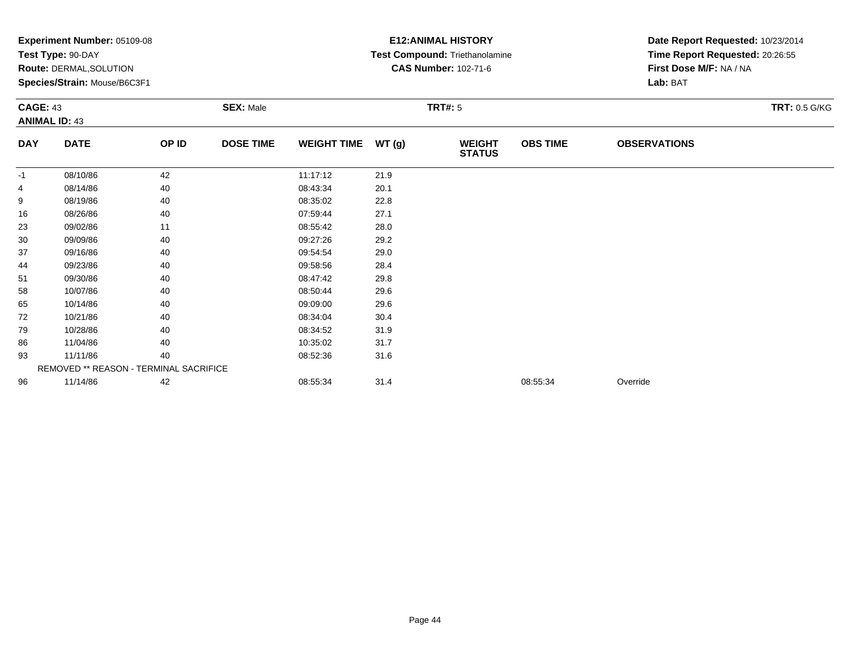|            | Experiment Number: 05109-08<br>Test Type: 90-DAY<br><b>Route: DERMAL, SOLUTION</b><br>Species/Strain: Mouse/B6C3F1<br><b>CAGE: 43</b><br><b>SEX: Male</b><br><b>ANIMAL ID: 43</b> |       |                  |                    |                | <b>E12: ANIMAL HISTORY</b><br>Test Compound: Triethanolamine<br><b>CAS Number: 102-71-6</b> | Date Report Requested: 10/23/2014<br>Time Report Requested: 20:26:55<br>First Dose M/F: NA / NA<br>Lab: BAT |                     |                      |
|------------|-----------------------------------------------------------------------------------------------------------------------------------------------------------------------------------|-------|------------------|--------------------|----------------|---------------------------------------------------------------------------------------------|-------------------------------------------------------------------------------------------------------------|---------------------|----------------------|
|            |                                                                                                                                                                                   |       |                  |                    | <b>TRT#: 5</b> |                                                                                             |                                                                                                             |                     | <b>TRT: 0.5 G/KG</b> |
| <b>DAY</b> | <b>DATE</b>                                                                                                                                                                       | OP ID | <b>DOSE TIME</b> | <b>WEIGHT TIME</b> | WT(g)          | <b>WEIGHT</b><br><b>STATUS</b>                                                              | <b>OBS TIME</b>                                                                                             | <b>OBSERVATIONS</b> |                      |
| $-1$       | 08/10/86                                                                                                                                                                          | 42    |                  | 11:17:12           | 21.9           |                                                                                             |                                                                                                             |                     |                      |
|            | 08/14/86                                                                                                                                                                          | 40    |                  | 08:43:34           | 20.1           |                                                                                             |                                                                                                             |                     |                      |
| 9          | 08/19/86                                                                                                                                                                          | 40    |                  | 08:35:02           | 22.8           |                                                                                             |                                                                                                             |                     |                      |
| 16         | 08/26/86                                                                                                                                                                          | 40    |                  | 07:59:44           | 27.1           |                                                                                             |                                                                                                             |                     |                      |
| 23         | 09/02/86                                                                                                                                                                          | 11    |                  | 08:55:42           | 28.0           |                                                                                             |                                                                                                             |                     |                      |
| 30         | 09/09/86                                                                                                                                                                          | 40    |                  | 09:27:26           | 29.2           |                                                                                             |                                                                                                             |                     |                      |
| 37         | 09/16/86                                                                                                                                                                          | 40    |                  | 09:54:54           | 29.0           |                                                                                             |                                                                                                             |                     |                      |
| 44         | 09/23/86                                                                                                                                                                          | 40    |                  | 09:58:56           | 28.4           |                                                                                             |                                                                                                             |                     |                      |
| 51         | 09/30/86                                                                                                                                                                          | 40    |                  | 08:47:42           | 29.8           |                                                                                             |                                                                                                             |                     |                      |
| 58         | 10/07/86                                                                                                                                                                          | 40    |                  | 08:50:44           | 29.6           |                                                                                             |                                                                                                             |                     |                      |
| 65         | 10/14/86                                                                                                                                                                          | 40    |                  | 09:09:00           | 29.6           |                                                                                             |                                                                                                             |                     |                      |
| 72         | 10/21/86                                                                                                                                                                          | 40    |                  | 08:34:04           | 30.4           |                                                                                             |                                                                                                             |                     |                      |
| 79         | 10/28/86                                                                                                                                                                          | 40    |                  | 08:34:52           | 31.9           |                                                                                             |                                                                                                             |                     |                      |
| 86         | 11/04/86                                                                                                                                                                          | 40    |                  | 10:35:02           | 31.7           |                                                                                             |                                                                                                             |                     |                      |
| 93         | 11/11/86                                                                                                                                                                          | 40    |                  | 08:52:36           | 31.6           |                                                                                             |                                                                                                             |                     |                      |
|            | REMOVED ** REASON - TERMINAL SACRIFICE                                                                                                                                            |       |                  |                    |                |                                                                                             |                                                                                                             |                     |                      |
| 96         | 11/14/86                                                                                                                                                                          | 42    |                  | 08:55:34           | 31.4           |                                                                                             | 08:55:34                                                                                                    | Override            |                      |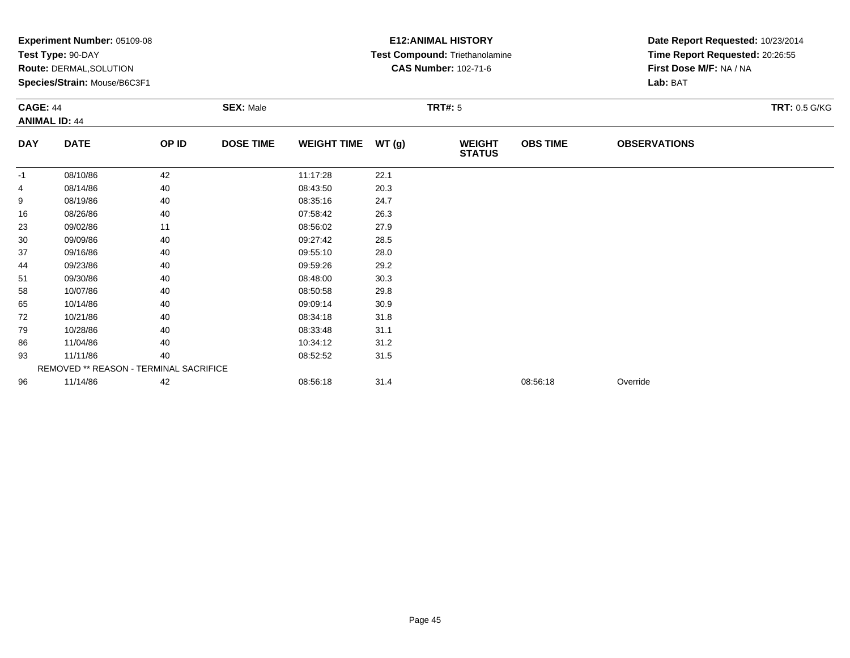|                 | Experiment Number: 05109-08<br>Test Type: 90-DAY<br>Route: DERMAL, SOLUTION<br>Species/Strain: Mouse/B6C3F1 |       |                  |                    |       | <b>E12: ANIMAL HISTORY</b><br>Test Compound: Triethanolamine<br><b>CAS Number: 102-71-6</b> | Date Report Requested: 10/23/2014<br>Time Report Requested: 20:26:55<br>First Dose M/F: NA / NA<br>Lab: BAT |                     |                      |
|-----------------|-------------------------------------------------------------------------------------------------------------|-------|------------------|--------------------|-------|---------------------------------------------------------------------------------------------|-------------------------------------------------------------------------------------------------------------|---------------------|----------------------|
| <b>CAGE: 44</b> | <b>ANIMAL ID: 44</b>                                                                                        |       | <b>SEX: Male</b> |                    |       | <b>TRT#: 5</b>                                                                              |                                                                                                             |                     | <b>TRT: 0.5 G/KG</b> |
| <b>DAY</b>      | <b>DATE</b>                                                                                                 | OP ID | <b>DOSE TIME</b> | <b>WEIGHT TIME</b> | WT(g) | <b>WEIGHT</b><br><b>STATUS</b>                                                              | <b>OBS TIME</b>                                                                                             | <b>OBSERVATIONS</b> |                      |
| $-1$            | 08/10/86                                                                                                    | 42    |                  | 11:17:28           | 22.1  |                                                                                             |                                                                                                             |                     |                      |
|                 | 08/14/86                                                                                                    | 40    |                  | 08:43:50           | 20.3  |                                                                                             |                                                                                                             |                     |                      |
| 9               | 08/19/86                                                                                                    | 40    |                  | 08:35:16           | 24.7  |                                                                                             |                                                                                                             |                     |                      |
| 16              | 08/26/86                                                                                                    | 40    |                  | 07:58:42           | 26.3  |                                                                                             |                                                                                                             |                     |                      |
| 23              | 09/02/86                                                                                                    | 11    |                  | 08:56:02           | 27.9  |                                                                                             |                                                                                                             |                     |                      |
| 30              | 09/09/86                                                                                                    | 40    |                  | 09:27:42           | 28.5  |                                                                                             |                                                                                                             |                     |                      |
| 37              | 09/16/86                                                                                                    | 40    |                  | 09:55:10           | 28.0  |                                                                                             |                                                                                                             |                     |                      |
| 44              | 09/23/86                                                                                                    | 40    |                  | 09:59:26           | 29.2  |                                                                                             |                                                                                                             |                     |                      |
| 51              | 09/30/86                                                                                                    | 40    |                  | 08:48:00           | 30.3  |                                                                                             |                                                                                                             |                     |                      |
| 58              | 10/07/86                                                                                                    | 40    |                  | 08:50:58           | 29.8  |                                                                                             |                                                                                                             |                     |                      |
| 65              | 10/14/86                                                                                                    | 40    |                  | 09:09:14           | 30.9  |                                                                                             |                                                                                                             |                     |                      |
| 72              | 10/21/86                                                                                                    | 40    |                  | 08:34:18           | 31.8  |                                                                                             |                                                                                                             |                     |                      |
| 79              | 10/28/86                                                                                                    | 40    |                  | 08:33:48           | 31.1  |                                                                                             |                                                                                                             |                     |                      |
| 86              | 11/04/86                                                                                                    | 40    |                  | 10:34:12           | 31.2  |                                                                                             |                                                                                                             |                     |                      |
| 93              | 11/11/86                                                                                                    | 40    |                  | 08:52:52           | 31.5  |                                                                                             |                                                                                                             |                     |                      |
|                 | REMOVED ** REASON - TERMINAL SACRIFICE                                                                      |       |                  |                    |       |                                                                                             |                                                                                                             |                     |                      |
| 96              | 11/14/86                                                                                                    | 42    |                  | 08:56:18           | 31.4  |                                                                                             | 08:56:18                                                                                                    | Override            |                      |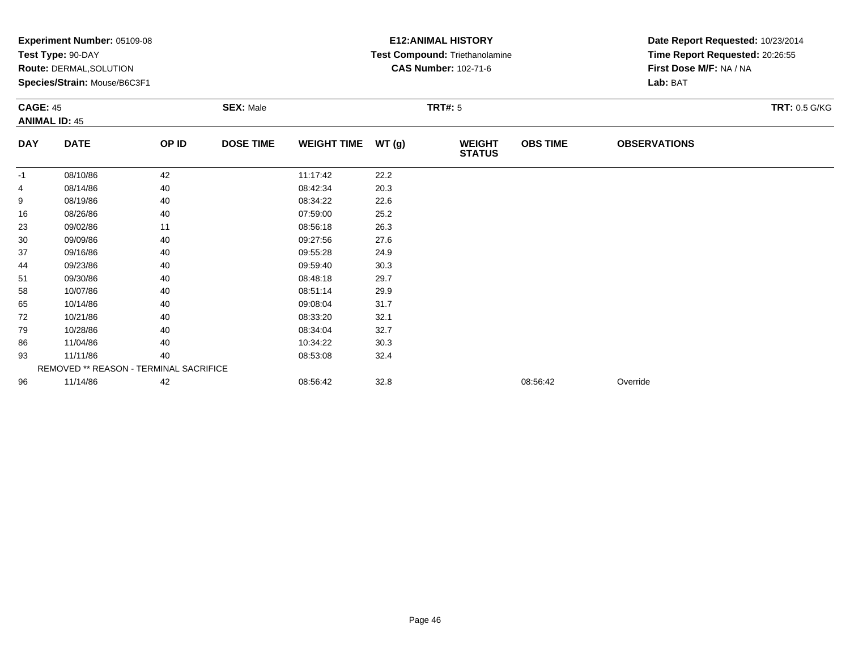|                 | Experiment Number: 05109-08<br>Test Type: 90-DAY<br>Route: DERMAL, SOLUTION<br>Species/Strain: Mouse/B6C3F1 |       |                  | <b>E12: ANIMAL HISTORY</b><br>Test Compound: Triethanolamine<br><b>CAS Number: 102-71-6</b> |       | Date Report Requested: 10/23/2014<br>Time Report Requested: 20:26:55<br>First Dose M/F: NA / NA<br>Lab: BAT |                 |                     |                      |
|-----------------|-------------------------------------------------------------------------------------------------------------|-------|------------------|---------------------------------------------------------------------------------------------|-------|-------------------------------------------------------------------------------------------------------------|-----------------|---------------------|----------------------|
| <b>CAGE: 45</b> | <b>ANIMAL ID: 45</b>                                                                                        |       | <b>SEX: Male</b> |                                                                                             |       | <b>TRT#: 5</b>                                                                                              |                 |                     | <b>TRT: 0.5 G/KG</b> |
| <b>DAY</b>      | <b>DATE</b>                                                                                                 | OP ID | <b>DOSE TIME</b> | <b>WEIGHT TIME</b>                                                                          | WT(g) | <b>WEIGHT</b><br><b>STATUS</b>                                                                              | <b>OBS TIME</b> | <b>OBSERVATIONS</b> |                      |
| -1              | 08/10/86                                                                                                    | 42    |                  | 11:17:42                                                                                    | 22.2  |                                                                                                             |                 |                     |                      |
| 4               | 08/14/86                                                                                                    | 40    |                  | 08:42:34                                                                                    | 20.3  |                                                                                                             |                 |                     |                      |
| 9               | 08/19/86                                                                                                    | 40    |                  | 08:34:22                                                                                    | 22.6  |                                                                                                             |                 |                     |                      |
| 16              | 08/26/86                                                                                                    | 40    |                  | 07:59:00                                                                                    | 25.2  |                                                                                                             |                 |                     |                      |
| 23              | 09/02/86                                                                                                    | 11    |                  | 08:56:18                                                                                    | 26.3  |                                                                                                             |                 |                     |                      |
| 30              | 09/09/86                                                                                                    | 40    |                  | 09:27:56                                                                                    | 27.6  |                                                                                                             |                 |                     |                      |
| 37              | 09/16/86                                                                                                    | 40    |                  | 09:55:28                                                                                    | 24.9  |                                                                                                             |                 |                     |                      |
| 44              | 09/23/86                                                                                                    | 40    |                  | 09:59:40                                                                                    | 30.3  |                                                                                                             |                 |                     |                      |
| 51              | 09/30/86                                                                                                    | 40    |                  | 08:48:18                                                                                    | 29.7  |                                                                                                             |                 |                     |                      |
| 58              | 10/07/86                                                                                                    | 40    |                  | 08:51:14                                                                                    | 29.9  |                                                                                                             |                 |                     |                      |
| 65              | 10/14/86                                                                                                    | 40    |                  | 09:08:04                                                                                    | 31.7  |                                                                                                             |                 |                     |                      |
| 72              | 10/21/86                                                                                                    | 40    |                  | 08:33:20                                                                                    | 32.1  |                                                                                                             |                 |                     |                      |
| 79              | 10/28/86                                                                                                    | 40    |                  | 08:34:04                                                                                    | 32.7  |                                                                                                             |                 |                     |                      |
| 86              | 11/04/86                                                                                                    | 40    |                  | 10:34:22                                                                                    | 30.3  |                                                                                                             |                 |                     |                      |
| 93              | 11/11/86                                                                                                    | 40    |                  | 08:53:08                                                                                    | 32.4  |                                                                                                             |                 |                     |                      |
|                 | REMOVED ** REASON - TERMINAL SACRIFICE                                                                      |       |                  |                                                                                             |       |                                                                                                             |                 |                     |                      |
| 96              | 11/14/86                                                                                                    | 42    |                  | 08:56:42                                                                                    | 32.8  |                                                                                                             | 08:56:42        | Override            |                      |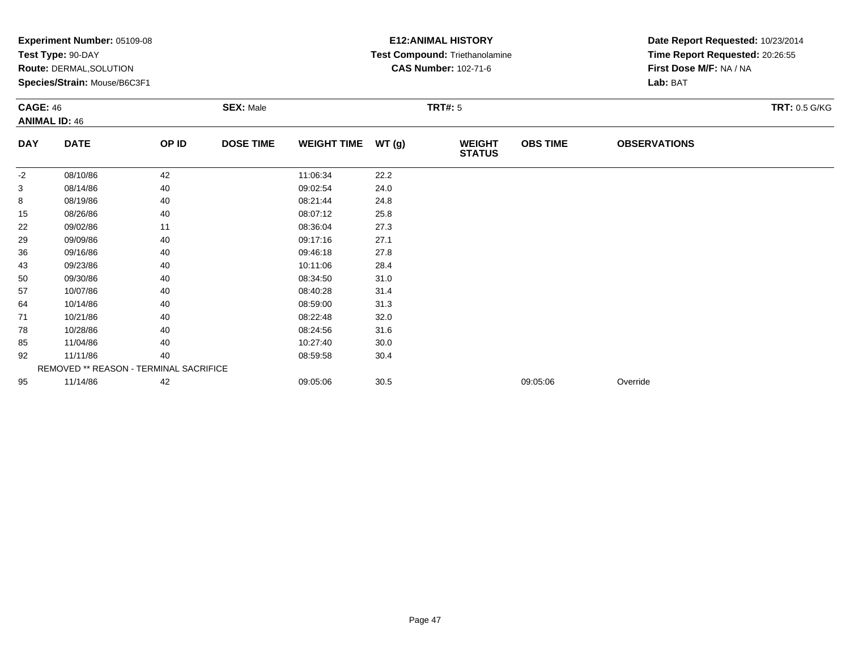|            | Experiment Number: 05109-08<br>Test Type: 90-DAY<br>Route: DERMAL, SOLUTION<br>Species/Strain: Mouse/B6C3F1<br><b>SEX: Male</b><br><b>CAGE: 46</b><br><b>ANIMAL ID: 46</b> |       |                  |                    |       | <b>E12: ANIMAL HISTORY</b><br>Test Compound: Triethanolamine<br><b>CAS Number: 102-71-6</b> | Date Report Requested: 10/23/2014<br>Time Report Requested: 20:26:55<br>First Dose M/F: NA / NA<br>Lab: BAT |                     |                      |
|------------|----------------------------------------------------------------------------------------------------------------------------------------------------------------------------|-------|------------------|--------------------|-------|---------------------------------------------------------------------------------------------|-------------------------------------------------------------------------------------------------------------|---------------------|----------------------|
|            |                                                                                                                                                                            |       |                  |                    |       | <b>TRT#: 5</b>                                                                              |                                                                                                             |                     | <b>TRT: 0.5 G/KG</b> |
| <b>DAY</b> | <b>DATE</b>                                                                                                                                                                | OP ID | <b>DOSE TIME</b> | <b>WEIGHT TIME</b> | WT(g) | <b>WEIGHT</b><br><b>STATUS</b>                                                              | <b>OBS TIME</b>                                                                                             | <b>OBSERVATIONS</b> |                      |
| -2         | 08/10/86                                                                                                                                                                   | 42    |                  | 11:06:34           | 22.2  |                                                                                             |                                                                                                             |                     |                      |
| 3          | 08/14/86                                                                                                                                                                   | 40    |                  | 09:02:54           | 24.0  |                                                                                             |                                                                                                             |                     |                      |
| 8          | 08/19/86                                                                                                                                                                   | 40    |                  | 08:21:44           | 24.8  |                                                                                             |                                                                                                             |                     |                      |
| 15         | 08/26/86                                                                                                                                                                   | 40    |                  | 08:07:12           | 25.8  |                                                                                             |                                                                                                             |                     |                      |
| 22         | 09/02/86                                                                                                                                                                   | 11    |                  | 08:36:04           | 27.3  |                                                                                             |                                                                                                             |                     |                      |
| 29         | 09/09/86                                                                                                                                                                   | 40    |                  | 09:17:16           | 27.1  |                                                                                             |                                                                                                             |                     |                      |
| 36         | 09/16/86                                                                                                                                                                   | 40    |                  | 09:46:18           | 27.8  |                                                                                             |                                                                                                             |                     |                      |
| 43         | 09/23/86                                                                                                                                                                   | 40    |                  | 10:11:06           | 28.4  |                                                                                             |                                                                                                             |                     |                      |
| 50         | 09/30/86                                                                                                                                                                   | 40    |                  | 08:34:50           | 31.0  |                                                                                             |                                                                                                             |                     |                      |
| 57         | 10/07/86                                                                                                                                                                   | 40    |                  | 08:40:28           | 31.4  |                                                                                             |                                                                                                             |                     |                      |
| 64         | 10/14/86                                                                                                                                                                   | 40    |                  | 08:59:00           | 31.3  |                                                                                             |                                                                                                             |                     |                      |
| 71         | 10/21/86                                                                                                                                                                   | 40    |                  | 08:22:48           | 32.0  |                                                                                             |                                                                                                             |                     |                      |
| 78         | 10/28/86                                                                                                                                                                   | 40    |                  | 08:24:56           | 31.6  |                                                                                             |                                                                                                             |                     |                      |
| 85         | 11/04/86                                                                                                                                                                   | 40    |                  | 10:27:40           | 30.0  |                                                                                             |                                                                                                             |                     |                      |
| 92         | 11/11/86                                                                                                                                                                   | 40    |                  | 08:59:58           | 30.4  |                                                                                             |                                                                                                             |                     |                      |
|            | REMOVED ** REASON - TERMINAL SACRIFICE                                                                                                                                     |       |                  |                    |       |                                                                                             |                                                                                                             |                     |                      |
| 95         | 11/14/86                                                                                                                                                                   | 42    |                  | 09:05:06           | 30.5  |                                                                                             | 09:05:06                                                                                                    | Override            |                      |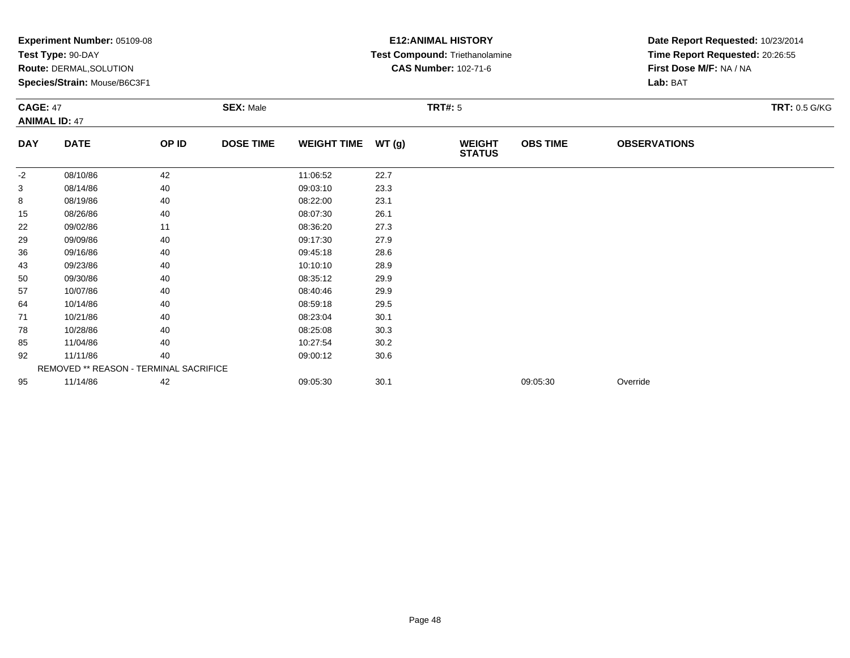|                 | Experiment Number: 05109-08<br>Test Type: 90-DAY<br>Route: DERMAL, SOLUTION<br>Species/Strain: Mouse/B6C3F1 |       |                  | <b>E12: ANIMAL HISTORY</b><br>Test Compound: Triethanolamine<br><b>CAS Number: 102-71-6</b> |       | Date Report Requested: 10/23/2014<br>Time Report Requested: 20:26:55<br>First Dose M/F: NA / NA<br>Lab: BAT |                 |                     |                      |
|-----------------|-------------------------------------------------------------------------------------------------------------|-------|------------------|---------------------------------------------------------------------------------------------|-------|-------------------------------------------------------------------------------------------------------------|-----------------|---------------------|----------------------|
| <b>CAGE: 47</b> | <b>ANIMAL ID: 47</b>                                                                                        |       | <b>SEX: Male</b> |                                                                                             |       | <b>TRT#: 5</b>                                                                                              |                 |                     | <b>TRT: 0.5 G/KG</b> |
| <b>DAY</b>      | <b>DATE</b>                                                                                                 | OP ID | <b>DOSE TIME</b> | <b>WEIGHT TIME</b>                                                                          | WT(g) | <b>WEIGHT</b><br><b>STATUS</b>                                                                              | <b>OBS TIME</b> | <b>OBSERVATIONS</b> |                      |
| -2              | 08/10/86                                                                                                    | 42    |                  | 11:06:52                                                                                    | 22.7  |                                                                                                             |                 |                     |                      |
| 3               | 08/14/86                                                                                                    | 40    |                  | 09:03:10                                                                                    | 23.3  |                                                                                                             |                 |                     |                      |
| 8               | 08/19/86                                                                                                    | 40    |                  | 08:22:00                                                                                    | 23.1  |                                                                                                             |                 |                     |                      |
| 15              | 08/26/86                                                                                                    | 40    |                  | 08:07:30                                                                                    | 26.1  |                                                                                                             |                 |                     |                      |
| 22              | 09/02/86                                                                                                    | 11    |                  | 08:36:20                                                                                    | 27.3  |                                                                                                             |                 |                     |                      |
| 29              | 09/09/86                                                                                                    | 40    |                  | 09:17:30                                                                                    | 27.9  |                                                                                                             |                 |                     |                      |
| 36              | 09/16/86                                                                                                    | 40    |                  | 09:45:18                                                                                    | 28.6  |                                                                                                             |                 |                     |                      |
| 43              | 09/23/86                                                                                                    | 40    |                  | 10:10:10                                                                                    | 28.9  |                                                                                                             |                 |                     |                      |
| 50              | 09/30/86                                                                                                    | 40    |                  | 08:35:12                                                                                    | 29.9  |                                                                                                             |                 |                     |                      |
| 57              | 10/07/86                                                                                                    | 40    |                  | 08:40:46                                                                                    | 29.9  |                                                                                                             |                 |                     |                      |
| 64              | 10/14/86                                                                                                    | 40    |                  | 08:59:18                                                                                    | 29.5  |                                                                                                             |                 |                     |                      |
| 71              | 10/21/86                                                                                                    | 40    |                  | 08:23:04                                                                                    | 30.1  |                                                                                                             |                 |                     |                      |
| 78              | 10/28/86                                                                                                    | 40    |                  | 08:25:08                                                                                    | 30.3  |                                                                                                             |                 |                     |                      |
| 85              | 11/04/86                                                                                                    | 40    |                  | 10:27:54                                                                                    | 30.2  |                                                                                                             |                 |                     |                      |
| 92              | 11/11/86                                                                                                    | 40    |                  | 09:00:12                                                                                    | 30.6  |                                                                                                             |                 |                     |                      |
|                 | REMOVED ** REASON - TERMINAL SACRIFICE                                                                      |       |                  |                                                                                             |       |                                                                                                             |                 |                     |                      |
| 95              | 11/14/86                                                                                                    | 42    |                  | 09:05:30                                                                                    | 30.1  |                                                                                                             | 09:05:30        | Override            |                      |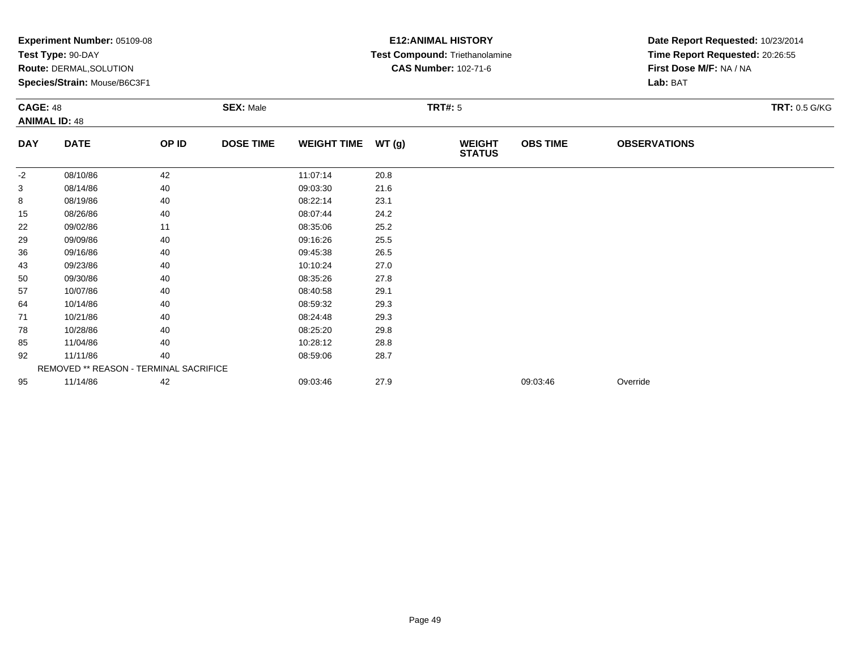|            | Experiment Number: 05109-08<br>Test Type: 90-DAY<br>Route: DERMAL, SOLUTION<br>Species/Strain: Mouse/B6C3F1<br><b>SEX: Male</b><br><b>CAGE: 48</b><br><b>ANIMAL ID: 48</b> |       |                  |                    |       | <b>E12: ANIMAL HISTORY</b><br>Test Compound: Triethanolamine<br><b>CAS Number: 102-71-6</b> | Date Report Requested: 10/23/2014<br>Time Report Requested: 20:26:55<br>First Dose M/F: NA / NA<br>Lab: BAT |                     |                      |
|------------|----------------------------------------------------------------------------------------------------------------------------------------------------------------------------|-------|------------------|--------------------|-------|---------------------------------------------------------------------------------------------|-------------------------------------------------------------------------------------------------------------|---------------------|----------------------|
|            |                                                                                                                                                                            |       |                  |                    |       | <b>TRT#: 5</b>                                                                              |                                                                                                             |                     | <b>TRT: 0.5 G/KG</b> |
| <b>DAY</b> | <b>DATE</b>                                                                                                                                                                | OP ID | <b>DOSE TIME</b> | <b>WEIGHT TIME</b> | WT(g) | <b>WEIGHT</b><br><b>STATUS</b>                                                              | <b>OBS TIME</b>                                                                                             | <b>OBSERVATIONS</b> |                      |
| -2         | 08/10/86                                                                                                                                                                   | 42    |                  | 11:07:14           | 20.8  |                                                                                             |                                                                                                             |                     |                      |
| 3          | 08/14/86                                                                                                                                                                   | 40    |                  | 09:03:30           | 21.6  |                                                                                             |                                                                                                             |                     |                      |
| 8          | 08/19/86                                                                                                                                                                   | 40    |                  | 08:22:14           | 23.1  |                                                                                             |                                                                                                             |                     |                      |
| 15         | 08/26/86                                                                                                                                                                   | 40    |                  | 08:07:44           | 24.2  |                                                                                             |                                                                                                             |                     |                      |
| 22         | 09/02/86                                                                                                                                                                   | 11    |                  | 08:35:06           | 25.2  |                                                                                             |                                                                                                             |                     |                      |
| 29         | 09/09/86                                                                                                                                                                   | 40    |                  | 09:16:26           | 25.5  |                                                                                             |                                                                                                             |                     |                      |
| 36         | 09/16/86                                                                                                                                                                   | 40    |                  | 09:45:38           | 26.5  |                                                                                             |                                                                                                             |                     |                      |
| 43         | 09/23/86                                                                                                                                                                   | 40    |                  | 10:10:24           | 27.0  |                                                                                             |                                                                                                             |                     |                      |
| 50         | 09/30/86                                                                                                                                                                   | 40    |                  | 08:35:26           | 27.8  |                                                                                             |                                                                                                             |                     |                      |
| 57         | 10/07/86                                                                                                                                                                   | 40    |                  | 08:40:58           | 29.1  |                                                                                             |                                                                                                             |                     |                      |
| 64         | 10/14/86                                                                                                                                                                   | 40    |                  | 08:59:32           | 29.3  |                                                                                             |                                                                                                             |                     |                      |
| 71         | 10/21/86                                                                                                                                                                   | 40    |                  | 08:24:48           | 29.3  |                                                                                             |                                                                                                             |                     |                      |
| 78         | 10/28/86                                                                                                                                                                   | 40    |                  | 08:25:20           | 29.8  |                                                                                             |                                                                                                             |                     |                      |
| 85         | 11/04/86                                                                                                                                                                   | 40    |                  | 10:28:12           | 28.8  |                                                                                             |                                                                                                             |                     |                      |
| 92         | 11/11/86                                                                                                                                                                   | 40    |                  | 08:59:06           | 28.7  |                                                                                             |                                                                                                             |                     |                      |
|            | REMOVED ** REASON - TERMINAL SACRIFICE                                                                                                                                     |       |                  |                    |       |                                                                                             |                                                                                                             |                     |                      |
| 95         | 11/14/86                                                                                                                                                                   | 42    |                  | 09:03:46           | 27.9  |                                                                                             | 09:03:46                                                                                                    | Override            |                      |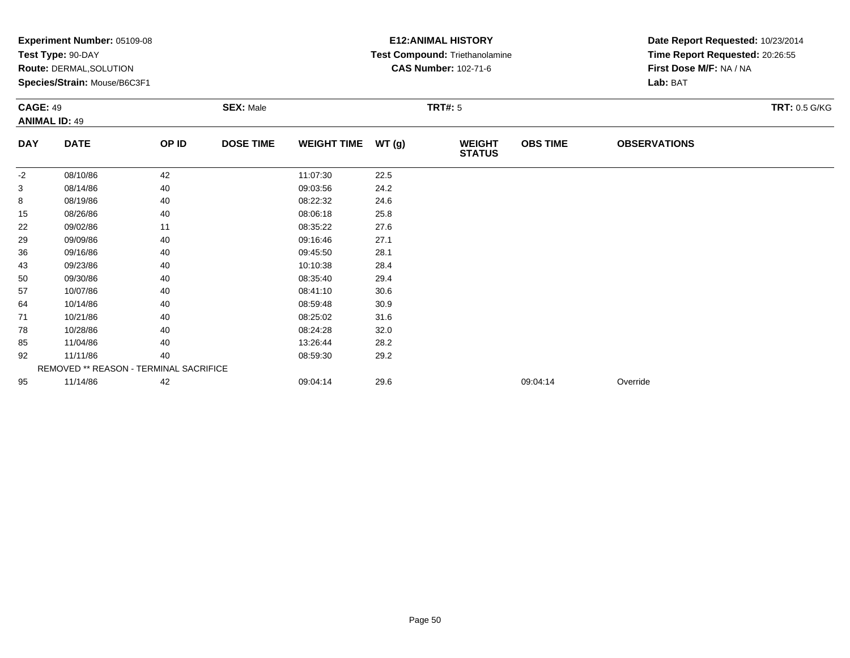|            | Experiment Number: 05109-08<br>Test Type: 90-DAY<br>Route: DERMAL, SOLUTION<br>Species/Strain: Mouse/B6C3F1<br><b>SEX: Male</b><br><b>CAGE: 49</b><br><b>ANIMAL ID: 49</b> |       |                  |                    |       | <b>E12: ANIMAL HISTORY</b><br>Test Compound: Triethanolamine<br><b>CAS Number: 102-71-6</b> | Date Report Requested: 10/23/2014<br>Time Report Requested: 20:26:55<br>First Dose M/F: NA / NA<br>Lab: BAT |                     |                      |
|------------|----------------------------------------------------------------------------------------------------------------------------------------------------------------------------|-------|------------------|--------------------|-------|---------------------------------------------------------------------------------------------|-------------------------------------------------------------------------------------------------------------|---------------------|----------------------|
|            |                                                                                                                                                                            |       |                  |                    |       | <b>TRT#: 5</b>                                                                              |                                                                                                             |                     | <b>TRT: 0.5 G/KG</b> |
| <b>DAY</b> | <b>DATE</b>                                                                                                                                                                | OP ID | <b>DOSE TIME</b> | <b>WEIGHT TIME</b> | WT(g) | <b>WEIGHT</b><br><b>STATUS</b>                                                              | <b>OBS TIME</b>                                                                                             | <b>OBSERVATIONS</b> |                      |
| -2         | 08/10/86                                                                                                                                                                   | 42    |                  | 11:07:30           | 22.5  |                                                                                             |                                                                                                             |                     |                      |
| 3          | 08/14/86                                                                                                                                                                   | 40    |                  | 09:03:56           | 24.2  |                                                                                             |                                                                                                             |                     |                      |
| 8          | 08/19/86                                                                                                                                                                   | 40    |                  | 08:22:32           | 24.6  |                                                                                             |                                                                                                             |                     |                      |
| 15         | 08/26/86                                                                                                                                                                   | 40    |                  | 08:06:18           | 25.8  |                                                                                             |                                                                                                             |                     |                      |
| 22         | 09/02/86                                                                                                                                                                   | 11    |                  | 08:35:22           | 27.6  |                                                                                             |                                                                                                             |                     |                      |
| 29         | 09/09/86                                                                                                                                                                   | 40    |                  | 09:16:46           | 27.1  |                                                                                             |                                                                                                             |                     |                      |
| 36         | 09/16/86                                                                                                                                                                   | 40    |                  | 09:45:50           | 28.1  |                                                                                             |                                                                                                             |                     |                      |
| 43         | 09/23/86                                                                                                                                                                   | 40    |                  | 10:10:38           | 28.4  |                                                                                             |                                                                                                             |                     |                      |
| 50         | 09/30/86                                                                                                                                                                   | 40    |                  | 08:35:40           | 29.4  |                                                                                             |                                                                                                             |                     |                      |
| 57         | 10/07/86                                                                                                                                                                   | 40    |                  | 08:41:10           | 30.6  |                                                                                             |                                                                                                             |                     |                      |
| 64         | 10/14/86                                                                                                                                                                   | 40    |                  | 08:59:48           | 30.9  |                                                                                             |                                                                                                             |                     |                      |
| 71         | 10/21/86                                                                                                                                                                   | 40    |                  | 08:25:02           | 31.6  |                                                                                             |                                                                                                             |                     |                      |
| 78         | 10/28/86                                                                                                                                                                   | 40    |                  | 08:24:28           | 32.0  |                                                                                             |                                                                                                             |                     |                      |
| 85         | 11/04/86                                                                                                                                                                   | 40    |                  | 13:26:44           | 28.2  |                                                                                             |                                                                                                             |                     |                      |
| 92         | 11/11/86                                                                                                                                                                   | 40    |                  | 08:59:30           | 29.2  |                                                                                             |                                                                                                             |                     |                      |
|            | REMOVED ** REASON - TERMINAL SACRIFICE                                                                                                                                     |       |                  |                    |       |                                                                                             |                                                                                                             |                     |                      |
| 95         | 11/14/86                                                                                                                                                                   | 42    |                  | 09:04:14           | 29.6  |                                                                                             | 09:04:14                                                                                                    | Override            |                      |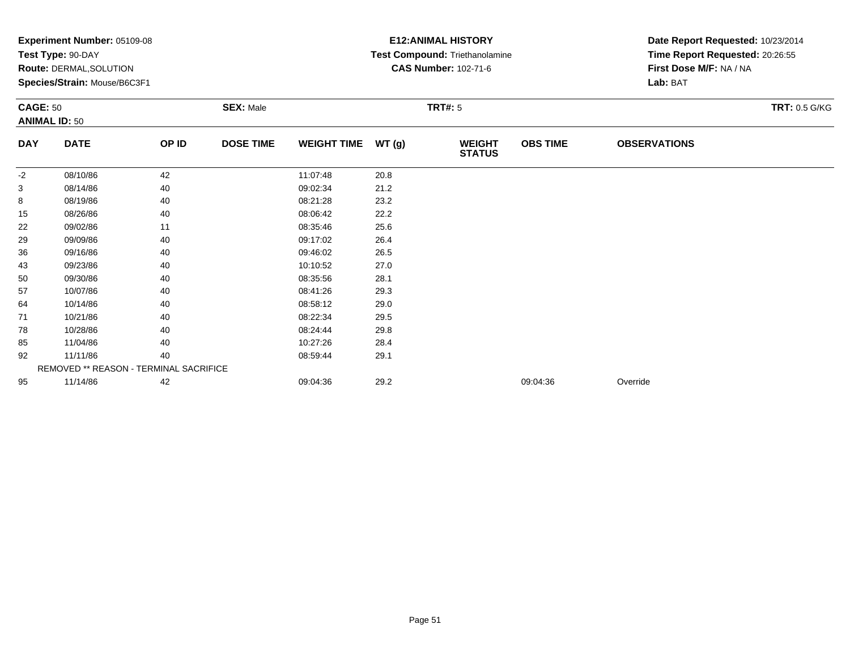|            | Experiment Number: 05109-08<br>Test Type: 90-DAY<br>Route: DERMAL, SOLUTION<br>Species/Strain: Mouse/B6C3F1<br><b>SEX: Male</b><br><b>CAGE: 50</b><br><b>ANIMAL ID: 50</b> |       |                  |                    |       | <b>E12: ANIMAL HISTORY</b><br>Test Compound: Triethanolamine<br><b>CAS Number: 102-71-6</b> | Date Report Requested: 10/23/2014<br>Time Report Requested: 20:26:55<br>First Dose M/F: NA / NA<br>Lab: BAT |                     |                      |
|------------|----------------------------------------------------------------------------------------------------------------------------------------------------------------------------|-------|------------------|--------------------|-------|---------------------------------------------------------------------------------------------|-------------------------------------------------------------------------------------------------------------|---------------------|----------------------|
|            |                                                                                                                                                                            |       |                  |                    |       | <b>TRT#: 5</b>                                                                              |                                                                                                             |                     | <b>TRT: 0.5 G/KG</b> |
| <b>DAY</b> | <b>DATE</b>                                                                                                                                                                | OP ID | <b>DOSE TIME</b> | <b>WEIGHT TIME</b> | WT(g) | <b>WEIGHT</b><br><b>STATUS</b>                                                              | <b>OBS TIME</b>                                                                                             | <b>OBSERVATIONS</b> |                      |
| -2         | 08/10/86                                                                                                                                                                   | 42    |                  | 11:07:48           | 20.8  |                                                                                             |                                                                                                             |                     |                      |
| 3          | 08/14/86                                                                                                                                                                   | 40    |                  | 09:02:34           | 21.2  |                                                                                             |                                                                                                             |                     |                      |
| 8          | 08/19/86                                                                                                                                                                   | 40    |                  | 08:21:28           | 23.2  |                                                                                             |                                                                                                             |                     |                      |
| 15         | 08/26/86                                                                                                                                                                   | 40    |                  | 08:06:42           | 22.2  |                                                                                             |                                                                                                             |                     |                      |
| 22         | 09/02/86                                                                                                                                                                   | 11    |                  | 08:35:46           | 25.6  |                                                                                             |                                                                                                             |                     |                      |
| 29         | 09/09/86                                                                                                                                                                   | 40    |                  | 09:17:02           | 26.4  |                                                                                             |                                                                                                             |                     |                      |
| 36         | 09/16/86                                                                                                                                                                   | 40    |                  | 09:46:02           | 26.5  |                                                                                             |                                                                                                             |                     |                      |
| 43         | 09/23/86                                                                                                                                                                   | 40    |                  | 10:10:52           | 27.0  |                                                                                             |                                                                                                             |                     |                      |
| 50         | 09/30/86                                                                                                                                                                   | 40    |                  | 08:35:56           | 28.1  |                                                                                             |                                                                                                             |                     |                      |
| 57         | 10/07/86                                                                                                                                                                   | 40    |                  | 08:41:26           | 29.3  |                                                                                             |                                                                                                             |                     |                      |
| 64         | 10/14/86                                                                                                                                                                   | 40    |                  | 08:58:12           | 29.0  |                                                                                             |                                                                                                             |                     |                      |
| 71         | 10/21/86                                                                                                                                                                   | 40    |                  | 08:22:34           | 29.5  |                                                                                             |                                                                                                             |                     |                      |
| 78         | 10/28/86                                                                                                                                                                   | 40    |                  | 08:24:44           | 29.8  |                                                                                             |                                                                                                             |                     |                      |
| 85         | 11/04/86                                                                                                                                                                   | 40    |                  | 10:27:26           | 28.4  |                                                                                             |                                                                                                             |                     |                      |
| 92         | 11/11/86                                                                                                                                                                   | 40    |                  | 08:59:44           | 29.1  |                                                                                             |                                                                                                             |                     |                      |
|            | REMOVED ** REASON - TERMINAL SACRIFICE                                                                                                                                     |       |                  |                    |       |                                                                                             |                                                                                                             |                     |                      |
| 95         | 11/14/86                                                                                                                                                                   | 42    |                  | 09:04:36           | 29.2  |                                                                                             | 09:04:36                                                                                                    | Override            |                      |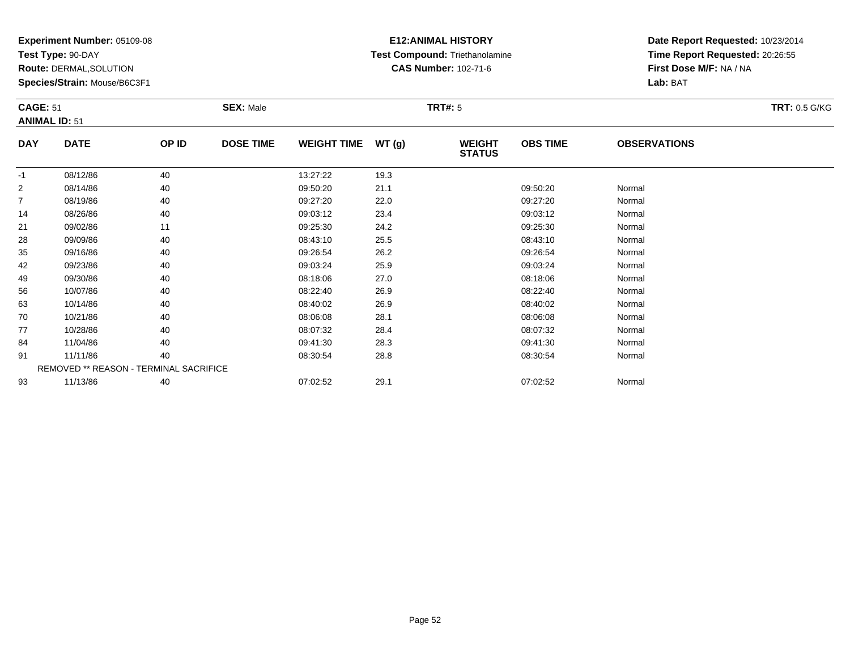**Test Type:** 90-DAY

**Route:** DERMAL,SOLUTION

**Species/Strain:** Mouse/B6C3F1

### **E12:ANIMAL HISTORY Test Compound:** Triethanolamine**CAS Number:** 102-71-6

| <b>CAGE: 51</b> | <b>ANIMAL ID: 51</b>                   |       | <b>SEX: Male</b> |                    |       | <b>TRT#: 5</b>                 |                 |                     | <b>TRT: 0.5 G/KG</b> |
|-----------------|----------------------------------------|-------|------------------|--------------------|-------|--------------------------------|-----------------|---------------------|----------------------|
| <b>DAY</b>      | <b>DATE</b>                            | OP ID | <b>DOSE TIME</b> | <b>WEIGHT TIME</b> | WT(g) | <b>WEIGHT</b><br><b>STATUS</b> | <b>OBS TIME</b> | <b>OBSERVATIONS</b> |                      |
| $-1$            | 08/12/86                               | 40    |                  | 13:27:22           | 19.3  |                                |                 |                     |                      |
| $\overline{2}$  | 08/14/86                               | 40    |                  | 09:50:20           | 21.1  |                                | 09:50:20        | Normal              |                      |
| $\overline{7}$  | 08/19/86                               | 40    |                  | 09:27:20           | 22.0  |                                | 09:27:20        | Normal              |                      |
| 14              | 08/26/86                               | 40    |                  | 09:03:12           | 23.4  |                                | 09:03:12        | Normal              |                      |
| 21              | 09/02/86                               | 11    |                  | 09:25:30           | 24.2  |                                | 09:25:30        | Normal              |                      |
| 28              | 09/09/86                               | 40    |                  | 08:43:10           | 25.5  |                                | 08:43:10        | Normal              |                      |
| 35              | 09/16/86                               | 40    |                  | 09:26:54           | 26.2  |                                | 09:26:54        | Normal              |                      |
| 42              | 09/23/86                               | 40    |                  | 09:03:24           | 25.9  |                                | 09:03:24        | Normal              |                      |
| 49              | 09/30/86                               | 40    |                  | 08:18:06           | 27.0  |                                | 08:18:06        | Normal              |                      |
| 56              | 10/07/86                               | 40    |                  | 08:22:40           | 26.9  |                                | 08:22:40        | Normal              |                      |
| 63              | 10/14/86                               | 40    |                  | 08:40:02           | 26.9  |                                | 08:40:02        | Normal              |                      |
| 70              | 10/21/86                               | 40    |                  | 08:06:08           | 28.1  |                                | 08:06:08        | Normal              |                      |
| 77              | 10/28/86                               | 40    |                  | 08:07:32           | 28.4  |                                | 08:07:32        | Normal              |                      |
| 84              | 11/04/86                               | 40    |                  | 09:41:30           | 28.3  |                                | 09:41:30        | Normal              |                      |
| 91              | 11/11/86                               | 40    |                  | 08:30:54           | 28.8  |                                | 08:30:54        | Normal              |                      |
|                 | REMOVED ** REASON - TERMINAL SACRIFICE |       |                  |                    |       |                                |                 |                     |                      |
| 93              | 11/13/86                               | 40    |                  | 07:02:52           | 29.1  |                                | 07:02:52        | Normal              |                      |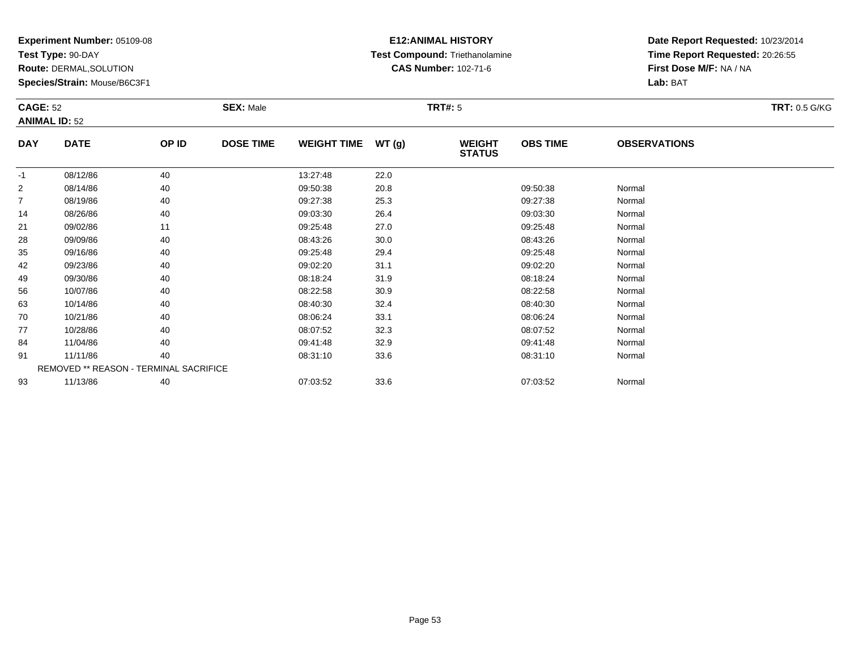**Test Type:** 90-DAY

**Route:** DERMAL,SOLUTION

**Species/Strain:** Mouse/B6C3F1

### **E12:ANIMAL HISTORY Test Compound:** Triethanolamine**CAS Number:** 102-71-6

**Date Report Requested:** 10/23/2014**Time Report Requested:** 20:26:55**First Dose M/F:** NA / NA**Lab:** BAT

| <b>CAGE: 52</b> | <b>ANIMAL ID: 52</b>                          |       | <b>SEX: Male</b> |                    |       | <b>TRT#: 5</b>                 |                 |                     | <b>TRT: 0.5 G/KG</b> |
|-----------------|-----------------------------------------------|-------|------------------|--------------------|-------|--------------------------------|-----------------|---------------------|----------------------|
| <b>DAY</b>      | <b>DATE</b>                                   | OP ID | <b>DOSE TIME</b> | <b>WEIGHT TIME</b> | WT(g) | <b>WEIGHT</b><br><b>STATUS</b> | <b>OBS TIME</b> | <b>OBSERVATIONS</b> |                      |
| -1              | 08/12/86                                      | 40    |                  | 13:27:48           | 22.0  |                                |                 |                     |                      |
| $\overline{2}$  | 08/14/86                                      | 40    |                  | 09:50:38           | 20.8  |                                | 09:50:38        | Normal              |                      |
| $\overline{7}$  | 08/19/86                                      | 40    |                  | 09:27:38           | 25.3  |                                | 09:27:38        | Normal              |                      |
| 14              | 08/26/86                                      | 40    |                  | 09:03:30           | 26.4  |                                | 09:03:30        | Normal              |                      |
| 21              | 09/02/86                                      | 11    |                  | 09:25:48           | 27.0  |                                | 09:25:48        | Normal              |                      |
| 28              | 09/09/86                                      | 40    |                  | 08:43:26           | 30.0  |                                | 08:43:26        | Normal              |                      |
| 35              | 09/16/86                                      | 40    |                  | 09:25:48           | 29.4  |                                | 09:25:48        | Normal              |                      |
| 42              | 09/23/86                                      | 40    |                  | 09:02:20           | 31.1  |                                | 09:02:20        | Normal              |                      |
| 49              | 09/30/86                                      | 40    |                  | 08:18:24           | 31.9  |                                | 08:18:24        | Normal              |                      |
| 56              | 10/07/86                                      | 40    |                  | 08:22:58           | 30.9  |                                | 08:22:58        | Normal              |                      |
| 63              | 10/14/86                                      | 40    |                  | 08:40:30           | 32.4  |                                | 08:40:30        | Normal              |                      |
| 70              | 10/21/86                                      | 40    |                  | 08:06:24           | 33.1  |                                | 08:06:24        | Normal              |                      |
| 77              | 10/28/86                                      | 40    |                  | 08:07:52           | 32.3  |                                | 08:07:52        | Normal              |                      |
| 84              | 11/04/86                                      | 40    |                  | 09:41:48           | 32.9  |                                | 09:41:48        | Normal              |                      |
| 91              | 11/11/86                                      | 40    |                  | 08:31:10           | 33.6  |                                | 08:31:10        | Normal              |                      |
|                 | <b>REMOVED ** REASON - TERMINAL SACRIFICE</b> |       |                  |                    |       |                                |                 |                     |                      |
| 93              | 11/13/86                                      | 40    |                  | 07:03:52           | 33.6  |                                | 07:03:52        | Normal              |                      |

3 11/13/86 40 40 07:03:52 33.6 07:03:52 07:03:52 Normal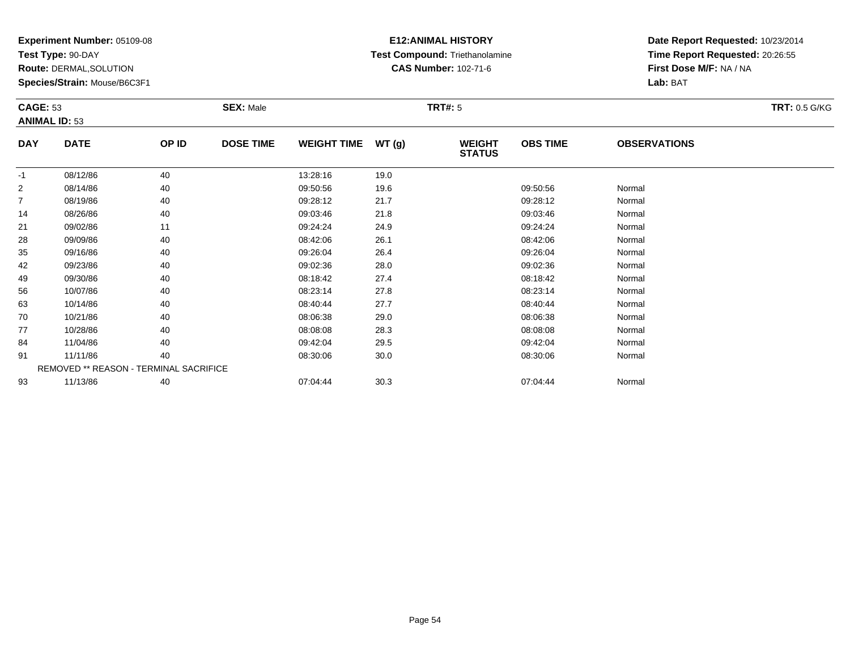**Test Type:** 90-DAY

**Route:** DERMAL,SOLUTION

**Species/Strain:** Mouse/B6C3F1

### **E12:ANIMAL HISTORY Test Compound:** Triethanolamine**CAS Number:** 102-71-6

|                | <b>CAGE: 53</b><br><b>ANIMAL ID: 53</b> |       | <b>SEX: Male</b> |                    |       |                                | <b>TRT#: 5</b>  |                     |  |  |
|----------------|-----------------------------------------|-------|------------------|--------------------|-------|--------------------------------|-----------------|---------------------|--|--|
|                |                                         |       |                  |                    |       |                                |                 |                     |  |  |
| <b>DAY</b>     | <b>DATE</b>                             | OP ID | <b>DOSE TIME</b> | <b>WEIGHT TIME</b> | WT(g) | <b>WEIGHT</b><br><b>STATUS</b> | <b>OBS TIME</b> | <b>OBSERVATIONS</b> |  |  |
| $-1$           | 08/12/86                                | 40    |                  | 13:28:16           | 19.0  |                                |                 |                     |  |  |
| $\overline{2}$ | 08/14/86                                | 40    |                  | 09:50:56           | 19.6  |                                | 09:50:56        | Normal              |  |  |
| $\overline{7}$ | 08/19/86                                | 40    |                  | 09:28:12           | 21.7  |                                | 09:28:12        | Normal              |  |  |
| 14             | 08/26/86                                | 40    |                  | 09:03:46           | 21.8  |                                | 09:03:46        | Normal              |  |  |
| 21             | 09/02/86                                | 11    |                  | 09:24:24           | 24.9  |                                | 09:24:24        | Normal              |  |  |
| 28             | 09/09/86                                | 40    |                  | 08:42:06           | 26.1  |                                | 08:42:06        | Normal              |  |  |
| 35             | 09/16/86                                | 40    |                  | 09:26:04           | 26.4  |                                | 09:26:04        | Normal              |  |  |
| 42             | 09/23/86                                | 40    |                  | 09:02:36           | 28.0  |                                | 09:02:36        | Normal              |  |  |
| 49             | 09/30/86                                | 40    |                  | 08:18:42           | 27.4  |                                | 08:18:42        | Normal              |  |  |
| 56             | 10/07/86                                | 40    |                  | 08:23:14           | 27.8  |                                | 08:23:14        | Normal              |  |  |
| 63             | 10/14/86                                | 40    |                  | 08:40:44           | 27.7  |                                | 08:40:44        | Normal              |  |  |
| 70             | 10/21/86                                | 40    |                  | 08:06:38           | 29.0  |                                | 08:06:38        | Normal              |  |  |
| 77             | 10/28/86                                | 40    |                  | 08:08:08           | 28.3  |                                | 08:08:08        | Normal              |  |  |
| 84             | 11/04/86                                | 40    |                  | 09:42:04           | 29.5  |                                | 09:42:04        | Normal              |  |  |
| 91             | 11/11/86                                | 40    |                  | 08:30:06           | 30.0  |                                | 08:30:06        | Normal              |  |  |
|                | REMOVED ** REASON - TERMINAL SACRIFICE  |       |                  |                    |       |                                |                 |                     |  |  |
| 93             | 11/13/86                                | 40    |                  | 07:04:44           | 30.3  |                                | 07:04:44        | Normal              |  |  |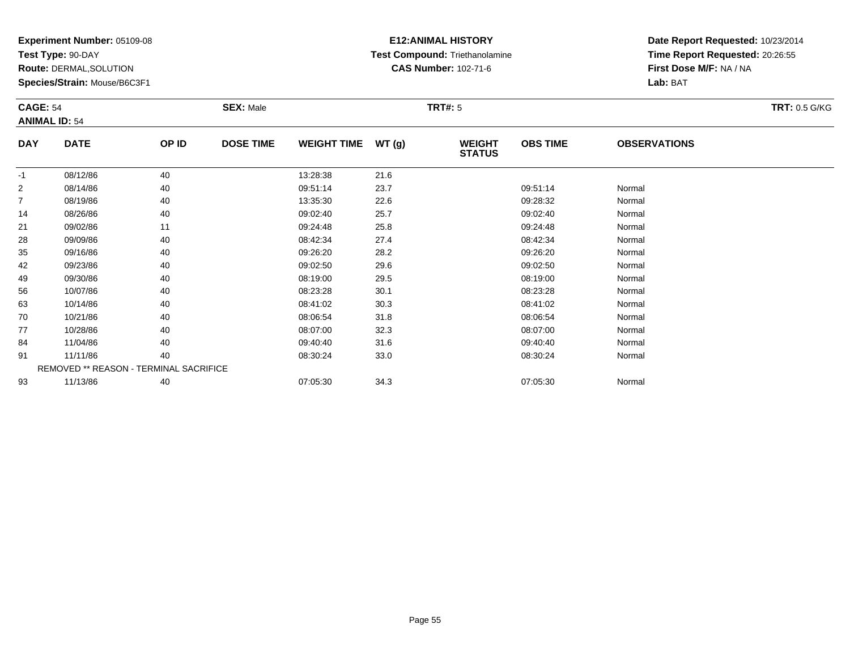**Test Type:** 90-DAY

**Route:** DERMAL,SOLUTION

**Species/Strain:** Mouse/B6C3F1

# **E12:ANIMAL HISTORY Test Compound:** Triethanolamine**CAS Number:** 102-71-6

| <b>CAGE: 54</b> | <b>ANIMAL ID: 54</b>                   |       | <b>SEX: Male</b> |                    |       | <b>TRT#: 5</b>                 |                 |                     | <b>TRT: 0.5 G/KG</b> |
|-----------------|----------------------------------------|-------|------------------|--------------------|-------|--------------------------------|-----------------|---------------------|----------------------|
| <b>DAY</b>      | <b>DATE</b>                            | OP ID | <b>DOSE TIME</b> | <b>WEIGHT TIME</b> | WT(g) | <b>WEIGHT</b><br><b>STATUS</b> | <b>OBS TIME</b> | <b>OBSERVATIONS</b> |                      |
| $-1$            | 08/12/86                               | 40    |                  | 13:28:38           | 21.6  |                                |                 |                     |                      |
| 2               | 08/14/86                               | 40    |                  | 09:51:14           | 23.7  |                                | 09:51:14        | Normal              |                      |
| $\overline{7}$  | 08/19/86                               | 40    |                  | 13:35:30           | 22.6  |                                | 09:28:32        | Normal              |                      |
| 14              | 08/26/86                               | 40    |                  | 09:02:40           | 25.7  |                                | 09:02:40        | Normal              |                      |
| 21              | 09/02/86                               | 11    |                  | 09:24:48           | 25.8  |                                | 09:24:48        | Normal              |                      |
| 28              | 09/09/86                               | 40    |                  | 08:42:34           | 27.4  |                                | 08:42:34        | Normal              |                      |
| 35              | 09/16/86                               | 40    |                  | 09:26:20           | 28.2  |                                | 09:26:20        | Normal              |                      |
| 42              | 09/23/86                               | 40    |                  | 09:02:50           | 29.6  |                                | 09:02:50        | Normal              |                      |
| 49              | 09/30/86                               | 40    |                  | 08:19:00           | 29.5  |                                | 08:19:00        | Normal              |                      |
| 56              | 10/07/86                               | 40    |                  | 08:23:28           | 30.1  |                                | 08:23:28        | Normal              |                      |
| 63              | 10/14/86                               | 40    |                  | 08:41:02           | 30.3  |                                | 08:41:02        | Normal              |                      |
| 70              | 10/21/86                               | 40    |                  | 08:06:54           | 31.8  |                                | 08:06:54        | Normal              |                      |
| 77              | 10/28/86                               | 40    |                  | 08:07:00           | 32.3  |                                | 08:07:00        | Normal              |                      |
| 84              | 11/04/86                               | 40    |                  | 09:40:40           | 31.6  |                                | 09:40:40        | Normal              |                      |
| 91              | 11/11/86                               | 40    |                  | 08:30:24           | 33.0  |                                | 08:30:24        | Normal              |                      |
|                 | REMOVED ** REASON - TERMINAL SACRIFICE |       |                  |                    |       |                                |                 |                     |                      |
| 93              | 11/13/86                               | 40    |                  | 07:05:30           | 34.3  |                                | 07:05:30        | Normal              |                      |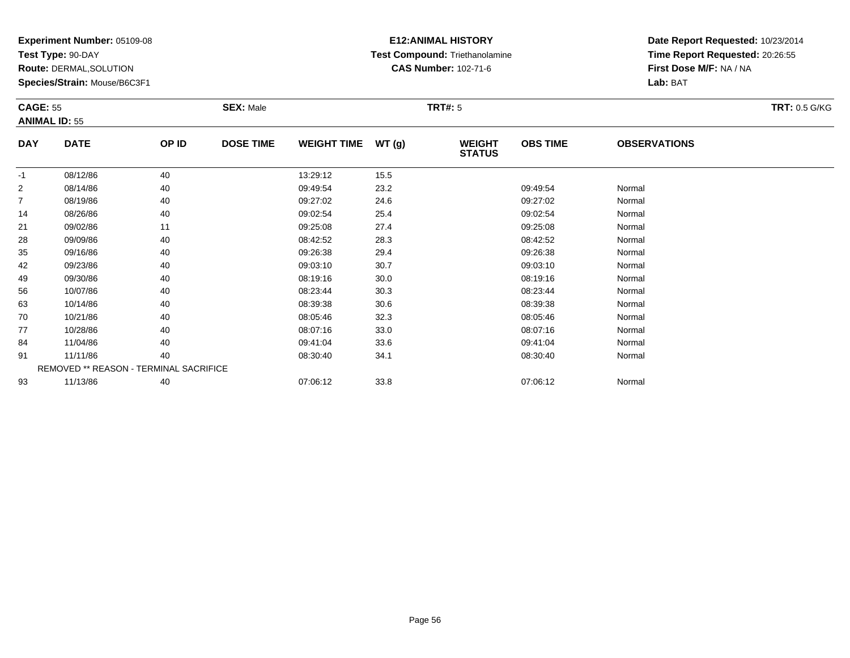**Test Type:** 90-DAY

**Route:** DERMAL,SOLUTION

**Species/Strain:** Mouse/B6C3F1

### **E12:ANIMAL HISTORY Test Compound:** Triethanolamine**CAS Number:** 102-71-6

| <b>CAGE: 55</b> | <b>ANIMAL ID: 55</b>                   |       | <b>SEX: Male</b> |                    |       | <b>TRT#: 5</b>                 |                 |                     | <b>TRT: 0.5 G/KG</b> |
|-----------------|----------------------------------------|-------|------------------|--------------------|-------|--------------------------------|-----------------|---------------------|----------------------|
| <b>DAY</b>      | <b>DATE</b>                            | OP ID | <b>DOSE TIME</b> | <b>WEIGHT TIME</b> | WT(g) | <b>WEIGHT</b><br><b>STATUS</b> | <b>OBS TIME</b> | <b>OBSERVATIONS</b> |                      |
| $-1$            | 08/12/86                               | 40    |                  | 13:29:12           | 15.5  |                                |                 |                     |                      |
| $\overline{2}$  | 08/14/86                               | 40    |                  | 09:49:54           | 23.2  |                                | 09:49:54        | Normal              |                      |
| $\overline{7}$  | 08/19/86                               | 40    |                  | 09:27:02           | 24.6  |                                | 09:27:02        | Normal              |                      |
| 14              | 08/26/86                               | 40    |                  | 09:02:54           | 25.4  |                                | 09:02:54        | Normal              |                      |
| 21              | 09/02/86                               | 11    |                  | 09:25:08           | 27.4  |                                | 09:25:08        | Normal              |                      |
| 28              | 09/09/86                               | 40    |                  | 08:42:52           | 28.3  |                                | 08:42:52        | Normal              |                      |
| 35              | 09/16/86                               | 40    |                  | 09:26:38           | 29.4  |                                | 09:26:38        | Normal              |                      |
| 42              | 09/23/86                               | 40    |                  | 09:03:10           | 30.7  |                                | 09:03:10        | Normal              |                      |
| 49              | 09/30/86                               | 40    |                  | 08:19:16           | 30.0  |                                | 08:19:16        | Normal              |                      |
| 56              | 10/07/86                               | 40    |                  | 08:23:44           | 30.3  |                                | 08:23:44        | Normal              |                      |
| 63              | 10/14/86                               | 40    |                  | 08:39:38           | 30.6  |                                | 08:39:38        | Normal              |                      |
| 70              | 10/21/86                               | 40    |                  | 08:05:46           | 32.3  |                                | 08:05:46        | Normal              |                      |
| 77              | 10/28/86                               | 40    |                  | 08:07:16           | 33.0  |                                | 08:07:16        | Normal              |                      |
| 84              | 11/04/86                               | 40    |                  | 09:41:04           | 33.6  |                                | 09:41:04        | Normal              |                      |
| 91              | 11/11/86                               | 40    |                  | 08:30:40           | 34.1  |                                | 08:30:40        | Normal              |                      |
|                 | REMOVED ** REASON - TERMINAL SACRIFICE |       |                  |                    |       |                                |                 |                     |                      |
| 93              | 11/13/86                               | 40    |                  | 07:06:12           | 33.8  |                                | 07:06:12        | Normal              |                      |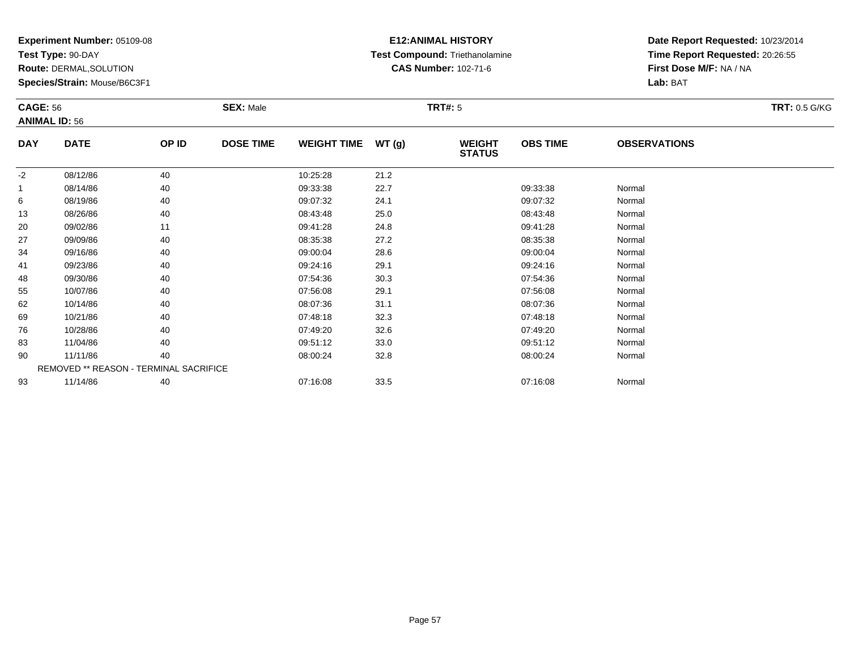**Test Type:** 90-DAY

**Route:** DERMAL,SOLUTION

**Species/Strain:** Mouse/B6C3F1

### **E12:ANIMAL HISTORY Test Compound:** Triethanolamine**CAS Number:** 102-71-6

| <b>CAGE: 56</b> |                                        |       | <b>SEX: Male</b> |                    |       | <b>TRT#: 5</b>                 |                 |                     | <b>TRT: 0.5 G/KG</b> |
|-----------------|----------------------------------------|-------|------------------|--------------------|-------|--------------------------------|-----------------|---------------------|----------------------|
|                 | <b>ANIMAL ID: 56</b>                   |       |                  |                    |       |                                |                 |                     |                      |
| <b>DAY</b>      | <b>DATE</b>                            | OP ID | <b>DOSE TIME</b> | <b>WEIGHT TIME</b> | WT(g) | <b>WEIGHT</b><br><b>STATUS</b> | <b>OBS TIME</b> | <b>OBSERVATIONS</b> |                      |
| $-2$            | 08/12/86                               | 40    |                  | 10:25:28           | 21.2  |                                |                 |                     |                      |
| $\mathbf{1}$    | 08/14/86                               | 40    |                  | 09:33:38           | 22.7  |                                | 09:33:38        | Normal              |                      |
| 6               | 08/19/86                               | 40    |                  | 09:07:32           | 24.1  |                                | 09:07:32        | Normal              |                      |
| 13              | 08/26/86                               | 40    |                  | 08:43:48           | 25.0  |                                | 08:43:48        | Normal              |                      |
| 20              | 09/02/86                               | 11    |                  | 09:41:28           | 24.8  |                                | 09:41:28        | Normal              |                      |
| 27              | 09/09/86                               | 40    |                  | 08:35:38           | 27.2  |                                | 08:35:38        | Normal              |                      |
| 34              | 09/16/86                               | 40    |                  | 09:00:04           | 28.6  |                                | 09:00:04        | Normal              |                      |
| 41              | 09/23/86                               | 40    |                  | 09:24:16           | 29.1  |                                | 09:24:16        | Normal              |                      |
| 48              | 09/30/86                               | 40    |                  | 07:54:36           | 30.3  |                                | 07:54:36        | Normal              |                      |
| 55              | 10/07/86                               | 40    |                  | 07:56:08           | 29.1  |                                | 07:56:08        | Normal              |                      |
| 62              | 10/14/86                               | 40    |                  | 08:07:36           | 31.1  |                                | 08:07:36        | Normal              |                      |
| 69              | 10/21/86                               | 40    |                  | 07:48:18           | 32.3  |                                | 07:48:18        | Normal              |                      |
| 76              | 10/28/86                               | 40    |                  | 07:49:20           | 32.6  |                                | 07:49:20        | Normal              |                      |
| 83              | 11/04/86                               | 40    |                  | 09:51:12           | 33.0  |                                | 09:51:12        | Normal              |                      |
| 90              | 11/11/86                               | 40    |                  | 08:00:24           | 32.8  |                                | 08:00:24        | Normal              |                      |
|                 | REMOVED ** REASON - TERMINAL SACRIFICE |       |                  |                    |       |                                |                 |                     |                      |
| 93              | 11/14/86                               | 40    |                  | 07:16:08           | 33.5  |                                | 07:16:08        | Normal              |                      |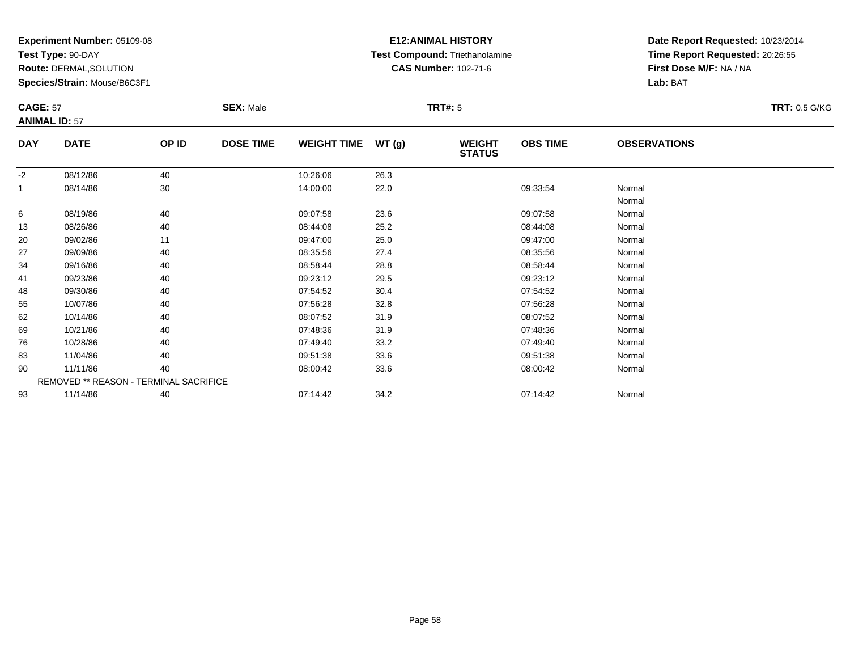**Test Type:** 90-DAY

**Route:** DERMAL,SOLUTION

**Species/Strain:** Mouse/B6C3F1

### **E12:ANIMAL HISTORY Test Compound:** Triethanolamine**CAS Number:** 102-71-6

| <b>CAGE: 57</b> | <b>ANIMAL ID: 57</b>                   |       | <b>SEX: Male</b> |                    |       | <b>TRT#: 5</b>                 |                 |                     | <b>TRT: 0.5 G/KG</b> |
|-----------------|----------------------------------------|-------|------------------|--------------------|-------|--------------------------------|-----------------|---------------------|----------------------|
| <b>DAY</b>      | <b>DATE</b>                            | OP ID | <b>DOSE TIME</b> | <b>WEIGHT TIME</b> | WT(g) | <b>WEIGHT</b><br><b>STATUS</b> | <b>OBS TIME</b> | <b>OBSERVATIONS</b> |                      |
| $-2$            | 08/12/86                               | 40    |                  | 10:26:06           | 26.3  |                                |                 |                     |                      |
| 1               | 08/14/86                               | 30    |                  | 14:00:00           | 22.0  |                                | 09:33:54        | Normal              |                      |
|                 |                                        |       |                  |                    |       |                                |                 | Normal              |                      |
| 6               | 08/19/86                               | 40    |                  | 09:07:58           | 23.6  |                                | 09:07:58        | Normal              |                      |
| 13              | 08/26/86                               | 40    |                  | 08:44:08           | 25.2  |                                | 08:44:08        | Normal              |                      |
| 20              | 09/02/86                               | 11    |                  | 09:47:00           | 25.0  |                                | 09:47:00        | Normal              |                      |
| 27              | 09/09/86                               | 40    |                  | 08:35:56           | 27.4  |                                | 08:35:56        | Normal              |                      |
| 34              | 09/16/86                               | 40    |                  | 08:58:44           | 28.8  |                                | 08:58:44        | Normal              |                      |
| 41              | 09/23/86                               | 40    |                  | 09:23:12           | 29.5  |                                | 09:23:12        | Normal              |                      |
| 48              | 09/30/86                               | 40    |                  | 07:54:52           | 30.4  |                                | 07:54:52        | Normal              |                      |
| 55              | 10/07/86                               | 40    |                  | 07:56:28           | 32.8  |                                | 07:56:28        | Normal              |                      |
| 62              | 10/14/86                               | 40    |                  | 08:07:52           | 31.9  |                                | 08:07:52        | Normal              |                      |
| 69              | 10/21/86                               | 40    |                  | 07:48:36           | 31.9  |                                | 07:48:36        | Normal              |                      |
| 76              | 10/28/86                               | 40    |                  | 07:49:40           | 33.2  |                                | 07:49:40        | Normal              |                      |
| 83              | 11/04/86                               | 40    |                  | 09:51:38           | 33.6  |                                | 09:51:38        | Normal              |                      |
| 90              | 11/11/86                               | 40    |                  | 08:00:42           | 33.6  |                                | 08:00:42        | Normal              |                      |
|                 | REMOVED ** REASON - TERMINAL SACRIFICE |       |                  |                    |       |                                |                 |                     |                      |
| 93              | 11/14/86                               | 40    |                  | 07:14:42           | 34.2  |                                | 07:14:42        | Normal              |                      |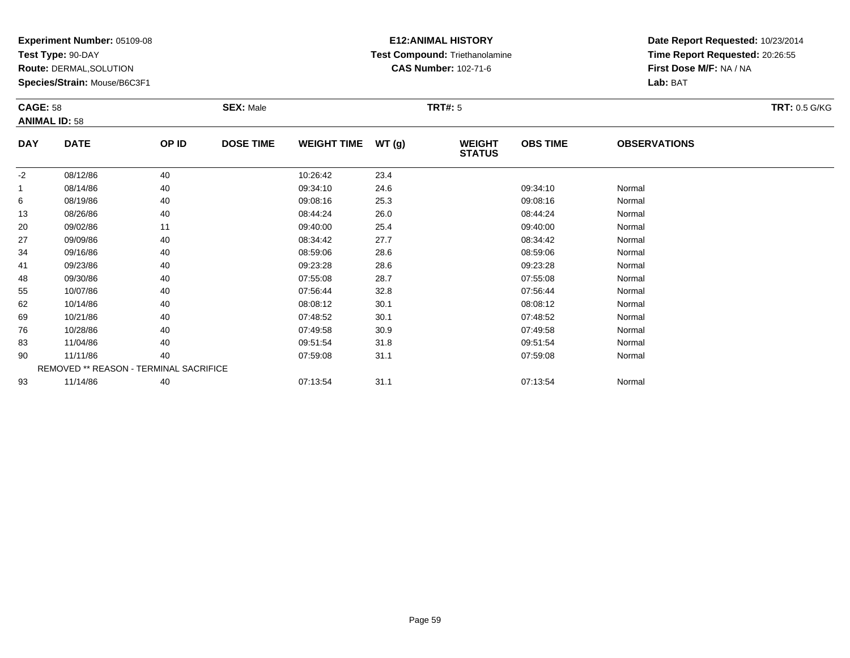**Test Type:** 90-DAY

**Route:** DERMAL,SOLUTION

**Species/Strain:** Mouse/B6C3F1

# **E12:ANIMAL HISTORY Test Compound:** Triethanolamine**CAS Number:** 102-71-6

| <b>CAGE: 58</b> |                                        |       | <b>SEX: Male</b> |                    |       | <b>TRT#: 5</b>                 |                 |                     | <b>TRT: 0.5 G/KG</b> |
|-----------------|----------------------------------------|-------|------------------|--------------------|-------|--------------------------------|-----------------|---------------------|----------------------|
|                 | <b>ANIMAL ID: 58</b>                   |       |                  |                    |       |                                |                 |                     |                      |
| <b>DAY</b>      | <b>DATE</b>                            | OP ID | <b>DOSE TIME</b> | <b>WEIGHT TIME</b> | WT(g) | <b>WEIGHT</b><br><b>STATUS</b> | <b>OBS TIME</b> | <b>OBSERVATIONS</b> |                      |
| $-2$            | 08/12/86                               | 40    |                  | 10:26:42           | 23.4  |                                |                 |                     |                      |
|                 | 08/14/86                               | 40    |                  | 09:34:10           | 24.6  |                                | 09:34:10        | Normal              |                      |
| 6               | 08/19/86                               | 40    |                  | 09:08:16           | 25.3  |                                | 09:08:16        | Normal              |                      |
| 13              | 08/26/86                               | 40    |                  | 08:44:24           | 26.0  |                                | 08:44:24        | Normal              |                      |
| 20              | 09/02/86                               | 11    |                  | 09:40:00           | 25.4  |                                | 09:40:00        | Normal              |                      |
| 27              | 09/09/86                               | 40    |                  | 08:34:42           | 27.7  |                                | 08:34:42        | Normal              |                      |
| 34              | 09/16/86                               | 40    |                  | 08:59:06           | 28.6  |                                | 08:59:06        | Normal              |                      |
| 41              | 09/23/86                               | 40    |                  | 09:23:28           | 28.6  |                                | 09:23:28        | Normal              |                      |
| 48              | 09/30/86                               | 40    |                  | 07:55:08           | 28.7  |                                | 07:55:08        | Normal              |                      |
| 55              | 10/07/86                               | 40    |                  | 07:56:44           | 32.8  |                                | 07:56:44        | Normal              |                      |
| 62              | 10/14/86                               | 40    |                  | 08:08:12           | 30.1  |                                | 08:08:12        | Normal              |                      |
| 69              | 10/21/86                               | 40    |                  | 07:48:52           | 30.1  |                                | 07:48:52        | Normal              |                      |
| 76              | 10/28/86                               | 40    |                  | 07:49:58           | 30.9  |                                | 07:49:58        | Normal              |                      |
| 83              | 11/04/86                               | 40    |                  | 09:51:54           | 31.8  |                                | 09:51:54        | Normal              |                      |
| 90              | 11/11/86                               | 40    |                  | 07:59:08           | 31.1  |                                | 07:59:08        | Normal              |                      |
|                 | REMOVED ** REASON - TERMINAL SACRIFICE |       |                  |                    |       |                                |                 |                     |                      |
| 93              | 11/14/86                               | 40    |                  | 07:13:54           | 31.1  |                                | 07:13:54        | Normal              |                      |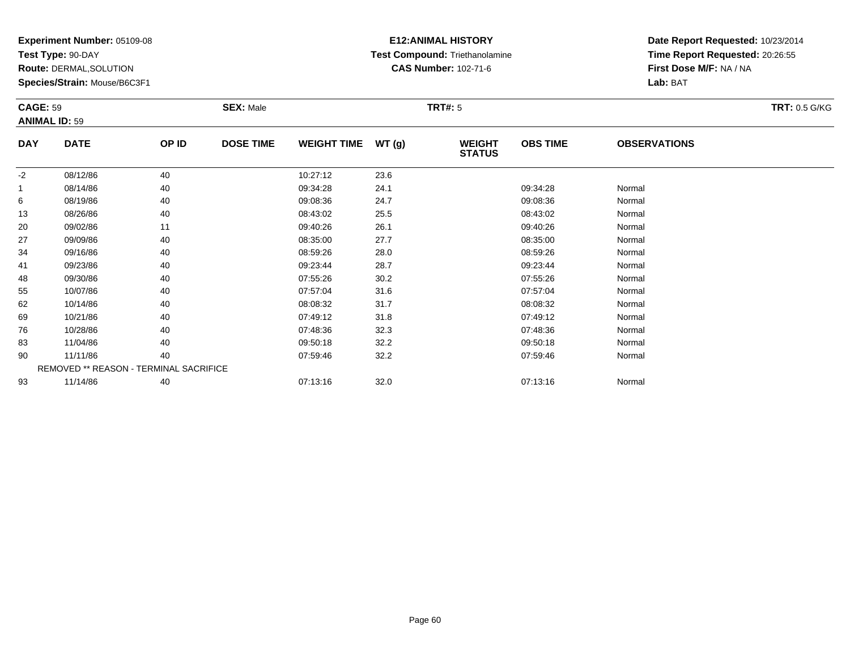**Test Type:** 90-DAY

**Route:** DERMAL,SOLUTION

**Species/Strain:** Mouse/B6C3F1

### **E12:ANIMAL HISTORY Test Compound:** Triethanolamine**CAS Number:** 102-71-6

| <b>CAGE: 59</b> |                                        |       | <b>SEX: Male</b> |                    |       | <b>TRT#: 5</b>                 |                 |                     | <b>TRT: 0.5 G/KG</b> |
|-----------------|----------------------------------------|-------|------------------|--------------------|-------|--------------------------------|-----------------|---------------------|----------------------|
|                 | <b>ANIMAL ID: 59</b>                   |       |                  |                    |       |                                |                 |                     |                      |
| <b>DAY</b>      | <b>DATE</b>                            | OP ID | <b>DOSE TIME</b> | <b>WEIGHT TIME</b> | WT(g) | <b>WEIGHT</b><br><b>STATUS</b> | <b>OBS TIME</b> | <b>OBSERVATIONS</b> |                      |
| $-2$            | 08/12/86                               | 40    |                  | 10:27:12           | 23.6  |                                |                 |                     |                      |
|                 | 08/14/86                               | 40    |                  | 09:34:28           | 24.1  |                                | 09:34:28        | Normal              |                      |
| 6               | 08/19/86                               | 40    |                  | 09:08:36           | 24.7  |                                | 09:08:36        | Normal              |                      |
| 13              | 08/26/86                               | 40    |                  | 08:43:02           | 25.5  |                                | 08:43:02        | Normal              |                      |
| 20              | 09/02/86                               | 11    |                  | 09:40:26           | 26.1  |                                | 09:40:26        | Normal              |                      |
| 27              | 09/09/86                               | 40    |                  | 08:35:00           | 27.7  |                                | 08:35:00        | Normal              |                      |
| 34              | 09/16/86                               | 40    |                  | 08:59:26           | 28.0  |                                | 08:59:26        | Normal              |                      |
| 41              | 09/23/86                               | 40    |                  | 09:23:44           | 28.7  |                                | 09:23:44        | Normal              |                      |
| 48              | 09/30/86                               | 40    |                  | 07:55:26           | 30.2  |                                | 07:55:26        | Normal              |                      |
| 55              | 10/07/86                               | 40    |                  | 07:57:04           | 31.6  |                                | 07:57:04        | Normal              |                      |
| 62              | 10/14/86                               | 40    |                  | 08:08:32           | 31.7  |                                | 08:08:32        | Normal              |                      |
| 69              | 10/21/86                               | 40    |                  | 07:49:12           | 31.8  |                                | 07:49:12        | Normal              |                      |
| 76              | 10/28/86                               | 40    |                  | 07:48:36           | 32.3  |                                | 07:48:36        | Normal              |                      |
| 83              | 11/04/86                               | 40    |                  | 09:50:18           | 32.2  |                                | 09:50:18        | Normal              |                      |
| 90              | 11/11/86                               | 40    |                  | 07:59:46           | 32.2  |                                | 07:59:46        | Normal              |                      |
|                 | REMOVED ** REASON - TERMINAL SACRIFICE |       |                  |                    |       |                                |                 |                     |                      |
| 93              | 11/14/86                               | 40    |                  | 07:13:16           | 32.0  |                                | 07:13:16        | Normal              |                      |
|                 |                                        |       |                  |                    |       |                                |                 |                     |                      |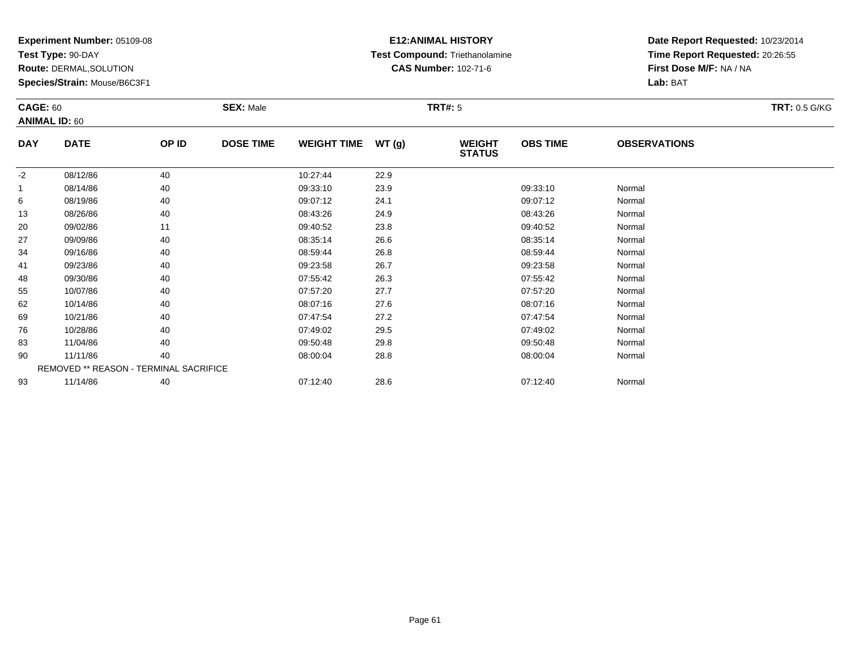**Test Type:** 90-DAY

**Route:** DERMAL,SOLUTION

**Species/Strain:** Mouse/B6C3F1

# **E12:ANIMAL HISTORY Test Compound:** Triethanolamine**CAS Number:** 102-71-6

| <b>CAGE: 60</b> | <b>ANIMAL ID: 60</b>                   |       | <b>SEX: Male</b> |                    | <b>TRT: 0.5 G/KG</b> |                                |                 |                     |  |
|-----------------|----------------------------------------|-------|------------------|--------------------|----------------------|--------------------------------|-----------------|---------------------|--|
| <b>DAY</b>      | <b>DATE</b>                            | OP ID | <b>DOSE TIME</b> | WEIGHT TIME WT (g) |                      | <b>WEIGHT</b><br><b>STATUS</b> | <b>OBS TIME</b> | <b>OBSERVATIONS</b> |  |
| $-2$            | 08/12/86                               | 40    |                  | 10:27:44           | 22.9                 |                                |                 |                     |  |
| $\mathbf{1}$    | 08/14/86                               | 40    |                  | 09:33:10           | 23.9                 |                                | 09:33:10        | Normal              |  |
| 6               | 08/19/86                               | 40    |                  | 09:07:12           | 24.1                 |                                | 09:07:12        | Normal              |  |
| 13              | 08/26/86                               | 40    |                  | 08:43:26           | 24.9                 |                                | 08:43:26        | Normal              |  |
| 20              | 09/02/86                               | 11    |                  | 09:40:52           | 23.8                 |                                | 09:40:52        | Normal              |  |
| 27              | 09/09/86                               | 40    |                  | 08:35:14           | 26.6                 |                                | 08:35:14        | Normal              |  |
| 34              | 09/16/86                               | 40    |                  | 08:59:44           | 26.8                 |                                | 08:59:44        | Normal              |  |
| 41              | 09/23/86                               | 40    |                  | 09:23:58           | 26.7                 |                                | 09:23:58        | Normal              |  |
| 48              | 09/30/86                               | 40    |                  | 07:55:42           | 26.3                 |                                | 07:55:42        | Normal              |  |
| 55              | 10/07/86                               | 40    |                  | 07:57:20           | 27.7                 |                                | 07:57:20        | Normal              |  |
| 62              | 10/14/86                               | 40    |                  | 08:07:16           | 27.6                 |                                | 08:07:16        | Normal              |  |
| 69              | 10/21/86                               | 40    |                  | 07:47:54           | 27.2                 |                                | 07:47:54        | Normal              |  |
| 76              | 10/28/86                               | 40    |                  | 07:49:02           | 29.5                 |                                | 07:49:02        | Normal              |  |
| 83              | 11/04/86                               | 40    |                  | 09:50:48           | 29.8                 |                                | 09:50:48        | Normal              |  |
| 90              | 11/11/86                               | 40    |                  | 08:00:04           | 28.8                 |                                | 08:00:04        | Normal              |  |
|                 | REMOVED ** REASON - TERMINAL SACRIFICE |       |                  |                    |                      |                                |                 |                     |  |
| 93              | 11/14/86                               | 40    |                  | 07:12:40           | 28.6                 |                                | 07:12:40        | Normal              |  |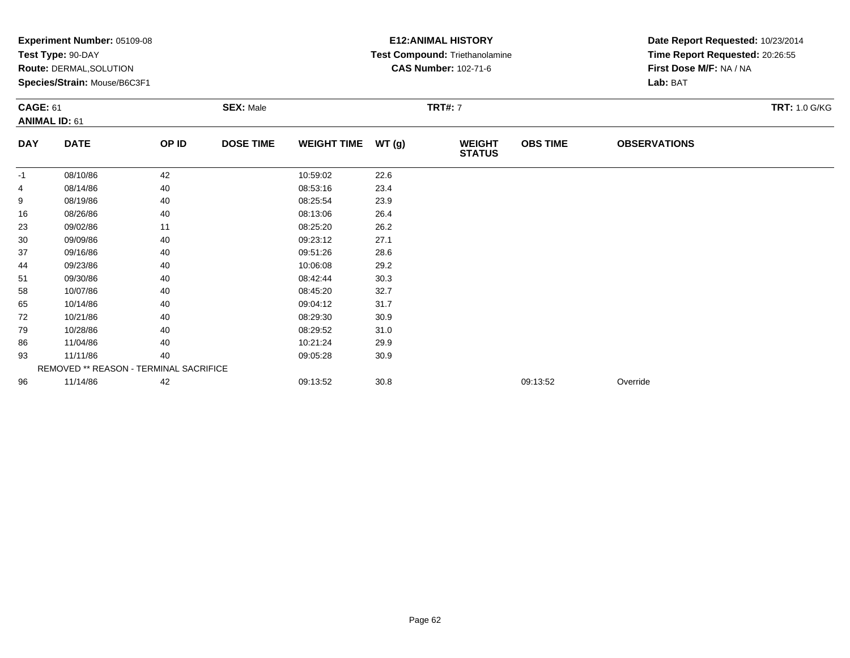|                 | Test Type: 90-DAY                      |       |                  |                    |                |                                | Date Report Requested: 10/23/2014 |                                 |                      |
|-----------------|----------------------------------------|-------|------------------|--------------------|----------------|--------------------------------|-----------------------------------|---------------------------------|----------------------|
|                 |                                        |       |                  |                    |                | Test Compound: Triethanolamine |                                   | Time Report Requested: 20:26:55 |                      |
|                 | Route: DERMAL, SOLUTION                |       |                  |                    |                | <b>CAS Number: 102-71-6</b>    |                                   | First Dose M/F: NA / NA         |                      |
|                 | Species/Strain: Mouse/B6C3F1           |       |                  |                    |                |                                |                                   | Lab: BAT                        |                      |
| <b>CAGE: 61</b> |                                        |       | <b>SEX: Male</b> |                    | <b>TRT#: 7</b> |                                |                                   |                                 | <b>TRT: 1.0 G/KG</b> |
|                 | <b>ANIMAL ID: 61</b>                   |       |                  |                    |                |                                |                                   |                                 |                      |
| <b>DAY</b>      | <b>DATE</b>                            | OP ID | <b>DOSE TIME</b> | <b>WEIGHT TIME</b> | WT(g)          | <b>WEIGHT</b><br><b>STATUS</b> | <b>OBS TIME</b>                   | <b>OBSERVATIONS</b>             |                      |
| -1              | 08/10/86                               | 42    |                  | 10:59:02           | 22.6           |                                |                                   |                                 |                      |
| 4               | 08/14/86                               | 40    |                  | 08:53:16           | 23.4           |                                |                                   |                                 |                      |
| 9               | 08/19/86                               | 40    |                  | 08:25:54           | 23.9           |                                |                                   |                                 |                      |
| 16              | 08/26/86                               | 40    |                  | 08:13:06           | 26.4           |                                |                                   |                                 |                      |
| 23              | 09/02/86                               | 11    |                  | 08:25:20           | 26.2           |                                |                                   |                                 |                      |
| 30              | 09/09/86                               | 40    |                  | 09:23:12           | 27.1           |                                |                                   |                                 |                      |
| 37              | 09/16/86                               | 40    |                  | 09:51:26           | 28.6           |                                |                                   |                                 |                      |
| 44              | 09/23/86                               | 40    |                  | 10:06:08           | 29.2           |                                |                                   |                                 |                      |
| 51              | 09/30/86                               | 40    |                  | 08:42:44           | 30.3           |                                |                                   |                                 |                      |
| 58              | 10/07/86                               | 40    |                  | 08:45:20           | 32.7           |                                |                                   |                                 |                      |
| 65              | 10/14/86                               | 40    |                  | 09:04:12           | 31.7           |                                |                                   |                                 |                      |
| 72              | 10/21/86                               | 40    |                  | 08:29:30           | 30.9           |                                |                                   |                                 |                      |
| 79              | 10/28/86                               | 40    |                  | 08:29:52           | 31.0           |                                |                                   |                                 |                      |
| 86              | 11/04/86                               | 40    |                  | 10:21:24           | 29.9           |                                |                                   |                                 |                      |
| 93              | 11/11/86                               | 40    |                  | 09:05:28           | 30.9           |                                |                                   |                                 |                      |
|                 | REMOVED ** REASON - TERMINAL SACRIFICE |       |                  |                    |                |                                |                                   |                                 |                      |
| 96              | 11/14/86                               | 42    |                  | 09:13:52           | 30.8           |                                | 09:13:52                          | Override                        |                      |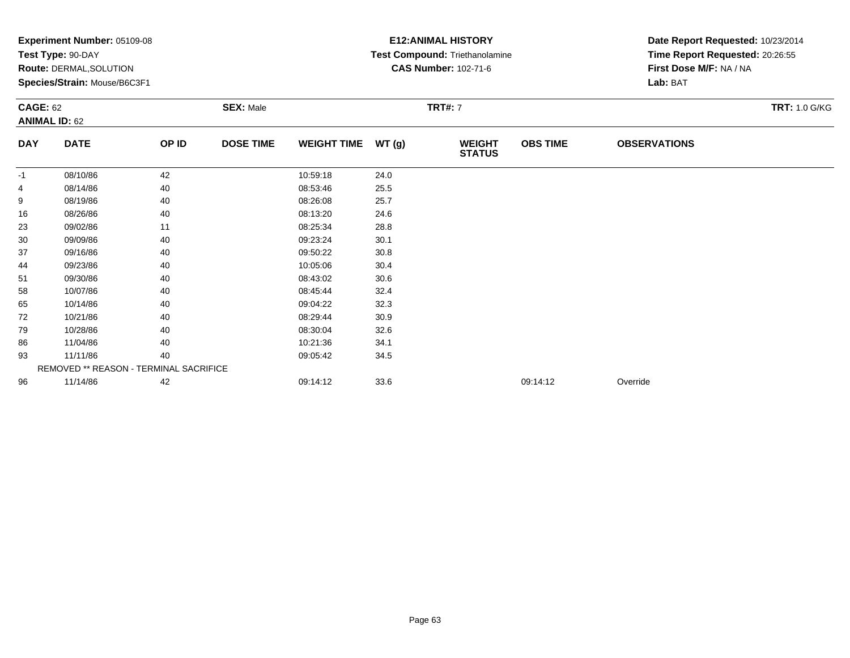|            | Experiment Number: 05109-08<br>Test Type: 90-DAY<br>Route: DERMAL, SOLUTION<br>Species/Strain: Mouse/B6C3F1<br><b>SEX: Male</b><br><b>CAGE: 62</b> |       |                  |                    | <b>E12: ANIMAL HISTORY</b><br>Test Compound: Triethanolamine<br><b>CAS Number: 102-71-6</b> | Date Report Requested: 10/23/2014<br>Time Report Requested: 20:26:55<br>First Dose M/F: NA / NA<br>Lab: BAT |                 |                     |                      |
|------------|----------------------------------------------------------------------------------------------------------------------------------------------------|-------|------------------|--------------------|---------------------------------------------------------------------------------------------|-------------------------------------------------------------------------------------------------------------|-----------------|---------------------|----------------------|
|            | <b>ANIMAL ID: 62</b>                                                                                                                               |       |                  |                    |                                                                                             | <b>TRT#: 7</b>                                                                                              |                 |                     | <b>TRT: 1.0 G/KG</b> |
| <b>DAY</b> | <b>DATE</b>                                                                                                                                        | OP ID | <b>DOSE TIME</b> | <b>WEIGHT TIME</b> | WT(g)                                                                                       | <b>WEIGHT</b><br><b>STATUS</b>                                                                              | <b>OBS TIME</b> | <b>OBSERVATIONS</b> |                      |
| -1         | 08/10/86                                                                                                                                           | 42    |                  | 10:59:18           | 24.0                                                                                        |                                                                                                             |                 |                     |                      |
| 4          | 08/14/86                                                                                                                                           | 40    |                  | 08:53:46           | 25.5                                                                                        |                                                                                                             |                 |                     |                      |
| 9          | 08/19/86                                                                                                                                           | 40    |                  | 08:26:08           | 25.7                                                                                        |                                                                                                             |                 |                     |                      |
| 16         | 08/26/86                                                                                                                                           | 40    |                  | 08:13:20           | 24.6                                                                                        |                                                                                                             |                 |                     |                      |
| 23         | 09/02/86                                                                                                                                           | 11    |                  | 08:25:34           | 28.8                                                                                        |                                                                                                             |                 |                     |                      |
| 30         | 09/09/86                                                                                                                                           | 40    |                  | 09:23:24           | 30.1                                                                                        |                                                                                                             |                 |                     |                      |
| 37         | 09/16/86                                                                                                                                           | 40    |                  | 09:50:22           | 30.8                                                                                        |                                                                                                             |                 |                     |                      |
| 44         | 09/23/86                                                                                                                                           | 40    |                  | 10:05:06           | 30.4                                                                                        |                                                                                                             |                 |                     |                      |
| 51         | 09/30/86                                                                                                                                           | 40    |                  | 08:43:02           | 30.6                                                                                        |                                                                                                             |                 |                     |                      |
| 58         | 10/07/86                                                                                                                                           | 40    |                  | 08:45:44           | 32.4                                                                                        |                                                                                                             |                 |                     |                      |
| 65         | 10/14/86                                                                                                                                           | 40    |                  | 09:04:22           | 32.3                                                                                        |                                                                                                             |                 |                     |                      |
| 72         | 10/21/86                                                                                                                                           | 40    |                  | 08:29:44           | 30.9                                                                                        |                                                                                                             |                 |                     |                      |
| 79         | 10/28/86                                                                                                                                           | 40    |                  | 08:30:04           | 32.6                                                                                        |                                                                                                             |                 |                     |                      |
| 86         | 11/04/86                                                                                                                                           | 40    |                  | 10:21:36           | 34.1                                                                                        |                                                                                                             |                 |                     |                      |
| 93         | 11/11/86                                                                                                                                           | 40    |                  | 09:05:42           | 34.5                                                                                        |                                                                                                             |                 |                     |                      |
|            | REMOVED ** REASON - TERMINAL SACRIFICE                                                                                                             |       |                  |                    |                                                                                             |                                                                                                             |                 |                     |                      |
| 96         | 11/14/86                                                                                                                                           | 42    |                  | 09:14:12           | 33.6                                                                                        |                                                                                                             | 09:14:12        | Override            |                      |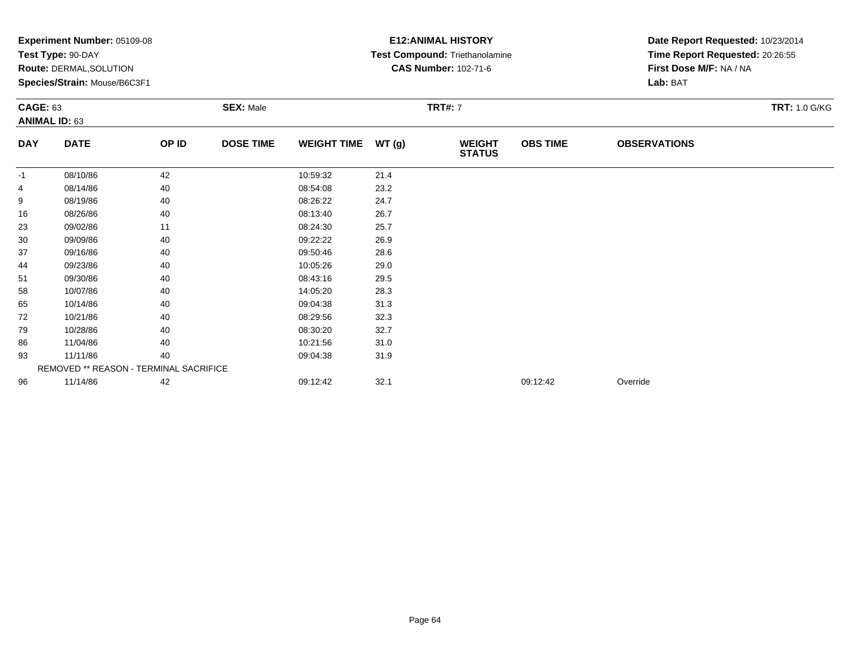|            | Experiment Number: 05109-08<br>Test Type: 90-DAY<br>Route: DERMAL, SOLUTION<br>Species/Strain: Mouse/B6C3F1<br><b>SEX: Male</b><br><b>CAGE: 63</b><br><b>ANIMAL ID: 63</b> |       |                  |                    | <b>E12: ANIMAL HISTORY</b><br>Test Compound: Triethanolamine<br><b>CAS Number: 102-71-6</b> | Date Report Requested: 10/23/2014<br>Time Report Requested: 20:26:55<br>First Dose M/F: NA / NA<br>Lab: BAT |                 |                     |                      |
|------------|----------------------------------------------------------------------------------------------------------------------------------------------------------------------------|-------|------------------|--------------------|---------------------------------------------------------------------------------------------|-------------------------------------------------------------------------------------------------------------|-----------------|---------------------|----------------------|
|            |                                                                                                                                                                            |       |                  |                    |                                                                                             | <b>TRT#: 7</b>                                                                                              |                 |                     | <b>TRT: 1.0 G/KG</b> |
| <b>DAY</b> | <b>DATE</b>                                                                                                                                                                | OP ID | <b>DOSE TIME</b> | <b>WEIGHT TIME</b> | WT(g)                                                                                       | <b>WEIGHT</b><br><b>STATUS</b>                                                                              | <b>OBS TIME</b> | <b>OBSERVATIONS</b> |                      |
| -1         | 08/10/86                                                                                                                                                                   | 42    |                  | 10:59:32           | 21.4                                                                                        |                                                                                                             |                 |                     |                      |
| 4          | 08/14/86                                                                                                                                                                   | 40    |                  | 08:54:08           | 23.2                                                                                        |                                                                                                             |                 |                     |                      |
| 9          | 08/19/86                                                                                                                                                                   | 40    |                  | 08:26:22           | 24.7                                                                                        |                                                                                                             |                 |                     |                      |
| 16         | 08/26/86                                                                                                                                                                   | 40    |                  | 08:13:40           | 26.7                                                                                        |                                                                                                             |                 |                     |                      |
| 23         | 09/02/86                                                                                                                                                                   | 11    |                  | 08:24:30           | 25.7                                                                                        |                                                                                                             |                 |                     |                      |
| 30         | 09/09/86                                                                                                                                                                   | 40    |                  | 09:22:22           | 26.9                                                                                        |                                                                                                             |                 |                     |                      |
| 37         | 09/16/86                                                                                                                                                                   | 40    |                  | 09:50:46           | 28.6                                                                                        |                                                                                                             |                 |                     |                      |
| 44         | 09/23/86                                                                                                                                                                   | 40    |                  | 10:05:26           | 29.0                                                                                        |                                                                                                             |                 |                     |                      |
| 51         | 09/30/86                                                                                                                                                                   | 40    |                  | 08:43:16           | 29.5                                                                                        |                                                                                                             |                 |                     |                      |
| 58         | 10/07/86                                                                                                                                                                   | 40    |                  | 14:05:20           | 28.3                                                                                        |                                                                                                             |                 |                     |                      |
| 65         | 10/14/86                                                                                                                                                                   | 40    |                  | 09:04:38           | 31.3                                                                                        |                                                                                                             |                 |                     |                      |
| 72         | 10/21/86                                                                                                                                                                   | 40    |                  | 08:29:56           | 32.3                                                                                        |                                                                                                             |                 |                     |                      |
| 79         | 10/28/86                                                                                                                                                                   | 40    |                  | 08:30:20           | 32.7                                                                                        |                                                                                                             |                 |                     |                      |
| 86         | 11/04/86                                                                                                                                                                   | 40    |                  | 10:21:56           | 31.0                                                                                        |                                                                                                             |                 |                     |                      |
| 93         | 11/11/86                                                                                                                                                                   | 40    |                  | 09:04:38           | 31.9                                                                                        |                                                                                                             |                 |                     |                      |
|            | REMOVED ** REASON - TERMINAL SACRIFICE                                                                                                                                     |       |                  |                    |                                                                                             |                                                                                                             |                 |                     |                      |
| 96         | 11/14/86                                                                                                                                                                   | 42    |                  | 09:12:42           | 32.1                                                                                        |                                                                                                             | 09:12:42        | Override            |                      |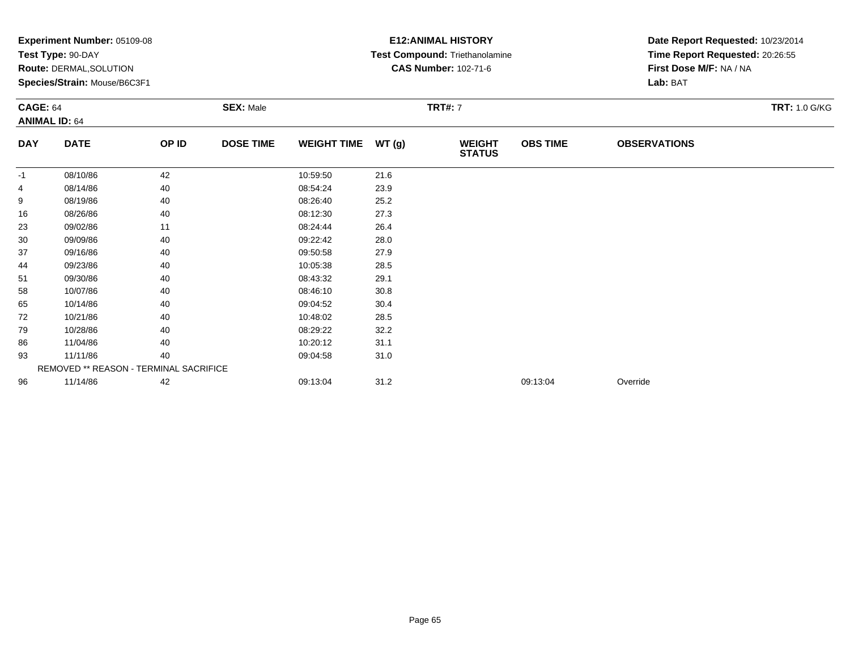|                 | Experiment Number: 05109-08<br>Test Type: 90-DAY<br>Route: DERMAL, SOLUTION<br>Species/Strain: Mouse/B6C3F1 |       |                  |                    |       | <b>E12: ANIMAL HISTORY</b><br>Test Compound: Triethanolamine<br><b>CAS Number: 102-71-6</b> |                 | Date Report Requested: 10/23/2014<br>Time Report Requested: 20:26:55<br>First Dose M/F: NA / NA<br>Lab: BAT |                      |
|-----------------|-------------------------------------------------------------------------------------------------------------|-------|------------------|--------------------|-------|---------------------------------------------------------------------------------------------|-----------------|-------------------------------------------------------------------------------------------------------------|----------------------|
| <b>CAGE: 64</b> | <b>ANIMAL ID: 64</b>                                                                                        |       | <b>SEX: Male</b> |                    |       | <b>TRT#: 7</b>                                                                              |                 |                                                                                                             | <b>TRT: 1.0 G/KG</b> |
| <b>DAY</b>      | <b>DATE</b>                                                                                                 | OP ID | <b>DOSE TIME</b> | <b>WEIGHT TIME</b> | WT(g) | <b>WEIGHT</b><br><b>STATUS</b>                                                              | <b>OBS TIME</b> | <b>OBSERVATIONS</b>                                                                                         |                      |
| -1              | 08/10/86                                                                                                    | 42    |                  | 10:59:50           | 21.6  |                                                                                             |                 |                                                                                                             |                      |
| 4               | 08/14/86                                                                                                    | 40    |                  | 08:54:24           | 23.9  |                                                                                             |                 |                                                                                                             |                      |
| 9               | 08/19/86                                                                                                    | 40    |                  | 08:26:40           | 25.2  |                                                                                             |                 |                                                                                                             |                      |
| 16              | 08/26/86                                                                                                    | 40    |                  | 08:12:30           | 27.3  |                                                                                             |                 |                                                                                                             |                      |
| 23              | 09/02/86                                                                                                    | 11    |                  | 08:24:44           | 26.4  |                                                                                             |                 |                                                                                                             |                      |
| 30              | 09/09/86                                                                                                    | 40    |                  | 09:22:42           | 28.0  |                                                                                             |                 |                                                                                                             |                      |
| 37              | 09/16/86                                                                                                    | 40    |                  | 09:50:58           | 27.9  |                                                                                             |                 |                                                                                                             |                      |
| 44              | 09/23/86                                                                                                    | 40    |                  | 10:05:38           | 28.5  |                                                                                             |                 |                                                                                                             |                      |
| 51              | 09/30/86                                                                                                    | 40    |                  | 08:43:32           | 29.1  |                                                                                             |                 |                                                                                                             |                      |
| 58              | 10/07/86                                                                                                    | 40    |                  | 08:46:10           | 30.8  |                                                                                             |                 |                                                                                                             |                      |
| 65              | 10/14/86                                                                                                    | 40    |                  | 09:04:52           | 30.4  |                                                                                             |                 |                                                                                                             |                      |
| 72              | 10/21/86                                                                                                    | 40    |                  | 10:48:02           | 28.5  |                                                                                             |                 |                                                                                                             |                      |
| 79              | 10/28/86                                                                                                    | 40    |                  | 08:29:22           | 32.2  |                                                                                             |                 |                                                                                                             |                      |
| 86              | 11/04/86                                                                                                    | 40    |                  | 10:20:12           | 31.1  |                                                                                             |                 |                                                                                                             |                      |
| 93              | 11/11/86                                                                                                    | 40    |                  | 09:04:58           | 31.0  |                                                                                             |                 |                                                                                                             |                      |
|                 | REMOVED ** REASON - TERMINAL SACRIFICE                                                                      |       |                  |                    |       |                                                                                             |                 |                                                                                                             |                      |
| 96              | 11/14/86                                                                                                    | 42    |                  | 09:13:04           | 31.2  |                                                                                             | 09:13:04        | Override                                                                                                    |                      |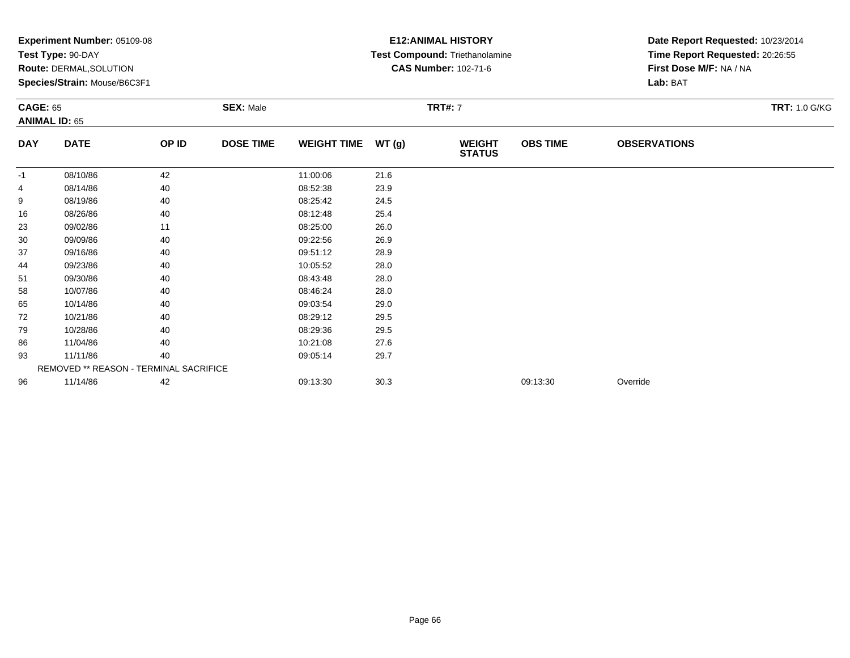|            | Experiment Number: 05109-08<br>Test Type: 90-DAY<br>Route: DERMAL, SOLUTION<br>Species/Strain: Mouse/B6C3F1<br><b>SEX: Male</b><br><b>CAGE: 65</b><br><b>ANIMAL ID: 65</b> |       |                  |                    | <b>E12: ANIMAL HISTORY</b><br>Test Compound: Triethanolamine<br><b>CAS Number: 102-71-6</b> | Date Report Requested: 10/23/2014<br>Time Report Requested: 20:26:55<br>First Dose M/F: NA / NA<br>Lab: BAT |                 |                     |                      |
|------------|----------------------------------------------------------------------------------------------------------------------------------------------------------------------------|-------|------------------|--------------------|---------------------------------------------------------------------------------------------|-------------------------------------------------------------------------------------------------------------|-----------------|---------------------|----------------------|
|            |                                                                                                                                                                            |       |                  |                    |                                                                                             | <b>TRT#: 7</b>                                                                                              |                 |                     | <b>TRT: 1.0 G/KG</b> |
| <b>DAY</b> | <b>DATE</b>                                                                                                                                                                | OP ID | <b>DOSE TIME</b> | <b>WEIGHT TIME</b> | WT(g)                                                                                       | <b>WEIGHT</b><br><b>STATUS</b>                                                                              | <b>OBS TIME</b> | <b>OBSERVATIONS</b> |                      |
| -1         | 08/10/86                                                                                                                                                                   | 42    |                  | 11:00:06           | 21.6                                                                                        |                                                                                                             |                 |                     |                      |
| 4          | 08/14/86                                                                                                                                                                   | 40    |                  | 08:52:38           | 23.9                                                                                        |                                                                                                             |                 |                     |                      |
| 9          | 08/19/86                                                                                                                                                                   | 40    |                  | 08:25:42           | 24.5                                                                                        |                                                                                                             |                 |                     |                      |
| 16         | 08/26/86                                                                                                                                                                   | 40    |                  | 08:12:48           | 25.4                                                                                        |                                                                                                             |                 |                     |                      |
| 23         | 09/02/86                                                                                                                                                                   | 11    |                  | 08:25:00           | 26.0                                                                                        |                                                                                                             |                 |                     |                      |
| 30         | 09/09/86                                                                                                                                                                   | 40    |                  | 09:22:56           | 26.9                                                                                        |                                                                                                             |                 |                     |                      |
| 37         | 09/16/86                                                                                                                                                                   | 40    |                  | 09:51:12           | 28.9                                                                                        |                                                                                                             |                 |                     |                      |
| 44         | 09/23/86                                                                                                                                                                   | 40    |                  | 10:05:52           | 28.0                                                                                        |                                                                                                             |                 |                     |                      |
| 51         | 09/30/86                                                                                                                                                                   | 40    |                  | 08:43:48           | 28.0                                                                                        |                                                                                                             |                 |                     |                      |
| 58         | 10/07/86                                                                                                                                                                   | 40    |                  | 08:46:24           | 28.0                                                                                        |                                                                                                             |                 |                     |                      |
| 65         | 10/14/86                                                                                                                                                                   | 40    |                  | 09:03:54           | 29.0                                                                                        |                                                                                                             |                 |                     |                      |
| 72         | 10/21/86                                                                                                                                                                   | 40    |                  | 08:29:12           | 29.5                                                                                        |                                                                                                             |                 |                     |                      |
| 79         | 10/28/86                                                                                                                                                                   | 40    |                  | 08:29:36           | 29.5                                                                                        |                                                                                                             |                 |                     |                      |
| 86         | 11/04/86                                                                                                                                                                   | 40    |                  | 10:21:08           | 27.6                                                                                        |                                                                                                             |                 |                     |                      |
| 93         | 11/11/86                                                                                                                                                                   | 40    |                  | 09:05:14           | 29.7                                                                                        |                                                                                                             |                 |                     |                      |
|            | REMOVED ** REASON - TERMINAL SACRIFICE                                                                                                                                     |       |                  |                    |                                                                                             |                                                                                                             |                 |                     |                      |
| 96         | 11/14/86                                                                                                                                                                   | 42    |                  | 09:13:30           | 30.3                                                                                        |                                                                                                             | 09:13:30        | Override            |                      |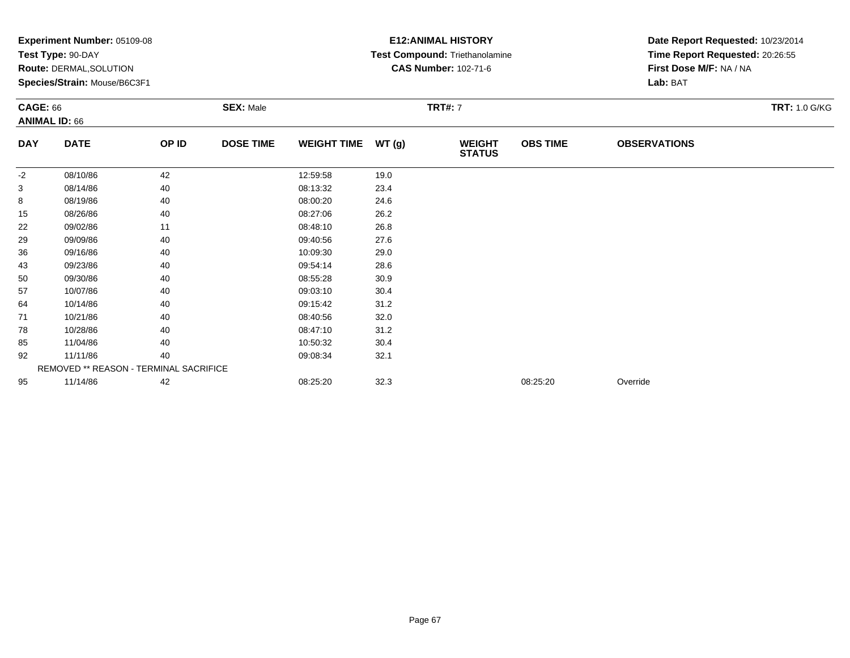|            | Experiment Number: 05109-08<br>Test Type: 90-DAY<br>Route: DERMAL, SOLUTION<br>Species/Strain: Mouse/B6C3F1<br><b>SEX: Male</b><br><b>CAGE: 66</b><br><b>ANIMAL ID: 66</b> |       |                  |                    |       | <b>E12: ANIMAL HISTORY</b><br>Test Compound: Triethanolamine<br><b>CAS Number: 102-71-6</b> | Date Report Requested: 10/23/2014<br>Time Report Requested: 20:26:55<br>First Dose M/F: NA / NA<br>Lab: BAT |                     |                      |
|------------|----------------------------------------------------------------------------------------------------------------------------------------------------------------------------|-------|------------------|--------------------|-------|---------------------------------------------------------------------------------------------|-------------------------------------------------------------------------------------------------------------|---------------------|----------------------|
|            |                                                                                                                                                                            |       |                  |                    |       | <b>TRT#: 7</b>                                                                              |                                                                                                             |                     | <b>TRT: 1.0 G/KG</b> |
| <b>DAY</b> | <b>DATE</b>                                                                                                                                                                | OP ID | <b>DOSE TIME</b> | <b>WEIGHT TIME</b> | WT(g) | <b>WEIGHT</b><br><b>STATUS</b>                                                              | <b>OBS TIME</b>                                                                                             | <b>OBSERVATIONS</b> |                      |
| $-2$       | 08/10/86                                                                                                                                                                   | 42    |                  | 12:59:58           | 19.0  |                                                                                             |                                                                                                             |                     |                      |
| 3          | 08/14/86                                                                                                                                                                   | 40    |                  | 08:13:32           | 23.4  |                                                                                             |                                                                                                             |                     |                      |
| 8          | 08/19/86                                                                                                                                                                   | 40    |                  | 08:00:20           | 24.6  |                                                                                             |                                                                                                             |                     |                      |
| 15         | 08/26/86                                                                                                                                                                   | 40    |                  | 08:27:06           | 26.2  |                                                                                             |                                                                                                             |                     |                      |
| 22         | 09/02/86                                                                                                                                                                   | 11    |                  | 08:48:10           | 26.8  |                                                                                             |                                                                                                             |                     |                      |
| 29         | 09/09/86                                                                                                                                                                   | 40    |                  | 09:40:56           | 27.6  |                                                                                             |                                                                                                             |                     |                      |
| 36         | 09/16/86                                                                                                                                                                   | 40    |                  | 10:09:30           | 29.0  |                                                                                             |                                                                                                             |                     |                      |
| 43         | 09/23/86                                                                                                                                                                   | 40    |                  | 09:54:14           | 28.6  |                                                                                             |                                                                                                             |                     |                      |
| 50         | 09/30/86                                                                                                                                                                   | 40    |                  | 08:55:28           | 30.9  |                                                                                             |                                                                                                             |                     |                      |
| 57         | 10/07/86                                                                                                                                                                   | 40    |                  | 09:03:10           | 30.4  |                                                                                             |                                                                                                             |                     |                      |
| 64         | 10/14/86                                                                                                                                                                   | 40    |                  | 09:15:42           | 31.2  |                                                                                             |                                                                                                             |                     |                      |
| 71         | 10/21/86                                                                                                                                                                   | 40    |                  | 08:40:56           | 32.0  |                                                                                             |                                                                                                             |                     |                      |
| 78         | 10/28/86                                                                                                                                                                   | 40    |                  | 08:47:10           | 31.2  |                                                                                             |                                                                                                             |                     |                      |
| 85         | 11/04/86                                                                                                                                                                   | 40    |                  | 10:50:32           | 30.4  |                                                                                             |                                                                                                             |                     |                      |
| 92         | 11/11/86                                                                                                                                                                   | 40    |                  | 09:08:34           | 32.1  |                                                                                             |                                                                                                             |                     |                      |
|            | REMOVED ** REASON - TERMINAL SACRIFICE                                                                                                                                     |       |                  |                    |       |                                                                                             |                                                                                                             |                     |                      |
| 95         | 11/14/86                                                                                                                                                                   | 42    |                  | 08:25:20           | 32.3  |                                                                                             | 08:25:20                                                                                                    | Override            |                      |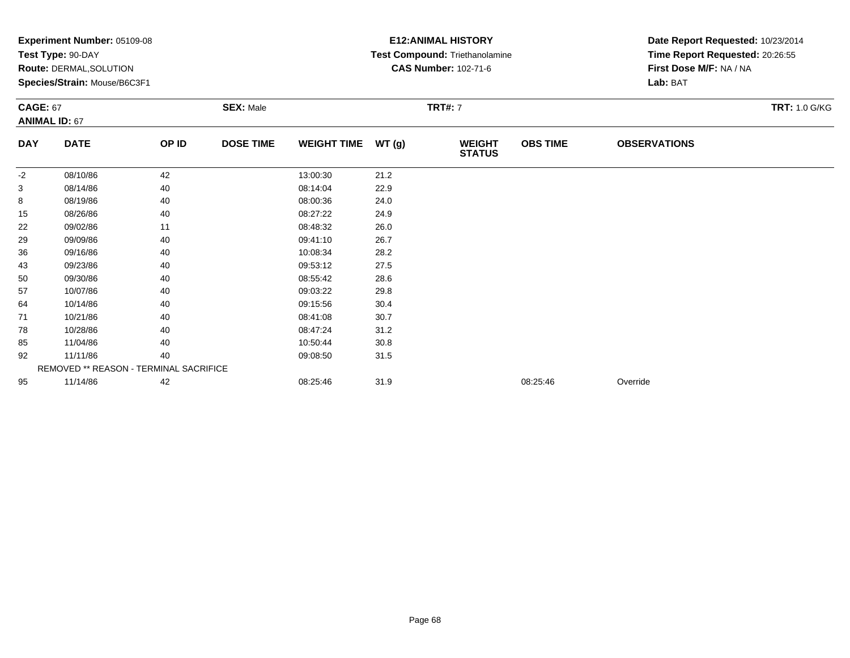|            | Experiment Number: 05109-08<br>Test Type: 90-DAY<br>Route: DERMAL, SOLUTION<br>Species/Strain: Mouse/B6C3F1<br><b>SEX: Male</b><br><b>CAGE: 67</b><br><b>ANIMAL ID: 67</b> |       |                  |                    |       | <b>E12: ANIMAL HISTORY</b><br>Test Compound: Triethanolamine<br><b>CAS Number: 102-71-6</b> | Date Report Requested: 10/23/2014<br>Time Report Requested: 20:26:55<br>First Dose M/F: NA / NA<br>Lab: BAT |                     |                      |
|------------|----------------------------------------------------------------------------------------------------------------------------------------------------------------------------|-------|------------------|--------------------|-------|---------------------------------------------------------------------------------------------|-------------------------------------------------------------------------------------------------------------|---------------------|----------------------|
|            |                                                                                                                                                                            |       |                  |                    |       | <b>TRT#: 7</b>                                                                              |                                                                                                             |                     | <b>TRT: 1.0 G/KG</b> |
| <b>DAY</b> | <b>DATE</b>                                                                                                                                                                | OP ID | <b>DOSE TIME</b> | <b>WEIGHT TIME</b> | WT(g) | <b>WEIGHT</b><br><b>STATUS</b>                                                              | <b>OBS TIME</b>                                                                                             | <b>OBSERVATIONS</b> |                      |
| $-2$       | 08/10/86                                                                                                                                                                   | 42    |                  | 13:00:30           | 21.2  |                                                                                             |                                                                                                             |                     |                      |
| 3          | 08/14/86                                                                                                                                                                   | 40    |                  | 08:14:04           | 22.9  |                                                                                             |                                                                                                             |                     |                      |
| 8          | 08/19/86                                                                                                                                                                   | 40    |                  | 08:00:36           | 24.0  |                                                                                             |                                                                                                             |                     |                      |
| 15         | 08/26/86                                                                                                                                                                   | 40    |                  | 08:27:22           | 24.9  |                                                                                             |                                                                                                             |                     |                      |
| 22         | 09/02/86                                                                                                                                                                   | 11    |                  | 08:48:32           | 26.0  |                                                                                             |                                                                                                             |                     |                      |
| 29         | 09/09/86                                                                                                                                                                   | 40    |                  | 09:41:10           | 26.7  |                                                                                             |                                                                                                             |                     |                      |
| 36         | 09/16/86                                                                                                                                                                   | 40    |                  | 10:08:34           | 28.2  |                                                                                             |                                                                                                             |                     |                      |
| 43         | 09/23/86                                                                                                                                                                   | 40    |                  | 09:53:12           | 27.5  |                                                                                             |                                                                                                             |                     |                      |
| 50         | 09/30/86                                                                                                                                                                   | 40    |                  | 08:55:42           | 28.6  |                                                                                             |                                                                                                             |                     |                      |
| 57         | 10/07/86                                                                                                                                                                   | 40    |                  | 09:03:22           | 29.8  |                                                                                             |                                                                                                             |                     |                      |
| 64         | 10/14/86                                                                                                                                                                   | 40    |                  | 09:15:56           | 30.4  |                                                                                             |                                                                                                             |                     |                      |
| 71         | 10/21/86                                                                                                                                                                   | 40    |                  | 08:41:08           | 30.7  |                                                                                             |                                                                                                             |                     |                      |
| 78         | 10/28/86                                                                                                                                                                   | 40    |                  | 08:47:24           | 31.2  |                                                                                             |                                                                                                             |                     |                      |
| 85         | 11/04/86                                                                                                                                                                   | 40    |                  | 10:50:44           | 30.8  |                                                                                             |                                                                                                             |                     |                      |
| 92         | 11/11/86                                                                                                                                                                   | 40    |                  | 09:08:50           | 31.5  |                                                                                             |                                                                                                             |                     |                      |
|            | REMOVED ** REASON - TERMINAL SACRIFICE                                                                                                                                     |       |                  |                    |       |                                                                                             |                                                                                                             |                     |                      |
| 95         | 11/14/86                                                                                                                                                                   | 42    |                  | 08:25:46           | 31.9  |                                                                                             | 08:25:46                                                                                                    | Override            |                      |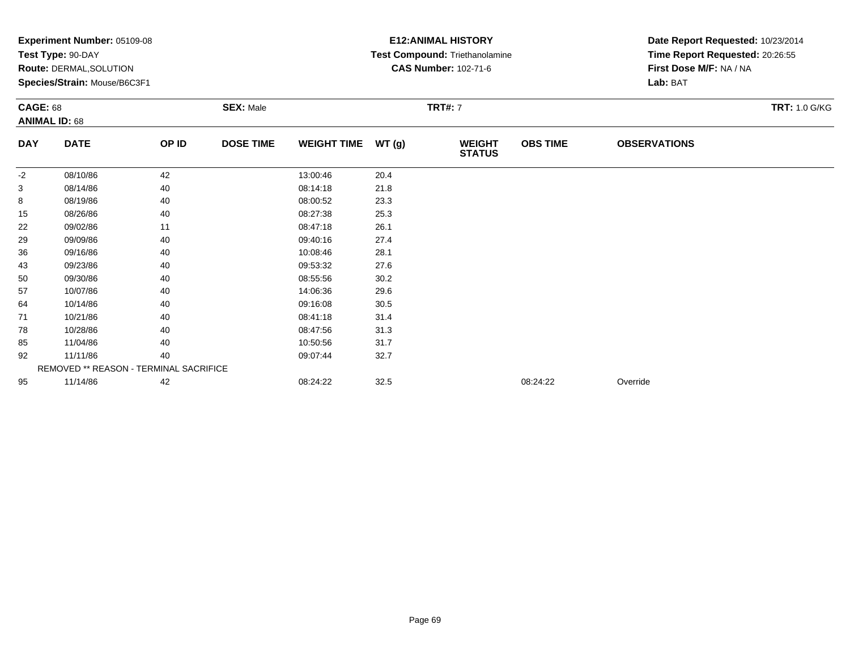|                 | Experiment Number: 05109-08<br>Test Type: 90-DAY<br>Route: DERMAL, SOLUTION<br>Species/Strain: Mouse/B6C3F1 |       |                  |                    |       | <b>E12: ANIMAL HISTORY</b><br>Test Compound: Triethanolamine<br><b>CAS Number: 102-71-6</b> | Date Report Requested: 10/23/2014<br>Time Report Requested: 20:26:55<br>First Dose M/F: NA / NA<br>Lab: BAT |                     |                      |
|-----------------|-------------------------------------------------------------------------------------------------------------|-------|------------------|--------------------|-------|---------------------------------------------------------------------------------------------|-------------------------------------------------------------------------------------------------------------|---------------------|----------------------|
| <b>CAGE: 68</b> | <b>ANIMAL ID: 68</b>                                                                                        |       | <b>SEX: Male</b> |                    |       | <b>TRT#: 7</b>                                                                              |                                                                                                             |                     | <b>TRT: 1.0 G/KG</b> |
| <b>DAY</b>      | <b>DATE</b>                                                                                                 | OP ID | <b>DOSE TIME</b> | <b>WEIGHT TIME</b> | WT(g) | <b>WEIGHT</b><br><b>STATUS</b>                                                              | <b>OBS TIME</b>                                                                                             | <b>OBSERVATIONS</b> |                      |
| -2              | 08/10/86                                                                                                    | 42    |                  | 13:00:46           | 20.4  |                                                                                             |                                                                                                             |                     |                      |
| 3               | 08/14/86                                                                                                    | 40    |                  | 08:14:18           | 21.8  |                                                                                             |                                                                                                             |                     |                      |
| 8               | 08/19/86                                                                                                    | 40    |                  | 08:00:52           | 23.3  |                                                                                             |                                                                                                             |                     |                      |
| 15              | 08/26/86                                                                                                    | 40    |                  | 08:27:38           | 25.3  |                                                                                             |                                                                                                             |                     |                      |
| 22              | 09/02/86                                                                                                    | 11    |                  | 08:47:18           | 26.1  |                                                                                             |                                                                                                             |                     |                      |
| 29              | 09/09/86                                                                                                    | 40    |                  | 09:40:16           | 27.4  |                                                                                             |                                                                                                             |                     |                      |
| 36              | 09/16/86                                                                                                    | 40    |                  | 10:08:46           | 28.1  |                                                                                             |                                                                                                             |                     |                      |
| 43              | 09/23/86                                                                                                    | 40    |                  | 09:53:32           | 27.6  |                                                                                             |                                                                                                             |                     |                      |
| 50              | 09/30/86                                                                                                    | 40    |                  | 08:55:56           | 30.2  |                                                                                             |                                                                                                             |                     |                      |
| 57              | 10/07/86                                                                                                    | 40    |                  | 14:06:36           | 29.6  |                                                                                             |                                                                                                             |                     |                      |
| 64              | 10/14/86                                                                                                    | 40    |                  | 09:16:08           | 30.5  |                                                                                             |                                                                                                             |                     |                      |
| 71              | 10/21/86                                                                                                    | 40    |                  | 08:41:18           | 31.4  |                                                                                             |                                                                                                             |                     |                      |
| 78              | 10/28/86                                                                                                    | 40    |                  | 08:47:56           | 31.3  |                                                                                             |                                                                                                             |                     |                      |
| 85              | 11/04/86                                                                                                    | 40    |                  | 10:50:56           | 31.7  |                                                                                             |                                                                                                             |                     |                      |
| 92              | 11/11/86                                                                                                    | 40    |                  | 09:07:44           | 32.7  |                                                                                             |                                                                                                             |                     |                      |
|                 | REMOVED ** REASON - TERMINAL SACRIFICE                                                                      |       |                  |                    |       |                                                                                             |                                                                                                             |                     |                      |
| 95              | 11/14/86                                                                                                    | 42    |                  | 08:24:22           | 32.5  |                                                                                             | 08:24:22                                                                                                    | Override            |                      |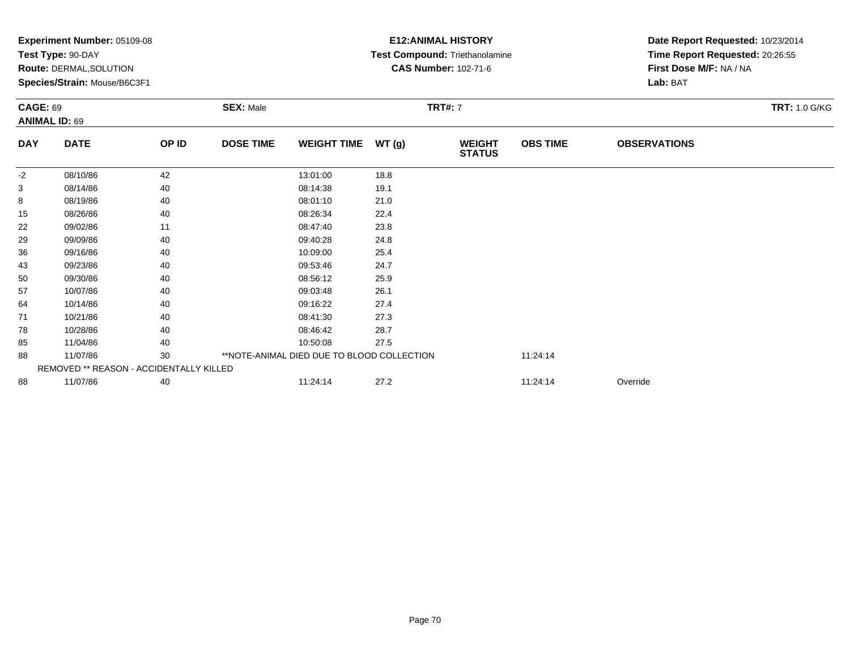|                 | Experiment Number: 05109-08<br>Test Type: 90-DAY<br>Route: DERMAL, SOLUTION<br>Species/Strain: Mouse/B6C3F1 |       |                  |                                            | <b>E12: ANIMAL HISTORY</b><br>Test Compound: Triethanolamine<br><b>CAS Number: 102-71-6</b> |                                | Date Report Requested: 10/23/2014<br>Time Report Requested: 20:26:55<br>First Dose M/F: NA / NA<br>Lab: BAT |                     |                      |
|-----------------|-------------------------------------------------------------------------------------------------------------|-------|------------------|--------------------------------------------|---------------------------------------------------------------------------------------------|--------------------------------|-------------------------------------------------------------------------------------------------------------|---------------------|----------------------|
| <b>CAGE: 69</b> | <b>ANIMAL ID: 69</b>                                                                                        |       | <b>SEX: Male</b> |                                            |                                                                                             | <b>TRT#: 7</b>                 |                                                                                                             |                     | <b>TRT: 1.0 G/KG</b> |
| <b>DAY</b>      | <b>DATE</b>                                                                                                 | OP ID | <b>DOSE TIME</b> | <b>WEIGHT TIME</b>                         | WT(g)                                                                                       | <b>WEIGHT</b><br><b>STATUS</b> | <b>OBS TIME</b>                                                                                             | <b>OBSERVATIONS</b> |                      |
| $-2$            | 08/10/86                                                                                                    | 42    |                  | 13:01:00                                   | 18.8                                                                                        |                                |                                                                                                             |                     |                      |
| 3               | 08/14/86                                                                                                    | 40    |                  | 08:14:38                                   | 19.1                                                                                        |                                |                                                                                                             |                     |                      |
| 8               | 08/19/86                                                                                                    | 40    |                  | 08:01:10                                   | 21.0                                                                                        |                                |                                                                                                             |                     |                      |
| 15              | 08/26/86                                                                                                    | 40    |                  | 08:26:34                                   | 22.4                                                                                        |                                |                                                                                                             |                     |                      |
| 22              | 09/02/86                                                                                                    | 11    |                  | 08:47:40                                   | 23.8                                                                                        |                                |                                                                                                             |                     |                      |
| 29              | 09/09/86                                                                                                    | 40    |                  | 09:40:28                                   | 24.8                                                                                        |                                |                                                                                                             |                     |                      |
| 36              | 09/16/86                                                                                                    | 40    |                  | 10:09:00                                   | 25.4                                                                                        |                                |                                                                                                             |                     |                      |
| 43              | 09/23/86                                                                                                    | 40    |                  | 09:53:46                                   | 24.7                                                                                        |                                |                                                                                                             |                     |                      |
| 50              | 09/30/86                                                                                                    | 40    |                  | 08:56:12                                   | 25.9                                                                                        |                                |                                                                                                             |                     |                      |
| 57              | 10/07/86                                                                                                    | 40    |                  | 09:03:48                                   | 26.1                                                                                        |                                |                                                                                                             |                     |                      |
| 64              | 10/14/86                                                                                                    | 40    |                  | 09:16:22                                   | 27.4                                                                                        |                                |                                                                                                             |                     |                      |
| 71              | 10/21/86                                                                                                    | 40    |                  | 08:41:30                                   | 27.3                                                                                        |                                |                                                                                                             |                     |                      |
| 78              | 10/28/86                                                                                                    | 40    |                  | 08:46:42                                   | 28.7                                                                                        |                                |                                                                                                             |                     |                      |
| 85              | 11/04/86                                                                                                    | 40    |                  | 10:50:08                                   | 27.5                                                                                        |                                |                                                                                                             |                     |                      |
| 88              | 11/07/86                                                                                                    | 30    |                  | **NOTE-ANIMAL DIED DUE TO BLOOD COLLECTION |                                                                                             |                                | 11:24:14                                                                                                    |                     |                      |
|                 | REMOVED ** REASON - ACCIDENTALLY KILLED                                                                     |       |                  |                                            |                                                                                             |                                |                                                                                                             |                     |                      |
| 88              | 11/07/86                                                                                                    | 40    |                  | 11:24:14                                   | 27.2                                                                                        |                                | 11:24:14                                                                                                    | Override            |                      |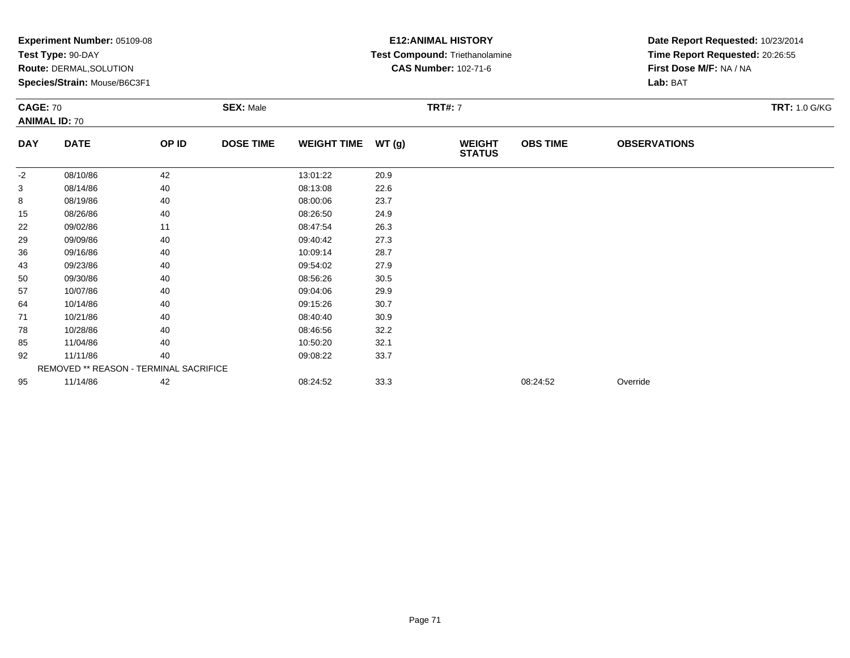|            | Experiment Number: 05109-08<br>Test Type: 90-DAY<br>Route: DERMAL, SOLUTION<br>Species/Strain: Mouse/B6C3F1<br><b>SEX: Male</b><br><b>CAGE: 70</b><br><b>ANIMAL ID: 70</b> |       |                  |                    |       | <b>E12: ANIMAL HISTORY</b><br>Test Compound: Triethanolamine<br><b>CAS Number: 102-71-6</b> | Date Report Requested: 10/23/2014<br>Time Report Requested: 20:26:55<br>First Dose M/F: NA / NA<br>Lab: BAT |                     |                      |
|------------|----------------------------------------------------------------------------------------------------------------------------------------------------------------------------|-------|------------------|--------------------|-------|---------------------------------------------------------------------------------------------|-------------------------------------------------------------------------------------------------------------|---------------------|----------------------|
|            |                                                                                                                                                                            |       |                  |                    |       | <b>TRT#: 7</b>                                                                              |                                                                                                             |                     | <b>TRT: 1.0 G/KG</b> |
| <b>DAY</b> | <b>DATE</b>                                                                                                                                                                | OP ID | <b>DOSE TIME</b> | <b>WEIGHT TIME</b> | WT(g) | <b>WEIGHT</b><br><b>STATUS</b>                                                              | <b>OBS TIME</b>                                                                                             | <b>OBSERVATIONS</b> |                      |
| $-2$       | 08/10/86                                                                                                                                                                   | 42    |                  | 13:01:22           | 20.9  |                                                                                             |                                                                                                             |                     |                      |
| 3          | 08/14/86                                                                                                                                                                   | 40    |                  | 08:13:08           | 22.6  |                                                                                             |                                                                                                             |                     |                      |
| 8          | 08/19/86                                                                                                                                                                   | 40    |                  | 08:00:06           | 23.7  |                                                                                             |                                                                                                             |                     |                      |
| 15         | 08/26/86                                                                                                                                                                   | 40    |                  | 08:26:50           | 24.9  |                                                                                             |                                                                                                             |                     |                      |
| 22         | 09/02/86                                                                                                                                                                   | 11    |                  | 08:47:54           | 26.3  |                                                                                             |                                                                                                             |                     |                      |
| 29         | 09/09/86                                                                                                                                                                   | 40    |                  | 09:40:42           | 27.3  |                                                                                             |                                                                                                             |                     |                      |
| 36         | 09/16/86                                                                                                                                                                   | 40    |                  | 10:09:14           | 28.7  |                                                                                             |                                                                                                             |                     |                      |
| 43         | 09/23/86                                                                                                                                                                   | 40    |                  | 09:54:02           | 27.9  |                                                                                             |                                                                                                             |                     |                      |
| 50         | 09/30/86                                                                                                                                                                   | 40    |                  | 08:56:26           | 30.5  |                                                                                             |                                                                                                             |                     |                      |
| 57         | 10/07/86                                                                                                                                                                   | 40    |                  | 09:04:06           | 29.9  |                                                                                             |                                                                                                             |                     |                      |
| 64         | 10/14/86                                                                                                                                                                   | 40    |                  | 09:15:26           | 30.7  |                                                                                             |                                                                                                             |                     |                      |
| 71         | 10/21/86                                                                                                                                                                   | 40    |                  | 08:40:40           | 30.9  |                                                                                             |                                                                                                             |                     |                      |
| 78         | 10/28/86                                                                                                                                                                   | 40    |                  | 08:46:56           | 32.2  |                                                                                             |                                                                                                             |                     |                      |
| 85         | 11/04/86                                                                                                                                                                   | 40    |                  | 10:50:20           | 32.1  |                                                                                             |                                                                                                             |                     |                      |
| 92         | 11/11/86                                                                                                                                                                   | 40    |                  | 09:08:22           | 33.7  |                                                                                             |                                                                                                             |                     |                      |
|            | REMOVED ** REASON - TERMINAL SACRIFICE                                                                                                                                     |       |                  |                    |       |                                                                                             |                                                                                                             |                     |                      |
| 95         | 11/14/86                                                                                                                                                                   | 42    |                  | 08:24:52           | 33.3  |                                                                                             | 08:24:52                                                                                                    | Override            |                      |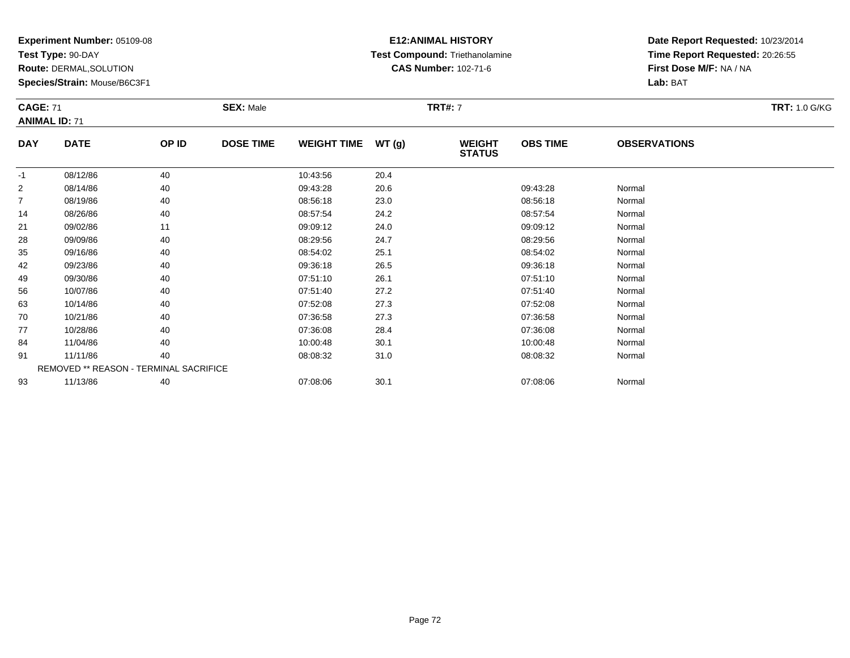**Test Type:** 90-DAY

**Route:** DERMAL,SOLUTION

**Species/Strain:** Mouse/B6C3F1

### **E12:ANIMAL HISTORY Test Compound:** Triethanolamine**CAS Number:** 102-71-6

**Date Report Requested:** 10/23/2014**Time Report Requested:** 20:26:55**First Dose M/F:** NA / NA**Lab:** BAT

| <b>CAGE: 71</b> | <b>ANIMAL ID: 71</b>                          |       | <b>SEX: Male</b> |                    |        | <b>TRT#: 7</b>                 |                 |                     | <b>TRT: 1.0 G/KG</b> |
|-----------------|-----------------------------------------------|-------|------------------|--------------------|--------|--------------------------------|-----------------|---------------------|----------------------|
| <b>DAY</b>      | <b>DATE</b>                                   | OP ID | <b>DOSE TIME</b> | <b>WEIGHT TIME</b> | WT (g) | <b>WEIGHT</b><br><b>STATUS</b> | <b>OBS TIME</b> | <b>OBSERVATIONS</b> |                      |
| $-1$            | 08/12/86                                      | 40    |                  | 10:43:56           | 20.4   |                                |                 |                     |                      |
| 2               | 08/14/86                                      | 40    |                  | 09:43:28           | 20.6   |                                | 09:43:28        | Normal              |                      |
| $\overline{7}$  | 08/19/86                                      | 40    |                  | 08:56:18           | 23.0   |                                | 08:56:18        | Normal              |                      |
| 14              | 08/26/86                                      | 40    |                  | 08:57:54           | 24.2   |                                | 08:57:54        | Normal              |                      |
| 21              | 09/02/86                                      | 11    |                  | 09:09:12           | 24.0   |                                | 09:09:12        | Normal              |                      |
| 28              | 09/09/86                                      | 40    |                  | 08:29:56           | 24.7   |                                | 08:29:56        | Normal              |                      |
| 35              | 09/16/86                                      | 40    |                  | 08:54:02           | 25.1   |                                | 08:54:02        | Normal              |                      |
| 42              | 09/23/86                                      | 40    |                  | 09:36:18           | 26.5   |                                | 09:36:18        | Normal              |                      |
| 49              | 09/30/86                                      | 40    |                  | 07:51:10           | 26.1   |                                | 07:51:10        | Normal              |                      |
| 56              | 10/07/86                                      | 40    |                  | 07:51:40           | 27.2   |                                | 07:51:40        | Normal              |                      |
| 63              | 10/14/86                                      | 40    |                  | 07:52:08           | 27.3   |                                | 07:52:08        | Normal              |                      |
| 70              | 10/21/86                                      | 40    |                  | 07:36:58           | 27.3   |                                | 07:36:58        | Normal              |                      |
| 77              | 10/28/86                                      | 40    |                  | 07:36:08           | 28.4   |                                | 07:36:08        | Normal              |                      |
| 84              | 11/04/86                                      | 40    |                  | 10:00:48           | 30.1   |                                | 10:00:48        | Normal              |                      |
| 91              | 11/11/86                                      | 40    |                  | 08:08:32           | 31.0   |                                | 08:08:32        | Normal              |                      |
|                 | <b>REMOVED ** REASON - TERMINAL SACRIFICE</b> |       |                  |                    |        |                                |                 |                     |                      |
| 93              | 11/13/86                                      | 40    |                  | 07:08:06           | 30.1   |                                | 07:08:06        | Normal              |                      |

3 11/13/86 40 40 07:08:06 30.1 07:08:06 30.1 07:08:06 Normal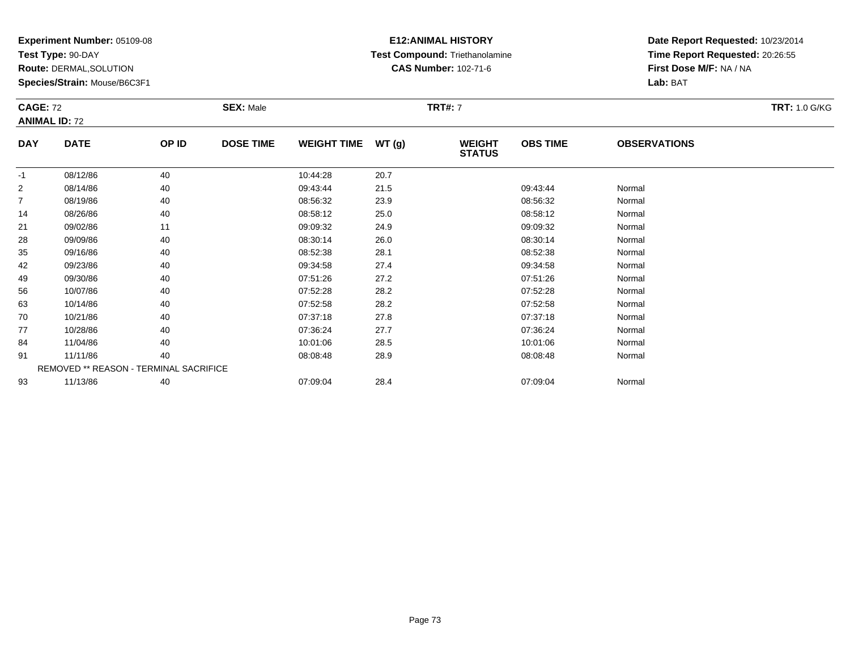**Test Type:** 90-DAY

**Route:** DERMAL,SOLUTION

**Species/Strain:** Mouse/B6C3F1

### **E12:ANIMAL HISTORY Test Compound:** Triethanolamine**CAS Number:** 102-71-6

| <b>CAGE: 72</b> | <b>ANIMAL ID: 72</b>                   |       | <b>SEX: Male</b> |                    |       | <b>TRT#: 7</b>                 |                 |                     | <b>TRT: 1.0 G/KG</b> |
|-----------------|----------------------------------------|-------|------------------|--------------------|-------|--------------------------------|-----------------|---------------------|----------------------|
| <b>DAY</b>      | <b>DATE</b>                            | OP ID | <b>DOSE TIME</b> | <b>WEIGHT TIME</b> | WT(g) | <b>WEIGHT</b><br><b>STATUS</b> | <b>OBS TIME</b> | <b>OBSERVATIONS</b> |                      |
| -1              | 08/12/86                               | 40    |                  | 10:44:28           | 20.7  |                                |                 |                     |                      |
| 2               | 08/14/86                               | 40    |                  | 09:43:44           | 21.5  |                                | 09:43:44        | Normal              |                      |
| $\overline{7}$  | 08/19/86                               | 40    |                  | 08:56:32           | 23.9  |                                | 08:56:32        | Normal              |                      |
| 14              | 08/26/86                               | 40    |                  | 08:58:12           | 25.0  |                                | 08:58:12        | Normal              |                      |
| 21              | 09/02/86                               | 11    |                  | 09:09:32           | 24.9  |                                | 09:09:32        | Normal              |                      |
| 28              | 09/09/86                               | 40    |                  | 08:30:14           | 26.0  |                                | 08:30:14        | Normal              |                      |
| 35              | 09/16/86                               | 40    |                  | 08:52:38           | 28.1  |                                | 08:52:38        | Normal              |                      |
| 42              | 09/23/86                               | 40    |                  | 09:34:58           | 27.4  |                                | 09:34:58        | Normal              |                      |
| 49              | 09/30/86                               | 40    |                  | 07:51:26           | 27.2  |                                | 07:51:26        | Normal              |                      |
| 56              | 10/07/86                               | 40    |                  | 07:52:28           | 28.2  |                                | 07:52:28        | Normal              |                      |
| 63              | 10/14/86                               | 40    |                  | 07:52:58           | 28.2  |                                | 07:52:58        | Normal              |                      |
| 70              | 10/21/86                               | 40    |                  | 07:37:18           | 27.8  |                                | 07:37:18        | Normal              |                      |
| 77              | 10/28/86                               | 40    |                  | 07:36:24           | 27.7  |                                | 07:36:24        | Normal              |                      |
| 84              | 11/04/86                               | 40    |                  | 10:01:06           | 28.5  |                                | 10:01:06        | Normal              |                      |
| 91              | 11/11/86                               | 40    |                  | 08:08:48           | 28.9  |                                | 08:08:48        | Normal              |                      |
|                 | REMOVED ** REASON - TERMINAL SACRIFICE |       |                  |                    |       |                                |                 |                     |                      |
| 93              | 11/13/86                               | 40    |                  | 07:09:04           | 28.4  |                                | 07:09:04        | Normal              |                      |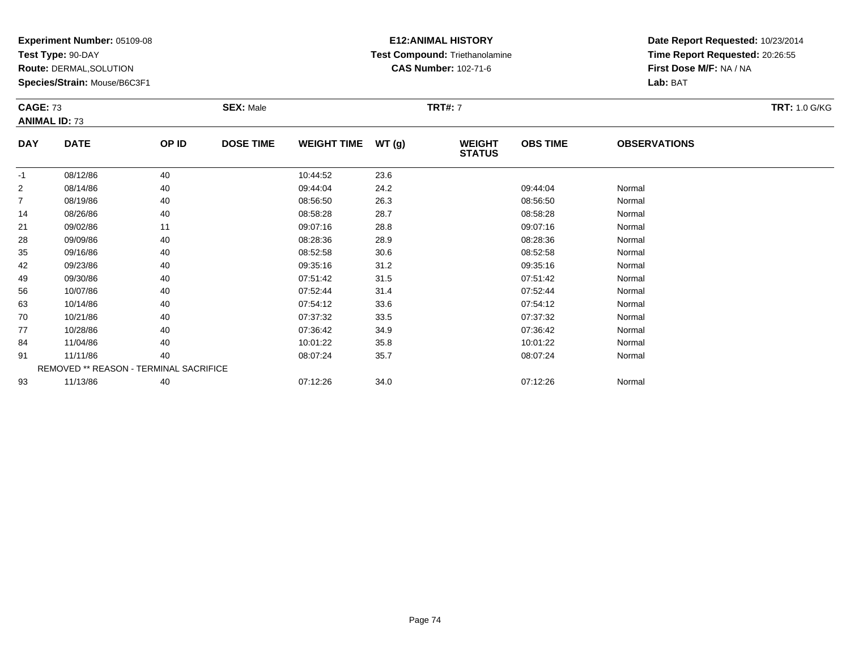**Test Type:** 90-DAY

**Route:** DERMAL,SOLUTION

**Species/Strain:** Mouse/B6C3F1

### **E12:ANIMAL HISTORY Test Compound:** Triethanolamine**CAS Number:** 102-71-6

| <b>CAGE: 73</b> | <b>ANIMAL ID: 73</b>                   |       | <b>SEX: Male</b> |                    |       | <b>TRT#: 7</b>                 |                 |                     | <b>TRT: 1.0 G/KG</b> |
|-----------------|----------------------------------------|-------|------------------|--------------------|-------|--------------------------------|-----------------|---------------------|----------------------|
| <b>DAY</b>      | <b>DATE</b>                            | OP ID | <b>DOSE TIME</b> | <b>WEIGHT TIME</b> | WT(g) | <b>WEIGHT</b><br><b>STATUS</b> | <b>OBS TIME</b> | <b>OBSERVATIONS</b> |                      |
| $-1$            | 08/12/86                               | 40    |                  | 10:44:52           | 23.6  |                                |                 |                     |                      |
| $\overline{2}$  | 08/14/86                               | 40    |                  | 09:44:04           | 24.2  |                                | 09:44:04        | Normal              |                      |
| $\overline{7}$  | 08/19/86                               | 40    |                  | 08:56:50           | 26.3  |                                | 08:56:50        | Normal              |                      |
| 14              | 08/26/86                               | 40    |                  | 08:58:28           | 28.7  |                                | 08:58:28        | Normal              |                      |
| 21              | 09/02/86                               | 11    |                  | 09:07:16           | 28.8  |                                | 09:07:16        | Normal              |                      |
| 28              | 09/09/86                               | 40    |                  | 08:28:36           | 28.9  |                                | 08:28:36        | Normal              |                      |
| 35              | 09/16/86                               | 40    |                  | 08:52:58           | 30.6  |                                | 08:52:58        | Normal              |                      |
| 42              | 09/23/86                               | 40    |                  | 09:35:16           | 31.2  |                                | 09:35:16        | Normal              |                      |
| 49              | 09/30/86                               | 40    |                  | 07:51:42           | 31.5  |                                | 07:51:42        | Normal              |                      |
| 56              | 10/07/86                               | 40    |                  | 07:52:44           | 31.4  |                                | 07:52:44        | Normal              |                      |
| 63              | 10/14/86                               | 40    |                  | 07:54:12           | 33.6  |                                | 07:54:12        | Normal              |                      |
| 70              | 10/21/86                               | 40    |                  | 07:37:32           | 33.5  |                                | 07:37:32        | Normal              |                      |
| 77              | 10/28/86                               | 40    |                  | 07:36:42           | 34.9  |                                | 07:36:42        | Normal              |                      |
| 84              | 11/04/86                               | 40    |                  | 10:01:22           | 35.8  |                                | 10:01:22        | Normal              |                      |
| 91              | 11/11/86                               | 40    |                  | 08:07:24           | 35.7  |                                | 08:07:24        | Normal              |                      |
|                 | REMOVED ** REASON - TERMINAL SACRIFICE |       |                  |                    |       |                                |                 |                     |                      |
| 93              | 11/13/86                               | 40    |                  | 07:12:26           | 34.0  |                                | 07:12:26        | Normal              |                      |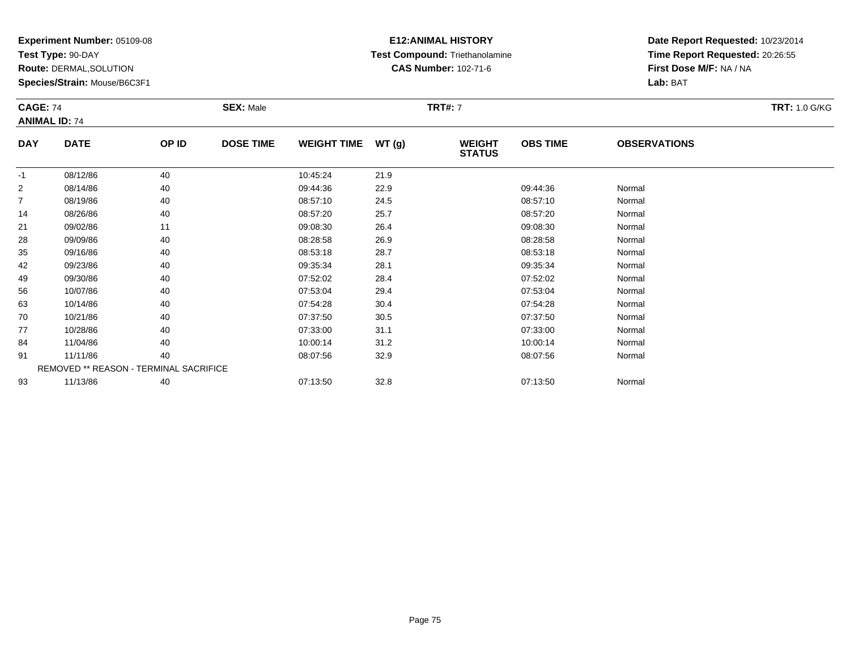**Test Type:** 90-DAY

**Route:** DERMAL,SOLUTION

**Species/Strain:** Mouse/B6C3F1

### **E12:ANIMAL HISTORY Test Compound:** Triethanolamine**CAS Number:** 102-71-6

**Date Report Requested:** 10/23/2014**Time Report Requested:** 20:26:55**First Dose M/F:** NA / NA**Lab:** BAT

| <b>CAGE: 74</b> | <b>ANIMAL ID: 74</b>                          |       | <b>SEX: Male</b> |                    |       | <b>TRT#: 7</b>                 |                 |                     | <b>TRT: 1.0 G/KG</b> |
|-----------------|-----------------------------------------------|-------|------------------|--------------------|-------|--------------------------------|-----------------|---------------------|----------------------|
| <b>DAY</b>      | <b>DATE</b>                                   | OP ID | <b>DOSE TIME</b> | <b>WEIGHT TIME</b> | WT(g) | <b>WEIGHT</b><br><b>STATUS</b> | <b>OBS TIME</b> | <b>OBSERVATIONS</b> |                      |
| -1              | 08/12/86                                      | 40    |                  | 10:45:24           | 21.9  |                                |                 |                     |                      |
| $\overline{2}$  | 08/14/86                                      | 40    |                  | 09:44:36           | 22.9  |                                | 09:44:36        | Normal              |                      |
| $\overline{7}$  | 08/19/86                                      | 40    |                  | 08:57:10           | 24.5  |                                | 08:57:10        | Normal              |                      |
| 14              | 08/26/86                                      | 40    |                  | 08:57:20           | 25.7  |                                | 08:57:20        | Normal              |                      |
| 21              | 09/02/86                                      | 11    |                  | 09:08:30           | 26.4  |                                | 09:08:30        | Normal              |                      |
| 28              | 09/09/86                                      | 40    |                  | 08:28:58           | 26.9  |                                | 08:28:58        | Normal              |                      |
| 35              | 09/16/86                                      | 40    |                  | 08:53:18           | 28.7  |                                | 08:53:18        | Normal              |                      |
| 42              | 09/23/86                                      | 40    |                  | 09:35:34           | 28.1  |                                | 09:35:34        | Normal              |                      |
| 49              | 09/30/86                                      | 40    |                  | 07:52:02           | 28.4  |                                | 07:52:02        | Normal              |                      |
| 56              | 10/07/86                                      | 40    |                  | 07:53:04           | 29.4  |                                | 07:53:04        | Normal              |                      |
| 63              | 10/14/86                                      | 40    |                  | 07:54:28           | 30.4  |                                | 07:54:28        | Normal              |                      |
| 70              | 10/21/86                                      | 40    |                  | 07:37:50           | 30.5  |                                | 07:37:50        | Normal              |                      |
| 77              | 10/28/86                                      | 40    |                  | 07:33:00           | 31.1  |                                | 07:33:00        | Normal              |                      |
| 84              | 11/04/86                                      | 40    |                  | 10:00:14           | 31.2  |                                | 10:00:14        | Normal              |                      |
| 91              | 11/11/86                                      | 40    |                  | 08:07:56           | 32.9  |                                | 08:07:56        | Normal              |                      |
|                 | <b>REMOVED ** REASON - TERMINAL SACRIFICE</b> |       |                  |                    |       |                                |                 |                     |                      |
| 93              | 11/13/86                                      | 40    |                  | 07:13:50           | 32.8  |                                | 07:13:50        | Normal              |                      |

3 11/13/86 40 40 07:13:50 32.8 07:13:50 07:13:50 Normal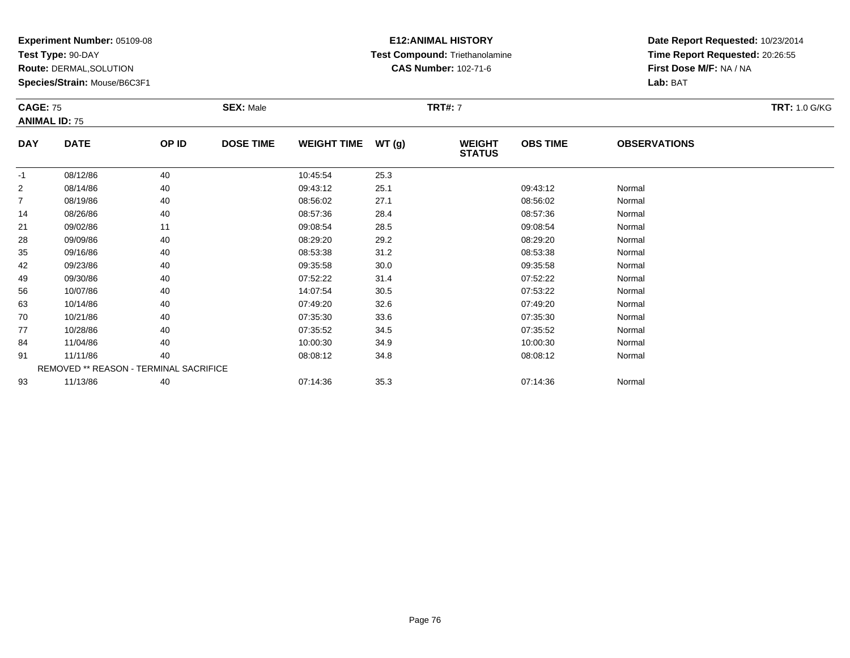**Test Type:** 90-DAY

**Route:** DERMAL,SOLUTION

**Species/Strain:** Mouse/B6C3F1

### **E12:ANIMAL HISTORY Test Compound:** Triethanolamine**CAS Number:** 102-71-6

| <b>CAGE: 75</b> | <b>ANIMAL ID: 75</b>                   |       | <b>SEX: Male</b> |                    |       | <b>TRT#: 7</b>                 |                 |                     | <b>TRT: 1.0 G/KG</b> |
|-----------------|----------------------------------------|-------|------------------|--------------------|-------|--------------------------------|-----------------|---------------------|----------------------|
| <b>DAY</b>      | <b>DATE</b>                            | OP ID | <b>DOSE TIME</b> | <b>WEIGHT TIME</b> | WT(g) | <b>WEIGHT</b><br><b>STATUS</b> | <b>OBS TIME</b> | <b>OBSERVATIONS</b> |                      |
| $-1$            | 08/12/86                               | 40    |                  | 10:45:54           | 25.3  |                                |                 |                     |                      |
| 2               | 08/14/86                               | 40    |                  | 09:43:12           | 25.1  |                                | 09:43:12        | Normal              |                      |
| $\overline{7}$  | 08/19/86                               | 40    |                  | 08:56:02           | 27.1  |                                | 08:56:02        | Normal              |                      |
| 14              | 08/26/86                               | 40    |                  | 08:57:36           | 28.4  |                                | 08:57:36        | Normal              |                      |
| 21              | 09/02/86                               | 11    |                  | 09:08:54           | 28.5  |                                | 09:08:54        | Normal              |                      |
| 28              | 09/09/86                               | 40    |                  | 08:29:20           | 29.2  |                                | 08:29:20        | Normal              |                      |
| 35              | 09/16/86                               | 40    |                  | 08:53:38           | 31.2  |                                | 08:53:38        | Normal              |                      |
| 42              | 09/23/86                               | 40    |                  | 09:35:58           | 30.0  |                                | 09:35:58        | Normal              |                      |
| 49              | 09/30/86                               | 40    |                  | 07:52:22           | 31.4  |                                | 07:52:22        | Normal              |                      |
| 56              | 10/07/86                               | 40    |                  | 14:07:54           | 30.5  |                                | 07:53:22        | Normal              |                      |
| 63              | 10/14/86                               | 40    |                  | 07:49:20           | 32.6  |                                | 07:49:20        | Normal              |                      |
| 70              | 10/21/86                               | 40    |                  | 07:35:30           | 33.6  |                                | 07:35:30        | Normal              |                      |
| 77              | 10/28/86                               | 40    |                  | 07:35:52           | 34.5  |                                | 07:35:52        | Normal              |                      |
| 84              | 11/04/86                               | 40    |                  | 10:00:30           | 34.9  |                                | 10:00:30        | Normal              |                      |
| 91              | 11/11/86                               | 40    |                  | 08:08:12           | 34.8  |                                | 08:08:12        | Normal              |                      |
|                 | REMOVED ** REASON - TERMINAL SACRIFICE |       |                  |                    |       |                                |                 |                     |                      |
| 93              | 11/13/86                               | 40    |                  | 07:14:36           | 35.3  |                                | 07:14:36        | Normal              |                      |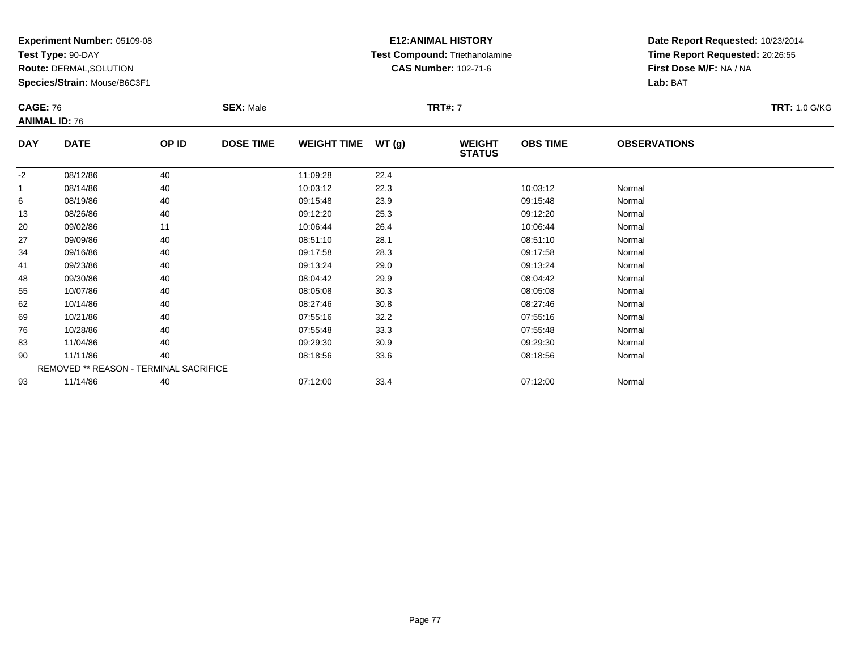**Test Type:** 90-DAY

**Route:** DERMAL,SOLUTION

**Species/Strain:** Mouse/B6C3F1

# **E12:ANIMAL HISTORY Test Compound:** Triethanolamine**CAS Number:** 102-71-6

| <b>CAGE: 76</b> | <b>ANIMAL ID: 76</b>                   |       | <b>SEX: Male</b> |                    |       | <b>TRT#: 7</b>                 |                 |                     | <b>TRT: 1.0 G/KG</b> |
|-----------------|----------------------------------------|-------|------------------|--------------------|-------|--------------------------------|-----------------|---------------------|----------------------|
| <b>DAY</b>      | <b>DATE</b>                            | OP ID | <b>DOSE TIME</b> | <b>WEIGHT TIME</b> | WT(g) | <b>WEIGHT</b><br><b>STATUS</b> | <b>OBS TIME</b> | <b>OBSERVATIONS</b> |                      |
| $-2$            | 08/12/86                               | 40    |                  | 11:09:28           | 22.4  |                                |                 |                     |                      |
|                 | 08/14/86                               | 40    |                  | 10:03:12           | 22.3  |                                | 10:03:12        | Normal              |                      |
| 6               | 08/19/86                               | 40    |                  | 09:15:48           | 23.9  |                                | 09:15:48        | Normal              |                      |
| 13              | 08/26/86                               | 40    |                  | 09:12:20           | 25.3  |                                | 09:12:20        | Normal              |                      |
| 20              | 09/02/86                               | 11    |                  | 10:06:44           | 26.4  |                                | 10:06:44        | Normal              |                      |
| 27              | 09/09/86                               | 40    |                  | 08:51:10           | 28.1  |                                | 08:51:10        | Normal              |                      |
| 34              | 09/16/86                               | 40    |                  | 09:17:58           | 28.3  |                                | 09:17:58        | Normal              |                      |
| 41              | 09/23/86                               | 40    |                  | 09:13:24           | 29.0  |                                | 09:13:24        | Normal              |                      |
| 48              | 09/30/86                               | 40    |                  | 08:04:42           | 29.9  |                                | 08:04:42        | Normal              |                      |
| 55              | 10/07/86                               | 40    |                  | 08:05:08           | 30.3  |                                | 08:05:08        | Normal              |                      |
| 62              | 10/14/86                               | 40    |                  | 08:27:46           | 30.8  |                                | 08:27:46        | Normal              |                      |
| 69              | 10/21/86                               | 40    |                  | 07:55:16           | 32.2  |                                | 07:55:16        | Normal              |                      |
| 76              | 10/28/86                               | 40    |                  | 07:55:48           | 33.3  |                                | 07:55:48        | Normal              |                      |
| 83              | 11/04/86                               | 40    |                  | 09:29:30           | 30.9  |                                | 09:29:30        | Normal              |                      |
| 90              | 11/11/86                               | 40    |                  | 08:18:56           | 33.6  |                                | 08:18:56        | Normal              |                      |
|                 | REMOVED ** REASON - TERMINAL SACRIFICE |       |                  |                    |       |                                |                 |                     |                      |
| 93              | 11/14/86                               | 40    |                  | 07:12:00           | 33.4  |                                | 07:12:00        | Normal              |                      |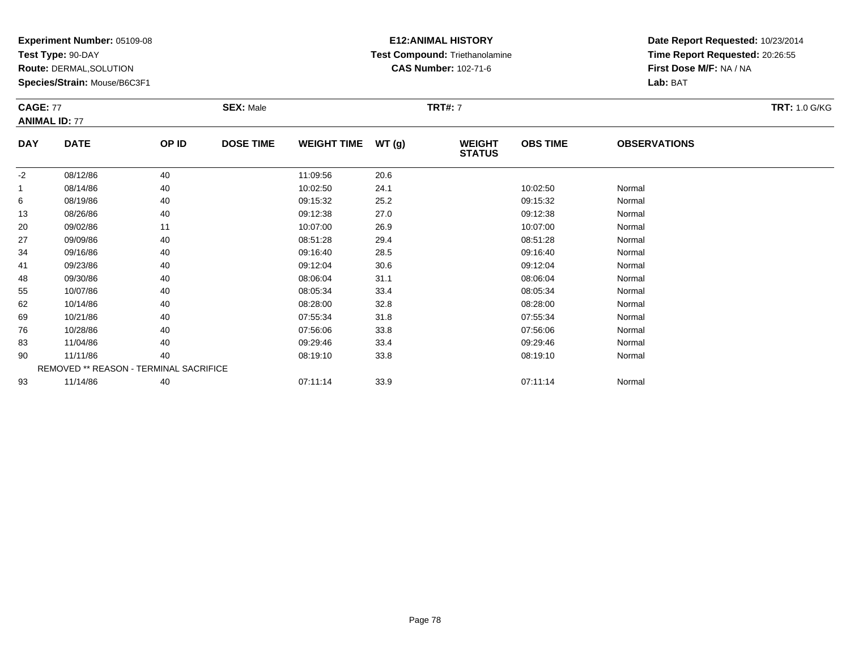**Test Type:** 90-DAY

**Route:** DERMAL,SOLUTION

**Species/Strain:** Mouse/B6C3F1

### **E12:ANIMAL HISTORY Test Compound:** Triethanolamine**CAS Number:** 102-71-6

**Date Report Requested:** 10/23/2014**Time Report Requested:** 20:26:55**First Dose M/F:** NA / NA**Lab:** BAT

| <b>CAGE: 77</b><br><b>ANIMAL ID: 77</b> |             |       | <b>SEX: Male</b> |                    |       | <b>TRT#: 7</b>                 |                 |                     | <b>TRT: 1.0 G/KG</b> |
|-----------------------------------------|-------------|-------|------------------|--------------------|-------|--------------------------------|-----------------|---------------------|----------------------|
| <b>DAY</b>                              | <b>DATE</b> | OP ID | <b>DOSE TIME</b> | <b>WEIGHT TIME</b> | WT(g) | <b>WEIGHT</b><br><b>STATUS</b> | <b>OBS TIME</b> | <b>OBSERVATIONS</b> |                      |
| $-2$                                    | 08/12/86    | 40    |                  | 11:09:56           | 20.6  |                                |                 |                     |                      |
|                                         | 08/14/86    | 40    |                  | 10:02:50           | 24.1  |                                | 10:02:50        | Normal              |                      |
| 6                                       | 08/19/86    | 40    |                  | 09:15:32           | 25.2  |                                | 09:15:32        | Normal              |                      |
| 13                                      | 08/26/86    | 40    |                  | 09:12:38           | 27.0  |                                | 09:12:38        | Normal              |                      |
| 20                                      | 09/02/86    | 11    |                  | 10:07:00           | 26.9  |                                | 10:07:00        | Normal              |                      |
| 27                                      | 09/09/86    | 40    |                  | 08:51:28           | 29.4  |                                | 08:51:28        | Normal              |                      |
| 34                                      | 09/16/86    | 40    |                  | 09:16:40           | 28.5  |                                | 09:16:40        | Normal              |                      |
| 41                                      | 09/23/86    | 40    |                  | 09:12:04           | 30.6  |                                | 09:12:04        | Normal              |                      |
| 48                                      | 09/30/86    | 40    |                  | 08:06:04           | 31.1  |                                | 08:06:04        | Normal              |                      |
| 55                                      | 10/07/86    | 40    |                  | 08:05:34           | 33.4  |                                | 08:05:34        | Normal              |                      |
| 62                                      | 10/14/86    | 40    |                  | 08:28:00           | 32.8  |                                | 08:28:00        | Normal              |                      |
| 69                                      | 10/21/86    | 40    |                  | 07:55:34           | 31.8  |                                | 07:55:34        | Normal              |                      |
| 76                                      | 10/28/86    | 40    |                  | 07:56:06           | 33.8  |                                | 07:56:06        | Normal              |                      |
| 83                                      | 11/04/86    | 40    |                  | 09:29:46           | 33.4  |                                | 09:29:46        | Normal              |                      |
| 90                                      | 11/11/86    | 40    |                  | 08:19:10           | 33.8  |                                | 08:19:10        | Normal              |                      |

REMOVED \*\* REASON - TERMINAL SACRIFICE9311/14/86 <sup>40</sup> 07:11:14 33.9 07:11:14 Normal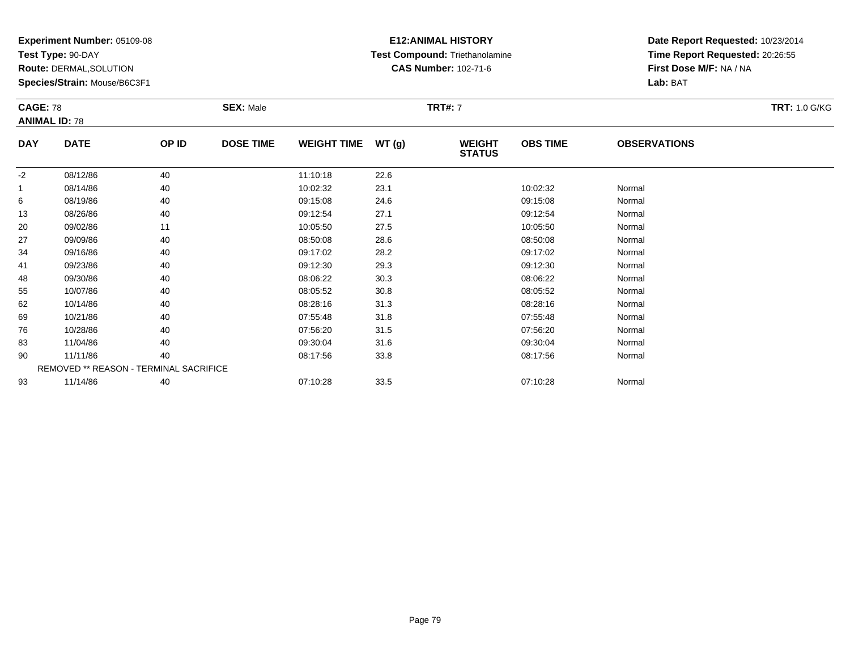**Test Type:** 90-DAY

**Route:** DERMAL,SOLUTION

**Species/Strain:** Mouse/B6C3F1

### **E12:ANIMAL HISTORY Test Compound:** Triethanolamine**CAS Number:** 102-71-6

| <b>CAGE: 78</b> | <b>ANIMAL ID: 78</b>                   |       | <b>SEX: Male</b> |                    |      | <b>TRT#: 7</b>                 |                 |                     | <b>TRT: 1.0 G/KG</b> |
|-----------------|----------------------------------------|-------|------------------|--------------------|------|--------------------------------|-----------------|---------------------|----------------------|
| <b>DAY</b>      | <b>DATE</b>                            | OP ID | <b>DOSE TIME</b> | WEIGHT TIME WT (g) |      | <b>WEIGHT</b><br><b>STATUS</b> | <b>OBS TIME</b> | <b>OBSERVATIONS</b> |                      |
| $-2$            | 08/12/86                               | 40    |                  | 11:10:18           | 22.6 |                                |                 |                     |                      |
| 1               | 08/14/86                               | 40    |                  | 10:02:32           | 23.1 |                                | 10:02:32        | Normal              |                      |
| 6               | 08/19/86                               | 40    |                  | 09:15:08           | 24.6 |                                | 09:15:08        | Normal              |                      |
| 13              | 08/26/86                               | 40    |                  | 09:12:54           | 27.1 |                                | 09:12:54        | Normal              |                      |
| 20              | 09/02/86                               | 11    |                  | 10:05:50           | 27.5 |                                | 10:05:50        | Normal              |                      |
| 27              | 09/09/86                               | 40    |                  | 08:50:08           | 28.6 |                                | 08:50:08        | Normal              |                      |
| 34              | 09/16/86                               | 40    |                  | 09:17:02           | 28.2 |                                | 09:17:02        | Normal              |                      |
| 41              | 09/23/86                               | 40    |                  | 09:12:30           | 29.3 |                                | 09:12:30        | Normal              |                      |
| 48              | 09/30/86                               | 40    |                  | 08:06:22           | 30.3 |                                | 08:06:22        | Normal              |                      |
| 55              | 10/07/86                               | 40    |                  | 08:05:52           | 30.8 |                                | 08:05:52        | Normal              |                      |
| 62              | 10/14/86                               | 40    |                  | 08:28:16           | 31.3 |                                | 08:28:16        | Normal              |                      |
| 69              | 10/21/86                               | 40    |                  | 07:55:48           | 31.8 |                                | 07:55:48        | Normal              |                      |
| 76              | 10/28/86                               | 40    |                  | 07:56:20           | 31.5 |                                | 07:56:20        | Normal              |                      |
| 83              | 11/04/86                               | 40    |                  | 09:30:04           | 31.6 |                                | 09:30:04        | Normal              |                      |
| 90              | 11/11/86                               | 40    |                  | 08:17:56           | 33.8 |                                | 08:17:56        | Normal              |                      |
|                 | REMOVED ** REASON - TERMINAL SACRIFICE |       |                  |                    |      |                                |                 |                     |                      |
| 93              | 11/14/86                               | 40    |                  | 07:10:28           | 33.5 |                                | 07:10:28        | Normal              |                      |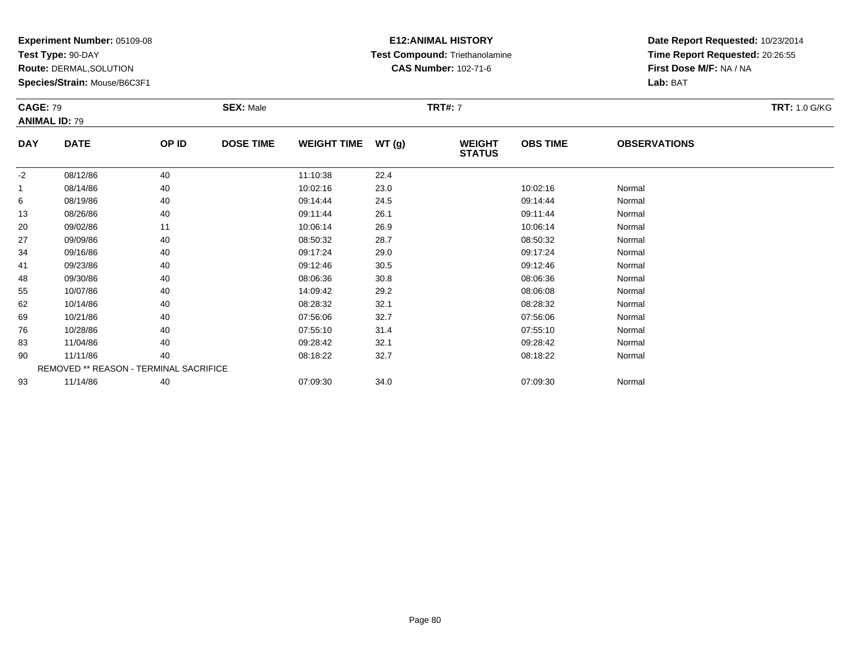**Test Type:** 90-DAY

**Route:** DERMAL,SOLUTION

**Species/Strain:** Mouse/B6C3F1

# **E12:ANIMAL HISTORY Test Compound:** Triethanolamine**CAS Number:** 102-71-6

|              | <b>CAGE: 79</b><br><b>ANIMAL ID: 79</b> |       | <b>SEX: Male</b> |                    |      | <b>TRT#: 7</b>                 | <b>TRT: 1.0 G/KG</b> |                     |  |
|--------------|-----------------------------------------|-------|------------------|--------------------|------|--------------------------------|----------------------|---------------------|--|
| <b>DAY</b>   | <b>DATE</b>                             | OP ID | <b>DOSE TIME</b> | WEIGHT TIME WT (g) |      | <b>WEIGHT</b><br><b>STATUS</b> | <b>OBS TIME</b>      | <b>OBSERVATIONS</b> |  |
| $-2$         | 08/12/86                                | 40    |                  | 11:10:38           | 22.4 |                                |                      |                     |  |
| $\mathbf{1}$ | 08/14/86                                | 40    |                  | 10:02:16           | 23.0 |                                | 10:02:16             | Normal              |  |
| 6            | 08/19/86                                | 40    |                  | 09:14:44           | 24.5 |                                | 09:14:44             | Normal              |  |
| 13           | 08/26/86                                | 40    |                  | 09:11:44           | 26.1 |                                | 09:11:44             | Normal              |  |
| 20           | 09/02/86                                | 11    |                  | 10:06:14           | 26.9 |                                | 10:06:14             | Normal              |  |
| 27           | 09/09/86                                | 40    |                  | 08:50:32           | 28.7 |                                | 08:50:32             | Normal              |  |
| 34           | 09/16/86                                | 40    |                  | 09:17:24           | 29.0 |                                | 09:17:24             | Normal              |  |
| 41           | 09/23/86                                | 40    |                  | 09:12:46           | 30.5 |                                | 09:12:46             | Normal              |  |
| 48           | 09/30/86                                | 40    |                  | 08:06:36           | 30.8 |                                | 08:06:36             | Normal              |  |
| 55           | 10/07/86                                | 40    |                  | 14:09:42           | 29.2 |                                | 08:06:08             | Normal              |  |
| 62           | 10/14/86                                | 40    |                  | 08:28:32           | 32.1 |                                | 08:28:32             | Normal              |  |
| 69           | 10/21/86                                | 40    |                  | 07:56:06           | 32.7 |                                | 07:56:06             | Normal              |  |
| 76           | 10/28/86                                | 40    |                  | 07:55:10           | 31.4 |                                | 07:55:10             | Normal              |  |
| 83           | 11/04/86                                | 40    |                  | 09:28:42           | 32.1 |                                | 09:28:42             | Normal              |  |
| 90           | 11/11/86                                | 40    |                  | 08:18:22           | 32.7 |                                | 08:18:22             | Normal              |  |
|              | REMOVED ** REASON - TERMINAL SACRIFICE  |       |                  |                    |      |                                |                      |                     |  |
| 93           | 11/14/86                                | 40    |                  | 07:09:30           | 34.0 |                                | 07:09:30             | Normal              |  |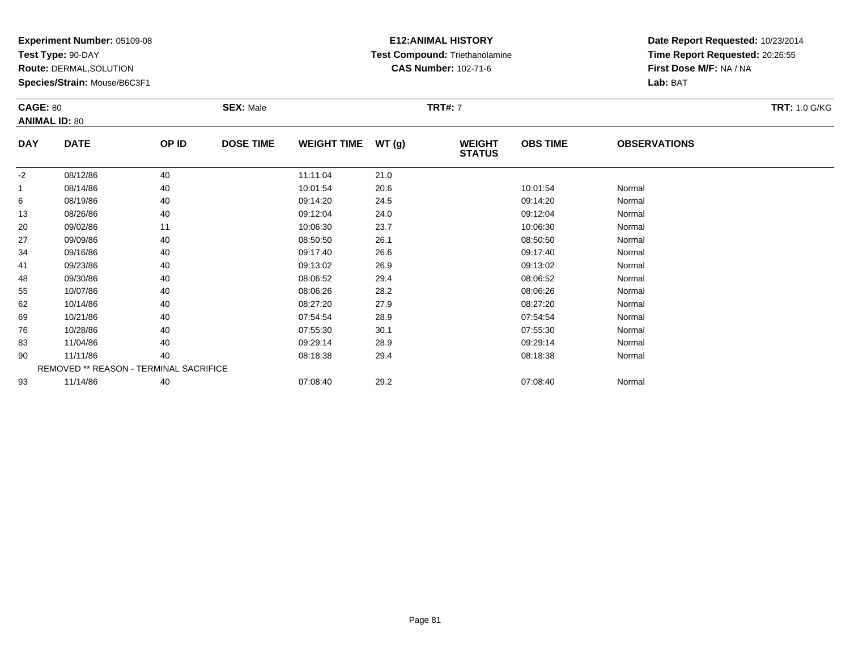**Test Type:** 90-DAY

**Route:** DERMAL,SOLUTION

**Species/Strain:** Mouse/B6C3F1

# **E12:ANIMAL HISTORY Test Compound:** Triethanolamine**CAS Number:** 102-71-6

| <b>CAGE: 80</b><br><b>ANIMAL ID: 80</b> |             |                                        | <b>SEX: Male</b> |                    |       | <b>TRT#: 7</b>                 |                 |                     | <b>TRT: 1.0 G/KG</b> |
|-----------------------------------------|-------------|----------------------------------------|------------------|--------------------|-------|--------------------------------|-----------------|---------------------|----------------------|
| <b>DAY</b>                              | <b>DATE</b> | OP ID                                  | <b>DOSE TIME</b> | <b>WEIGHT TIME</b> | WT(g) | <b>WEIGHT</b><br><b>STATUS</b> | <b>OBS TIME</b> | <b>OBSERVATIONS</b> |                      |
| $-2$                                    | 08/12/86    | 40                                     |                  | 11:11:04           | 21.0  |                                |                 |                     |                      |
| $\mathbf{1}$                            | 08/14/86    | 40                                     |                  | 10:01:54           | 20.6  |                                | 10:01:54        | Normal              |                      |
| 6                                       | 08/19/86    | 40                                     |                  | 09:14:20           | 24.5  |                                | 09:14:20        | Normal              |                      |
| 13                                      | 08/26/86    | 40                                     |                  | 09:12:04           | 24.0  |                                | 09:12:04        | Normal              |                      |
| 20                                      | 09/02/86    | 11                                     |                  | 10:06:30           | 23.7  |                                | 10:06:30        | Normal              |                      |
| 27                                      | 09/09/86    | 40                                     |                  | 08:50:50           | 26.1  |                                | 08:50:50        | Normal              |                      |
| 34                                      | 09/16/86    | 40                                     |                  | 09:17:40           | 26.6  |                                | 09:17:40        | Normal              |                      |
| 41                                      | 09/23/86    | 40                                     |                  | 09:13:02           | 26.9  |                                | 09:13:02        | Normal              |                      |
| 48                                      | 09/30/86    | 40                                     |                  | 08:06:52           | 29.4  |                                | 08:06:52        | Normal              |                      |
| 55                                      | 10/07/86    | 40                                     |                  | 08:06:26           | 28.2  |                                | 08:06:26        | Normal              |                      |
| 62                                      | 10/14/86    | 40                                     |                  | 08:27:20           | 27.9  |                                | 08:27:20        | Normal              |                      |
| 69                                      | 10/21/86    | 40                                     |                  | 07:54:54           | 28.9  |                                | 07:54:54        | Normal              |                      |
| 76                                      | 10/28/86    | 40                                     |                  | 07:55:30           | 30.1  |                                | 07:55:30        | Normal              |                      |
| 83                                      | 11/04/86    | 40                                     |                  | 09:29:14           | 28.9  |                                | 09:29:14        | Normal              |                      |
| 90                                      | 11/11/86    | 40                                     |                  | 08:18:38           | 29.4  |                                | 08:18:38        | Normal              |                      |
|                                         |             | REMOVED ** REASON - TERMINAL SACRIFICE |                  |                    |       |                                |                 |                     |                      |
| 93                                      | 11/14/86    | 40                                     |                  | 07:08:40           | 29.2  |                                | 07:08:40        | Normal              |                      |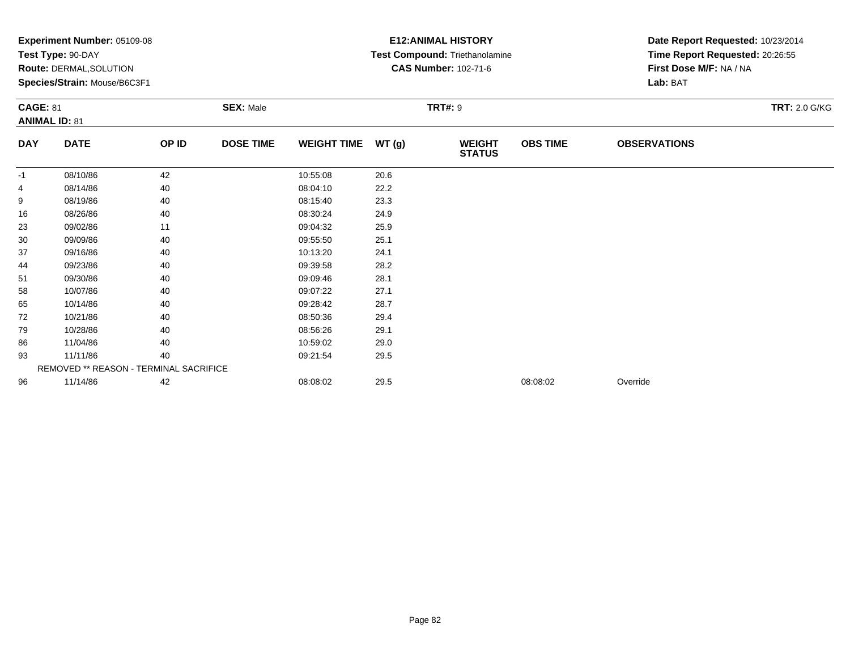|            | Experiment Number: 05109-08<br>Test Type: 90-DAY<br>Route: DERMAL, SOLUTION<br>Species/Strain: Mouse/B6C3F1<br><b>SEX: Male</b><br><b>CAGE: 81</b><br><b>ANIMAL ID: 81</b> |       |                  |                    |       | <b>E12: ANIMAL HISTORY</b><br>Test Compound: Triethanolamine<br><b>CAS Number: 102-71-6</b> | Date Report Requested: 10/23/2014<br>Time Report Requested: 20:26:55<br>First Dose M/F: NA / NA<br>Lab: BAT |                     |                      |
|------------|----------------------------------------------------------------------------------------------------------------------------------------------------------------------------|-------|------------------|--------------------|-------|---------------------------------------------------------------------------------------------|-------------------------------------------------------------------------------------------------------------|---------------------|----------------------|
|            |                                                                                                                                                                            |       |                  |                    |       | <b>TRT#: 9</b>                                                                              |                                                                                                             |                     | <b>TRT: 2.0 G/KG</b> |
| <b>DAY</b> | <b>DATE</b>                                                                                                                                                                | OP ID | <b>DOSE TIME</b> | <b>WEIGHT TIME</b> | WT(g) | <b>WEIGHT</b><br><b>STATUS</b>                                                              | <b>OBS TIME</b>                                                                                             | <b>OBSERVATIONS</b> |                      |
| -1         | 08/10/86                                                                                                                                                                   | 42    |                  | 10:55:08           | 20.6  |                                                                                             |                                                                                                             |                     |                      |
| 4          | 08/14/86                                                                                                                                                                   | 40    |                  | 08:04:10           | 22.2  |                                                                                             |                                                                                                             |                     |                      |
| 9          | 08/19/86                                                                                                                                                                   | 40    |                  | 08:15:40           | 23.3  |                                                                                             |                                                                                                             |                     |                      |
| 16         | 08/26/86                                                                                                                                                                   | 40    |                  | 08:30:24           | 24.9  |                                                                                             |                                                                                                             |                     |                      |
| 23         | 09/02/86                                                                                                                                                                   | 11    |                  | 09:04:32           | 25.9  |                                                                                             |                                                                                                             |                     |                      |
| 30         | 09/09/86                                                                                                                                                                   | 40    |                  | 09:55:50           | 25.1  |                                                                                             |                                                                                                             |                     |                      |
| 37         | 09/16/86                                                                                                                                                                   | 40    |                  | 10:13:20           | 24.1  |                                                                                             |                                                                                                             |                     |                      |
| 44         | 09/23/86                                                                                                                                                                   | 40    |                  | 09:39:58           | 28.2  |                                                                                             |                                                                                                             |                     |                      |
| 51         | 09/30/86                                                                                                                                                                   | 40    |                  | 09:09:46           | 28.1  |                                                                                             |                                                                                                             |                     |                      |
| 58         | 10/07/86                                                                                                                                                                   | 40    |                  | 09:07:22           | 27.1  |                                                                                             |                                                                                                             |                     |                      |
| 65         | 10/14/86                                                                                                                                                                   | 40    |                  | 09:28:42           | 28.7  |                                                                                             |                                                                                                             |                     |                      |
| 72         | 10/21/86                                                                                                                                                                   | 40    |                  | 08:50:36           | 29.4  |                                                                                             |                                                                                                             |                     |                      |
| 79         | 10/28/86                                                                                                                                                                   | 40    |                  | 08:56:26           | 29.1  |                                                                                             |                                                                                                             |                     |                      |
| 86         | 11/04/86                                                                                                                                                                   | 40    |                  | 10:59:02           | 29.0  |                                                                                             |                                                                                                             |                     |                      |
| 93         | 11/11/86                                                                                                                                                                   | 40    |                  | 09:21:54           | 29.5  |                                                                                             |                                                                                                             |                     |                      |
|            | REMOVED ** REASON - TERMINAL SACRIFICE                                                                                                                                     |       |                  |                    |       |                                                                                             |                                                                                                             |                     |                      |
| 96         | 11/14/86                                                                                                                                                                   | 42    |                  | 08:08:02           | 29.5  |                                                                                             | 08:08:02                                                                                                    | Override            |                      |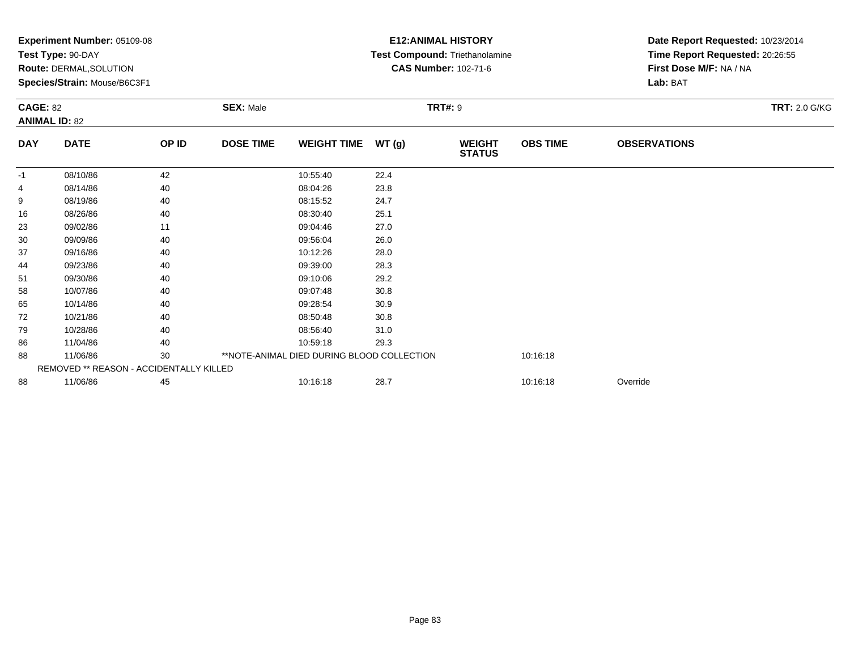|                 | Experiment Number: 05109-08<br>Test Type: 90-DAY<br>Route: DERMAL, SOLUTION<br>Species/Strain: Mouse/B6C3F1 |       |                  |                    | <b>E12: ANIMAL HISTORY</b><br>Test Compound: Triethanolamine<br><b>CAS Number: 102-71-6</b> |                                | Date Report Requested: 10/23/2014<br>Time Report Requested: 20:26:55<br>First Dose M/F: NA / NA<br>Lab: BAT |                     |                      |
|-----------------|-------------------------------------------------------------------------------------------------------------|-------|------------------|--------------------|---------------------------------------------------------------------------------------------|--------------------------------|-------------------------------------------------------------------------------------------------------------|---------------------|----------------------|
| <b>CAGE: 82</b> | <b>ANIMAL ID: 82</b>                                                                                        |       | <b>SEX: Male</b> |                    | <b>TRT#: 9</b>                                                                              |                                |                                                                                                             |                     | <b>TRT: 2.0 G/KG</b> |
| <b>DAY</b>      | <b>DATE</b>                                                                                                 | OP ID | <b>DOSE TIME</b> | <b>WEIGHT TIME</b> | WT(g)                                                                                       | <b>WEIGHT</b><br><b>STATUS</b> | <b>OBS TIME</b>                                                                                             | <b>OBSERVATIONS</b> |                      |
| $-1$            | 08/10/86                                                                                                    | 42    |                  | 10:55:40           | 22.4                                                                                        |                                |                                                                                                             |                     |                      |
|                 | 08/14/86                                                                                                    | 40    |                  | 08:04:26           | 23.8                                                                                        |                                |                                                                                                             |                     |                      |
| 9               | 08/19/86                                                                                                    | 40    |                  | 08:15:52           | 24.7                                                                                        |                                |                                                                                                             |                     |                      |
| 16              | 08/26/86                                                                                                    | 40    |                  | 08:30:40           | 25.1                                                                                        |                                |                                                                                                             |                     |                      |
| 23              | 09/02/86                                                                                                    | 11    |                  | 09:04:46           | 27.0                                                                                        |                                |                                                                                                             |                     |                      |
| 30              | 09/09/86                                                                                                    | 40    |                  | 09:56:04           | 26.0                                                                                        |                                |                                                                                                             |                     |                      |
| 37              | 09/16/86                                                                                                    | 40    |                  | 10:12:26           | 28.0                                                                                        |                                |                                                                                                             |                     |                      |
| 44              | 09/23/86                                                                                                    | 40    |                  | 09:39:00           | 28.3                                                                                        |                                |                                                                                                             |                     |                      |
| 51              | 09/30/86                                                                                                    | 40    |                  | 09:10:06           | 29.2                                                                                        |                                |                                                                                                             |                     |                      |
| 58              | 10/07/86                                                                                                    | 40    |                  | 09:07:48           | 30.8                                                                                        |                                |                                                                                                             |                     |                      |
| 65              | 10/14/86                                                                                                    | 40    |                  | 09:28:54           | 30.9                                                                                        |                                |                                                                                                             |                     |                      |
| 72              | 10/21/86                                                                                                    | 40    |                  | 08:50:48           | 30.8                                                                                        |                                |                                                                                                             |                     |                      |
| 79              | 10/28/86                                                                                                    | 40    |                  | 08:56:40           | 31.0                                                                                        |                                |                                                                                                             |                     |                      |
| 86              | 11/04/86                                                                                                    | 40    |                  | 10:59:18           | 29.3                                                                                        |                                |                                                                                                             |                     |                      |
| 88              | 30<br>**NOTE-ANIMAL DIED DURING BLOOD COLLECTION<br>11/06/86                                                |       |                  |                    |                                                                                             |                                |                                                                                                             |                     |                      |
|                 | REMOVED ** REASON - ACCIDENTALLY KILLED                                                                     |       |                  |                    |                                                                                             |                                |                                                                                                             |                     |                      |
| 88              | 11/06/86                                                                                                    | 45    |                  | 10:16:18           | 28.7                                                                                        |                                | 10:16:18                                                                                                    | Override            |                      |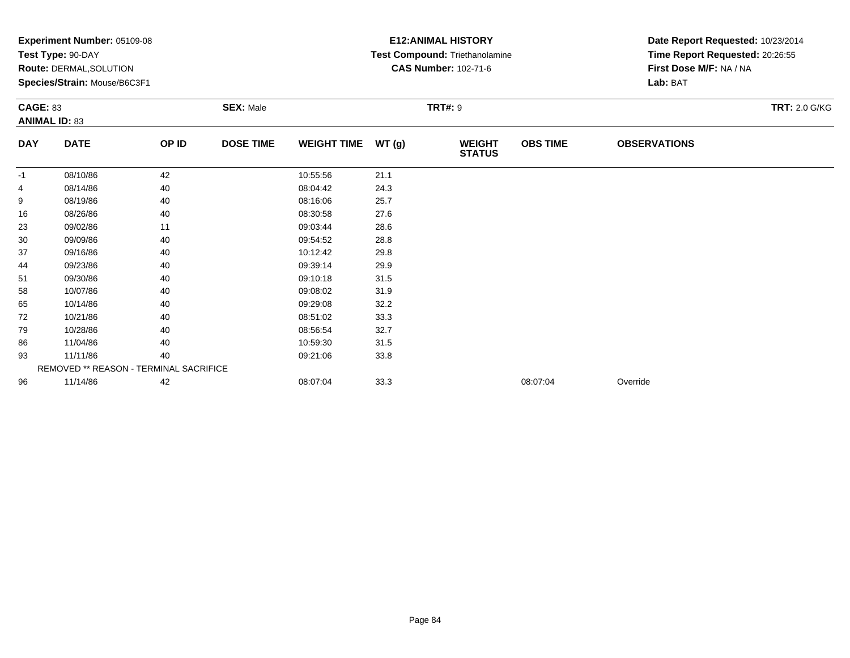|            | Experiment Number: 05109-08<br>Test Type: 90-DAY<br>Route: DERMAL, SOLUTION<br>Species/Strain: Mouse/B6C3F1<br><b>SEX: Male</b><br><b>CAGE: 83</b><br><b>ANIMAL ID: 83</b> |       |                  |                    |       | <b>E12: ANIMAL HISTORY</b><br>Test Compound: Triethanolamine<br><b>CAS Number: 102-71-6</b> | Date Report Requested: 10/23/2014<br>Time Report Requested: 20:26:55<br>First Dose M/F: NA / NA<br>Lab: BAT |                     |                      |
|------------|----------------------------------------------------------------------------------------------------------------------------------------------------------------------------|-------|------------------|--------------------|-------|---------------------------------------------------------------------------------------------|-------------------------------------------------------------------------------------------------------------|---------------------|----------------------|
|            |                                                                                                                                                                            |       |                  |                    |       | <b>TRT#: 9</b>                                                                              |                                                                                                             |                     | <b>TRT: 2.0 G/KG</b> |
| <b>DAY</b> | <b>DATE</b>                                                                                                                                                                | OP ID | <b>DOSE TIME</b> | <b>WEIGHT TIME</b> | WT(g) | <b>WEIGHT</b><br><b>STATUS</b>                                                              | <b>OBS TIME</b>                                                                                             | <b>OBSERVATIONS</b> |                      |
| -1         | 08/10/86                                                                                                                                                                   | 42    |                  | 10:55:56           | 21.1  |                                                                                             |                                                                                                             |                     |                      |
| 4          | 08/14/86                                                                                                                                                                   | 40    |                  | 08:04:42           | 24.3  |                                                                                             |                                                                                                             |                     |                      |
| 9          | 08/19/86                                                                                                                                                                   | 40    |                  | 08:16:06           | 25.7  |                                                                                             |                                                                                                             |                     |                      |
| 16         | 08/26/86                                                                                                                                                                   | 40    |                  | 08:30:58           | 27.6  |                                                                                             |                                                                                                             |                     |                      |
| 23         | 09/02/86                                                                                                                                                                   | 11    |                  | 09:03:44           | 28.6  |                                                                                             |                                                                                                             |                     |                      |
| 30         | 09/09/86                                                                                                                                                                   | 40    |                  | 09:54:52           | 28.8  |                                                                                             |                                                                                                             |                     |                      |
| 37         | 09/16/86                                                                                                                                                                   | 40    |                  | 10:12:42           | 29.8  |                                                                                             |                                                                                                             |                     |                      |
| 44         | 09/23/86                                                                                                                                                                   | 40    |                  | 09:39:14           | 29.9  |                                                                                             |                                                                                                             |                     |                      |
| 51         | 09/30/86                                                                                                                                                                   | 40    |                  | 09:10:18           | 31.5  |                                                                                             |                                                                                                             |                     |                      |
| 58         | 10/07/86                                                                                                                                                                   | 40    |                  | 09:08:02           | 31.9  |                                                                                             |                                                                                                             |                     |                      |
| 65         | 10/14/86                                                                                                                                                                   | 40    |                  | 09:29:08           | 32.2  |                                                                                             |                                                                                                             |                     |                      |
| 72         | 10/21/86                                                                                                                                                                   | 40    |                  | 08:51:02           | 33.3  |                                                                                             |                                                                                                             |                     |                      |
| 79         | 10/28/86                                                                                                                                                                   | 40    |                  | 08:56:54           | 32.7  |                                                                                             |                                                                                                             |                     |                      |
| 86         | 11/04/86                                                                                                                                                                   | 40    |                  | 10:59:30           | 31.5  |                                                                                             |                                                                                                             |                     |                      |
| 93         | 11/11/86                                                                                                                                                                   | 40    |                  | 09:21:06           | 33.8  |                                                                                             |                                                                                                             |                     |                      |
|            | REMOVED ** REASON - TERMINAL SACRIFICE                                                                                                                                     |       |                  |                    |       |                                                                                             |                                                                                                             |                     |                      |
| 96         | 11/14/86                                                                                                                                                                   | 42    |                  | 08:07:04           | 33.3  |                                                                                             | 08:07:04                                                                                                    | Override            |                      |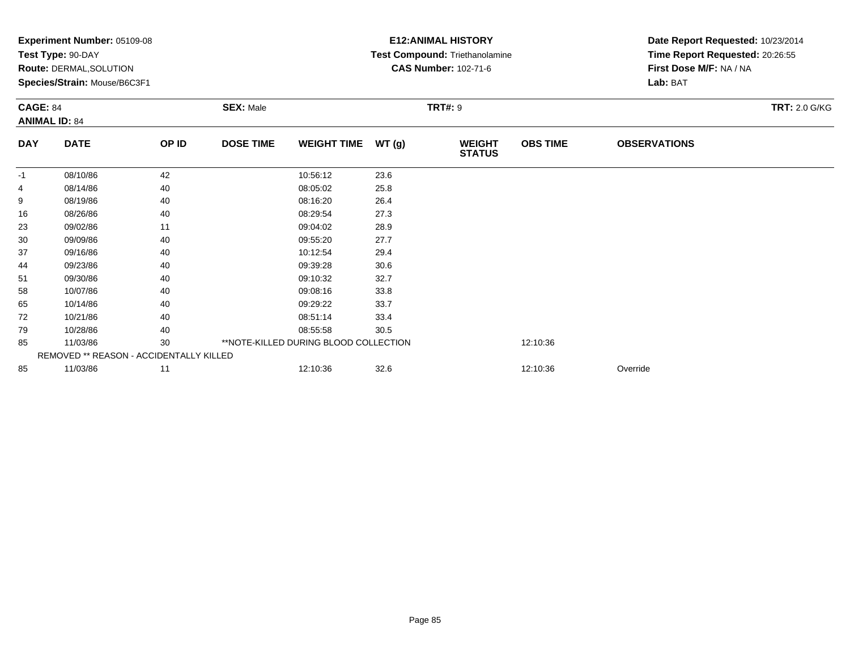|                 | Experiment Number: 05109-08<br>Test Type: 90-DAY<br><b>Route: DERMAL, SOLUTION</b><br>Species/Strain: Mouse/B6C3F1 |       |                  |                                       |       | <b>E12:ANIMAL HISTORY</b><br><b>Test Compound: Triethanolamine</b><br><b>CAS Number: 102-71-6</b> | Date Report Requested: 10/23/2014<br>Time Report Requested: 20:26:55<br>First Dose M/F: NA / NA<br>Lab: BAT |                     |                      |
|-----------------|--------------------------------------------------------------------------------------------------------------------|-------|------------------|---------------------------------------|-------|---------------------------------------------------------------------------------------------------|-------------------------------------------------------------------------------------------------------------|---------------------|----------------------|
| <b>CAGE: 84</b> | <b>ANIMAL ID: 84</b>                                                                                               |       | <b>SEX: Male</b> | <b>TRT#: 9</b>                        |       |                                                                                                   |                                                                                                             |                     | <b>TRT: 2.0 G/KG</b> |
| <b>DAY</b>      | <b>DATE</b>                                                                                                        | OP ID | <b>DOSE TIME</b> | <b>WEIGHT TIME</b>                    | WT(g) | <b>WEIGHT</b><br><b>STATUS</b>                                                                    | <b>OBS TIME</b>                                                                                             | <b>OBSERVATIONS</b> |                      |
| $-1$            | 08/10/86                                                                                                           | 42    |                  | 10:56:12                              | 23.6  |                                                                                                   |                                                                                                             |                     |                      |
|                 | 08/14/86                                                                                                           | 40    |                  | 08:05:02                              | 25.8  |                                                                                                   |                                                                                                             |                     |                      |
| 9               | 08/19/86                                                                                                           | 40    |                  | 08:16:20                              | 26.4  |                                                                                                   |                                                                                                             |                     |                      |
| 16              | 08/26/86                                                                                                           | 40    |                  | 08:29:54                              | 27.3  |                                                                                                   |                                                                                                             |                     |                      |
| 23              | 09/02/86                                                                                                           | 11    |                  | 09:04:02                              | 28.9  |                                                                                                   |                                                                                                             |                     |                      |
| 30              | 09/09/86                                                                                                           | 40    |                  | 09:55:20                              | 27.7  |                                                                                                   |                                                                                                             |                     |                      |
| 37              | 09/16/86                                                                                                           | 40    |                  | 10:12:54                              | 29.4  |                                                                                                   |                                                                                                             |                     |                      |
| 44              | 09/23/86                                                                                                           | 40    |                  | 09:39:28                              | 30.6  |                                                                                                   |                                                                                                             |                     |                      |
| 51              | 09/30/86                                                                                                           | 40    |                  | 09:10:32                              | 32.7  |                                                                                                   |                                                                                                             |                     |                      |
| 58              | 10/07/86                                                                                                           | 40    |                  | 09:08:16                              | 33.8  |                                                                                                   |                                                                                                             |                     |                      |
| 65              | 10/14/86                                                                                                           | 40    |                  | 09:29:22                              | 33.7  |                                                                                                   |                                                                                                             |                     |                      |
| 72              | 10/21/86                                                                                                           | 40    |                  | 08:51:14                              | 33.4  |                                                                                                   |                                                                                                             |                     |                      |
| 79              | 10/28/86                                                                                                           | 40    |                  | 08:55:58                              | 30.5  |                                                                                                   |                                                                                                             |                     |                      |
| 85              | 11/03/86                                                                                                           | 30    |                  | **NOTE-KILLED DURING BLOOD COLLECTION |       |                                                                                                   | 12:10:36                                                                                                    |                     |                      |
|                 | REMOVED ** REASON - ACCIDENTALLY KILLED                                                                            |       |                  |                                       |       |                                                                                                   |                                                                                                             |                     |                      |
| 85              | 11/03/86                                                                                                           | 11    |                  | 12:10:36                              | 32.6  |                                                                                                   | 12:10:36                                                                                                    | Override            |                      |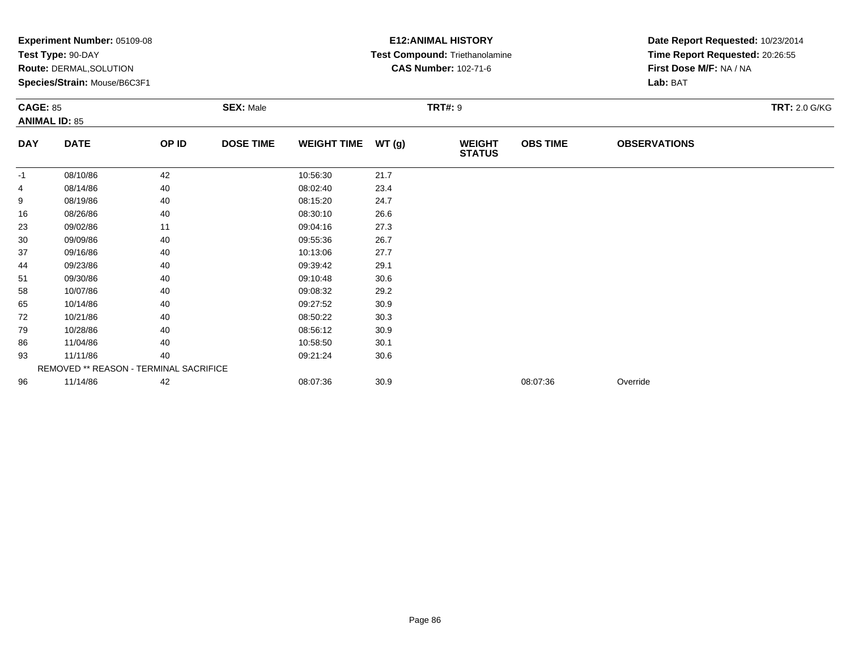| <b>CAGE: 85</b> | Experiment Number: 05109-08<br>Test Type: 90-DAY<br>Route: DERMAL, SOLUTION<br>Species/Strain: Mouse/B6C3F1 |       |                  | <b>E12: ANIMAL HISTORY</b><br>Test Compound: Triethanolamine<br><b>CAS Number: 102-71-6</b><br><b>TRT#: 9</b> | Date Report Requested: 10/23/2014<br>Time Report Requested: 20:26:55<br>First Dose M/F: NA / NA<br>Lab: BAT<br><b>TRT: 2.0 G/KG</b> |                                |                 |                     |  |
|-----------------|-------------------------------------------------------------------------------------------------------------|-------|------------------|---------------------------------------------------------------------------------------------------------------|-------------------------------------------------------------------------------------------------------------------------------------|--------------------------------|-----------------|---------------------|--|
|                 | <b>ANIMAL ID: 85</b>                                                                                        |       |                  |                                                                                                               |                                                                                                                                     |                                |                 |                     |  |
| <b>DAY</b>      | <b>DATE</b>                                                                                                 | OP ID | <b>DOSE TIME</b> | <b>WEIGHT TIME</b>                                                                                            | WT(g)                                                                                                                               | <b>WEIGHT</b><br><b>STATUS</b> | <b>OBS TIME</b> | <b>OBSERVATIONS</b> |  |
| $-1$            | 08/10/86                                                                                                    | 42    |                  | 10:56:30                                                                                                      | 21.7                                                                                                                                |                                |                 |                     |  |
| 4               | 08/14/86                                                                                                    | 40    |                  | 08:02:40                                                                                                      | 23.4                                                                                                                                |                                |                 |                     |  |
| 9               | 08/19/86                                                                                                    | 40    |                  | 08:15:20                                                                                                      | 24.7                                                                                                                                |                                |                 |                     |  |
| 16              | 08/26/86                                                                                                    | 40    |                  | 08:30:10                                                                                                      | 26.6                                                                                                                                |                                |                 |                     |  |
| 23              | 09/02/86                                                                                                    | 11    |                  | 09:04:16                                                                                                      | 27.3                                                                                                                                |                                |                 |                     |  |
| 30              | 09/09/86                                                                                                    | 40    |                  | 09:55:36                                                                                                      | 26.7                                                                                                                                |                                |                 |                     |  |
| 37              | 09/16/86                                                                                                    | 40    |                  | 10:13:06                                                                                                      | 27.7                                                                                                                                |                                |                 |                     |  |
| 44              | 09/23/86                                                                                                    | 40    |                  | 09:39:42                                                                                                      | 29.1                                                                                                                                |                                |                 |                     |  |
| 51              | 09/30/86                                                                                                    | 40    |                  | 09:10:48                                                                                                      | 30.6                                                                                                                                |                                |                 |                     |  |
| 58              | 10/07/86                                                                                                    | 40    |                  | 09:08:32                                                                                                      | 29.2                                                                                                                                |                                |                 |                     |  |
| 65              | 10/14/86                                                                                                    | 40    |                  | 09:27:52                                                                                                      | 30.9                                                                                                                                |                                |                 |                     |  |
| 72              | 10/21/86                                                                                                    | 40    |                  | 08:50:22                                                                                                      | 30.3                                                                                                                                |                                |                 |                     |  |
| 79              | 10/28/86                                                                                                    | 40    |                  | 08:56:12                                                                                                      | 30.9                                                                                                                                |                                |                 |                     |  |
| 86              | 11/04/86                                                                                                    | 40    |                  | 10:58:50                                                                                                      | 30.1                                                                                                                                |                                |                 |                     |  |
| 93              | 11/11/86                                                                                                    | 40    |                  | 09:21:24                                                                                                      | 30.6                                                                                                                                |                                |                 |                     |  |
|                 | REMOVED ** REASON - TERMINAL SACRIFICE                                                                      |       |                  |                                                                                                               |                                                                                                                                     |                                |                 |                     |  |
| 96              | 11/14/86                                                                                                    | 42    |                  | 08:07:36                                                                                                      | 30.9                                                                                                                                |                                | 08:07:36        | Override            |  |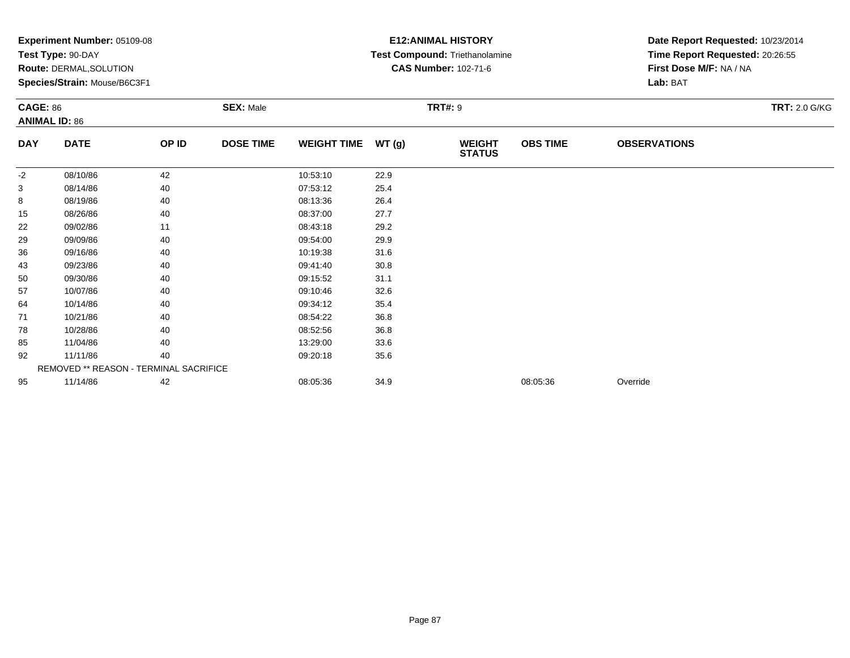|            | Experiment Number: 05109-08<br>Test Type: 90-DAY<br>Route: DERMAL, SOLUTION<br>Species/Strain: Mouse/B6C3F1<br><b>SEX: Male</b><br><b>CAGE: 86</b><br><b>ANIMAL ID: 86</b> |       |                  |                    |       | <b>E12: ANIMAL HISTORY</b><br>Test Compound: Triethanolamine<br><b>CAS Number: 102-71-6</b> | Date Report Requested: 10/23/2014<br>Time Report Requested: 20:26:55<br>First Dose M/F: NA / NA<br>Lab: BAT |                     |                      |
|------------|----------------------------------------------------------------------------------------------------------------------------------------------------------------------------|-------|------------------|--------------------|-------|---------------------------------------------------------------------------------------------|-------------------------------------------------------------------------------------------------------------|---------------------|----------------------|
|            |                                                                                                                                                                            |       |                  |                    |       | <b>TRT#: 9</b>                                                                              |                                                                                                             |                     | <b>TRT: 2.0 G/KG</b> |
| <b>DAY</b> | <b>DATE</b>                                                                                                                                                                | OP ID | <b>DOSE TIME</b> | <b>WEIGHT TIME</b> | WT(g) | <b>WEIGHT</b><br><b>STATUS</b>                                                              | <b>OBS TIME</b>                                                                                             | <b>OBSERVATIONS</b> |                      |
| $-2$       | 08/10/86                                                                                                                                                                   | 42    |                  | 10:53:10           | 22.9  |                                                                                             |                                                                                                             |                     |                      |
| 3          | 08/14/86                                                                                                                                                                   | 40    |                  | 07:53:12           | 25.4  |                                                                                             |                                                                                                             |                     |                      |
| 8          | 08/19/86                                                                                                                                                                   | 40    |                  | 08:13:36           | 26.4  |                                                                                             |                                                                                                             |                     |                      |
| 15         | 08/26/86                                                                                                                                                                   | 40    |                  | 08:37:00           | 27.7  |                                                                                             |                                                                                                             |                     |                      |
| 22         | 09/02/86                                                                                                                                                                   | 11    |                  | 08:43:18           | 29.2  |                                                                                             |                                                                                                             |                     |                      |
| 29         | 09/09/86                                                                                                                                                                   | 40    |                  | 09:54:00           | 29.9  |                                                                                             |                                                                                                             |                     |                      |
| 36         | 09/16/86                                                                                                                                                                   | 40    |                  | 10:19:38           | 31.6  |                                                                                             |                                                                                                             |                     |                      |
| 43         | 09/23/86                                                                                                                                                                   | 40    |                  | 09:41:40           | 30.8  |                                                                                             |                                                                                                             |                     |                      |
| 50         | 09/30/86                                                                                                                                                                   | 40    |                  | 09:15:52           | 31.1  |                                                                                             |                                                                                                             |                     |                      |
| 57         | 10/07/86                                                                                                                                                                   | 40    |                  | 09:10:46           | 32.6  |                                                                                             |                                                                                                             |                     |                      |
| 64         | 10/14/86                                                                                                                                                                   | 40    |                  | 09:34:12           | 35.4  |                                                                                             |                                                                                                             |                     |                      |
| 71         | 10/21/86                                                                                                                                                                   | 40    |                  | 08:54:22           | 36.8  |                                                                                             |                                                                                                             |                     |                      |
| 78         | 10/28/86                                                                                                                                                                   | 40    |                  | 08:52:56           | 36.8  |                                                                                             |                                                                                                             |                     |                      |
| 85         | 11/04/86                                                                                                                                                                   | 40    |                  | 13:29:00           | 33.6  |                                                                                             |                                                                                                             |                     |                      |
| 92         | 11/11/86                                                                                                                                                                   | 40    |                  | 09:20:18           | 35.6  |                                                                                             |                                                                                                             |                     |                      |
|            | REMOVED ** REASON - TERMINAL SACRIFICE                                                                                                                                     |       |                  |                    |       |                                                                                             |                                                                                                             |                     |                      |
| 95         | 11/14/86                                                                                                                                                                   | 42    |                  | 08:05:36           | 34.9  |                                                                                             | 08:05:36                                                                                                    | Override            |                      |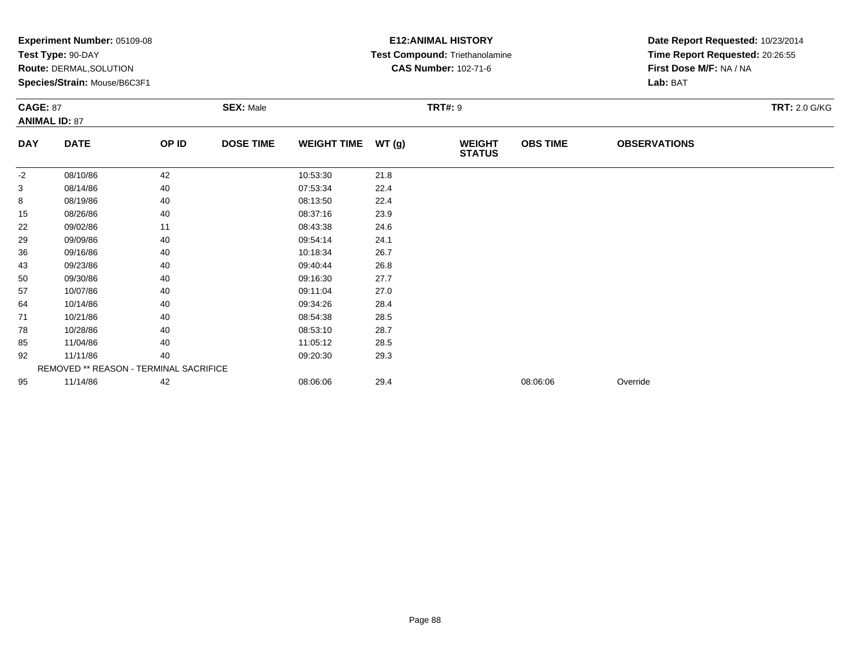|                 | Experiment Number: 05109-08<br>Test Type: 90-DAY<br>Route: DERMAL, SOLUTION<br>Species/Strain: Mouse/B6C3F1 |       |                  |                    |       | <b>E12: ANIMAL HISTORY</b><br>Test Compound: Triethanolamine<br><b>CAS Number: 102-71-6</b> | Date Report Requested: 10/23/2014<br>Time Report Requested: 20:26:55<br>First Dose M/F: NA / NA<br>Lab: BAT |                     |                      |
|-----------------|-------------------------------------------------------------------------------------------------------------|-------|------------------|--------------------|-------|---------------------------------------------------------------------------------------------|-------------------------------------------------------------------------------------------------------------|---------------------|----------------------|
| <b>CAGE: 87</b> | <b>ANIMAL ID: 87</b>                                                                                        |       | <b>SEX: Male</b> |                    |       | <b>TRT#: 9</b>                                                                              |                                                                                                             |                     | <b>TRT: 2.0 G/KG</b> |
| <b>DAY</b>      | <b>DATE</b>                                                                                                 | OP ID | <b>DOSE TIME</b> | <b>WEIGHT TIME</b> | WT(g) | <b>WEIGHT</b><br><b>STATUS</b>                                                              | <b>OBS TIME</b>                                                                                             | <b>OBSERVATIONS</b> |                      |
| $-2$            | 08/10/86                                                                                                    | 42    |                  | 10:53:30           | 21.8  |                                                                                             |                                                                                                             |                     |                      |
| 3               | 08/14/86                                                                                                    | 40    |                  | 07:53:34           | 22.4  |                                                                                             |                                                                                                             |                     |                      |
| 8               | 08/19/86                                                                                                    | 40    |                  | 08:13:50           | 22.4  |                                                                                             |                                                                                                             |                     |                      |
| 15              | 08/26/86                                                                                                    | 40    |                  | 08:37:16           | 23.9  |                                                                                             |                                                                                                             |                     |                      |
| 22              | 09/02/86                                                                                                    | 11    |                  | 08:43:38           | 24.6  |                                                                                             |                                                                                                             |                     |                      |
| 29              | 09/09/86                                                                                                    | 40    |                  | 09:54:14           | 24.1  |                                                                                             |                                                                                                             |                     |                      |
| 36              | 09/16/86                                                                                                    | 40    |                  | 10:18:34           | 26.7  |                                                                                             |                                                                                                             |                     |                      |
| 43              | 09/23/86                                                                                                    | 40    |                  | 09:40:44           | 26.8  |                                                                                             |                                                                                                             |                     |                      |
| 50              | 09/30/86                                                                                                    | 40    |                  | 09:16:30           | 27.7  |                                                                                             |                                                                                                             |                     |                      |
| 57              | 10/07/86                                                                                                    | 40    |                  | 09:11:04           | 27.0  |                                                                                             |                                                                                                             |                     |                      |
| 64              | 10/14/86                                                                                                    | 40    |                  | 09:34:26           | 28.4  |                                                                                             |                                                                                                             |                     |                      |
| 71              | 10/21/86                                                                                                    | 40    |                  | 08:54:38           | 28.5  |                                                                                             |                                                                                                             |                     |                      |
| 78              | 10/28/86                                                                                                    | 40    |                  | 08:53:10           | 28.7  |                                                                                             |                                                                                                             |                     |                      |
| 85              | 11/04/86                                                                                                    | 40    |                  | 11:05:12           | 28.5  |                                                                                             |                                                                                                             |                     |                      |
| 92              | 11/11/86                                                                                                    | 40    |                  | 09:20:30           | 29.3  |                                                                                             |                                                                                                             |                     |                      |
|                 | REMOVED ** REASON - TERMINAL SACRIFICE                                                                      |       |                  |                    |       |                                                                                             |                                                                                                             |                     |                      |
| 95              | 11/14/86                                                                                                    | 42    |                  | 08:06:06           | 29.4  |                                                                                             | 08:06:06                                                                                                    | Override            |                      |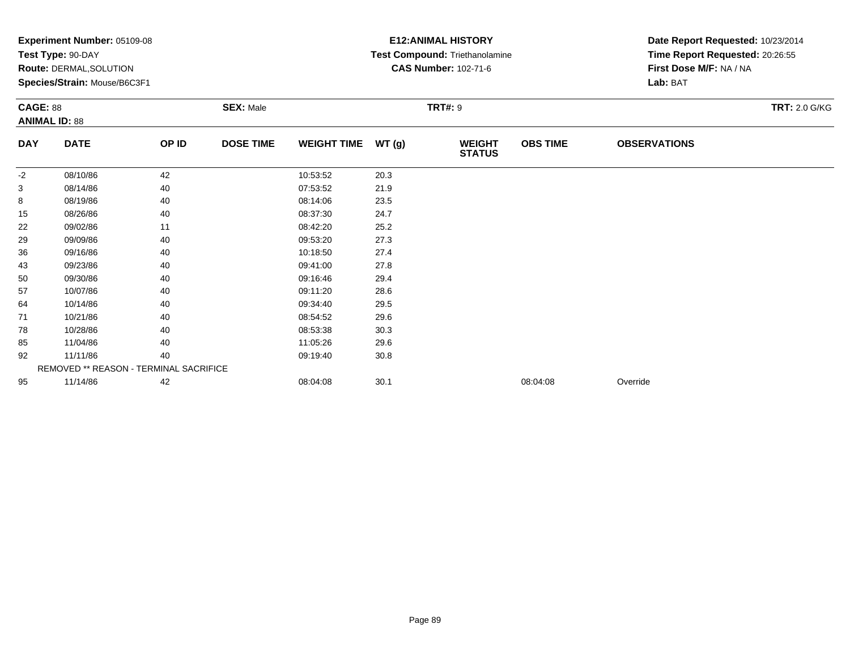|            | Experiment Number: 05109-08<br>Test Type: 90-DAY<br>Route: DERMAL, SOLUTION<br>Species/Strain: Mouse/B6C3F1<br><b>SEX: Male</b><br><b>CAGE: 88</b><br><b>ANIMAL ID: 88</b> |       |                  |                    |       | <b>E12: ANIMAL HISTORY</b><br>Test Compound: Triethanolamine<br><b>CAS Number: 102-71-6</b> | Date Report Requested: 10/23/2014<br>Time Report Requested: 20:26:55<br>First Dose M/F: NA / NA<br>Lab: BAT |                     |                      |
|------------|----------------------------------------------------------------------------------------------------------------------------------------------------------------------------|-------|------------------|--------------------|-------|---------------------------------------------------------------------------------------------|-------------------------------------------------------------------------------------------------------------|---------------------|----------------------|
|            |                                                                                                                                                                            |       |                  |                    |       | <b>TRT#: 9</b>                                                                              |                                                                                                             |                     | <b>TRT: 2.0 G/KG</b> |
| <b>DAY</b> | <b>DATE</b>                                                                                                                                                                | OP ID | <b>DOSE TIME</b> | <b>WEIGHT TIME</b> | WT(g) | <b>WEIGHT</b><br><b>STATUS</b>                                                              | <b>OBS TIME</b>                                                                                             | <b>OBSERVATIONS</b> |                      |
| -2         | 08/10/86                                                                                                                                                                   | 42    |                  | 10:53:52           | 20.3  |                                                                                             |                                                                                                             |                     |                      |
| 3          | 08/14/86                                                                                                                                                                   | 40    |                  | 07:53:52           | 21.9  |                                                                                             |                                                                                                             |                     |                      |
| 8          | 08/19/86                                                                                                                                                                   | 40    |                  | 08:14:06           | 23.5  |                                                                                             |                                                                                                             |                     |                      |
| 15         | 08/26/86                                                                                                                                                                   | 40    |                  | 08:37:30           | 24.7  |                                                                                             |                                                                                                             |                     |                      |
| 22         | 09/02/86                                                                                                                                                                   | 11    |                  | 08:42:20           | 25.2  |                                                                                             |                                                                                                             |                     |                      |
| 29         | 09/09/86                                                                                                                                                                   | 40    |                  | 09:53:20           | 27.3  |                                                                                             |                                                                                                             |                     |                      |
| 36         | 09/16/86                                                                                                                                                                   | 40    |                  | 10:18:50           | 27.4  |                                                                                             |                                                                                                             |                     |                      |
| 43         | 09/23/86                                                                                                                                                                   | 40    |                  | 09:41:00           | 27.8  |                                                                                             |                                                                                                             |                     |                      |
| 50         | 09/30/86                                                                                                                                                                   | 40    |                  | 09:16:46           | 29.4  |                                                                                             |                                                                                                             |                     |                      |
| 57         | 10/07/86                                                                                                                                                                   | 40    |                  | 09:11:20           | 28.6  |                                                                                             |                                                                                                             |                     |                      |
| 64         | 10/14/86                                                                                                                                                                   | 40    |                  | 09:34:40           | 29.5  |                                                                                             |                                                                                                             |                     |                      |
| 71         | 10/21/86                                                                                                                                                                   | 40    |                  | 08:54:52           | 29.6  |                                                                                             |                                                                                                             |                     |                      |
| 78         | 10/28/86                                                                                                                                                                   | 40    |                  | 08:53:38           | 30.3  |                                                                                             |                                                                                                             |                     |                      |
| 85         | 11/04/86                                                                                                                                                                   | 40    |                  | 11:05:26           | 29.6  |                                                                                             |                                                                                                             |                     |                      |
| 92         | 11/11/86                                                                                                                                                                   | 40    |                  | 09:19:40           | 30.8  |                                                                                             |                                                                                                             |                     |                      |
|            | REMOVED ** REASON - TERMINAL SACRIFICE                                                                                                                                     |       |                  |                    |       |                                                                                             |                                                                                                             |                     |                      |
| 95         | 11/14/86                                                                                                                                                                   | 42    |                  | 08:04:08           | 30.1  |                                                                                             | 08:04:08                                                                                                    | Override            |                      |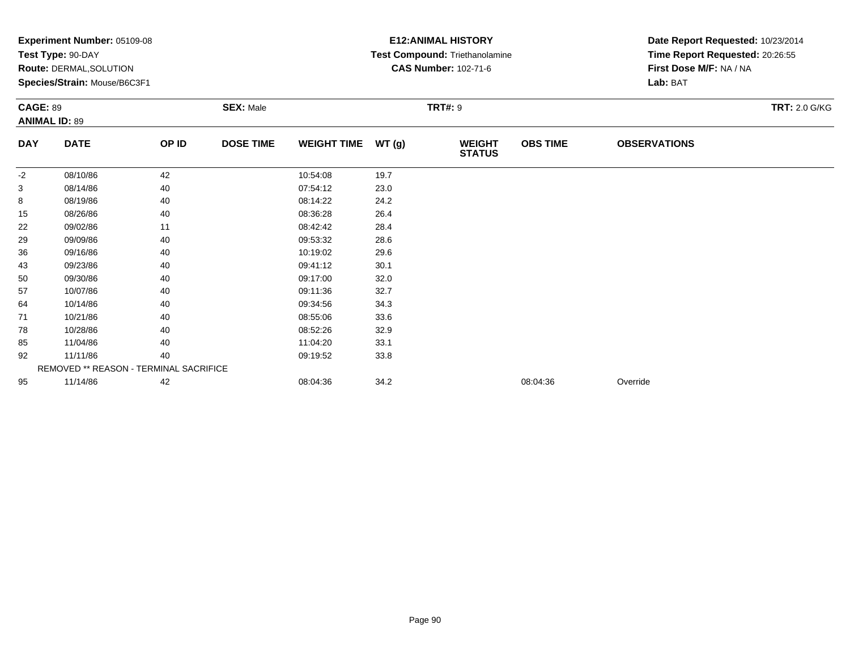|            | Experiment Number: 05109-08<br>Test Type: 90-DAY<br>Route: DERMAL, SOLUTION<br>Species/Strain: Mouse/B6C3F1<br><b>SEX: Male</b><br><b>CAGE: 89</b><br><b>ANIMAL ID: 89</b> |       |                  |                    |       | <b>E12: ANIMAL HISTORY</b><br>Test Compound: Triethanolamine<br><b>CAS Number: 102-71-6</b> | Date Report Requested: 10/23/2014<br>Time Report Requested: 20:26:55<br>First Dose M/F: NA / NA<br>Lab: BAT |                     |                      |
|------------|----------------------------------------------------------------------------------------------------------------------------------------------------------------------------|-------|------------------|--------------------|-------|---------------------------------------------------------------------------------------------|-------------------------------------------------------------------------------------------------------------|---------------------|----------------------|
|            |                                                                                                                                                                            |       |                  |                    |       | <b>TRT#: 9</b>                                                                              |                                                                                                             |                     | <b>TRT: 2.0 G/KG</b> |
| <b>DAY</b> | <b>DATE</b>                                                                                                                                                                | OP ID | <b>DOSE TIME</b> | <b>WEIGHT TIME</b> | WT(g) | <b>WEIGHT</b><br><b>STATUS</b>                                                              | <b>OBS TIME</b>                                                                                             | <b>OBSERVATIONS</b> |                      |
| $-2$       | 08/10/86                                                                                                                                                                   | 42    |                  | 10:54:08           | 19.7  |                                                                                             |                                                                                                             |                     |                      |
| 3          | 08/14/86                                                                                                                                                                   | 40    |                  | 07:54:12           | 23.0  |                                                                                             |                                                                                                             |                     |                      |
| 8          | 08/19/86                                                                                                                                                                   | 40    |                  | 08:14:22           | 24.2  |                                                                                             |                                                                                                             |                     |                      |
| 15         | 08/26/86                                                                                                                                                                   | 40    |                  | 08:36:28           | 26.4  |                                                                                             |                                                                                                             |                     |                      |
| 22         | 09/02/86                                                                                                                                                                   | 11    |                  | 08:42:42           | 28.4  |                                                                                             |                                                                                                             |                     |                      |
| 29         | 09/09/86                                                                                                                                                                   | 40    |                  | 09:53:32           | 28.6  |                                                                                             |                                                                                                             |                     |                      |
| 36         | 09/16/86                                                                                                                                                                   | 40    |                  | 10:19:02           | 29.6  |                                                                                             |                                                                                                             |                     |                      |
| 43         | 09/23/86                                                                                                                                                                   | 40    |                  | 09:41:12           | 30.1  |                                                                                             |                                                                                                             |                     |                      |
| 50         | 09/30/86                                                                                                                                                                   | 40    |                  | 09:17:00           | 32.0  |                                                                                             |                                                                                                             |                     |                      |
| 57         | 10/07/86                                                                                                                                                                   | 40    |                  | 09:11:36           | 32.7  |                                                                                             |                                                                                                             |                     |                      |
| 64         | 10/14/86                                                                                                                                                                   | 40    |                  | 09:34:56           | 34.3  |                                                                                             |                                                                                                             |                     |                      |
| 71         | 10/21/86                                                                                                                                                                   | 40    |                  | 08:55:06           | 33.6  |                                                                                             |                                                                                                             |                     |                      |
| 78         | 10/28/86                                                                                                                                                                   | 40    |                  | 08:52:26           | 32.9  |                                                                                             |                                                                                                             |                     |                      |
| 85         | 11/04/86                                                                                                                                                                   | 40    |                  | 11:04:20           | 33.1  |                                                                                             |                                                                                                             |                     |                      |
| 92         | 11/11/86                                                                                                                                                                   | 40    |                  | 09:19:52           | 33.8  |                                                                                             |                                                                                                             |                     |                      |
|            | REMOVED ** REASON - TERMINAL SACRIFICE                                                                                                                                     |       |                  |                    |       |                                                                                             |                                                                                                             |                     |                      |
| 95         | 11/14/86                                                                                                                                                                   | 42    |                  | 08:04:36           | 34.2  |                                                                                             | 08:04:36                                                                                                    | Override            |                      |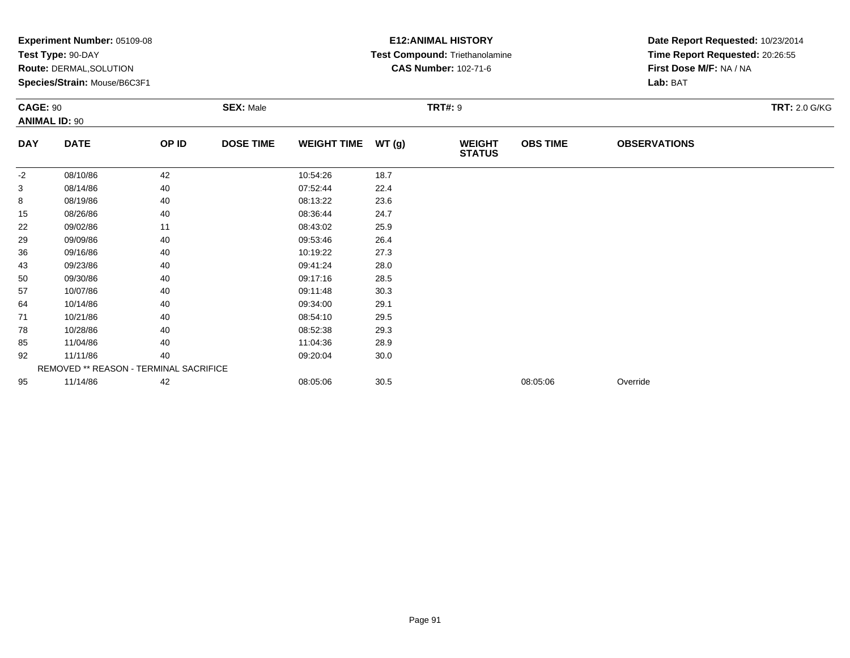|            | Experiment Number: 05109-08<br>Test Type: 90-DAY<br>Route: DERMAL, SOLUTION<br>Species/Strain: Mouse/B6C3F1<br><b>SEX: Male</b><br><b>CAGE: 90</b><br><b>ANIMAL ID: 90</b> |       |                  |                    |       | <b>E12: ANIMAL HISTORY</b><br>Test Compound: Triethanolamine<br><b>CAS Number: 102-71-6</b> | Date Report Requested: 10/23/2014<br>Time Report Requested: 20:26:55<br>First Dose M/F: NA / NA<br>Lab: BAT |                     |                      |
|------------|----------------------------------------------------------------------------------------------------------------------------------------------------------------------------|-------|------------------|--------------------|-------|---------------------------------------------------------------------------------------------|-------------------------------------------------------------------------------------------------------------|---------------------|----------------------|
|            |                                                                                                                                                                            |       |                  |                    |       | <b>TRT#: 9</b>                                                                              |                                                                                                             |                     | <b>TRT: 2.0 G/KG</b> |
| <b>DAY</b> | <b>DATE</b>                                                                                                                                                                | OP ID | <b>DOSE TIME</b> | <b>WEIGHT TIME</b> | WT(g) | <b>WEIGHT</b><br><b>STATUS</b>                                                              | <b>OBS TIME</b>                                                                                             | <b>OBSERVATIONS</b> |                      |
| -2         | 08/10/86                                                                                                                                                                   | 42    |                  | 10:54:26           | 18.7  |                                                                                             |                                                                                                             |                     |                      |
| 3          | 08/14/86                                                                                                                                                                   | 40    |                  | 07:52:44           | 22.4  |                                                                                             |                                                                                                             |                     |                      |
| 8          | 08/19/86                                                                                                                                                                   | 40    |                  | 08:13:22           | 23.6  |                                                                                             |                                                                                                             |                     |                      |
| 15         | 08/26/86                                                                                                                                                                   | 40    |                  | 08:36:44           | 24.7  |                                                                                             |                                                                                                             |                     |                      |
| 22         | 09/02/86                                                                                                                                                                   | 11    |                  | 08:43:02           | 25.9  |                                                                                             |                                                                                                             |                     |                      |
| 29         | 09/09/86                                                                                                                                                                   | 40    |                  | 09:53:46           | 26.4  |                                                                                             |                                                                                                             |                     |                      |
| 36         | 09/16/86                                                                                                                                                                   | 40    |                  | 10:19:22           | 27.3  |                                                                                             |                                                                                                             |                     |                      |
| 43         | 09/23/86                                                                                                                                                                   | 40    |                  | 09:41:24           | 28.0  |                                                                                             |                                                                                                             |                     |                      |
| 50         | 09/30/86                                                                                                                                                                   | 40    |                  | 09:17:16           | 28.5  |                                                                                             |                                                                                                             |                     |                      |
| 57         | 10/07/86                                                                                                                                                                   | 40    |                  | 09:11:48           | 30.3  |                                                                                             |                                                                                                             |                     |                      |
| 64         | 10/14/86                                                                                                                                                                   | 40    |                  | 09:34:00           | 29.1  |                                                                                             |                                                                                                             |                     |                      |
| 71         | 10/21/86                                                                                                                                                                   | 40    |                  | 08:54:10           | 29.5  |                                                                                             |                                                                                                             |                     |                      |
| 78         | 10/28/86                                                                                                                                                                   | 40    |                  | 08:52:38           | 29.3  |                                                                                             |                                                                                                             |                     |                      |
| 85         | 11/04/86                                                                                                                                                                   | 40    |                  | 11:04:36           | 28.9  |                                                                                             |                                                                                                             |                     |                      |
| 92         | 11/11/86                                                                                                                                                                   | 40    |                  | 09:20:04           | 30.0  |                                                                                             |                                                                                                             |                     |                      |
|            | REMOVED ** REASON - TERMINAL SACRIFICE                                                                                                                                     |       |                  |                    |       |                                                                                             |                                                                                                             |                     |                      |
| 95         | 11/14/86                                                                                                                                                                   | 42    |                  | 08:05:06           | 30.5  |                                                                                             | 08:05:06                                                                                                    | Override            |                      |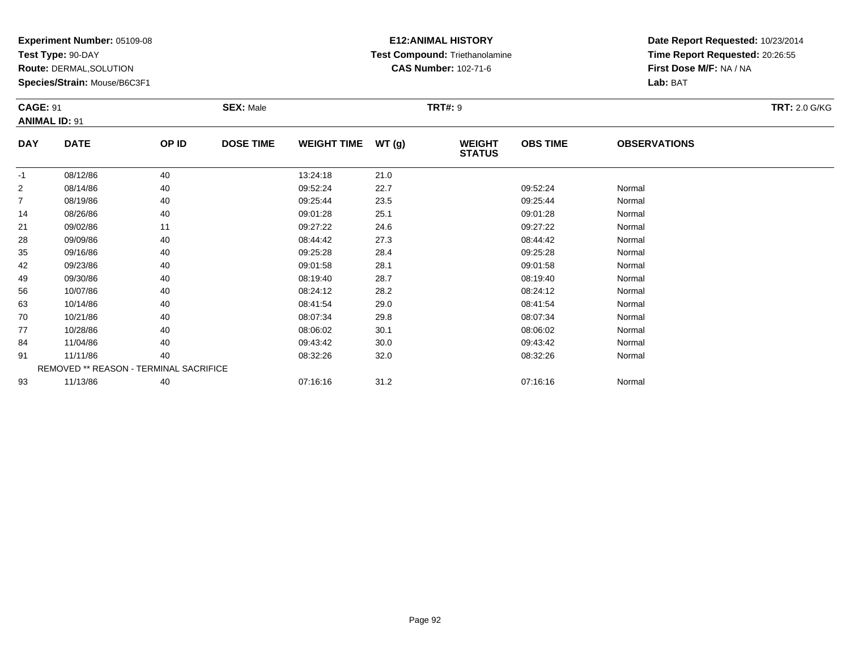**Test Type:** 90-DAY

**Route:** DERMAL,SOLUTION

**Species/Strain:** Mouse/B6C3F1

### **E12:ANIMAL HISTORY Test Compound:** Triethanolamine**CAS Number:** 102-71-6

| <b>CAGE: 91</b> | <b>ANIMAL ID: 91</b>                   |       | <b>SEX: Male</b> |                    |       | <b>TRT#: 9</b>                 |                 |                     | <b>TRT: 2.0 G/KG</b> |
|-----------------|----------------------------------------|-------|------------------|--------------------|-------|--------------------------------|-----------------|---------------------|----------------------|
| <b>DAY</b>      | <b>DATE</b>                            | OP ID | <b>DOSE TIME</b> | <b>WEIGHT TIME</b> | WT(g) | <b>WEIGHT</b><br><b>STATUS</b> | <b>OBS TIME</b> | <b>OBSERVATIONS</b> |                      |
| $-1$            | 08/12/86                               | 40    |                  | 13:24:18           | 21.0  |                                |                 |                     |                      |
| $\overline{2}$  | 08/14/86                               | 40    |                  | 09:52:24           | 22.7  |                                | 09:52:24        | Normal              |                      |
| $\overline{7}$  | 08/19/86                               | 40    |                  | 09:25:44           | 23.5  |                                | 09:25:44        | Normal              |                      |
| 14              | 08/26/86                               | 40    |                  | 09:01:28           | 25.1  |                                | 09:01:28        | Normal              |                      |
| 21              | 09/02/86                               | 11    |                  | 09:27:22           | 24.6  |                                | 09:27:22        | Normal              |                      |
| 28              | 09/09/86                               | 40    |                  | 08:44:42           | 27.3  |                                | 08:44:42        | Normal              |                      |
| 35              | 09/16/86                               | 40    |                  | 09:25:28           | 28.4  |                                | 09:25:28        | Normal              |                      |
| 42              | 09/23/86                               | 40    |                  | 09:01:58           | 28.1  |                                | 09:01:58        | Normal              |                      |
| 49              | 09/30/86                               | 40    |                  | 08:19:40           | 28.7  |                                | 08:19:40        | Normal              |                      |
| 56              | 10/07/86                               | 40    |                  | 08:24:12           | 28.2  |                                | 08:24:12        | Normal              |                      |
| 63              | 10/14/86                               | 40    |                  | 08:41:54           | 29.0  |                                | 08:41:54        | Normal              |                      |
| 70              | 10/21/86                               | 40    |                  | 08:07:34           | 29.8  |                                | 08:07:34        | Normal              |                      |
| 77              | 10/28/86                               | 40    |                  | 08:06:02           | 30.1  |                                | 08:06:02        | Normal              |                      |
| 84              | 11/04/86                               | 40    |                  | 09:43:42           | 30.0  |                                | 09:43:42        | Normal              |                      |
| 91              | 11/11/86                               | 40    |                  | 08:32:26           | 32.0  |                                | 08:32:26        | Normal              |                      |
|                 | REMOVED ** REASON - TERMINAL SACRIFICE |       |                  |                    |       |                                |                 |                     |                      |
| 93              | 11/13/86                               | 40    |                  | 07:16:16           | 31.2  |                                | 07:16:16        | Normal              |                      |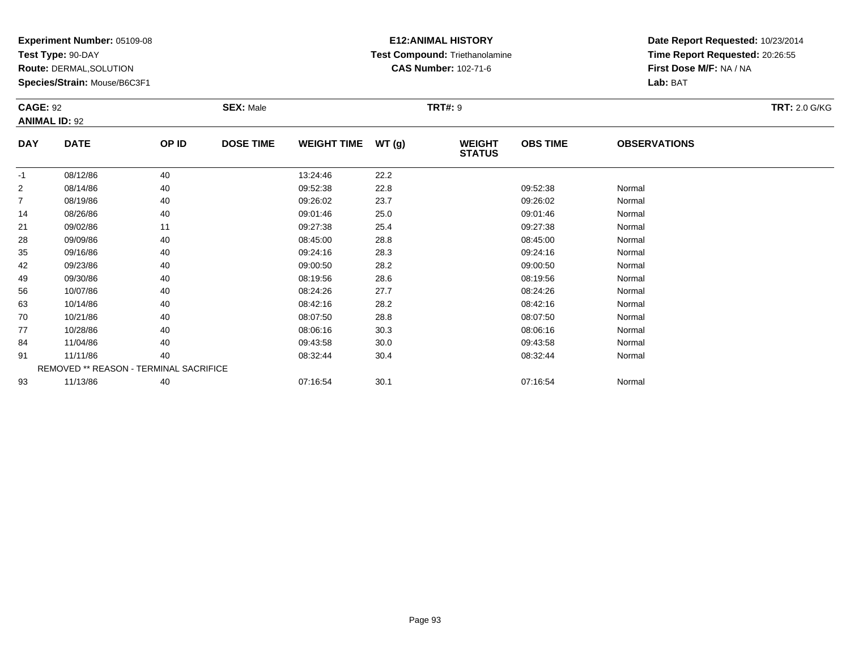**Test Type:** 90-DAY

**Route:** DERMAL,SOLUTION

**Species/Strain:** Mouse/B6C3F1

### **E12:ANIMAL HISTORY Test Compound:** Triethanolamine**CAS Number:** 102-71-6

| <b>CAGE: 92</b> | <b>ANIMAL ID: 92</b>                   |       | <b>SEX: Male</b> |                    |       | <b>TRT#: 9</b>                 |                 |                     | <b>TRT: 2.0 G/KG</b> |
|-----------------|----------------------------------------|-------|------------------|--------------------|-------|--------------------------------|-----------------|---------------------|----------------------|
| <b>DAY</b>      | <b>DATE</b>                            | OP ID | <b>DOSE TIME</b> | <b>WEIGHT TIME</b> | WT(g) | <b>WEIGHT</b><br><b>STATUS</b> | <b>OBS TIME</b> | <b>OBSERVATIONS</b> |                      |
| $-1$            | 08/12/86                               | 40    |                  | 13:24:46           | 22.2  |                                |                 |                     |                      |
| $\overline{2}$  | 08/14/86                               | 40    |                  | 09:52:38           | 22.8  |                                | 09:52:38        | Normal              |                      |
| $\overline{7}$  | 08/19/86                               | 40    |                  | 09:26:02           | 23.7  |                                | 09:26:02        | Normal              |                      |
| 14              | 08/26/86                               | 40    |                  | 09:01:46           | 25.0  |                                | 09:01:46        | Normal              |                      |
| 21              | 09/02/86                               | 11    |                  | 09:27:38           | 25.4  |                                | 09:27:38        | Normal              |                      |
| 28              | 09/09/86                               | 40    |                  | 08:45:00           | 28.8  |                                | 08:45:00        | Normal              |                      |
| 35              | 09/16/86                               | 40    |                  | 09:24:16           | 28.3  |                                | 09:24:16        | Normal              |                      |
| 42              | 09/23/86                               | 40    |                  | 09:00:50           | 28.2  |                                | 09:00:50        | Normal              |                      |
| 49              | 09/30/86                               | 40    |                  | 08:19:56           | 28.6  |                                | 08:19:56        | Normal              |                      |
| 56              | 10/07/86                               | 40    |                  | 08:24:26           | 27.7  |                                | 08:24:26        | Normal              |                      |
| 63              | 10/14/86                               | 40    |                  | 08:42:16           | 28.2  |                                | 08:42:16        | Normal              |                      |
| 70              | 10/21/86                               | 40    |                  | 08:07:50           | 28.8  |                                | 08:07:50        | Normal              |                      |
| 77              | 10/28/86                               | 40    |                  | 08:06:16           | 30.3  |                                | 08:06:16        | Normal              |                      |
| 84              | 11/04/86                               | 40    |                  | 09:43:58           | 30.0  |                                | 09:43:58        | Normal              |                      |
| 91              | 11/11/86                               | 40    |                  | 08:32:44           | 30.4  |                                | 08:32:44        | Normal              |                      |
|                 | REMOVED ** REASON - TERMINAL SACRIFICE |       |                  |                    |       |                                |                 |                     |                      |
| 93              | 11/13/86                               | 40    |                  | 07:16:54           | 30.1  |                                | 07:16:54        | Normal              |                      |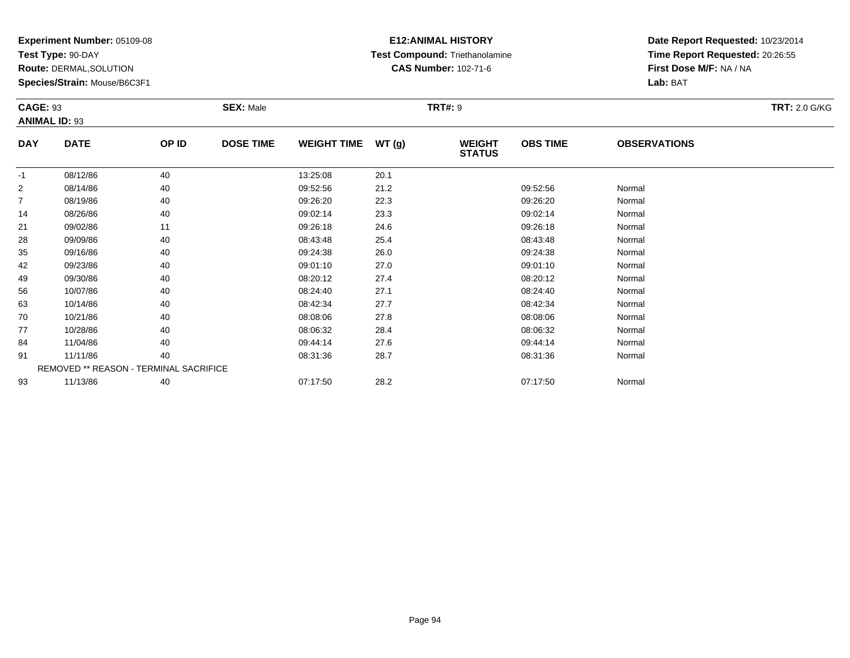**Test Type:** 90-DAY

**Route:** DERMAL,SOLUTION

**Species/Strain:** Mouse/B6C3F1

# **E12:ANIMAL HISTORY Test Compound:** Triethanolamine**CAS Number:** 102-71-6

| <b>CAGE: 93</b> | <b>ANIMAL ID: 93</b>                   |       | <b>SEX: Male</b> |                    |       | <b>TRT#: 9</b>                 |                 |                     | <b>TRT: 2.0 G/KG</b> |
|-----------------|----------------------------------------|-------|------------------|--------------------|-------|--------------------------------|-----------------|---------------------|----------------------|
| <b>DAY</b>      | <b>DATE</b>                            | OP ID | <b>DOSE TIME</b> | <b>WEIGHT TIME</b> | WT(g) | <b>WEIGHT</b><br><b>STATUS</b> | <b>OBS TIME</b> | <b>OBSERVATIONS</b> |                      |
| $-1$            | 08/12/86                               | 40    |                  | 13:25:08           | 20.1  |                                |                 |                     |                      |
| $\overline{2}$  | 08/14/86                               | 40    |                  | 09:52:56           | 21.2  |                                | 09:52:56        | Normal              |                      |
| $\overline{7}$  | 08/19/86                               | 40    |                  | 09:26:20           | 22.3  |                                | 09:26:20        | Normal              |                      |
| 14              | 08/26/86                               | 40    |                  | 09:02:14           | 23.3  |                                | 09:02:14        | Normal              |                      |
| 21              | 09/02/86                               | 11    |                  | 09:26:18           | 24.6  |                                | 09:26:18        | Normal              |                      |
| 28              | 09/09/86                               | 40    |                  | 08:43:48           | 25.4  |                                | 08:43:48        | Normal              |                      |
| 35              | 09/16/86                               | 40    |                  | 09:24:38           | 26.0  |                                | 09:24:38        | Normal              |                      |
| 42              | 09/23/86                               | 40    |                  | 09:01:10           | 27.0  |                                | 09:01:10        | Normal              |                      |
| 49              | 09/30/86                               | 40    |                  | 08:20:12           | 27.4  |                                | 08:20:12        | Normal              |                      |
| 56              | 10/07/86                               | 40    |                  | 08:24:40           | 27.1  |                                | 08:24:40        | Normal              |                      |
| 63              | 10/14/86                               | 40    |                  | 08:42:34           | 27.7  |                                | 08:42:34        | Normal              |                      |
| 70              | 10/21/86                               | 40    |                  | 08:08:06           | 27.8  |                                | 08:08:06        | Normal              |                      |
| 77              | 10/28/86                               | 40    |                  | 08:06:32           | 28.4  |                                | 08:06:32        | Normal              |                      |
| 84              | 11/04/86                               | 40    |                  | 09:44:14           | 27.6  |                                | 09:44:14        | Normal              |                      |
| 91              | 11/11/86                               | 40    |                  | 08:31:36           | 28.7  |                                | 08:31:36        | Normal              |                      |
|                 | REMOVED ** REASON - TERMINAL SACRIFICE |       |                  |                    |       |                                |                 |                     |                      |
| 93              | 11/13/86                               | 40    |                  | 07:17:50           | 28.2  |                                | 07:17:50        | Normal              |                      |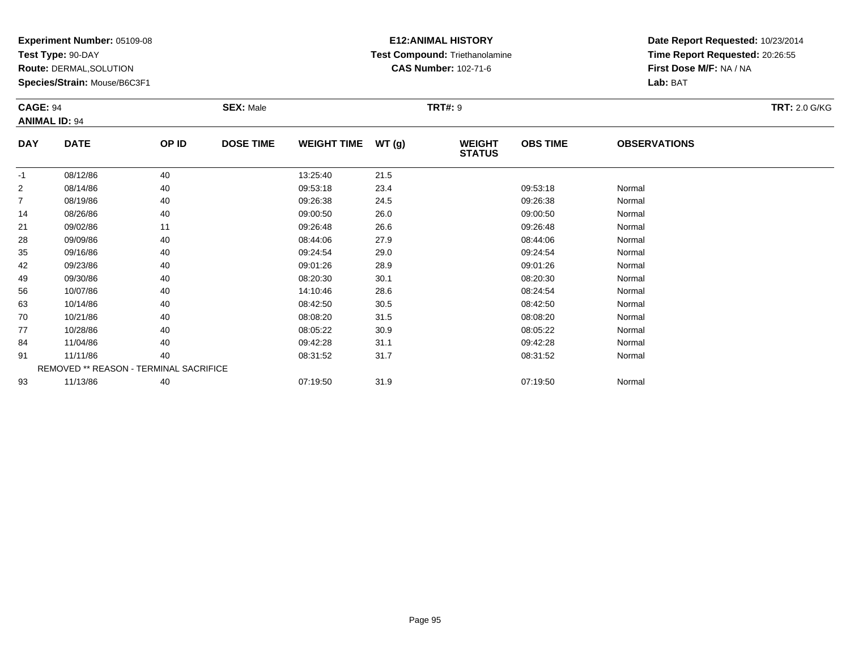**Test Type:** 90-DAY

**Route:** DERMAL,SOLUTION

**Species/Strain:** Mouse/B6C3F1

# **E12:ANIMAL HISTORY Test Compound:** Triethanolamine**CAS Number:** 102-71-6

| <b>CAGE: 94</b><br><b>ANIMAL ID: 94</b> |                                        |       | <b>SEX: Male</b> |                    |      | <b>TRT#: 9</b>                 |                 |                     | <b>TRT: 2.0 G/KG</b> |
|-----------------------------------------|----------------------------------------|-------|------------------|--------------------|------|--------------------------------|-----------------|---------------------|----------------------|
| <b>DAY</b>                              | <b>DATE</b>                            | OP ID | <b>DOSE TIME</b> | WEIGHT TIME WT (g) |      | <b>WEIGHT</b><br><b>STATUS</b> | <b>OBS TIME</b> | <b>OBSERVATIONS</b> |                      |
| $-1$                                    | 08/12/86                               | 40    |                  | 13:25:40           | 21.5 |                                |                 |                     |                      |
| $\overline{2}$                          | 08/14/86                               | 40    |                  | 09:53:18           | 23.4 |                                | 09:53:18        | Normal              |                      |
| $\overline{7}$                          | 08/19/86                               | 40    |                  | 09:26:38           | 24.5 |                                | 09:26:38        | Normal              |                      |
| 14                                      | 08/26/86                               | 40    |                  | 09:00:50           | 26.0 |                                | 09:00:50        | Normal              |                      |
| 21                                      | 09/02/86                               | 11    |                  | 09:26:48           | 26.6 |                                | 09:26:48        | Normal              |                      |
| 28                                      | 09/09/86                               | 40    |                  | 08:44:06           | 27.9 |                                | 08:44:06        | Normal              |                      |
| 35                                      | 09/16/86                               | 40    |                  | 09:24:54           | 29.0 |                                | 09:24:54        | Normal              |                      |
| 42                                      | 09/23/86                               | 40    |                  | 09:01:26           | 28.9 |                                | 09:01:26        | Normal              |                      |
| 49                                      | 09/30/86                               | 40    |                  | 08:20:30           | 30.1 |                                | 08:20:30        | Normal              |                      |
| 56                                      | 10/07/86                               | 40    |                  | 14:10:46           | 28.6 |                                | 08:24:54        | Normal              |                      |
| 63                                      | 10/14/86                               | 40    |                  | 08:42:50           | 30.5 |                                | 08:42:50        | Normal              |                      |
| 70                                      | 10/21/86                               | 40    |                  | 08:08:20           | 31.5 |                                | 08:08:20        | Normal              |                      |
| 77                                      | 10/28/86                               | 40    |                  | 08:05:22           | 30.9 |                                | 08:05:22        | Normal              |                      |
| 84                                      | 11/04/86                               | 40    |                  | 09:42:28           | 31.1 |                                | 09:42:28        | Normal              |                      |
| 91                                      | 11/11/86                               | 40    |                  | 08:31:52           | 31.7 |                                | 08:31:52        | Normal              |                      |
|                                         | REMOVED ** REASON - TERMINAL SACRIFICE |       |                  |                    |      |                                |                 |                     |                      |
| 93                                      | 11/13/86                               | 40    |                  | 07:19:50           | 31.9 |                                | 07:19:50        | Normal              |                      |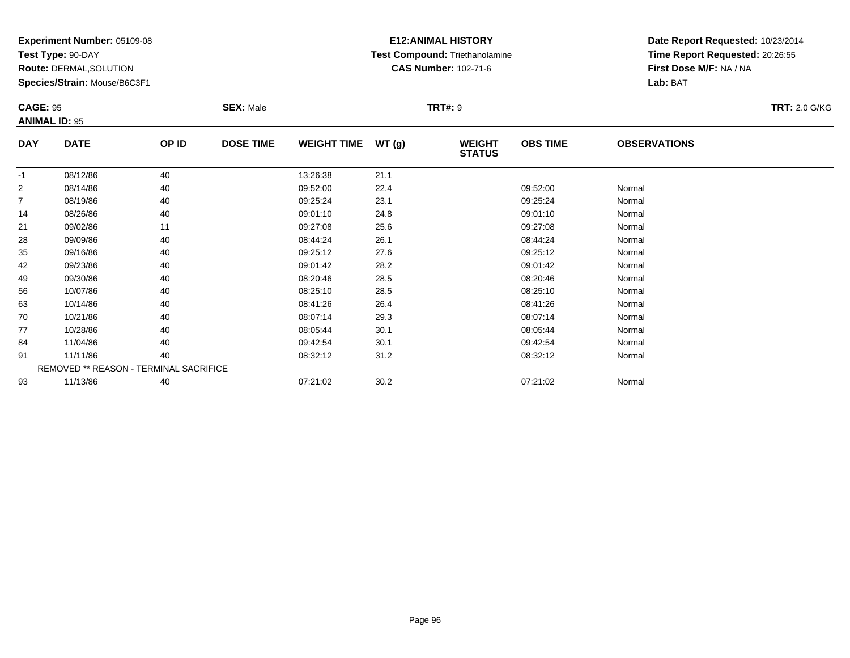**Test Type:** 90-DAY

**Route:** DERMAL,SOLUTION

**Species/Strain:** Mouse/B6C3F1

# **E12:ANIMAL HISTORY Test Compound:** Triethanolamine**CAS Number:** 102-71-6

| <b>CAGE: 95</b><br><b>ANIMAL ID: 95</b> |                                        |       | <b>SEX: Male</b> |                    |       | <b>TRT#: 9</b>                 |                 |                     | <b>TRT: 2.0 G/KG</b> |
|-----------------------------------------|----------------------------------------|-------|------------------|--------------------|-------|--------------------------------|-----------------|---------------------|----------------------|
| <b>DAY</b>                              | <b>DATE</b>                            | OP ID | <b>DOSE TIME</b> | <b>WEIGHT TIME</b> | WT(g) | <b>WEIGHT</b><br><b>STATUS</b> | <b>OBS TIME</b> | <b>OBSERVATIONS</b> |                      |
| $-1$                                    | 08/12/86                               | 40    |                  | 13:26:38           | 21.1  |                                |                 |                     |                      |
| 2                                       | 08/14/86                               | 40    |                  | 09:52:00           | 22.4  |                                | 09:52:00        | Normal              |                      |
| $\overline{7}$                          | 08/19/86                               | 40    |                  | 09:25:24           | 23.1  |                                | 09:25:24        | Normal              |                      |
| 14                                      | 08/26/86                               | 40    |                  | 09:01:10           | 24.8  |                                | 09:01:10        | Normal              |                      |
| 21                                      | 09/02/86                               | 11    |                  | 09:27:08           | 25.6  |                                | 09:27:08        | Normal              |                      |
| 28                                      | 09/09/86                               | 40    |                  | 08:44:24           | 26.1  |                                | 08:44:24        | Normal              |                      |
| 35                                      | 09/16/86                               | 40    |                  | 09:25:12           | 27.6  |                                | 09:25:12        | Normal              |                      |
| 42                                      | 09/23/86                               | 40    |                  | 09:01:42           | 28.2  |                                | 09:01:42        | Normal              |                      |
| 49                                      | 09/30/86                               | 40    |                  | 08:20:46           | 28.5  |                                | 08:20:46        | Normal              |                      |
| 56                                      | 10/07/86                               | 40    |                  | 08:25:10           | 28.5  |                                | 08:25:10        | Normal              |                      |
| 63                                      | 10/14/86                               | 40    |                  | 08:41:26           | 26.4  |                                | 08:41:26        | Normal              |                      |
| 70                                      | 10/21/86                               | 40    |                  | 08:07:14           | 29.3  |                                | 08:07:14        | Normal              |                      |
| 77                                      | 10/28/86                               | 40    |                  | 08:05:44           | 30.1  |                                | 08:05:44        | Normal              |                      |
| 84                                      | 11/04/86                               | 40    |                  | 09:42:54           | 30.1  |                                | 09:42:54        | Normal              |                      |
| 91                                      | 11/11/86                               | 40    |                  | 08:32:12           | 31.2  |                                | 08:32:12        | Normal              |                      |
|                                         | REMOVED ** REASON - TERMINAL SACRIFICE |       |                  |                    |       |                                |                 |                     |                      |
| 93                                      | 11/13/86                               | 40    |                  | 07:21:02           | 30.2  |                                | 07:21:02        | Normal              |                      |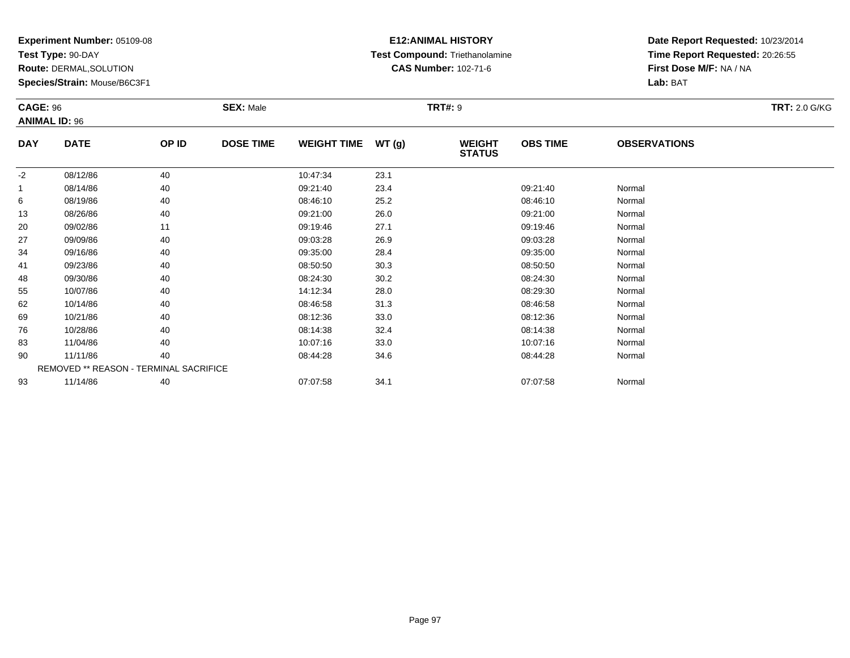**Test Type:** 90-DAY

**Route:** DERMAL,SOLUTION

**Species/Strain:** Mouse/B6C3F1

# **E12:ANIMAL HISTORY Test Compound:** Triethanolamine**CAS Number:** 102-71-6

| <b>CAGE: 96</b>      |                                        |       | <b>SEX: Male</b> |                    |       | <b>TRT#: 9</b>                 |                 |                     | <b>TRT: 2.0 G/KG</b> |
|----------------------|----------------------------------------|-------|------------------|--------------------|-------|--------------------------------|-----------------|---------------------|----------------------|
| <b>ANIMAL ID: 96</b> |                                        |       |                  |                    |       |                                |                 |                     |                      |
| <b>DAY</b>           | <b>DATE</b>                            | OP ID | <b>DOSE TIME</b> | <b>WEIGHT TIME</b> | WT(g) | <b>WEIGHT</b><br><b>STATUS</b> | <b>OBS TIME</b> | <b>OBSERVATIONS</b> |                      |
| $-2$                 | 08/12/86                               | 40    |                  | 10:47:34           | 23.1  |                                |                 |                     |                      |
|                      | 08/14/86                               | 40    |                  | 09:21:40           | 23.4  |                                | 09:21:40        | Normal              |                      |
| 6                    | 08/19/86                               | 40    |                  | 08:46:10           | 25.2  |                                | 08:46:10        | Normal              |                      |
| 13                   | 08/26/86                               | 40    |                  | 09:21:00           | 26.0  |                                | 09:21:00        | Normal              |                      |
| 20                   | 09/02/86                               | 11    |                  | 09:19:46           | 27.1  |                                | 09:19:46        | Normal              |                      |
| 27                   | 09/09/86                               | 40    |                  | 09:03:28           | 26.9  |                                | 09:03:28        | Normal              |                      |
| 34                   | 09/16/86                               | 40    |                  | 09:35:00           | 28.4  |                                | 09:35:00        | Normal              |                      |
| 41                   | 09/23/86                               | 40    |                  | 08:50:50           | 30.3  |                                | 08:50:50        | Normal              |                      |
| 48                   | 09/30/86                               | 40    |                  | 08:24:30           | 30.2  |                                | 08:24:30        | Normal              |                      |
| 55                   | 10/07/86                               | 40    |                  | 14:12:34           | 28.0  |                                | 08:29:30        | Normal              |                      |
| 62                   | 10/14/86                               | 40    |                  | 08:46:58           | 31.3  |                                | 08:46:58        | Normal              |                      |
| 69                   | 10/21/86                               | 40    |                  | 08:12:36           | 33.0  |                                | 08:12:36        | Normal              |                      |
| 76                   | 10/28/86                               | 40    |                  | 08:14:38           | 32.4  |                                | 08:14:38        | Normal              |                      |
| 83                   | 11/04/86                               | 40    |                  | 10:07:16           | 33.0  |                                | 10:07:16        | Normal              |                      |
| 90                   | 11/11/86                               | 40    |                  | 08:44:28           | 34.6  |                                | 08:44:28        | Normal              |                      |
|                      | REMOVED ** REASON - TERMINAL SACRIFICE |       |                  |                    |       |                                |                 |                     |                      |
| 93                   | 11/14/86                               | 40    |                  | 07:07:58           | 34.1  |                                | 07:07:58        | Normal              |                      |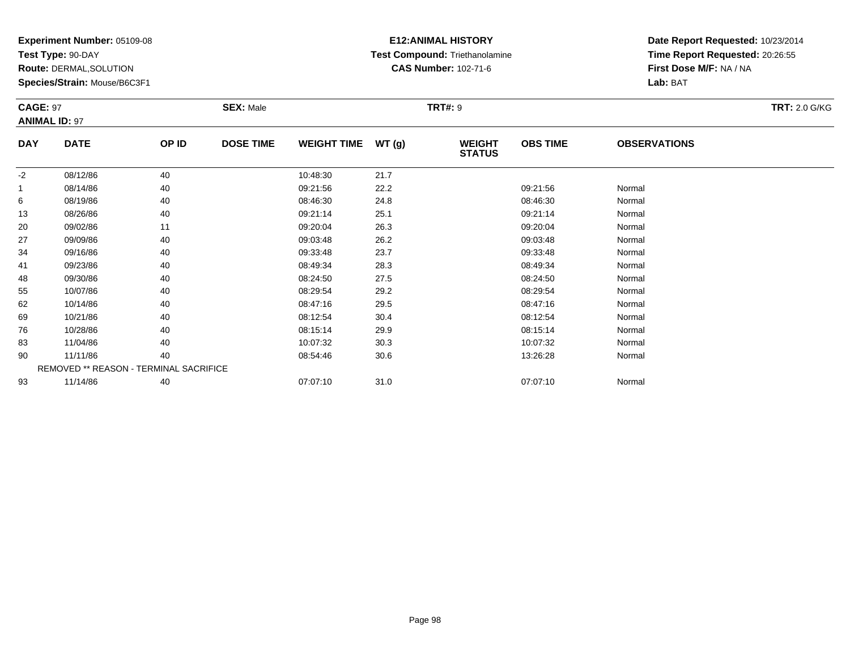**Test Type:** 90-DAY

**Route:** DERMAL,SOLUTION

**Species/Strain:** Mouse/B6C3F1

### **E12:ANIMAL HISTORY Test Compound:** Triethanolamine**CAS Number:** 102-71-6

| <b>CAGE: 97</b><br><b>ANIMAL ID: 97</b> |                                        |       | <b>SEX: Male</b> |                    |      | <b>TRT#: 9</b>                 | <b>TRT: 2.0 G/KG</b> |                     |  |
|-----------------------------------------|----------------------------------------|-------|------------------|--------------------|------|--------------------------------|----------------------|---------------------|--|
| <b>DAY</b>                              | <b>DATE</b>                            | OP ID | <b>DOSE TIME</b> | WEIGHT TIME WT (g) |      | <b>WEIGHT</b><br><b>STATUS</b> | <b>OBS TIME</b>      | <b>OBSERVATIONS</b> |  |
| $-2$                                    | 08/12/86                               | 40    |                  | 10:48:30           | 21.7 |                                |                      |                     |  |
| 1                                       | 08/14/86                               | 40    |                  | 09:21:56           | 22.2 |                                | 09:21:56             | Normal              |  |
| 6                                       | 08/19/86                               | 40    |                  | 08:46:30           | 24.8 |                                | 08:46:30             | Normal              |  |
| 13                                      | 08/26/86                               | 40    |                  | 09:21:14           | 25.1 |                                | 09:21:14             | Normal              |  |
| 20                                      | 09/02/86                               | 11    |                  | 09:20:04           | 26.3 |                                | 09:20:04             | Normal              |  |
| 27                                      | 09/09/86                               | 40    |                  | 09:03:48           | 26.2 |                                | 09:03:48             | Normal              |  |
| 34                                      | 09/16/86                               | 40    |                  | 09:33:48           | 23.7 |                                | 09:33:48             | Normal              |  |
| 41                                      | 09/23/86                               | 40    |                  | 08:49:34           | 28.3 |                                | 08:49:34             | Normal              |  |
| 48                                      | 09/30/86                               | 40    |                  | 08:24:50           | 27.5 |                                | 08:24:50             | Normal              |  |
| 55                                      | 10/07/86                               | 40    |                  | 08:29:54           | 29.2 |                                | 08:29:54             | Normal              |  |
| 62                                      | 10/14/86                               | 40    |                  | 08:47:16           | 29.5 |                                | 08:47:16             | Normal              |  |
| 69                                      | 10/21/86                               | 40    |                  | 08:12:54           | 30.4 |                                | 08:12:54             | Normal              |  |
| 76                                      | 10/28/86                               | 40    |                  | 08:15:14           | 29.9 |                                | 08:15:14             | Normal              |  |
| 83                                      | 11/04/86                               | 40    |                  | 10:07:32           | 30.3 |                                | 10:07:32             | Normal              |  |
| 90                                      | 11/11/86                               | 40    |                  | 08:54:46           | 30.6 |                                | 13:26:28             | Normal              |  |
|                                         | REMOVED ** REASON - TERMINAL SACRIFICE |       |                  |                    |      |                                |                      |                     |  |
| 93                                      | 11/14/86                               | 40    |                  | 07:07:10           | 31.0 |                                | 07:07:10             | Normal              |  |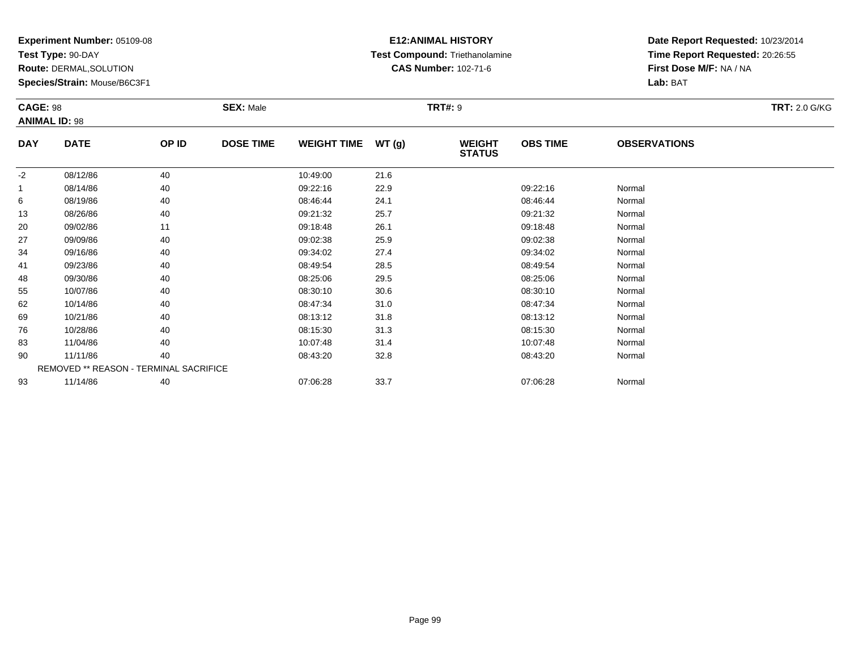**Test Type:** 90-DAY

**Route:** DERMAL,SOLUTION

**Species/Strain:** Mouse/B6C3F1

### **E12:ANIMAL HISTORY Test Compound:** Triethanolamine**CAS Number:** 102-71-6

|            | <b>CAGE: 98</b>                        |       | <b>SEX: Male</b> |                    |       | <b>TRT#: 9</b>                 | <b>TRT: 2.0 G/KG</b> |                     |  |  |
|------------|----------------------------------------|-------|------------------|--------------------|-------|--------------------------------|----------------------|---------------------|--|--|
|            | <b>ANIMAL ID: 98</b>                   |       |                  |                    |       |                                |                      |                     |  |  |
| <b>DAY</b> | <b>DATE</b>                            | OP ID | <b>DOSE TIME</b> | <b>WEIGHT TIME</b> | WT(g) | <b>WEIGHT</b><br><b>STATUS</b> | <b>OBS TIME</b>      | <b>OBSERVATIONS</b> |  |  |
| $-2$       | 08/12/86                               | 40    |                  | 10:49:00           | 21.6  |                                |                      |                     |  |  |
|            | 08/14/86                               | 40    |                  | 09:22:16           | 22.9  |                                | 09:22:16             | Normal              |  |  |
| 6          | 08/19/86                               | 40    |                  | 08:46:44           | 24.1  |                                | 08:46:44             | Normal              |  |  |
| 13         | 08/26/86                               | 40    |                  | 09:21:32           | 25.7  |                                | 09:21:32             | Normal              |  |  |
| 20         | 09/02/86                               | 11    |                  | 09:18:48           | 26.1  |                                | 09:18:48             | Normal              |  |  |
| 27         | 09/09/86                               | 40    |                  | 09:02:38           | 25.9  |                                | 09:02:38             | Normal              |  |  |
| 34         | 09/16/86                               | 40    |                  | 09:34:02           | 27.4  |                                | 09:34:02             | Normal              |  |  |
| 41         | 09/23/86                               | 40    |                  | 08:49:54           | 28.5  |                                | 08:49:54             | Normal              |  |  |
| 48         | 09/30/86                               | 40    |                  | 08:25:06           | 29.5  |                                | 08:25:06             | Normal              |  |  |
| 55         | 10/07/86                               | 40    |                  | 08:30:10           | 30.6  |                                | 08:30:10             | Normal              |  |  |
| 62         | 10/14/86                               | 40    |                  | 08:47:34           | 31.0  |                                | 08:47:34             | Normal              |  |  |
| 69         | 10/21/86                               | 40    |                  | 08:13:12           | 31.8  |                                | 08:13:12             | Normal              |  |  |
| 76         | 10/28/86                               | 40    |                  | 08:15:30           | 31.3  |                                | 08:15:30             | Normal              |  |  |
| 83         | 11/04/86                               | 40    |                  | 10:07:48           | 31.4  |                                | 10:07:48             | Normal              |  |  |
| 90         | 11/11/86                               | 40    |                  | 08:43:20           | 32.8  |                                | 08:43:20             | Normal              |  |  |
|            | REMOVED ** REASON - TERMINAL SACRIFICE |       |                  |                    |       |                                |                      |                     |  |  |
| 93         | 11/14/86                               | 40    |                  | 07:06:28           | 33.7  |                                | 07:06:28             | Normal              |  |  |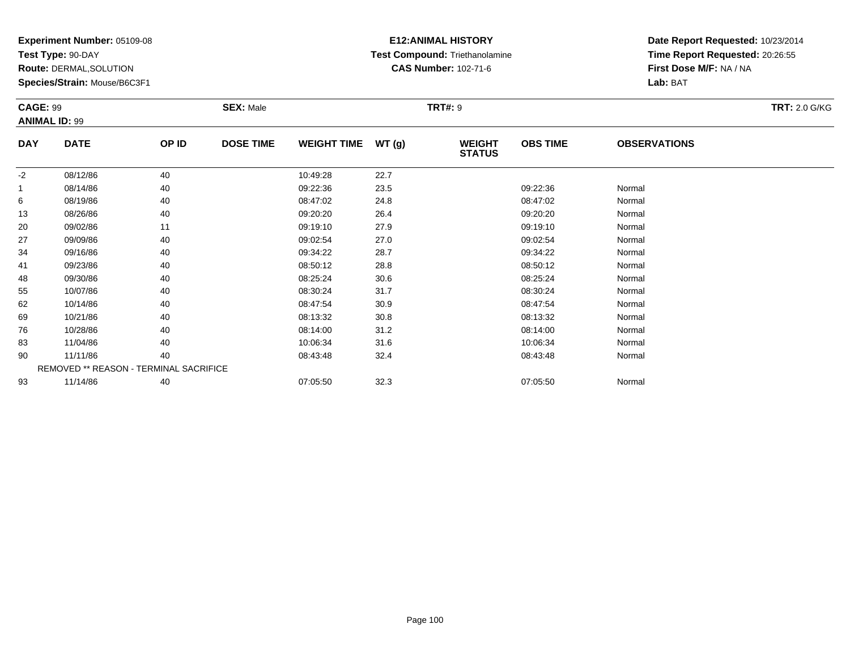**Test Type:** 90-DAY

**Route:** DERMAL,SOLUTION

**Species/Strain:** Mouse/B6C3F1

### **E12:ANIMAL HISTORY Test Compound:** Triethanolamine**CAS Number:** 102-71-6

|             | <b>CAGE: 99</b><br><b>ANIMAL ID: 99</b> |       | <b>SEX: Male</b> |                    |       | <b>TRT#: 9</b>                 | <b>TRT: 2.0 G/KG</b> |                     |  |
|-------------|-----------------------------------------|-------|------------------|--------------------|-------|--------------------------------|----------------------|---------------------|--|
| <b>DAY</b>  | <b>DATE</b>                             | OP ID | <b>DOSE TIME</b> | <b>WEIGHT TIME</b> | WT(g) | <b>WEIGHT</b><br><b>STATUS</b> | <b>OBS TIME</b>      | <b>OBSERVATIONS</b> |  |
| $-2$        | 08/12/86                                | 40    |                  | 10:49:28           | 22.7  |                                |                      |                     |  |
| $\mathbf 1$ | 08/14/86                                | 40    |                  | 09:22:36           | 23.5  |                                | 09:22:36             | Normal              |  |
| 6           | 08/19/86                                | 40    |                  | 08:47:02           | 24.8  |                                | 08:47:02             | Normal              |  |
| 13          | 08/26/86                                | 40    |                  | 09:20:20           | 26.4  |                                | 09:20:20             | Normal              |  |
| 20          | 09/02/86                                | 11    |                  | 09:19:10           | 27.9  |                                | 09:19:10             | Normal              |  |
| 27          | 09/09/86                                | 40    |                  | 09:02:54           | 27.0  |                                | 09:02:54             | Normal              |  |
| 34          | 09/16/86                                | 40    |                  | 09:34:22           | 28.7  |                                | 09:34:22             | Normal              |  |
| 41          | 09/23/86                                | 40    |                  | 08:50:12           | 28.8  |                                | 08:50:12             | Normal              |  |
| 48          | 09/30/86                                | 40    |                  | 08:25:24           | 30.6  |                                | 08:25:24             | Normal              |  |
| 55          | 10/07/86                                | 40    |                  | 08:30:24           | 31.7  |                                | 08:30:24             | Normal              |  |
| 62          | 10/14/86                                | 40    |                  | 08:47:54           | 30.9  |                                | 08:47:54             | Normal              |  |
| 69          | 10/21/86                                | 40    |                  | 08:13:32           | 30.8  |                                | 08:13:32             | Normal              |  |
| 76          | 10/28/86                                | 40    |                  | 08:14:00           | 31.2  |                                | 08:14:00             | Normal              |  |
| 83          | 11/04/86                                | 40    |                  | 10:06:34           | 31.6  |                                | 10:06:34             | Normal              |  |
| 90          | 11/11/86                                | 40    |                  | 08:43:48           | 32.4  |                                | 08:43:48             | Normal              |  |
|             | REMOVED ** REASON - TERMINAL SACRIFICE  |       |                  |                    |       |                                |                      |                     |  |
| 93          | 11/14/86                                | 40    |                  | 07:05:50           | 32.3  |                                | 07:05:50             | Normal              |  |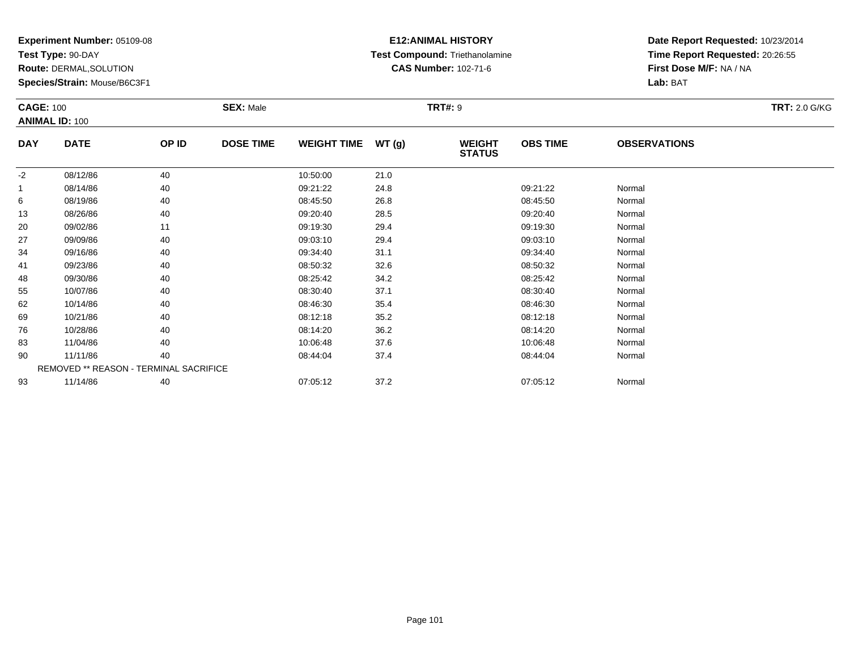**Test Type:** 90-DAY

**Route:** DERMAL,SOLUTION

**Species/Strain:** Mouse/B6C3F1

### **E12:ANIMAL HISTORY Test Compound:** Triethanolamine**CAS Number:** 102-71-6

|            | <b>CAGE: 100</b>                       |       | <b>SEX: Male</b> |                    |       |                                | <b>TRT#: 9</b>  |                     |  |  |  |
|------------|----------------------------------------|-------|------------------|--------------------|-------|--------------------------------|-----------------|---------------------|--|--|--|
|            | <b>ANIMAL ID: 100</b>                  |       |                  |                    |       |                                |                 |                     |  |  |  |
| <b>DAY</b> | <b>DATE</b>                            | OP ID | <b>DOSE TIME</b> | <b>WEIGHT TIME</b> | WT(g) | <b>WEIGHT</b><br><b>STATUS</b> | <b>OBS TIME</b> | <b>OBSERVATIONS</b> |  |  |  |
| $-2$       | 08/12/86                               | 40    |                  | 10:50:00           | 21.0  |                                |                 |                     |  |  |  |
|            | 08/14/86                               | 40    |                  | 09:21:22           | 24.8  |                                | 09:21:22        | Normal              |  |  |  |
| 6          | 08/19/86                               | 40    |                  | 08:45:50           | 26.8  |                                | 08:45:50        | Normal              |  |  |  |
| 13         | 08/26/86                               | 40    |                  | 09:20:40           | 28.5  |                                | 09:20:40        | Normal              |  |  |  |
| 20         | 09/02/86                               | 11    |                  | 09:19:30           | 29.4  |                                | 09:19:30        | Normal              |  |  |  |
| 27         | 09/09/86                               | 40    |                  | 09:03:10           | 29.4  |                                | 09:03:10        | Normal              |  |  |  |
| 34         | 09/16/86                               | 40    |                  | 09:34:40           | 31.1  |                                | 09:34:40        | Normal              |  |  |  |
| 41         | 09/23/86                               | 40    |                  | 08:50:32           | 32.6  |                                | 08:50:32        | Normal              |  |  |  |
| 48         | 09/30/86                               | 40    |                  | 08:25:42           | 34.2  |                                | 08:25:42        | Normal              |  |  |  |
| 55         | 10/07/86                               | 40    |                  | 08:30:40           | 37.1  |                                | 08:30:40        | Normal              |  |  |  |
| 62         | 10/14/86                               | 40    |                  | 08:46:30           | 35.4  |                                | 08:46:30        | Normal              |  |  |  |
| 69         | 10/21/86                               | 40    |                  | 08:12:18           | 35.2  |                                | 08:12:18        | Normal              |  |  |  |
| 76         | 10/28/86                               | 40    |                  | 08:14:20           | 36.2  |                                | 08:14:20        | Normal              |  |  |  |
| 83         | 11/04/86                               | 40    |                  | 10:06:48           | 37.6  |                                | 10:06:48        | Normal              |  |  |  |
| 90         | 11/11/86                               | 40    |                  | 08:44:04           | 37.4  |                                | 08:44:04        | Normal              |  |  |  |
|            | REMOVED ** REASON - TERMINAL SACRIFICE |       |                  |                    |       |                                |                 |                     |  |  |  |
| 93         | 11/14/86                               | 40    |                  | 07:05:12           | 37.2  |                                | 07:05:12        | Normal              |  |  |  |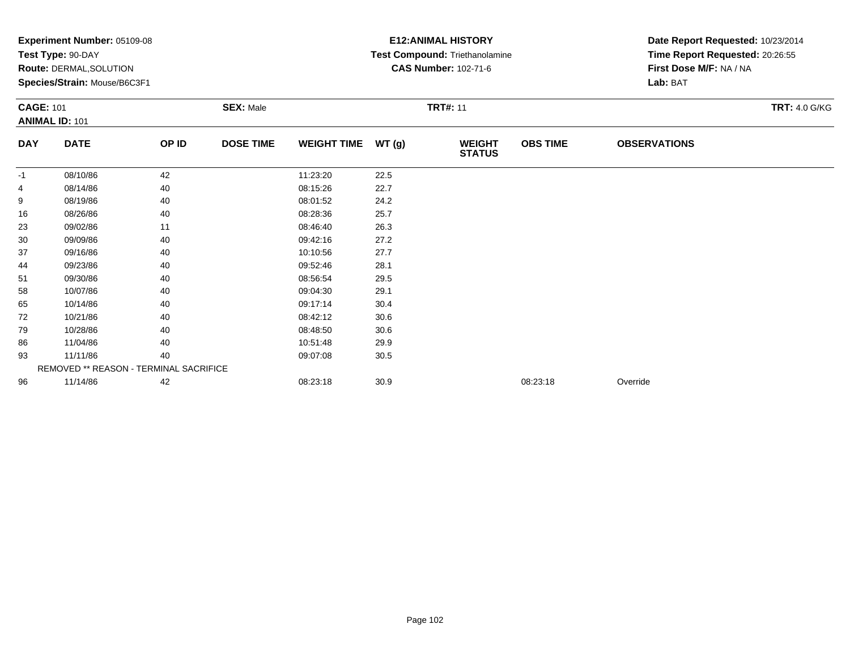| <b>Experiment Number: 05109-08</b> |                                       |                                                                |                                        |       |                                | Date Report Requested: 10/23/2014                        |                                |                                                            |  |
|------------------------------------|---------------------------------------|----------------------------------------------------------------|----------------------------------------|-------|--------------------------------|----------------------------------------------------------|--------------------------------|------------------------------------------------------------|--|
|                                    |                                       |                                                                |                                        |       |                                |                                                          |                                |                                                            |  |
|                                    |                                       |                                                                |                                        |       |                                |                                                          |                                |                                                            |  |
|                                    |                                       |                                                                |                                        |       |                                |                                                          | Lab: BAT                       |                                                            |  |
|                                    |                                       | <b>SEX: Male</b>                                               | <b>TRT#: 11</b>                        |       |                                |                                                          |                                | <b>TRT: 4.0 G/KG</b>                                       |  |
| <b>ANIMAL ID: 101</b>              |                                       |                                                                |                                        |       |                                |                                                          |                                |                                                            |  |
| <b>DATE</b>                        | OP ID                                 | <b>DOSE TIME</b>                                               | <b>WEIGHT TIME</b>                     | WT(g) | <b>WEIGHT</b><br><b>STATUS</b> | <b>OBS TIME</b>                                          | <b>OBSERVATIONS</b>            |                                                            |  |
| 08/10/86                           | 42                                    |                                                                | 11:23:20                               | 22.5  |                                |                                                          |                                |                                                            |  |
| 08/14/86                           | 40                                    |                                                                | 08:15:26                               | 22.7  |                                |                                                          |                                |                                                            |  |
| 08/19/86                           | 40                                    |                                                                | 08:01:52                               | 24.2  |                                |                                                          |                                |                                                            |  |
| 08/26/86                           | 40                                    |                                                                | 08:28:36                               | 25.7  |                                |                                                          |                                |                                                            |  |
| 09/02/86                           | 11                                    |                                                                | 08:46:40                               | 26.3  |                                |                                                          |                                |                                                            |  |
| 09/09/86                           | 40                                    |                                                                | 09:42:16                               | 27.2  |                                |                                                          |                                |                                                            |  |
| 09/16/86                           | 40                                    |                                                                | 10:10:56                               | 27.7  |                                |                                                          |                                |                                                            |  |
| 09/23/86                           | 40                                    |                                                                | 09:52:46                               | 28.1  |                                |                                                          |                                |                                                            |  |
| 09/30/86                           | 40                                    |                                                                | 08:56:54                               | 29.5  |                                |                                                          |                                |                                                            |  |
| 10/07/86                           | 40                                    |                                                                | 09:04:30                               | 29.1  |                                |                                                          |                                |                                                            |  |
| 10/14/86                           | 40                                    |                                                                | 09:17:14                               | 30.4  |                                |                                                          |                                |                                                            |  |
| 10/21/86                           | 40                                    |                                                                | 08:42:12                               | 30.6  |                                |                                                          |                                |                                                            |  |
| 10/28/86                           | 40                                    |                                                                | 08:48:50                               | 30.6  |                                |                                                          |                                |                                                            |  |
| 11/04/86                           | 40                                    |                                                                | 10:51:48                               | 29.9  |                                |                                                          |                                |                                                            |  |
| 11/11/86                           | 40                                    |                                                                | 09:07:08                               | 30.5  |                                |                                                          |                                |                                                            |  |
|                                    |                                       |                                                                |                                        |       |                                |                                                          |                                |                                                            |  |
| 11/14/86                           | 42                                    |                                                                | 08:23:18                               | 30.9  |                                | 08:23:18                                                 | Override                       |                                                            |  |
|                                    | Test Type: 90-DAY<br><b>CAGE: 101</b> | <b>Route: DERMAL, SOLUTION</b><br>Species/Strain: Mouse/B6C3F1 | REMOVED ** REASON - TERMINAL SACRIFICE |       |                                | <b>E12:ANIMAL HISTORY</b><br><b>CAS Number: 102-71-6</b> | Test Compound: Triethanolamine | Time Report Requested: 20:26:55<br>First Dose M/F: NA / NA |  |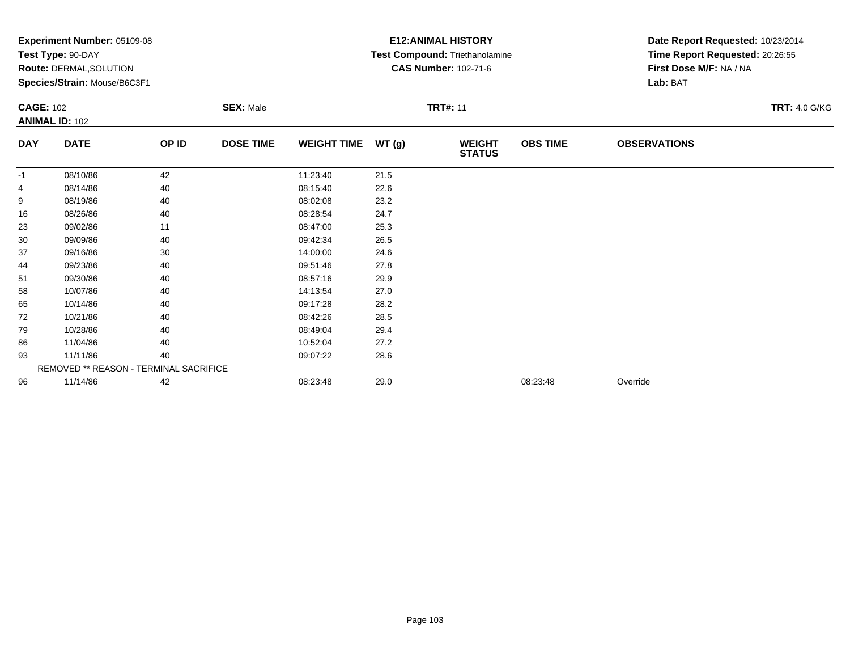|                  | <b>Experiment Number: 05109-08</b>     |       |                  |                    |       | <b>E12:ANIMAL HISTORY</b>      | Date Report Requested: 10/23/2014 |                                 |                      |  |
|------------------|----------------------------------------|-------|------------------|--------------------|-------|--------------------------------|-----------------------------------|---------------------------------|----------------------|--|
|                  | Test Type: 90-DAY                      |       |                  |                    |       | Test Compound: Triethanolamine |                                   | Time Report Requested: 20:26:55 |                      |  |
|                  | <b>Route: DERMAL, SOLUTION</b>         |       |                  |                    |       | <b>CAS Number: 102-71-6</b>    |                                   | First Dose M/F: NA / NA         |                      |  |
|                  | Species/Strain: Mouse/B6C3F1           |       |                  |                    |       |                                |                                   | Lab: BAT                        |                      |  |
| <b>CAGE: 102</b> |                                        |       | <b>SEX: Male</b> | <b>TRT#: 11</b>    |       |                                |                                   |                                 | <b>TRT: 4.0 G/KG</b> |  |
|                  | <b>ANIMAL ID: 102</b>                  |       |                  |                    |       |                                |                                   |                                 |                      |  |
| <b>DAY</b>       | <b>DATE</b>                            | OP ID | <b>DOSE TIME</b> | <b>WEIGHT TIME</b> | WT(g) | <b>WEIGHT</b><br><b>STATUS</b> | <b>OBS TIME</b>                   | <b>OBSERVATIONS</b>             |                      |  |
| -1               | 08/10/86                               | 42    |                  | 11:23:40           | 21.5  |                                |                                   |                                 |                      |  |
| 4                | 08/14/86                               | 40    |                  | 08:15:40           | 22.6  |                                |                                   |                                 |                      |  |
| 9                | 08/19/86                               | 40    |                  | 08:02:08           | 23.2  |                                |                                   |                                 |                      |  |
| 16               | 08/26/86                               | 40    |                  | 08:28:54           | 24.7  |                                |                                   |                                 |                      |  |
| 23               | 09/02/86                               | 11    |                  | 08:47:00           | 25.3  |                                |                                   |                                 |                      |  |
| 30               | 09/09/86                               | 40    |                  | 09:42:34           | 26.5  |                                |                                   |                                 |                      |  |
| 37               | 09/16/86                               | 30    |                  | 14:00:00           | 24.6  |                                |                                   |                                 |                      |  |
| 44               | 09/23/86                               | 40    |                  | 09:51:46           | 27.8  |                                |                                   |                                 |                      |  |
| 51               | 09/30/86                               | 40    |                  | 08:57:16           | 29.9  |                                |                                   |                                 |                      |  |
| 58               | 10/07/86                               | 40    |                  | 14:13:54           | 27.0  |                                |                                   |                                 |                      |  |
| 65               | 10/14/86                               | 40    |                  | 09:17:28           | 28.2  |                                |                                   |                                 |                      |  |
| 72               | 10/21/86                               | 40    |                  | 08:42:26           | 28.5  |                                |                                   |                                 |                      |  |
| 79               | 10/28/86                               | 40    |                  | 08:49:04           | 29.4  |                                |                                   |                                 |                      |  |
| 86               | 11/04/86                               | 40    |                  | 10:52:04           | 27.2  |                                |                                   |                                 |                      |  |
| 93               | 11/11/86                               | 40    |                  | 09:07:22           | 28.6  |                                |                                   |                                 |                      |  |
|                  | REMOVED ** REASON - TERMINAL SACRIFICE |       |                  |                    |       |                                |                                   |                                 |                      |  |
| 96               | 11/14/86                               | 42    |                  | 08:23:48           | 29.0  |                                | 08:23:48                          | Override                        |                      |  |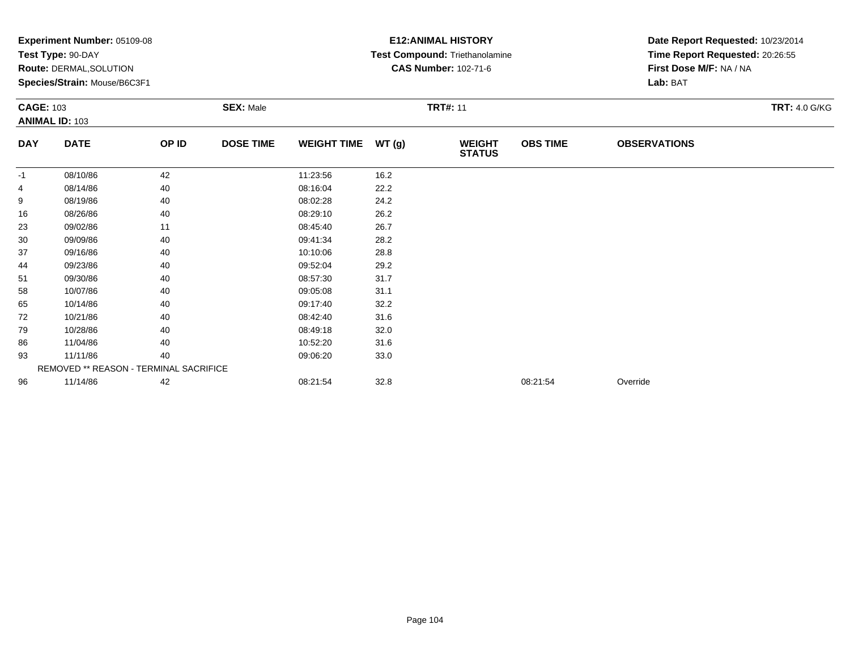|                  | <b>Experiment Number: 05109-08</b>     |       |                  |                    |       | <b>E12:ANIMAL HISTORY</b>      | Date Report Requested: 10/23/2014 |                                 |                      |  |
|------------------|----------------------------------------|-------|------------------|--------------------|-------|--------------------------------|-----------------------------------|---------------------------------|----------------------|--|
|                  | Test Type: 90-DAY                      |       |                  |                    |       | Test Compound: Triethanolamine |                                   | Time Report Requested: 20:26:55 |                      |  |
|                  | <b>Route: DERMAL, SOLUTION</b>         |       |                  |                    |       | <b>CAS Number: 102-71-6</b>    |                                   | First Dose M/F: NA / NA         |                      |  |
|                  | Species/Strain: Mouse/B6C3F1           |       |                  |                    |       |                                |                                   | Lab: BAT                        |                      |  |
| <b>CAGE: 103</b> |                                        |       | <b>SEX: Male</b> | <b>TRT#: 11</b>    |       |                                |                                   |                                 | <b>TRT: 4.0 G/KG</b> |  |
|                  | <b>ANIMAL ID: 103</b>                  |       |                  |                    |       |                                |                                   |                                 |                      |  |
| <b>DAY</b>       | <b>DATE</b>                            | OP ID | <b>DOSE TIME</b> | <b>WEIGHT TIME</b> | WT(g) | <b>WEIGHT</b><br><b>STATUS</b> | <b>OBS TIME</b>                   | <b>OBSERVATIONS</b>             |                      |  |
| -1               | 08/10/86                               | 42    |                  | 11:23:56           | 16.2  |                                |                                   |                                 |                      |  |
| 4                | 08/14/86                               | 40    |                  | 08:16:04           | 22.2  |                                |                                   |                                 |                      |  |
| 9                | 08/19/86                               | 40    |                  | 08:02:28           | 24.2  |                                |                                   |                                 |                      |  |
| 16               | 08/26/86                               | 40    |                  | 08:29:10           | 26.2  |                                |                                   |                                 |                      |  |
| 23               | 09/02/86                               | 11    |                  | 08:45:40           | 26.7  |                                |                                   |                                 |                      |  |
| 30               | 09/09/86                               | 40    |                  | 09:41:34           | 28.2  |                                |                                   |                                 |                      |  |
| 37               | 09/16/86                               | 40    |                  | 10:10:06           | 28.8  |                                |                                   |                                 |                      |  |
| 44               | 09/23/86                               | 40    |                  | 09:52:04           | 29.2  |                                |                                   |                                 |                      |  |
| 51               | 09/30/86                               | 40    |                  | 08:57:30           | 31.7  |                                |                                   |                                 |                      |  |
| 58               | 10/07/86                               | 40    |                  | 09:05:08           | 31.1  |                                |                                   |                                 |                      |  |
| 65               | 10/14/86                               | 40    |                  | 09:17:40           | 32.2  |                                |                                   |                                 |                      |  |
| 72               | 10/21/86                               | 40    |                  | 08:42:40           | 31.6  |                                |                                   |                                 |                      |  |
| 79               | 10/28/86                               | 40    |                  | 08:49:18           | 32.0  |                                |                                   |                                 |                      |  |
| 86               | 11/04/86                               | 40    |                  | 10:52:20           | 31.6  |                                |                                   |                                 |                      |  |
| 93               | 11/11/86                               | 40    |                  | 09:06:20           | 33.0  |                                |                                   |                                 |                      |  |
|                  | REMOVED ** REASON - TERMINAL SACRIFICE |       |                  |                    |       |                                |                                   |                                 |                      |  |
| 96               | 11/14/86                               | 42    |                  | 08:21:54           | 32.8  |                                | 08:21:54                          | Override                        |                      |  |
|                  |                                        |       |                  |                    |       |                                |                                   |                                 |                      |  |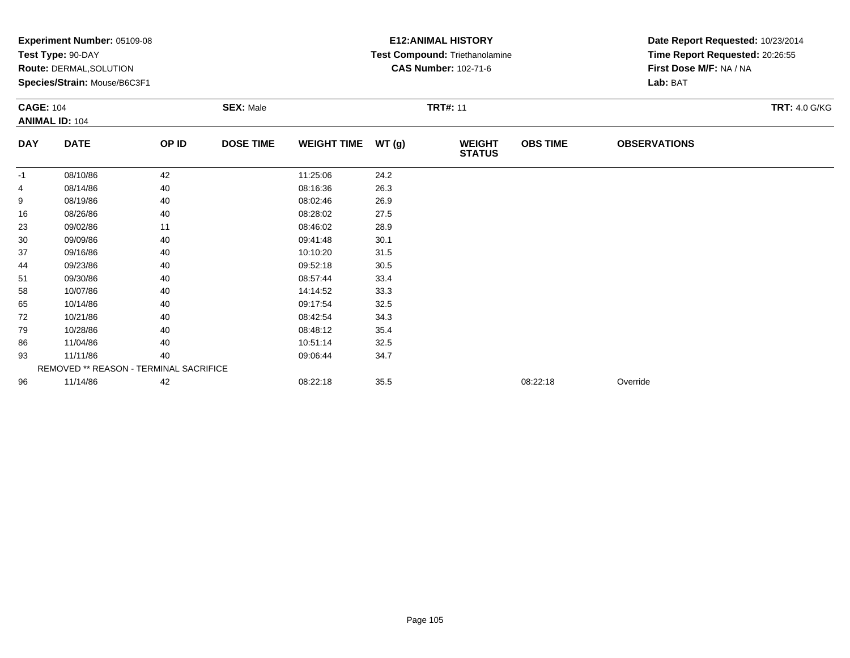|                  | <b>Experiment Number: 05109-08</b>     |       |                  |                    |                 | <b>E12:ANIMAL HISTORY</b>      | Date Report Requested: 10/23/2014 |                                 |  |  |
|------------------|----------------------------------------|-------|------------------|--------------------|-----------------|--------------------------------|-----------------------------------|---------------------------------|--|--|
|                  | Test Type: 90-DAY                      |       |                  |                    |                 | Test Compound: Triethanolamine |                                   | Time Report Requested: 20:26:55 |  |  |
|                  | <b>Route: DERMAL, SOLUTION</b>         |       |                  |                    |                 | <b>CAS Number: 102-71-6</b>    |                                   | First Dose M/F: NA / NA         |  |  |
|                  | Species/Strain: Mouse/B6C3F1           |       |                  |                    |                 |                                |                                   | Lab: BAT                        |  |  |
| <b>CAGE: 104</b> |                                        |       | <b>SEX: Male</b> |                    | <b>TRT#: 11</b> |                                | <b>TRT: 4.0 G/KG</b>              |                                 |  |  |
|                  | <b>ANIMAL ID: 104</b>                  |       |                  |                    |                 |                                |                                   |                                 |  |  |
| <b>DAY</b>       | <b>DATE</b>                            | OP ID | <b>DOSE TIME</b> | <b>WEIGHT TIME</b> | WT(g)           | <b>WEIGHT</b><br><b>STATUS</b> | <b>OBS TIME</b>                   | <b>OBSERVATIONS</b>             |  |  |
| -1               | 08/10/86                               | 42    |                  | 11:25:06           | 24.2            |                                |                                   |                                 |  |  |
| 4                | 08/14/86                               | 40    |                  | 08:16:36           | 26.3            |                                |                                   |                                 |  |  |
| 9                | 08/19/86                               | 40    |                  | 08:02:46           | 26.9            |                                |                                   |                                 |  |  |
| 16               | 08/26/86                               | 40    |                  | 08:28:02           | 27.5            |                                |                                   |                                 |  |  |
| 23               | 09/02/86                               | 11    |                  | 08:46:02           | 28.9            |                                |                                   |                                 |  |  |
| 30               | 09/09/86                               | 40    |                  | 09:41:48           | 30.1            |                                |                                   |                                 |  |  |
| 37               | 09/16/86                               | 40    |                  | 10:10:20           | 31.5            |                                |                                   |                                 |  |  |
| 44               | 09/23/86                               | 40    |                  | 09:52:18           | 30.5            |                                |                                   |                                 |  |  |
| 51               | 09/30/86                               | 40    |                  | 08:57:44           | 33.4            |                                |                                   |                                 |  |  |
| 58               | 10/07/86                               | 40    |                  | 14:14:52           | 33.3            |                                |                                   |                                 |  |  |
| 65               | 10/14/86                               | 40    |                  | 09:17:54           | 32.5            |                                |                                   |                                 |  |  |
| 72               | 10/21/86                               | 40    |                  | 08:42:54           | 34.3            |                                |                                   |                                 |  |  |
| 79               | 10/28/86                               | 40    |                  | 08:48:12           | 35.4            |                                |                                   |                                 |  |  |
| 86               | 11/04/86                               | 40    |                  | 10:51:14           | 32.5            |                                |                                   |                                 |  |  |
| 93               | 11/11/86                               | 40    |                  | 09:06:44           | 34.7            |                                |                                   |                                 |  |  |
|                  | REMOVED ** REASON - TERMINAL SACRIFICE |       |                  |                    |                 |                                |                                   |                                 |  |  |
| 96               | 11/14/86                               | 42    |                  | 08:22:18           | 35.5            |                                | 08:22:18                          | Override                        |  |  |
|                  |                                        |       |                  |                    |                 |                                |                                   |                                 |  |  |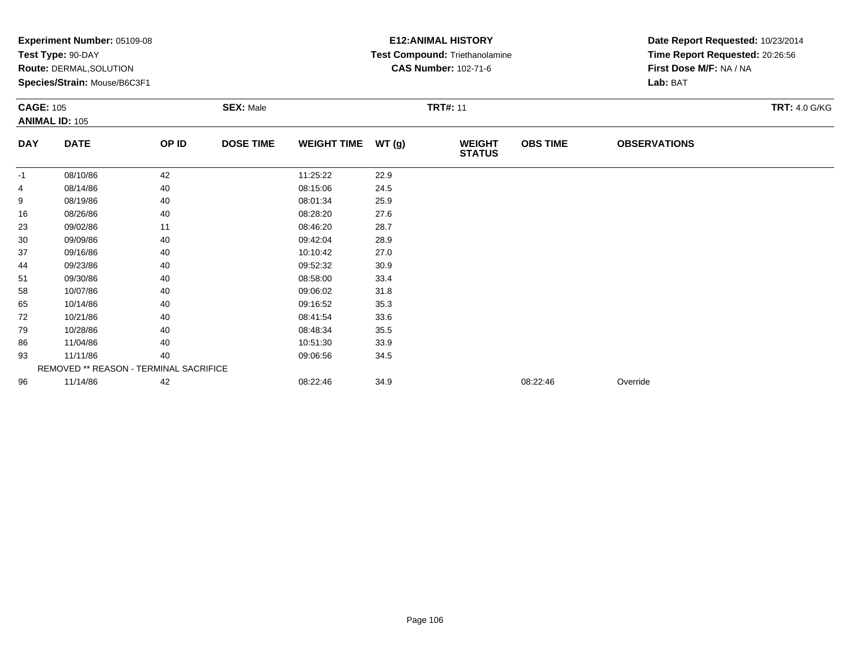|                  | <b>Experiment Number: 05109-08</b>     |       |                  |                    |                 | <b>E12:ANIMAL HISTORY</b>      | Date Report Requested: 10/23/2014 |                                 |  |  |
|------------------|----------------------------------------|-------|------------------|--------------------|-----------------|--------------------------------|-----------------------------------|---------------------------------|--|--|
|                  | Test Type: 90-DAY                      |       |                  |                    |                 | Test Compound: Triethanolamine |                                   | Time Report Requested: 20:26:56 |  |  |
|                  | <b>Route: DERMAL, SOLUTION</b>         |       |                  |                    |                 | <b>CAS Number: 102-71-6</b>    |                                   | First Dose M/F: NA / NA         |  |  |
|                  | Species/Strain: Mouse/B6C3F1           |       |                  |                    |                 |                                |                                   | Lab: BAT                        |  |  |
| <b>CAGE: 105</b> |                                        |       | <b>SEX: Male</b> |                    | <b>TRT#: 11</b> |                                | <b>TRT: 4.0 G/KG</b>              |                                 |  |  |
|                  | <b>ANIMAL ID: 105</b>                  |       |                  |                    |                 |                                |                                   |                                 |  |  |
| <b>DAY</b>       | <b>DATE</b>                            | OP ID | <b>DOSE TIME</b> | <b>WEIGHT TIME</b> | WT(g)           | <b>WEIGHT</b><br><b>STATUS</b> | <b>OBS TIME</b>                   | <b>OBSERVATIONS</b>             |  |  |
| -1               | 08/10/86                               | 42    |                  | 11:25:22           | 22.9            |                                |                                   |                                 |  |  |
| 4                | 08/14/86                               | 40    |                  | 08:15:06           | 24.5            |                                |                                   |                                 |  |  |
| 9                | 08/19/86                               | 40    |                  | 08:01:34           | 25.9            |                                |                                   |                                 |  |  |
| 16               | 08/26/86                               | 40    |                  | 08:28:20           | 27.6            |                                |                                   |                                 |  |  |
| 23               | 09/02/86                               | 11    |                  | 08:46:20           | 28.7            |                                |                                   |                                 |  |  |
| 30               | 09/09/86                               | 40    |                  | 09:42:04           | 28.9            |                                |                                   |                                 |  |  |
| 37               | 09/16/86                               | 40    |                  | 10:10:42           | 27.0            |                                |                                   |                                 |  |  |
| 44               | 09/23/86                               | 40    |                  | 09:52:32           | 30.9            |                                |                                   |                                 |  |  |
| 51               | 09/30/86                               | 40    |                  | 08:58:00           | 33.4            |                                |                                   |                                 |  |  |
| 58               | 10/07/86                               | 40    |                  | 09:06:02           | 31.8            |                                |                                   |                                 |  |  |
| 65               | 10/14/86                               | 40    |                  | 09:16:52           | 35.3            |                                |                                   |                                 |  |  |
| 72               | 10/21/86                               | 40    |                  | 08:41:54           | 33.6            |                                |                                   |                                 |  |  |
| 79               | 10/28/86                               | 40    |                  | 08:48:34           | 35.5            |                                |                                   |                                 |  |  |
| 86               | 11/04/86                               | 40    |                  | 10:51:30           | 33.9            |                                |                                   |                                 |  |  |
| 93               | 11/11/86                               | 40    |                  | 09:06:56           | 34.5            |                                |                                   |                                 |  |  |
|                  | REMOVED ** REASON - TERMINAL SACRIFICE |       |                  |                    |                 |                                |                                   |                                 |  |  |
| 96               | 11/14/86                               | 42    |                  | 08:22:46           | 34.9            |                                | 08:22:46                          | Override                        |  |  |
|                  |                                        |       |                  |                    |                 |                                |                                   |                                 |  |  |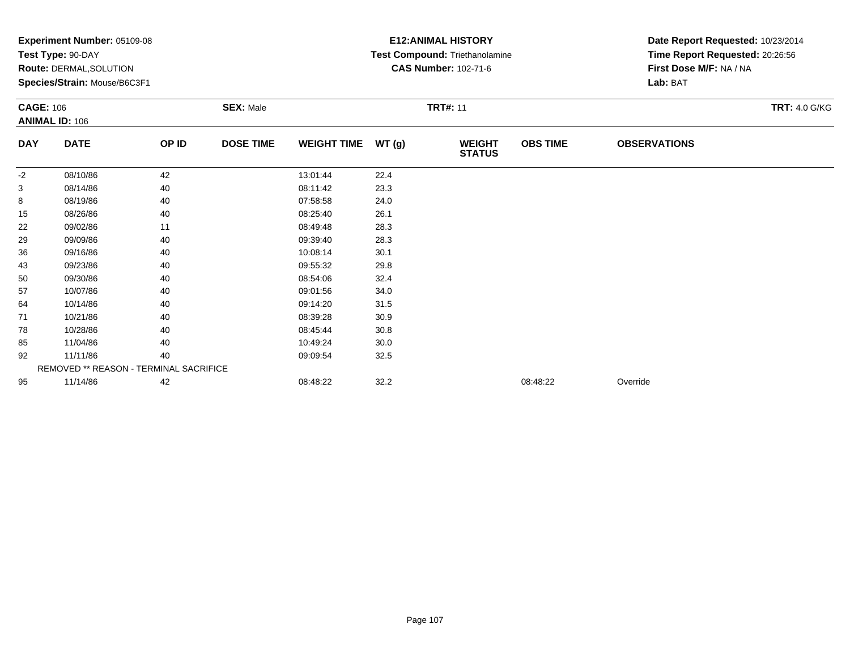| <b>Experiment Number: 05109-08</b> |                                                                |                                                         |                                               |       |                                | Date Report Requested: 10/23/2014                                           |                                |                                                            |  |
|------------------------------------|----------------------------------------------------------------|---------------------------------------------------------|-----------------------------------------------|-------|--------------------------------|-----------------------------------------------------------------------------|--------------------------------|------------------------------------------------------------|--|
|                                    |                                                                |                                                         |                                               |       |                                |                                                                             |                                |                                                            |  |
|                                    |                                                                |                                                         |                                               |       |                                |                                                                             |                                |                                                            |  |
|                                    |                                                                |                                                         |                                               |       |                                |                                                                             | Lab: BAT                       |                                                            |  |
|                                    |                                                                | <b>SEX: Male</b>                                        |                                               |       |                                | <b>TRT: 4.0 G/KG</b>                                                        |                                |                                                            |  |
|                                    |                                                                |                                                         |                                               |       |                                |                                                                             |                                |                                                            |  |
| <b>DATE</b>                        | OP ID                                                          | <b>DOSE TIME</b>                                        | <b>WEIGHT TIME</b>                            | WT(g) | <b>WEIGHT</b><br><b>STATUS</b> | <b>OBS TIME</b>                                                             | <b>OBSERVATIONS</b>            |                                                            |  |
| 08/10/86                           | 42                                                             |                                                         | 13:01:44                                      | 22.4  |                                |                                                                             |                                |                                                            |  |
| 08/14/86                           | 40                                                             |                                                         | 08:11:42                                      | 23.3  |                                |                                                                             |                                |                                                            |  |
| 08/19/86                           | 40                                                             |                                                         | 07:58:58                                      | 24.0  |                                |                                                                             |                                |                                                            |  |
| 08/26/86                           | 40                                                             |                                                         | 08:25:40                                      | 26.1  |                                |                                                                             |                                |                                                            |  |
| 09/02/86                           | 11                                                             |                                                         | 08:49:48                                      | 28.3  |                                |                                                                             |                                |                                                            |  |
| 09/09/86                           | 40                                                             |                                                         | 09:39:40                                      | 28.3  |                                |                                                                             |                                |                                                            |  |
| 09/16/86                           | 40                                                             |                                                         | 10:08:14                                      | 30.1  |                                |                                                                             |                                |                                                            |  |
| 09/23/86                           | 40                                                             |                                                         | 09:55:32                                      | 29.8  |                                |                                                                             |                                |                                                            |  |
| 09/30/86                           | 40                                                             |                                                         | 08:54:06                                      | 32.4  |                                |                                                                             |                                |                                                            |  |
| 10/07/86                           | 40                                                             |                                                         | 09:01:56                                      | 34.0  |                                |                                                                             |                                |                                                            |  |
| 10/14/86                           | 40                                                             |                                                         | 09:14:20                                      | 31.5  |                                |                                                                             |                                |                                                            |  |
| 10/21/86                           | 40                                                             |                                                         | 08:39:28                                      | 30.9  |                                |                                                                             |                                |                                                            |  |
| 10/28/86                           | 40                                                             |                                                         | 08:45:44                                      | 30.8  |                                |                                                                             |                                |                                                            |  |
| 11/04/86                           | 40                                                             |                                                         | 10:49:24                                      | 30.0  |                                |                                                                             |                                |                                                            |  |
| 11/11/86                           | 40                                                             |                                                         | 09:09:54                                      | 32.5  |                                |                                                                             |                                |                                                            |  |
|                                    |                                                                |                                                         |                                               |       |                                |                                                                             |                                |                                                            |  |
| 11/14/86                           | 42                                                             |                                                         | 08:48:22                                      | 32.2  |                                | 08:48:22                                                                    | Override                       |                                                            |  |
|                                    | Test Type: 90-DAY<br><b>CAGE: 106</b><br><b>ANIMAL ID: 106</b> | Route: DERMAL, SOLUTION<br>Species/Strain: Mouse/B6C3F1 | <b>REMOVED ** REASON - TERMINAL SACRIFICE</b> |       |                                | <b>E12:ANIMAL HISTORY</b><br><b>CAS Number: 102-71-6</b><br><b>TRT#: 11</b> | Test Compound: Triethanolamine | Time Report Requested: 20:26:56<br>First Dose M/F: NA / NA |  |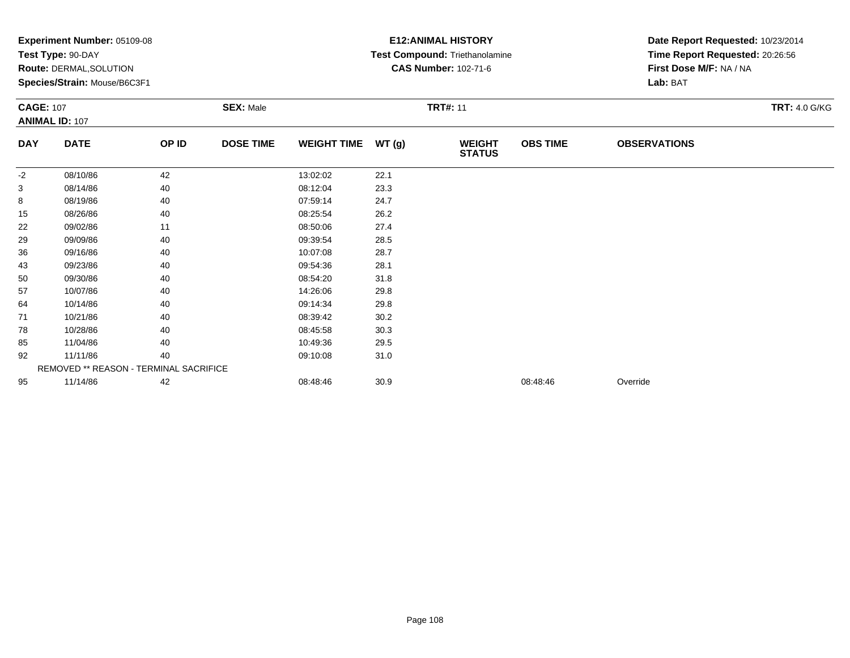|                  | <b>Experiment Number: 05109-08</b>     |       |                  |                    |       | <b>E12:ANIMAL HISTORY</b>      | Date Report Requested: 10/23/2014 |                                 |                      |  |
|------------------|----------------------------------------|-------|------------------|--------------------|-------|--------------------------------|-----------------------------------|---------------------------------|----------------------|--|
|                  | Test Type: 90-DAY                      |       |                  |                    |       | Test Compound: Triethanolamine |                                   | Time Report Requested: 20:26:56 |                      |  |
|                  | <b>Route: DERMAL, SOLUTION</b>         |       |                  |                    |       | <b>CAS Number: 102-71-6</b>    |                                   | First Dose M/F: NA / NA         |                      |  |
|                  | Species/Strain: Mouse/B6C3F1           |       |                  |                    |       |                                |                                   | Lab: BAT                        |                      |  |
| <b>CAGE: 107</b> |                                        |       | <b>SEX: Male</b> | <b>TRT#: 11</b>    |       |                                |                                   |                                 | <b>TRT: 4.0 G/KG</b> |  |
|                  | <b>ANIMAL ID: 107</b>                  |       |                  |                    |       |                                |                                   |                                 |                      |  |
| <b>DAY</b>       | <b>DATE</b>                            | OP ID | <b>DOSE TIME</b> | <b>WEIGHT TIME</b> | WT(g) | <b>WEIGHT</b><br><b>STATUS</b> | <b>OBS TIME</b>                   | <b>OBSERVATIONS</b>             |                      |  |
| $-2$             | 08/10/86                               | 42    |                  | 13:02:02           | 22.1  |                                |                                   |                                 |                      |  |
| 3                | 08/14/86                               | 40    |                  | 08:12:04           | 23.3  |                                |                                   |                                 |                      |  |
| 8                | 08/19/86                               | 40    |                  | 07:59:14           | 24.7  |                                |                                   |                                 |                      |  |
| 15               | 08/26/86                               | 40    |                  | 08:25:54           | 26.2  |                                |                                   |                                 |                      |  |
| 22               | 09/02/86                               | 11    |                  | 08:50:06           | 27.4  |                                |                                   |                                 |                      |  |
| 29               | 09/09/86                               | 40    |                  | 09:39:54           | 28.5  |                                |                                   |                                 |                      |  |
| 36               | 09/16/86                               | 40    |                  | 10:07:08           | 28.7  |                                |                                   |                                 |                      |  |
| 43               | 09/23/86                               | 40    |                  | 09:54:36           | 28.1  |                                |                                   |                                 |                      |  |
| 50               | 09/30/86                               | 40    |                  | 08:54:20           | 31.8  |                                |                                   |                                 |                      |  |
| 57               | 10/07/86                               | 40    |                  | 14:26:06           | 29.8  |                                |                                   |                                 |                      |  |
| 64               | 10/14/86                               | 40    |                  | 09:14:34           | 29.8  |                                |                                   |                                 |                      |  |
| 71               | 10/21/86                               | 40    |                  | 08:39:42           | 30.2  |                                |                                   |                                 |                      |  |
| 78               | 10/28/86                               | 40    |                  | 08:45:58           | 30.3  |                                |                                   |                                 |                      |  |
| 85               | 11/04/86                               | 40    |                  | 10:49:36           | 29.5  |                                |                                   |                                 |                      |  |
| 92               | 11/11/86                               | 40    |                  | 09:10:08           | 31.0  |                                |                                   |                                 |                      |  |
|                  | REMOVED ** REASON - TERMINAL SACRIFICE |       |                  |                    |       |                                |                                   |                                 |                      |  |
| 95               | 11/14/86                               | 42    |                  | 08:48:46           | 30.9  |                                | 08:48:46                          | Override                        |                      |  |
|                  |                                        |       |                  |                    |       |                                |                                   |                                 |                      |  |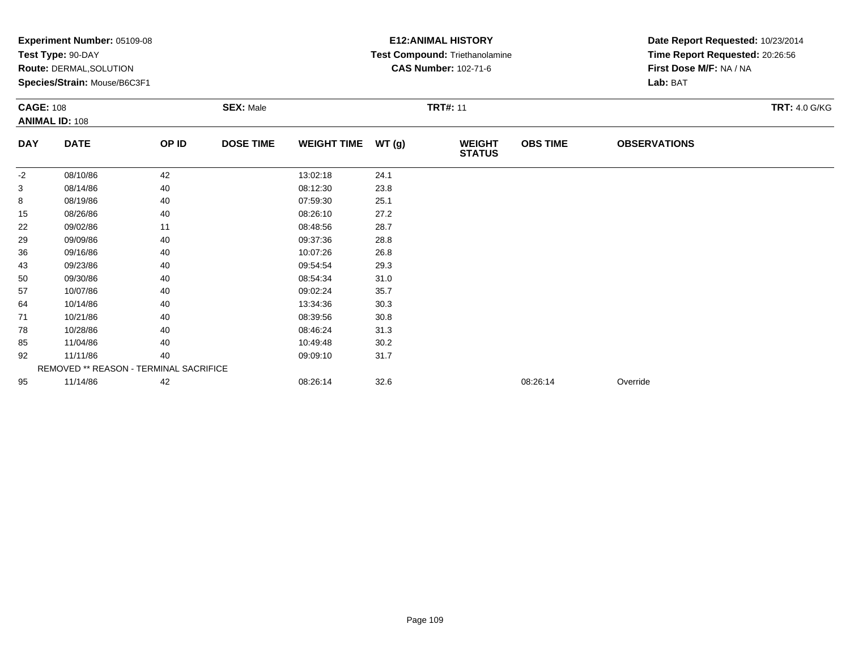|                  | Experiment Number: 05109-08<br>Test Type: 90-DAY<br>Route: DERMAL, SOLUTION<br>Species/Strain: Mouse/B6C3F1 |       |                  |                    |       | <b>E12: ANIMAL HISTORY</b><br>Test Compound: Triethanolamine<br><b>CAS Number: 102-71-6</b> |                 | Date Report Requested: 10/23/2014<br>Time Report Requested: 20:26:56<br>First Dose M/F: NA / NA<br>Lab: BAT |                      |
|------------------|-------------------------------------------------------------------------------------------------------------|-------|------------------|--------------------|-------|---------------------------------------------------------------------------------------------|-----------------|-------------------------------------------------------------------------------------------------------------|----------------------|
| <b>CAGE: 108</b> | <b>ANIMAL ID: 108</b>                                                                                       |       | <b>SEX: Male</b> |                    |       | <b>TRT#: 11</b>                                                                             |                 |                                                                                                             | <b>TRT: 4.0 G/KG</b> |
| <b>DAY</b>       | <b>DATE</b>                                                                                                 | OP ID | <b>DOSE TIME</b> | <b>WEIGHT TIME</b> | WT(g) | <b>WEIGHT</b><br><b>STATUS</b>                                                              | <b>OBS TIME</b> | <b>OBSERVATIONS</b>                                                                                         |                      |
| -2               | 08/10/86                                                                                                    | 42    |                  | 13:02:18           | 24.1  |                                                                                             |                 |                                                                                                             |                      |
| 3                | 08/14/86                                                                                                    | 40    |                  | 08:12:30           | 23.8  |                                                                                             |                 |                                                                                                             |                      |
| 8                | 08/19/86                                                                                                    | 40    |                  | 07:59:30           | 25.1  |                                                                                             |                 |                                                                                                             |                      |
| 15               | 08/26/86                                                                                                    | 40    |                  | 08:26:10           | 27.2  |                                                                                             |                 |                                                                                                             |                      |
| 22               | 09/02/86                                                                                                    | 11    |                  | 08:48:56           | 28.7  |                                                                                             |                 |                                                                                                             |                      |
| 29               | 09/09/86                                                                                                    | 40    |                  | 09:37:36           | 28.8  |                                                                                             |                 |                                                                                                             |                      |
| 36               | 09/16/86                                                                                                    | 40    |                  | 10:07:26           | 26.8  |                                                                                             |                 |                                                                                                             |                      |
| 43               | 09/23/86                                                                                                    | 40    |                  | 09:54:54           | 29.3  |                                                                                             |                 |                                                                                                             |                      |
| 50               | 09/30/86                                                                                                    | 40    |                  | 08:54:34           | 31.0  |                                                                                             |                 |                                                                                                             |                      |
| 57               | 10/07/86                                                                                                    | 40    |                  | 09:02:24           | 35.7  |                                                                                             |                 |                                                                                                             |                      |
| 64               | 10/14/86                                                                                                    | 40    |                  | 13:34:36           | 30.3  |                                                                                             |                 |                                                                                                             |                      |
| 71               | 10/21/86                                                                                                    | 40    |                  | 08:39:56           | 30.8  |                                                                                             |                 |                                                                                                             |                      |
| 78               | 10/28/86                                                                                                    | 40    |                  | 08:46:24           | 31.3  |                                                                                             |                 |                                                                                                             |                      |
| 85               | 11/04/86                                                                                                    | 40    |                  | 10:49:48           | 30.2  |                                                                                             |                 |                                                                                                             |                      |
| 92               | 11/11/86                                                                                                    | 40    |                  | 09:09:10           | 31.7  |                                                                                             |                 |                                                                                                             |                      |
|                  | REMOVED ** REASON - TERMINAL SACRIFICE                                                                      |       |                  |                    |       |                                                                                             |                 |                                                                                                             |                      |
| 95               | 11/14/86                                                                                                    | 42    |                  | 08:26:14           | 32.6  |                                                                                             | 08:26:14        | Override                                                                                                    |                      |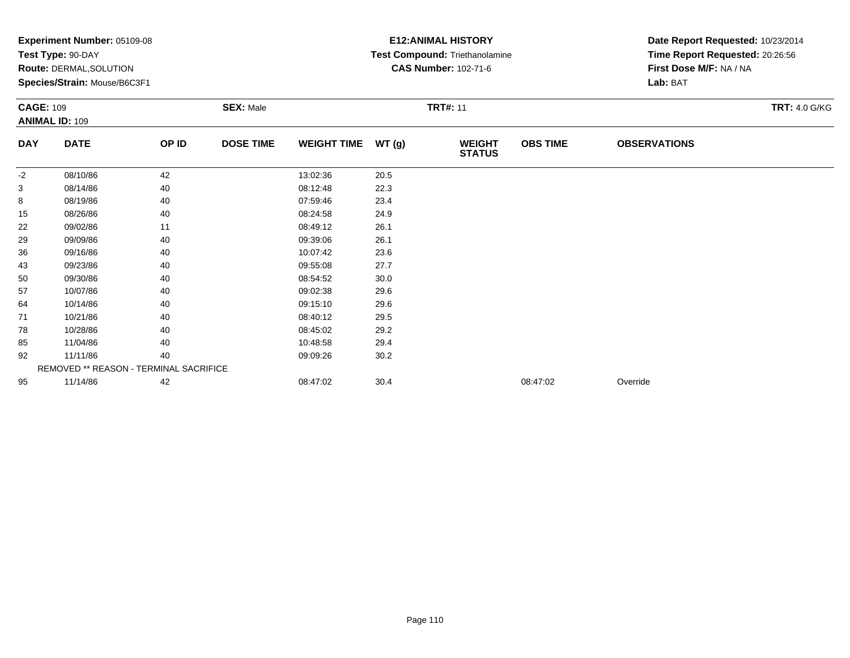|                  | <b>Experiment Number: 05109-08</b>     |       |                  |                    |       | <b>E12:ANIMAL HISTORY</b>      |                 | Date Report Requested: 10/23/2014 |                      |
|------------------|----------------------------------------|-------|------------------|--------------------|-------|--------------------------------|-----------------|-----------------------------------|----------------------|
|                  | Test Type: 90-DAY                      |       |                  |                    |       | Test Compound: Triethanolamine |                 | Time Report Requested: 20:26:56   |                      |
|                  | Route: DERMAL, SOLUTION                |       |                  |                    |       | <b>CAS Number: 102-71-6</b>    |                 | First Dose M/F: NA / NA           |                      |
|                  | Species/Strain: Mouse/B6C3F1           |       |                  |                    |       |                                |                 | Lab: BAT                          |                      |
| <b>CAGE: 109</b> |                                        |       | <b>SEX: Male</b> |                    |       | <b>TRT#: 11</b>                |                 |                                   | <b>TRT: 4.0 G/KG</b> |
|                  | <b>ANIMAL ID: 109</b>                  |       |                  |                    |       |                                |                 |                                   |                      |
| <b>DAY</b>       | <b>DATE</b>                            | OP ID | <b>DOSE TIME</b> | <b>WEIGHT TIME</b> | WT(g) | <b>WEIGHT</b><br><b>STATUS</b> | <b>OBS TIME</b> | <b>OBSERVATIONS</b>               |                      |
| $-2$             | 08/10/86                               | 42    |                  | 13:02:36           | 20.5  |                                |                 |                                   |                      |
| 3                | 08/14/86                               | 40    |                  | 08:12:48           | 22.3  |                                |                 |                                   |                      |
| 8                | 08/19/86                               | 40    |                  | 07:59:46           | 23.4  |                                |                 |                                   |                      |
| 15               | 08/26/86                               | 40    |                  | 08:24:58           | 24.9  |                                |                 |                                   |                      |
| 22               | 09/02/86                               | 11    |                  | 08:49:12           | 26.1  |                                |                 |                                   |                      |
| 29               | 09/09/86                               | 40    |                  | 09:39:06           | 26.1  |                                |                 |                                   |                      |
| 36               | 09/16/86                               | 40    |                  | 10:07:42           | 23.6  |                                |                 |                                   |                      |
| 43               | 09/23/86                               | 40    |                  | 09:55:08           | 27.7  |                                |                 |                                   |                      |
| 50               | 09/30/86                               | 40    |                  | 08:54:52           | 30.0  |                                |                 |                                   |                      |
| 57               | 10/07/86                               | 40    |                  | 09:02:38           | 29.6  |                                |                 |                                   |                      |
| 64               | 10/14/86                               | 40    |                  | 09:15:10           | 29.6  |                                |                 |                                   |                      |
| 71               | 10/21/86                               | 40    |                  | 08:40:12           | 29.5  |                                |                 |                                   |                      |
| 78               | 10/28/86                               | 40    |                  | 08:45:02           | 29.2  |                                |                 |                                   |                      |
| 85               | 11/04/86                               | 40    |                  | 10:48:58           | 29.4  |                                |                 |                                   |                      |
| 92               | 11/11/86                               | 40    |                  | 09:09:26           | 30.2  |                                |                 |                                   |                      |
|                  | REMOVED ** REASON - TERMINAL SACRIFICE |       |                  |                    |       |                                |                 |                                   |                      |
| 95               | 11/14/86                               | 42    |                  | 08:47:02           | 30.4  |                                | 08:47:02        | Override                          |                      |
|                  |                                        |       |                  |                    |       |                                |                 |                                   |                      |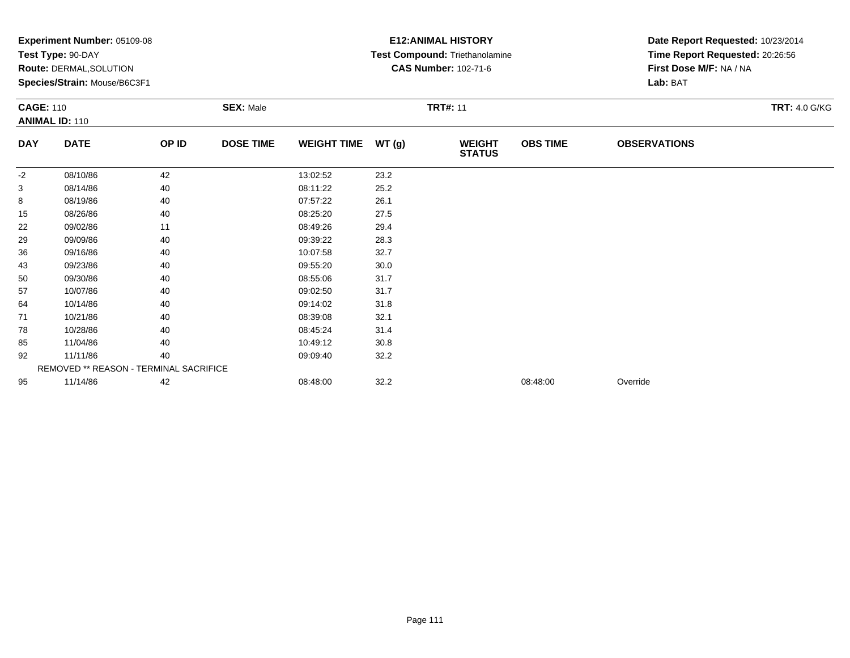|                  | <b>Experiment Number: 05109-08</b>     |       |                  |                    |       | <b>E12:ANIMAL HISTORY</b>      |                 | Date Report Requested: 10/23/2014 |                      |
|------------------|----------------------------------------|-------|------------------|--------------------|-------|--------------------------------|-----------------|-----------------------------------|----------------------|
|                  | Test Type: 90-DAY                      |       |                  |                    |       | Test Compound: Triethanolamine |                 | Time Report Requested: 20:26:56   |                      |
|                  | Route: DERMAL, SOLUTION                |       |                  |                    |       | <b>CAS Number: 102-71-6</b>    |                 | First Dose M/F: NA / NA           |                      |
|                  | Species/Strain: Mouse/B6C3F1           |       |                  |                    |       |                                |                 | Lab: BAT                          |                      |
| <b>CAGE: 110</b> |                                        |       | <b>SEX: Male</b> |                    |       | <b>TRT#: 11</b>                |                 |                                   | <b>TRT: 4.0 G/KG</b> |
|                  | <b>ANIMAL ID: 110</b>                  |       |                  |                    |       |                                |                 |                                   |                      |
| <b>DAY</b>       | <b>DATE</b>                            | OP ID | <b>DOSE TIME</b> | <b>WEIGHT TIME</b> | WT(g) | <b>WEIGHT</b><br><b>STATUS</b> | <b>OBS TIME</b> | <b>OBSERVATIONS</b>               |                      |
| $-2$             | 08/10/86                               | 42    |                  | 13:02:52           | 23.2  |                                |                 |                                   |                      |
| 3                | 08/14/86                               | 40    |                  | 08:11:22           | 25.2  |                                |                 |                                   |                      |
| 8                | 08/19/86                               | 40    |                  | 07:57:22           | 26.1  |                                |                 |                                   |                      |
| 15               | 08/26/86                               | 40    |                  | 08:25:20           | 27.5  |                                |                 |                                   |                      |
| 22               | 09/02/86                               | 11    |                  | 08:49:26           | 29.4  |                                |                 |                                   |                      |
| 29               | 09/09/86                               | 40    |                  | 09:39:22           | 28.3  |                                |                 |                                   |                      |
| 36               | 09/16/86                               | 40    |                  | 10:07:58           | 32.7  |                                |                 |                                   |                      |
| 43               | 09/23/86                               | 40    |                  | 09:55:20           | 30.0  |                                |                 |                                   |                      |
| 50               | 09/30/86                               | 40    |                  | 08:55:06           | 31.7  |                                |                 |                                   |                      |
| 57               | 10/07/86                               | 40    |                  | 09:02:50           | 31.7  |                                |                 |                                   |                      |
| 64               | 10/14/86                               | 40    |                  | 09:14:02           | 31.8  |                                |                 |                                   |                      |
| 71               | 10/21/86                               | 40    |                  | 08:39:08           | 32.1  |                                |                 |                                   |                      |
| 78               | 10/28/86                               | 40    |                  | 08:45:24           | 31.4  |                                |                 |                                   |                      |
| 85               | 11/04/86                               | 40    |                  | 10:49:12           | 30.8  |                                |                 |                                   |                      |
| 92               | 11/11/86                               | 40    |                  | 09:09:40           | 32.2  |                                |                 |                                   |                      |
|                  | REMOVED ** REASON - TERMINAL SACRIFICE |       |                  |                    |       |                                |                 |                                   |                      |
| 95               | 11/14/86                               | 42    |                  | 08:48:00           | 32.2  |                                | 08:48:00        | Override                          |                      |
|                  |                                        |       |                  |                    |       |                                |                 |                                   |                      |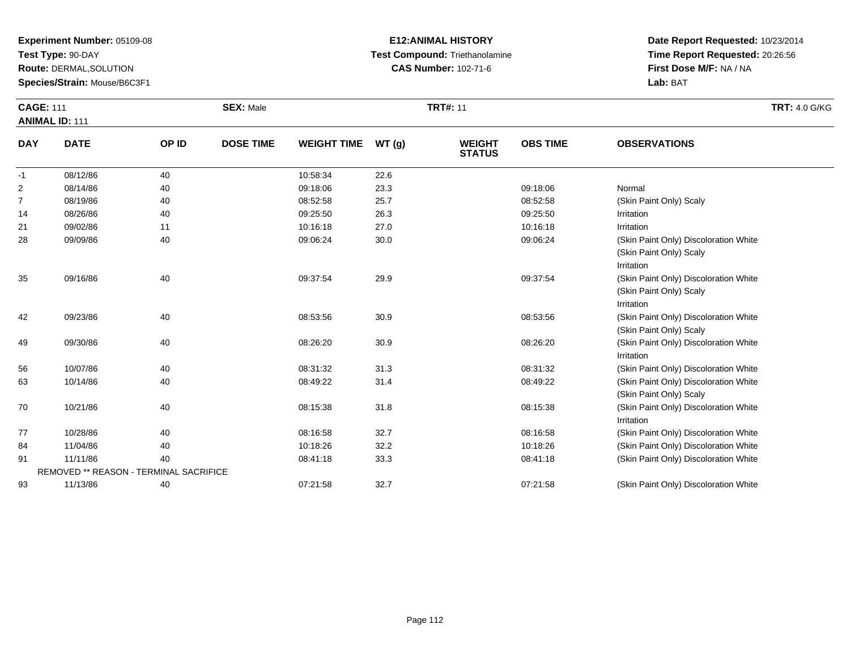**Test Type:** 90-DAY

93

**Route:** DERMAL,SOLUTION

**Species/Strain:** Mouse/B6C3F1

#### **E12:ANIMAL HISTORY Test Compound:** Triethanolamine**CAS Number:** 102-71-6

**Date Report Requested:** 10/23/2014**Time Report Requested:** 20:26:56**First Dose M/F:** NA / NA**Lab:** BAT

| <b>CAGE: 111</b> | <b>ANIMAL ID: 111</b>                         |       | <b>SEX: Male</b> |                    |       | <b>TRT#: 11</b>                |                 |                                                                                | <b>TRT: 4.0 G/KG</b> |
|------------------|-----------------------------------------------|-------|------------------|--------------------|-------|--------------------------------|-----------------|--------------------------------------------------------------------------------|----------------------|
| <b>DAY</b>       | <b>DATE</b>                                   | OP ID | <b>DOSE TIME</b> | <b>WEIGHT TIME</b> | WT(g) | <b>WEIGHT</b><br><b>STATUS</b> | <b>OBS TIME</b> | <b>OBSERVATIONS</b>                                                            |                      |
| $-1$             | 08/12/86                                      | 40    |                  | 10:58:34           | 22.6  |                                |                 |                                                                                |                      |
| 2                | 08/14/86                                      | 40    |                  | 09:18:06           | 23.3  |                                | 09:18:06        | Normal                                                                         |                      |
| 7                | 08/19/86                                      | 40    |                  | 08:52:58           | 25.7  |                                | 08:52:58        | (Skin Paint Only) Scaly                                                        |                      |
| 14               | 08/26/86                                      | 40    |                  | 09:25:50           | 26.3  |                                | 09:25:50        | Irritation                                                                     |                      |
| 21               | 09/02/86                                      | 11    |                  | 10:16:18           | 27.0  |                                | 10:16:18        | Irritation                                                                     |                      |
| 28               | 09/09/86                                      | 40    |                  | 09:06:24           | 30.0  |                                | 09:06:24        | (Skin Paint Only) Discoloration White<br>(Skin Paint Only) Scaly<br>Irritation |                      |
| 35               | 09/16/86                                      | 40    |                  | 09:37:54           | 29.9  |                                | 09:37:54        | (Skin Paint Only) Discoloration White<br>(Skin Paint Only) Scaly<br>Irritation |                      |
| 42               | 09/23/86                                      | 40    |                  | 08:53:56           | 30.9  |                                | 08:53:56        | (Skin Paint Only) Discoloration White<br>(Skin Paint Only) Scaly               |                      |
| 49               | 09/30/86                                      | 40    |                  | 08:26:20           | 30.9  |                                | 08:26:20        | (Skin Paint Only) Discoloration White<br>Irritation                            |                      |
| 56               | 10/07/86                                      | 40    |                  | 08:31:32           | 31.3  |                                | 08:31:32        | (Skin Paint Only) Discoloration White                                          |                      |
| 63               | 10/14/86                                      | 40    |                  | 08:49:22           | 31.4  |                                | 08:49:22        | (Skin Paint Only) Discoloration White<br>(Skin Paint Only) Scaly               |                      |
| 70               | 10/21/86                                      | 40    |                  | 08:15:38           | 31.8  |                                | 08:15:38        | (Skin Paint Only) Discoloration White<br>Irritation                            |                      |
| 77               | 10/28/86                                      | 40    |                  | 08:16:58           | 32.7  |                                | 08:16:58        | (Skin Paint Only) Discoloration White                                          |                      |
| 84               | 11/04/86                                      | 40    |                  | 10:18:26           | 32.2  |                                | 10:18:26        | (Skin Paint Only) Discoloration White                                          |                      |
| 91               | 11/11/86                                      | 40    |                  | 08:41:18           | 33.3  |                                | 08:41:18        | (Skin Paint Only) Discoloration White                                          |                      |
|                  | <b>REMOVED ** REASON - TERMINAL SACRIFICE</b> |       |                  |                    |       |                                |                 |                                                                                |                      |

11/13/86 <sup>40</sup> 07:21:58 32.7 07:21:58 (Skin Paint Only) Discoloration White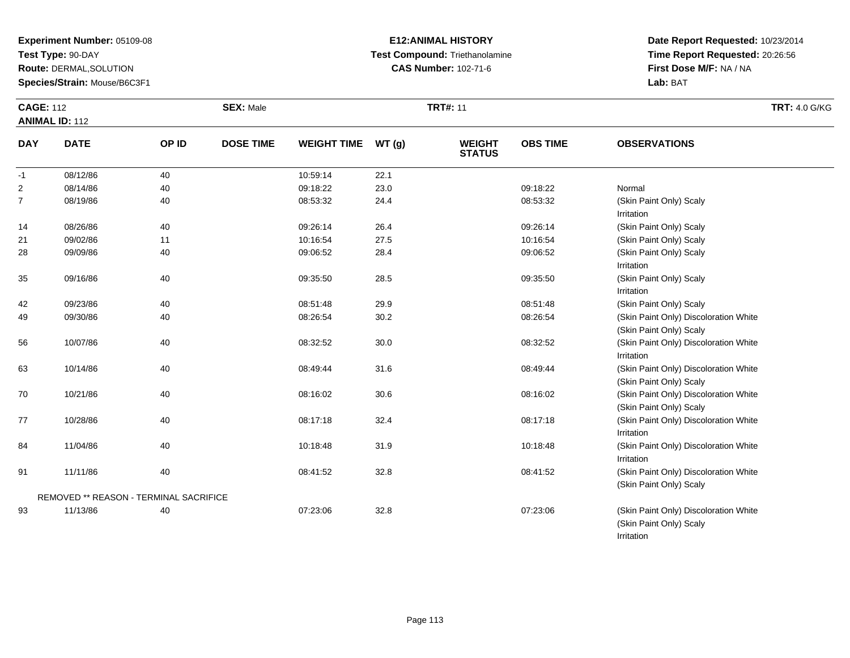**Test Type:** 90-DAY

**Route:** DERMAL,SOLUTION

**Species/Strain:** Mouse/B6C3F1

REMOVED \*\* REASON - TERMINAL SACRIFICE

93

#### **E12:ANIMAL HISTORY Test Compound:** Triethanolamine**CAS Number:** 102-71-6

**Date Report Requested:** 10/23/2014**Time Report Requested:** 20:26:56**First Dose M/F:** NA / NA**Lab:** BAT

(Skin Paint Only) Scaly

(Skin Paint Only) Scaly

Irritation

| <b>CAGE: 112</b> | <b>ANIMAL ID: 112</b> |       | <b>SEX: Male</b> |                    |       | <b>TRT#: 11</b>                |                 |                                       | <b>TRT: 4.0 G/KG</b> |
|------------------|-----------------------|-------|------------------|--------------------|-------|--------------------------------|-----------------|---------------------------------------|----------------------|
| <b>DAY</b>       | <b>DATE</b>           | OP ID | <b>DOSE TIME</b> | <b>WEIGHT TIME</b> | WT(g) | <b>WEIGHT</b><br><b>STATUS</b> | <b>OBS TIME</b> | <b>OBSERVATIONS</b>                   |                      |
| $-1$             | 08/12/86              | 40    |                  | 10:59:14           | 22.1  |                                |                 |                                       |                      |
| $\overline{2}$   | 08/14/86              | 40    |                  | 09:18:22           | 23.0  |                                | 09:18:22        | Normal                                |                      |
| $\overline{7}$   | 08/19/86              | 40    |                  | 08:53:32           | 24.4  |                                | 08:53:32        | (Skin Paint Only) Scaly               |                      |
|                  |                       |       |                  |                    |       |                                |                 | Irritation                            |                      |
| 14               | 08/26/86              | 40    |                  | 09:26:14           | 26.4  |                                | 09:26:14        | (Skin Paint Only) Scaly               |                      |
| 21               | 09/02/86              | 11    |                  | 10:16:54           | 27.5  |                                | 10:16:54        | (Skin Paint Only) Scaly               |                      |
| 28               | 09/09/86              | 40    |                  | 09:06:52           | 28.4  |                                | 09:06:52        | (Skin Paint Only) Scaly               |                      |
|                  |                       |       |                  |                    |       |                                |                 | Irritation                            |                      |
| 35               | 09/16/86              | 40    |                  | 09:35:50           | 28.5  |                                | 09:35:50        | (Skin Paint Only) Scaly               |                      |
|                  |                       |       |                  |                    |       |                                |                 | Irritation                            |                      |
| 42               | 09/23/86              | 40    |                  | 08:51:48           | 29.9  |                                | 08:51:48        | (Skin Paint Only) Scaly               |                      |
| 49               | 09/30/86              | 40    |                  | 08:26:54           | 30.2  |                                | 08:26:54        | (Skin Paint Only) Discoloration White |                      |
|                  |                       |       |                  |                    |       |                                |                 | (Skin Paint Only) Scaly               |                      |
| 56               | 10/07/86              | 40    |                  | 08:32:52           | 30.0  |                                | 08:32:52        | (Skin Paint Only) Discoloration White |                      |
|                  |                       |       |                  |                    |       |                                |                 | Irritation                            |                      |
| 63               | 10/14/86              | 40    |                  | 08:49:44           | 31.6  |                                | 08:49:44        | (Skin Paint Only) Discoloration White |                      |
|                  |                       |       |                  |                    |       |                                |                 | (Skin Paint Only) Scaly               |                      |
| 70               | 10/21/86              | 40    |                  | 08:16:02           | 30.6  |                                | 08:16:02        | (Skin Paint Only) Discoloration White |                      |
|                  |                       |       |                  |                    |       |                                |                 | (Skin Paint Only) Scaly               |                      |
| 77               | 10/28/86              | 40    |                  | 08:17:18           | 32.4  |                                | 08:17:18        | (Skin Paint Only) Discoloration White |                      |
|                  |                       |       |                  |                    |       |                                |                 | Irritation                            |                      |
| 84               | 11/04/86              | 40    |                  | 10:18:48           | 31.9  |                                | 10:18:48        | (Skin Paint Only) Discoloration White |                      |
|                  |                       |       |                  |                    |       |                                |                 | Irritation                            |                      |
| 91               | 11/11/86              | 40    |                  | 08:41:52           | 32.8  |                                | 08:41:52        | (Skin Paint Only) Discoloration White |                      |

11/13/86 <sup>40</sup> 07:23:06 32.8 07:23:06 (Skin Paint Only) Discoloration White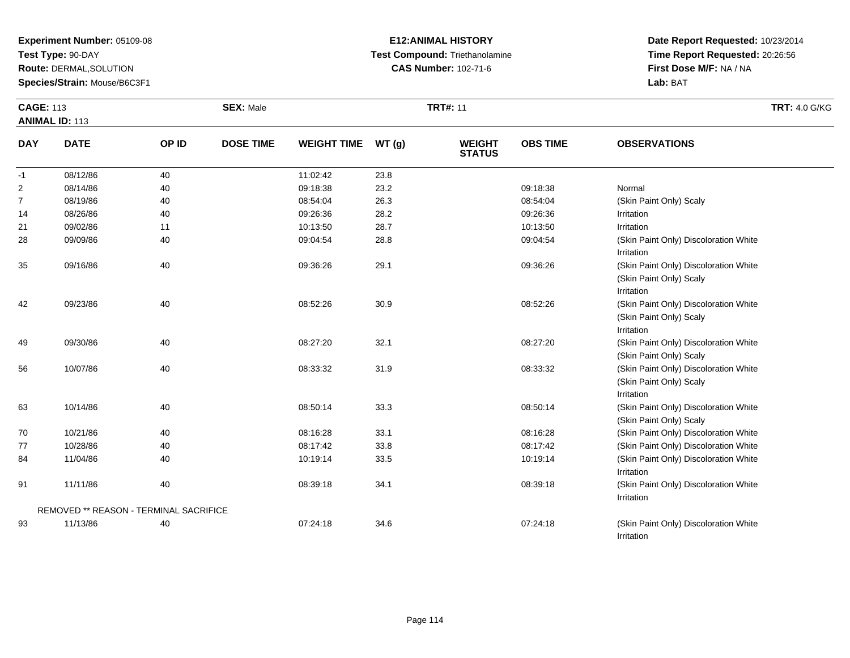**Test Type:** 90-DAY

**Route:** DERMAL,SOLUTION

**Species/Strain:** Mouse/B6C3F1

#### **E12:ANIMAL HISTORY Test Compound:** Triethanolamine**CAS Number:** 102-71-6

**Date Report Requested:** 10/23/2014**Time Report Requested:** 20:26:56**First Dose M/F:** NA / NA**Lab:** BAT

Irritation

| <b>CAGE: 113</b> |                                        |       | <b>SEX: Male</b> |                    |       | <b>TRT#: 11</b>                |                 |                                                                                | <b>TRT: 4.0 G/KG</b> |
|------------------|----------------------------------------|-------|------------------|--------------------|-------|--------------------------------|-----------------|--------------------------------------------------------------------------------|----------------------|
|                  | <b>ANIMAL ID: 113</b>                  |       |                  |                    |       |                                |                 |                                                                                |                      |
| <b>DAY</b>       | <b>DATE</b>                            | OP ID | <b>DOSE TIME</b> | <b>WEIGHT TIME</b> | WT(g) | <b>WEIGHT</b><br><b>STATUS</b> | <b>OBS TIME</b> | <b>OBSERVATIONS</b>                                                            |                      |
| $-1$             | 08/12/86                               | 40    |                  | 11:02:42           | 23.8  |                                |                 |                                                                                |                      |
| $\overline{2}$   | 08/14/86                               | 40    |                  | 09:18:38           | 23.2  |                                | 09:18:38        | Normal                                                                         |                      |
| $\overline{7}$   | 08/19/86                               | 40    |                  | 08:54:04           | 26.3  |                                | 08:54:04        | (Skin Paint Only) Scaly                                                        |                      |
| 14               | 08/26/86                               | 40    |                  | 09:26:36           | 28.2  |                                | 09:26:36        | Irritation                                                                     |                      |
| 21               | 09/02/86                               | 11    |                  | 10:13:50           | 28.7  |                                | 10:13:50        | Irritation                                                                     |                      |
| 28               | 09/09/86                               | 40    |                  | 09:04:54           | 28.8  |                                | 09:04:54        | (Skin Paint Only) Discoloration White<br>Irritation                            |                      |
| 35               | 09/16/86                               | 40    |                  | 09:36:26           | 29.1  |                                | 09:36:26        | (Skin Paint Only) Discoloration White<br>(Skin Paint Only) Scaly<br>Irritation |                      |
| 42               | 09/23/86                               | 40    |                  | 08:52:26           | 30.9  |                                | 08:52:26        | (Skin Paint Only) Discoloration White<br>(Skin Paint Only) Scaly<br>Irritation |                      |
| 49               | 09/30/86                               | 40    |                  | 08:27:20           | 32.1  |                                | 08:27:20        | (Skin Paint Only) Discoloration White<br>(Skin Paint Only) Scaly               |                      |
| 56               | 10/07/86                               | 40    |                  | 08:33:32           | 31.9  |                                | 08:33:32        | (Skin Paint Only) Discoloration White<br>(Skin Paint Only) Scaly<br>Irritation |                      |
| 63               | 10/14/86                               | 40    |                  | 08:50:14           | 33.3  |                                | 08:50:14        | (Skin Paint Only) Discoloration White<br>(Skin Paint Only) Scaly               |                      |
| 70               | 10/21/86                               | 40    |                  | 08:16:28           | 33.1  |                                | 08:16:28        | (Skin Paint Only) Discoloration White                                          |                      |
| 77               | 10/28/86                               | 40    |                  | 08:17:42           | 33.8  |                                | 08:17:42        | (Skin Paint Only) Discoloration White                                          |                      |
| 84               | 11/04/86                               | 40    |                  | 10:19:14           | 33.5  |                                | 10:19:14        | (Skin Paint Only) Discoloration White<br>Irritation                            |                      |
| 91               | 11/11/86                               | 40    |                  | 08:39:18           | 34.1  |                                | 08:39:18        | (Skin Paint Only) Discoloration White<br>Irritation                            |                      |
|                  | REMOVED ** REASON - TERMINAL SACRIFICE |       |                  |                    |       |                                |                 |                                                                                |                      |
| 93               | 11/13/86                               | 40    |                  | 07:24:18           | 34.6  |                                | 07:24:18        | (Skin Paint Only) Discoloration White                                          |                      |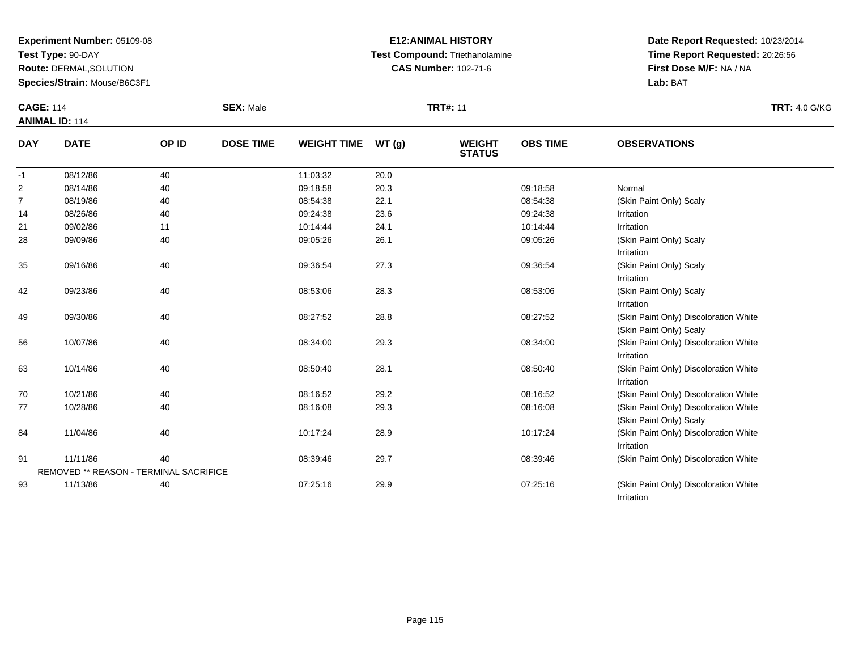**Test Type:** 90-DAY

**Route:** DERMAL,SOLUTION

**Species/Strain:** Mouse/B6C3F1

# **E12:ANIMAL HISTORY Test Compound:** Triethanolamine**CAS Number:** 102-71-6

**Date Report Requested:** 10/23/2014**Time Report Requested:** 20:26:56**First Dose M/F:** NA / NA**Lab:** BAT

Irritation

| <b>CAGE: 114</b> |                                               |       | <b>SEX: Male</b> |                    |       | <b>TRT#: 11</b>                |                 | <b>TRT: 4.0 G/KG</b>                                             |
|------------------|-----------------------------------------------|-------|------------------|--------------------|-------|--------------------------------|-----------------|------------------------------------------------------------------|
|                  | <b>ANIMAL ID: 114</b>                         |       |                  |                    |       |                                |                 |                                                                  |
| <b>DAY</b>       | <b>DATE</b>                                   | OP ID | <b>DOSE TIME</b> | <b>WEIGHT TIME</b> | WT(g) | <b>WEIGHT</b><br><b>STATUS</b> | <b>OBS TIME</b> | <b>OBSERVATIONS</b>                                              |
| $-1$             | 08/12/86                                      | 40    |                  | 11:03:32           | 20.0  |                                |                 |                                                                  |
| 2                | 08/14/86                                      | 40    |                  | 09:18:58           | 20.3  |                                | 09:18:58        | Normal                                                           |
| $\overline{7}$   | 08/19/86                                      | 40    |                  | 08:54:38           | 22.1  |                                | 08:54:38        | (Skin Paint Only) Scaly                                          |
| 14               | 08/26/86                                      | 40    |                  | 09:24:38           | 23.6  |                                | 09:24:38        | Irritation                                                       |
| 21               | 09/02/86                                      | 11    |                  | 10:14:44           | 24.1  |                                | 10:14:44        | Irritation                                                       |
| 28               | 09/09/86                                      | 40    |                  | 09:05:26           | 26.1  |                                | 09:05:26        | (Skin Paint Only) Scaly<br>Irritation                            |
| 35               | 09/16/86                                      | 40    |                  | 09:36:54           | 27.3  |                                | 09:36:54        | (Skin Paint Only) Scaly<br>Irritation                            |
| 42               | 09/23/86                                      | 40    |                  | 08:53:06           | 28.3  |                                | 08:53:06        | (Skin Paint Only) Scaly<br>Irritation                            |
| 49               | 09/30/86                                      | 40    |                  | 08:27:52           | 28.8  |                                | 08:27:52        | (Skin Paint Only) Discoloration White<br>(Skin Paint Only) Scaly |
| 56               | 10/07/86                                      | 40    |                  | 08:34:00           | 29.3  |                                | 08:34:00        | (Skin Paint Only) Discoloration White<br>Irritation              |
| 63               | 10/14/86                                      | 40    |                  | 08:50:40           | 28.1  |                                | 08:50:40        | (Skin Paint Only) Discoloration White<br>Irritation              |
| 70               | 10/21/86                                      | 40    |                  | 08:16:52           | 29.2  |                                | 08:16:52        | (Skin Paint Only) Discoloration White                            |
| 77               | 10/28/86                                      | 40    |                  | 08:16:08           | 29.3  |                                | 08:16:08        | (Skin Paint Only) Discoloration White<br>(Skin Paint Only) Scaly |
| 84               | 11/04/86                                      | 40    |                  | 10:17:24           | 28.9  |                                | 10:17:24        | (Skin Paint Only) Discoloration White<br>Irritation              |
| 91               | 11/11/86                                      | 40    |                  | 08:39:46           | 29.7  |                                | 08:39:46        | (Skin Paint Only) Discoloration White                            |
|                  | <b>REMOVED ** REASON - TERMINAL SACRIFICE</b> |       |                  |                    |       |                                |                 |                                                                  |
| 93               | 11/13/86                                      | 40    |                  | 07:25:16           | 29.9  |                                | 07:25:16        | (Skin Paint Only) Discoloration White                            |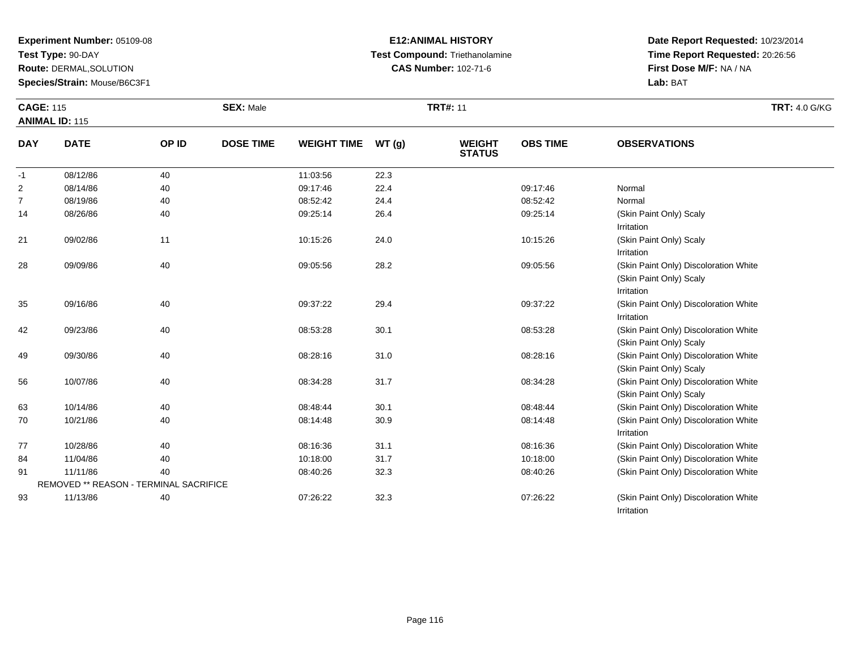**Test Type:** 90-DAY

**Route:** DERMAL,SOLUTION

**Species/Strain:** Mouse/B6C3F1

# **E12:ANIMAL HISTORY Test Compound:** Triethanolamine**CAS Number:** 102-71-6

| <b>CAGE: 115</b> | <b>ANIMAL ID: 115</b>                  |       | <b>SEX: Male</b> |                    |       | <b>TRT#: 11</b>                |                 |                                                     | <b>TRT: 4.0 G/KG</b> |
|------------------|----------------------------------------|-------|------------------|--------------------|-------|--------------------------------|-----------------|-----------------------------------------------------|----------------------|
|                  |                                        |       |                  |                    |       |                                |                 |                                                     |                      |
| <b>DAY</b>       | <b>DATE</b>                            | OP ID | <b>DOSE TIME</b> | <b>WEIGHT TIME</b> | WT(g) | <b>WEIGHT</b><br><b>STATUS</b> | <b>OBS TIME</b> | <b>OBSERVATIONS</b>                                 |                      |
| -1               | 08/12/86                               | 40    |                  | 11:03:56           | 22.3  |                                |                 |                                                     |                      |
| $\overline{2}$   | 08/14/86                               | 40    |                  | 09:17:46           | 22.4  |                                | 09:17:46        | Normal                                              |                      |
| $\overline{7}$   | 08/19/86                               | 40    |                  | 08:52:42           | 24.4  |                                | 08:52:42        | Normal                                              |                      |
| 14               | 08/26/86                               | 40    |                  | 09:25:14           | 26.4  |                                | 09:25:14        | (Skin Paint Only) Scaly                             |                      |
|                  |                                        |       |                  |                    |       |                                |                 | Irritation                                          |                      |
| 21               | 09/02/86                               | 11    |                  | 10:15:26           | 24.0  |                                | 10:15:26        | (Skin Paint Only) Scaly                             |                      |
|                  |                                        |       |                  |                    |       |                                |                 | Irritation                                          |                      |
| 28               | 09/09/86                               | 40    |                  | 09:05:56           | 28.2  |                                | 09:05:56        | (Skin Paint Only) Discoloration White               |                      |
|                  |                                        |       |                  |                    |       |                                |                 | (Skin Paint Only) Scaly                             |                      |
|                  |                                        |       |                  |                    |       |                                |                 | Irritation                                          |                      |
| 35               | 09/16/86                               | 40    |                  | 09:37:22           | 29.4  |                                | 09:37:22        | (Skin Paint Only) Discoloration White               |                      |
|                  |                                        |       |                  |                    |       |                                |                 | Irritation                                          |                      |
| 42               | 09/23/86                               | 40    |                  | 08:53:28           | 30.1  |                                | 08:53:28        | (Skin Paint Only) Discoloration White               |                      |
|                  |                                        |       |                  |                    |       |                                |                 | (Skin Paint Only) Scaly                             |                      |
| 49               | 09/30/86                               | 40    |                  | 08:28:16           | 31.0  |                                | 08:28:16        | (Skin Paint Only) Discoloration White               |                      |
|                  |                                        |       |                  |                    |       |                                |                 | (Skin Paint Only) Scaly                             |                      |
| 56               | 10/07/86                               | 40    |                  | 08:34:28           | 31.7  |                                | 08:34:28        | (Skin Paint Only) Discoloration White               |                      |
|                  |                                        |       |                  |                    |       |                                |                 | (Skin Paint Only) Scaly                             |                      |
| 63               | 10/14/86                               | 40    |                  | 08:48:44           | 30.1  |                                | 08:48:44        | (Skin Paint Only) Discoloration White               |                      |
| 70               | 10/21/86                               | 40    |                  | 08:14:48           | 30.9  |                                | 08:14:48        | (Skin Paint Only) Discoloration White<br>Irritation |                      |
| 77               | 10/28/86                               | 40    |                  | 08:16:36           | 31.1  |                                | 08:16:36        | (Skin Paint Only) Discoloration White               |                      |
| 84               | 11/04/86                               | 40    |                  | 10:18:00           | 31.7  |                                | 10:18:00        | (Skin Paint Only) Discoloration White               |                      |
| 91               | 11/11/86                               | 40    |                  | 08:40:26           | 32.3  |                                | 08:40:26        | (Skin Paint Only) Discoloration White               |                      |
|                  | REMOVED ** REASON - TERMINAL SACRIFICE |       |                  |                    |       |                                |                 |                                                     |                      |
| 93               | 11/13/86                               | 40    |                  | 07:26:22           | 32.3  |                                | 07:26:22        | (Skin Paint Only) Discoloration White               |                      |
|                  |                                        |       |                  |                    |       |                                |                 | Irritation                                          |                      |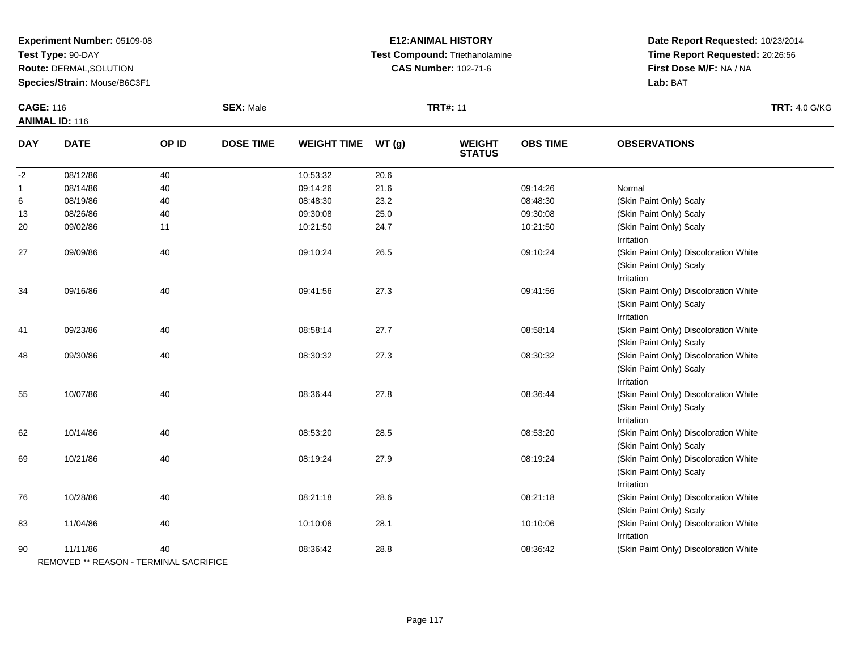**Test Type:** 90-DAY

**Route:** DERMAL,SOLUTION

**Species/Strain:** Mouse/B6C3F1

#### **E12:ANIMAL HISTORY Test Compound:** Triethanolamine**CAS Number:** 102-71-6

| <b>CAGE: 116</b> | <b>ANIMAL ID: 116</b>                              |       | <b>SEX: Male</b> |                    |       | <b>TRT#: 11</b>                |                 |                                                                                | <b>TRT: 4.0 G/KG</b> |
|------------------|----------------------------------------------------|-------|------------------|--------------------|-------|--------------------------------|-----------------|--------------------------------------------------------------------------------|----------------------|
| <b>DAY</b>       | <b>DATE</b>                                        | OP ID | <b>DOSE TIME</b> | <b>WEIGHT TIME</b> | WT(g) | <b>WEIGHT</b><br><b>STATUS</b> | <b>OBS TIME</b> | <b>OBSERVATIONS</b>                                                            |                      |
| $-2$             | 08/12/86                                           | 40    |                  | 10:53:32           | 20.6  |                                |                 |                                                                                |                      |
| $\mathbf{1}$     | 08/14/86                                           | 40    |                  | 09:14:26           | 21.6  |                                | 09:14:26        | Normal                                                                         |                      |
| 6                | 08/19/86                                           | 40    |                  | 08:48:30           | 23.2  |                                | 08:48:30        | (Skin Paint Only) Scaly                                                        |                      |
| 13               | 08/26/86                                           | 40    |                  | 09:30:08           | 25.0  |                                | 09:30:08        | (Skin Paint Only) Scaly                                                        |                      |
| 20               | 09/02/86                                           | 11    |                  | 10:21:50           | 24.7  |                                | 10:21:50        | (Skin Paint Only) Scaly<br>Irritation                                          |                      |
| 27               | 09/09/86                                           | 40    |                  | 09:10:24           | 26.5  |                                | 09:10:24        | (Skin Paint Only) Discoloration White<br>(Skin Paint Only) Scaly<br>Irritation |                      |
| 34               | 09/16/86                                           | 40    |                  | 09:41:56           | 27.3  |                                | 09:41:56        | (Skin Paint Only) Discoloration White<br>(Skin Paint Only) Scaly<br>Irritation |                      |
| 41               | 09/23/86                                           | 40    |                  | 08:58:14           | 27.7  |                                | 08:58:14        | (Skin Paint Only) Discoloration White<br>(Skin Paint Only) Scaly               |                      |
| 48               | 09/30/86                                           | 40    |                  | 08:30:32           | 27.3  |                                | 08:30:32        | (Skin Paint Only) Discoloration White<br>(Skin Paint Only) Scaly<br>Irritation |                      |
| 55               | 10/07/86                                           | 40    |                  | 08:36:44           | 27.8  |                                | 08:36:44        | (Skin Paint Only) Discoloration White<br>(Skin Paint Only) Scaly<br>Irritation |                      |
| 62               | 10/14/86                                           | 40    |                  | 08:53:20           | 28.5  |                                | 08:53:20        | (Skin Paint Only) Discoloration White<br>(Skin Paint Only) Scaly               |                      |
| 69               | 10/21/86                                           | 40    |                  | 08:19:24           | 27.9  |                                | 08:19:24        | (Skin Paint Only) Discoloration White<br>(Skin Paint Only) Scaly<br>Irritation |                      |
| 76               | 10/28/86                                           | 40    |                  | 08:21:18           | 28.6  |                                | 08:21:18        | (Skin Paint Only) Discoloration White<br>(Skin Paint Only) Scaly               |                      |
| 83               | 11/04/86                                           | 40    |                  | 10:10:06           | 28.1  |                                | 10:10:06        | (Skin Paint Only) Discoloration White<br>Irritation                            |                      |
| 90               | 11/11/86<br>REMOVED ** REASON - TERMINAL SACRIFICE | 40    |                  | 08:36:42           | 28.8  |                                | 08:36:42        | (Skin Paint Only) Discoloration White                                          |                      |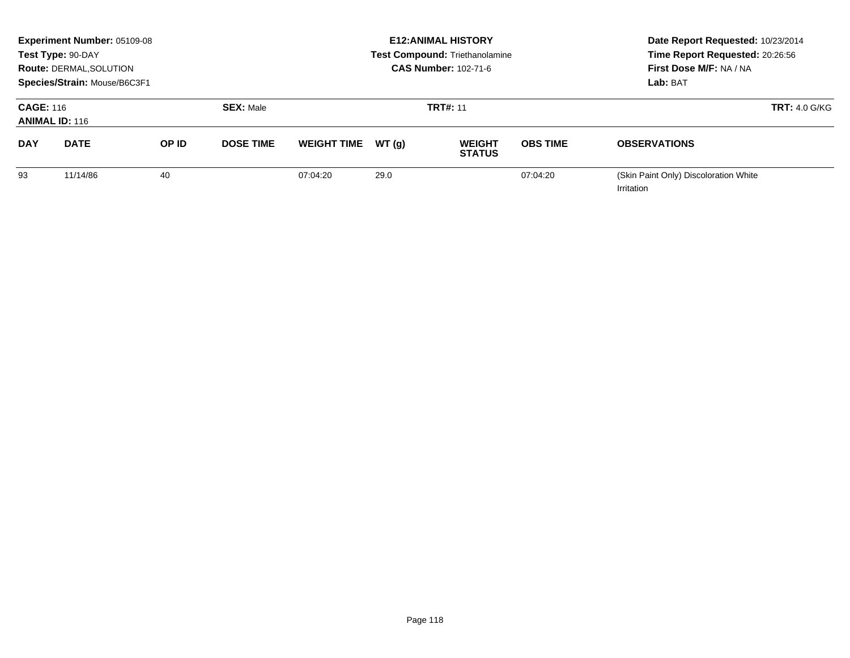|                                           | <b>Experiment Number: 05109-08</b><br>Test Type: 90-DAY<br><b>Route: DERMAL, SOLUTION</b><br>Species/Strain: Mouse/B6C3F1 |       |                  |                    |                 | <b>E12: ANIMAL HISTORY</b><br><b>Test Compound: Triethanolamine</b><br><b>CAS Number: 102-71-6</b> | Date Report Requested: 10/23/2014<br>Time Report Requested: 20:26:56<br>First Dose M/F: NA / NA<br>Lab: BAT |                                                     |  |
|-------------------------------------------|---------------------------------------------------------------------------------------------------------------------------|-------|------------------|--------------------|-----------------|----------------------------------------------------------------------------------------------------|-------------------------------------------------------------------------------------------------------------|-----------------------------------------------------|--|
| <b>CAGE: 116</b><br><b>ANIMAL ID: 116</b> |                                                                                                                           |       | <b>SEX: Male</b> |                    | <b>TRT#: 11</b> |                                                                                                    | $TRT: 4.0$ G/KG                                                                                             |                                                     |  |
| <b>DAY</b>                                | <b>DATE</b>                                                                                                               | OP ID | <b>DOSE TIME</b> | <b>WEIGHT TIME</b> | WT (a)          | <b>WEIGHT</b><br><b>STATUS</b>                                                                     | <b>OBS TIME</b>                                                                                             | <b>OBSERVATIONS</b>                                 |  |
| 93                                        | 11/14/86                                                                                                                  | 40    |                  | 07:04:20           | 29.0            |                                                                                                    | 07:04:20                                                                                                    | (Skin Paint Only) Discoloration White<br>Irritation |  |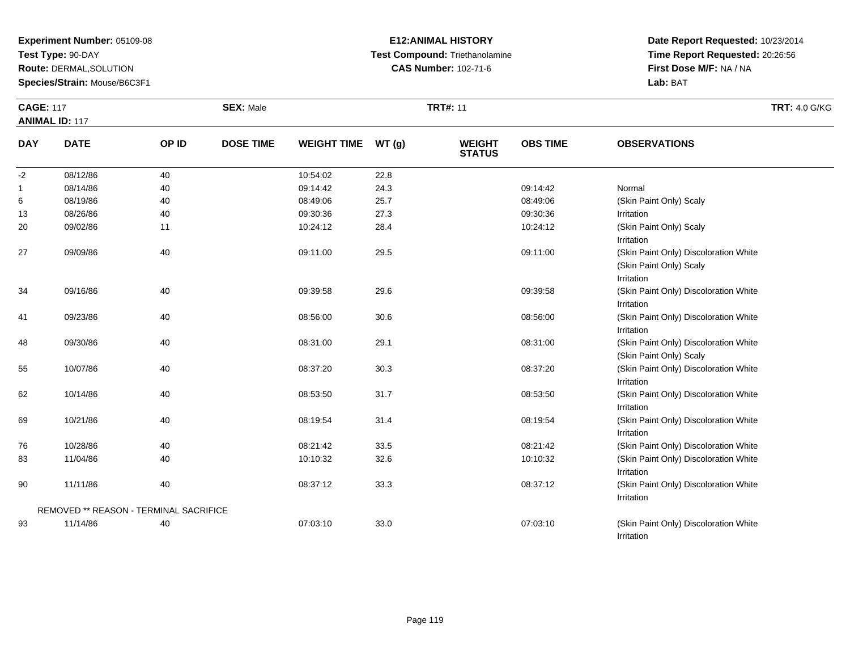**Test Type:** 90-DAY

**Route:** DERMAL,SOLUTION

**Species/Strain:** Mouse/B6C3F1

# **E12:ANIMAL HISTORY Test Compound:** Triethanolamine**CAS Number:** 102-71-6

| <b>CAGE: 117</b> |                                        |       | <b>SEX: Male</b> |                    |      | <b>TRT#: 11</b>                |                 |                                                                                | <b>TRT: 4.0 G/KG</b> |
|------------------|----------------------------------------|-------|------------------|--------------------|------|--------------------------------|-----------------|--------------------------------------------------------------------------------|----------------------|
|                  | <b>ANIMAL ID: 117</b>                  |       |                  |                    |      |                                |                 |                                                                                |                      |
| <b>DAY</b>       | <b>DATE</b>                            | OP ID | <b>DOSE TIME</b> | WEIGHT TIME WT (g) |      | <b>WEIGHT</b><br><b>STATUS</b> | <b>OBS TIME</b> | <b>OBSERVATIONS</b>                                                            |                      |
| $-2$             | 08/12/86                               | 40    |                  | 10:54:02           | 22.8 |                                |                 |                                                                                |                      |
| 1                | 08/14/86                               | 40    |                  | 09:14:42           | 24.3 |                                | 09:14:42        | Normal                                                                         |                      |
| 6                | 08/19/86                               | 40    |                  | 08:49:06           | 25.7 |                                | 08:49:06        | (Skin Paint Only) Scaly                                                        |                      |
| 13               | 08/26/86                               | 40    |                  | 09:30:36           | 27.3 |                                | 09:30:36        | Irritation                                                                     |                      |
| 20               | 09/02/86                               | 11    |                  | 10:24:12           | 28.4 |                                | 10:24:12        | (Skin Paint Only) Scaly<br>Irritation                                          |                      |
| 27               | 09/09/86                               | 40    |                  | 09:11:00           | 29.5 |                                | 09:11:00        | (Skin Paint Only) Discoloration White<br>(Skin Paint Only) Scaly<br>Irritation |                      |
| 34               | 09/16/86                               | 40    |                  | 09:39:58           | 29.6 |                                | 09:39:58        | (Skin Paint Only) Discoloration White<br>Irritation                            |                      |
| 41               | 09/23/86                               | 40    |                  | 08:56:00           | 30.6 |                                | 08:56:00        | (Skin Paint Only) Discoloration White<br>Irritation                            |                      |
| 48               | 09/30/86                               | 40    |                  | 08:31:00           | 29.1 |                                | 08:31:00        | (Skin Paint Only) Discoloration White<br>(Skin Paint Only) Scaly               |                      |
| 55               | 10/07/86                               | 40    |                  | 08:37:20           | 30.3 |                                | 08:37:20        | (Skin Paint Only) Discoloration White<br>Irritation                            |                      |
| 62               | 10/14/86                               | 40    |                  | 08:53:50           | 31.7 |                                | 08:53:50        | (Skin Paint Only) Discoloration White<br>Irritation                            |                      |
| 69               | 10/21/86                               | 40    |                  | 08:19:54           | 31.4 |                                | 08:19:54        | (Skin Paint Only) Discoloration White<br>Irritation                            |                      |
| 76               | 10/28/86                               | 40    |                  | 08:21:42           | 33.5 |                                | 08:21:42        | (Skin Paint Only) Discoloration White                                          |                      |
| 83               | 11/04/86                               | 40    |                  | 10:10:32           | 32.6 |                                | 10:10:32        | (Skin Paint Only) Discoloration White<br>Irritation                            |                      |
| 90               | 11/11/86                               | 40    |                  | 08:37:12           | 33.3 |                                | 08:37:12        | (Skin Paint Only) Discoloration White<br>Irritation                            |                      |
|                  | REMOVED ** REASON - TERMINAL SACRIFICE |       |                  |                    |      |                                |                 |                                                                                |                      |
| 93               | 11/14/86                               | 40    |                  | 07:03:10           | 33.0 |                                | 07:03:10        | (Skin Paint Only) Discoloration White<br>Irritation                            |                      |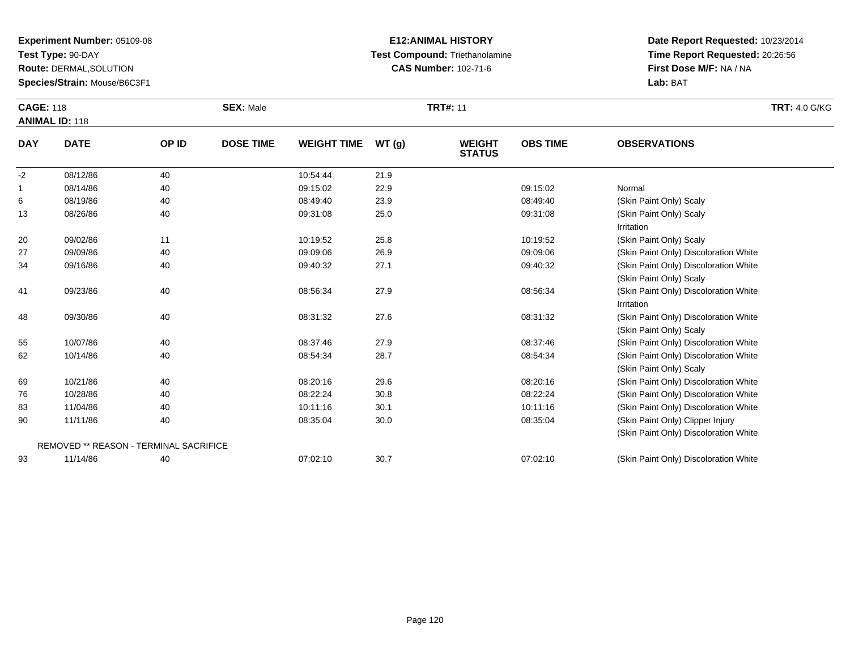**Test Type:** 90-DAY

**Route:** DERMAL,SOLUTION

**Species/Strain:** Mouse/B6C3F1

#### **E12:ANIMAL HISTORY Test Compound:** Triethanolamine**CAS Number:** 102-71-6

| <b>CAGE: 118</b> | <b>ANIMAL ID: 118</b>                  |       | <b>SEX: Male</b> |                    |       | <b>TRT#: 11</b>                |                 |                                       | <b>TRT: 4.0 G/KG</b> |
|------------------|----------------------------------------|-------|------------------|--------------------|-------|--------------------------------|-----------------|---------------------------------------|----------------------|
| <b>DAY</b>       | <b>DATE</b>                            | OP ID | <b>DOSE TIME</b> | <b>WEIGHT TIME</b> | WT(g) | <b>WEIGHT</b><br><b>STATUS</b> | <b>OBS TIME</b> | <b>OBSERVATIONS</b>                   |                      |
| $-2$             | 08/12/86                               | 40    |                  | 10:54:44           | 21.9  |                                |                 |                                       |                      |
| 1                | 08/14/86                               | 40    |                  | 09:15:02           | 22.9  |                                | 09:15:02        | Normal                                |                      |
| 6                | 08/19/86                               | 40    |                  | 08:49:40           | 23.9  |                                | 08:49:40        | (Skin Paint Only) Scaly               |                      |
| 13               | 08/26/86                               | 40    |                  | 09:31:08           | 25.0  |                                | 09:31:08        | (Skin Paint Only) Scaly               |                      |
|                  |                                        |       |                  |                    |       |                                |                 | Irritation                            |                      |
| 20               | 09/02/86                               | 11    |                  | 10:19:52           | 25.8  |                                | 10:19:52        | (Skin Paint Only) Scaly               |                      |
| 27               | 09/09/86                               | 40    |                  | 09:09:06           | 26.9  |                                | 09:09:06        | (Skin Paint Only) Discoloration White |                      |
| 34               | 09/16/86                               | 40    |                  | 09:40:32           | 27.1  |                                | 09:40:32        | (Skin Paint Only) Discoloration White |                      |
|                  |                                        |       |                  |                    |       |                                |                 | (Skin Paint Only) Scaly               |                      |
| 41               | 09/23/86                               | 40    |                  | 08:56:34           | 27.9  |                                | 08:56:34        | (Skin Paint Only) Discoloration White |                      |
|                  |                                        |       |                  |                    |       |                                |                 | Irritation                            |                      |
| 48               | 09/30/86                               | 40    |                  | 08:31:32           | 27.6  |                                | 08:31:32        | (Skin Paint Only) Discoloration White |                      |
|                  |                                        |       |                  |                    |       |                                |                 | (Skin Paint Only) Scaly               |                      |
| 55               | 10/07/86                               | 40    |                  | 08:37:46           | 27.9  |                                | 08:37:46        | (Skin Paint Only) Discoloration White |                      |
| 62               | 10/14/86                               | 40    |                  | 08:54:34           | 28.7  |                                | 08:54:34        | (Skin Paint Only) Discoloration White |                      |
|                  |                                        |       |                  |                    |       |                                |                 | (Skin Paint Only) Scaly               |                      |
| 69               | 10/21/86                               | 40    |                  | 08:20:16           | 29.6  |                                | 08:20:16        | (Skin Paint Only) Discoloration White |                      |
| 76               | 10/28/86                               | 40    |                  | 08:22:24           | 30.8  |                                | 08:22:24        | (Skin Paint Only) Discoloration White |                      |
| 83               | 11/04/86                               | 40    |                  | 10:11:16           | 30.1  |                                | 10:11:16        | (Skin Paint Only) Discoloration White |                      |
| 90               | 11/11/86                               | 40    |                  | 08:35:04           | 30.0  |                                | 08:35:04        | (Skin Paint Only) Clipper Injury      |                      |
|                  |                                        |       |                  |                    |       |                                |                 | (Skin Paint Only) Discoloration White |                      |
|                  | REMOVED ** REASON - TERMINAL SACRIFICE |       |                  |                    |       |                                |                 |                                       |                      |
| 93               | 11/14/86                               | 40    |                  | 07:02:10           | 30.7  |                                | 07:02:10        | (Skin Paint Only) Discoloration White |                      |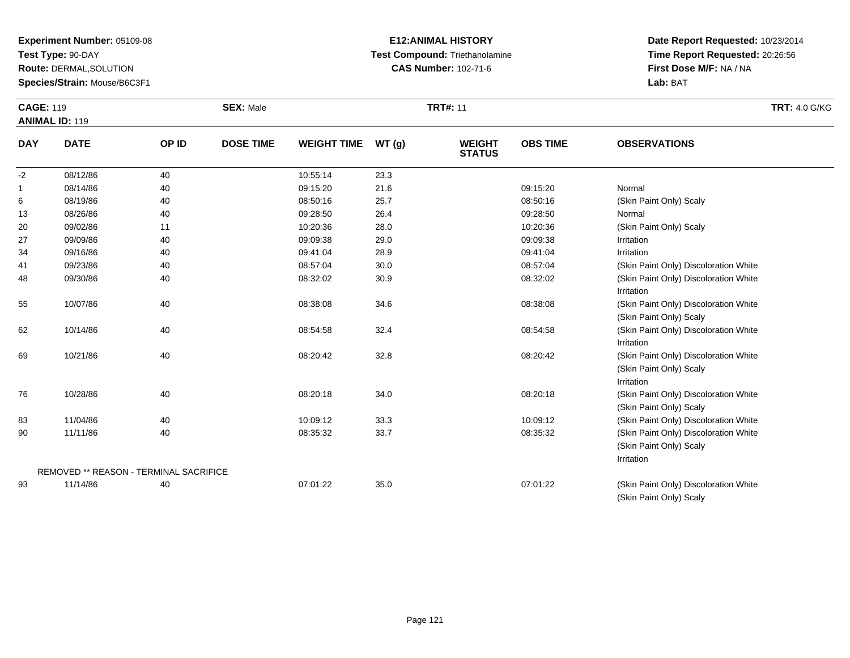**Test Type:** 90-DAY

**Route:** DERMAL,SOLUTION

**Species/Strain:** Mouse/B6C3F1

#### **E12:ANIMAL HISTORY Test Compound:** Triethanolamine**CAS Number:** 102-71-6

**Date Report Requested:** 10/23/2014**Time Report Requested:** 20:26:56**First Dose M/F:** NA / NA**Lab:** BAT

(Skin Paint Only) Scaly

| <b>CAGE: 119</b> | <b>ANIMAL ID: 119</b>                         |       | <b>SEX: Male</b> |                    |       | <b>TRT#: 11</b>                |                 |                                                                                | <b>TRT: 4.0 G/KG</b> |
|------------------|-----------------------------------------------|-------|------------------|--------------------|-------|--------------------------------|-----------------|--------------------------------------------------------------------------------|----------------------|
| <b>DAY</b>       | <b>DATE</b>                                   | OP ID | <b>DOSE TIME</b> | <b>WEIGHT TIME</b> | WT(g) | <b>WEIGHT</b><br><b>STATUS</b> | <b>OBS TIME</b> | <b>OBSERVATIONS</b>                                                            |                      |
| $-2$             | 08/12/86                                      | 40    |                  | 10:55:14           | 23.3  |                                |                 |                                                                                |                      |
| $\mathbf{1}$     | 08/14/86                                      | 40    |                  | 09:15:20           | 21.6  |                                | 09:15:20        | Normal                                                                         |                      |
| 6                | 08/19/86                                      | 40    |                  | 08:50:16           | 25.7  |                                | 08:50:16        | (Skin Paint Only) Scaly                                                        |                      |
| 13               | 08/26/86                                      | 40    |                  | 09:28:50           | 26.4  |                                | 09:28:50        | Normal                                                                         |                      |
| 20               | 09/02/86                                      | 11    |                  | 10:20:36           | 28.0  |                                | 10:20:36        | (Skin Paint Only) Scaly                                                        |                      |
| 27               | 09/09/86                                      | 40    |                  | 09:09:38           | 29.0  |                                | 09:09:38        | Irritation                                                                     |                      |
| 34               | 09/16/86                                      | 40    |                  | 09:41:04           | 28.9  |                                | 09:41:04        | Irritation                                                                     |                      |
| 41               | 09/23/86                                      | 40    |                  | 08:57:04           | 30.0  |                                | 08:57:04        | (Skin Paint Only) Discoloration White                                          |                      |
| 48               | 09/30/86                                      | 40    |                  | 08:32:02           | 30.9  |                                | 08:32:02        | (Skin Paint Only) Discoloration White<br>Irritation                            |                      |
| 55               | 10/07/86                                      | 40    |                  | 08:38:08           | 34.6  |                                | 08:38:08        | (Skin Paint Only) Discoloration White<br>(Skin Paint Only) Scaly               |                      |
| 62               | 10/14/86                                      | 40    |                  | 08:54:58           | 32.4  |                                | 08:54:58        | (Skin Paint Only) Discoloration White<br>Irritation                            |                      |
| 69               | 10/21/86                                      | 40    |                  | 08:20:42           | 32.8  |                                | 08:20:42        | (Skin Paint Only) Discoloration White<br>(Skin Paint Only) Scaly<br>Irritation |                      |
| 76               | 10/28/86                                      | 40    |                  | 08:20:18           | 34.0  |                                | 08:20:18        | (Skin Paint Only) Discoloration White<br>(Skin Paint Only) Scaly               |                      |
| 83               | 11/04/86                                      | 40    |                  | 10:09:12           | 33.3  |                                | 10:09:12        | (Skin Paint Only) Discoloration White                                          |                      |
| 90               | 11/11/86                                      | 40    |                  | 08:35:32           | 33.7  |                                | 08:35:32        | (Skin Paint Only) Discoloration White<br>(Skin Paint Only) Scaly<br>Irritation |                      |
|                  | <b>REMOVED ** REASON - TERMINAL SACRIFICE</b> |       |                  |                    |       |                                |                 |                                                                                |                      |
| 93               | 11/14/86                                      | 40    |                  | 07:01:22           | 35.0  |                                | 07:01:22        | (Skin Paint Only) Discoloration White                                          |                      |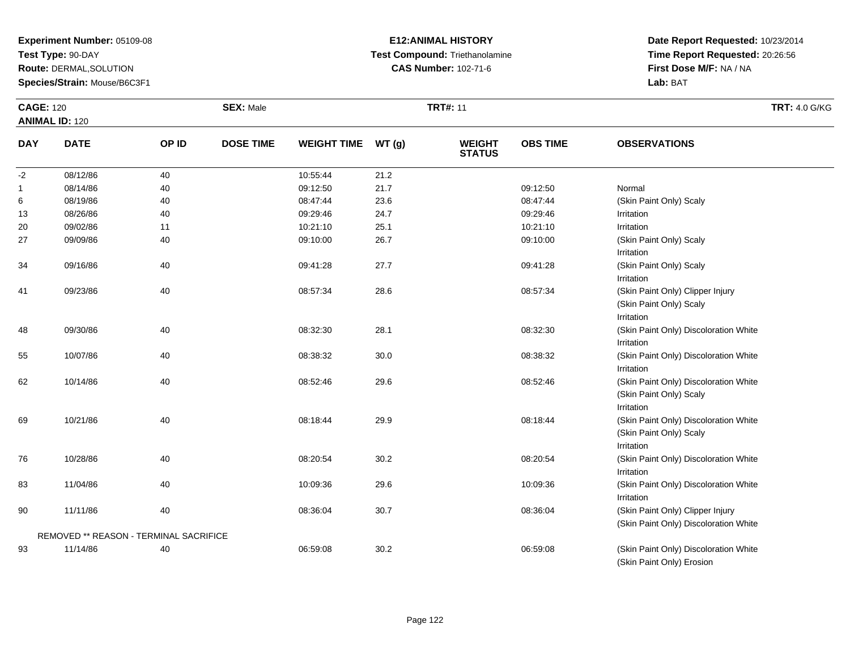**Test Type:** 90-DAY

**Route:** DERMAL,SOLUTION

**Species/Strain:** Mouse/B6C3F1

# **E12:ANIMAL HISTORY Test Compound:** Triethanolamine**CAS Number:** 102-71-6

| <b>CAGE: 120</b> |                                        |       | <b>SEX: Male</b> |                    |      | <b>TRT#: 11</b>                |                 | <b>TRT: 4.0 G/KG</b>                                                           |  |
|------------------|----------------------------------------|-------|------------------|--------------------|------|--------------------------------|-----------------|--------------------------------------------------------------------------------|--|
|                  | <b>ANIMAL ID: 120</b>                  |       |                  |                    |      |                                |                 |                                                                                |  |
| <b>DAY</b>       | <b>DATE</b>                            | OP ID | <b>DOSE TIME</b> | WEIGHT TIME WT (g) |      | <b>WEIGHT</b><br><b>STATUS</b> | <b>OBS TIME</b> | <b>OBSERVATIONS</b>                                                            |  |
| $-2$             | 08/12/86                               | 40    |                  | 10:55:44           | 21.2 |                                |                 |                                                                                |  |
| $\mathbf{1}$     | 08/14/86                               | 40    |                  | 09:12:50           | 21.7 |                                | 09:12:50        | Normal                                                                         |  |
| 6                | 08/19/86                               | 40    |                  | 08:47:44           | 23.6 |                                | 08:47:44        | (Skin Paint Only) Scaly                                                        |  |
| 13               | 08/26/86                               | 40    |                  | 09:29:46           | 24.7 |                                | 09:29:46        | Irritation                                                                     |  |
| 20               | 09/02/86                               | 11    |                  | 10:21:10           | 25.1 |                                | 10:21:10        | Irritation                                                                     |  |
| 27               | 09/09/86                               | 40    |                  | 09:10:00           | 26.7 |                                | 09:10:00        | (Skin Paint Only) Scaly<br>Irritation                                          |  |
| 34               | 09/16/86                               | 40    |                  | 09:41:28           | 27.7 |                                | 09:41:28        | (Skin Paint Only) Scaly<br>Irritation                                          |  |
| 41               | 09/23/86                               | 40    |                  | 08:57:34           | 28.6 |                                | 08:57:34        | (Skin Paint Only) Clipper Injury<br>(Skin Paint Only) Scaly<br>Irritation      |  |
| 48               | 09/30/86                               | 40    |                  | 08:32:30           | 28.1 |                                | 08:32:30        | (Skin Paint Only) Discoloration White<br>Irritation                            |  |
| 55               | 10/07/86                               | 40    |                  | 08:38:32           | 30.0 |                                | 08:38:32        | (Skin Paint Only) Discoloration White<br>Irritation                            |  |
| 62               | 10/14/86                               | 40    |                  | 08:52:46           | 29.6 |                                | 08:52:46        | (Skin Paint Only) Discoloration White<br>(Skin Paint Only) Scaly<br>Irritation |  |
| 69               | 10/21/86                               | 40    |                  | 08:18:44           | 29.9 |                                | 08:18:44        | (Skin Paint Only) Discoloration White<br>(Skin Paint Only) Scaly<br>Irritation |  |
| 76               | 10/28/86                               | 40    |                  | 08:20:54           | 30.2 |                                | 08:20:54        | (Skin Paint Only) Discoloration White<br>Irritation                            |  |
| 83               | 11/04/86                               | 40    |                  | 10:09:36           | 29.6 |                                | 10:09:36        | (Skin Paint Only) Discoloration White<br>Irritation                            |  |
| 90               | 11/11/86                               | 40    |                  | 08:36:04           | 30.7 |                                | 08:36:04        | (Skin Paint Only) Clipper Injury<br>(Skin Paint Only) Discoloration White      |  |
|                  | REMOVED ** REASON - TERMINAL SACRIFICE |       |                  |                    |      |                                |                 |                                                                                |  |
| 93               | 11/14/86                               | 40    |                  | 06:59:08           | 30.2 |                                | 06:59:08        | (Skin Paint Only) Discoloration White<br>(Skin Paint Only) Erosion             |  |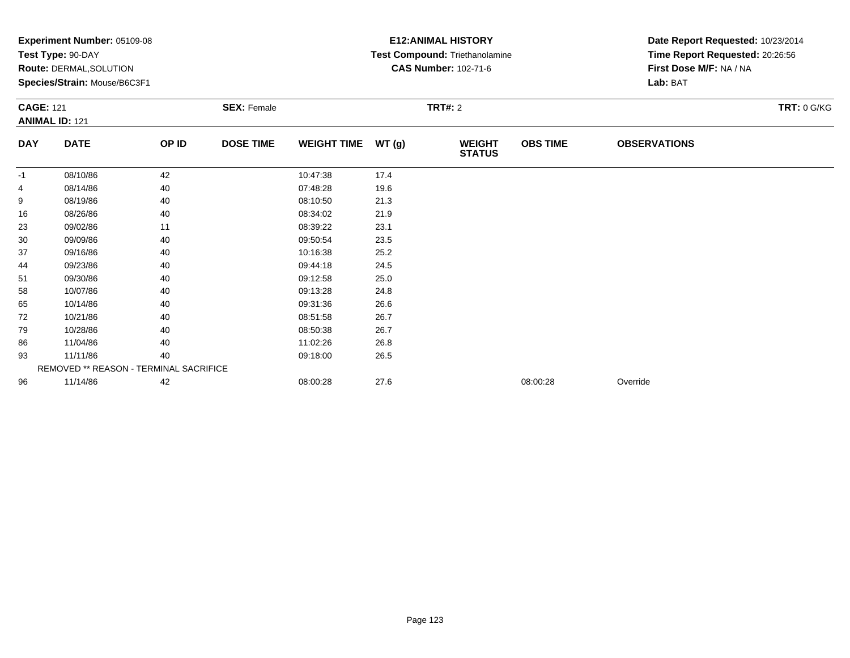| $\mathsf{expermi}$ number: $05109-08$ | Test Type: 90-DAY<br><b>Route: DERMAL, SOLUTION</b><br>Species/Strain: Mouse/B6C3F1<br><b>CAGE: 121</b><br><b>SEX: Female</b><br><b>ANIMAL ID: 121</b> |       |                  |                    |       | EIZ:ANIMAL FIISTURT<br><b>Test Compound: Triethanolamine</b><br><b>CAS Number: 102-71-6</b> | Date Report Requested: 10/23/2014<br>Time Report Requested: 20:26:56<br>First Dose M/F: NA / NA<br>Lab: BAT |                     |                    |
|---------------------------------------|--------------------------------------------------------------------------------------------------------------------------------------------------------|-------|------------------|--------------------|-------|---------------------------------------------------------------------------------------------|-------------------------------------------------------------------------------------------------------------|---------------------|--------------------|
|                                       |                                                                                                                                                        |       |                  |                    |       | <b>TRT#: 2</b>                                                                              |                                                                                                             |                     | <b>TRT: 0 G/KG</b> |
| <b>DAY</b>                            | <b>DATE</b>                                                                                                                                            | OP ID | <b>DOSE TIME</b> | <b>WEIGHT TIME</b> | WT(g) | <b>WEIGHT</b><br><b>STATUS</b>                                                              | <b>OBS TIME</b>                                                                                             | <b>OBSERVATIONS</b> |                    |
| -1                                    | 08/10/86                                                                                                                                               | 42    |                  | 10:47:38           | 17.4  |                                                                                             |                                                                                                             |                     |                    |
| 4                                     | 08/14/86                                                                                                                                               | 40    |                  | 07:48:28           | 19.6  |                                                                                             |                                                                                                             |                     |                    |
| 9                                     | 08/19/86                                                                                                                                               | 40    |                  | 08:10:50           | 21.3  |                                                                                             |                                                                                                             |                     |                    |
| 16                                    | 08/26/86                                                                                                                                               | 40    |                  | 08:34:02           | 21.9  |                                                                                             |                                                                                                             |                     |                    |
| 23                                    | 09/02/86                                                                                                                                               | 11    |                  | 08:39:22           | 23.1  |                                                                                             |                                                                                                             |                     |                    |
| 30                                    | 09/09/86                                                                                                                                               | 40    |                  | 09:50:54           | 23.5  |                                                                                             |                                                                                                             |                     |                    |
| 37                                    | 09/16/86                                                                                                                                               | 40    |                  | 10:16:38           | 25.2  |                                                                                             |                                                                                                             |                     |                    |
| 44                                    | 09/23/86                                                                                                                                               | 40    |                  | 09:44:18           | 24.5  |                                                                                             |                                                                                                             |                     |                    |
| 51                                    | 09/30/86                                                                                                                                               | 40    |                  | 09:12:58           | 25.0  |                                                                                             |                                                                                                             |                     |                    |
| 58                                    | 10/07/86                                                                                                                                               | 40    |                  | 09:13:28           | 24.8  |                                                                                             |                                                                                                             |                     |                    |
| 65                                    | 10/14/86                                                                                                                                               | 40    |                  | 09:31:36           | 26.6  |                                                                                             |                                                                                                             |                     |                    |
| 72                                    | 10/21/86                                                                                                                                               | 40    |                  | 08:51:58           | 26.7  |                                                                                             |                                                                                                             |                     |                    |
| 79                                    | 10/28/86                                                                                                                                               | 40    |                  | 08:50:38           | 26.7  |                                                                                             |                                                                                                             |                     |                    |
| 86                                    | 11/04/86                                                                                                                                               | 40    |                  | 11:02:26           | 26.8  |                                                                                             |                                                                                                             |                     |                    |
| 93                                    | 11/11/86                                                                                                                                               | 40    |                  | 09:18:00           | 26.5  |                                                                                             |                                                                                                             |                     |                    |
|                                       | REMOVED ** REASON - TERMINAL SACRIFICE                                                                                                                 |       |                  |                    |       |                                                                                             |                                                                                                             |                     |                    |
| 96                                    | 11/14/86                                                                                                                                               | 42    |                  | 08:00:28           | 27.6  |                                                                                             | 08:00:28                                                                                                    | Override            |                    |

# **E12:ANIMAL HISTORY**

**Date Report Requested:** 10/23/2014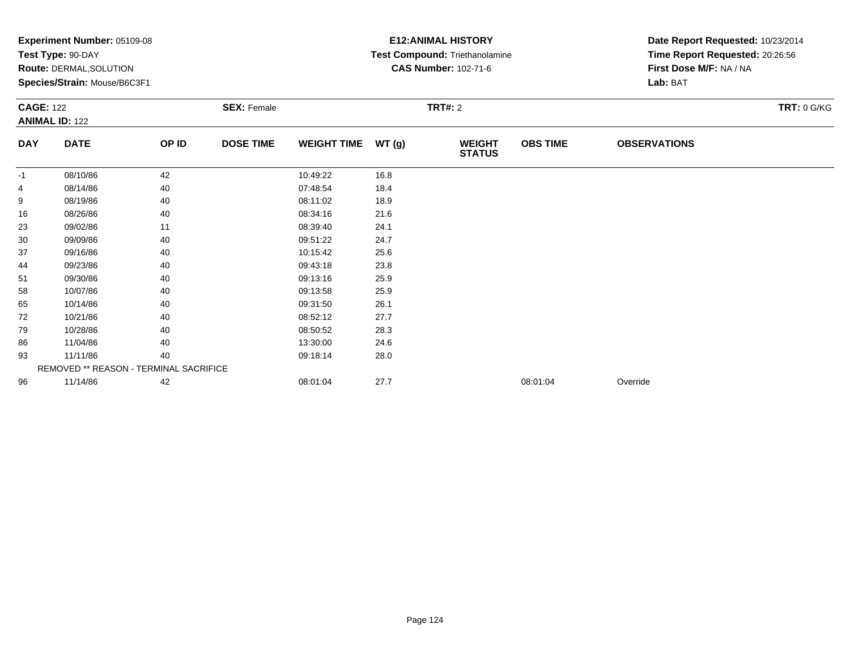|                  | Experiment Number: 05109-08            |       |                    |                    |       | <b>E12: ANIMAL HISTORY</b>     | Date Report Requested: 10/23/2014 |                                 |               |
|------------------|----------------------------------------|-------|--------------------|--------------------|-------|--------------------------------|-----------------------------------|---------------------------------|---------------|
|                  | Test Type: 90-DAY                      |       |                    |                    |       | Test Compound: Triethanolamine |                                   | Time Report Requested: 20:26:56 |               |
|                  | <b>Route: DERMAL, SOLUTION</b>         |       |                    |                    |       | <b>CAS Number: 102-71-6</b>    |                                   | First Dose M/F: NA / NA         |               |
|                  | Species/Strain: Mouse/B6C3F1           |       |                    |                    |       |                                |                                   | Lab: BAT                        |               |
| <b>CAGE: 122</b> |                                        |       | <b>SEX: Female</b> |                    |       | TRT#: 2                        |                                   |                                 | $TRT: 0$ G/KG |
|                  | <b>ANIMAL ID: 122</b>                  |       |                    |                    |       |                                |                                   |                                 |               |
| <b>DAY</b>       | <b>DATE</b>                            | OP ID | <b>DOSE TIME</b>   | <b>WEIGHT TIME</b> | WT(g) | <b>WEIGHT</b><br><b>STATUS</b> | <b>OBS TIME</b>                   | <b>OBSERVATIONS</b>             |               |
| $-1$             | 08/10/86                               | 42    |                    | 10:49:22           | 16.8  |                                |                                   |                                 |               |
| 4                | 08/14/86                               | 40    |                    | 07:48:54           | 18.4  |                                |                                   |                                 |               |
| 9                | 08/19/86                               | 40    |                    | 08:11:02           | 18.9  |                                |                                   |                                 |               |
| 16               | 08/26/86                               | 40    |                    | 08:34:16           | 21.6  |                                |                                   |                                 |               |
| 23               | 09/02/86                               | 11    |                    | 08:39:40           | 24.1  |                                |                                   |                                 |               |
| 30               | 09/09/86                               | 40    |                    | 09:51:22           | 24.7  |                                |                                   |                                 |               |
| 37               | 09/16/86                               | 40    |                    | 10:15:42           | 25.6  |                                |                                   |                                 |               |
| 44               | 09/23/86                               | 40    |                    | 09:43:18           | 23.8  |                                |                                   |                                 |               |
| 51               | 09/30/86                               | 40    |                    | 09:13:16           | 25.9  |                                |                                   |                                 |               |
| 58               | 10/07/86                               | 40    |                    | 09:13:58           | 25.9  |                                |                                   |                                 |               |
| 65               | 10/14/86                               | 40    |                    | 09:31:50           | 26.1  |                                |                                   |                                 |               |
| 72               | 10/21/86                               | 40    |                    | 08:52:12           | 27.7  |                                |                                   |                                 |               |
| 79               | 10/28/86                               | 40    |                    | 08:50:52           | 28.3  |                                |                                   |                                 |               |
| 86               | 11/04/86                               | 40    |                    | 13:30:00           | 24.6  |                                |                                   |                                 |               |
| 93               | 11/11/86                               | 40    |                    | 09:18:14           | 28.0  |                                |                                   |                                 |               |
|                  | REMOVED ** REASON - TERMINAL SACRIFICE |       |                    |                    |       |                                |                                   |                                 |               |
| 96               | 11/14/86                               | 42    |                    | 08:01:04           | 27.7  |                                | 08:01:04                          | Override                        |               |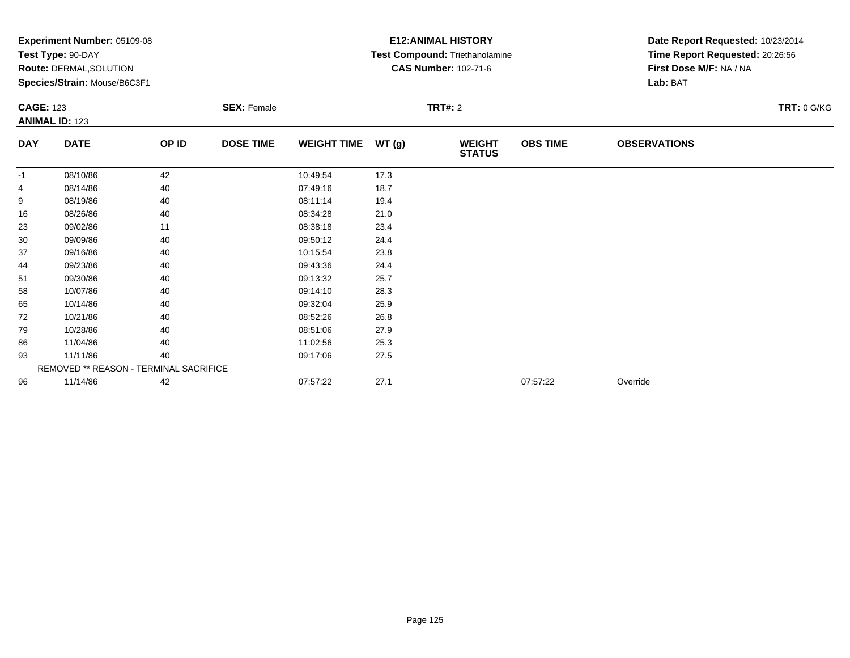|            | Experiment Number: 05109-08<br>Test Type: 90-DAY<br>Route: DERMAL, SOLUTION<br>Species/Strain: Mouse/B6C3F1<br><b>CAGE: 123</b><br><b>ANIMAL ID: 123</b> |       |                    |                    |       | <b>E12: ANIMAL HISTORY</b><br>Test Compound: Triethanolamine<br><b>CAS Number: 102-71-6</b> | Date Report Requested: 10/23/2014<br>Time Report Requested: 20:26:56<br>First Dose M/F: NA / NA<br>Lab: BAT |                     |                    |
|------------|----------------------------------------------------------------------------------------------------------------------------------------------------------|-------|--------------------|--------------------|-------|---------------------------------------------------------------------------------------------|-------------------------------------------------------------------------------------------------------------|---------------------|--------------------|
|            |                                                                                                                                                          |       | <b>SEX: Female</b> |                    |       | <b>TRT#: 2</b>                                                                              |                                                                                                             |                     | <b>TRT: 0 G/KG</b> |
| <b>DAY</b> | <b>DATE</b>                                                                                                                                              | OP ID | <b>DOSE TIME</b>   | <b>WEIGHT TIME</b> | WT(g) | <b>WEIGHT</b><br><b>STATUS</b>                                                              | <b>OBS TIME</b>                                                                                             | <b>OBSERVATIONS</b> |                    |
| $-1$       | 08/10/86                                                                                                                                                 | 42    |                    | 10:49:54           | 17.3  |                                                                                             |                                                                                                             |                     |                    |
| 4          | 08/14/86                                                                                                                                                 | 40    |                    | 07:49:16           | 18.7  |                                                                                             |                                                                                                             |                     |                    |
| 9          | 08/19/86                                                                                                                                                 | 40    |                    | 08:11:14           | 19.4  |                                                                                             |                                                                                                             |                     |                    |
| 16         | 08/26/86                                                                                                                                                 | 40    |                    | 08:34:28           | 21.0  |                                                                                             |                                                                                                             |                     |                    |
| 23         | 09/02/86                                                                                                                                                 | 11    |                    | 08:38:18           | 23.4  |                                                                                             |                                                                                                             |                     |                    |
| 30         | 09/09/86                                                                                                                                                 | 40    |                    | 09:50:12           | 24.4  |                                                                                             |                                                                                                             |                     |                    |
| 37         | 09/16/86                                                                                                                                                 | 40    |                    | 10:15:54           | 23.8  |                                                                                             |                                                                                                             |                     |                    |
| 44         | 09/23/86                                                                                                                                                 | 40    |                    | 09:43:36           | 24.4  |                                                                                             |                                                                                                             |                     |                    |
| 51         | 09/30/86                                                                                                                                                 | 40    |                    | 09:13:32           | 25.7  |                                                                                             |                                                                                                             |                     |                    |
| 58         | 10/07/86                                                                                                                                                 | 40    |                    | 09:14:10           | 28.3  |                                                                                             |                                                                                                             |                     |                    |
| 65         | 10/14/86                                                                                                                                                 | 40    |                    | 09:32:04           | 25.9  |                                                                                             |                                                                                                             |                     |                    |
| 72         | 10/21/86                                                                                                                                                 | 40    |                    | 08:52:26           | 26.8  |                                                                                             |                                                                                                             |                     |                    |
| 79         | 10/28/86                                                                                                                                                 | 40    |                    | 08:51:06           | 27.9  |                                                                                             |                                                                                                             |                     |                    |
| 86         | 11/04/86                                                                                                                                                 | 40    |                    | 11:02:56           | 25.3  |                                                                                             |                                                                                                             |                     |                    |
| 93         | 11/11/86                                                                                                                                                 | 40    |                    | 09:17:06           | 27.5  |                                                                                             |                                                                                                             |                     |                    |
|            | REMOVED ** REASON - TERMINAL SACRIFICE                                                                                                                   |       |                    |                    |       |                                                                                             |                                                                                                             |                     |                    |
| 96         | 11/14/86                                                                                                                                                 | 42    |                    | 07:57:22           | 27.1  |                                                                                             | 07:57:22                                                                                                    | Override            |                    |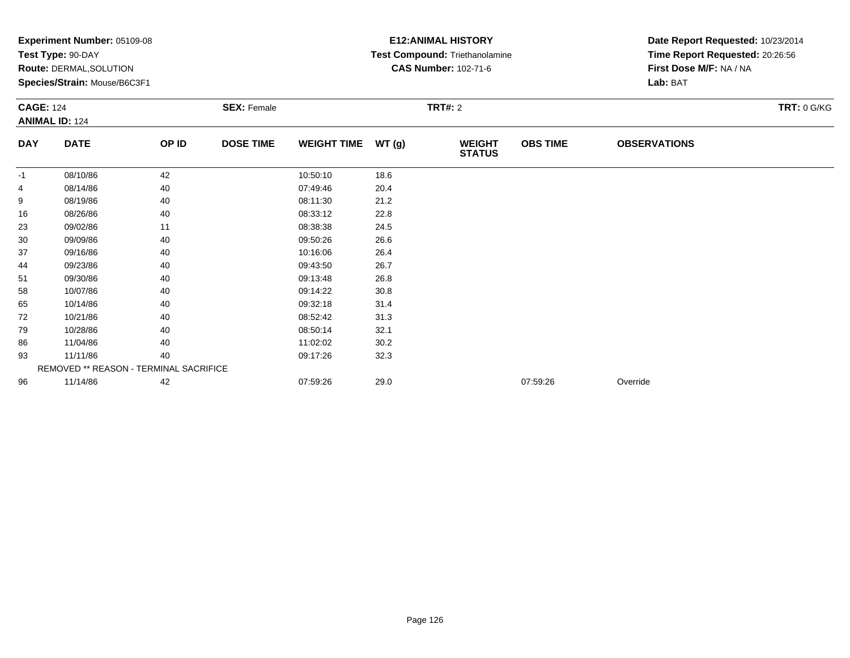| <b>CAGE: 124</b> | Experiment Number: 05109-08<br>Test Type: 90-DAY<br><b>Route: DERMAL, SOLUTION</b><br>Species/Strain: Mouse/B6C3F1 |       | <b>SEX: Female</b> |                    |       | <b>E12: ANIMAL HISTORY</b><br>Test Compound: Triethanolamine<br><b>CAS Number: 102-71-6</b><br>TRT#: 2 | Date Report Requested: 10/23/2014<br>Time Report Requested: 20:26:56<br>First Dose M/F: NA / NA<br>Lab: BAT<br>$TRT: 0$ G/KG |                     |  |
|------------------|--------------------------------------------------------------------------------------------------------------------|-------|--------------------|--------------------|-------|--------------------------------------------------------------------------------------------------------|------------------------------------------------------------------------------------------------------------------------------|---------------------|--|
|                  | <b>ANIMAL ID: 124</b>                                                                                              |       |                    |                    |       |                                                                                                        |                                                                                                                              |                     |  |
| <b>DAY</b>       | <b>DATE</b>                                                                                                        | OP ID | <b>DOSE TIME</b>   | <b>WEIGHT TIME</b> | WT(g) | <b>WEIGHT</b><br><b>STATUS</b>                                                                         | <b>OBS TIME</b>                                                                                                              | <b>OBSERVATIONS</b> |  |
| $-1$             | 08/10/86                                                                                                           | 42    |                    | 10:50:10           | 18.6  |                                                                                                        |                                                                                                                              |                     |  |
| 4                | 08/14/86                                                                                                           | 40    |                    | 07:49:46           | 20.4  |                                                                                                        |                                                                                                                              |                     |  |
| 9                | 08/19/86                                                                                                           | 40    |                    | 08:11:30           | 21.2  |                                                                                                        |                                                                                                                              |                     |  |
| 16               | 08/26/86                                                                                                           | 40    |                    | 08:33:12           | 22.8  |                                                                                                        |                                                                                                                              |                     |  |
| 23               | 09/02/86                                                                                                           | 11    |                    | 08:38:38           | 24.5  |                                                                                                        |                                                                                                                              |                     |  |
| 30               | 09/09/86                                                                                                           | 40    |                    | 09:50:26           | 26.6  |                                                                                                        |                                                                                                                              |                     |  |
| 37               | 09/16/86                                                                                                           | 40    |                    | 10:16:06           | 26.4  |                                                                                                        |                                                                                                                              |                     |  |
| 44               | 09/23/86                                                                                                           | 40    |                    | 09:43:50           | 26.7  |                                                                                                        |                                                                                                                              |                     |  |
| 51               | 09/30/86                                                                                                           | 40    |                    | 09:13:48           | 26.8  |                                                                                                        |                                                                                                                              |                     |  |
| 58               | 10/07/86                                                                                                           | 40    |                    | 09:14:22           | 30.8  |                                                                                                        |                                                                                                                              |                     |  |
| 65               | 10/14/86                                                                                                           | 40    |                    | 09:32:18           | 31.4  |                                                                                                        |                                                                                                                              |                     |  |
| 72               | 10/21/86                                                                                                           | 40    |                    | 08:52:42           | 31.3  |                                                                                                        |                                                                                                                              |                     |  |
| 79               | 10/28/86                                                                                                           | 40    |                    | 08:50:14           | 32.1  |                                                                                                        |                                                                                                                              |                     |  |
| 86               | 11/04/86                                                                                                           | 40    |                    | 11:02:02           | 30.2  |                                                                                                        |                                                                                                                              |                     |  |
| 93               | 11/11/86                                                                                                           | 40    |                    | 09:17:26           | 32.3  |                                                                                                        |                                                                                                                              |                     |  |
|                  | REMOVED ** REASON - TERMINAL SACRIFICE                                                                             |       |                    |                    |       |                                                                                                        |                                                                                                                              |                     |  |
| 96               | 11/14/86                                                                                                           | 42    |                    | 07:59:26           | 29.0  |                                                                                                        | 07:59:26                                                                                                                     | Override            |  |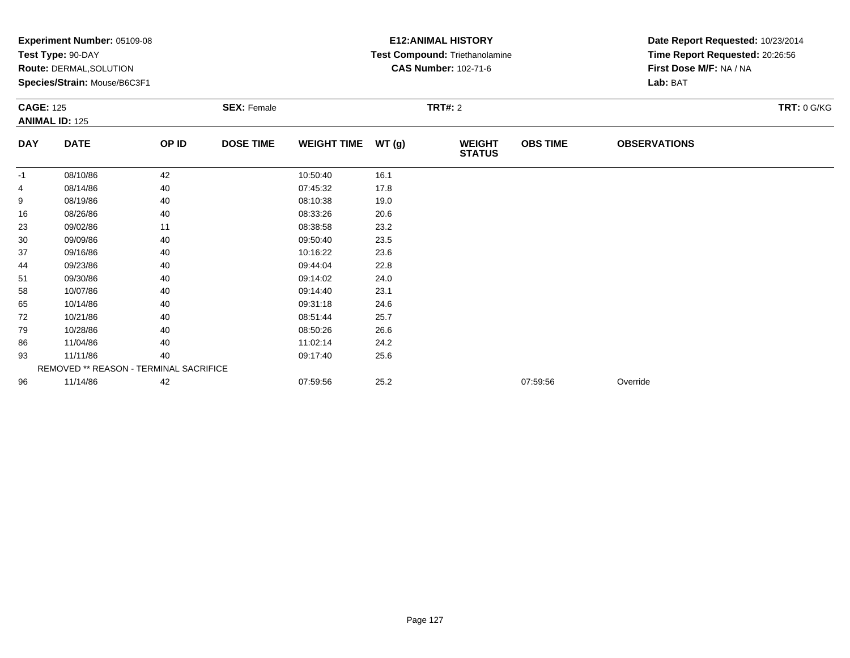| <b>CAGE: 125</b> | Experiment Number: 05109-08<br>Test Type: 90-DAY<br>Route: DERMAL, SOLUTION<br>Species/Strain: Mouse/B6C3F1 |       | <b>SEX: Female</b> |                    |       | <b>E12: ANIMAL HISTORY</b><br>Test Compound: Triethanolamine<br><b>CAS Number: 102-71-6</b><br>TRT#: 2 | Date Report Requested: 10/23/2014<br>Time Report Requested: 20:26:56<br>First Dose M/F: NA / NA<br>Lab: BAT<br>TRT: 0 G/KG |                     |  |
|------------------|-------------------------------------------------------------------------------------------------------------|-------|--------------------|--------------------|-------|--------------------------------------------------------------------------------------------------------|----------------------------------------------------------------------------------------------------------------------------|---------------------|--|
|                  | <b>ANIMAL ID: 125</b>                                                                                       |       |                    |                    |       |                                                                                                        |                                                                                                                            |                     |  |
| <b>DAY</b>       | <b>DATE</b>                                                                                                 | OP ID | <b>DOSE TIME</b>   | <b>WEIGHT TIME</b> | WT(g) | <b>WEIGHT</b><br><b>STATUS</b>                                                                         | <b>OBS TIME</b>                                                                                                            | <b>OBSERVATIONS</b> |  |
| $-1$             | 08/10/86                                                                                                    | 42    |                    | 10:50:40           | 16.1  |                                                                                                        |                                                                                                                            |                     |  |
| 4                | 08/14/86                                                                                                    | 40    |                    | 07:45:32           | 17.8  |                                                                                                        |                                                                                                                            |                     |  |
| 9                | 08/19/86                                                                                                    | 40    |                    | 08:10:38           | 19.0  |                                                                                                        |                                                                                                                            |                     |  |
| 16               | 08/26/86                                                                                                    | 40    |                    | 08:33:26           | 20.6  |                                                                                                        |                                                                                                                            |                     |  |
| 23               | 09/02/86                                                                                                    | 11    |                    | 08:38:58           | 23.2  |                                                                                                        |                                                                                                                            |                     |  |
| 30               | 09/09/86                                                                                                    | 40    |                    | 09:50:40           | 23.5  |                                                                                                        |                                                                                                                            |                     |  |
| 37               | 09/16/86                                                                                                    | 40    |                    | 10:16:22           | 23.6  |                                                                                                        |                                                                                                                            |                     |  |
| 44               | 09/23/86                                                                                                    | 40    |                    | 09:44:04           | 22.8  |                                                                                                        |                                                                                                                            |                     |  |
| 51               | 09/30/86                                                                                                    | 40    |                    | 09:14:02           | 24.0  |                                                                                                        |                                                                                                                            |                     |  |
| 58               | 10/07/86                                                                                                    | 40    |                    | 09:14:40           | 23.1  |                                                                                                        |                                                                                                                            |                     |  |
| 65               | 10/14/86                                                                                                    | 40    |                    | 09:31:18           | 24.6  |                                                                                                        |                                                                                                                            |                     |  |
| 72               | 10/21/86                                                                                                    | 40    |                    | 08:51:44           | 25.7  |                                                                                                        |                                                                                                                            |                     |  |
| 79               | 10/28/86                                                                                                    | 40    |                    | 08:50:26           | 26.6  |                                                                                                        |                                                                                                                            |                     |  |
| 86               | 11/04/86                                                                                                    | 40    |                    | 11:02:14           | 24.2  |                                                                                                        |                                                                                                                            |                     |  |
| 93               | 11/11/86                                                                                                    | 40    |                    | 09:17:40           | 25.6  |                                                                                                        |                                                                                                                            |                     |  |
|                  | REMOVED ** REASON - TERMINAL SACRIFICE                                                                      |       |                    |                    |       |                                                                                                        |                                                                                                                            |                     |  |
| 96               | 11/14/86                                                                                                    | 42    |                    | 07:59:56           | 25.2  |                                                                                                        | 07:59:56                                                                                                                   | Override            |  |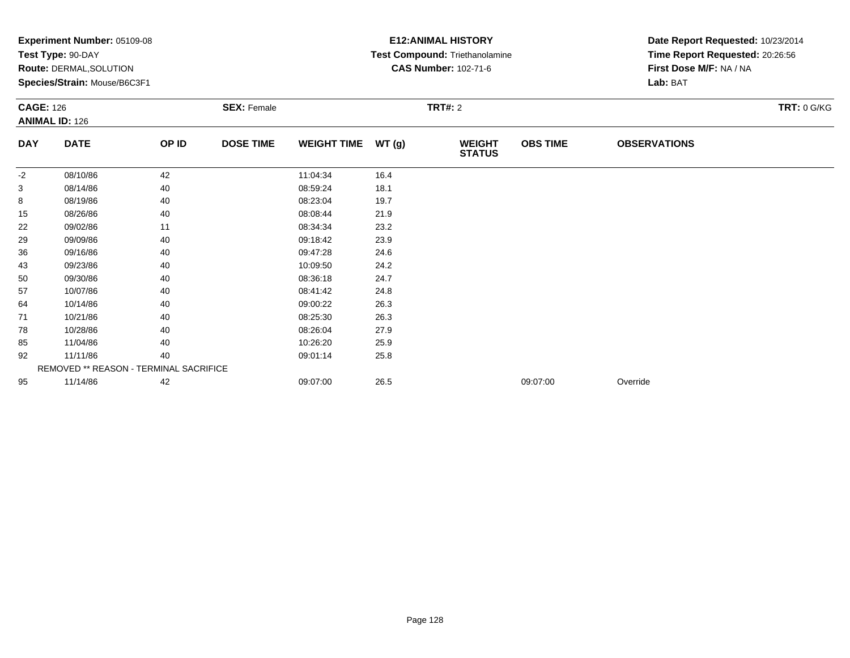|                  | Experiment Number: 05109-08            |       |                    |                    |       | <b>E12: ANIMAL HISTORY</b>     | Date Report Requested: 10/23/2014 |                                 |               |
|------------------|----------------------------------------|-------|--------------------|--------------------|-------|--------------------------------|-----------------------------------|---------------------------------|---------------|
|                  | Test Type: 90-DAY                      |       |                    |                    |       | Test Compound: Triethanolamine |                                   | Time Report Requested: 20:26:56 |               |
|                  | <b>Route: DERMAL, SOLUTION</b>         |       |                    |                    |       | <b>CAS Number: 102-71-6</b>    |                                   | First Dose M/F: NA / NA         |               |
|                  | Species/Strain: Mouse/B6C3F1           |       |                    |                    |       |                                |                                   | Lab: BAT                        |               |
| <b>CAGE: 126</b> |                                        |       | <b>SEX: Female</b> |                    |       | TRT#: 2                        |                                   |                                 | $TRT: 0$ G/KG |
|                  | <b>ANIMAL ID: 126</b>                  |       |                    |                    |       |                                |                                   |                                 |               |
| <b>DAY</b>       | <b>DATE</b>                            | OP ID | <b>DOSE TIME</b>   | <b>WEIGHT TIME</b> | WT(g) | <b>WEIGHT</b><br><b>STATUS</b> | <b>OBS TIME</b>                   | <b>OBSERVATIONS</b>             |               |
| -2               | 08/10/86                               | 42    |                    | 11:04:34           | 16.4  |                                |                                   |                                 |               |
| 3                | 08/14/86                               | 40    |                    | 08:59:24           | 18.1  |                                |                                   |                                 |               |
| 8                | 08/19/86                               | 40    |                    | 08:23:04           | 19.7  |                                |                                   |                                 |               |
| 15               | 08/26/86                               | 40    |                    | 08:08:44           | 21.9  |                                |                                   |                                 |               |
| 22               | 09/02/86                               | 11    |                    | 08:34:34           | 23.2  |                                |                                   |                                 |               |
| 29               | 09/09/86                               | 40    |                    | 09:18:42           | 23.9  |                                |                                   |                                 |               |
| 36               | 09/16/86                               | 40    |                    | 09:47:28           | 24.6  |                                |                                   |                                 |               |
| 43               | 09/23/86                               | 40    |                    | 10:09:50           | 24.2  |                                |                                   |                                 |               |
| 50               | 09/30/86                               | 40    |                    | 08:36:18           | 24.7  |                                |                                   |                                 |               |
| 57               | 10/07/86                               | 40    |                    | 08:41:42           | 24.8  |                                |                                   |                                 |               |
| 64               | 10/14/86                               | 40    |                    | 09:00:22           | 26.3  |                                |                                   |                                 |               |
| 71               | 10/21/86                               | 40    |                    | 08:25:30           | 26.3  |                                |                                   |                                 |               |
| 78               | 10/28/86                               | 40    |                    | 08:26:04           | 27.9  |                                |                                   |                                 |               |
| 85               | 11/04/86                               | 40    |                    | 10:26:20           | 25.9  |                                |                                   |                                 |               |
| 92               | 11/11/86                               | 40    |                    | 09:01:14           | 25.8  |                                |                                   |                                 |               |
|                  | REMOVED ** REASON - TERMINAL SACRIFICE |       |                    |                    |       |                                |                                   |                                 |               |
| 95               | 11/14/86                               | 42    |                    | 09:07:00           | 26.5  |                                | 09:07:00                          | Override                        |               |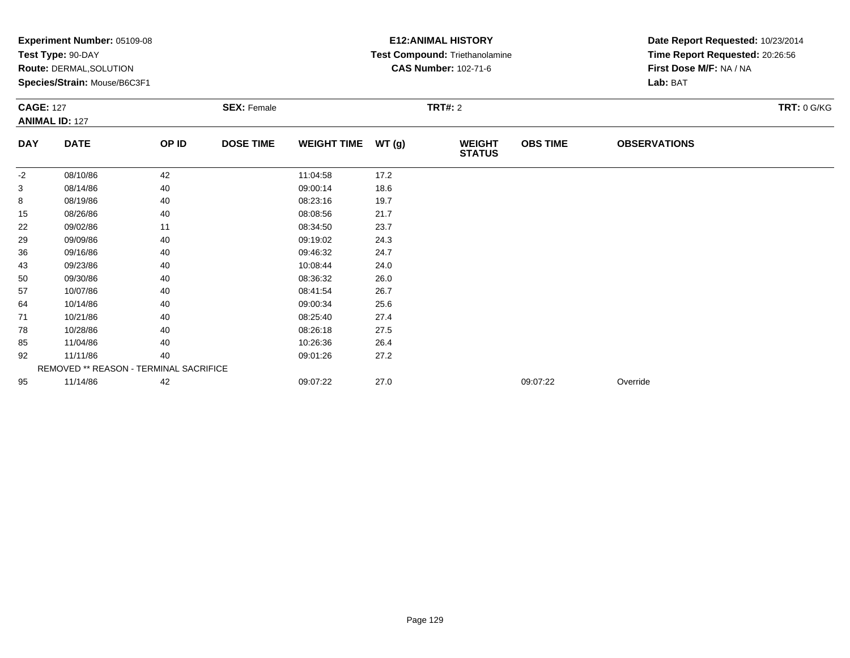|                  | Experiment Number: 05109-08            |       |                    |                    |       | <b>E12: ANIMAL HISTORY</b>     | Date Report Requested: 10/23/2014<br>Time Report Requested: 20:26:56 |                         |               |
|------------------|----------------------------------------|-------|--------------------|--------------------|-------|--------------------------------|----------------------------------------------------------------------|-------------------------|---------------|
|                  | Test Type: 90-DAY                      |       |                    |                    |       | Test Compound: Triethanolamine |                                                                      |                         |               |
|                  | <b>Route: DERMAL, SOLUTION</b>         |       |                    |                    |       | <b>CAS Number: 102-71-6</b>    |                                                                      | First Dose M/F: NA / NA |               |
|                  | Species/Strain: Mouse/B6C3F1           |       |                    |                    |       |                                |                                                                      | Lab: BAT                |               |
| <b>CAGE: 127</b> |                                        |       | <b>SEX: Female</b> |                    |       | TRT#: 2                        |                                                                      |                         | $TRT: 0$ G/KG |
|                  | <b>ANIMAL ID: 127</b>                  |       |                    |                    |       |                                |                                                                      |                         |               |
| <b>DAY</b>       | <b>DATE</b>                            | OP ID | <b>DOSE TIME</b>   | <b>WEIGHT TIME</b> | WT(g) | <b>WEIGHT</b><br><b>STATUS</b> | <b>OBS TIME</b>                                                      | <b>OBSERVATIONS</b>     |               |
| -2               | 08/10/86                               | 42    |                    | 11:04:58           | 17.2  |                                |                                                                      |                         |               |
| 3                | 08/14/86                               | 40    |                    | 09:00:14           | 18.6  |                                |                                                                      |                         |               |
| 8                | 08/19/86                               | 40    |                    | 08:23:16           | 19.7  |                                |                                                                      |                         |               |
| 15               | 08/26/86                               | 40    |                    | 08:08:56           | 21.7  |                                |                                                                      |                         |               |
| 22               | 09/02/86                               | 11    |                    | 08:34:50           | 23.7  |                                |                                                                      |                         |               |
| 29               | 09/09/86                               | 40    |                    | 09:19:02           | 24.3  |                                |                                                                      |                         |               |
| 36               | 09/16/86                               | 40    |                    | 09:46:32           | 24.7  |                                |                                                                      |                         |               |
| 43               | 09/23/86                               | 40    |                    | 10:08:44           | 24.0  |                                |                                                                      |                         |               |
| 50               | 09/30/86                               | 40    |                    | 08:36:32           | 26.0  |                                |                                                                      |                         |               |
| 57               | 10/07/86                               | 40    |                    | 08:41:54           | 26.7  |                                |                                                                      |                         |               |
| 64               | 10/14/86                               | 40    |                    | 09:00:34           | 25.6  |                                |                                                                      |                         |               |
| 71               | 10/21/86                               | 40    |                    | 08:25:40           | 27.4  |                                |                                                                      |                         |               |
| 78               | 10/28/86                               | 40    |                    | 08:26:18           | 27.5  |                                |                                                                      |                         |               |
| 85               | 11/04/86                               | 40    |                    | 10:26:36           | 26.4  |                                |                                                                      |                         |               |
| 92               | 11/11/86                               | 40    |                    | 09:01:26           | 27.2  |                                |                                                                      |                         |               |
|                  | REMOVED ** REASON - TERMINAL SACRIFICE |       |                    |                    |       |                                |                                                                      |                         |               |
| 95               | 11/14/86                               | 42    |                    | 09:07:22           | 27.0  |                                | 09:07:22                                                             | Override                |               |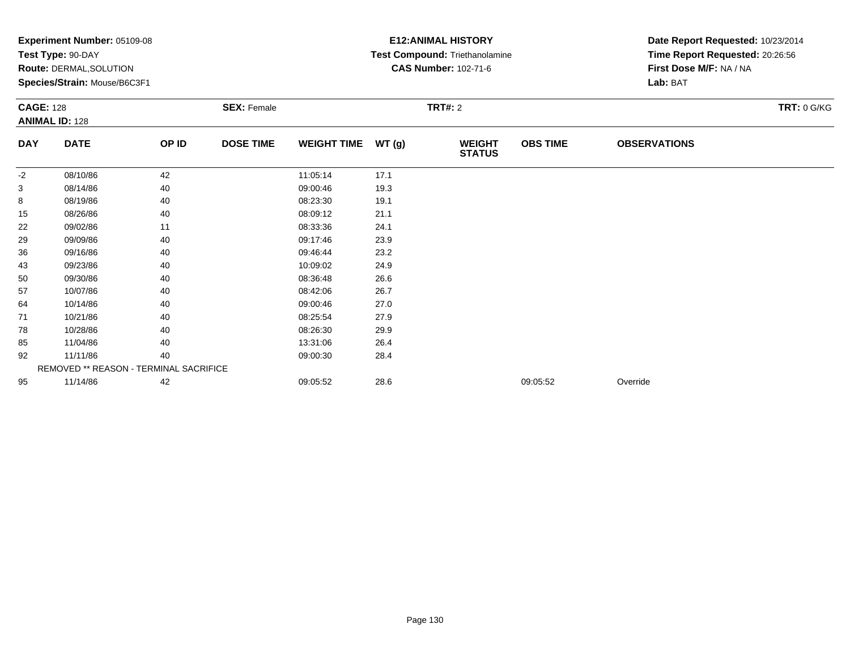|                  | Experiment Number: 05109-08<br>Test Type: 90-DAY<br>Route: DERMAL, SOLUTION<br>Species/Strain: Mouse/B6C3F1 |       |                    |                    |         | <b>E12: ANIMAL HISTORY</b><br>Test Compound: Triethanolamine<br><b>CAS Number: 102-71-6</b> | Date Report Requested: 10/23/2014<br>Time Report Requested: 20:26:56<br>First Dose M/F: NA / NA<br>Lab: BAT |                     |                    |
|------------------|-------------------------------------------------------------------------------------------------------------|-------|--------------------|--------------------|---------|---------------------------------------------------------------------------------------------|-------------------------------------------------------------------------------------------------------------|---------------------|--------------------|
| <b>CAGE: 128</b> | <b>ANIMAL ID: 128</b>                                                                                       |       | <b>SEX: Female</b> |                    | TRT#: 2 |                                                                                             |                                                                                                             |                     | <b>TRT: 0 G/KG</b> |
| <b>DAY</b>       | <b>DATE</b>                                                                                                 | OP ID | <b>DOSE TIME</b>   | <b>WEIGHT TIME</b> | WT(g)   | <b>WEIGHT</b><br><b>STATUS</b>                                                              | <b>OBS TIME</b>                                                                                             | <b>OBSERVATIONS</b> |                    |
| -2               | 08/10/86                                                                                                    | 42    |                    | 11:05:14           | 17.1    |                                                                                             |                                                                                                             |                     |                    |
| 3                | 08/14/86                                                                                                    | 40    |                    | 09:00:46           | 19.3    |                                                                                             |                                                                                                             |                     |                    |
| 8                | 08/19/86                                                                                                    | 40    |                    | 08:23:30           | 19.1    |                                                                                             |                                                                                                             |                     |                    |
| 15               | 08/26/86                                                                                                    | 40    |                    | 08:09:12           | 21.1    |                                                                                             |                                                                                                             |                     |                    |
| 22               | 09/02/86                                                                                                    | 11    |                    | 08:33:36           | 24.1    |                                                                                             |                                                                                                             |                     |                    |
| 29               | 09/09/86                                                                                                    | 40    |                    | 09:17:46           | 23.9    |                                                                                             |                                                                                                             |                     |                    |
| 36               | 09/16/86                                                                                                    | 40    |                    | 09:46:44           | 23.2    |                                                                                             |                                                                                                             |                     |                    |
| 43               | 09/23/86                                                                                                    | 40    |                    | 10:09:02           | 24.9    |                                                                                             |                                                                                                             |                     |                    |
| 50               | 09/30/86                                                                                                    | 40    |                    | 08:36:48           | 26.6    |                                                                                             |                                                                                                             |                     |                    |
| 57               | 10/07/86                                                                                                    | 40    |                    | 08:42:06           | 26.7    |                                                                                             |                                                                                                             |                     |                    |
| 64               | 10/14/86                                                                                                    | 40    |                    | 09:00:46           | 27.0    |                                                                                             |                                                                                                             |                     |                    |
| 71               | 10/21/86                                                                                                    | 40    |                    | 08:25:54           | 27.9    |                                                                                             |                                                                                                             |                     |                    |
| 78               | 10/28/86                                                                                                    | 40    |                    | 08:26:30           | 29.9    |                                                                                             |                                                                                                             |                     |                    |
| 85               | 11/04/86                                                                                                    | 40    |                    | 13:31:06           | 26.4    |                                                                                             |                                                                                                             |                     |                    |
| 92               | 11/11/86                                                                                                    | 40    |                    | 09:00:30           | 28.4    |                                                                                             |                                                                                                             |                     |                    |
|                  | REMOVED ** REASON - TERMINAL SACRIFICE                                                                      |       |                    |                    |         |                                                                                             |                                                                                                             |                     |                    |
| 95               | 11/14/86                                                                                                    | 42    |                    | 09:05:52           | 28.6    |                                                                                             | 09:05:52                                                                                                    | Override            |                    |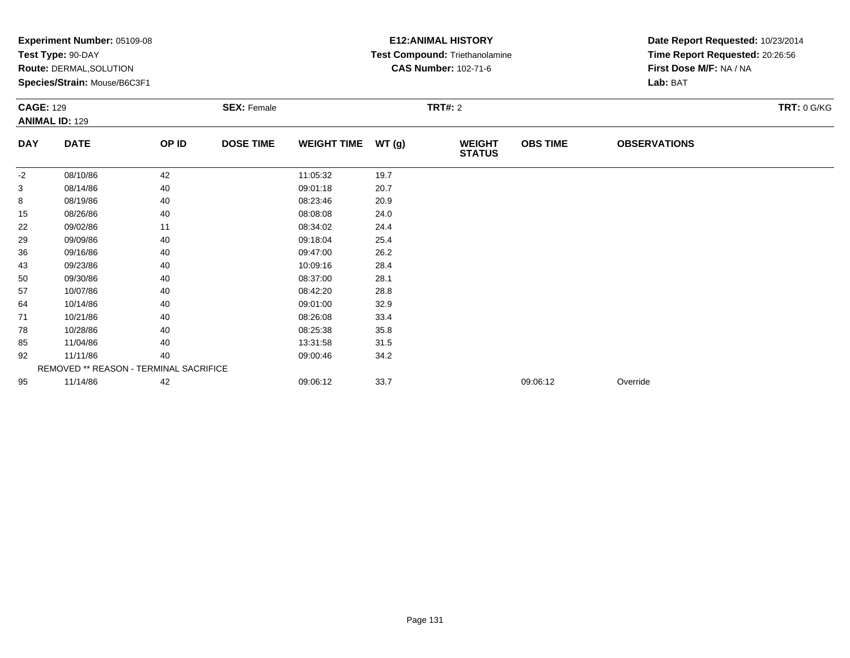|                  | Experiment Number: 05109-08<br>Test Type: 90-DAY<br>Route: DERMAL, SOLUTION<br>Species/Strain: Mouse/B6C3F1 |       | <b>SEX: Female</b> |                    |       | <b>E12:ANIMAL HISTORY</b><br>Test Compound: Triethanolamine<br><b>CAS Number: 102-71-6</b><br><b>TRT#: 2</b> | Date Report Requested: 10/23/2014<br>Time Report Requested: 20:26:56<br>First Dose M/F: NA / NA<br>Lab: BAT<br><b>TRT: 0 G/KG</b> |                     |  |
|------------------|-------------------------------------------------------------------------------------------------------------|-------|--------------------|--------------------|-------|--------------------------------------------------------------------------------------------------------------|-----------------------------------------------------------------------------------------------------------------------------------|---------------------|--|
| <b>CAGE: 129</b> | <b>ANIMAL ID: 129</b>                                                                                       |       |                    |                    |       |                                                                                                              |                                                                                                                                   |                     |  |
| <b>DAY</b>       | <b>DATE</b>                                                                                                 | OP ID | <b>DOSE TIME</b>   | <b>WEIGHT TIME</b> | WT(g) | <b>WEIGHT</b><br><b>STATUS</b>                                                                               | <b>OBS TIME</b>                                                                                                                   | <b>OBSERVATIONS</b> |  |
| -2               | 08/10/86                                                                                                    | 42    |                    | 11:05:32           | 19.7  |                                                                                                              |                                                                                                                                   |                     |  |
| 3                | 08/14/86                                                                                                    | 40    |                    | 09:01:18           | 20.7  |                                                                                                              |                                                                                                                                   |                     |  |
| 8                | 08/19/86                                                                                                    | 40    |                    | 08:23:46           | 20.9  |                                                                                                              |                                                                                                                                   |                     |  |
| 15               | 08/26/86                                                                                                    | 40    |                    | 08:08:08           | 24.0  |                                                                                                              |                                                                                                                                   |                     |  |
| 22               | 09/02/86                                                                                                    | 11    |                    | 08:34:02           | 24.4  |                                                                                                              |                                                                                                                                   |                     |  |
| 29               | 09/09/86                                                                                                    | 40    |                    | 09:18:04           | 25.4  |                                                                                                              |                                                                                                                                   |                     |  |
| 36               | 09/16/86                                                                                                    | 40    |                    | 09:47:00           | 26.2  |                                                                                                              |                                                                                                                                   |                     |  |
| 43               | 09/23/86                                                                                                    | 40    |                    | 10:09:16           | 28.4  |                                                                                                              |                                                                                                                                   |                     |  |
| 50               | 09/30/86                                                                                                    | 40    |                    | 08:37:00           | 28.1  |                                                                                                              |                                                                                                                                   |                     |  |
| 57               | 10/07/86                                                                                                    | 40    |                    | 08:42:20           | 28.8  |                                                                                                              |                                                                                                                                   |                     |  |
| 64               | 10/14/86                                                                                                    | 40    |                    | 09:01:00           | 32.9  |                                                                                                              |                                                                                                                                   |                     |  |
| 71               | 10/21/86                                                                                                    | 40    |                    | 08:26:08           | 33.4  |                                                                                                              |                                                                                                                                   |                     |  |
| 78               | 10/28/86                                                                                                    | 40    |                    | 08:25:38           | 35.8  |                                                                                                              |                                                                                                                                   |                     |  |
| 85               | 11/04/86                                                                                                    | 40    |                    | 13:31:58           | 31.5  |                                                                                                              |                                                                                                                                   |                     |  |
| 92               | 11/11/86                                                                                                    | 40    |                    | 09:00:46           | 34.2  |                                                                                                              |                                                                                                                                   |                     |  |
|                  | REMOVED ** REASON - TERMINAL SACRIFICE                                                                      |       |                    |                    |       |                                                                                                              |                                                                                                                                   |                     |  |
| 95               | 11/14/86                                                                                                    | 42    |                    | 09:06:12           | 33.7  |                                                                                                              | 09:06:12                                                                                                                          | Override            |  |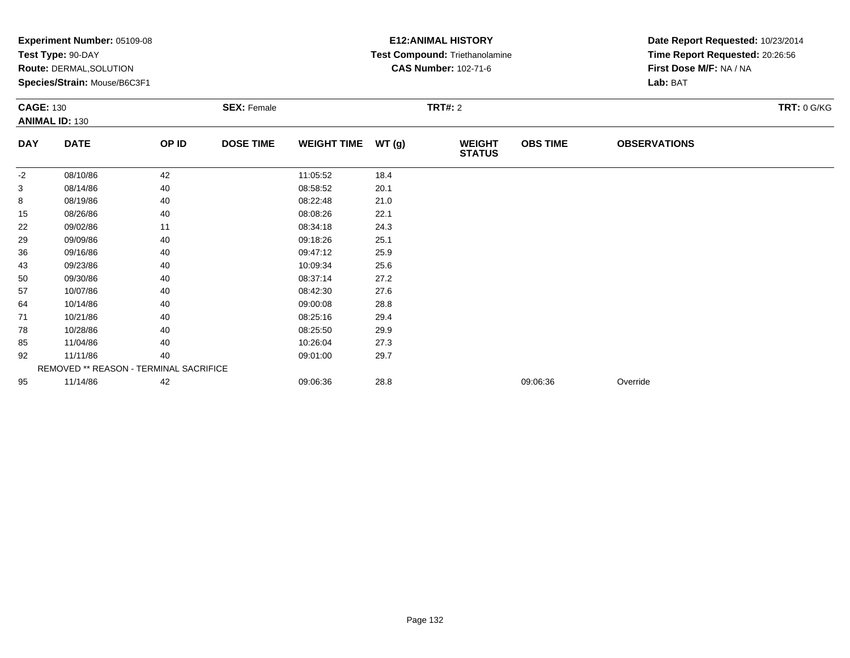|                  | Experiment Number: 05109-08<br>Test Type: 90-DAY<br><b>Route: DERMAL, SOLUTION</b><br>Species/Strain: Mouse/B6C3F1 |       |                    |                    |       | <b>E12: ANIMAL HISTORY</b><br>Test Compound: Triethanolamine<br><b>CAS Number: 102-71-6</b> | Date Report Requested: 10/23/2014<br>Time Report Requested: 20:26:56<br>First Dose M/F: NA / NA<br>Lab: BAT |                     |                    |
|------------------|--------------------------------------------------------------------------------------------------------------------|-------|--------------------|--------------------|-------|---------------------------------------------------------------------------------------------|-------------------------------------------------------------------------------------------------------------|---------------------|--------------------|
| <b>CAGE: 130</b> | <b>ANIMAL ID: 130</b>                                                                                              |       | <b>SEX: Female</b> |                    |       | <b>TRT#: 2</b>                                                                              |                                                                                                             |                     | <b>TRT: 0 G/KG</b> |
| <b>DAY</b>       | <b>DATE</b>                                                                                                        | OP ID | <b>DOSE TIME</b>   | <b>WEIGHT TIME</b> | WT(g) | <b>WEIGHT</b><br><b>STATUS</b>                                                              | <b>OBS TIME</b>                                                                                             | <b>OBSERVATIONS</b> |                    |
| $-2$             | 08/10/86                                                                                                           | 42    |                    | 11:05:52           | 18.4  |                                                                                             |                                                                                                             |                     |                    |
| 3                | 08/14/86                                                                                                           | 40    |                    | 08:58:52           | 20.1  |                                                                                             |                                                                                                             |                     |                    |
| 8                | 08/19/86                                                                                                           | 40    |                    | 08:22:48           | 21.0  |                                                                                             |                                                                                                             |                     |                    |
| 15               | 08/26/86                                                                                                           | 40    |                    | 08:08:26           | 22.1  |                                                                                             |                                                                                                             |                     |                    |
| 22               | 09/02/86                                                                                                           | 11    |                    | 08:34:18           | 24.3  |                                                                                             |                                                                                                             |                     |                    |
| 29               | 09/09/86                                                                                                           | 40    |                    | 09:18:26           | 25.1  |                                                                                             |                                                                                                             |                     |                    |
| 36               | 09/16/86                                                                                                           | 40    |                    | 09:47:12           | 25.9  |                                                                                             |                                                                                                             |                     |                    |
| 43               | 09/23/86                                                                                                           | 40    |                    | 10:09:34           | 25.6  |                                                                                             |                                                                                                             |                     |                    |
| 50               | 09/30/86                                                                                                           | 40    |                    | 08:37:14           | 27.2  |                                                                                             |                                                                                                             |                     |                    |
| 57               | 10/07/86                                                                                                           | 40    |                    | 08:42:30           | 27.6  |                                                                                             |                                                                                                             |                     |                    |
| 64               | 10/14/86                                                                                                           | 40    |                    | 09:00:08           | 28.8  |                                                                                             |                                                                                                             |                     |                    |
| 71               | 10/21/86                                                                                                           | 40    |                    | 08:25:16           | 29.4  |                                                                                             |                                                                                                             |                     |                    |
| 78               | 10/28/86                                                                                                           | 40    |                    | 08:25:50           | 29.9  |                                                                                             |                                                                                                             |                     |                    |
| 85               | 11/04/86                                                                                                           | 40    |                    | 10:26:04           | 27.3  |                                                                                             |                                                                                                             |                     |                    |
| 92               | 11/11/86                                                                                                           | 40    |                    | 09:01:00           | 29.7  |                                                                                             |                                                                                                             |                     |                    |
|                  | REMOVED ** REASON - TERMINAL SACRIFICE                                                                             |       |                    |                    |       |                                                                                             |                                                                                                             |                     |                    |
| 95               | 11/14/86                                                                                                           | 42    |                    | 09:06:36           | 28.8  |                                                                                             | 09:06:36                                                                                                    | Override            |                    |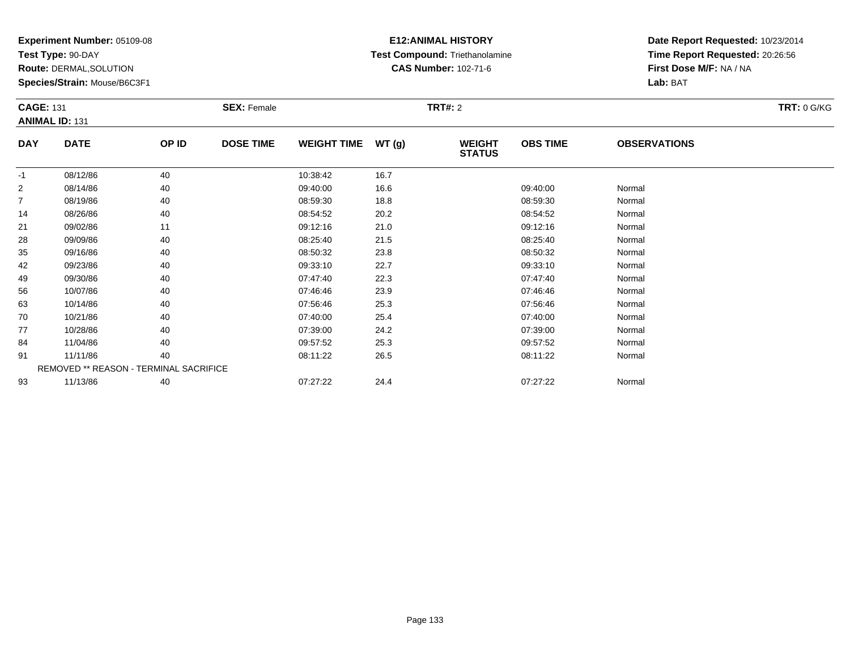**Test Type:** 90-DAY

**Route:** DERMAL,SOLUTION

**Species/Strain:** Mouse/B6C3F1

# **E12:ANIMAL HISTORY Test Compound:** Triethanolamine**CAS Number:** 102-71-6

| <b>CAGE: 131</b> | <b>SEX: Female</b>                     |       |                  |                    |       | <b>TRT: 0 G/KG</b>             |                 |                     |  |
|------------------|----------------------------------------|-------|------------------|--------------------|-------|--------------------------------|-----------------|---------------------|--|
|                  | <b>ANIMAL ID: 131</b>                  |       |                  |                    |       |                                |                 |                     |  |
| <b>DAY</b>       | <b>DATE</b>                            | OP ID | <b>DOSE TIME</b> | <b>WEIGHT TIME</b> | WT(g) | <b>WEIGHT</b><br><b>STATUS</b> | <b>OBS TIME</b> | <b>OBSERVATIONS</b> |  |
| $-1$             | 08/12/86                               | 40    |                  | 10:38:42           | 16.7  |                                |                 |                     |  |
| 2                | 08/14/86                               | 40    |                  | 09:40:00           | 16.6  |                                | 09:40:00        | Normal              |  |
| $\overline{7}$   | 08/19/86                               | 40    |                  | 08:59:30           | 18.8  |                                | 08:59:30        | Normal              |  |
| 14               | 08/26/86                               | 40    |                  | 08:54:52           | 20.2  |                                | 08:54:52        | Normal              |  |
| 21               | 09/02/86                               | 11    |                  | 09:12:16           | 21.0  |                                | 09:12:16        | Normal              |  |
| 28               | 09/09/86                               | 40    |                  | 08:25:40           | 21.5  |                                | 08:25:40        | Normal              |  |
| 35               | 09/16/86                               | 40    |                  | 08:50:32           | 23.8  |                                | 08:50:32        | Normal              |  |
| 42               | 09/23/86                               | 40    |                  | 09:33:10           | 22.7  |                                | 09:33:10        | Normal              |  |
| 49               | 09/30/86                               | 40    |                  | 07:47:40           | 22.3  |                                | 07:47:40        | Normal              |  |
| 56               | 10/07/86                               | 40    |                  | 07:46:46           | 23.9  |                                | 07:46:46        | Normal              |  |
| 63               | 10/14/86                               | 40    |                  | 07:56:46           | 25.3  |                                | 07:56:46        | Normal              |  |
| 70               | 10/21/86                               | 40    |                  | 07:40:00           | 25.4  |                                | 07:40:00        | Normal              |  |
| 77               | 10/28/86                               | 40    |                  | 07:39:00           | 24.2  |                                | 07:39:00        | Normal              |  |
| 84               | 11/04/86                               | 40    |                  | 09:57:52           | 25.3  |                                | 09:57:52        | Normal              |  |
| 91               | 11/11/86                               | 40    |                  | 08:11:22           | 26.5  |                                | 08:11:22        | Normal              |  |
|                  | REMOVED ** REASON - TERMINAL SACRIFICE |       |                  |                    |       |                                |                 |                     |  |
| 93               | 11/13/86                               | 40    |                  | 07:27:22           | 24.4  |                                | 07:27:22        | Normal              |  |
|                  |                                        |       |                  |                    |       |                                |                 |                     |  |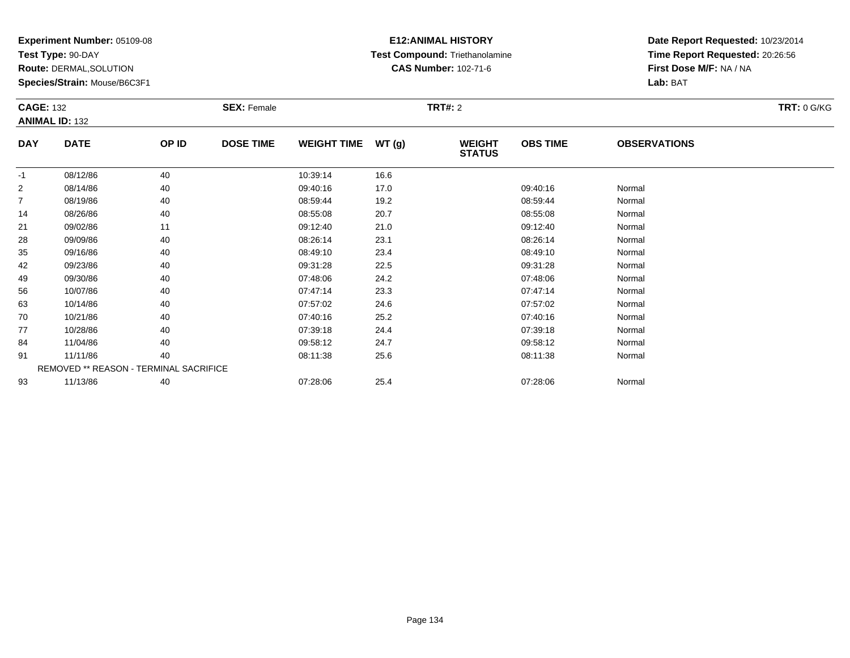**Test Type:** 90-DAY

**Route:** DERMAL,SOLUTION

**Species/Strain:** Mouse/B6C3F1

# **E12:ANIMAL HISTORY Test Compound:** Triethanolamine**CAS Number:** 102-71-6

| <b>CAGE: 132</b> |                                        |       | <b>SEX: Female</b> |                    |       | <b>TRT: 0 G/KG</b>             |                 |                     |  |
|------------------|----------------------------------------|-------|--------------------|--------------------|-------|--------------------------------|-----------------|---------------------|--|
|                  | <b>ANIMAL ID: 132</b>                  |       |                    |                    |       |                                |                 |                     |  |
| <b>DAY</b>       | <b>DATE</b>                            | OP ID | <b>DOSE TIME</b>   | <b>WEIGHT TIME</b> | WT(g) | <b>WEIGHT</b><br><b>STATUS</b> | <b>OBS TIME</b> | <b>OBSERVATIONS</b> |  |
| $-1$             | 08/12/86                               | 40    |                    | 10:39:14           | 16.6  |                                |                 |                     |  |
| $\overline{2}$   | 08/14/86                               | 40    |                    | 09:40:16           | 17.0  |                                | 09:40:16        | Normal              |  |
| $\overline{7}$   | 08/19/86                               | 40    |                    | 08:59:44           | 19.2  |                                | 08:59:44        | Normal              |  |
| 14               | 08/26/86                               | 40    |                    | 08:55:08           | 20.7  |                                | 08:55:08        | Normal              |  |
| 21               | 09/02/86                               | 11    |                    | 09:12:40           | 21.0  |                                | 09:12:40        | Normal              |  |
| 28               | 09/09/86                               | 40    |                    | 08:26:14           | 23.1  |                                | 08:26:14        | Normal              |  |
| 35               | 09/16/86                               | 40    |                    | 08:49:10           | 23.4  |                                | 08:49:10        | Normal              |  |
| 42               | 09/23/86                               | 40    |                    | 09:31:28           | 22.5  |                                | 09:31:28        | Normal              |  |
| 49               | 09/30/86                               | 40    |                    | 07:48:06           | 24.2  |                                | 07:48:06        | Normal              |  |
| 56               | 10/07/86                               | 40    |                    | 07:47:14           | 23.3  |                                | 07:47:14        | Normal              |  |
| 63               | 10/14/86                               | 40    |                    | 07:57:02           | 24.6  |                                | 07:57:02        | Normal              |  |
| 70               | 10/21/86                               | 40    |                    | 07:40:16           | 25.2  |                                | 07:40:16        | Normal              |  |
| 77               | 10/28/86                               | 40    |                    | 07:39:18           | 24.4  |                                | 07:39:18        | Normal              |  |
| 84               | 11/04/86                               | 40    |                    | 09:58:12           | 24.7  |                                | 09:58:12        | Normal              |  |
| 91               | 11/11/86                               | 40    |                    | 08:11:38           | 25.6  |                                | 08:11:38        | Normal              |  |
|                  | REMOVED ** REASON - TERMINAL SACRIFICE |       |                    |                    |       |                                |                 |                     |  |
| 93               | 11/13/86                               | 40    |                    | 07:28:06           | 25.4  |                                | 07:28:06        | Normal              |  |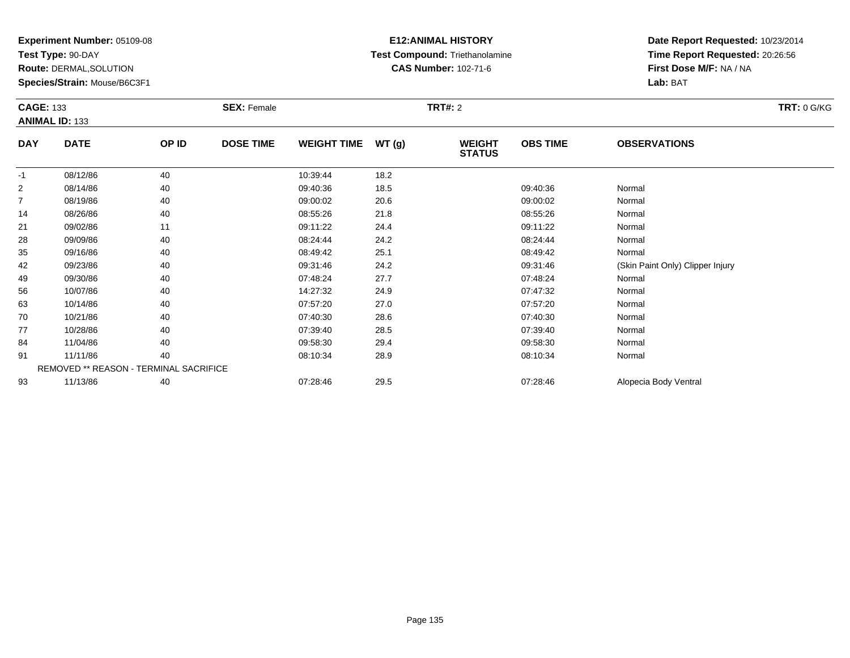**Test Type:** 90-DAY

**Route:** DERMAL,SOLUTION

**Species/Strain:** Mouse/B6C3F1

# **E12:ANIMAL HISTORY Test Compound:** Triethanolamine**CAS Number:** 102-71-6

|                | <b>CAGE: 133</b>                       |       | <b>SEX: Female</b> |                    |       | <b>TRT: 0 G/KG</b>             |                 |                                  |  |
|----------------|----------------------------------------|-------|--------------------|--------------------|-------|--------------------------------|-----------------|----------------------------------|--|
|                | <b>ANIMAL ID: 133</b>                  |       |                    |                    |       |                                |                 |                                  |  |
| <b>DAY</b>     | <b>DATE</b>                            | OP ID | <b>DOSE TIME</b>   | <b>WEIGHT TIME</b> | WT(g) | <b>WEIGHT</b><br><b>STATUS</b> | <b>OBS TIME</b> | <b>OBSERVATIONS</b>              |  |
| $-1$           | 08/12/86                               | 40    |                    | 10:39:44           | 18.2  |                                |                 |                                  |  |
| 2              | 08/14/86                               | 40    |                    | 09:40:36           | 18.5  |                                | 09:40:36        | Normal                           |  |
| $\overline{7}$ | 08/19/86                               | 40    |                    | 09:00:02           | 20.6  |                                | 09:00:02        | Normal                           |  |
| 14             | 08/26/86                               | 40    |                    | 08:55:26           | 21.8  |                                | 08:55:26        | Normal                           |  |
| 21             | 09/02/86                               | 11    |                    | 09:11:22           | 24.4  |                                | 09:11:22        | Normal                           |  |
| 28             | 09/09/86                               | 40    |                    | 08:24:44           | 24.2  |                                | 08:24:44        | Normal                           |  |
| 35             | 09/16/86                               | 40    |                    | 08:49:42           | 25.1  |                                | 08:49:42        | Normal                           |  |
| 42             | 09/23/86                               | 40    |                    | 09:31:46           | 24.2  |                                | 09:31:46        | (Skin Paint Only) Clipper Injury |  |
| 49             | 09/30/86                               | 40    |                    | 07:48:24           | 27.7  |                                | 07:48:24        | Normal                           |  |
| 56             | 10/07/86                               | 40    |                    | 14:27:32           | 24.9  |                                | 07:47:32        | Normal                           |  |
| 63             | 10/14/86                               | 40    |                    | 07:57:20           | 27.0  |                                | 07:57:20        | Normal                           |  |
| 70             | 10/21/86                               | 40    |                    | 07:40:30           | 28.6  |                                | 07:40:30        | Normal                           |  |
| 77             | 10/28/86                               | 40    |                    | 07:39:40           | 28.5  |                                | 07:39:40        | Normal                           |  |
| 84             | 11/04/86                               | 40    |                    | 09:58:30           | 29.4  |                                | 09:58:30        | Normal                           |  |
| 91             | 11/11/86                               | 40    |                    | 08:10:34           | 28.9  |                                | 08:10:34        | Normal                           |  |
|                | REMOVED ** REASON - TERMINAL SACRIFICE |       |                    |                    |       |                                |                 |                                  |  |
| 93             | 11/13/86                               | 40    |                    | 07:28:46           | 29.5  |                                | 07:28:46        | Alopecia Body Ventral            |  |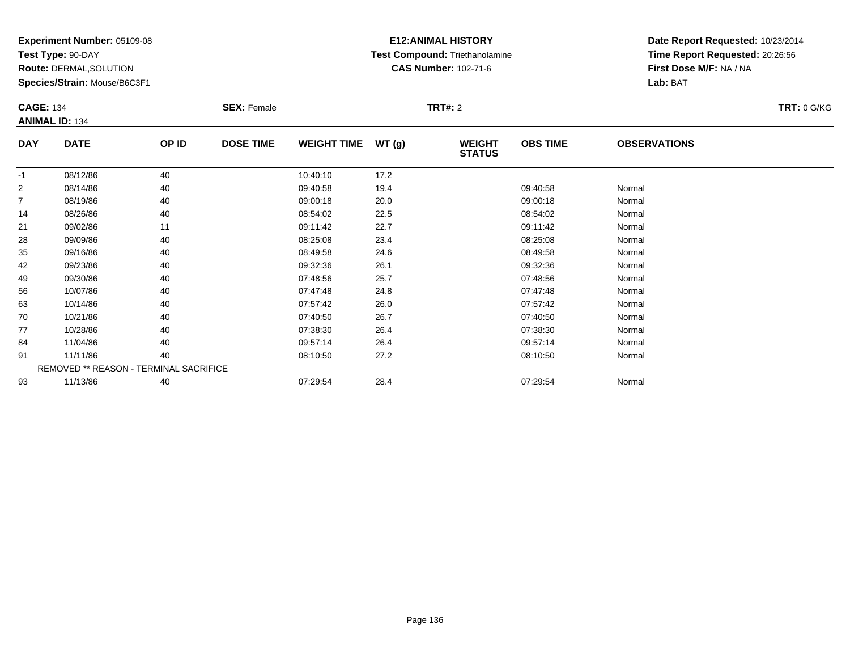**Test Type:** 90-DAY

**Route:** DERMAL,SOLUTION

**Species/Strain:** Mouse/B6C3F1

# **E12:ANIMAL HISTORY Test Compound:** Triethanolamine**CAS Number:** 102-71-6

| <b>CAGE: 134</b> | <b>SEX: Female</b><br><b>ANIMAL ID: 134</b> |       |                  |                    |       | <b>TRT: 0 G/KG</b>             |                 |                     |  |
|------------------|---------------------------------------------|-------|------------------|--------------------|-------|--------------------------------|-----------------|---------------------|--|
|                  |                                             |       |                  |                    |       |                                |                 |                     |  |
| <b>DAY</b>       | <b>DATE</b>                                 | OP ID | <b>DOSE TIME</b> | <b>WEIGHT TIME</b> | WT(g) | <b>WEIGHT</b><br><b>STATUS</b> | <b>OBS TIME</b> | <b>OBSERVATIONS</b> |  |
| $-1$             | 08/12/86                                    | 40    |                  | 10:40:10           | 17.2  |                                |                 |                     |  |
| $\overline{2}$   | 08/14/86                                    | 40    |                  | 09:40:58           | 19.4  |                                | 09:40:58        | Normal              |  |
| $\overline{7}$   | 08/19/86                                    | 40    |                  | 09:00:18           | 20.0  |                                | 09:00:18        | Normal              |  |
| 14               | 08/26/86                                    | 40    |                  | 08:54:02           | 22.5  |                                | 08:54:02        | Normal              |  |
| 21               | 09/02/86                                    | 11    |                  | 09:11:42           | 22.7  |                                | 09:11:42        | Normal              |  |
| 28               | 09/09/86                                    | 40    |                  | 08:25:08           | 23.4  |                                | 08:25:08        | Normal              |  |
| 35               | 09/16/86                                    | 40    |                  | 08:49:58           | 24.6  |                                | 08:49:58        | Normal              |  |
| 42               | 09/23/86                                    | 40    |                  | 09:32:36           | 26.1  |                                | 09:32:36        | Normal              |  |
| 49               | 09/30/86                                    | 40    |                  | 07:48:56           | 25.7  |                                | 07:48:56        | Normal              |  |
| 56               | 10/07/86                                    | 40    |                  | 07:47:48           | 24.8  |                                | 07:47:48        | Normal              |  |
| 63               | 10/14/86                                    | 40    |                  | 07:57:42           | 26.0  |                                | 07:57:42        | Normal              |  |
| 70               | 10/21/86                                    | 40    |                  | 07:40:50           | 26.7  |                                | 07:40:50        | Normal              |  |
| 77               | 10/28/86                                    | 40    |                  | 07:38:30           | 26.4  |                                | 07:38:30        | Normal              |  |
| 84               | 11/04/86                                    | 40    |                  | 09:57:14           | 26.4  |                                | 09:57:14        | Normal              |  |
| 91               | 11/11/86                                    | 40    |                  | 08:10:50           | 27.2  |                                | 08:10:50        | Normal              |  |
|                  | REMOVED ** REASON - TERMINAL SACRIFICE      |       |                  |                    |       |                                |                 |                     |  |
| 93               | 11/13/86                                    | 40    |                  | 07:29:54           | 28.4  |                                | 07:29:54        | Normal              |  |
|                  |                                             |       |                  |                    |       |                                |                 |                     |  |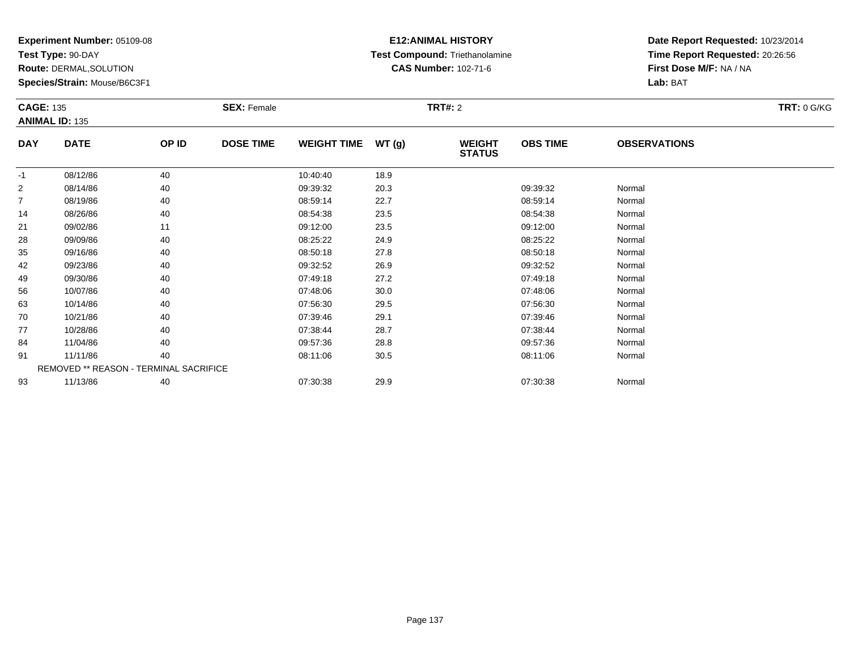**Test Type:** 90-DAY

**Route:** DERMAL,SOLUTION

**Species/Strain:** Mouse/B6C3F1

# **E12:ANIMAL HISTORY Test Compound:** Triethanolamine**CAS Number:** 102-71-6

|            | <b>SEX: Female</b><br><b>CAGE: 135</b><br><b>ANIMAL ID: 135</b> |                                        |                  |                    |       | <b>TRT: 0 G/KG</b>             |                 |                     |  |
|------------|-----------------------------------------------------------------|----------------------------------------|------------------|--------------------|-------|--------------------------------|-----------------|---------------------|--|
| <b>DAY</b> | <b>DATE</b>                                                     | OP ID                                  | <b>DOSE TIME</b> | <b>WEIGHT TIME</b> | WT(g) | <b>WEIGHT</b><br><b>STATUS</b> | <b>OBS TIME</b> | <b>OBSERVATIONS</b> |  |
| $-1$       | 08/12/86                                                        | 40                                     |                  | 10:40:40           | 18.9  |                                |                 |                     |  |
| 2          | 08/14/86                                                        | 40                                     |                  | 09:39:32           | 20.3  |                                | 09:39:32        | Normal              |  |
| 7          | 08/19/86                                                        | 40                                     |                  | 08:59:14           | 22.7  |                                | 08:59:14        | Normal              |  |
| 14         | 08/26/86                                                        | 40                                     |                  | 08:54:38           | 23.5  |                                | 08:54:38        | Normal              |  |
| 21         | 09/02/86                                                        | 11                                     |                  | 09:12:00           | 23.5  |                                | 09:12:00        | Normal              |  |
| 28         | 09/09/86                                                        | 40                                     |                  | 08:25:22           | 24.9  |                                | 08:25:22        | Normal              |  |
| 35         | 09/16/86                                                        | 40                                     |                  | 08:50:18           | 27.8  |                                | 08:50:18        | Normal              |  |
| 42         | 09/23/86                                                        | 40                                     |                  | 09:32:52           | 26.9  |                                | 09:32:52        | Normal              |  |
| 49         | 09/30/86                                                        | 40                                     |                  | 07:49:18           | 27.2  |                                | 07:49:18        | Normal              |  |
| 56         | 10/07/86                                                        | 40                                     |                  | 07:48:06           | 30.0  |                                | 07:48:06        | Normal              |  |
| 63         | 10/14/86                                                        | 40                                     |                  | 07:56:30           | 29.5  |                                | 07:56:30        | Normal              |  |
| 70         | 10/21/86                                                        | 40                                     |                  | 07:39:46           | 29.1  |                                | 07:39:46        | Normal              |  |
| 77         | 10/28/86                                                        | 40                                     |                  | 07:38:44           | 28.7  |                                | 07:38:44        | Normal              |  |
| 84         | 11/04/86                                                        | 40                                     |                  | 09:57:36           | 28.8  |                                | 09:57:36        | Normal              |  |
| 91         | 11/11/86                                                        | 40                                     |                  | 08:11:06           | 30.5  |                                | 08:11:06        | Normal              |  |
|            |                                                                 | REMOVED ** REASON - TERMINAL SACRIFICE |                  |                    |       |                                |                 |                     |  |
| 93         | 11/13/86                                                        | 40                                     |                  | 07:30:38           | 29.9  |                                | 07:30:38        | Normal              |  |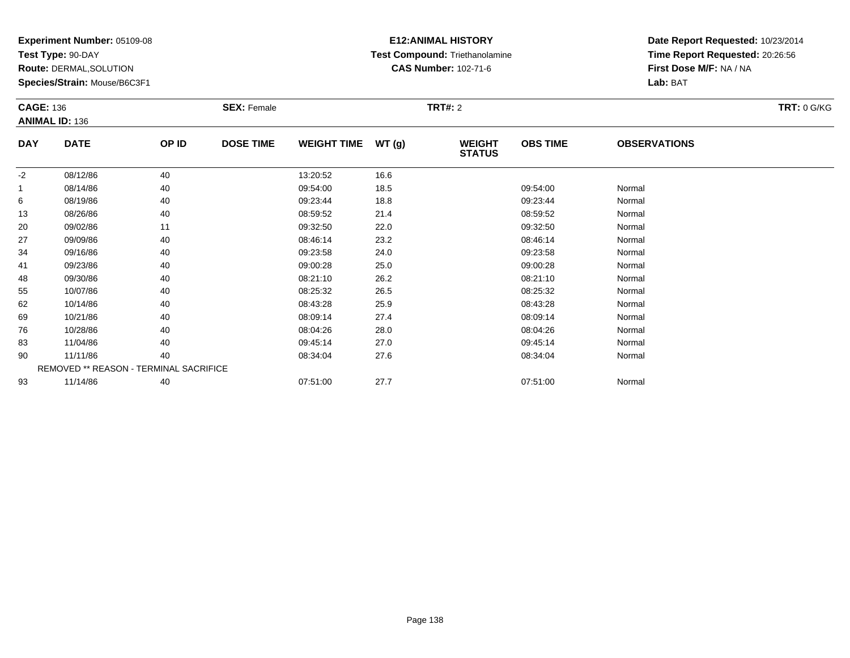**Test Type:** 90-DAY

**Route:** DERMAL,SOLUTION

**Species/Strain:** Mouse/B6C3F1

# **E12:ANIMAL HISTORY Test Compound:** Triethanolamine**CAS Number:** 102-71-6

| <b>ANIMAL ID: 136</b><br><b>DOSE TIME</b><br><b>OBS TIME</b><br><b>DATE</b><br>OP ID<br><b>WEIGHT TIME</b><br>WT(g)<br><b>OBSERVATIONS</b><br><b>DAY</b><br><b>WEIGHT</b><br><b>STATUS</b> |  |
|--------------------------------------------------------------------------------------------------------------------------------------------------------------------------------------------|--|
|                                                                                                                                                                                            |  |
|                                                                                                                                                                                            |  |
| $-2$<br>40<br>08/12/86<br>13:20:52<br>16.6                                                                                                                                                 |  |
| 40<br>18.5<br>09:54:00<br>08/14/86<br>09:54:00<br>Normal                                                                                                                                   |  |
| 08/19/86<br>40<br>09:23:44<br>18.8<br>09:23:44<br>6<br>Normal                                                                                                                              |  |
| 40<br>13<br>08/26/86<br>08:59:52<br>21.4<br>08:59:52<br>Normal                                                                                                                             |  |
| 20<br>09/02/86<br>11<br>09:32:50<br>22.0<br>09:32:50<br>Normal                                                                                                                             |  |
| 23.2<br>09/09/86<br>40<br>08:46:14<br>08:46:14<br>Normal<br>27                                                                                                                             |  |
| 34<br>09/16/86<br>40<br>09:23:58<br>24.0<br>09:23:58<br>Normal                                                                                                                             |  |
| 40<br>25.0<br>09:00:28<br>41<br>09/23/86<br>09:00:28<br>Normal                                                                                                                             |  |
| 40<br>08:21:10<br>26.2<br>08:21:10<br>Normal<br>48<br>09/30/86                                                                                                                             |  |
| 40<br>26.5<br>55<br>10/07/86<br>08:25:32<br>08:25:32<br>Normal                                                                                                                             |  |
| 25.9<br>62<br>10/14/86<br>40<br>08:43:28<br>08:43:28<br>Normal                                                                                                                             |  |
| 69<br>10/21/86<br>40<br>08:09:14<br>27.4<br>08:09:14<br>Normal                                                                                                                             |  |
| 76<br>40<br>08:04:26<br>28.0<br>08:04:26<br>Normal<br>10/28/86                                                                                                                             |  |
| 83<br>11/04/86<br>40<br>09:45:14<br>27.0<br>09:45:14<br>Normal                                                                                                                             |  |
| 11/11/86<br>40<br>90<br>08:34:04<br>27.6<br>08:34:04<br>Normal                                                                                                                             |  |
| REMOVED ** REASON - TERMINAL SACRIFICE                                                                                                                                                     |  |
| 27.7<br>11/14/86<br>40<br>93<br>07:51:00<br>07:51:00<br>Normal                                                                                                                             |  |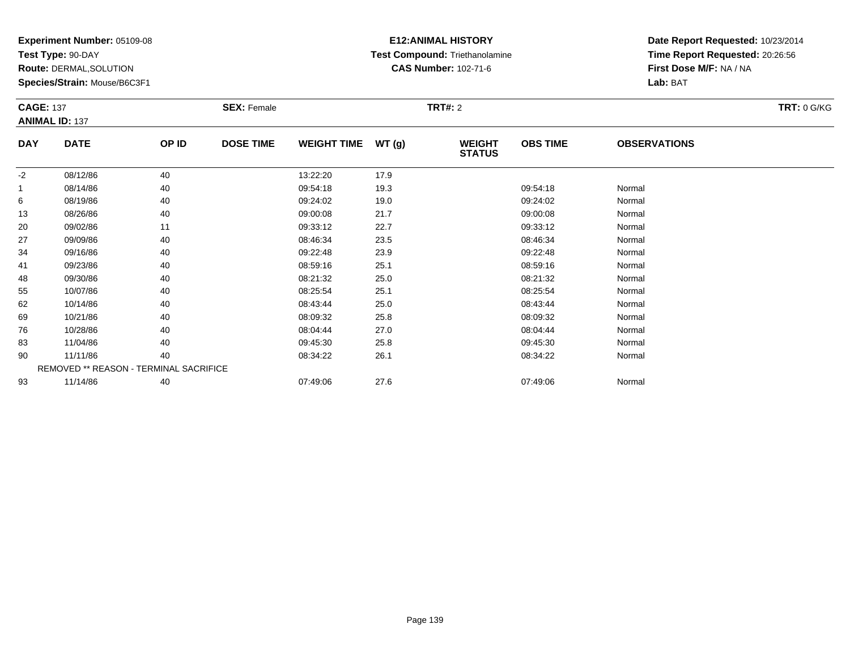**Test Type:** 90-DAY

**Route:** DERMAL,SOLUTION

**Species/Strain:** Mouse/B6C3F1

# **E12:ANIMAL HISTORY Test Compound:** Triethanolamine**CAS Number:** 102-71-6

|            | <b>CAGE: 137</b>                       |       | <b>SEX: Female</b> |                    |       | <b>TRT: 0 G/KG</b>             |                 |                     |  |
|------------|----------------------------------------|-------|--------------------|--------------------|-------|--------------------------------|-----------------|---------------------|--|
|            | <b>ANIMAL ID: 137</b>                  |       |                    |                    |       |                                |                 |                     |  |
| <b>DAY</b> | <b>DATE</b>                            | OP ID | <b>DOSE TIME</b>   | <b>WEIGHT TIME</b> | WT(g) | <b>WEIGHT</b><br><b>STATUS</b> | <b>OBS TIME</b> | <b>OBSERVATIONS</b> |  |
| $-2$       | 08/12/86                               | 40    |                    | 13:22:20           | 17.9  |                                |                 |                     |  |
|            | 08/14/86                               | 40    |                    | 09:54:18           | 19.3  |                                | 09:54:18        | Normal              |  |
| 6          | 08/19/86                               | 40    |                    | 09:24:02           | 19.0  |                                | 09:24:02        | Normal              |  |
| 13         | 08/26/86                               | 40    |                    | 09:00:08           | 21.7  |                                | 09:00:08        | Normal              |  |
| 20         | 09/02/86                               | 11    |                    | 09:33:12           | 22.7  |                                | 09:33:12        | Normal              |  |
| 27         | 09/09/86                               | 40    |                    | 08:46:34           | 23.5  |                                | 08:46:34        | Normal              |  |
| 34         | 09/16/86                               | 40    |                    | 09:22:48           | 23.9  |                                | 09:22:48        | Normal              |  |
| 41         | 09/23/86                               | 40    |                    | 08:59:16           | 25.1  |                                | 08:59:16        | Normal              |  |
| 48         | 09/30/86                               | 40    |                    | 08:21:32           | 25.0  |                                | 08:21:32        | Normal              |  |
| 55         | 10/07/86                               | 40    |                    | 08:25:54           | 25.1  |                                | 08:25:54        | Normal              |  |
| 62         | 10/14/86                               | 40    |                    | 08:43:44           | 25.0  |                                | 08:43:44        | Normal              |  |
| 69         | 10/21/86                               | 40    |                    | 08:09:32           | 25.8  |                                | 08:09:32        | Normal              |  |
| 76         | 10/28/86                               | 40    |                    | 08:04:44           | 27.0  |                                | 08:04:44        | Normal              |  |
| 83         | 11/04/86                               | 40    |                    | 09:45:30           | 25.8  |                                | 09:45:30        | Normal              |  |
| 90         | 11/11/86                               | 40    |                    | 08:34:22           | 26.1  |                                | 08:34:22        | Normal              |  |
|            | REMOVED ** REASON - TERMINAL SACRIFICE |       |                    |                    |       |                                |                 |                     |  |
| 93         | 11/14/86                               | 40    |                    | 07:49:06           | 27.6  |                                | 07:49:06        | Normal              |  |
|            |                                        |       |                    |                    |       |                                |                 |                     |  |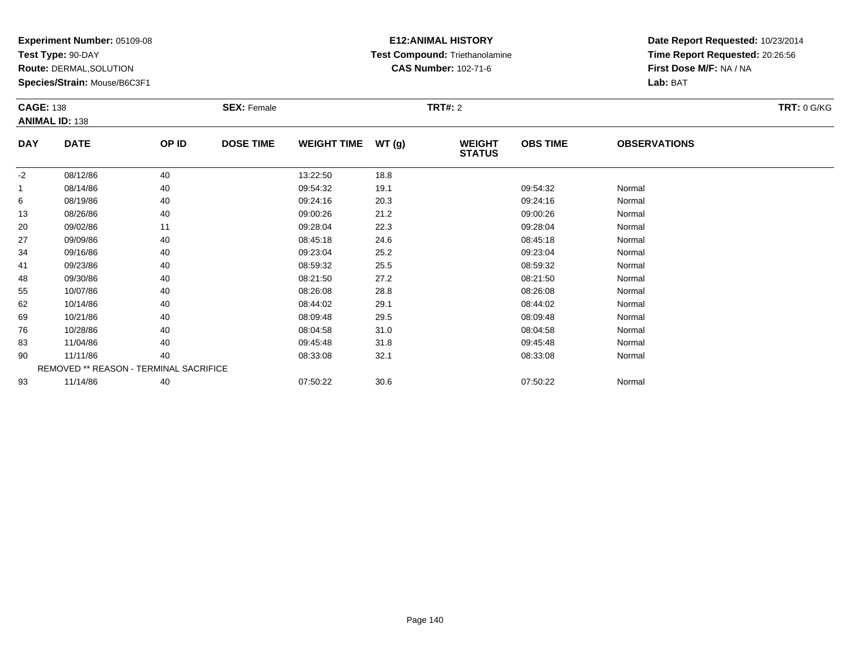**Test Type:** 90-DAY

**Route:** DERMAL,SOLUTION

**Species/Strain:** Mouse/B6C3F1

# **E12:ANIMAL HISTORY Test Compound:** Triethanolamine**CAS Number:** 102-71-6

|            | <b>CAGE: 138</b><br><b>SEX: Female</b><br><b>ANIMAL ID: 138</b> |       |                  |                    |       | <b>TRT: 0 G/KG</b>             |                 |                     |  |
|------------|-----------------------------------------------------------------|-------|------------------|--------------------|-------|--------------------------------|-----------------|---------------------|--|
| <b>DAY</b> | <b>DATE</b>                                                     | OP ID | <b>DOSE TIME</b> | <b>WEIGHT TIME</b> | WT(g) | <b>WEIGHT</b><br><b>STATUS</b> | <b>OBS TIME</b> | <b>OBSERVATIONS</b> |  |
| $-2$       | 08/12/86                                                        | 40    |                  | 13:22:50           | 18.8  |                                |                 |                     |  |
|            | 08/14/86                                                        | 40    |                  | 09:54:32           | 19.1  |                                | 09:54:32        | Normal              |  |
| 6          | 08/19/86                                                        | 40    |                  | 09:24:16           | 20.3  |                                | 09:24:16        | Normal              |  |
| 13         | 08/26/86                                                        | 40    |                  | 09:00:26           | 21.2  |                                | 09:00:26        | Normal              |  |
| 20         | 09/02/86                                                        | 11    |                  | 09:28:04           | 22.3  |                                | 09:28:04        | Normal              |  |
| 27         | 09/09/86                                                        | 40    |                  | 08:45:18           | 24.6  |                                | 08:45:18        | Normal              |  |
| 34         | 09/16/86                                                        | 40    |                  | 09:23:04           | 25.2  |                                | 09:23:04        | Normal              |  |
| 41         | 09/23/86                                                        | 40    |                  | 08:59:32           | 25.5  |                                | 08:59:32        | Normal              |  |
| 48         | 09/30/86                                                        | 40    |                  | 08:21:50           | 27.2  |                                | 08:21:50        | Normal              |  |
| 55         | 10/07/86                                                        | 40    |                  | 08:26:08           | 28.8  |                                | 08:26:08        | Normal              |  |
| 62         | 10/14/86                                                        | 40    |                  | 08:44:02           | 29.1  |                                | 08:44:02        | Normal              |  |
| 69         | 10/21/86                                                        | 40    |                  | 08:09:48           | 29.5  |                                | 08:09:48        | Normal              |  |
| 76         | 10/28/86                                                        | 40    |                  | 08:04:58           | 31.0  |                                | 08:04:58        | Normal              |  |
| 83         | 11/04/86                                                        | 40    |                  | 09:45:48           | 31.8  |                                | 09:45:48        | Normal              |  |
| 90         | 11/11/86                                                        | 40    |                  | 08:33:08           | 32.1  |                                | 08:33:08        | Normal              |  |
|            | REMOVED ** REASON - TERMINAL SACRIFICE                          |       |                  |                    |       |                                |                 |                     |  |
| 93         | 11/14/86                                                        | 40    |                  | 07:50:22           | 30.6  |                                | 07:50:22        | Normal              |  |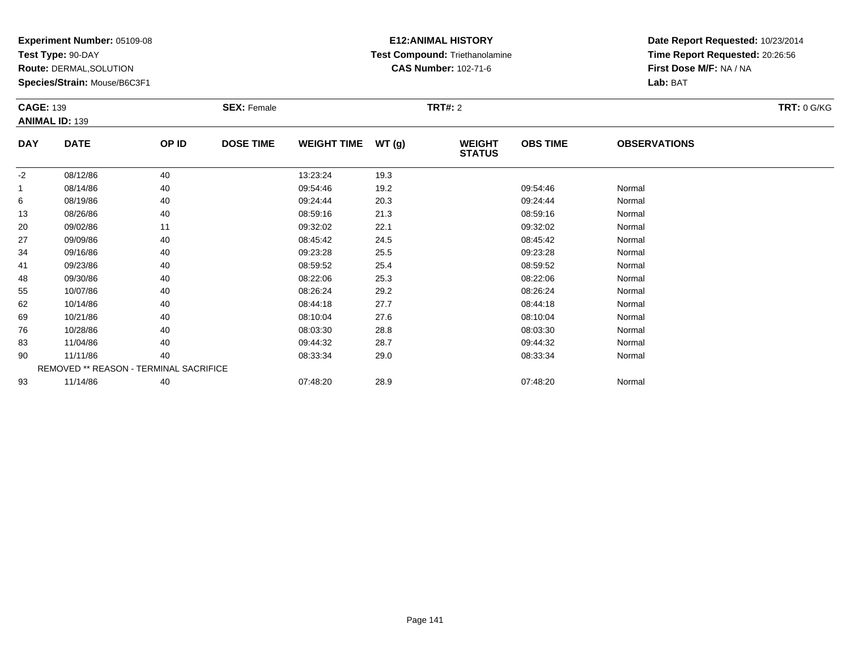**Test Type:** 90-DAY

**Route:** DERMAL,SOLUTION

**Species/Strain:** Mouse/B6C3F1

# **E12:ANIMAL HISTORY Test Compound:** Triethanolamine**CAS Number:** 102-71-6

|            | <b>CAGE: 139</b><br><b>SEX: Female</b> |       |                  |                    |       | <b>TRT: 0 G/KG</b>             |                 |                     |  |
|------------|----------------------------------------|-------|------------------|--------------------|-------|--------------------------------|-----------------|---------------------|--|
|            | <b>ANIMAL ID: 139</b>                  |       |                  |                    |       |                                |                 |                     |  |
| <b>DAY</b> | <b>DATE</b>                            | OP ID | <b>DOSE TIME</b> | <b>WEIGHT TIME</b> | WT(g) | <b>WEIGHT</b><br><b>STATUS</b> | <b>OBS TIME</b> | <b>OBSERVATIONS</b> |  |
| $-2$       | 08/12/86                               | 40    |                  | 13:23:24           | 19.3  |                                |                 |                     |  |
|            | 08/14/86                               | 40    |                  | 09:54:46           | 19.2  |                                | 09:54:46        | Normal              |  |
| 6          | 08/19/86                               | 40    |                  | 09:24:44           | 20.3  |                                | 09:24:44        | Normal              |  |
| 13         | 08/26/86                               | 40    |                  | 08:59:16           | 21.3  |                                | 08:59:16        | Normal              |  |
| 20         | 09/02/86                               | 11    |                  | 09:32:02           | 22.1  |                                | 09:32:02        | Normal              |  |
| 27         | 09/09/86                               | 40    |                  | 08:45:42           | 24.5  |                                | 08:45:42        | Normal              |  |
| 34         | 09/16/86                               | 40    |                  | 09:23:28           | 25.5  |                                | 09:23:28        | Normal              |  |
| 41         | 09/23/86                               | 40    |                  | 08:59:52           | 25.4  |                                | 08:59:52        | Normal              |  |
| 48         | 09/30/86                               | 40    |                  | 08:22:06           | 25.3  |                                | 08:22:06        | Normal              |  |
| 55         | 10/07/86                               | 40    |                  | 08:26:24           | 29.2  |                                | 08:26:24        | Normal              |  |
| 62         | 10/14/86                               | 40    |                  | 08:44:18           | 27.7  |                                | 08:44:18        | Normal              |  |
| 69         | 10/21/86                               | 40    |                  | 08:10:04           | 27.6  |                                | 08:10:04        | Normal              |  |
| 76         | 10/28/86                               | 40    |                  | 08:03:30           | 28.8  |                                | 08:03:30        | Normal              |  |
| 83         | 11/04/86                               | 40    |                  | 09:44:32           | 28.7  |                                | 09:44:32        | Normal              |  |
| 90         | 11/11/86                               | 40    |                  | 08:33:34           | 29.0  |                                | 08:33:34        | Normal              |  |
|            | REMOVED ** REASON - TERMINAL SACRIFICE |       |                  |                    |       |                                |                 |                     |  |
| 93         | 11/14/86                               | 40    |                  | 07:48:20           | 28.9  |                                | 07:48:20        | Normal              |  |
|            |                                        |       |                  |                    |       |                                |                 |                     |  |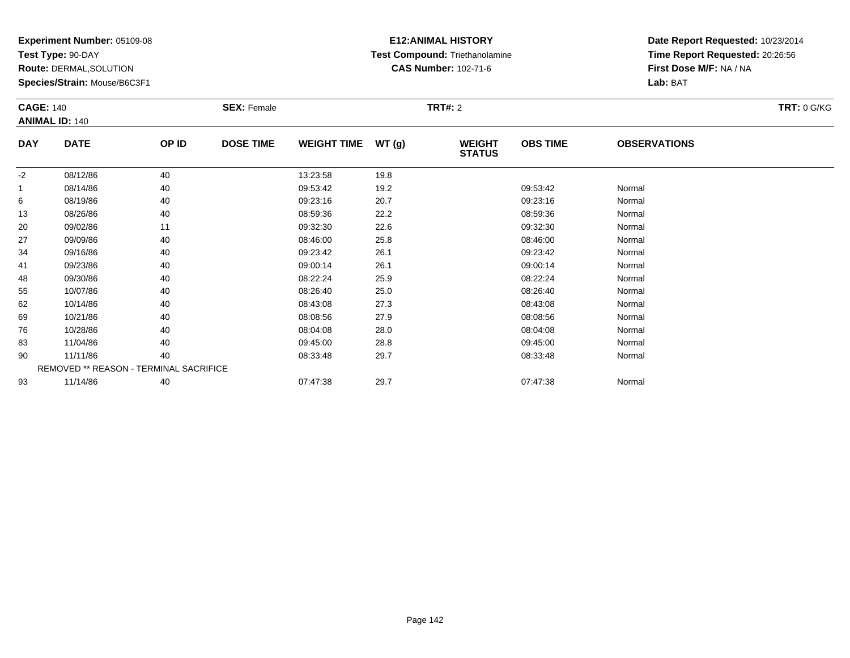**Test Type:** 90-DAY

**Route:** DERMAL,SOLUTION

**Species/Strain:** Mouse/B6C3F1

# **E12:ANIMAL HISTORY Test Compound:** Triethanolamine**CAS Number:** 102-71-6

|            | <b>SEX: Female</b><br><b>CAGE: 140</b><br><b>ANIMAL ID: 140</b> |                                        |                  |                    |       | <b>TRT: 0 G/KG</b>             |                 |                     |  |
|------------|-----------------------------------------------------------------|----------------------------------------|------------------|--------------------|-------|--------------------------------|-----------------|---------------------|--|
| <b>DAY</b> | <b>DATE</b>                                                     | OP ID                                  | <b>DOSE TIME</b> | <b>WEIGHT TIME</b> | WT(g) | <b>WEIGHT</b><br><b>STATUS</b> | <b>OBS TIME</b> | <b>OBSERVATIONS</b> |  |
| $-2$       | 08/12/86                                                        | 40                                     |                  | 13:23:58           | 19.8  |                                |                 |                     |  |
|            | 08/14/86                                                        | 40                                     |                  | 09:53:42           | 19.2  |                                | 09:53:42        | Normal              |  |
| 6          | 08/19/86                                                        | 40                                     |                  | 09:23:16           | 20.7  |                                | 09:23:16        | Normal              |  |
| 13         | 08/26/86                                                        | 40                                     |                  | 08:59:36           | 22.2  |                                | 08:59:36        | Normal              |  |
| 20         | 09/02/86                                                        | 11                                     |                  | 09:32:30           | 22.6  |                                | 09:32:30        | Normal              |  |
| 27         | 09/09/86                                                        | 40                                     |                  | 08:46:00           | 25.8  |                                | 08:46:00        | Normal              |  |
| 34         | 09/16/86                                                        | 40                                     |                  | 09:23:42           | 26.1  |                                | 09:23:42        | Normal              |  |
| 41         | 09/23/86                                                        | 40                                     |                  | 09:00:14           | 26.1  |                                | 09:00:14        | Normal              |  |
| 48         | 09/30/86                                                        | 40                                     |                  | 08:22:24           | 25.9  |                                | 08:22:24        | Normal              |  |
| 55         | 10/07/86                                                        | 40                                     |                  | 08:26:40           | 25.0  |                                | 08:26:40        | Normal              |  |
| 62         | 10/14/86                                                        | 40                                     |                  | 08:43:08           | 27.3  |                                | 08:43:08        | Normal              |  |
| 69         | 10/21/86                                                        | 40                                     |                  | 08:08:56           | 27.9  |                                | 08:08:56        | Normal              |  |
| 76         | 10/28/86                                                        | 40                                     |                  | 08:04:08           | 28.0  |                                | 08:04:08        | Normal              |  |
| 83         | 11/04/86                                                        | 40                                     |                  | 09:45:00           | 28.8  |                                | 09:45:00        | Normal              |  |
| 90         | 11/11/86                                                        | 40                                     |                  | 08:33:48           | 29.7  |                                | 08:33:48        | Normal              |  |
|            |                                                                 | REMOVED ** REASON - TERMINAL SACRIFICE |                  |                    |       |                                |                 |                     |  |
| 93         | 11/14/86                                                        | 40                                     |                  | 07:47:38           | 29.7  |                                | 07:47:38        | Normal              |  |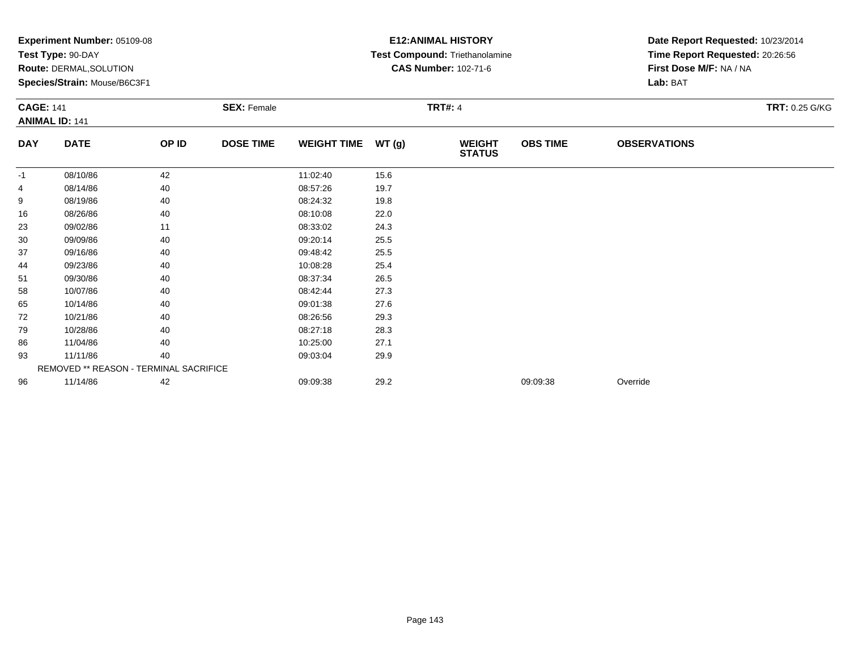|                  | Experiment Number: 05109-08<br>Test Type: 90-DAY<br><b>Route: DERMAL, SOLUTION</b><br>Species/Strain: Mouse/B6C3F1 |       |                                      |                    |       | <b>E12: ANIMAL HISTORY</b><br>Test Compound: Triethanolamine<br><b>CAS Number: 102-71-6</b> | Date Report Requested: 10/23/2014<br>Time Report Requested: 20:26:56<br>First Dose M/F: NA / NA<br>Lab: BAT |                     |  |
|------------------|--------------------------------------------------------------------------------------------------------------------|-------|--------------------------------------|--------------------|-------|---------------------------------------------------------------------------------------------|-------------------------------------------------------------------------------------------------------------|---------------------|--|
| <b>CAGE: 141</b> | <b>ANIMAL ID: 141</b>                                                                                              |       | <b>TRT#: 4</b><br><b>SEX: Female</b> |                    |       |                                                                                             | TRT: 0.25 G/KG                                                                                              |                     |  |
| <b>DAY</b>       | <b>DATE</b>                                                                                                        | OP ID | <b>DOSE TIME</b>                     | <b>WEIGHT TIME</b> | WT(g) | <b>WEIGHT</b><br><b>STATUS</b>                                                              | <b>OBS TIME</b>                                                                                             | <b>OBSERVATIONS</b> |  |
| $-1$             | 08/10/86                                                                                                           | 42    |                                      | 11:02:40           | 15.6  |                                                                                             |                                                                                                             |                     |  |
|                  | 08/14/86                                                                                                           | 40    |                                      | 08:57:26           | 19.7  |                                                                                             |                                                                                                             |                     |  |
| 9                | 08/19/86                                                                                                           | 40    |                                      | 08:24:32           | 19.8  |                                                                                             |                                                                                                             |                     |  |
| 16               | 08/26/86                                                                                                           | 40    |                                      | 08:10:08           | 22.0  |                                                                                             |                                                                                                             |                     |  |
| 23               | 09/02/86                                                                                                           | 11    |                                      | 08:33:02           | 24.3  |                                                                                             |                                                                                                             |                     |  |
| 30               | 09/09/86                                                                                                           | 40    |                                      | 09:20:14           | 25.5  |                                                                                             |                                                                                                             |                     |  |
| 37               | 09/16/86                                                                                                           | 40    |                                      | 09:48:42           | 25.5  |                                                                                             |                                                                                                             |                     |  |
| 44               | 09/23/86                                                                                                           | 40    |                                      | 10:08:28           | 25.4  |                                                                                             |                                                                                                             |                     |  |
| 51               | 09/30/86                                                                                                           | 40    |                                      | 08:37:34           | 26.5  |                                                                                             |                                                                                                             |                     |  |
| 58               | 10/07/86                                                                                                           | 40    |                                      | 08:42:44           | 27.3  |                                                                                             |                                                                                                             |                     |  |
| 65               | 10/14/86                                                                                                           | 40    |                                      | 09:01:38           | 27.6  |                                                                                             |                                                                                                             |                     |  |
| 72               | 10/21/86                                                                                                           | 40    |                                      | 08:26:56           | 29.3  |                                                                                             |                                                                                                             |                     |  |
| 79               | 10/28/86                                                                                                           | 40    |                                      | 08:27:18           | 28.3  |                                                                                             |                                                                                                             |                     |  |
| 86               | 11/04/86                                                                                                           | 40    |                                      | 10:25:00           | 27.1  |                                                                                             |                                                                                                             |                     |  |
| 93               | 11/11/86                                                                                                           | 40    |                                      | 09:03:04           | 29.9  |                                                                                             |                                                                                                             |                     |  |
|                  | REMOVED ** REASON - TERMINAL SACRIFICE                                                                             |       |                                      |                    |       |                                                                                             |                                                                                                             |                     |  |
| 96               | 11/14/86                                                                                                           | 42    |                                      | 09:09:38           | 29.2  |                                                                                             | 09:09:38                                                                                                    | Override            |  |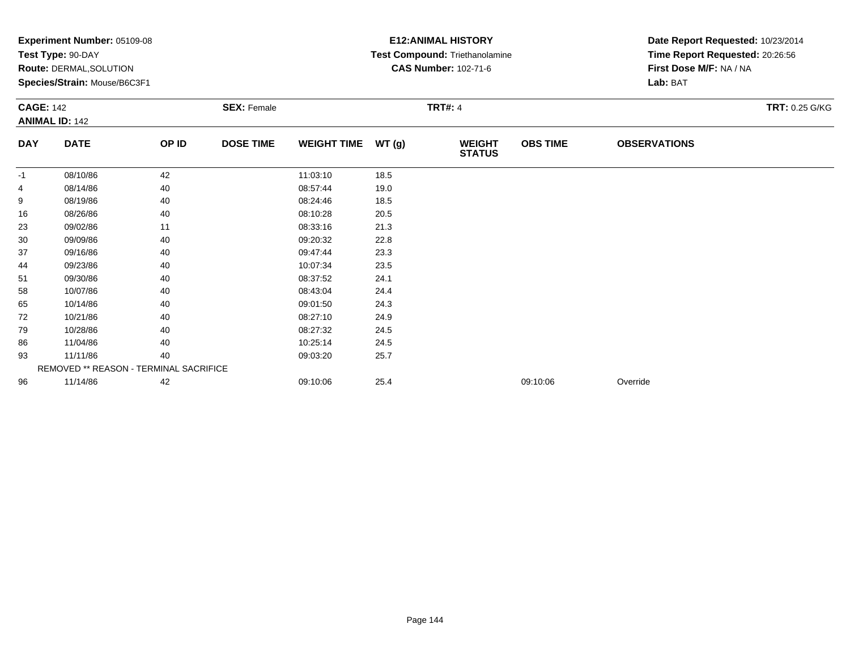| Experiment Number: 05109-08<br>Test Type: 90-DAY<br>Route: DERMAL, SOLUTION<br>Species/Strain: Mouse/B6C3F1 |                                        |                                      |                  |                    | <b>E12: ANIMAL HISTORY</b><br>Test Compound: Triethanolamine<br><b>CAS Number: 102-71-6</b> | Date Report Requested: 10/23/2014<br>Time Report Requested: 20:26:56<br>First Dose M/F: NA / NA<br>Lab: BAT |                 |                     |  |
|-------------------------------------------------------------------------------------------------------------|----------------------------------------|--------------------------------------|------------------|--------------------|---------------------------------------------------------------------------------------------|-------------------------------------------------------------------------------------------------------------|-----------------|---------------------|--|
| <b>CAGE: 142</b><br><b>ANIMAL ID: 142</b>                                                                   |                                        | <b>TRT#: 4</b><br><b>SEX: Female</b> |                  |                    |                                                                                             |                                                                                                             | TRT: 0.25 G/KG  |                     |  |
| <b>DAY</b>                                                                                                  | <b>DATE</b>                            | OP ID                                | <b>DOSE TIME</b> | <b>WEIGHT TIME</b> | WT (g)                                                                                      | <b>WEIGHT</b><br><b>STATUS</b>                                                                              | <b>OBS TIME</b> | <b>OBSERVATIONS</b> |  |
| $-1$                                                                                                        | 08/10/86                               | 42                                   |                  | 11:03:10           | 18.5                                                                                        |                                                                                                             |                 |                     |  |
|                                                                                                             | 08/14/86                               | 40                                   |                  | 08:57:44           | 19.0                                                                                        |                                                                                                             |                 |                     |  |
| 9                                                                                                           | 08/19/86                               | 40                                   |                  | 08:24:46           | 18.5                                                                                        |                                                                                                             |                 |                     |  |
| 16                                                                                                          | 08/26/86                               | 40                                   |                  | 08:10:28           | 20.5                                                                                        |                                                                                                             |                 |                     |  |
| 23                                                                                                          | 09/02/86                               | 11                                   |                  | 08:33:16           | 21.3                                                                                        |                                                                                                             |                 |                     |  |
| 30                                                                                                          | 09/09/86                               | 40                                   |                  | 09:20:32           | 22.8                                                                                        |                                                                                                             |                 |                     |  |
| 37                                                                                                          | 09/16/86                               | 40                                   |                  | 09:47:44           | 23.3                                                                                        |                                                                                                             |                 |                     |  |
| 44                                                                                                          | 09/23/86                               | 40                                   |                  | 10:07:34           | 23.5                                                                                        |                                                                                                             |                 |                     |  |
| 51                                                                                                          | 09/30/86                               | 40                                   |                  | 08:37:52           | 24.1                                                                                        |                                                                                                             |                 |                     |  |
| 58                                                                                                          | 10/07/86                               | 40                                   |                  | 08:43:04           | 24.4                                                                                        |                                                                                                             |                 |                     |  |
| 65                                                                                                          | 10/14/86                               | 40                                   |                  | 09:01:50           | 24.3                                                                                        |                                                                                                             |                 |                     |  |
| 72                                                                                                          | 10/21/86                               | 40                                   |                  | 08:27:10           | 24.9                                                                                        |                                                                                                             |                 |                     |  |
| 79                                                                                                          | 10/28/86                               | 40                                   |                  | 08:27:32           | 24.5                                                                                        |                                                                                                             |                 |                     |  |
| 86                                                                                                          | 11/04/86                               | 40                                   |                  | 10:25:14           | 24.5                                                                                        |                                                                                                             |                 |                     |  |
| 93                                                                                                          | 11/11/86                               | 40                                   |                  | 09:03:20           | 25.7                                                                                        |                                                                                                             |                 |                     |  |
|                                                                                                             | REMOVED ** REASON - TERMINAL SACRIFICE |                                      |                  |                    |                                                                                             |                                                                                                             |                 |                     |  |
| 96                                                                                                          | 11/14/86                               | 42                                   |                  | 09:10:06           | 25.4                                                                                        |                                                                                                             | 09:10:06        | Override            |  |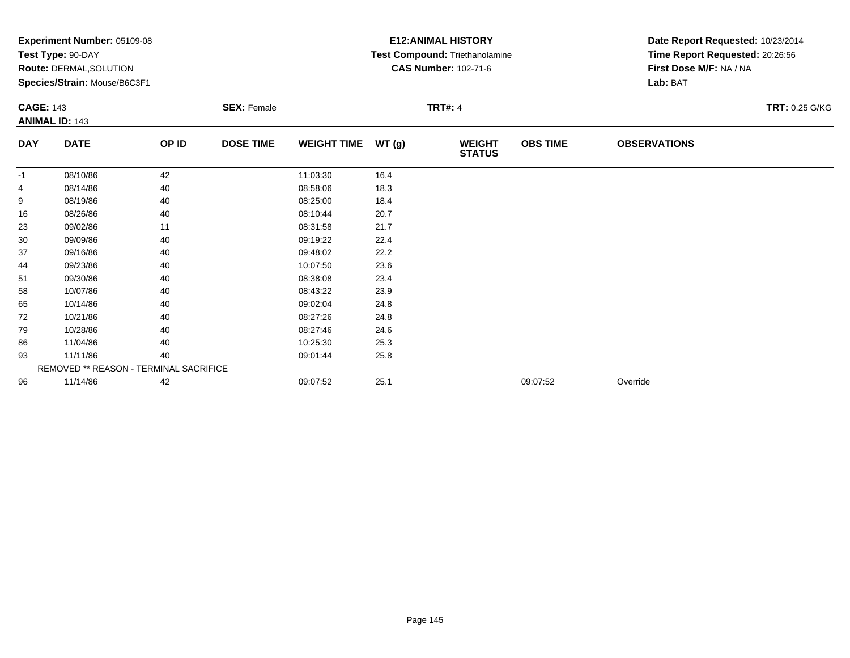|                  | Experiment Number: 05109-08<br>Test Type: 90-DAY<br><b>Route: DERMAL, SOLUTION</b><br>Species/Strain: Mouse/B6C3F1 |       |                    |                    |       | <b>E12: ANIMAL HISTORY</b><br>Test Compound: Triethanolamine<br><b>CAS Number: 102-71-6</b> | Date Report Requested: 10/23/2014<br>Time Report Requested: 20:26:56<br>First Dose M/F: NA / NA<br>Lab: BAT |                     |                |
|------------------|--------------------------------------------------------------------------------------------------------------------|-------|--------------------|--------------------|-------|---------------------------------------------------------------------------------------------|-------------------------------------------------------------------------------------------------------------|---------------------|----------------|
| <b>CAGE: 143</b> | <b>ANIMAL ID: 143</b>                                                                                              |       | <b>SEX: Female</b> |                    |       | <b>TRT#: 4</b>                                                                              |                                                                                                             |                     | TRT: 0.25 G/KG |
| <b>DAY</b>       | <b>DATE</b>                                                                                                        | OP ID | <b>DOSE TIME</b>   | <b>WEIGHT TIME</b> | WT(g) | <b>WEIGHT</b><br><b>STATUS</b>                                                              | <b>OBS TIME</b>                                                                                             | <b>OBSERVATIONS</b> |                |
| $-1$             | 08/10/86                                                                                                           | 42    |                    | 11:03:30           | 16.4  |                                                                                             |                                                                                                             |                     |                |
|                  | 08/14/86                                                                                                           | 40    |                    | 08:58:06           | 18.3  |                                                                                             |                                                                                                             |                     |                |
| 9                | 08/19/86                                                                                                           | 40    |                    | 08:25:00           | 18.4  |                                                                                             |                                                                                                             |                     |                |
| 16               | 08/26/86                                                                                                           | 40    |                    | 08:10:44           | 20.7  |                                                                                             |                                                                                                             |                     |                |
| 23               | 09/02/86                                                                                                           | 11    |                    | 08:31:58           | 21.7  |                                                                                             |                                                                                                             |                     |                |
| 30               | 09/09/86                                                                                                           | 40    |                    | 09:19:22           | 22.4  |                                                                                             |                                                                                                             |                     |                |
| 37               | 09/16/86                                                                                                           | 40    |                    | 09:48:02           | 22.2  |                                                                                             |                                                                                                             |                     |                |
| 44               | 09/23/86                                                                                                           | 40    |                    | 10:07:50           | 23.6  |                                                                                             |                                                                                                             |                     |                |
| 51               | 09/30/86                                                                                                           | 40    |                    | 08:38:08           | 23.4  |                                                                                             |                                                                                                             |                     |                |
| 58               | 10/07/86                                                                                                           | 40    |                    | 08:43:22           | 23.9  |                                                                                             |                                                                                                             |                     |                |
| 65               | 10/14/86                                                                                                           | 40    |                    | 09:02:04           | 24.8  |                                                                                             |                                                                                                             |                     |                |
| 72               | 10/21/86                                                                                                           | 40    |                    | 08:27:26           | 24.8  |                                                                                             |                                                                                                             |                     |                |
| 79               | 10/28/86                                                                                                           | 40    |                    | 08:27:46           | 24.6  |                                                                                             |                                                                                                             |                     |                |
| 86               | 11/04/86                                                                                                           | 40    |                    | 10:25:30           | 25.3  |                                                                                             |                                                                                                             |                     |                |
| 93               | 11/11/86                                                                                                           | 40    |                    | 09:01:44           | 25.8  |                                                                                             |                                                                                                             |                     |                |
|                  | REMOVED ** REASON - TERMINAL SACRIFICE                                                                             |       |                    |                    |       |                                                                                             |                                                                                                             |                     |                |
| 96               | 11/14/86                                                                                                           | 42    |                    | 09:07:52           | 25.1  |                                                                                             | 09:07:52                                                                                                    | Override            |                |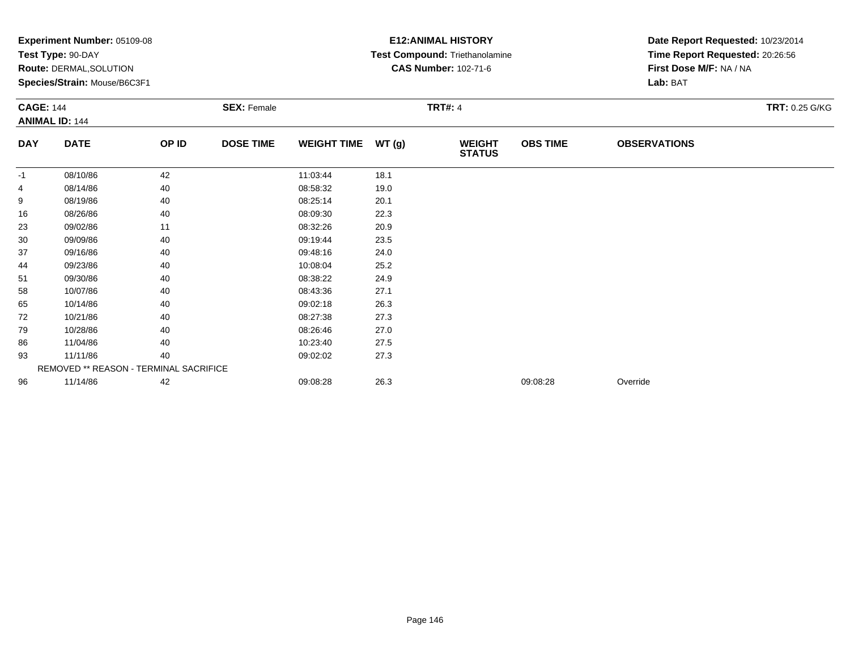|                  | Experiment Number: 05109-08<br>Test Type: 90-DAY |       |                    | <b>E12: ANIMAL HISTORY</b><br>Test Compound: Triethanolamine | Date Report Requested: 10/23/2014<br>Time Report Requested: 20:26:56 |                                |                 |                         |                |
|------------------|--------------------------------------------------|-------|--------------------|--------------------------------------------------------------|----------------------------------------------------------------------|--------------------------------|-----------------|-------------------------|----------------|
|                  | <b>Route: DERMAL, SOLUTION</b>                   |       |                    |                                                              |                                                                      | <b>CAS Number: 102-71-6</b>    |                 | First Dose M/F: NA / NA |                |
|                  | Species/Strain: Mouse/B6C3F1                     |       |                    |                                                              |                                                                      |                                |                 | Lab: BAT                |                |
| <b>CAGE: 144</b> |                                                  |       | <b>SEX: Female</b> |                                                              | <b>TRT#: 4</b>                                                       |                                |                 |                         | TRT: 0.25 G/KG |
|                  | <b>ANIMAL ID: 144</b>                            |       |                    |                                                              |                                                                      |                                |                 |                         |                |
| <b>DAY</b>       | <b>DATE</b>                                      | OP ID | <b>DOSE TIME</b>   | <b>WEIGHT TIME</b>                                           | WT (g)                                                               | <b>WEIGHT</b><br><b>STATUS</b> | <b>OBS TIME</b> | <b>OBSERVATIONS</b>     |                |
| $-1$             | 08/10/86                                         | 42    |                    | 11:03:44                                                     | 18.1                                                                 |                                |                 |                         |                |
|                  | 08/14/86                                         | 40    |                    | 08:58:32                                                     | 19.0                                                                 |                                |                 |                         |                |
| 9                | 08/19/86                                         | 40    |                    | 08:25:14                                                     | 20.1                                                                 |                                |                 |                         |                |
| 16               | 08/26/86                                         | 40    |                    | 08:09:30                                                     | 22.3                                                                 |                                |                 |                         |                |
| 23               | 09/02/86                                         | 11    |                    | 08:32:26                                                     | 20.9                                                                 |                                |                 |                         |                |
| 30               | 09/09/86                                         | 40    |                    | 09:19:44                                                     | 23.5                                                                 |                                |                 |                         |                |
| 37               | 09/16/86                                         | 40    |                    | 09:48:16                                                     | 24.0                                                                 |                                |                 |                         |                |
| 44               | 09/23/86                                         | 40    |                    | 10:08:04                                                     | 25.2                                                                 |                                |                 |                         |                |
| 51               | 09/30/86                                         | 40    |                    | 08:38:22                                                     | 24.9                                                                 |                                |                 |                         |                |
| 58               | 10/07/86                                         | 40    |                    | 08:43:36                                                     | 27.1                                                                 |                                |                 |                         |                |
| 65               | 10/14/86                                         | 40    |                    | 09:02:18                                                     | 26.3                                                                 |                                |                 |                         |                |
| 72               | 10/21/86                                         | 40    |                    | 08:27:38                                                     | 27.3                                                                 |                                |                 |                         |                |
| 79               | 10/28/86                                         | 40    |                    | 08:26:46                                                     | 27.0                                                                 |                                |                 |                         |                |
| 86               | 11/04/86                                         | 40    |                    | 10:23:40                                                     | 27.5                                                                 |                                |                 |                         |                |
| 93               | 11/11/86                                         | 40    |                    | 09:02:02                                                     | 27.3                                                                 |                                |                 |                         |                |
|                  | REMOVED ** REASON - TERMINAL SACRIFICE           |       |                    |                                                              |                                                                      |                                |                 |                         |                |
| 96               | 11/14/86                                         | 42    |                    | 09:08:28                                                     | 26.3                                                                 |                                | 09:08:28        | Override                |                |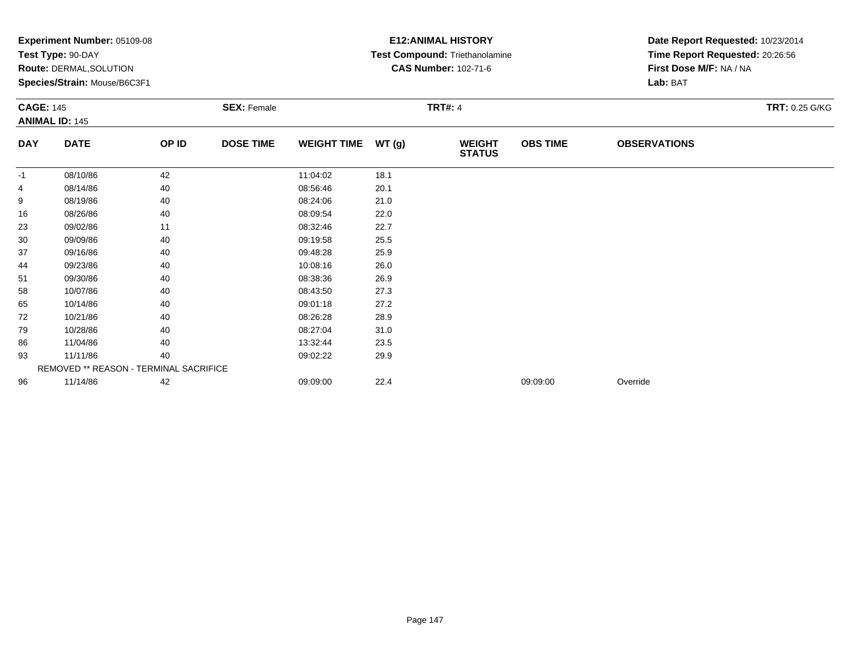|                  | Experiment Number: 05109-08<br>Test Type: 90-DAY<br><b>Route: DERMAL, SOLUTION</b><br>Species/Strain: Mouse/B6C3F1 |       |                    |                    |       | <b>E12: ANIMAL HISTORY</b><br>Test Compound: Triethanolamine<br><b>CAS Number: 102-71-6</b> | Date Report Requested: 10/23/2014<br>Time Report Requested: 20:26:56<br>First Dose M/F: NA / NA<br>Lab: BAT |                     |                |
|------------------|--------------------------------------------------------------------------------------------------------------------|-------|--------------------|--------------------|-------|---------------------------------------------------------------------------------------------|-------------------------------------------------------------------------------------------------------------|---------------------|----------------|
| <b>CAGE: 145</b> | <b>ANIMAL ID: 145</b>                                                                                              |       | <b>SEX: Female</b> |                    |       | <b>TRT#: 4</b>                                                                              |                                                                                                             |                     | TRT: 0.25 G/KG |
| <b>DAY</b>       | <b>DATE</b>                                                                                                        | OP ID | <b>DOSE TIME</b>   | <b>WEIGHT TIME</b> | WT(g) | <b>WEIGHT</b><br><b>STATUS</b>                                                              | <b>OBS TIME</b>                                                                                             | <b>OBSERVATIONS</b> |                |
| $-1$             | 08/10/86                                                                                                           | 42    |                    | 11:04:02           | 18.1  |                                                                                             |                                                                                                             |                     |                |
|                  | 08/14/86                                                                                                           | 40    |                    | 08:56:46           | 20.1  |                                                                                             |                                                                                                             |                     |                |
| 9                | 08/19/86                                                                                                           | 40    |                    | 08:24:06           | 21.0  |                                                                                             |                                                                                                             |                     |                |
| 16               | 08/26/86                                                                                                           | 40    |                    | 08:09:54           | 22.0  |                                                                                             |                                                                                                             |                     |                |
| 23               | 09/02/86                                                                                                           | 11    |                    | 08:32:46           | 22.7  |                                                                                             |                                                                                                             |                     |                |
| 30               | 09/09/86                                                                                                           | 40    |                    | 09:19:58           | 25.5  |                                                                                             |                                                                                                             |                     |                |
| 37               | 09/16/86                                                                                                           | 40    |                    | 09:48:28           | 25.9  |                                                                                             |                                                                                                             |                     |                |
| 44               | 09/23/86                                                                                                           | 40    |                    | 10:08:16           | 26.0  |                                                                                             |                                                                                                             |                     |                |
| 51               | 09/30/86                                                                                                           | 40    |                    | 08:38:36           | 26.9  |                                                                                             |                                                                                                             |                     |                |
| 58               | 10/07/86                                                                                                           | 40    |                    | 08:43:50           | 27.3  |                                                                                             |                                                                                                             |                     |                |
| 65               | 10/14/86                                                                                                           | 40    |                    | 09:01:18           | 27.2  |                                                                                             |                                                                                                             |                     |                |
| 72               | 10/21/86                                                                                                           | 40    |                    | 08:26:28           | 28.9  |                                                                                             |                                                                                                             |                     |                |
| 79               | 10/28/86                                                                                                           | 40    |                    | 08:27:04           | 31.0  |                                                                                             |                                                                                                             |                     |                |
| 86               | 11/04/86                                                                                                           | 40    |                    | 13:32:44           | 23.5  |                                                                                             |                                                                                                             |                     |                |
| 93               | 11/11/86                                                                                                           | 40    |                    | 09:02:22           | 29.9  |                                                                                             |                                                                                                             |                     |                |
|                  | REMOVED ** REASON - TERMINAL SACRIFICE                                                                             |       |                    |                    |       |                                                                                             |                                                                                                             |                     |                |
| 96               | 11/14/86                                                                                                           | 42    |                    | 09:09:00           | 22.4  |                                                                                             | 09:09:00                                                                                                    | Override            |                |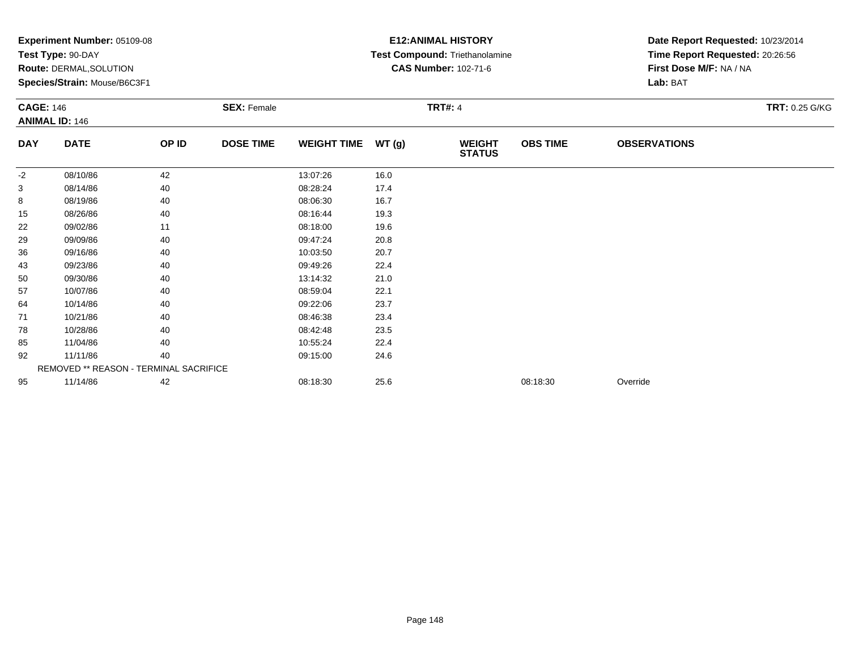|                  | Experiment Number: 05109-08<br>Test Type: 90-DAY<br><b>Route: DERMAL, SOLUTION</b> |       |                    | <b>E12: ANIMAL HISTORY</b><br>Test Compound: Triethanolamine<br><b>CAS Number: 102-71-6</b> | Date Report Requested: 10/23/2014<br>Time Report Requested: 20:26:56<br>First Dose M/F: NA / NA |                                |                 |                     |                |  |
|------------------|------------------------------------------------------------------------------------|-------|--------------------|---------------------------------------------------------------------------------------------|-------------------------------------------------------------------------------------------------|--------------------------------|-----------------|---------------------|----------------|--|
|                  | Species/Strain: Mouse/B6C3F1                                                       |       |                    |                                                                                             |                                                                                                 |                                |                 | Lab: BAT            |                |  |
| <b>CAGE: 146</b> | <b>ANIMAL ID: 146</b>                                                              |       | <b>SEX: Female</b> |                                                                                             |                                                                                                 | <b>TRT#: 4</b>                 |                 |                     | TRT: 0.25 G/KG |  |
| <b>DAY</b>       | <b>DATE</b>                                                                        | OP ID | <b>DOSE TIME</b>   | <b>WEIGHT TIME</b>                                                                          | WT (g)                                                                                          | <b>WEIGHT</b><br><b>STATUS</b> | <b>OBS TIME</b> | <b>OBSERVATIONS</b> |                |  |
| $-2$             | 08/10/86                                                                           | 42    |                    | 13:07:26                                                                                    | 16.0                                                                                            |                                |                 |                     |                |  |
| 3                | 08/14/86                                                                           | 40    |                    | 08:28:24                                                                                    | 17.4                                                                                            |                                |                 |                     |                |  |
| 8                | 08/19/86                                                                           | 40    |                    | 08:06:30                                                                                    | 16.7                                                                                            |                                |                 |                     |                |  |
| 15               | 08/26/86                                                                           | 40    |                    | 08:16:44                                                                                    | 19.3                                                                                            |                                |                 |                     |                |  |
| 22               | 09/02/86                                                                           | 11    |                    | 08:18:00                                                                                    | 19.6                                                                                            |                                |                 |                     |                |  |
| 29               | 09/09/86                                                                           | 40    |                    | 09:47:24                                                                                    | 20.8                                                                                            |                                |                 |                     |                |  |
| 36               | 09/16/86                                                                           | 40    |                    | 10:03:50                                                                                    | 20.7                                                                                            |                                |                 |                     |                |  |
| 43               | 09/23/86                                                                           | 40    |                    | 09:49:26                                                                                    | 22.4                                                                                            |                                |                 |                     |                |  |
| 50               | 09/30/86                                                                           | 40    |                    | 13:14:32                                                                                    | 21.0                                                                                            |                                |                 |                     |                |  |
| 57               | 10/07/86                                                                           | 40    |                    | 08:59:04                                                                                    | 22.1                                                                                            |                                |                 |                     |                |  |
| 64               | 10/14/86                                                                           | 40    |                    | 09:22:06                                                                                    | 23.7                                                                                            |                                |                 |                     |                |  |
| 71               | 10/21/86                                                                           | 40    |                    | 08:46:38                                                                                    | 23.4                                                                                            |                                |                 |                     |                |  |
| 78               | 10/28/86                                                                           | 40    |                    | 08:42:48                                                                                    | 23.5                                                                                            |                                |                 |                     |                |  |
| 85               | 11/04/86                                                                           | 40    |                    | 10:55:24                                                                                    | 22.4                                                                                            |                                |                 |                     |                |  |
| 92               | 11/11/86                                                                           | 40    |                    | 09:15:00                                                                                    | 24.6                                                                                            |                                |                 |                     |                |  |
|                  | REMOVED ** REASON - TERMINAL SACRIFICE                                             |       |                    |                                                                                             |                                                                                                 |                                |                 |                     |                |  |
| 95               | 11/14/86                                                                           | 42    |                    | 08:18:30                                                                                    | 25.6                                                                                            |                                | 08:18:30        | Override            |                |  |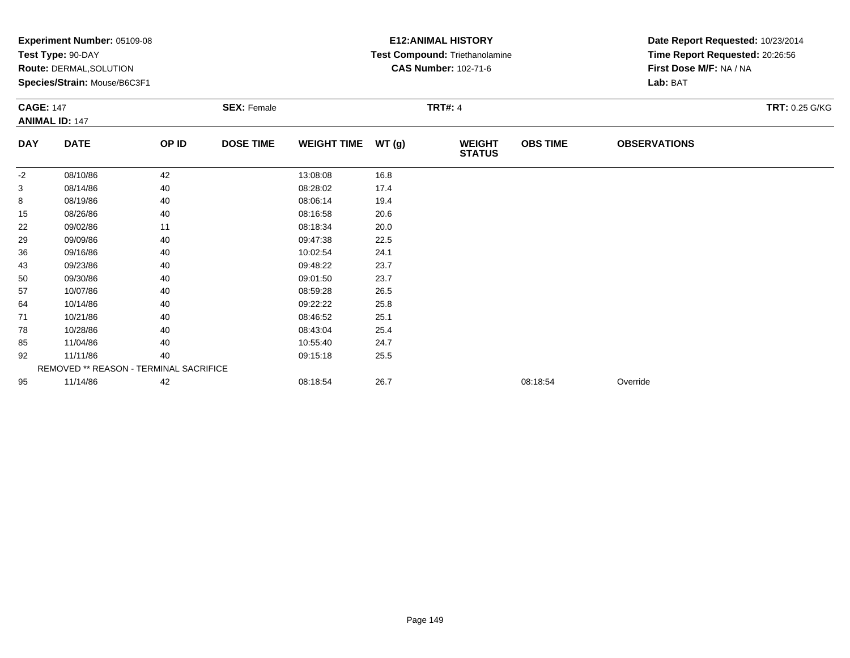|                  | Experiment Number: 05109-08<br>Test Type: 90-DAY<br><b>Route: DERMAL, SOLUTION</b> |       |                    | <b>E12: ANIMAL HISTORY</b><br>Test Compound: Triethanolamine<br><b>CAS Number: 102-71-6</b> | Date Report Requested: 10/23/2014<br>Time Report Requested: 20:26:56<br>First Dose M/F: NA / NA |                                |                 |                     |                |  |
|------------------|------------------------------------------------------------------------------------|-------|--------------------|---------------------------------------------------------------------------------------------|-------------------------------------------------------------------------------------------------|--------------------------------|-----------------|---------------------|----------------|--|
|                  | Species/Strain: Mouse/B6C3F1                                                       |       |                    |                                                                                             |                                                                                                 |                                |                 | Lab: BAT            |                |  |
| <b>CAGE: 147</b> | <b>ANIMAL ID: 147</b>                                                              |       | <b>SEX: Female</b> |                                                                                             |                                                                                                 | <b>TRT#: 4</b>                 |                 |                     | TRT: 0.25 G/KG |  |
| <b>DAY</b>       | <b>DATE</b>                                                                        | OP ID | <b>DOSE TIME</b>   | <b>WEIGHT TIME</b>                                                                          | WT (g)                                                                                          | <b>WEIGHT</b><br><b>STATUS</b> | <b>OBS TIME</b> | <b>OBSERVATIONS</b> |                |  |
| $-2$             | 08/10/86                                                                           | 42    |                    | 13:08:08                                                                                    | 16.8                                                                                            |                                |                 |                     |                |  |
| 3                | 08/14/86                                                                           | 40    |                    | 08:28:02                                                                                    | 17.4                                                                                            |                                |                 |                     |                |  |
| 8                | 08/19/86                                                                           | 40    |                    | 08:06:14                                                                                    | 19.4                                                                                            |                                |                 |                     |                |  |
| 15               | 08/26/86                                                                           | 40    |                    | 08:16:58                                                                                    | 20.6                                                                                            |                                |                 |                     |                |  |
| 22               | 09/02/86                                                                           | 11    |                    | 08:18:34                                                                                    | 20.0                                                                                            |                                |                 |                     |                |  |
| 29               | 09/09/86                                                                           | 40    |                    | 09:47:38                                                                                    | 22.5                                                                                            |                                |                 |                     |                |  |
| 36               | 09/16/86                                                                           | 40    |                    | 10:02:54                                                                                    | 24.1                                                                                            |                                |                 |                     |                |  |
| 43               | 09/23/86                                                                           | 40    |                    | 09:48:22                                                                                    | 23.7                                                                                            |                                |                 |                     |                |  |
| 50               | 09/30/86                                                                           | 40    |                    | 09:01:50                                                                                    | 23.7                                                                                            |                                |                 |                     |                |  |
| 57               | 10/07/86                                                                           | 40    |                    | 08:59:28                                                                                    | 26.5                                                                                            |                                |                 |                     |                |  |
| 64               | 10/14/86                                                                           | 40    |                    | 09:22:22                                                                                    | 25.8                                                                                            |                                |                 |                     |                |  |
| 71               | 10/21/86                                                                           | 40    |                    | 08:46:52                                                                                    | 25.1                                                                                            |                                |                 |                     |                |  |
| 78               | 10/28/86                                                                           | 40    |                    | 08:43:04                                                                                    | 25.4                                                                                            |                                |                 |                     |                |  |
| 85               | 11/04/86                                                                           | 40    |                    | 10:55:40                                                                                    | 24.7                                                                                            |                                |                 |                     |                |  |
| 92               | 11/11/86                                                                           | 40    |                    | 09:15:18                                                                                    | 25.5                                                                                            |                                |                 |                     |                |  |
|                  | REMOVED ** REASON - TERMINAL SACRIFICE                                             |       |                    |                                                                                             |                                                                                                 |                                |                 |                     |                |  |
| 95               | 11/14/86                                                                           | 42    |                    | 08:18:54                                                                                    | 26.7                                                                                            |                                | 08:18:54        | Override            |                |  |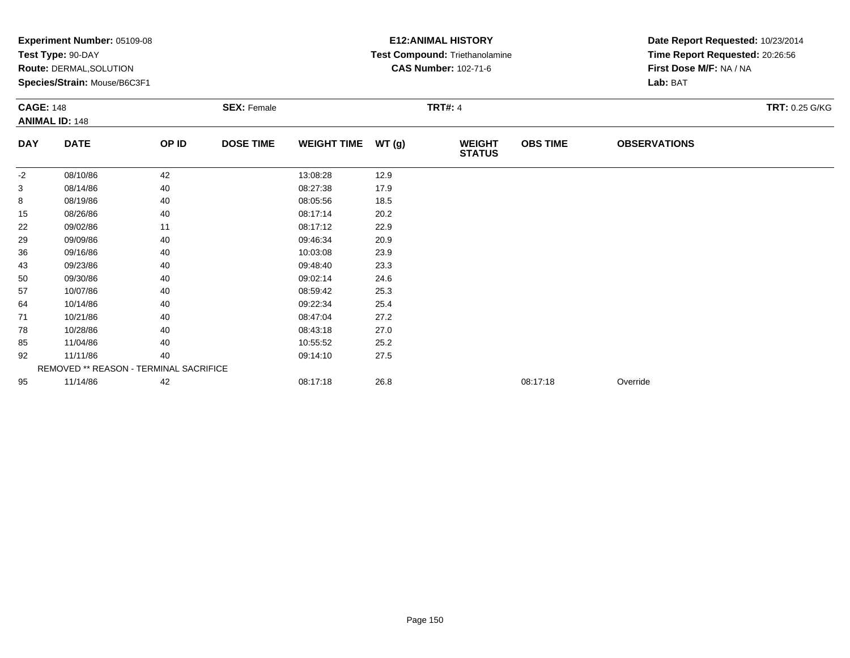|                  | Experiment Number: 05109-08<br>Test Type: 90-DAY<br><b>Route: DERMAL, SOLUTION</b><br>Species/Strain: Mouse/B6C3F1 |       |                    |                    |       | <b>E12: ANIMAL HISTORY</b><br>Test Compound: Triethanolamine<br><b>CAS Number: 102-71-6</b> | Date Report Requested: 10/23/2014<br>Time Report Requested: 20:26:56<br>First Dose M/F: NA / NA<br>Lab: BAT |                     |                |
|------------------|--------------------------------------------------------------------------------------------------------------------|-------|--------------------|--------------------|-------|---------------------------------------------------------------------------------------------|-------------------------------------------------------------------------------------------------------------|---------------------|----------------|
| <b>CAGE: 148</b> | <b>ANIMAL ID: 148</b>                                                                                              |       | <b>SEX: Female</b> |                    |       | <b>TRT#: 4</b>                                                                              |                                                                                                             |                     | TRT: 0.25 G/KG |
| <b>DAY</b>       | <b>DATE</b>                                                                                                        | OP ID | <b>DOSE TIME</b>   | <b>WEIGHT TIME</b> | WT(g) | <b>WEIGHT</b><br><b>STATUS</b>                                                              | <b>OBS TIME</b>                                                                                             | <b>OBSERVATIONS</b> |                |
| $-2$             | 08/10/86                                                                                                           | 42    |                    | 13:08:28           | 12.9  |                                                                                             |                                                                                                             |                     |                |
| 3                | 08/14/86                                                                                                           | 40    |                    | 08:27:38           | 17.9  |                                                                                             |                                                                                                             |                     |                |
| 8                | 08/19/86                                                                                                           | 40    |                    | 08:05:56           | 18.5  |                                                                                             |                                                                                                             |                     |                |
| 15               | 08/26/86                                                                                                           | 40    |                    | 08:17:14           | 20.2  |                                                                                             |                                                                                                             |                     |                |
| 22               | 09/02/86                                                                                                           | 11    |                    | 08:17:12           | 22.9  |                                                                                             |                                                                                                             |                     |                |
| 29               | 09/09/86                                                                                                           | 40    |                    | 09:46:34           | 20.9  |                                                                                             |                                                                                                             |                     |                |
| 36               | 09/16/86                                                                                                           | 40    |                    | 10:03:08           | 23.9  |                                                                                             |                                                                                                             |                     |                |
| 43               | 09/23/86                                                                                                           | 40    |                    | 09:48:40           | 23.3  |                                                                                             |                                                                                                             |                     |                |
| 50               | 09/30/86                                                                                                           | 40    |                    | 09:02:14           | 24.6  |                                                                                             |                                                                                                             |                     |                |
| 57               | 10/07/86                                                                                                           | 40    |                    | 08:59:42           | 25.3  |                                                                                             |                                                                                                             |                     |                |
| 64               | 10/14/86                                                                                                           | 40    |                    | 09:22:34           | 25.4  |                                                                                             |                                                                                                             |                     |                |
| 71               | 10/21/86                                                                                                           | 40    |                    | 08:47:04           | 27.2  |                                                                                             |                                                                                                             |                     |                |
| 78               | 10/28/86                                                                                                           | 40    |                    | 08:43:18           | 27.0  |                                                                                             |                                                                                                             |                     |                |
| 85               | 11/04/86                                                                                                           | 40    |                    | 10:55:52           | 25.2  |                                                                                             |                                                                                                             |                     |                |
| 92               | 11/11/86                                                                                                           | 40    |                    | 09:14:10           | 27.5  |                                                                                             |                                                                                                             |                     |                |
|                  | REMOVED ** REASON - TERMINAL SACRIFICE                                                                             |       |                    |                    |       |                                                                                             |                                                                                                             |                     |                |
| 95               | 11/14/86                                                                                                           | 42    |                    | 08:17:18           | 26.8  |                                                                                             | 08:17:18                                                                                                    | Override            |                |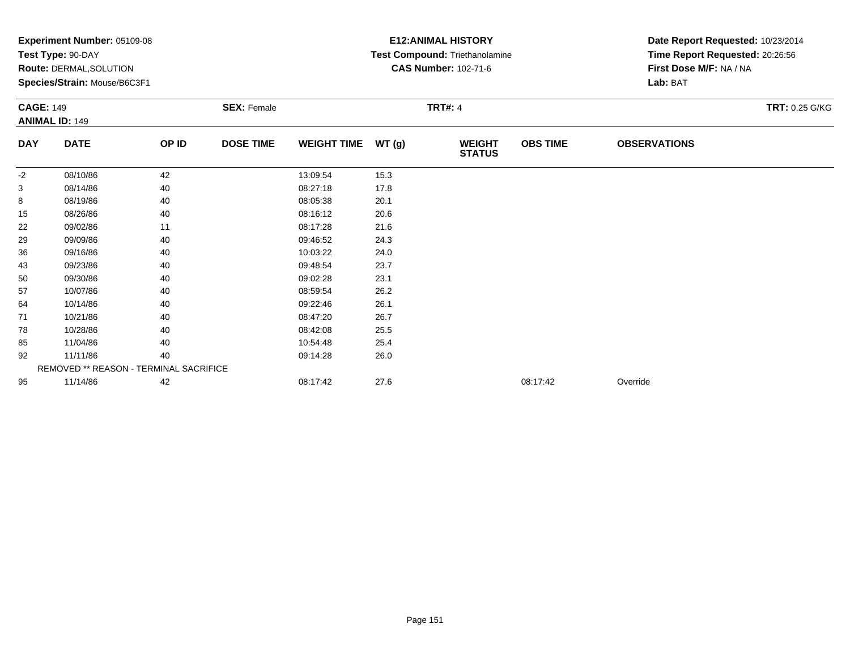|                  | Experiment Number: 05109-08<br>Test Type: 90-DAY<br><b>Route: DERMAL, SOLUTION</b><br>Species/Strain: Mouse/B6C3F1 |       |                    |                    |       | <b>E12: ANIMAL HISTORY</b><br>Test Compound: Triethanolamine<br><b>CAS Number: 102-71-6</b> | Date Report Requested: 10/23/2014<br>Time Report Requested: 20:26:56<br>First Dose M/F: NA / NA<br>Lab: BAT |                     |                |
|------------------|--------------------------------------------------------------------------------------------------------------------|-------|--------------------|--------------------|-------|---------------------------------------------------------------------------------------------|-------------------------------------------------------------------------------------------------------------|---------------------|----------------|
| <b>CAGE: 149</b> | <b>ANIMAL ID: 149</b>                                                                                              |       | <b>SEX: Female</b> |                    |       | <b>TRT#: 4</b>                                                                              |                                                                                                             |                     | TRT: 0.25 G/KG |
| <b>DAY</b>       | <b>DATE</b>                                                                                                        | OP ID | <b>DOSE TIME</b>   | <b>WEIGHT TIME</b> | WT(g) | <b>WEIGHT</b><br><b>STATUS</b>                                                              | <b>OBS TIME</b>                                                                                             | <b>OBSERVATIONS</b> |                |
| $-2$             | 08/10/86                                                                                                           | 42    |                    | 13:09:54           | 15.3  |                                                                                             |                                                                                                             |                     |                |
| 3                | 08/14/86                                                                                                           | 40    |                    | 08:27:18           | 17.8  |                                                                                             |                                                                                                             |                     |                |
| 8                | 08/19/86                                                                                                           | 40    |                    | 08:05:38           | 20.1  |                                                                                             |                                                                                                             |                     |                |
| 15               | 08/26/86                                                                                                           | 40    |                    | 08:16:12           | 20.6  |                                                                                             |                                                                                                             |                     |                |
| 22               | 09/02/86                                                                                                           | 11    |                    | 08:17:28           | 21.6  |                                                                                             |                                                                                                             |                     |                |
| 29               | 09/09/86                                                                                                           | 40    |                    | 09:46:52           | 24.3  |                                                                                             |                                                                                                             |                     |                |
| 36               | 09/16/86                                                                                                           | 40    |                    | 10:03:22           | 24.0  |                                                                                             |                                                                                                             |                     |                |
| 43               | 09/23/86                                                                                                           | 40    |                    | 09:48:54           | 23.7  |                                                                                             |                                                                                                             |                     |                |
| 50               | 09/30/86                                                                                                           | 40    |                    | 09:02:28           | 23.1  |                                                                                             |                                                                                                             |                     |                |
| 57               | 10/07/86                                                                                                           | 40    |                    | 08:59:54           | 26.2  |                                                                                             |                                                                                                             |                     |                |
| 64               | 10/14/86                                                                                                           | 40    |                    | 09:22:46           | 26.1  |                                                                                             |                                                                                                             |                     |                |
| 71               | 10/21/86                                                                                                           | 40    |                    | 08:47:20           | 26.7  |                                                                                             |                                                                                                             |                     |                |
| 78               | 10/28/86                                                                                                           | 40    |                    | 08:42:08           | 25.5  |                                                                                             |                                                                                                             |                     |                |
| 85               | 11/04/86                                                                                                           | 40    |                    | 10:54:48           | 25.4  |                                                                                             |                                                                                                             |                     |                |
| 92               | 11/11/86                                                                                                           | 40    |                    | 09:14:28           | 26.0  |                                                                                             |                                                                                                             |                     |                |
|                  | REMOVED ** REASON - TERMINAL SACRIFICE                                                                             |       |                    |                    |       |                                                                                             |                                                                                                             |                     |                |
| 95               | 11/14/86                                                                                                           | 42    |                    | 08:17:42           | 27.6  |                                                                                             | 08:17:42                                                                                                    | Override            |                |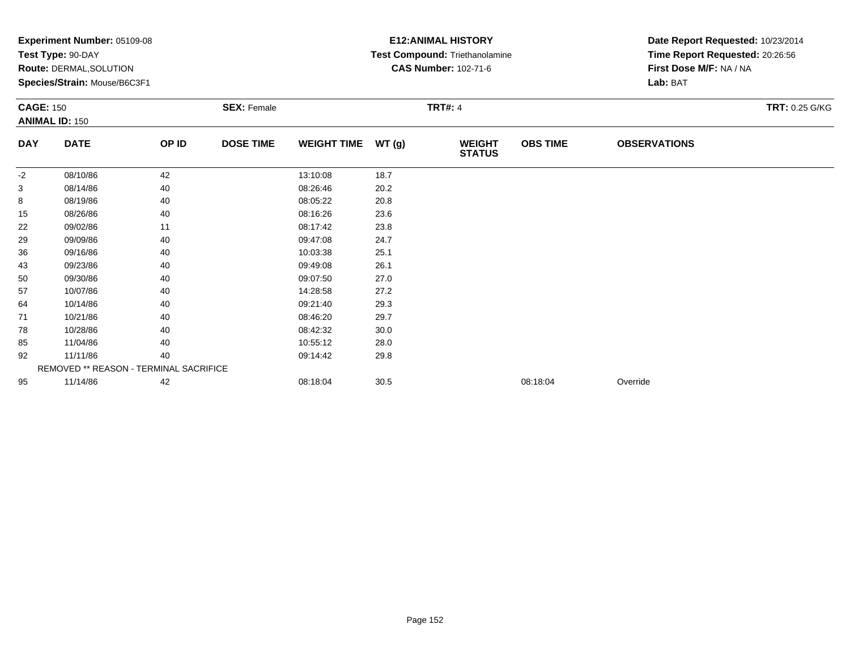|                  | Experiment Number: 05109-08<br>Test Type: 90-DAY<br><b>Route: DERMAL, SOLUTION</b><br>Species/Strain: Mouse/B6C3F1 |       |                    |                    |       | <b>E12: ANIMAL HISTORY</b><br>Test Compound: Triethanolamine<br><b>CAS Number: 102-71-6</b> |                 | Date Report Requested: 10/23/2014<br>Time Report Requested: 20:26:56<br>First Dose M/F: NA / NA<br>Lab: BAT |                |  |
|------------------|--------------------------------------------------------------------------------------------------------------------|-------|--------------------|--------------------|-------|---------------------------------------------------------------------------------------------|-----------------|-------------------------------------------------------------------------------------------------------------|----------------|--|
| <b>CAGE: 150</b> | <b>ANIMAL ID: 150</b>                                                                                              |       | <b>SEX: Female</b> |                    |       | <b>TRT#: 4</b>                                                                              |                 |                                                                                                             | TRT: 0.25 G/KG |  |
| <b>DAY</b>       | <b>DATE</b>                                                                                                        | OP ID | <b>DOSE TIME</b>   | <b>WEIGHT TIME</b> | WT(g) | <b>WEIGHT</b><br><b>STATUS</b>                                                              | <b>OBS TIME</b> | <b>OBSERVATIONS</b>                                                                                         |                |  |
| $-2$             | 08/10/86                                                                                                           | 42    |                    | 13:10:08           | 18.7  |                                                                                             |                 |                                                                                                             |                |  |
| 3                | 08/14/86                                                                                                           | 40    |                    | 08:26:46           | 20.2  |                                                                                             |                 |                                                                                                             |                |  |
| 8                | 08/19/86                                                                                                           | 40    |                    | 08:05:22           | 20.8  |                                                                                             |                 |                                                                                                             |                |  |
| 15               | 08/26/86                                                                                                           | 40    |                    | 08:16:26           | 23.6  |                                                                                             |                 |                                                                                                             |                |  |
| 22               | 09/02/86                                                                                                           | 11    |                    | 08:17:42           | 23.8  |                                                                                             |                 |                                                                                                             |                |  |
| 29               | 09/09/86                                                                                                           | 40    |                    | 09:47:08           | 24.7  |                                                                                             |                 |                                                                                                             |                |  |
| 36               | 09/16/86                                                                                                           | 40    |                    | 10:03:38           | 25.1  |                                                                                             |                 |                                                                                                             |                |  |
| 43               | 09/23/86                                                                                                           | 40    |                    | 09:49:08           | 26.1  |                                                                                             |                 |                                                                                                             |                |  |
| 50               | 09/30/86                                                                                                           | 40    |                    | 09:07:50           | 27.0  |                                                                                             |                 |                                                                                                             |                |  |
| 57               | 10/07/86                                                                                                           | 40    |                    | 14:28:58           | 27.2  |                                                                                             |                 |                                                                                                             |                |  |
| 64               | 10/14/86                                                                                                           | 40    |                    | 09:21:40           | 29.3  |                                                                                             |                 |                                                                                                             |                |  |
| 71               | 10/21/86                                                                                                           | 40    |                    | 08:46:20           | 29.7  |                                                                                             |                 |                                                                                                             |                |  |
| 78               | 10/28/86                                                                                                           | 40    |                    | 08:42:32           | 30.0  |                                                                                             |                 |                                                                                                             |                |  |
| 85               | 11/04/86                                                                                                           | 40    |                    | 10:55:12           | 28.0  |                                                                                             |                 |                                                                                                             |                |  |
| 92               | 11/11/86                                                                                                           | 40    |                    | 09:14:42           | 29.8  |                                                                                             |                 |                                                                                                             |                |  |
|                  | REMOVED ** REASON - TERMINAL SACRIFICE                                                                             |       |                    |                    |       |                                                                                             |                 |                                                                                                             |                |  |
| 95               | 11/14/86                                                                                                           | 42    |                    | 08:18:04           | 30.5  |                                                                                             | 08:18:04        | Override                                                                                                    |                |  |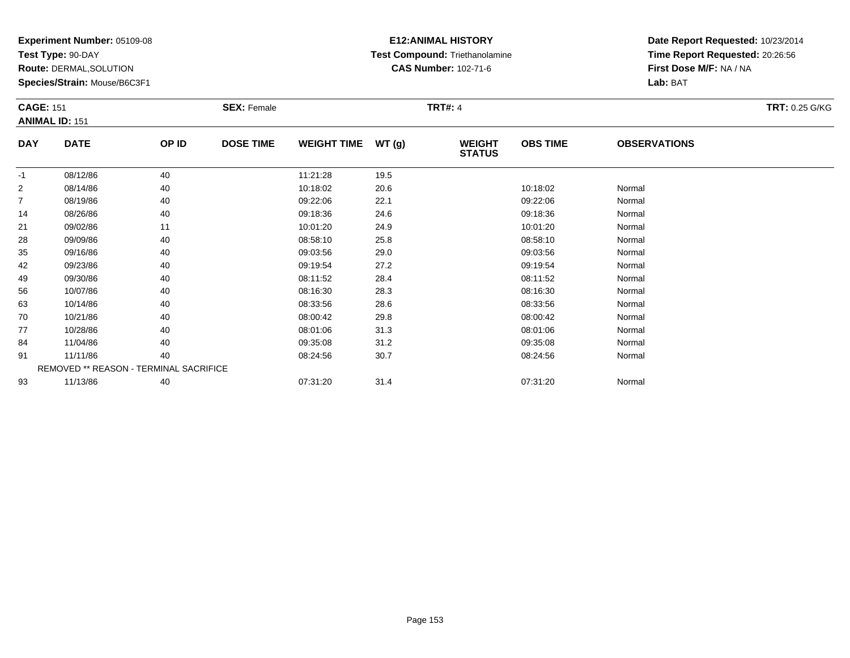**Test Type:** 90-DAY

**Route:** DERMAL,SOLUTION

**Species/Strain:** Mouse/B6C3F1

## **E12:ANIMAL HISTORY Test Compound:** Triethanolamine**CAS Number:** 102-71-6

| <b>CAGE: 151</b> | <b>ANIMAL ID: 151</b>                  |       | <b>SEX: Female</b> |                    |       | <b>TRT#: 4</b>                 |                 |                     | <b>TRT: 0.25 G/KG</b> |
|------------------|----------------------------------------|-------|--------------------|--------------------|-------|--------------------------------|-----------------|---------------------|-----------------------|
| <b>DAY</b>       | <b>DATE</b>                            | OP ID | <b>DOSE TIME</b>   | <b>WEIGHT TIME</b> | WT(g) | <b>WEIGHT</b><br><b>STATUS</b> | <b>OBS TIME</b> | <b>OBSERVATIONS</b> |                       |
| $-1$             | 08/12/86                               | 40    |                    | 11:21:28           | 19.5  |                                |                 |                     |                       |
| 2                | 08/14/86                               | 40    |                    | 10:18:02           | 20.6  |                                | 10:18:02        | Normal              |                       |
| 7                | 08/19/86                               | 40    |                    | 09:22:06           | 22.1  |                                | 09:22:06        | Normal              |                       |
| 14               | 08/26/86                               | 40    |                    | 09:18:36           | 24.6  |                                | 09:18:36        | Normal              |                       |
| 21               | 09/02/86                               | 11    |                    | 10:01:20           | 24.9  |                                | 10:01:20        | Normal              |                       |
| 28               | 09/09/86                               | 40    |                    | 08:58:10           | 25.8  |                                | 08:58:10        | Normal              |                       |
| 35               | 09/16/86                               | 40    |                    | 09:03:56           | 29.0  |                                | 09:03:56        | Normal              |                       |
| 42               | 09/23/86                               | 40    |                    | 09:19:54           | 27.2  |                                | 09:19:54        | Normal              |                       |
| 49               | 09/30/86                               | 40    |                    | 08:11:52           | 28.4  |                                | 08:11:52        | Normal              |                       |
| 56               | 10/07/86                               | 40    |                    | 08:16:30           | 28.3  |                                | 08:16:30        | Normal              |                       |
| 63               | 10/14/86                               | 40    |                    | 08:33:56           | 28.6  |                                | 08:33:56        | Normal              |                       |
| 70               | 10/21/86                               | 40    |                    | 08:00:42           | 29.8  |                                | 08:00:42        | Normal              |                       |
| 77               | 10/28/86                               | 40    |                    | 08:01:06           | 31.3  |                                | 08:01:06        | Normal              |                       |
| 84               | 11/04/86                               | 40    |                    | 09:35:08           | 31.2  |                                | 09:35:08        | Normal              |                       |
| 91               | 11/11/86                               | 40    |                    | 08:24:56           | 30.7  |                                | 08:24:56        | Normal              |                       |
|                  | REMOVED ** REASON - TERMINAL SACRIFICE |       |                    |                    |       |                                |                 |                     |                       |
| 93               | 11/13/86                               | 40    |                    | 07:31:20           | 31.4  |                                | 07:31:20        | Normal              |                       |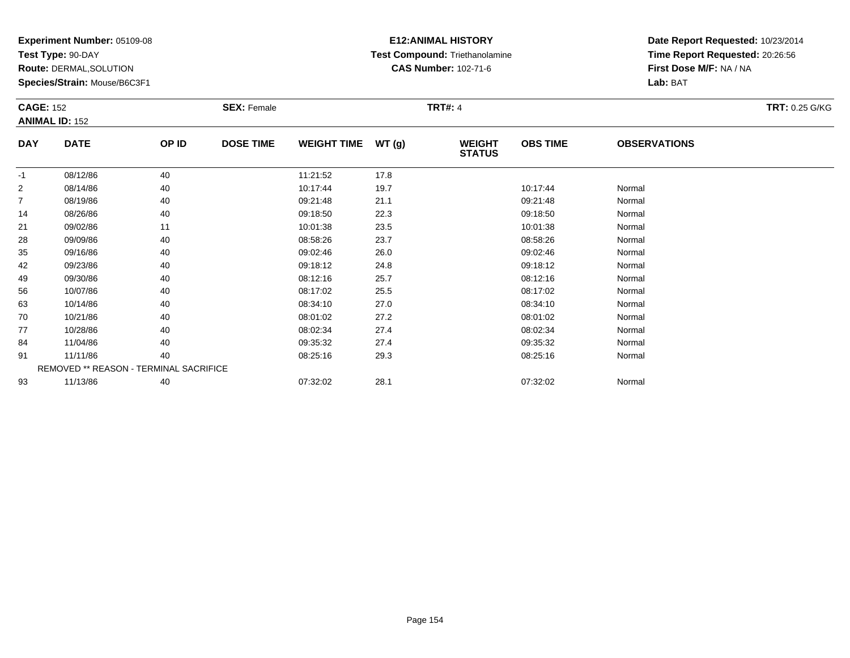**Test Type:** 90-DAY

**Route:** DERMAL,SOLUTION

**Species/Strain:** Mouse/B6C3F1

## **E12:ANIMAL HISTORY Test Compound:** Triethanolamine**CAS Number:** 102-71-6

| <b>CAGE: 152</b> | <b>ANIMAL ID: 152</b>                  |       | <b>SEX: Female</b> |                    |       | <b>TRT#: 4</b>                 |                 |                     | <b>TRT: 0.25 G/KG</b> |
|------------------|----------------------------------------|-------|--------------------|--------------------|-------|--------------------------------|-----------------|---------------------|-----------------------|
| <b>DAY</b>       | <b>DATE</b>                            | OP ID | <b>DOSE TIME</b>   | <b>WEIGHT TIME</b> | WT(g) | <b>WEIGHT</b><br><b>STATUS</b> | <b>OBS TIME</b> | <b>OBSERVATIONS</b> |                       |
| $-1$             | 08/12/86                               | 40    |                    | 11:21:52           | 17.8  |                                |                 |                     |                       |
| 2                | 08/14/86                               | 40    |                    | 10:17:44           | 19.7  |                                | 10:17:44        | Normal              |                       |
| 7                | 08/19/86                               | 40    |                    | 09:21:48           | 21.1  |                                | 09:21:48        | Normal              |                       |
| 14               | 08/26/86                               | 40    |                    | 09:18:50           | 22.3  |                                | 09:18:50        | Normal              |                       |
| 21               | 09/02/86                               | 11    |                    | 10:01:38           | 23.5  |                                | 10:01:38        | Normal              |                       |
| 28               | 09/09/86                               | 40    |                    | 08:58:26           | 23.7  |                                | 08:58:26        | Normal              |                       |
| 35               | 09/16/86                               | 40    |                    | 09:02:46           | 26.0  |                                | 09:02:46        | Normal              |                       |
| 42               | 09/23/86                               | 40    |                    | 09:18:12           | 24.8  |                                | 09:18:12        | Normal              |                       |
| 49               | 09/30/86                               | 40    |                    | 08:12:16           | 25.7  |                                | 08:12:16        | Normal              |                       |
| 56               | 10/07/86                               | 40    |                    | 08:17:02           | 25.5  |                                | 08:17:02        | Normal              |                       |
| 63               | 10/14/86                               | 40    |                    | 08:34:10           | 27.0  |                                | 08:34:10        | Normal              |                       |
| 70               | 10/21/86                               | 40    |                    | 08:01:02           | 27.2  |                                | 08:01:02        | Normal              |                       |
| 77               | 10/28/86                               | 40    |                    | 08:02:34           | 27.4  |                                | 08:02:34        | Normal              |                       |
| 84               | 11/04/86                               | 40    |                    | 09:35:32           | 27.4  |                                | 09:35:32        | Normal              |                       |
| 91               | 11/11/86                               | 40    |                    | 08:25:16           | 29.3  |                                | 08:25:16        | Normal              |                       |
|                  | REMOVED ** REASON - TERMINAL SACRIFICE |       |                    |                    |       |                                |                 |                     |                       |
| 93               | 11/13/86                               | 40    |                    | 07:32:02           | 28.1  |                                | 07:32:02        | Normal              |                       |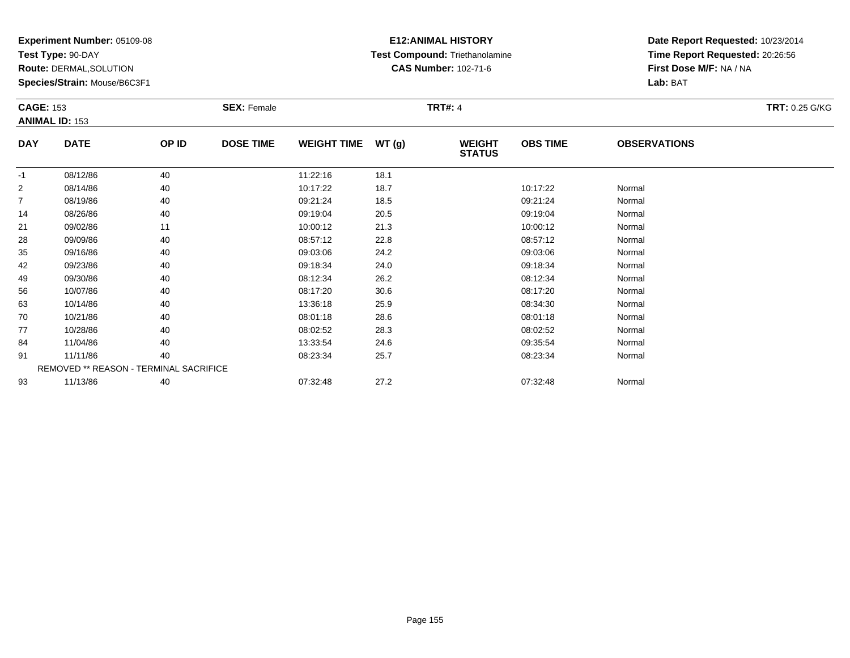**Test Type:** 90-DAY

**Route:** DERMAL,SOLUTION

**Species/Strain:** Mouse/B6C3F1

## **E12:ANIMAL HISTORY Test Compound:** Triethanolamine**CAS Number:** 102-71-6

| <b>CAGE: 153</b> | <b>ANIMAL ID: 153</b> |                                        | <b>SEX: Female</b> |                    |       | <b>TRT#: 4</b>                 |                 |                     | <b>TRT: 0.25 G/KG</b> |
|------------------|-----------------------|----------------------------------------|--------------------|--------------------|-------|--------------------------------|-----------------|---------------------|-----------------------|
|                  |                       |                                        |                    |                    |       |                                |                 |                     |                       |
| <b>DAY</b>       | <b>DATE</b>           | OP ID                                  | <b>DOSE TIME</b>   | <b>WEIGHT TIME</b> | WT(g) | <b>WEIGHT</b><br><b>STATUS</b> | <b>OBS TIME</b> | <b>OBSERVATIONS</b> |                       |
| $-1$             | 08/12/86              | 40                                     |                    | 11:22:16           | 18.1  |                                |                 |                     |                       |
| 2                | 08/14/86              | 40                                     |                    | 10:17:22           | 18.7  |                                | 10:17:22        | Normal              |                       |
| 7                | 08/19/86              | 40                                     |                    | 09:21:24           | 18.5  |                                | 09:21:24        | Normal              |                       |
| 14               | 08/26/86              | 40                                     |                    | 09:19:04           | 20.5  |                                | 09:19:04        | Normal              |                       |
| 21               | 09/02/86              | 11                                     |                    | 10:00:12           | 21.3  |                                | 10:00:12        | Normal              |                       |
| 28               | 09/09/86              | 40                                     |                    | 08:57:12           | 22.8  |                                | 08:57:12        | Normal              |                       |
| 35               | 09/16/86              | 40                                     |                    | 09:03:06           | 24.2  |                                | 09:03:06        | Normal              |                       |
| 42               | 09/23/86              | 40                                     |                    | 09:18:34           | 24.0  |                                | 09:18:34        | Normal              |                       |
| 49               | 09/30/86              | 40                                     |                    | 08:12:34           | 26.2  |                                | 08:12:34        | Normal              |                       |
| 56               | 10/07/86              | 40                                     |                    | 08:17:20           | 30.6  |                                | 08:17:20        | Normal              |                       |
| 63               | 10/14/86              | 40                                     |                    | 13:36:18           | 25.9  |                                | 08:34:30        | Normal              |                       |
| 70               | 10/21/86              | 40                                     |                    | 08:01:18           | 28.6  |                                | 08:01:18        | Normal              |                       |
| 77               | 10/28/86              | 40                                     |                    | 08:02:52           | 28.3  |                                | 08:02:52        | Normal              |                       |
| 84               | 11/04/86              | 40                                     |                    | 13:33:54           | 24.6  |                                | 09:35:54        | Normal              |                       |
| 91               | 11/11/86              | 40                                     |                    | 08:23:34           | 25.7  |                                | 08:23:34        | Normal              |                       |
|                  |                       | REMOVED ** REASON - TERMINAL SACRIFICE |                    |                    |       |                                |                 |                     |                       |
| 93               | 11/13/86              | 40                                     |                    | 07:32:48           | 27.2  |                                | 07:32:48        | Normal              |                       |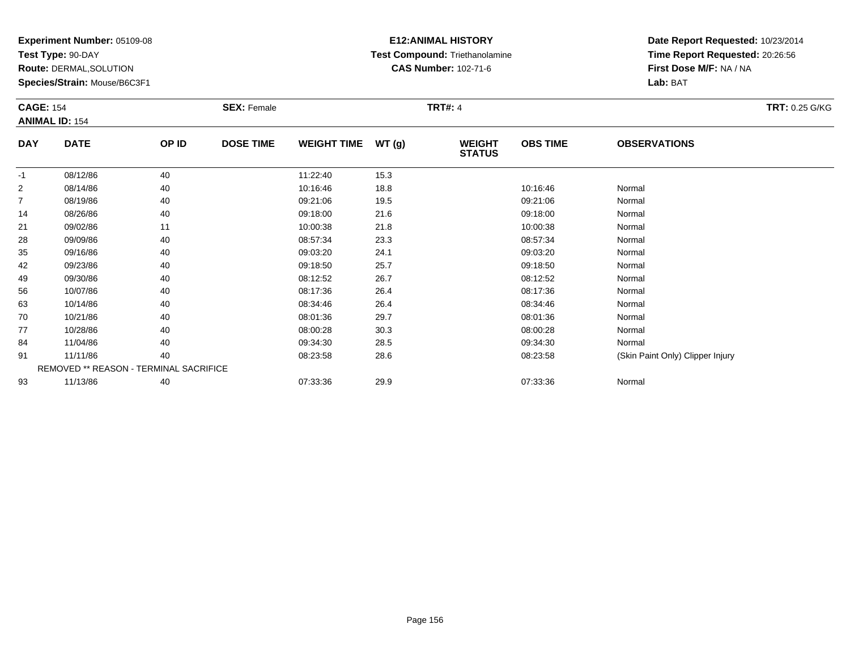**Test Type:** 90-DAY

**Route:** DERMAL,SOLUTION

**Species/Strain:** Mouse/B6C3F1

## **E12:ANIMAL HISTORY Test Compound:** Triethanolamine**CAS Number:** 102-71-6

| <b>CAGE: 154</b> |                                        |       | <b>SEX: Female</b> |                    |       | <b>TRT#: 4</b>                 |                 |                                  | <b>TRT: 0.25 G/KG</b> |
|------------------|----------------------------------------|-------|--------------------|--------------------|-------|--------------------------------|-----------------|----------------------------------|-----------------------|
|                  | <b>ANIMAL ID: 154</b>                  |       |                    |                    |       |                                |                 |                                  |                       |
| <b>DAY</b>       | <b>DATE</b>                            | OP ID | <b>DOSE TIME</b>   | <b>WEIGHT TIME</b> | WT(g) | <b>WEIGHT</b><br><b>STATUS</b> | <b>OBS TIME</b> | <b>OBSERVATIONS</b>              |                       |
| $-1$             | 08/12/86                               | 40    |                    | 11:22:40           | 15.3  |                                |                 |                                  |                       |
| 2                | 08/14/86                               | 40    |                    | 10:16:46           | 18.8  |                                | 10:16:46        | Normal                           |                       |
| 7                | 08/19/86                               | 40    |                    | 09:21:06           | 19.5  |                                | 09:21:06        | Normal                           |                       |
| 14               | 08/26/86                               | 40    |                    | 09:18:00           | 21.6  |                                | 09:18:00        | Normal                           |                       |
| 21               | 09/02/86                               | 11    |                    | 10:00:38           | 21.8  |                                | 10:00:38        | Normal                           |                       |
| 28               | 09/09/86                               | 40    |                    | 08:57:34           | 23.3  |                                | 08:57:34        | Normal                           |                       |
| 35               | 09/16/86                               | 40    |                    | 09:03:20           | 24.1  |                                | 09:03:20        | Normal                           |                       |
| 42               | 09/23/86                               | 40    |                    | 09:18:50           | 25.7  |                                | 09:18:50        | Normal                           |                       |
| 49               | 09/30/86                               | 40    |                    | 08:12:52           | 26.7  |                                | 08:12:52        | Normal                           |                       |
| 56               | 10/07/86                               | 40    |                    | 08:17:36           | 26.4  |                                | 08:17:36        | Normal                           |                       |
| 63               | 10/14/86                               | 40    |                    | 08:34:46           | 26.4  |                                | 08:34:46        | Normal                           |                       |
| 70               | 10/21/86                               | 40    |                    | 08:01:36           | 29.7  |                                | 08:01:36        | Normal                           |                       |
| 77               | 10/28/86                               | 40    |                    | 08:00:28           | 30.3  |                                | 08:00:28        | Normal                           |                       |
| 84               | 11/04/86                               | 40    |                    | 09:34:30           | 28.5  |                                | 09:34:30        | Normal                           |                       |
| 91               | 11/11/86                               | 40    |                    | 08:23:58           | 28.6  |                                | 08:23:58        | (Skin Paint Only) Clipper Injury |                       |
|                  | REMOVED ** REASON - TERMINAL SACRIFICE |       |                    |                    |       |                                |                 |                                  |                       |
| 93               | 11/13/86                               | 40    |                    | 07:33:36           | 29.9  |                                | 07:33:36        | Normal                           |                       |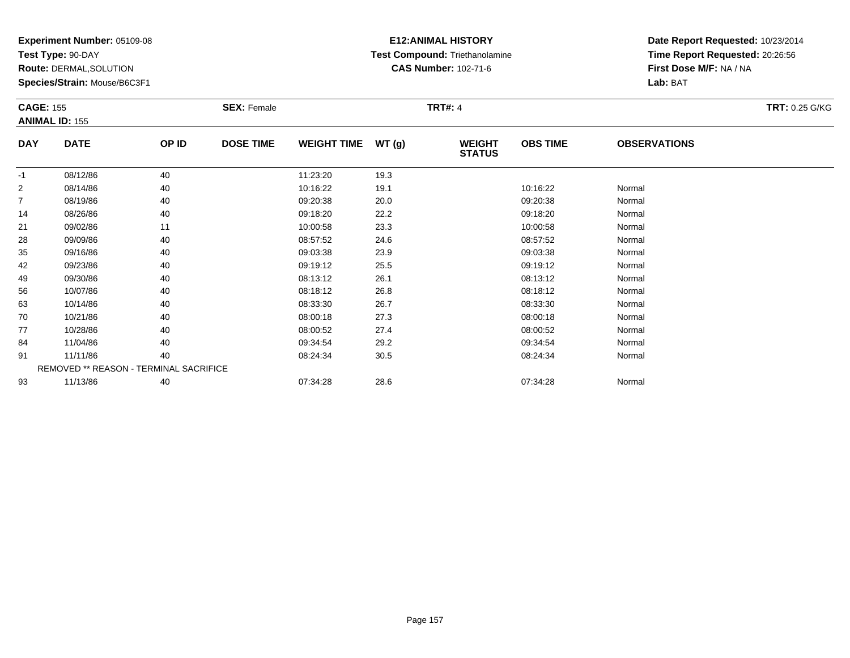**Test Type:** 90-DAY

**Route:** DERMAL,SOLUTION

**Species/Strain:** Mouse/B6C3F1

## **E12:ANIMAL HISTORY Test Compound:** Triethanolamine**CAS Number:** 102-71-6

|            | <b>CAGE: 155</b>                       |       | <b>SEX: Female</b> |                    |       | <b>TRT: 0.25 G/KG</b>          |                 |                     |  |
|------------|----------------------------------------|-------|--------------------|--------------------|-------|--------------------------------|-----------------|---------------------|--|
|            | <b>ANIMAL ID: 155</b>                  |       |                    |                    |       |                                |                 |                     |  |
| <b>DAY</b> | <b>DATE</b>                            | OP ID | <b>DOSE TIME</b>   | <b>WEIGHT TIME</b> | WT(g) | <b>WEIGHT</b><br><b>STATUS</b> | <b>OBS TIME</b> | <b>OBSERVATIONS</b> |  |
| $-1$       | 08/12/86                               | 40    |                    | 11:23:20           | 19.3  |                                |                 |                     |  |
| 2          | 08/14/86                               | 40    |                    | 10:16:22           | 19.1  |                                | 10:16:22        | Normal              |  |
| 7          | 08/19/86                               | 40    |                    | 09:20:38           | 20.0  |                                | 09:20:38        | Normal              |  |
| 14         | 08/26/86                               | 40    |                    | 09:18:20           | 22.2  |                                | 09:18:20        | Normal              |  |
| 21         | 09/02/86                               | 11    |                    | 10:00:58           | 23.3  |                                | 10:00:58        | Normal              |  |
| 28         | 09/09/86                               | 40    |                    | 08:57:52           | 24.6  |                                | 08:57:52        | Normal              |  |
| 35         | 09/16/86                               | 40    |                    | 09:03:38           | 23.9  |                                | 09:03:38        | Normal              |  |
| 42         | 09/23/86                               | 40    |                    | 09:19:12           | 25.5  |                                | 09:19:12        | Normal              |  |
| 49         | 09/30/86                               | 40    |                    | 08:13:12           | 26.1  |                                | 08:13:12        | Normal              |  |
| 56         | 10/07/86                               | 40    |                    | 08:18:12           | 26.8  |                                | 08:18:12        | Normal              |  |
| 63         | 10/14/86                               | 40    |                    | 08:33:30           | 26.7  |                                | 08:33:30        | Normal              |  |
| 70         | 10/21/86                               | 40    |                    | 08:00:18           | 27.3  |                                | 08:00:18        | Normal              |  |
| 77         | 10/28/86                               | 40    |                    | 08:00:52           | 27.4  |                                | 08:00:52        | Normal              |  |
| 84         | 11/04/86                               | 40    |                    | 09:34:54           | 29.2  |                                | 09:34:54        | Normal              |  |
| 91         | 11/11/86                               | 40    |                    | 08:24:34           | 30.5  |                                | 08:24:34        | Normal              |  |
|            | REMOVED ** REASON - TERMINAL SACRIFICE |       |                    |                    |       |                                |                 |                     |  |
| 93         | 11/13/86                               | 40    |                    | 07:34:28           | 28.6  |                                | 07:34:28        | Normal              |  |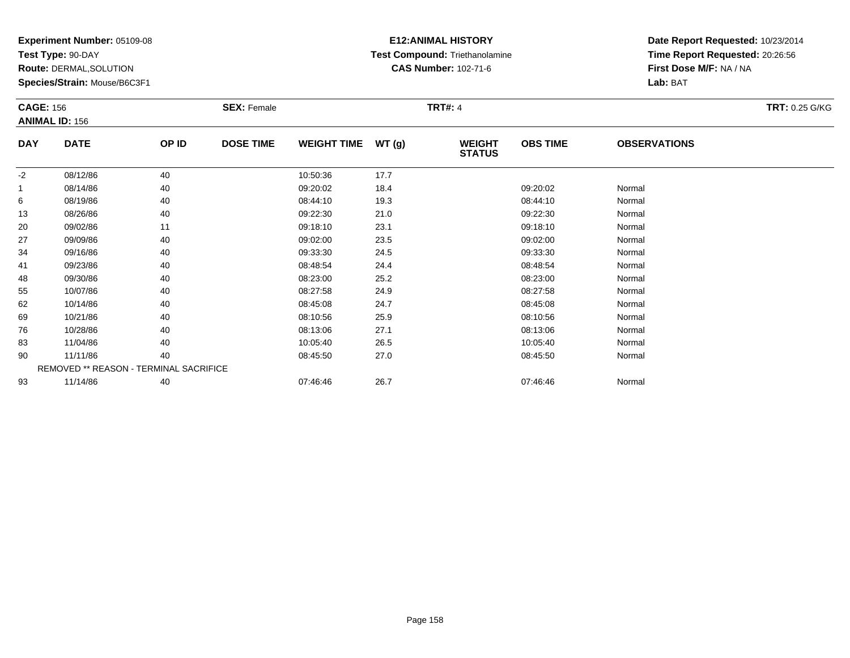**Test Type:** 90-DAY

**Route:** DERMAL,SOLUTION

**Species/Strain:** Mouse/B6C3F1

## **E12:ANIMAL HISTORY Test Compound:** Triethanolamine**CAS Number:** 102-71-6

|            | <b>CAGE: 156</b><br><b>ANIMAL ID: 156</b> |       | <b>SEX: Female</b> |                    |       | <b>TRT#: 4</b>                 | <b>TRT: 0.25 G/KG</b> |                     |  |
|------------|-------------------------------------------|-------|--------------------|--------------------|-------|--------------------------------|-----------------------|---------------------|--|
| <b>DAY</b> | <b>DATE</b>                               | OP ID | <b>DOSE TIME</b>   | <b>WEIGHT TIME</b> | WT(g) | <b>WEIGHT</b><br><b>STATUS</b> | <b>OBS TIME</b>       | <b>OBSERVATIONS</b> |  |
| $-2$       | 08/12/86                                  | 40    |                    | 10:50:36           | 17.7  |                                |                       |                     |  |
| 1          | 08/14/86                                  | 40    |                    | 09:20:02           | 18.4  |                                | 09:20:02              | Normal              |  |
| 6          | 08/19/86                                  | 40    |                    | 08:44:10           | 19.3  |                                | 08:44:10              | Normal              |  |
| 13         | 08/26/86                                  | 40    |                    | 09:22:30           | 21.0  |                                | 09:22:30              | Normal              |  |
| 20         | 09/02/86                                  | 11    |                    | 09:18:10           | 23.1  |                                | 09:18:10              | Normal              |  |
| 27         | 09/09/86                                  | 40    |                    | 09:02:00           | 23.5  |                                | 09:02:00              | Normal              |  |
| 34         | 09/16/86                                  | 40    |                    | 09:33:30           | 24.5  |                                | 09:33:30              | Normal              |  |
| 41         | 09/23/86                                  | 40    |                    | 08:48:54           | 24.4  |                                | 08:48:54              | Normal              |  |
| 48         | 09/30/86                                  | 40    |                    | 08:23:00           | 25.2  |                                | 08:23:00              | Normal              |  |
| 55         | 10/07/86                                  | 40    |                    | 08:27:58           | 24.9  |                                | 08:27:58              | Normal              |  |
| 62         | 10/14/86                                  | 40    |                    | 08:45:08           | 24.7  |                                | 08:45:08              | Normal              |  |
| 69         | 10/21/86                                  | 40    |                    | 08:10:56           | 25.9  |                                | 08:10:56              | Normal              |  |
| 76         | 10/28/86                                  | 40    |                    | 08:13:06           | 27.1  |                                | 08:13:06              | Normal              |  |
| 83         | 11/04/86                                  | 40    |                    | 10:05:40           | 26.5  |                                | 10:05:40              | Normal              |  |
| 90         | 11/11/86                                  | 40    |                    | 08:45:50           | 27.0  |                                | 08:45:50              | Normal              |  |
|            | REMOVED ** REASON - TERMINAL SACRIFICE    |       |                    |                    |       |                                |                       |                     |  |
| 93         | 11/14/86                                  | 40    |                    | 07:46:46           | 26.7  |                                | 07:46:46              | Normal              |  |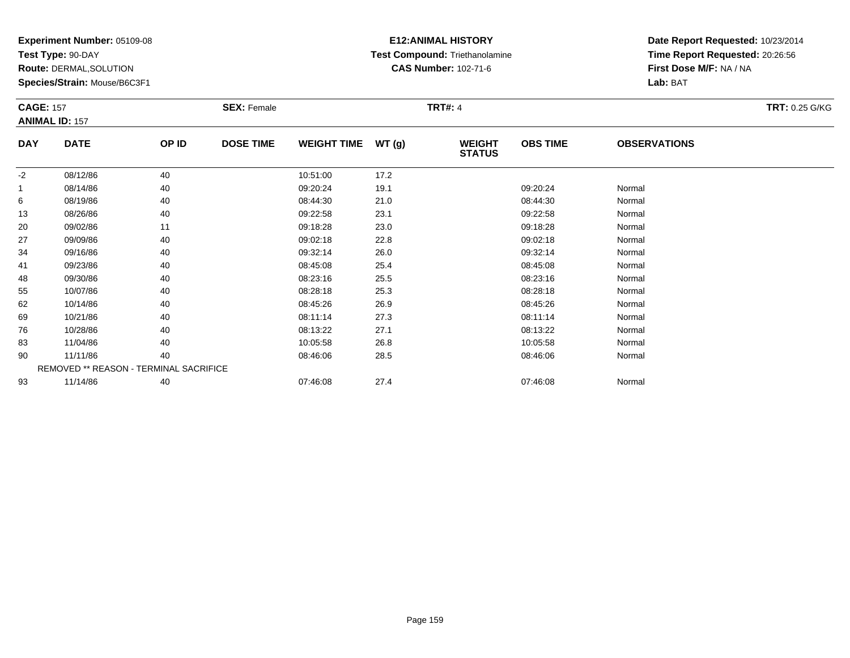**Test Type:** 90-DAY

**Route:** DERMAL,SOLUTION

**Species/Strain:** Mouse/B6C3F1

## **E12:ANIMAL HISTORY Test Compound:** Triethanolamine**CAS Number:** 102-71-6

| <b>CAGE: 157</b> | <b>ANIMAL ID: 157</b>                  |       | <b>SEX: Female</b> |                    |       | <b>TRT#: 4</b>                 |                 |                     | <b>TRT: 0.25 G/KG</b> |
|------------------|----------------------------------------|-------|--------------------|--------------------|-------|--------------------------------|-----------------|---------------------|-----------------------|
| <b>DAY</b>       | <b>DATE</b>                            | OP ID | <b>DOSE TIME</b>   | <b>WEIGHT TIME</b> | WT(g) | <b>WEIGHT</b><br><b>STATUS</b> | <b>OBS TIME</b> | <b>OBSERVATIONS</b> |                       |
| $-2$             | 08/12/86                               | 40    |                    | 10:51:00           | 17.2  |                                |                 |                     |                       |
| 1                | 08/14/86                               | 40    |                    | 09:20:24           | 19.1  |                                | 09:20:24        | Normal              |                       |
| 6                | 08/19/86                               | 40    |                    | 08:44:30           | 21.0  |                                | 08:44:30        | Normal              |                       |
| 13               | 08/26/86                               | 40    |                    | 09:22:58           | 23.1  |                                | 09:22:58        | Normal              |                       |
| 20               | 09/02/86                               | 11    |                    | 09:18:28           | 23.0  |                                | 09:18:28        | Normal              |                       |
| 27               | 09/09/86                               | 40    |                    | 09:02:18           | 22.8  |                                | 09:02:18        | Normal              |                       |
| 34               | 09/16/86                               | 40    |                    | 09:32:14           | 26.0  |                                | 09:32:14        | Normal              |                       |
| 41               | 09/23/86                               | 40    |                    | 08:45:08           | 25.4  |                                | 08:45:08        | Normal              |                       |
| 48               | 09/30/86                               | 40    |                    | 08:23:16           | 25.5  |                                | 08:23:16        | Normal              |                       |
| 55               | 10/07/86                               | 40    |                    | 08:28:18           | 25.3  |                                | 08:28:18        | Normal              |                       |
| 62               | 10/14/86                               | 40    |                    | 08:45:26           | 26.9  |                                | 08:45:26        | Normal              |                       |
| 69               | 10/21/86                               | 40    |                    | 08:11:14           | 27.3  |                                | 08:11:14        | Normal              |                       |
| 76               | 10/28/86                               | 40    |                    | 08:13:22           | 27.1  |                                | 08:13:22        | Normal              |                       |
| 83               | 11/04/86                               | 40    |                    | 10:05:58           | 26.8  |                                | 10:05:58        | Normal              |                       |
| 90               | 11/11/86                               | 40    |                    | 08:46:06           | 28.5  |                                | 08:46:06        | Normal              |                       |
|                  | REMOVED ** REASON - TERMINAL SACRIFICE |       |                    |                    |       |                                |                 |                     |                       |
| 93               | 11/14/86                               | 40    |                    | 07:46:08           | 27.4  |                                | 07:46:08        | Normal              |                       |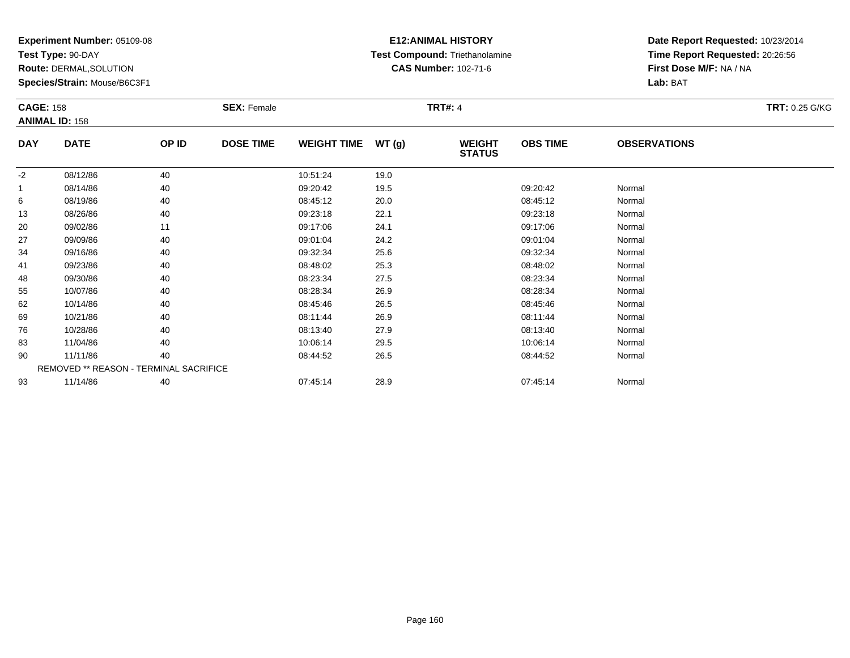**Test Type:** 90-DAY

**Route:** DERMAL,SOLUTION

**Species/Strain:** Mouse/B6C3F1

## **E12:ANIMAL HISTORY Test Compound:** Triethanolamine**CAS Number:** 102-71-6

|            | <b>CAGE: 158</b><br><b>ANIMAL ID: 158</b> |       | <b>SEX: Female</b> |                    |       | <b>TRT#: 4</b>                 | <b>TRT: 0.25 G/KG</b> |                     |  |
|------------|-------------------------------------------|-------|--------------------|--------------------|-------|--------------------------------|-----------------------|---------------------|--|
| <b>DAY</b> | <b>DATE</b>                               | OP ID | <b>DOSE TIME</b>   | <b>WEIGHT TIME</b> | WT(g) | <b>WEIGHT</b><br><b>STATUS</b> | <b>OBS TIME</b>       | <b>OBSERVATIONS</b> |  |
| $-2$       | 08/12/86                                  | 40    |                    | 10:51:24           | 19.0  |                                |                       |                     |  |
| 1          | 08/14/86                                  | 40    |                    | 09:20:42           | 19.5  |                                | 09:20:42              | Normal              |  |
| 6          | 08/19/86                                  | 40    |                    | 08:45:12           | 20.0  |                                | 08:45:12              | Normal              |  |
| 13         | 08/26/86                                  | 40    |                    | 09:23:18           | 22.1  |                                | 09:23:18              | Normal              |  |
| 20         | 09/02/86                                  | 11    |                    | 09:17:06           | 24.1  |                                | 09:17:06              | Normal              |  |
| 27         | 09/09/86                                  | 40    |                    | 09:01:04           | 24.2  |                                | 09:01:04              | Normal              |  |
| 34         | 09/16/86                                  | 40    |                    | 09:32:34           | 25.6  |                                | 09:32:34              | Normal              |  |
| 41         | 09/23/86                                  | 40    |                    | 08:48:02           | 25.3  |                                | 08:48:02              | Normal              |  |
| 48         | 09/30/86                                  | 40    |                    | 08:23:34           | 27.5  |                                | 08:23:34              | Normal              |  |
| 55         | 10/07/86                                  | 40    |                    | 08:28:34           | 26.9  |                                | 08:28:34              | Normal              |  |
| 62         | 10/14/86                                  | 40    |                    | 08:45:46           | 26.5  |                                | 08:45:46              | Normal              |  |
| 69         | 10/21/86                                  | 40    |                    | 08:11:44           | 26.9  |                                | 08:11:44              | Normal              |  |
| 76         | 10/28/86                                  | 40    |                    | 08:13:40           | 27.9  |                                | 08:13:40              | Normal              |  |
| 83         | 11/04/86                                  | 40    |                    | 10:06:14           | 29.5  |                                | 10:06:14              | Normal              |  |
| 90         | 11/11/86                                  | 40    |                    | 08:44:52           | 26.5  |                                | 08:44:52              | Normal              |  |
|            | REMOVED ** REASON - TERMINAL SACRIFICE    |       |                    |                    |       |                                |                       |                     |  |
| 93         | 11/14/86                                  | 40    |                    | 07:45:14           | 28.9  |                                | 07:45:14              | Normal              |  |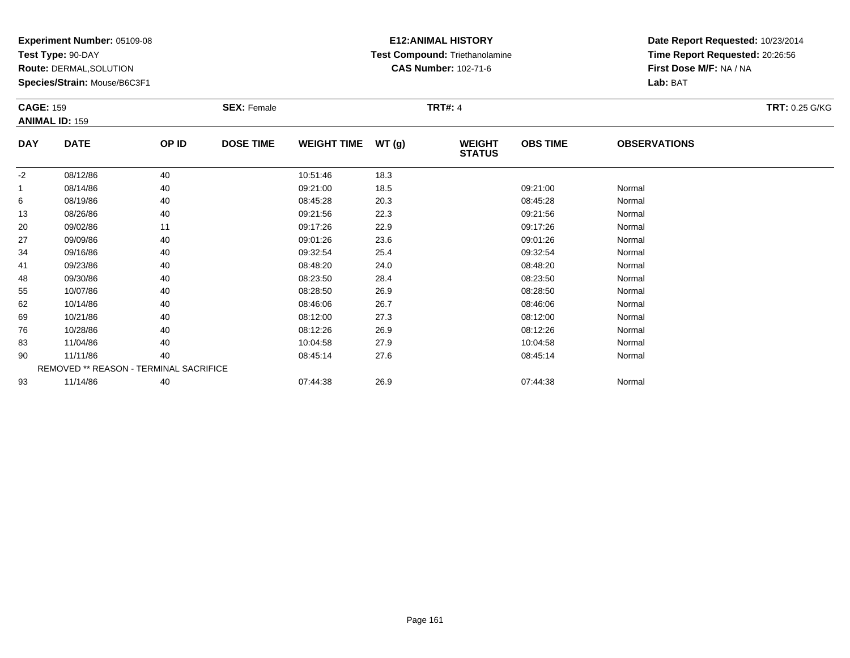**Test Type:** 90-DAY

**Route:** DERMAL,SOLUTION

**Species/Strain:** Mouse/B6C3F1

## **E12:ANIMAL HISTORY Test Compound:** Triethanolamine**CAS Number:** 102-71-6

| <b>CAGE: 159</b> | <b>ANIMAL ID: 159</b>                  |       | <b>SEX: Female</b> |                    |       | <b>TRT#: 4</b>                 |                 |                     | <b>TRT: 0.25 G/KG</b> |
|------------------|----------------------------------------|-------|--------------------|--------------------|-------|--------------------------------|-----------------|---------------------|-----------------------|
| <b>DAY</b>       | <b>DATE</b>                            | OP ID | <b>DOSE TIME</b>   | <b>WEIGHT TIME</b> | WT(g) | <b>WEIGHT</b><br><b>STATUS</b> | <b>OBS TIME</b> | <b>OBSERVATIONS</b> |                       |
| $-2$             | 08/12/86                               | 40    |                    | 10:51:46           | 18.3  |                                |                 |                     |                       |
| 1                | 08/14/86                               | 40    |                    | 09:21:00           | 18.5  |                                | 09:21:00        | Normal              |                       |
| 6                | 08/19/86                               | 40    |                    | 08:45:28           | 20.3  |                                | 08:45:28        | Normal              |                       |
| 13               | 08/26/86                               | 40    |                    | 09:21:56           | 22.3  |                                | 09:21:56        | Normal              |                       |
| 20               | 09/02/86                               | 11    |                    | 09:17:26           | 22.9  |                                | 09:17:26        | Normal              |                       |
| 27               | 09/09/86                               | 40    |                    | 09:01:26           | 23.6  |                                | 09:01:26        | Normal              |                       |
| 34               | 09/16/86                               | 40    |                    | 09:32:54           | 25.4  |                                | 09:32:54        | Normal              |                       |
| 41               | 09/23/86                               | 40    |                    | 08:48:20           | 24.0  |                                | 08:48:20        | Normal              |                       |
| 48               | 09/30/86                               | 40    |                    | 08:23:50           | 28.4  |                                | 08:23:50        | Normal              |                       |
| 55               | 10/07/86                               | 40    |                    | 08:28:50           | 26.9  |                                | 08:28:50        | Normal              |                       |
| 62               | 10/14/86                               | 40    |                    | 08:46:06           | 26.7  |                                | 08:46:06        | Normal              |                       |
| 69               | 10/21/86                               | 40    |                    | 08:12:00           | 27.3  |                                | 08:12:00        | Normal              |                       |
| 76               | 10/28/86                               | 40    |                    | 08:12:26           | 26.9  |                                | 08:12:26        | Normal              |                       |
| 83               | 11/04/86                               | 40    |                    | 10:04:58           | 27.9  |                                | 10:04:58        | Normal              |                       |
| 90               | 11/11/86                               | 40    |                    | 08:45:14           | 27.6  |                                | 08:45:14        | Normal              |                       |
|                  | REMOVED ** REASON - TERMINAL SACRIFICE |       |                    |                    |       |                                |                 |                     |                       |
| 93               | 11/14/86                               | 40    |                    | 07:44:38           | 26.9  |                                | 07:44:38        | Normal              |                       |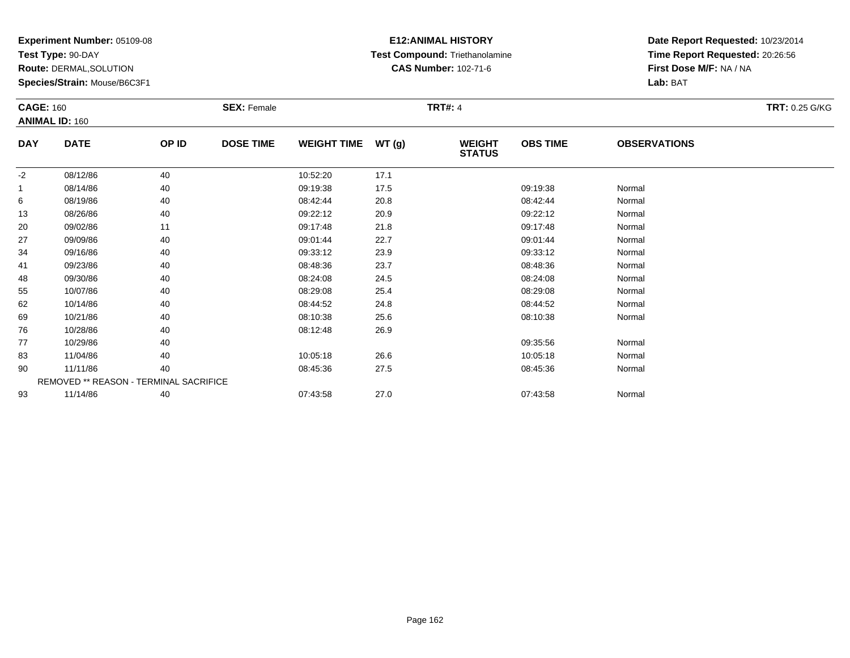**Test Type:** 90-DAY

**Route:** DERMAL,SOLUTION

**Species/Strain:** Mouse/B6C3F1

## **E12:ANIMAL HISTORY Test Compound:** Triethanolamine**CAS Number:** 102-71-6

| <b>CAGE: 160</b> | <b>ANIMAL ID: 160</b>                  |       | <b>SEX: Female</b> |                    |       | <b>TRT#: 4</b>                 |                 |                     | <b>TRT: 0.25 G/KG</b> |
|------------------|----------------------------------------|-------|--------------------|--------------------|-------|--------------------------------|-----------------|---------------------|-----------------------|
| <b>DAY</b>       | <b>DATE</b>                            | OP ID | <b>DOSE TIME</b>   | <b>WEIGHT TIME</b> | WT(g) | <b>WEIGHT</b><br><b>STATUS</b> | <b>OBS TIME</b> | <b>OBSERVATIONS</b> |                       |
| $-2$             | 08/12/86                               | 40    |                    | 10:52:20           | 17.1  |                                |                 |                     |                       |
| -1               | 08/14/86                               | 40    |                    | 09:19:38           | 17.5  |                                | 09:19:38        | Normal              |                       |
| 6                | 08/19/86                               | 40    |                    | 08:42:44           | 20.8  |                                | 08:42:44        | Normal              |                       |
| 13               | 08/26/86                               | 40    |                    | 09:22:12           | 20.9  |                                | 09:22:12        | Normal              |                       |
| 20               | 09/02/86                               | 11    |                    | 09:17:48           | 21.8  |                                | 09:17:48        | Normal              |                       |
| 27               | 09/09/86                               | 40    |                    | 09:01:44           | 22.7  |                                | 09:01:44        | Normal              |                       |
| 34               | 09/16/86                               | 40    |                    | 09:33:12           | 23.9  |                                | 09:33:12        | Normal              |                       |
| 41               | 09/23/86                               | 40    |                    | 08:48:36           | 23.7  |                                | 08:48:36        | Normal              |                       |
| 48               | 09/30/86                               | 40    |                    | 08:24:08           | 24.5  |                                | 08:24:08        | Normal              |                       |
| 55               | 10/07/86                               | 40    |                    | 08:29:08           | 25.4  |                                | 08:29:08        | Normal              |                       |
| 62               | 10/14/86                               | 40    |                    | 08:44:52           | 24.8  |                                | 08:44:52        | Normal              |                       |
| 69               | 10/21/86                               | 40    |                    | 08:10:38           | 25.6  |                                | 08:10:38        | Normal              |                       |
| 76               | 10/28/86                               | 40    |                    | 08:12:48           | 26.9  |                                |                 |                     |                       |
| 77               | 10/29/86                               | 40    |                    |                    |       |                                | 09:35:56        | Normal              |                       |
| 83               | 11/04/86                               | 40    |                    | 10:05:18           | 26.6  |                                | 10:05:18        | Normal              |                       |
| 90               | 11/11/86                               | 40    |                    | 08:45:36           | 27.5  |                                | 08:45:36        | Normal              |                       |
|                  | REMOVED ** REASON - TERMINAL SACRIFICE |       |                    |                    |       |                                |                 |                     |                       |
| 93               | 11/14/86                               | 40    |                    | 07:43:58           | 27.0  |                                | 07:43:58        | Normal              |                       |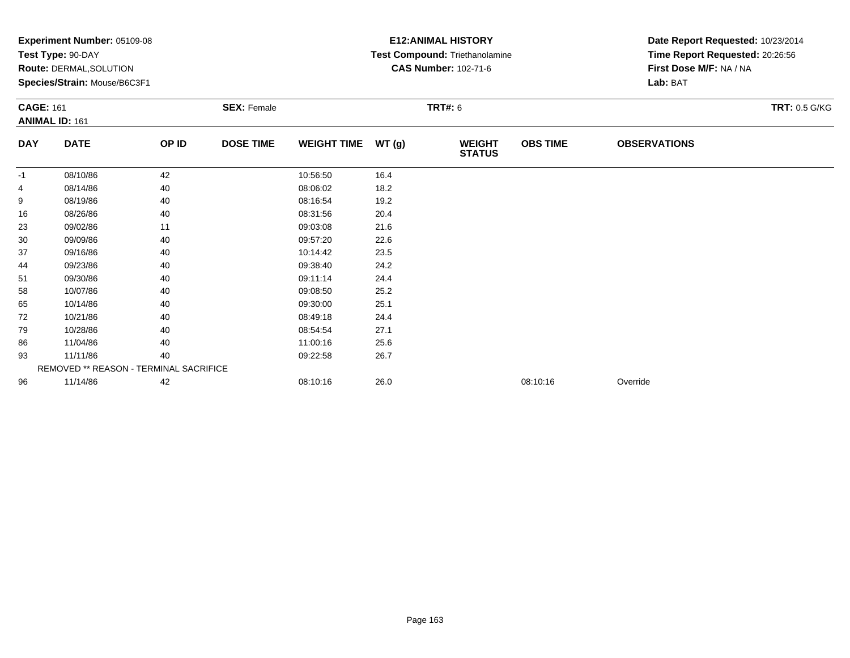|                  | $\mathsf{expermi}$ number: $05109-08$<br>Test Type: 90-DAY<br>Route: DERMAL, SOLUTION<br>Species/Strain: Mouse/B6C3F1 |       |                    |                    |       | EIZ:ANIMAL FIISIURI<br>Test Compound: Triethanolamine<br><b>CAS Number: 102-71-6</b> | Date Report Requested: 10/23/2014<br>Time Report Requested: 20:26:56<br>First Dose M/F: NA / NA<br>Lab: BAT |                     |                      |
|------------------|-----------------------------------------------------------------------------------------------------------------------|-------|--------------------|--------------------|-------|--------------------------------------------------------------------------------------|-------------------------------------------------------------------------------------------------------------|---------------------|----------------------|
| <b>CAGE: 161</b> |                                                                                                                       |       | <b>SEX: Female</b> |                    |       | <b>TRT#: 6</b>                                                                       |                                                                                                             |                     | <b>TRT: 0.5 G/KG</b> |
| <b>DAY</b>       | <b>ANIMAL ID: 161</b><br><b>DATE</b>                                                                                  | OP ID | <b>DOSE TIME</b>   | <b>WEIGHT TIME</b> | WT(g) | <b>WEIGHT</b>                                                                        | <b>OBS TIME</b>                                                                                             | <b>OBSERVATIONS</b> |                      |
|                  |                                                                                                                       |       |                    |                    |       | <b>STATUS</b>                                                                        |                                                                                                             |                     |                      |
| $-1$             | 08/10/86                                                                                                              | 42    |                    | 10:56:50           | 16.4  |                                                                                      |                                                                                                             |                     |                      |
|                  | 08/14/86                                                                                                              | 40    |                    | 08:06:02           | 18.2  |                                                                                      |                                                                                                             |                     |                      |
| 9                | 08/19/86                                                                                                              | 40    |                    | 08:16:54           | 19.2  |                                                                                      |                                                                                                             |                     |                      |
| 16               | 08/26/86                                                                                                              | 40    |                    | 08:31:56           | 20.4  |                                                                                      |                                                                                                             |                     |                      |
| 23               | 09/02/86                                                                                                              | 11    |                    | 09:03:08           | 21.6  |                                                                                      |                                                                                                             |                     |                      |
| 30               | 09/09/86                                                                                                              | 40    |                    | 09:57:20           | 22.6  |                                                                                      |                                                                                                             |                     |                      |
| 37               | 09/16/86                                                                                                              | 40    |                    | 10:14:42           | 23.5  |                                                                                      |                                                                                                             |                     |                      |
| 44               | 09/23/86                                                                                                              | 40    |                    | 09:38:40           | 24.2  |                                                                                      |                                                                                                             |                     |                      |
| 51               | 09/30/86                                                                                                              | 40    |                    | 09:11:14           | 24.4  |                                                                                      |                                                                                                             |                     |                      |
| 58               | 10/07/86                                                                                                              | 40    |                    | 09:08:50           | 25.2  |                                                                                      |                                                                                                             |                     |                      |
| 65               | 10/14/86                                                                                                              | 40    |                    | 09:30:00           | 25.1  |                                                                                      |                                                                                                             |                     |                      |
| 72               | 10/21/86                                                                                                              | 40    |                    | 08:49:18           | 24.4  |                                                                                      |                                                                                                             |                     |                      |
| 79               | 10/28/86                                                                                                              | 40    |                    | 08:54:54           | 27.1  |                                                                                      |                                                                                                             |                     |                      |
| 86               | 11/04/86                                                                                                              | 40    |                    | 11:00:16           | 25.6  |                                                                                      |                                                                                                             |                     |                      |
| 93               | 11/11/86                                                                                                              | 40    |                    | 09:22:58           | 26.7  |                                                                                      |                                                                                                             |                     |                      |
|                  | REMOVED ** REASON - TERMINAL SACRIFICE                                                                                |       |                    |                    |       |                                                                                      |                                                                                                             |                     |                      |
| 96               | 11/14/86                                                                                                              | 42    |                    | 08:10:16           | 26.0  |                                                                                      | 08:10:16                                                                                                    | Override            |                      |
|                  |                                                                                                                       |       |                    |                    |       |                                                                                      |                                                                                                             |                     |                      |

## **E12:ANIMAL HISTORY**

Date Report Requested: **10/23/2014**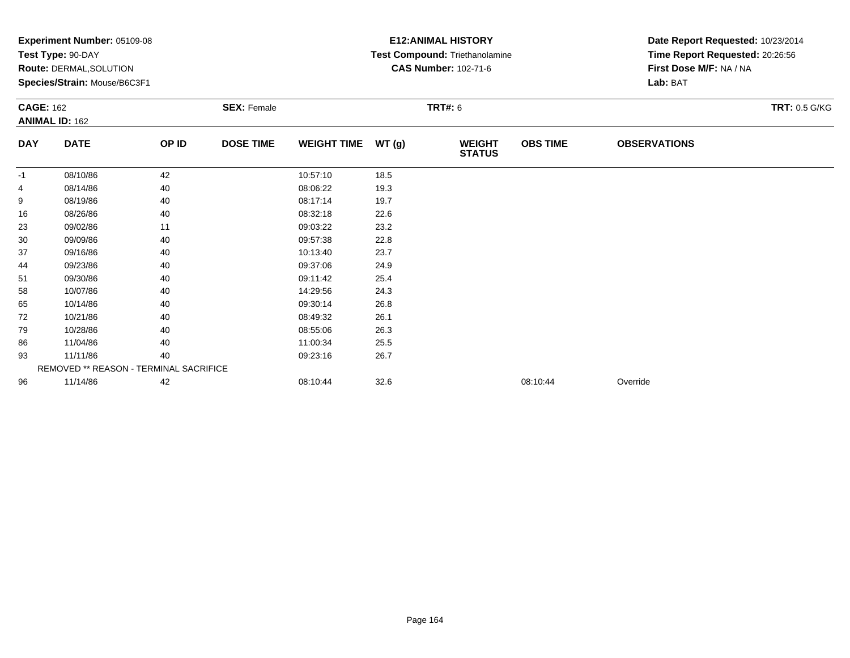|                  | $\mathsf{expermi}$ number: $05109-08$<br>Test Type: 90-DAY<br>Route: DERMAL, SOLUTION<br>Species/Strain: Mouse/B6C3F1 |       |                    |                    |       | EIZ:ANIMAL FIISIURI<br>Test Compound: Triethanolamine<br><b>CAS Number: 102-71-6</b> | Date Report Requested: 10/23/2014<br>Time Report Requested: 20:26:56<br>First Dose M/F: NA / NA<br>Lab: BAT |                     |                      |
|------------------|-----------------------------------------------------------------------------------------------------------------------|-------|--------------------|--------------------|-------|--------------------------------------------------------------------------------------|-------------------------------------------------------------------------------------------------------------|---------------------|----------------------|
| <b>CAGE: 162</b> |                                                                                                                       |       | <b>SEX: Female</b> |                    |       | <b>TRT#: 6</b>                                                                       |                                                                                                             |                     | <b>TRT: 0.5 G/KG</b> |
| <b>DAY</b>       | <b>ANIMAL ID: 162</b><br><b>DATE</b>                                                                                  | OP ID | <b>DOSE TIME</b>   | <b>WEIGHT TIME</b> | WT(g) | <b>WEIGHT</b><br><b>STATUS</b>                                                       | <b>OBS TIME</b>                                                                                             | <b>OBSERVATIONS</b> |                      |
| $-1$             | 08/10/86                                                                                                              | 42    |                    | 10:57:10           | 18.5  |                                                                                      |                                                                                                             |                     |                      |
|                  | 08/14/86                                                                                                              | 40    |                    | 08:06:22           | 19.3  |                                                                                      |                                                                                                             |                     |                      |
| 9                | 08/19/86                                                                                                              | 40    |                    | 08:17:14           | 19.7  |                                                                                      |                                                                                                             |                     |                      |
| 16               | 08/26/86                                                                                                              | 40    |                    | 08:32:18           | 22.6  |                                                                                      |                                                                                                             |                     |                      |
| 23               | 09/02/86                                                                                                              | 11    |                    | 09:03:22           | 23.2  |                                                                                      |                                                                                                             |                     |                      |
| 30               | 09/09/86                                                                                                              | 40    |                    | 09:57:38           | 22.8  |                                                                                      |                                                                                                             |                     |                      |
| 37               | 09/16/86                                                                                                              | 40    |                    | 10:13:40           | 23.7  |                                                                                      |                                                                                                             |                     |                      |
| 44               | 09/23/86                                                                                                              | 40    |                    | 09:37:06           | 24.9  |                                                                                      |                                                                                                             |                     |                      |
| 51               | 09/30/86                                                                                                              | 40    |                    | 09:11:42           | 25.4  |                                                                                      |                                                                                                             |                     |                      |
| 58               | 10/07/86                                                                                                              | 40    |                    | 14:29:56           | 24.3  |                                                                                      |                                                                                                             |                     |                      |
| 65               | 10/14/86                                                                                                              | 40    |                    | 09:30:14           | 26.8  |                                                                                      |                                                                                                             |                     |                      |
| 72               | 10/21/86                                                                                                              | 40    |                    | 08:49:32           | 26.1  |                                                                                      |                                                                                                             |                     |                      |
| 79               | 10/28/86                                                                                                              | 40    |                    | 08:55:06           | 26.3  |                                                                                      |                                                                                                             |                     |                      |
| 86               | 11/04/86                                                                                                              | 40    |                    | 11:00:34           | 25.5  |                                                                                      |                                                                                                             |                     |                      |
| 93               | 11/11/86                                                                                                              | 40    |                    | 09:23:16           | 26.7  |                                                                                      |                                                                                                             |                     |                      |
|                  | REMOVED ** REASON - TERMINAL SACRIFICE                                                                                |       |                    |                    |       |                                                                                      |                                                                                                             |                     |                      |
| 96               | 11/14/86                                                                                                              | 42    |                    | 08:10:44           | 32.6  |                                                                                      | 08:10:44                                                                                                    | Override            |                      |
|                  |                                                                                                                       |       |                    |                    |       |                                                                                      |                                                                                                             |                     |                      |

# **E12:ANIMAL HISTORY**

Date Report Requested: **10/23/2014**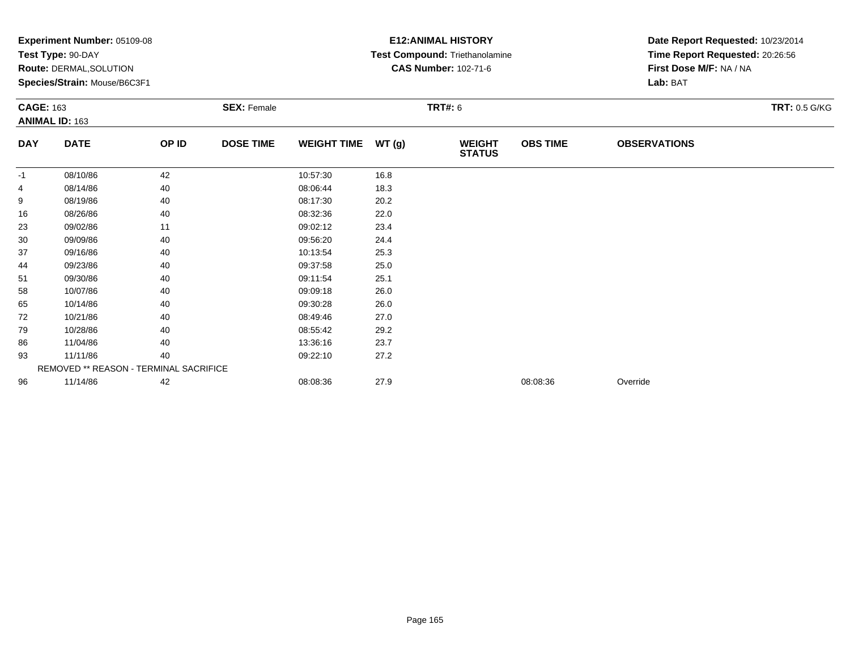|                  | Experiment Number: 05109-08<br>Test Type: 90-DAY<br><b>Route: DERMAL, SOLUTION</b><br>Species/Strain: Mouse/B6C3F1 |       |                    |                    |                | <b>E12: ANIMAL HISTORY</b><br>Test Compound: Triethanolamine<br><b>CAS Number: 102-71-6</b> | Date Report Requested: 10/23/2014<br>Time Report Requested: 20:26:56<br>First Dose M/F: NA / NA<br>Lab: BAT |                     |                      |
|------------------|--------------------------------------------------------------------------------------------------------------------|-------|--------------------|--------------------|----------------|---------------------------------------------------------------------------------------------|-------------------------------------------------------------------------------------------------------------|---------------------|----------------------|
| <b>CAGE: 163</b> | <b>ANIMAL ID: 163</b>                                                                                              |       | <b>SEX: Female</b> |                    | <b>TRT#: 6</b> |                                                                                             |                                                                                                             |                     | <b>TRT: 0.5 G/KG</b> |
| <b>DAY</b>       | <b>DATE</b>                                                                                                        | OP ID | <b>DOSE TIME</b>   | <b>WEIGHT TIME</b> | WT (g)         | <b>WEIGHT</b><br><b>STATUS</b>                                                              | <b>OBS TIME</b>                                                                                             | <b>OBSERVATIONS</b> |                      |
| $-1$             | 08/10/86                                                                                                           | 42    |                    | 10:57:30           | 16.8           |                                                                                             |                                                                                                             |                     |                      |
|                  | 08/14/86                                                                                                           | 40    |                    | 08:06:44           | 18.3           |                                                                                             |                                                                                                             |                     |                      |
| 9                | 08/19/86                                                                                                           | 40    |                    | 08:17:30           | 20.2           |                                                                                             |                                                                                                             |                     |                      |
| 16               | 08/26/86                                                                                                           | 40    |                    | 08:32:36           | 22.0           |                                                                                             |                                                                                                             |                     |                      |
| 23               | 09/02/86                                                                                                           | 11    |                    | 09:02:12           | 23.4           |                                                                                             |                                                                                                             |                     |                      |
| 30               | 09/09/86                                                                                                           | 40    |                    | 09:56:20           | 24.4           |                                                                                             |                                                                                                             |                     |                      |
| 37               | 09/16/86                                                                                                           | 40    |                    | 10:13:54           | 25.3           |                                                                                             |                                                                                                             |                     |                      |
| 44               | 09/23/86                                                                                                           | 40    |                    | 09:37:58           | 25.0           |                                                                                             |                                                                                                             |                     |                      |
| 51               | 09/30/86                                                                                                           | 40    |                    | 09:11:54           | 25.1           |                                                                                             |                                                                                                             |                     |                      |
| 58               | 10/07/86                                                                                                           | 40    |                    | 09:09:18           | 26.0           |                                                                                             |                                                                                                             |                     |                      |
| 65               | 10/14/86                                                                                                           | 40    |                    | 09:30:28           | 26.0           |                                                                                             |                                                                                                             |                     |                      |
| 72               | 10/21/86                                                                                                           | 40    |                    | 08:49:46           | 27.0           |                                                                                             |                                                                                                             |                     |                      |
| 79               | 10/28/86                                                                                                           | 40    |                    | 08:55:42           | 29.2           |                                                                                             |                                                                                                             |                     |                      |
| 86               | 11/04/86                                                                                                           | 40    |                    | 13:36:16           | 23.7           |                                                                                             |                                                                                                             |                     |                      |
| 93               | 11/11/86<br>40                                                                                                     |       | 09:22:10           | 27.2               |                |                                                                                             |                                                                                                             |                     |                      |
|                  | REMOVED ** REASON - TERMINAL SACRIFICE                                                                             |       |                    |                    |                |                                                                                             |                                                                                                             |                     |                      |
| 96               | 11/14/86<br>42                                                                                                     |       |                    | 08:08:36           | 27.9           |                                                                                             | 08:08:36                                                                                                    | Override            |                      |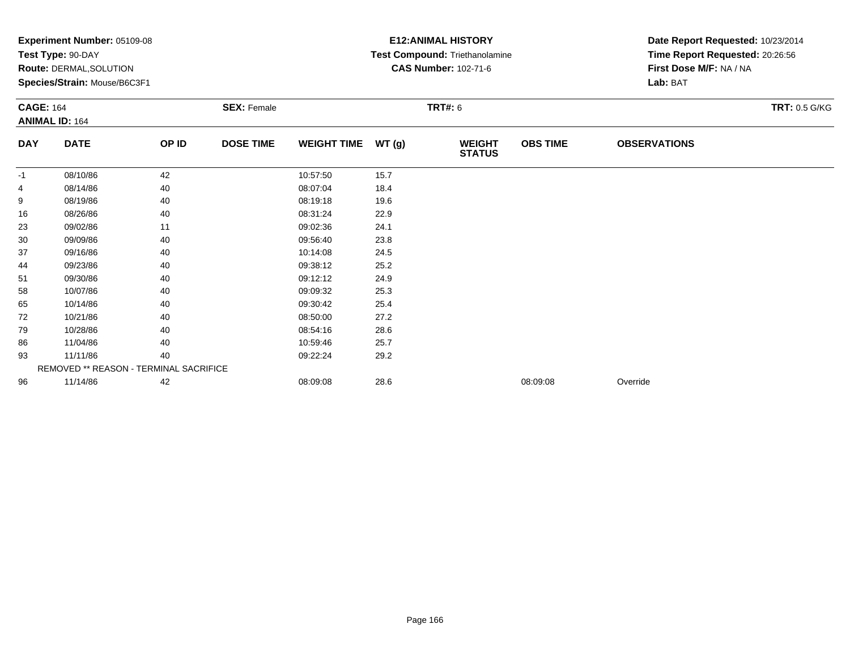|                  | Experiment Number: 05109-08<br>Test Type: 90-DAY<br>Route: DERMAL, SOLUTION<br>Species/Strain: Mouse/B6C3F1 |       |                    |                    |                | <b>E12: ANIMAL HISTORY</b><br>Test Compound: Triethanolamine<br><b>CAS Number: 102-71-6</b> | Date Report Requested: 10/23/2014<br>Time Report Requested: 20:26:56<br>First Dose M/F: NA / NA<br>Lab: BAT |                     |                      |
|------------------|-------------------------------------------------------------------------------------------------------------|-------|--------------------|--------------------|----------------|---------------------------------------------------------------------------------------------|-------------------------------------------------------------------------------------------------------------|---------------------|----------------------|
| <b>CAGE: 164</b> | <b>ANIMAL ID: 164</b>                                                                                       |       | <b>SEX: Female</b> |                    | <b>TRT#: 6</b> |                                                                                             |                                                                                                             |                     | <b>TRT: 0.5 G/KG</b> |
| <b>DAY</b>       | <b>DATE</b>                                                                                                 | OP ID | <b>DOSE TIME</b>   | <b>WEIGHT TIME</b> | WT(g)          | <b>WEIGHT</b><br><b>STATUS</b>                                                              | <b>OBS TIME</b>                                                                                             | <b>OBSERVATIONS</b> |                      |
| $-1$             | 08/10/86                                                                                                    | 42    |                    | 10:57:50           | 15.7           |                                                                                             |                                                                                                             |                     |                      |
|                  | 08/14/86                                                                                                    | 40    |                    | 08:07:04           | 18.4           |                                                                                             |                                                                                                             |                     |                      |
| 9                | 08/19/86                                                                                                    | 40    |                    | 08:19:18           | 19.6           |                                                                                             |                                                                                                             |                     |                      |
| 16               | 08/26/86                                                                                                    | 40    |                    | 08:31:24           | 22.9           |                                                                                             |                                                                                                             |                     |                      |
| 23               | 09/02/86                                                                                                    | 11    |                    | 09:02:36           | 24.1           |                                                                                             |                                                                                                             |                     |                      |
| 30               | 09/09/86                                                                                                    | 40    |                    | 09:56:40           | 23.8           |                                                                                             |                                                                                                             |                     |                      |
| 37               | 09/16/86                                                                                                    | 40    |                    | 10:14:08           | 24.5           |                                                                                             |                                                                                                             |                     |                      |
| 44               | 09/23/86                                                                                                    | 40    |                    | 09:38:12           | 25.2           |                                                                                             |                                                                                                             |                     |                      |
| 51               | 09/30/86                                                                                                    | 40    |                    | 09:12:12           | 24.9           |                                                                                             |                                                                                                             |                     |                      |
| 58               | 10/07/86                                                                                                    | 40    |                    | 09:09:32           | 25.3           |                                                                                             |                                                                                                             |                     |                      |
| 65               | 10/14/86                                                                                                    | 40    |                    | 09:30:42           | 25.4           |                                                                                             |                                                                                                             |                     |                      |
| 72               | 10/21/86                                                                                                    | 40    |                    | 08:50:00           | 27.2           |                                                                                             |                                                                                                             |                     |                      |
| 79               | 10/28/86                                                                                                    | 40    |                    | 08:54:16           | 28.6           |                                                                                             |                                                                                                             |                     |                      |
| 86               | 11/04/86                                                                                                    | 40    |                    | 10:59:46           | 25.7           |                                                                                             |                                                                                                             |                     |                      |
| 93               | 11/11/86                                                                                                    | 40    |                    | 09:22:24           | 29.2           |                                                                                             |                                                                                                             |                     |                      |
|                  | REMOVED ** REASON - TERMINAL SACRIFICE                                                                      |       |                    |                    |                |                                                                                             |                                                                                                             |                     |                      |
| 96               | 11/14/86                                                                                                    | 42    |                    | 08:09:08           | 28.6           |                                                                                             | 08:09:08                                                                                                    | Override            |                      |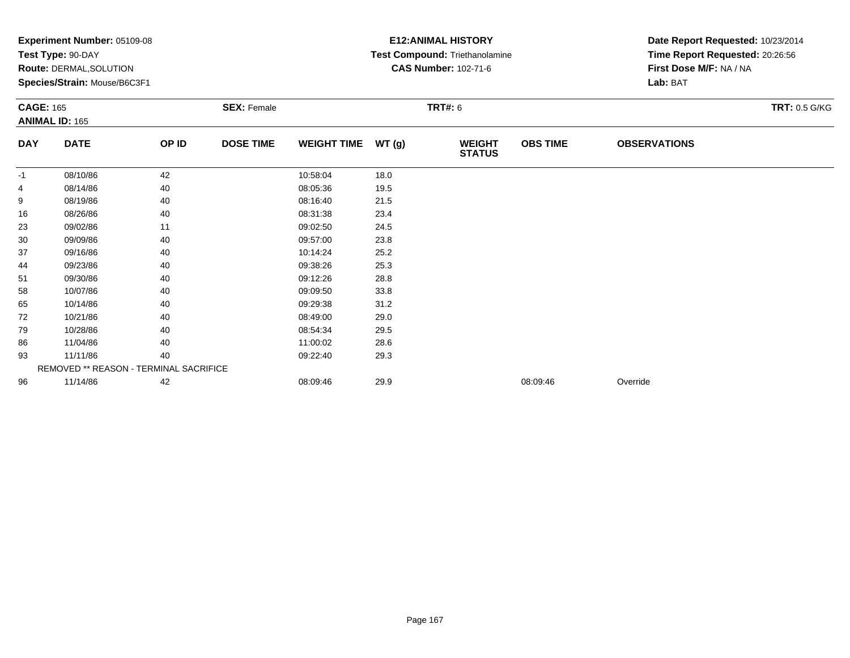|                  | Experiment Number: 05109-08<br>Test Type: 90-DAY<br>Route: DERMAL, SOLUTION<br>Species/Strain: Mouse/B6C3F1 |       |                                      |                    | <b>E12: ANIMAL HISTORY</b><br>Test Compound: Triethanolamine<br><b>CAS Number: 102-71-6</b> | Date Report Requested: 10/23/2014<br>Time Report Requested: 20:26:56<br>First Dose M/F: NA / NA<br>Lab: BAT |                 |                     |                      |
|------------------|-------------------------------------------------------------------------------------------------------------|-------|--------------------------------------|--------------------|---------------------------------------------------------------------------------------------|-------------------------------------------------------------------------------------------------------------|-----------------|---------------------|----------------------|
| <b>CAGE: 165</b> | <b>ANIMAL ID: 165</b>                                                                                       |       | <b>TRT#: 6</b><br><b>SEX: Female</b> |                    |                                                                                             |                                                                                                             |                 |                     | <b>TRT: 0.5 G/KG</b> |
| <b>DAY</b>       | <b>DATE</b>                                                                                                 | OP ID | <b>DOSE TIME</b>                     | <b>WEIGHT TIME</b> | WT(g)                                                                                       | <b>WEIGHT</b><br><b>STATUS</b>                                                                              | <b>OBS TIME</b> | <b>OBSERVATIONS</b> |                      |
| $-1$             | 08/10/86                                                                                                    | 42    |                                      | 10:58:04           | 18.0                                                                                        |                                                                                                             |                 |                     |                      |
|                  | 08/14/86                                                                                                    | 40    |                                      | 08:05:36           | 19.5                                                                                        |                                                                                                             |                 |                     |                      |
| 9                | 08/19/86                                                                                                    | 40    |                                      | 08:16:40           | 21.5                                                                                        |                                                                                                             |                 |                     |                      |
| 16               | 08/26/86                                                                                                    | 40    |                                      | 08:31:38           | 23.4                                                                                        |                                                                                                             |                 |                     |                      |
| 23               | 09/02/86                                                                                                    | 11    |                                      | 09:02:50           | 24.5                                                                                        |                                                                                                             |                 |                     |                      |
| 30               | 09/09/86                                                                                                    | 40    |                                      | 09:57:00           | 23.8                                                                                        |                                                                                                             |                 |                     |                      |
| 37               | 09/16/86                                                                                                    | 40    |                                      | 10:14:24           | 25.2                                                                                        |                                                                                                             |                 |                     |                      |
| 44               | 09/23/86                                                                                                    | 40    |                                      | 09:38:26           | 25.3                                                                                        |                                                                                                             |                 |                     |                      |
| 51               | 09/30/86                                                                                                    | 40    |                                      | 09:12:26           | 28.8                                                                                        |                                                                                                             |                 |                     |                      |
| 58               | 10/07/86                                                                                                    | 40    |                                      | 09:09:50           | 33.8                                                                                        |                                                                                                             |                 |                     |                      |
| 65               | 10/14/86                                                                                                    | 40    |                                      | 09:29:38           | 31.2                                                                                        |                                                                                                             |                 |                     |                      |
| 72               | 10/21/86                                                                                                    | 40    |                                      | 08:49:00           | 29.0                                                                                        |                                                                                                             |                 |                     |                      |
| 79               | 10/28/86                                                                                                    | 40    |                                      | 08:54:34           | 29.5                                                                                        |                                                                                                             |                 |                     |                      |
| 86               | 11/04/86                                                                                                    | 40    |                                      | 11:00:02           | 28.6                                                                                        |                                                                                                             |                 |                     |                      |
| 93               | 11/11/86                                                                                                    | 40    |                                      | 09:22:40           | 29.3                                                                                        |                                                                                                             |                 |                     |                      |
|                  | REMOVED ** REASON - TERMINAL SACRIFICE                                                                      |       |                                      |                    |                                                                                             |                                                                                                             |                 |                     |                      |
| 96               | 11/14/86                                                                                                    | 42    |                                      | 08:09:46           | 29.9                                                                                        |                                                                                                             | 08:09:46        | Override            |                      |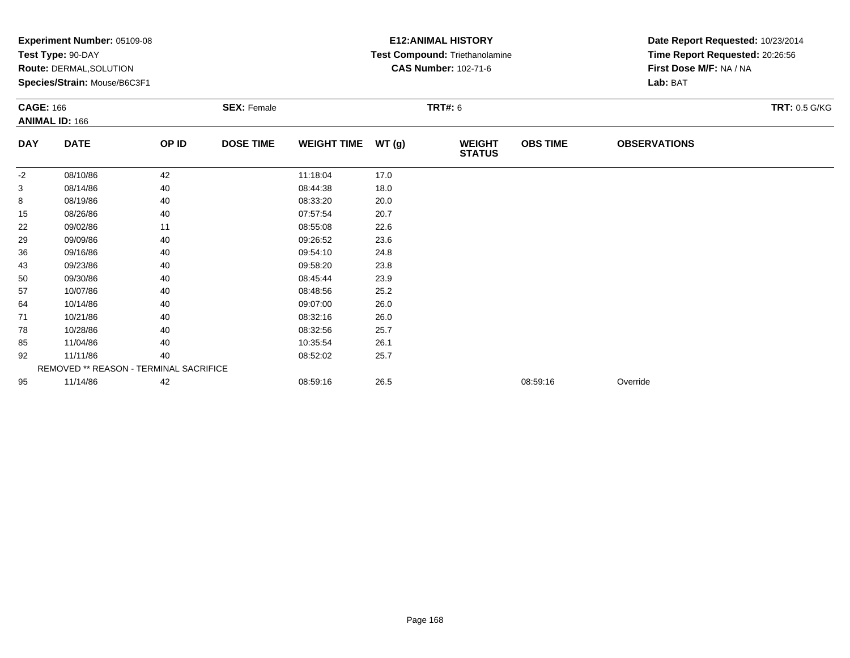|                  | Experiment Number: 05109-08<br>Test Type: 90-DAY<br>Route: DERMAL, SOLUTION<br>Species/Strain: Mouse/B6C3F1 |       |                    |                    |       | <b>E12: ANIMAL HISTORY</b><br>Test Compound: Triethanolamine<br><b>CAS Number: 102-71-6</b> | Date Report Requested: 10/23/2014<br>Time Report Requested: 20:26:56<br>First Dose M/F: NA / NA<br>Lab: BAT |                     |                      |
|------------------|-------------------------------------------------------------------------------------------------------------|-------|--------------------|--------------------|-------|---------------------------------------------------------------------------------------------|-------------------------------------------------------------------------------------------------------------|---------------------|----------------------|
| <b>CAGE: 166</b> | <b>ANIMAL ID: 166</b>                                                                                       |       | <b>SEX: Female</b> |                    |       | <b>TRT#: 6</b>                                                                              |                                                                                                             |                     | <b>TRT: 0.5 G/KG</b> |
| <b>DAY</b>       | <b>DATE</b>                                                                                                 | OP ID | <b>DOSE TIME</b>   | <b>WEIGHT TIME</b> | WT(g) | <b>WEIGHT</b><br><b>STATUS</b>                                                              | <b>OBS TIME</b>                                                                                             | <b>OBSERVATIONS</b> |                      |
| $-2$             | 08/10/86                                                                                                    | 42    |                    | 11:18:04           | 17.0  |                                                                                             |                                                                                                             |                     |                      |
| 3                | 08/14/86                                                                                                    | 40    |                    | 08:44:38           | 18.0  |                                                                                             |                                                                                                             |                     |                      |
| 8                | 08/19/86                                                                                                    | 40    |                    | 08:33:20           | 20.0  |                                                                                             |                                                                                                             |                     |                      |
| 15               | 08/26/86                                                                                                    | 40    |                    | 07:57:54           | 20.7  |                                                                                             |                                                                                                             |                     |                      |
| 22               | 09/02/86                                                                                                    | 11    |                    | 08:55:08           | 22.6  |                                                                                             |                                                                                                             |                     |                      |
| 29               | 09/09/86                                                                                                    | 40    |                    | 09:26:52           | 23.6  |                                                                                             |                                                                                                             |                     |                      |
| 36               | 09/16/86                                                                                                    | 40    |                    | 09:54:10           | 24.8  |                                                                                             |                                                                                                             |                     |                      |
| 43               | 09/23/86                                                                                                    | 40    |                    | 09:58:20           | 23.8  |                                                                                             |                                                                                                             |                     |                      |
| 50               | 09/30/86                                                                                                    | 40    |                    | 08:45:44           | 23.9  |                                                                                             |                                                                                                             |                     |                      |
| 57               | 10/07/86                                                                                                    | 40    |                    | 08:48:56           | 25.2  |                                                                                             |                                                                                                             |                     |                      |
| 64               | 10/14/86                                                                                                    | 40    |                    | 09:07:00           | 26.0  |                                                                                             |                                                                                                             |                     |                      |
| 71               | 10/21/86                                                                                                    | 40    |                    | 08:32:16           | 26.0  |                                                                                             |                                                                                                             |                     |                      |
| 78               | 10/28/86                                                                                                    | 40    |                    | 08:32:56           | 25.7  |                                                                                             |                                                                                                             |                     |                      |
| 85               | 11/04/86                                                                                                    | 40    |                    | 10:35:54           | 26.1  |                                                                                             |                                                                                                             |                     |                      |
| 92               | 11/11/86<br>40                                                                                              |       | 08:52:02           | 25.7               |       |                                                                                             |                                                                                                             |                     |                      |
|                  | REMOVED ** REASON - TERMINAL SACRIFICE                                                                      |       |                    |                    |       |                                                                                             |                                                                                                             |                     |                      |
| 95               | 11/14/86                                                                                                    | 42    |                    | 08:59:16           | 26.5  |                                                                                             | 08:59:16                                                                                                    | Override            |                      |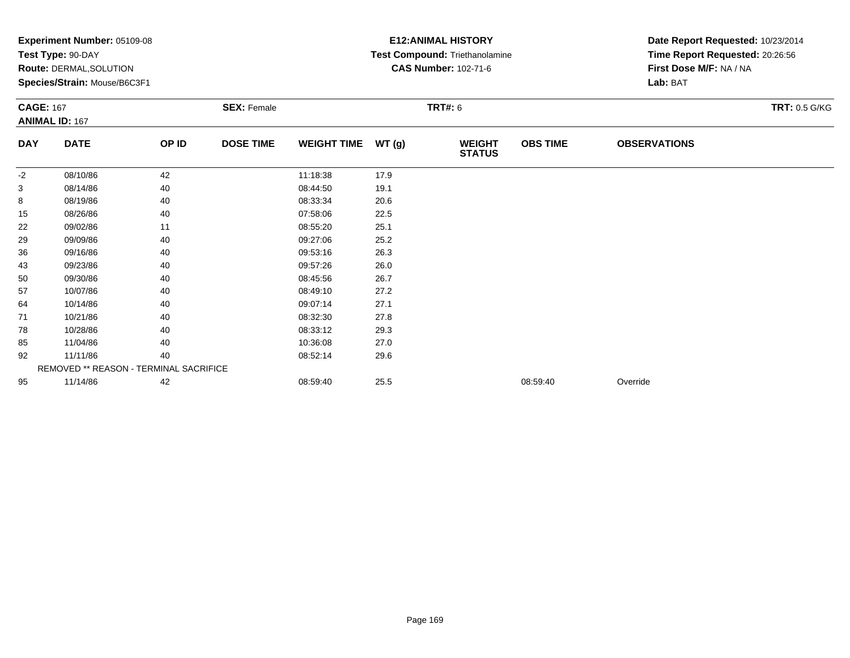|                  | Experiment Number: 05109-08<br>Test Type: 90-DAY<br>Route: DERMAL, SOLUTION<br>Species/Strain: Mouse/B6C3F1 |       |                    |                    |        | <b>E12: ANIMAL HISTORY</b><br>Test Compound: Triethanolamine<br><b>CAS Number: 102-71-6</b> | Date Report Requested: 10/23/2014<br>Time Report Requested: 20:26:56<br>First Dose M/F: NA / NA<br>Lab: BAT |                     |                      |
|------------------|-------------------------------------------------------------------------------------------------------------|-------|--------------------|--------------------|--------|---------------------------------------------------------------------------------------------|-------------------------------------------------------------------------------------------------------------|---------------------|----------------------|
| <b>CAGE: 167</b> | <b>ANIMAL ID: 167</b>                                                                                       |       | <b>SEX: Female</b> |                    |        | <b>TRT#: 6</b>                                                                              |                                                                                                             |                     | <b>TRT: 0.5 G/KG</b> |
| <b>DAY</b>       | <b>DATE</b>                                                                                                 | OP ID | <b>DOSE TIME</b>   | <b>WEIGHT TIME</b> | WT (g) | <b>WEIGHT</b><br><b>STATUS</b>                                                              | <b>OBS TIME</b>                                                                                             | <b>OBSERVATIONS</b> |                      |
| $-2$             | 08/10/86                                                                                                    | 42    |                    | 11:18:38           | 17.9   |                                                                                             |                                                                                                             |                     |                      |
| 3                | 08/14/86                                                                                                    | 40    |                    | 08:44:50           | 19.1   |                                                                                             |                                                                                                             |                     |                      |
| 8                | 08/19/86                                                                                                    | 40    |                    | 08:33:34           | 20.6   |                                                                                             |                                                                                                             |                     |                      |
| 15               | 08/26/86                                                                                                    | 40    |                    | 07:58:06           | 22.5   |                                                                                             |                                                                                                             |                     |                      |
| 22               | 09/02/86                                                                                                    | 11    |                    | 08:55:20           | 25.1   |                                                                                             |                                                                                                             |                     |                      |
| 29               | 09/09/86                                                                                                    | 40    |                    | 09:27:06           | 25.2   |                                                                                             |                                                                                                             |                     |                      |
| 36               | 09/16/86                                                                                                    | 40    |                    | 09:53:16           | 26.3   |                                                                                             |                                                                                                             |                     |                      |
| 43               | 09/23/86                                                                                                    | 40    |                    | 09:57:26           | 26.0   |                                                                                             |                                                                                                             |                     |                      |
| 50               | 09/30/86                                                                                                    | 40    |                    | 08:45:56           | 26.7   |                                                                                             |                                                                                                             |                     |                      |
| 57               | 10/07/86                                                                                                    | 40    |                    | 08:49:10           | 27.2   |                                                                                             |                                                                                                             |                     |                      |
| 64               | 10/14/86                                                                                                    | 40    |                    | 09:07:14           | 27.1   |                                                                                             |                                                                                                             |                     |                      |
| 71               | 10/21/86                                                                                                    | 40    |                    | 08:32:30           | 27.8   |                                                                                             |                                                                                                             |                     |                      |
| 78               | 10/28/86                                                                                                    | 40    |                    | 08:33:12           | 29.3   |                                                                                             |                                                                                                             |                     |                      |
| 85               | 11/04/86                                                                                                    | 40    |                    | 10:36:08           | 27.0   |                                                                                             |                                                                                                             |                     |                      |
| 92               | 11/11/86                                                                                                    | 40    |                    | 08:52:14           | 29.6   |                                                                                             |                                                                                                             |                     |                      |
|                  | REMOVED ** REASON - TERMINAL SACRIFICE                                                                      |       |                    |                    |        |                                                                                             |                                                                                                             |                     |                      |
| 95               | 11/14/86                                                                                                    | 42    |                    | 08:59:40           | 25.5   |                                                                                             | 08:59:40                                                                                                    | Override            |                      |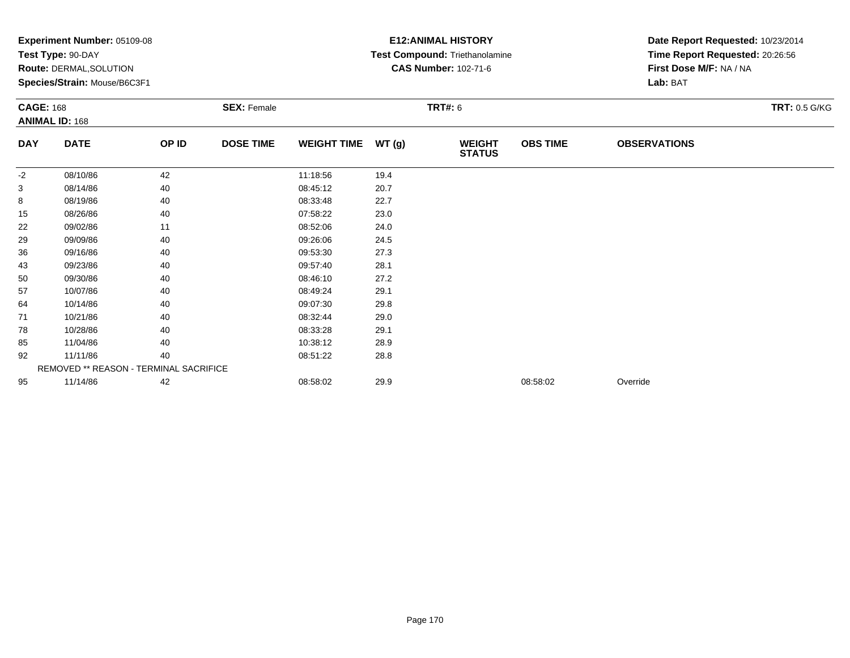|            | Experiment Number: 05109-08<br>Test Type: 90-DAY<br>Route: DERMAL, SOLUTION<br>Species/Strain: Mouse/B6C3F1<br><b>CAGE: 168</b><br><b>ANIMAL ID: 168</b> |       |                    |                    |                | <b>E12: ANIMAL HISTORY</b><br>Test Compound: Triethanolamine<br><b>CAS Number: 102-71-6</b> | Date Report Requested: 10/23/2014<br>Time Report Requested: 20:26:56<br>First Dose M/F: NA / NA<br>Lab: BAT |                     |                      |
|------------|----------------------------------------------------------------------------------------------------------------------------------------------------------|-------|--------------------|--------------------|----------------|---------------------------------------------------------------------------------------------|-------------------------------------------------------------------------------------------------------------|---------------------|----------------------|
|            |                                                                                                                                                          |       | <b>SEX: Female</b> |                    | <b>TRT#: 6</b> |                                                                                             |                                                                                                             |                     | <b>TRT: 0.5 G/KG</b> |
| <b>DAY</b> | <b>DATE</b>                                                                                                                                              | OP ID | <b>DOSE TIME</b>   | <b>WEIGHT TIME</b> | WT(g)          | <b>WEIGHT</b><br><b>STATUS</b>                                                              | <b>OBS TIME</b>                                                                                             | <b>OBSERVATIONS</b> |                      |
| $-2$       | 08/10/86                                                                                                                                                 | 42    |                    | 11:18:56           | 19.4           |                                                                                             |                                                                                                             |                     |                      |
| 3          | 08/14/86                                                                                                                                                 | 40    |                    | 08:45:12           | 20.7           |                                                                                             |                                                                                                             |                     |                      |
| 8          | 08/19/86                                                                                                                                                 | 40    |                    | 08:33:48           | 22.7           |                                                                                             |                                                                                                             |                     |                      |
| 15         | 08/26/86                                                                                                                                                 | 40    |                    | 07:58:22           | 23.0           |                                                                                             |                                                                                                             |                     |                      |
| 22         | 09/02/86                                                                                                                                                 | 11    |                    | 08:52:06           | 24.0           |                                                                                             |                                                                                                             |                     |                      |
| 29         | 09/09/86                                                                                                                                                 | 40    |                    | 09:26:06           | 24.5           |                                                                                             |                                                                                                             |                     |                      |
| 36         | 09/16/86                                                                                                                                                 | 40    |                    | 09:53:30           | 27.3           |                                                                                             |                                                                                                             |                     |                      |
| 43         | 09/23/86                                                                                                                                                 | 40    |                    | 09:57:40           | 28.1           |                                                                                             |                                                                                                             |                     |                      |
| 50         | 09/30/86                                                                                                                                                 | 40    |                    | 08:46:10           | 27.2           |                                                                                             |                                                                                                             |                     |                      |
| 57         | 10/07/86                                                                                                                                                 | 40    |                    | 08:49:24           | 29.1           |                                                                                             |                                                                                                             |                     |                      |
| 64         | 10/14/86                                                                                                                                                 | 40    |                    | 09:07:30           | 29.8           |                                                                                             |                                                                                                             |                     |                      |
| 71         | 10/21/86                                                                                                                                                 | 40    |                    | 08:32:44           | 29.0           |                                                                                             |                                                                                                             |                     |                      |
| 78         | 10/28/86                                                                                                                                                 | 40    |                    | 08:33:28           | 29.1           |                                                                                             |                                                                                                             |                     |                      |
| 85         | 11/04/86                                                                                                                                                 | 40    |                    | 10:38:12           | 28.9           |                                                                                             |                                                                                                             |                     |                      |
| 92         | 11/11/86                                                                                                                                                 | 40    |                    | 08:51:22           | 28.8           |                                                                                             |                                                                                                             |                     |                      |
|            | REMOVED ** REASON - TERMINAL SACRIFICE                                                                                                                   |       |                    |                    |                |                                                                                             |                                                                                                             |                     |                      |
| 95         | 11/14/86                                                                                                                                                 | 42    |                    | 08:58:02           | 29.9           |                                                                                             | 08:58:02                                                                                                    | Override            |                      |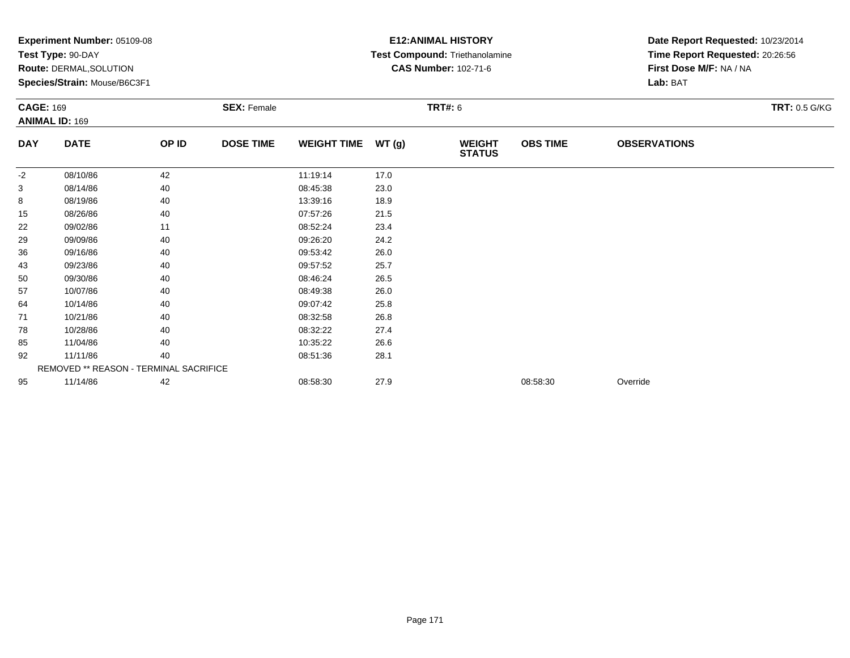|                  | $\mathsf{expermi}$ number: $05109-08$<br>Test Type: 90-DAY<br><b>Route: DERMAL, SOLUTION</b><br>Species/Strain: Mouse/B6C3F1 |       |                    |                    |       | <b>EIZ:ANIMAL FIJJIUKI</b><br>Test Compound: Triethanolamine<br><b>CAS Number: 102-71-6</b> | Date Report Requested: 10/23/2014<br>Time Report Requested: 20:26:56<br>First Dose M/F: NA / NA<br>Lab: BAT |                     |                      |
|------------------|------------------------------------------------------------------------------------------------------------------------------|-------|--------------------|--------------------|-------|---------------------------------------------------------------------------------------------|-------------------------------------------------------------------------------------------------------------|---------------------|----------------------|
| <b>CAGE: 169</b> | <b>ANIMAL ID: 169</b>                                                                                                        |       | <b>SEX: Female</b> |                    |       | <b>TRT#: 6</b>                                                                              |                                                                                                             |                     | <b>TRT: 0.5 G/KG</b> |
| <b>DAY</b>       | <b>DATE</b>                                                                                                                  | OP ID | <b>DOSE TIME</b>   | <b>WEIGHT TIME</b> | WT(g) | <b>WEIGHT</b><br><b>STATUS</b>                                                              | <b>OBS TIME</b>                                                                                             | <b>OBSERVATIONS</b> |                      |
| $-2$             | 08/10/86                                                                                                                     | 42    |                    | 11:19:14           | 17.0  |                                                                                             |                                                                                                             |                     |                      |
| 3                | 08/14/86                                                                                                                     | 40    |                    | 08:45:38           | 23.0  |                                                                                             |                                                                                                             |                     |                      |
| 8                | 08/19/86                                                                                                                     | 40    |                    | 13:39:16           | 18.9  |                                                                                             |                                                                                                             |                     |                      |
| 15               | 08/26/86                                                                                                                     | 40    |                    | 07:57:26           | 21.5  |                                                                                             |                                                                                                             |                     |                      |
| 22               | 09/02/86                                                                                                                     | 11    |                    | 08:52:24           | 23.4  |                                                                                             |                                                                                                             |                     |                      |
| 29               | 09/09/86                                                                                                                     | 40    |                    | 09:26:20           | 24.2  |                                                                                             |                                                                                                             |                     |                      |
| 36               | 09/16/86                                                                                                                     | 40    |                    | 09:53:42           | 26.0  |                                                                                             |                                                                                                             |                     |                      |
| 43               | 09/23/86                                                                                                                     | 40    |                    | 09:57:52           | 25.7  |                                                                                             |                                                                                                             |                     |                      |
| 50               | 09/30/86                                                                                                                     | 40    |                    | 08:46:24           | 26.5  |                                                                                             |                                                                                                             |                     |                      |
| 57               | 10/07/86                                                                                                                     | 40    |                    | 08:49:38           | 26.0  |                                                                                             |                                                                                                             |                     |                      |
| 64               | 10/14/86                                                                                                                     | 40    |                    | 09:07:42           | 25.8  |                                                                                             |                                                                                                             |                     |                      |
| 71               | 10/21/86                                                                                                                     | 40    |                    | 08:32:58           | 26.8  |                                                                                             |                                                                                                             |                     |                      |
| 78               | 10/28/86                                                                                                                     | 40    |                    | 08:32:22           | 27.4  |                                                                                             |                                                                                                             |                     |                      |
| 85               | 11/04/86                                                                                                                     | 40    |                    | 10:35:22           | 26.6  |                                                                                             |                                                                                                             |                     |                      |
| 92               | 11/11/86                                                                                                                     | 40    |                    | 08:51:36           | 28.1  |                                                                                             |                                                                                                             |                     |                      |
|                  | REMOVED ** REASON - TERMINAL SACRIFICE                                                                                       |       |                    |                    |       |                                                                                             |                                                                                                             |                     |                      |
| 95               | 11/14/86                                                                                                                     | 42    |                    | 08:58:30           | 27.9  |                                                                                             | 08:58:30                                                                                                    | Override            |                      |

## **E12:ANIMAL HISTORY**

Date Report Requested: **10/23/2014**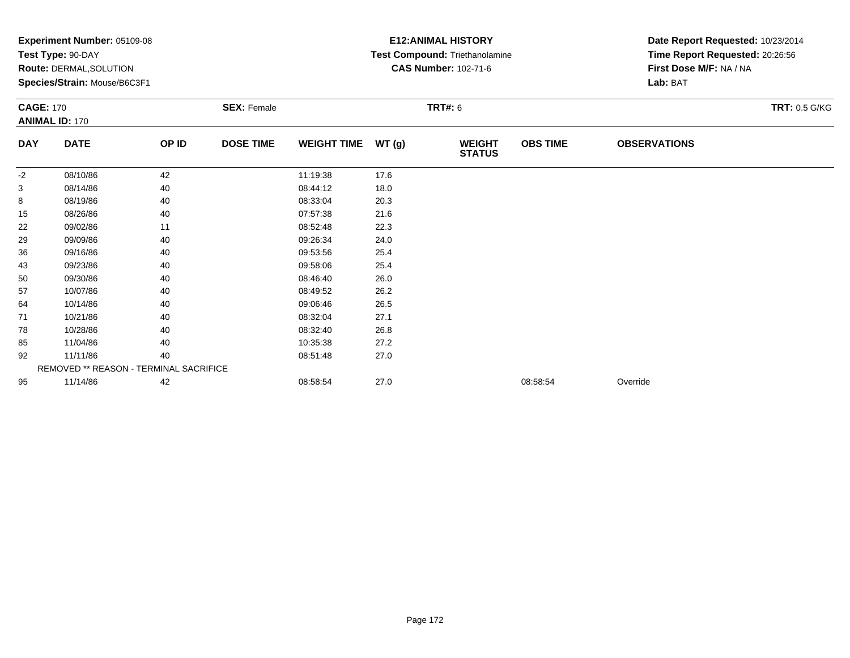|                  | Experiment Number: 05109-08<br>Test Type: 90-DAY<br>Route: DERMAL, SOLUTION<br>Species/Strain: Mouse/B6C3F1 |       |                    |                    |                | <b>E12: ANIMAL HISTORY</b><br>Test Compound: Triethanolamine<br><b>CAS Number: 102-71-6</b> | Date Report Requested: 10/23/2014<br>Time Report Requested: 20:26:56<br>First Dose M/F: NA / NA<br>Lab: BAT |                     |                      |
|------------------|-------------------------------------------------------------------------------------------------------------|-------|--------------------|--------------------|----------------|---------------------------------------------------------------------------------------------|-------------------------------------------------------------------------------------------------------------|---------------------|----------------------|
| <b>CAGE: 170</b> | <b>ANIMAL ID: 170</b>                                                                                       |       | <b>SEX: Female</b> |                    | <b>TRT#: 6</b> |                                                                                             |                                                                                                             |                     | <b>TRT: 0.5 G/KG</b> |
| <b>DAY</b>       | <b>DATE</b>                                                                                                 | OP ID | <b>DOSE TIME</b>   | <b>WEIGHT TIME</b> | WT (g)         | <b>WEIGHT</b><br><b>STATUS</b>                                                              | <b>OBS TIME</b>                                                                                             | <b>OBSERVATIONS</b> |                      |
| $-2$             | 08/10/86                                                                                                    | 42    |                    | 11:19:38           | 17.6           |                                                                                             |                                                                                                             |                     |                      |
| 3                | 08/14/86                                                                                                    | 40    |                    | 08:44:12           | 18.0           |                                                                                             |                                                                                                             |                     |                      |
| 8                | 08/19/86                                                                                                    | 40    |                    | 08:33:04           | 20.3           |                                                                                             |                                                                                                             |                     |                      |
| 15               | 08/26/86                                                                                                    | 40    |                    | 07:57:38           | 21.6           |                                                                                             |                                                                                                             |                     |                      |
| 22               | 09/02/86                                                                                                    | 11    |                    | 08:52:48           | 22.3           |                                                                                             |                                                                                                             |                     |                      |
| 29               | 09/09/86                                                                                                    | 40    |                    | 09:26:34           | 24.0           |                                                                                             |                                                                                                             |                     |                      |
| 36               | 09/16/86                                                                                                    | 40    |                    | 09:53:56           | 25.4           |                                                                                             |                                                                                                             |                     |                      |
| 43               | 09/23/86                                                                                                    | 40    |                    | 09:58:06           | 25.4           |                                                                                             |                                                                                                             |                     |                      |
| 50               | 09/30/86                                                                                                    | 40    |                    | 08:46:40           | 26.0           |                                                                                             |                                                                                                             |                     |                      |
| 57               | 10/07/86                                                                                                    | 40    |                    | 08:49:52           | 26.2           |                                                                                             |                                                                                                             |                     |                      |
| 64               | 10/14/86                                                                                                    | 40    |                    | 09:06:46           | 26.5           |                                                                                             |                                                                                                             |                     |                      |
| 71               | 10/21/86                                                                                                    | 40    |                    | 08:32:04           | 27.1           |                                                                                             |                                                                                                             |                     |                      |
| 78               | 10/28/86                                                                                                    | 40    |                    | 08:32:40           | 26.8           |                                                                                             |                                                                                                             |                     |                      |
| 85               | 11/04/86                                                                                                    | 40    |                    | 10:35:38           | 27.2           |                                                                                             |                                                                                                             |                     |                      |
| 92               | 11/11/86                                                                                                    | 40    |                    | 08:51:48           | 27.0           |                                                                                             |                                                                                                             |                     |                      |
|                  | REMOVED ** REASON - TERMINAL SACRIFICE                                                                      |       |                    |                    |                |                                                                                             |                                                                                                             |                     |                      |
| 95               | 11/14/86                                                                                                    | 42    |                    | 08:58:54           | 27.0           |                                                                                             | 08:58:54                                                                                                    | Override            |                      |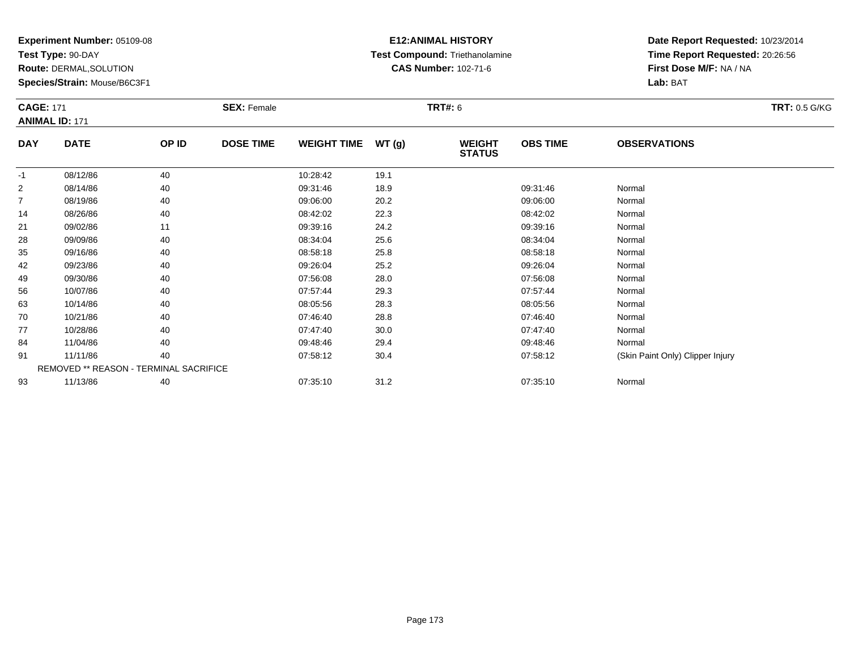**Test Type:** 90-DAY

**Route:** DERMAL,SOLUTION

**Species/Strain:** Mouse/B6C3F1

## **E12:ANIMAL HISTORY Test Compound:** Triethanolamine**CAS Number:** 102-71-6

|                | <b>CAGE: 171</b><br><b>ANIMAL ID: 171</b> |       | <b>SEX: Female</b> |                    |       | <b>TRT#: 6</b>                 |                 |                                  | <b>TRT: 0.5 G/KG</b> |
|----------------|-------------------------------------------|-------|--------------------|--------------------|-------|--------------------------------|-----------------|----------------------------------|----------------------|
| <b>DAY</b>     | <b>DATE</b>                               | OP ID | <b>DOSE TIME</b>   | <b>WEIGHT TIME</b> | WT(g) | <b>WEIGHT</b><br><b>STATUS</b> | <b>OBS TIME</b> | <b>OBSERVATIONS</b>              |                      |
| $-1$           | 08/12/86                                  | 40    |                    | 10:28:42           | 19.1  |                                |                 |                                  |                      |
| $\overline{2}$ | 08/14/86                                  | 40    |                    | 09:31:46           | 18.9  |                                | 09:31:46        | Normal                           |                      |
| 7              | 08/19/86                                  | 40    |                    | 09:06:00           | 20.2  |                                | 09:06:00        | Normal                           |                      |
| 14             | 08/26/86                                  | 40    |                    | 08:42:02           | 22.3  |                                | 08:42:02        | Normal                           |                      |
| 21             | 09/02/86                                  | 11    |                    | 09:39:16           | 24.2  |                                | 09:39:16        | Normal                           |                      |
| 28             | 09/09/86                                  | 40    |                    | 08:34:04           | 25.6  |                                | 08:34:04        | Normal                           |                      |
| 35             | 09/16/86                                  | 40    |                    | 08:58:18           | 25.8  |                                | 08:58:18        | Normal                           |                      |
| 42             | 09/23/86                                  | 40    |                    | 09:26:04           | 25.2  |                                | 09:26:04        | Normal                           |                      |
| 49             | 09/30/86                                  | 40    |                    | 07:56:08           | 28.0  |                                | 07:56:08        | Normal                           |                      |
| 56             | 10/07/86                                  | 40    |                    | 07:57:44           | 29.3  |                                | 07:57:44        | Normal                           |                      |
| 63             | 10/14/86                                  | 40    |                    | 08:05:56           | 28.3  |                                | 08:05:56        | Normal                           |                      |
| 70             | 10/21/86                                  | 40    |                    | 07:46:40           | 28.8  |                                | 07:46:40        | Normal                           |                      |
| 77             | 10/28/86                                  | 40    |                    | 07:47:40           | 30.0  |                                | 07:47:40        | Normal                           |                      |
| 84             | 11/04/86                                  | 40    |                    | 09:48:46           | 29.4  |                                | 09:48:46        | Normal                           |                      |
| 91             | 11/11/86                                  | 40    |                    | 07:58:12           | 30.4  |                                | 07:58:12        | (Skin Paint Only) Clipper Injury |                      |
|                | REMOVED ** REASON - TERMINAL SACRIFICE    |       |                    |                    |       |                                |                 |                                  |                      |
| 93             | 11/13/86                                  | 40    |                    | 07:35:10           | 31.2  |                                | 07:35:10        | Normal                           |                      |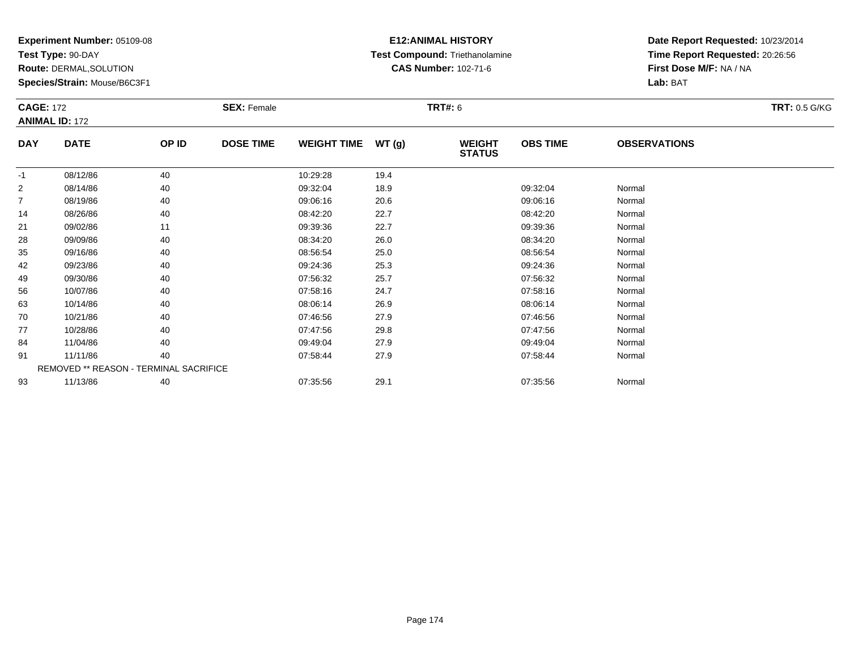**Test Type:** 90-DAY

**Route:** DERMAL,SOLUTION

**Species/Strain:** Mouse/B6C3F1

## **E12:ANIMAL HISTORY Test Compound:** Triethanolamine**CAS Number:** 102-71-6

| <b>CAGE: 172</b> | <b>ANIMAL ID: 172</b>                  |       | <b>SEX: Female</b> |                    |       | <b>TRT#: 6</b>                 |                 |                     | <b>TRT: 0.5 G/KG</b> |
|------------------|----------------------------------------|-------|--------------------|--------------------|-------|--------------------------------|-----------------|---------------------|----------------------|
| <b>DAY</b>       | <b>DATE</b>                            | OP ID | <b>DOSE TIME</b>   | <b>WEIGHT TIME</b> | WT(g) | <b>WEIGHT</b><br><b>STATUS</b> | <b>OBS TIME</b> | <b>OBSERVATIONS</b> |                      |
| $-1$             | 08/12/86                               | 40    |                    | 10:29:28           | 19.4  |                                |                 |                     |                      |
| $\overline{2}$   | 08/14/86                               | 40    |                    | 09:32:04           | 18.9  |                                | 09:32:04        | Normal              |                      |
| $\overline{7}$   | 08/19/86                               | 40    |                    | 09:06:16           | 20.6  |                                | 09:06:16        | Normal              |                      |
| 14               | 08/26/86                               | 40    |                    | 08:42:20           | 22.7  |                                | 08:42:20        | Normal              |                      |
| 21               | 09/02/86                               | 11    |                    | 09:39:36           | 22.7  |                                | 09:39:36        | Normal              |                      |
| 28               | 09/09/86                               | 40    |                    | 08:34:20           | 26.0  |                                | 08:34:20        | Normal              |                      |
| 35               | 09/16/86                               | 40    |                    | 08:56:54           | 25.0  |                                | 08:56:54        | Normal              |                      |
| 42               | 09/23/86                               | 40    |                    | 09:24:36           | 25.3  |                                | 09:24:36        | Normal              |                      |
| 49               | 09/30/86                               | 40    |                    | 07:56:32           | 25.7  |                                | 07:56:32        | Normal              |                      |
| 56               | 10/07/86                               | 40    |                    | 07:58:16           | 24.7  |                                | 07:58:16        | Normal              |                      |
| 63               | 10/14/86                               | 40    |                    | 08:06:14           | 26.9  |                                | 08:06:14        | Normal              |                      |
| 70               | 10/21/86                               | 40    |                    | 07:46:56           | 27.9  |                                | 07:46:56        | Normal              |                      |
| 77               | 10/28/86                               | 40    |                    | 07:47:56           | 29.8  |                                | 07:47:56        | Normal              |                      |
| 84               | 11/04/86                               | 40    |                    | 09:49:04           | 27.9  |                                | 09:49:04        | Normal              |                      |
| 91               | 11/11/86                               | 40    |                    | 07:58:44           | 27.9  |                                | 07:58:44        | Normal              |                      |
|                  | REMOVED ** REASON - TERMINAL SACRIFICE |       |                    |                    |       |                                |                 |                     |                      |
| 93               | 11/13/86                               | 40    |                    | 07:35:56           | 29.1  |                                | 07:35:56        | Normal              |                      |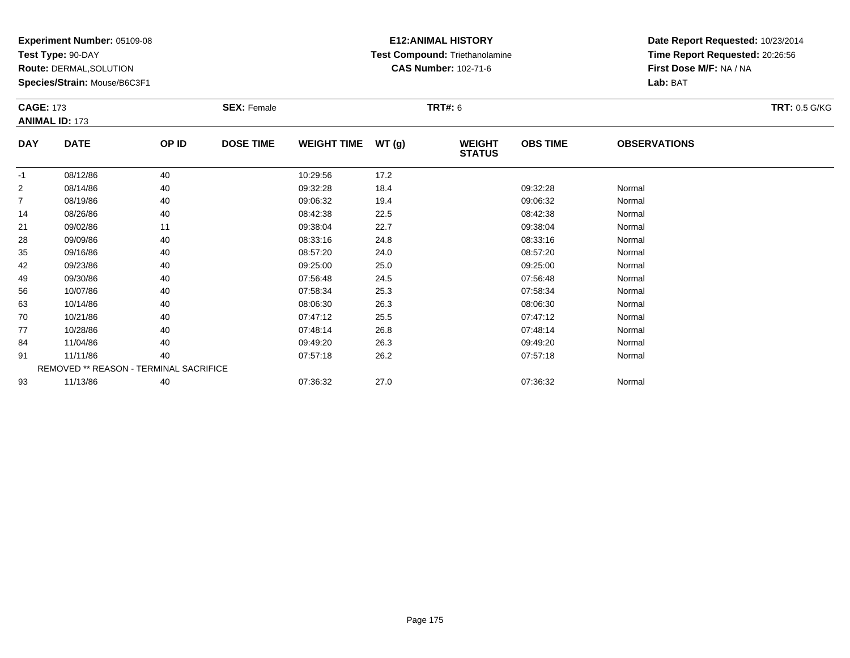**Test Type:** 90-DAY

**Route:** DERMAL,SOLUTION

**Species/Strain:** Mouse/B6C3F1

## **E12:ANIMAL HISTORY Test Compound:** Triethanolamine**CAS Number:** 102-71-6

| <b>CAGE: 173</b> | <b>ANIMAL ID: 173</b>                  |       | <b>SEX: Female</b> |                    |       | <b>TRT#: 6</b>                 |                 |                     | <b>TRT: 0.5 G/KG</b> |
|------------------|----------------------------------------|-------|--------------------|--------------------|-------|--------------------------------|-----------------|---------------------|----------------------|
| <b>DAY</b>       | <b>DATE</b>                            | OP ID | <b>DOSE TIME</b>   | <b>WEIGHT TIME</b> | WT(g) | <b>WEIGHT</b><br><b>STATUS</b> | <b>OBS TIME</b> | <b>OBSERVATIONS</b> |                      |
| $-1$             | 08/12/86                               | 40    |                    | 10:29:56           | 17.2  |                                |                 |                     |                      |
| $\overline{2}$   | 08/14/86                               | 40    |                    | 09:32:28           | 18.4  |                                | 09:32:28        | Normal              |                      |
| $\overline{7}$   | 08/19/86                               | 40    |                    | 09:06:32           | 19.4  |                                | 09:06:32        | Normal              |                      |
| 14               | 08/26/86                               | 40    |                    | 08:42:38           | 22.5  |                                | 08:42:38        | Normal              |                      |
| 21               | 09/02/86                               | 11    |                    | 09:38:04           | 22.7  |                                | 09:38:04        | Normal              |                      |
| 28               | 09/09/86                               | 40    |                    | 08:33:16           | 24.8  |                                | 08:33:16        | Normal              |                      |
| 35               | 09/16/86                               | 40    |                    | 08:57:20           | 24.0  |                                | 08:57:20        | Normal              |                      |
| 42               | 09/23/86                               | 40    |                    | 09:25:00           | 25.0  |                                | 09:25:00        | Normal              |                      |
| 49               | 09/30/86                               | 40    |                    | 07:56:48           | 24.5  |                                | 07:56:48        | Normal              |                      |
| 56               | 10/07/86                               | 40    |                    | 07:58:34           | 25.3  |                                | 07:58:34        | Normal              |                      |
| 63               | 10/14/86                               | 40    |                    | 08:06:30           | 26.3  |                                | 08:06:30        | Normal              |                      |
| 70               | 10/21/86                               | 40    |                    | 07:47:12           | 25.5  |                                | 07:47:12        | Normal              |                      |
| 77               | 10/28/86                               | 40    |                    | 07:48:14           | 26.8  |                                | 07:48:14        | Normal              |                      |
| 84               | 11/04/86                               | 40    |                    | 09:49:20           | 26.3  |                                | 09:49:20        | Normal              |                      |
| 91               | 11/11/86                               | 40    |                    | 07:57:18           | 26.2  |                                | 07:57:18        | Normal              |                      |
|                  | REMOVED ** REASON - TERMINAL SACRIFICE |       |                    |                    |       |                                |                 |                     |                      |
| 93               | 11/13/86                               | 40    |                    | 07:36:32           | 27.0  |                                | 07:36:32        | Normal              |                      |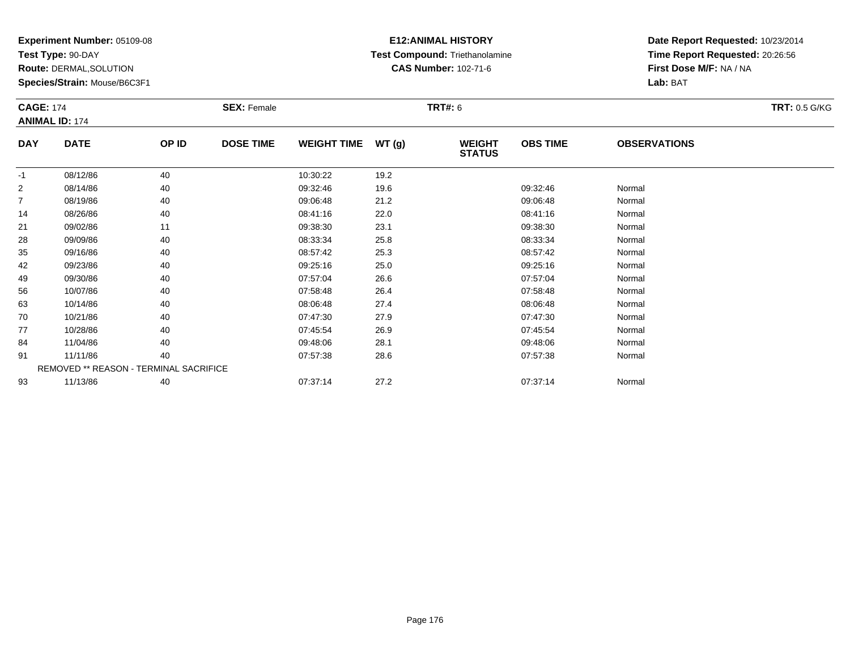**Test Type:** 90-DAY

**Route:** DERMAL,SOLUTION

**Species/Strain:** Mouse/B6C3F1

### **E12:ANIMAL HISTORY Test Compound:** Triethanolamine**CAS Number:** 102-71-6

| <b>CAGE: 174</b> |                                        |       | <b>SEX: Female</b> |                    |       | <b>TRT#: 6</b>                 |                 |                     | <b>TRT: 0.5 G/KG</b> |
|------------------|----------------------------------------|-------|--------------------|--------------------|-------|--------------------------------|-----------------|---------------------|----------------------|
|                  | <b>ANIMAL ID: 174</b>                  |       |                    |                    |       |                                |                 |                     |                      |
| <b>DAY</b>       | <b>DATE</b>                            | OP ID | <b>DOSE TIME</b>   | <b>WEIGHT TIME</b> | WT(g) | <b>WEIGHT</b><br><b>STATUS</b> | <b>OBS TIME</b> | <b>OBSERVATIONS</b> |                      |
| $-1$             | 08/12/86                               | 40    |                    | 10:30:22           | 19.2  |                                |                 |                     |                      |
| $\overline{2}$   | 08/14/86                               | 40    |                    | 09:32:46           | 19.6  |                                | 09:32:46        | Normal              |                      |
| 7                | 08/19/86                               | 40    |                    | 09:06:48           | 21.2  |                                | 09:06:48        | Normal              |                      |
| 14               | 08/26/86                               | 40    |                    | 08:41:16           | 22.0  |                                | 08:41:16        | Normal              |                      |
| 21               | 09/02/86                               | 11    |                    | 09:38:30           | 23.1  |                                | 09:38:30        | Normal              |                      |
| 28               | 09/09/86                               | 40    |                    | 08:33:34           | 25.8  |                                | 08:33:34        | Normal              |                      |
| 35               | 09/16/86                               | 40    |                    | 08:57:42           | 25.3  |                                | 08:57:42        | Normal              |                      |
| 42               | 09/23/86                               | 40    |                    | 09:25:16           | 25.0  |                                | 09:25:16        | Normal              |                      |
| 49               | 09/30/86                               | 40    |                    | 07:57:04           | 26.6  |                                | 07:57:04        | Normal              |                      |
| 56               | 10/07/86                               | 40    |                    | 07:58:48           | 26.4  |                                | 07:58:48        | Normal              |                      |
| 63               | 10/14/86                               | 40    |                    | 08:06:48           | 27.4  |                                | 08:06:48        | Normal              |                      |
| 70               | 10/21/86                               | 40    |                    | 07:47:30           | 27.9  |                                | 07:47:30        | Normal              |                      |
| 77               | 10/28/86                               | 40    |                    | 07:45:54           | 26.9  |                                | 07:45:54        | Normal              |                      |
| 84               | 11/04/86                               | 40    |                    | 09:48:06           | 28.1  |                                | 09:48:06        | Normal              |                      |
| 91               | 11/11/86                               | 40    |                    | 07:57:38           | 28.6  |                                | 07:57:38        | Normal              |                      |
|                  | REMOVED ** REASON - TERMINAL SACRIFICE |       |                    |                    |       |                                |                 |                     |                      |
| 93               | 11/13/86                               | 40    |                    | 07:37:14           | 27.2  |                                | 07:37:14        | Normal              |                      |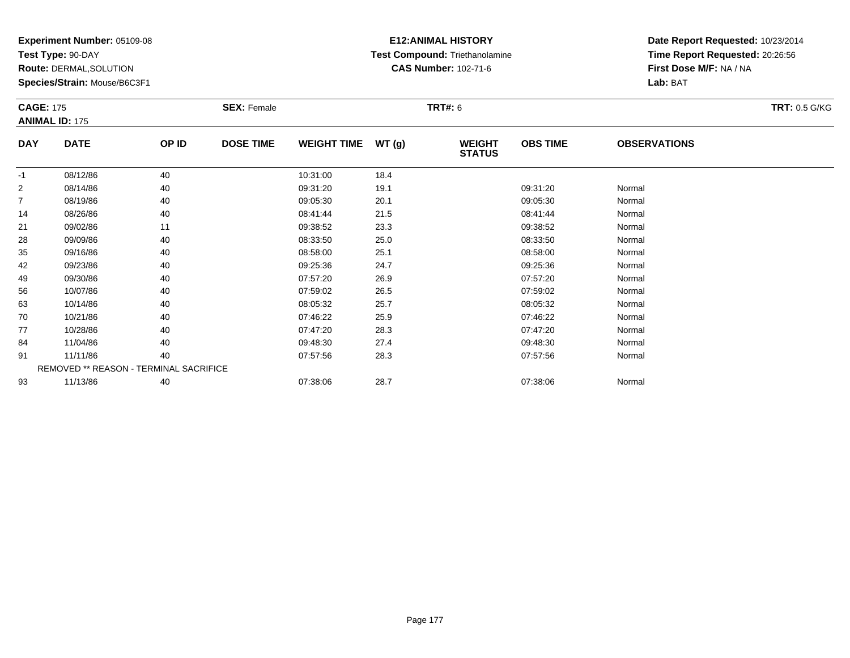**Test Type:** 90-DAY

**Route:** DERMAL,SOLUTION

**Species/Strain:** Mouse/B6C3F1

## **E12:ANIMAL HISTORY Test Compound:** Triethanolamine**CAS Number:** 102-71-6

| <b>CAGE: 175</b> | <b>ANIMAL ID: 175</b>                  |       | <b>SEX: Female</b> |                    |       | <b>TRT#:</b> 6                 |                 |                     | <b>TRT: 0.5 G/KG</b> |
|------------------|----------------------------------------|-------|--------------------|--------------------|-------|--------------------------------|-----------------|---------------------|----------------------|
| <b>DAY</b>       | <b>DATE</b>                            | OP ID | <b>DOSE TIME</b>   | <b>WEIGHT TIME</b> | WT(g) | <b>WEIGHT</b><br><b>STATUS</b> | <b>OBS TIME</b> | <b>OBSERVATIONS</b> |                      |
| $-1$             | 08/12/86                               | 40    |                    | 10:31:00           | 18.4  |                                |                 |                     |                      |
| $\overline{2}$   | 08/14/86                               | 40    |                    | 09:31:20           | 19.1  |                                | 09:31:20        | Normal              |                      |
| 7                | 08/19/86                               | 40    |                    | 09:05:30           | 20.1  |                                | 09:05:30        | Normal              |                      |
| 14               | 08/26/86                               | 40    |                    | 08:41:44           | 21.5  |                                | 08:41:44        | Normal              |                      |
| 21               | 09/02/86                               | 11    |                    | 09:38:52           | 23.3  |                                | 09:38:52        | Normal              |                      |
| 28               | 09/09/86                               | 40    |                    | 08:33:50           | 25.0  |                                | 08:33:50        | Normal              |                      |
| 35               | 09/16/86                               | 40    |                    | 08:58:00           | 25.1  |                                | 08:58:00        | Normal              |                      |
| 42               | 09/23/86                               | 40    |                    | 09:25:36           | 24.7  |                                | 09:25:36        | Normal              |                      |
| 49               | 09/30/86                               | 40    |                    | 07:57:20           | 26.9  |                                | 07:57:20        | Normal              |                      |
| 56               | 10/07/86                               | 40    |                    | 07:59:02           | 26.5  |                                | 07:59:02        | Normal              |                      |
| 63               | 10/14/86                               | 40    |                    | 08:05:32           | 25.7  |                                | 08:05:32        | Normal              |                      |
| 70               | 10/21/86                               | 40    |                    | 07:46:22           | 25.9  |                                | 07:46:22        | Normal              |                      |
| 77               | 10/28/86                               | 40    |                    | 07:47:20           | 28.3  |                                | 07:47:20        | Normal              |                      |
| 84               | 11/04/86                               | 40    |                    | 09:48:30           | 27.4  |                                | 09:48:30        | Normal              |                      |
| 91               | 11/11/86                               | 40    |                    | 07:57:56           | 28.3  |                                | 07:57:56        | Normal              |                      |
|                  | REMOVED ** REASON - TERMINAL SACRIFICE |       |                    |                    |       |                                |                 |                     |                      |
| 93               | 11/13/86                               | 40    |                    | 07:38:06           | 28.7  |                                | 07:38:06        | Normal              |                      |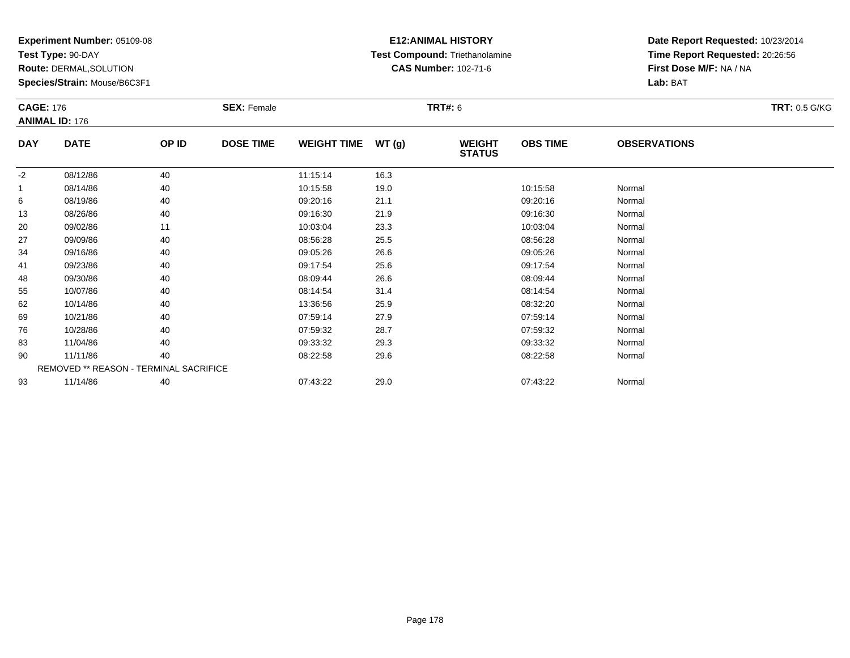**Test Type:** 90-DAY

**Route:** DERMAL,SOLUTION

**Species/Strain:** Mouse/B6C3F1

## **E12:ANIMAL HISTORY Test Compound:** Triethanolamine**CAS Number:** 102-71-6

| <b>CAGE: 176</b> | <b>ANIMAL ID: 176</b> |                                        | <b>SEX: Female</b> |                    |       | <b>TRT#:</b> 6                 |                 |                     | <b>TRT: 0.5 G/KG</b> |
|------------------|-----------------------|----------------------------------------|--------------------|--------------------|-------|--------------------------------|-----------------|---------------------|----------------------|
| <b>DAY</b>       | <b>DATE</b>           | OP ID                                  | <b>DOSE TIME</b>   | <b>WEIGHT TIME</b> | WT(g) | <b>WEIGHT</b><br><b>STATUS</b> | <b>OBS TIME</b> | <b>OBSERVATIONS</b> |                      |
| $-2$             | 08/12/86              | 40                                     |                    | 11:15:14           | 16.3  |                                |                 |                     |                      |
| -1               | 08/14/86              | 40                                     |                    | 10:15:58           | 19.0  |                                | 10:15:58        | Normal              |                      |
| 6                | 08/19/86              | 40                                     |                    | 09:20:16           | 21.1  |                                | 09:20:16        | Normal              |                      |
| 13               | 08/26/86              | 40                                     |                    | 09:16:30           | 21.9  |                                | 09:16:30        | Normal              |                      |
| 20               | 09/02/86              | 11                                     |                    | 10:03:04           | 23.3  |                                | 10:03:04        | Normal              |                      |
| 27               | 09/09/86              | 40                                     |                    | 08:56:28           | 25.5  |                                | 08:56:28        | Normal              |                      |
| 34               | 09/16/86              | 40                                     |                    | 09:05:26           | 26.6  |                                | 09:05:26        | Normal              |                      |
| 41               | 09/23/86              | 40                                     |                    | 09:17:54           | 25.6  |                                | 09:17:54        | Normal              |                      |
| 48               | 09/30/86              | 40                                     |                    | 08:09:44           | 26.6  |                                | 08:09:44        | Normal              |                      |
| 55               | 10/07/86              | 40                                     |                    | 08:14:54           | 31.4  |                                | 08:14:54        | Normal              |                      |
| 62               | 10/14/86              | 40                                     |                    | 13:36:56           | 25.9  |                                | 08:32:20        | Normal              |                      |
| 69               | 10/21/86              | 40                                     |                    | 07:59:14           | 27.9  |                                | 07:59:14        | Normal              |                      |
| 76               | 10/28/86              | 40                                     |                    | 07:59:32           | 28.7  |                                | 07:59:32        | Normal              |                      |
| 83               | 11/04/86              | 40                                     |                    | 09:33:32           | 29.3  |                                | 09:33:32        | Normal              |                      |
| 90               | 11/11/86              | 40                                     |                    | 08:22:58           | 29.6  |                                | 08:22:58        | Normal              |                      |
|                  |                       | REMOVED ** REASON - TERMINAL SACRIFICE |                    |                    |       |                                |                 |                     |                      |
| 93               | 11/14/86              | 40                                     |                    | 07:43:22           | 29.0  |                                | 07:43:22        | Normal              |                      |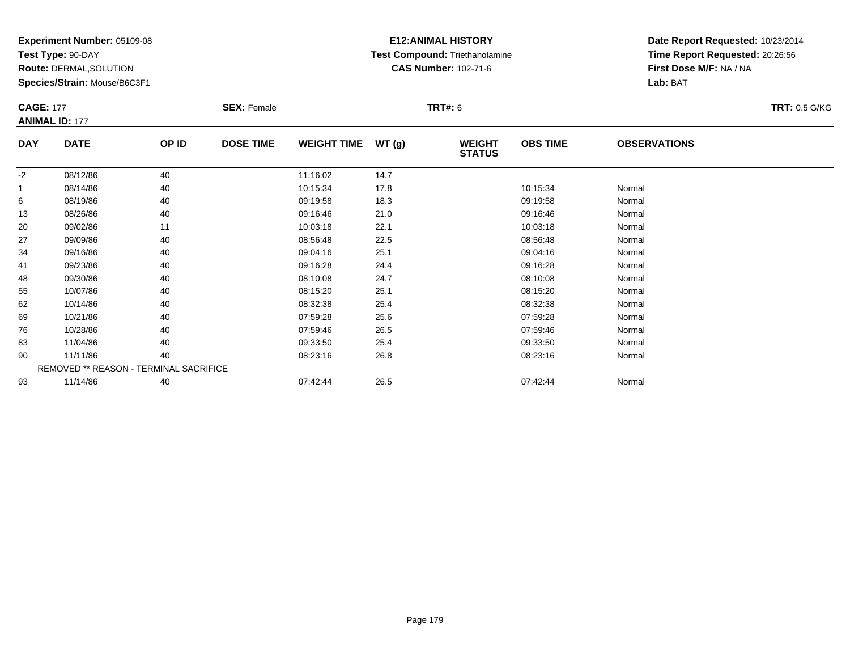**Test Type:** 90-DAY

**Route:** DERMAL,SOLUTION

**Species/Strain:** Mouse/B6C3F1

## **E12:ANIMAL HISTORY Test Compound:** Triethanolamine**CAS Number:** 102-71-6

| <b>CAGE: 177</b> | <b>ANIMAL ID: 177</b>                  |       | <b>SEX: Female</b> |                    |       | <b>TRT#: 6</b>                 |                 |                     | <b>TRT: 0.5 G/KG</b> |
|------------------|----------------------------------------|-------|--------------------|--------------------|-------|--------------------------------|-----------------|---------------------|----------------------|
| <b>DAY</b>       | <b>DATE</b>                            | OP ID | <b>DOSE TIME</b>   | <b>WEIGHT TIME</b> | WT(g) | <b>WEIGHT</b><br><b>STATUS</b> | <b>OBS TIME</b> | <b>OBSERVATIONS</b> |                      |
| $-2$             | 08/12/86                               | 40    |                    | 11:16:02           | 14.7  |                                |                 |                     |                      |
| -1               | 08/14/86                               | 40    |                    | 10:15:34           | 17.8  |                                | 10:15:34        | Normal              |                      |
| 6                | 08/19/86                               | 40    |                    | 09:19:58           | 18.3  |                                | 09:19:58        | Normal              |                      |
| 13               | 08/26/86                               | 40    |                    | 09:16:46           | 21.0  |                                | 09:16:46        | Normal              |                      |
| 20               | 09/02/86                               | 11    |                    | 10:03:18           | 22.1  |                                | 10:03:18        | Normal              |                      |
| 27               | 09/09/86                               | 40    |                    | 08:56:48           | 22.5  |                                | 08:56:48        | Normal              |                      |
| 34               | 09/16/86                               | 40    |                    | 09:04:16           | 25.1  |                                | 09:04:16        | Normal              |                      |
| 41               | 09/23/86                               | 40    |                    | 09:16:28           | 24.4  |                                | 09:16:28        | Normal              |                      |
| 48               | 09/30/86                               | 40    |                    | 08:10:08           | 24.7  |                                | 08:10:08        | Normal              |                      |
| 55               | 10/07/86                               | 40    |                    | 08:15:20           | 25.1  |                                | 08:15:20        | Normal              |                      |
| 62               | 10/14/86                               | 40    |                    | 08:32:38           | 25.4  |                                | 08:32:38        | Normal              |                      |
| 69               | 10/21/86                               | 40    |                    | 07:59:28           | 25.6  |                                | 07:59:28        | Normal              |                      |
| 76               | 10/28/86                               | 40    |                    | 07:59:46           | 26.5  |                                | 07:59:46        | Normal              |                      |
| 83               | 11/04/86                               | 40    |                    | 09:33:50           | 25.4  |                                | 09:33:50        | Normal              |                      |
| 90               | 11/11/86                               | 40    |                    | 08:23:16           | 26.8  |                                | 08:23:16        | Normal              |                      |
|                  | REMOVED ** REASON - TERMINAL SACRIFICE |       |                    |                    |       |                                |                 |                     |                      |
| 93               | 11/14/86                               | 40    |                    | 07:42:44           | 26.5  |                                | 07:42:44        | Normal              |                      |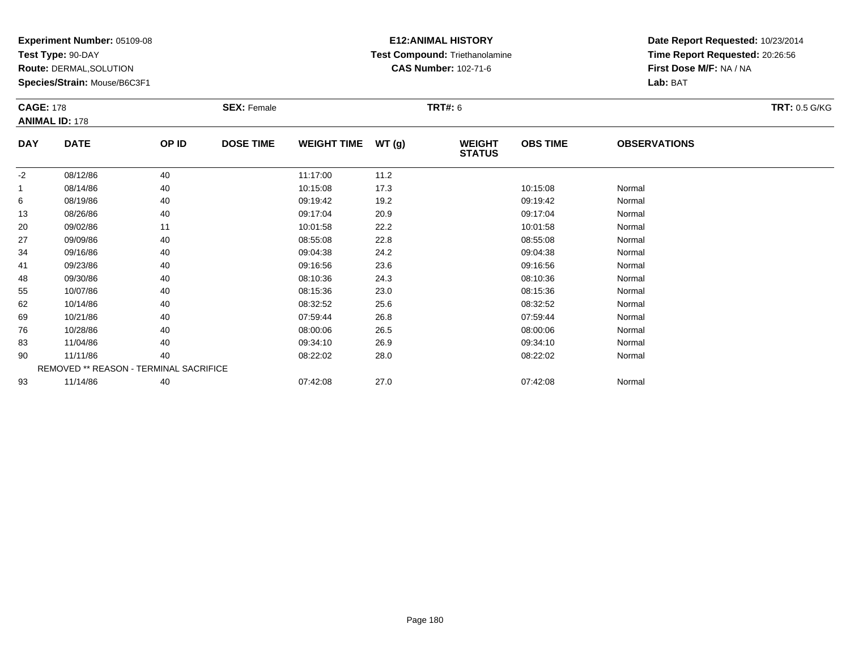**Test Type:** 90-DAY

**Route:** DERMAL,SOLUTION

**Species/Strain:** Mouse/B6C3F1

## **E12:ANIMAL HISTORY Test Compound:** Triethanolamine**CAS Number:** 102-71-6

| <b>CAGE: 178</b> |                                        |       | <b>SEX: Female</b> |                    |       | <b>TRT#: 6</b>                 |                 |                     | <b>TRT: 0.5 G/KG</b> |
|------------------|----------------------------------------|-------|--------------------|--------------------|-------|--------------------------------|-----------------|---------------------|----------------------|
|                  | <b>ANIMAL ID: 178</b>                  |       |                    |                    |       |                                |                 |                     |                      |
| <b>DAY</b>       | <b>DATE</b>                            | OP ID | <b>DOSE TIME</b>   | <b>WEIGHT TIME</b> | WT(g) | <b>WEIGHT</b><br><b>STATUS</b> | <b>OBS TIME</b> | <b>OBSERVATIONS</b> |                      |
| $-2$             | 08/12/86                               | 40    |                    | 11:17:00           | 11.2  |                                |                 |                     |                      |
| 1                | 08/14/86                               | 40    |                    | 10:15:08           | 17.3  |                                | 10:15:08        | Normal              |                      |
| 6                | 08/19/86                               | 40    |                    | 09:19:42           | 19.2  |                                | 09:19:42        | Normal              |                      |
| 13               | 08/26/86                               | 40    |                    | 09:17:04           | 20.9  |                                | 09:17:04        | Normal              |                      |
| 20               | 09/02/86                               | 11    |                    | 10:01:58           | 22.2  |                                | 10:01:58        | Normal              |                      |
| 27               | 09/09/86                               | 40    |                    | 08:55:08           | 22.8  |                                | 08:55:08        | Normal              |                      |
| 34               | 09/16/86                               | 40    |                    | 09:04:38           | 24.2  |                                | 09:04:38        | Normal              |                      |
| 41               | 09/23/86                               | 40    |                    | 09:16:56           | 23.6  |                                | 09:16:56        | Normal              |                      |
| 48               | 09/30/86                               | 40    |                    | 08:10:36           | 24.3  |                                | 08:10:36        | Normal              |                      |
| 55               | 10/07/86                               | 40    |                    | 08:15:36           | 23.0  |                                | 08:15:36        | Normal              |                      |
| 62               | 10/14/86                               | 40    |                    | 08:32:52           | 25.6  |                                | 08:32:52        | Normal              |                      |
| 69               | 10/21/86                               | 40    |                    | 07:59:44           | 26.8  |                                | 07:59:44        | Normal              |                      |
| 76               | 10/28/86                               | 40    |                    | 08:00:06           | 26.5  |                                | 08:00:06        | Normal              |                      |
| 83               | 11/04/86                               | 40    |                    | 09:34:10           | 26.9  |                                | 09:34:10        | Normal              |                      |
| 90               | 11/11/86                               | 40    |                    | 08:22:02           | 28.0  |                                | 08:22:02        | Normal              |                      |
|                  | REMOVED ** REASON - TERMINAL SACRIFICE |       |                    |                    |       |                                |                 |                     |                      |
| 93               | 11/14/86                               | 40    |                    | 07:42:08           | 27.0  |                                | 07:42:08        | Normal              |                      |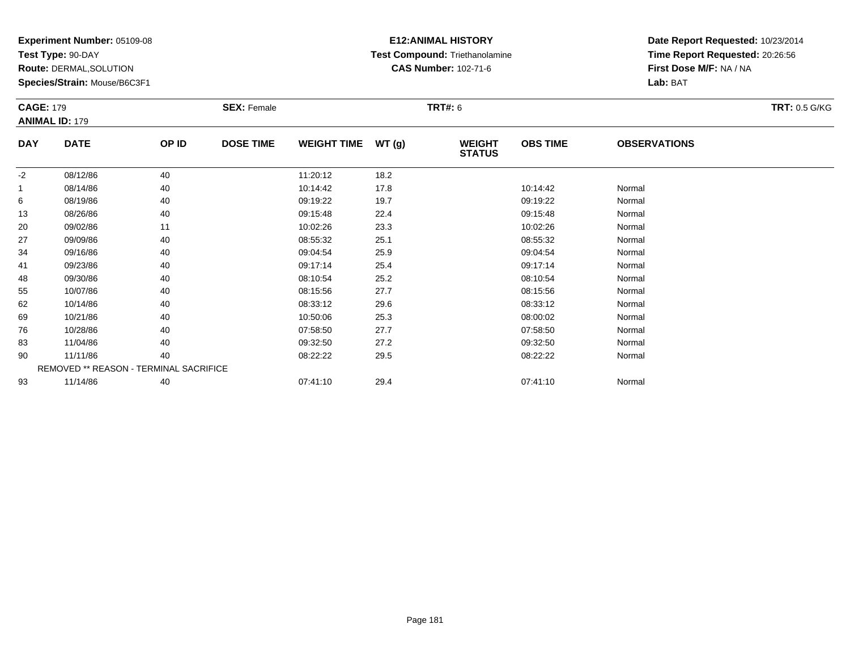**Test Type:** 90-DAY

**Route:** DERMAL,SOLUTION

**Species/Strain:** Mouse/B6C3F1

# **E12:ANIMAL HISTORY Test Compound:** Triethanolamine**CAS Number:** 102-71-6

| <b>CAGE: 179</b> | <b>ANIMAL ID: 179</b>                  |       | <b>SEX: Female</b> |                    |       | <b>TRT#:</b> 6                 |                 |                     | <b>TRT: 0.5 G/KG</b> |
|------------------|----------------------------------------|-------|--------------------|--------------------|-------|--------------------------------|-----------------|---------------------|----------------------|
| <b>DAY</b>       | <b>DATE</b>                            | OP ID | <b>DOSE TIME</b>   | <b>WEIGHT TIME</b> | WT(g) | <b>WEIGHT</b><br><b>STATUS</b> | <b>OBS TIME</b> | <b>OBSERVATIONS</b> |                      |
| $-2$             | 08/12/86                               | 40    |                    | 11:20:12           | 18.2  |                                |                 |                     |                      |
| 1                | 08/14/86                               | 40    |                    | 10:14:42           | 17.8  |                                | 10:14:42        | Normal              |                      |
| 6                | 08/19/86                               | 40    |                    | 09:19:22           | 19.7  |                                | 09:19:22        | Normal              |                      |
| 13               | 08/26/86                               | 40    |                    | 09:15:48           | 22.4  |                                | 09:15:48        | Normal              |                      |
| 20               | 09/02/86                               | 11    |                    | 10:02:26           | 23.3  |                                | 10:02:26        | Normal              |                      |
| 27               | 09/09/86                               | 40    |                    | 08:55:32           | 25.1  |                                | 08:55:32        | Normal              |                      |
| 34               | 09/16/86                               | 40    |                    | 09:04:54           | 25.9  |                                | 09:04:54        | Normal              |                      |
| 41               | 09/23/86                               | 40    |                    | 09:17:14           | 25.4  |                                | 09:17:14        | Normal              |                      |
| 48               | 09/30/86                               | 40    |                    | 08:10:54           | 25.2  |                                | 08:10:54        | Normal              |                      |
| 55               | 10/07/86                               | 40    |                    | 08:15:56           | 27.7  |                                | 08:15:56        | Normal              |                      |
| 62               | 10/14/86                               | 40    |                    | 08:33:12           | 29.6  |                                | 08:33:12        | Normal              |                      |
| 69               | 10/21/86                               | 40    |                    | 10:50:06           | 25.3  |                                | 08:00:02        | Normal              |                      |
| 76               | 10/28/86                               | 40    |                    | 07:58:50           | 27.7  |                                | 07:58:50        | Normal              |                      |
| 83               | 11/04/86                               | 40    |                    | 09:32:50           | 27.2  |                                | 09:32:50        | Normal              |                      |
| 90               | 11/11/86                               | 40    |                    | 08:22:22           | 29.5  |                                | 08:22:22        | Normal              |                      |
|                  | REMOVED ** REASON - TERMINAL SACRIFICE |       |                    |                    |       |                                |                 |                     |                      |
| 93               | 11/14/86                               | 40    |                    | 07:41:10           | 29.4  |                                | 07:41:10        | Normal              |                      |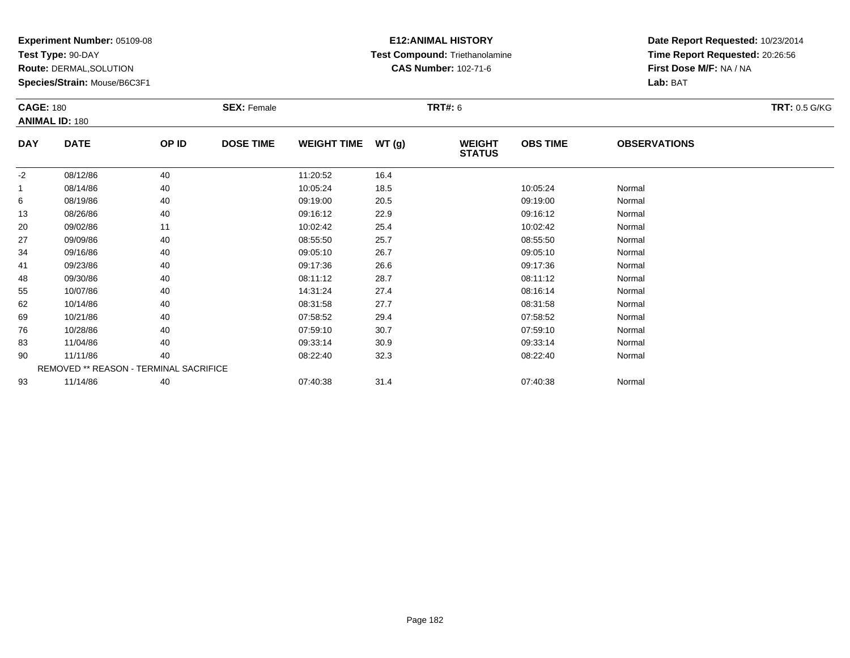**Test Type:** 90-DAY

**Route:** DERMAL,SOLUTION

**Species/Strain:** Mouse/B6C3F1

# **E12:ANIMAL HISTORY Test Compound:** Triethanolamine**CAS Number:** 102-71-6

| <b>CAGE: 180</b> | <b>ANIMAL ID: 180</b><br><b>DATE</b><br>OP ID<br>40<br>08/12/86<br>08/14/86<br>40<br>08/19/86<br>40<br>40<br>08/26/86<br>09/02/86<br>11<br>09/09/86<br>40<br>40<br>09/16/86<br>40<br>09/23/86<br>40<br>09/30/86<br>10/07/86<br>40<br>10/14/86<br>40<br>10/21/86<br>40<br>40<br>10/28/86 |    | <b>SEX: Female</b> |                    |       |                                | <b>TRT#: 6</b>  |                     |  |  |
|------------------|-----------------------------------------------------------------------------------------------------------------------------------------------------------------------------------------------------------------------------------------------------------------------------------------|----|--------------------|--------------------|-------|--------------------------------|-----------------|---------------------|--|--|
| <b>DAY</b>       |                                                                                                                                                                                                                                                                                         |    | <b>DOSE TIME</b>   | <b>WEIGHT TIME</b> | WT(g) | <b>WEIGHT</b><br><b>STATUS</b> | <b>OBS TIME</b> | <b>OBSERVATIONS</b> |  |  |
| $-2$             |                                                                                                                                                                                                                                                                                         |    |                    | 11:20:52           | 16.4  |                                |                 |                     |  |  |
| -1               |                                                                                                                                                                                                                                                                                         |    |                    | 10:05:24           | 18.5  |                                | 10:05:24        | Normal              |  |  |
| 6                |                                                                                                                                                                                                                                                                                         |    |                    | 09:19:00           | 20.5  |                                | 09:19:00        | Normal              |  |  |
| 13               |                                                                                                                                                                                                                                                                                         |    |                    | 09:16:12           | 22.9  |                                | 09:16:12        | Normal              |  |  |
| 20               |                                                                                                                                                                                                                                                                                         |    |                    | 10:02:42           | 25.4  |                                | 10:02:42        | Normal              |  |  |
| 27               |                                                                                                                                                                                                                                                                                         |    |                    | 08:55:50           | 25.7  |                                | 08:55:50        | Normal              |  |  |
| 34               |                                                                                                                                                                                                                                                                                         |    |                    | 09:05:10           | 26.7  |                                | 09:05:10        | Normal              |  |  |
| 41               |                                                                                                                                                                                                                                                                                         |    |                    | 09:17:36           | 26.6  |                                | 09:17:36        | Normal              |  |  |
| 48               |                                                                                                                                                                                                                                                                                         |    |                    | 08:11:12           | 28.7  |                                | 08:11:12        | Normal              |  |  |
| 55               |                                                                                                                                                                                                                                                                                         |    |                    | 14:31:24           | 27.4  |                                | 08:16:14        | Normal              |  |  |
| 62               |                                                                                                                                                                                                                                                                                         |    |                    | 08:31:58           | 27.7  |                                | 08:31:58        | Normal              |  |  |
| 69               |                                                                                                                                                                                                                                                                                         |    |                    | 07:58:52           | 29.4  |                                | 07:58:52        | Normal              |  |  |
| 76               |                                                                                                                                                                                                                                                                                         |    |                    | 07:59:10           | 30.7  |                                | 07:59:10        | Normal              |  |  |
| 83               | 11/04/86                                                                                                                                                                                                                                                                                | 40 |                    | 09:33:14           | 30.9  |                                | 09:33:14        | Normal              |  |  |
| 90               | 11/11/86                                                                                                                                                                                                                                                                                | 40 |                    | 08:22:40           | 32.3  |                                | 08:22:40        | Normal              |  |  |
|                  | REMOVED ** REASON - TERMINAL SACRIFICE                                                                                                                                                                                                                                                  |    |                    |                    |       |                                |                 |                     |  |  |
| 93               | 11/14/86                                                                                                                                                                                                                                                                                | 40 |                    | 07:40:38           | 31.4  |                                | 07:40:38        | Normal              |  |  |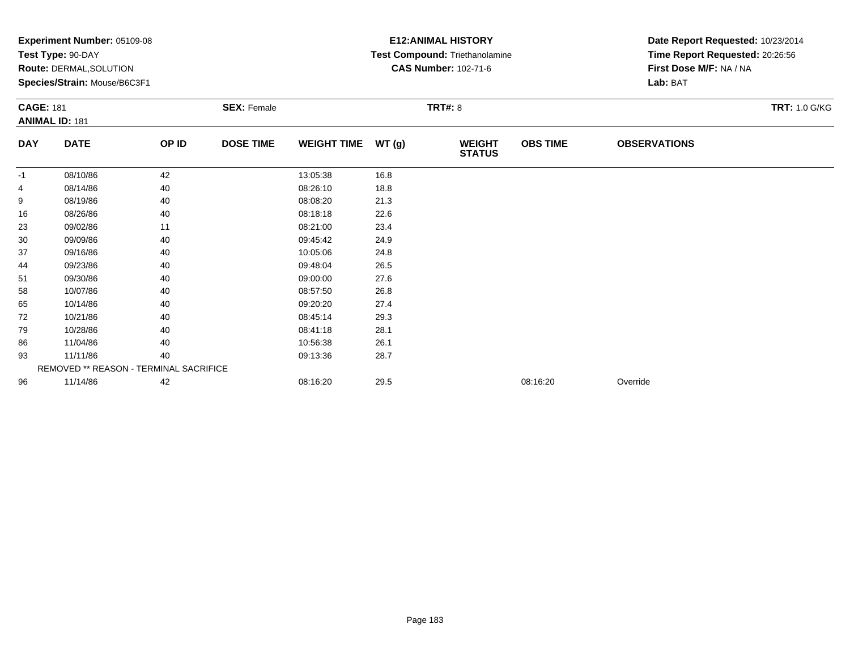|                  | Experiment Number: 05109-08<br>Test Type: 90-DAY<br><b>Route: DERMAL, SOLUTION</b><br>Species/Strain: Mouse/B6C3F1 |       |                    |                    |                | <b>E12: ANIMAL HISTORY</b><br>Test Compound: Triethanolamine<br><b>CAS Number: 102-71-6</b> |                 | Date Report Requested: 10/23/2014<br>Time Report Requested: 20:26:56<br>First Dose M/F: NA / NA<br>Lab: BAT |                      |
|------------------|--------------------------------------------------------------------------------------------------------------------|-------|--------------------|--------------------|----------------|---------------------------------------------------------------------------------------------|-----------------|-------------------------------------------------------------------------------------------------------------|----------------------|
| <b>CAGE: 181</b> | <b>ANIMAL ID: 181</b>                                                                                              |       | <b>SEX: Female</b> |                    | <b>TRT#: 8</b> |                                                                                             |                 |                                                                                                             | <b>TRT: 1.0 G/KG</b> |
| <b>DAY</b>       | <b>DATE</b>                                                                                                        | OP ID | <b>DOSE TIME</b>   | <b>WEIGHT TIME</b> | WT (g)         | <b>WEIGHT</b><br><b>STATUS</b>                                                              | <b>OBS TIME</b> | <b>OBSERVATIONS</b>                                                                                         |                      |
| $-1$             | 08/10/86                                                                                                           | 42    |                    | 13:05:38           | 16.8           |                                                                                             |                 |                                                                                                             |                      |
|                  | 08/14/86                                                                                                           | 40    |                    | 08:26:10           | 18.8           |                                                                                             |                 |                                                                                                             |                      |
| 9                | 08/19/86                                                                                                           | 40    |                    | 08:08:20           | 21.3           |                                                                                             |                 |                                                                                                             |                      |
| 16               | 08/26/86                                                                                                           | 40    |                    | 08:18:18           | 22.6           |                                                                                             |                 |                                                                                                             |                      |
| 23               | 09/02/86                                                                                                           | 11    |                    | 08:21:00           | 23.4           |                                                                                             |                 |                                                                                                             |                      |
| 30               | 09/09/86                                                                                                           | 40    |                    | 09:45:42           | 24.9           |                                                                                             |                 |                                                                                                             |                      |
| 37               | 09/16/86                                                                                                           | 40    |                    | 10:05:06           | 24.8           |                                                                                             |                 |                                                                                                             |                      |
| 44               | 09/23/86                                                                                                           | 40    |                    | 09:48:04           | 26.5           |                                                                                             |                 |                                                                                                             |                      |
| 51               | 09/30/86                                                                                                           | 40    |                    | 09:00:00           | 27.6           |                                                                                             |                 |                                                                                                             |                      |
| 58               | 10/07/86                                                                                                           | 40    |                    | 08:57:50           | 26.8           |                                                                                             |                 |                                                                                                             |                      |
| 65               | 10/14/86                                                                                                           | 40    |                    | 09:20:20           | 27.4           |                                                                                             |                 |                                                                                                             |                      |
| 72               | 10/21/86                                                                                                           | 40    |                    | 08:45:14           | 29.3           |                                                                                             |                 |                                                                                                             |                      |
| 79               | 10/28/86                                                                                                           | 40    |                    | 08:41:18           | 28.1           |                                                                                             |                 |                                                                                                             |                      |
| 86               | 11/04/86                                                                                                           | 40    |                    | 10:56:38           | 26.1           |                                                                                             |                 |                                                                                                             |                      |
| 93               | 11/11/86                                                                                                           | 40    |                    | 09:13:36           | 28.7           |                                                                                             |                 |                                                                                                             |                      |
|                  | REMOVED ** REASON - TERMINAL SACRIFICE                                                                             |       |                    |                    |                |                                                                                             |                 |                                                                                                             |                      |
| 96               | 11/14/86                                                                                                           | 42    |                    | 08:16:20           | 29.5           |                                                                                             | 08:16:20        | Override                                                                                                    |                      |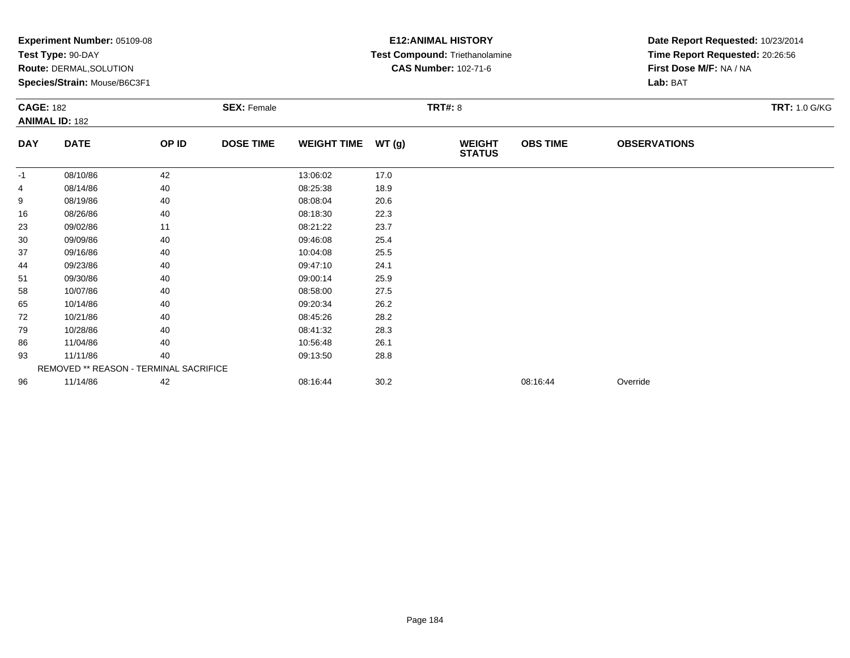|                  | Experiment Number: 05109-08<br>Test Type: 90-DAY<br>Route: DERMAL, SOLUTION<br>Species/Strain: Mouse/B6C3F1 |       |                    |                    |       | <b>E12: ANIMAL HISTORY</b><br>Test Compound: Triethanolamine<br><b>CAS Number: 102-71-6</b> |                 | Date Report Requested: 10/23/2014<br>Time Report Requested: 20:26:56<br>First Dose M/F: NA / NA<br>Lab: BAT |                      |  |
|------------------|-------------------------------------------------------------------------------------------------------------|-------|--------------------|--------------------|-------|---------------------------------------------------------------------------------------------|-----------------|-------------------------------------------------------------------------------------------------------------|----------------------|--|
| <b>CAGE: 182</b> | <b>ANIMAL ID: 182</b>                                                                                       |       | <b>SEX: Female</b> |                    |       | <b>TRT#: 8</b>                                                                              |                 |                                                                                                             | <b>TRT: 1.0 G/KG</b> |  |
| <b>DAY</b>       | <b>DATE</b>                                                                                                 | OP ID | <b>DOSE TIME</b>   | <b>WEIGHT TIME</b> | WT(g) | <b>WEIGHT</b><br><b>STATUS</b>                                                              | <b>OBS TIME</b> | <b>OBSERVATIONS</b>                                                                                         |                      |  |
| -1               | 08/10/86                                                                                                    | 42    |                    | 13:06:02           | 17.0  |                                                                                             |                 |                                                                                                             |                      |  |
| 4                | 08/14/86                                                                                                    | 40    |                    | 08:25:38           | 18.9  |                                                                                             |                 |                                                                                                             |                      |  |
| 9                | 08/19/86                                                                                                    | 40    |                    | 08:08:04           | 20.6  |                                                                                             |                 |                                                                                                             |                      |  |
| 16               | 08/26/86                                                                                                    | 40    |                    | 08:18:30           | 22.3  |                                                                                             |                 |                                                                                                             |                      |  |
| 23               | 09/02/86                                                                                                    | 11    |                    | 08:21:22           | 23.7  |                                                                                             |                 |                                                                                                             |                      |  |
| 30               | 09/09/86                                                                                                    | 40    |                    | 09:46:08           | 25.4  |                                                                                             |                 |                                                                                                             |                      |  |
| 37               | 09/16/86                                                                                                    | 40    |                    | 10:04:08           | 25.5  |                                                                                             |                 |                                                                                                             |                      |  |
| 44               | 09/23/86                                                                                                    | 40    |                    | 09:47:10           | 24.1  |                                                                                             |                 |                                                                                                             |                      |  |
| 51               | 09/30/86                                                                                                    | 40    |                    | 09:00:14           | 25.9  |                                                                                             |                 |                                                                                                             |                      |  |
| 58               | 10/07/86                                                                                                    | 40    |                    | 08:58:00           | 27.5  |                                                                                             |                 |                                                                                                             |                      |  |
| 65               | 10/14/86                                                                                                    | 40    |                    | 09:20:34           | 26.2  |                                                                                             |                 |                                                                                                             |                      |  |
| 72               | 10/21/86                                                                                                    | 40    |                    | 08:45:26           | 28.2  |                                                                                             |                 |                                                                                                             |                      |  |
| 79               | 10/28/86                                                                                                    | 40    |                    | 08:41:32           | 28.3  |                                                                                             |                 |                                                                                                             |                      |  |
| 86               | 11/04/86                                                                                                    | 40    |                    | 10:56:48           | 26.1  |                                                                                             |                 |                                                                                                             |                      |  |
| 93               | 11/11/86                                                                                                    | 40    |                    | 09:13:50           | 28.8  |                                                                                             |                 |                                                                                                             |                      |  |
|                  | REMOVED ** REASON - TERMINAL SACRIFICE                                                                      |       |                    |                    |       |                                                                                             |                 |                                                                                                             |                      |  |
| 96               | 11/14/86                                                                                                    | 42    |                    | 08:16:44           | 30.2  |                                                                                             | 08:16:44        | Override                                                                                                    |                      |  |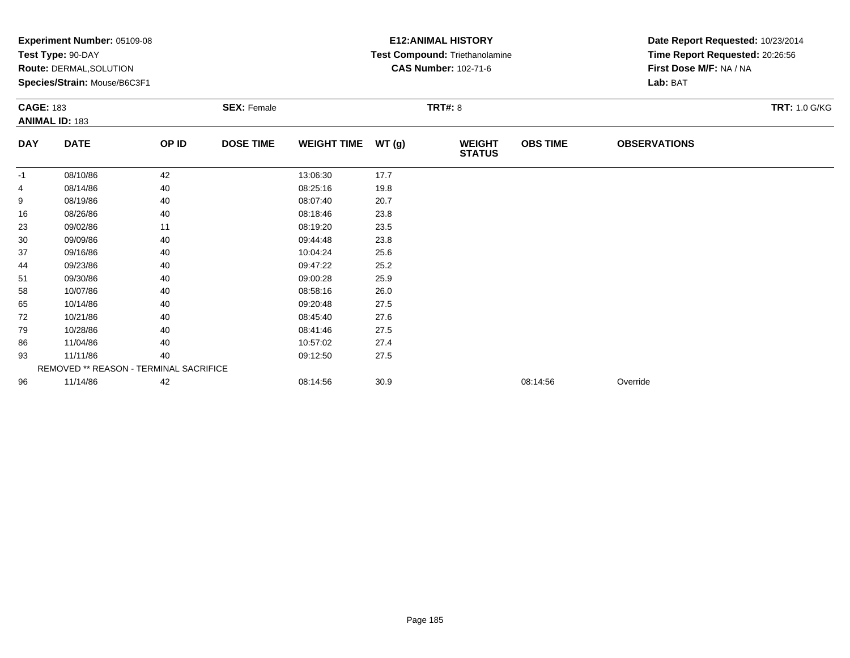|                  | Experiment Number: 05109-08<br>Test Type: 90-DAY<br>Route: DERMAL, SOLUTION<br>Species/Strain: Mouse/B6C3F1 |       |                    |                    |        | <b>E12: ANIMAL HISTORY</b><br>Test Compound: Triethanolamine<br><b>CAS Number: 102-71-6</b> | Date Report Requested: 10/23/2014<br>Time Report Requested: 20:26:56<br>First Dose M/F: NA / NA<br>Lab: BAT |                     |                      |
|------------------|-------------------------------------------------------------------------------------------------------------|-------|--------------------|--------------------|--------|---------------------------------------------------------------------------------------------|-------------------------------------------------------------------------------------------------------------|---------------------|----------------------|
| <b>CAGE: 183</b> | <b>ANIMAL ID: 183</b>                                                                                       |       | <b>SEX: Female</b> |                    |        | <b>TRT#: 8</b>                                                                              |                                                                                                             |                     | <b>TRT: 1.0 G/KG</b> |
| <b>DAY</b>       | <b>DATE</b>                                                                                                 | OP ID | <b>DOSE TIME</b>   | <b>WEIGHT TIME</b> | WT (g) | <b>WEIGHT</b><br><b>STATUS</b>                                                              | <b>OBS TIME</b>                                                                                             | <b>OBSERVATIONS</b> |                      |
| $-1$             | 08/10/86                                                                                                    | 42    |                    | 13:06:30           | 17.7   |                                                                                             |                                                                                                             |                     |                      |
|                  | 08/14/86                                                                                                    | 40    |                    | 08:25:16           | 19.8   |                                                                                             |                                                                                                             |                     |                      |
| 9                | 08/19/86                                                                                                    | 40    |                    | 08:07:40           | 20.7   |                                                                                             |                                                                                                             |                     |                      |
| 16               | 08/26/86                                                                                                    | 40    |                    | 08:18:46           | 23.8   |                                                                                             |                                                                                                             |                     |                      |
| 23               | 09/02/86                                                                                                    | 11    |                    | 08:19:20           | 23.5   |                                                                                             |                                                                                                             |                     |                      |
| 30               | 09/09/86                                                                                                    | 40    |                    | 09:44:48           | 23.8   |                                                                                             |                                                                                                             |                     |                      |
| 37               | 09/16/86                                                                                                    | 40    |                    | 10:04:24           | 25.6   |                                                                                             |                                                                                                             |                     |                      |
| 44               | 09/23/86                                                                                                    | 40    |                    | 09:47:22           | 25.2   |                                                                                             |                                                                                                             |                     |                      |
| 51               | 09/30/86                                                                                                    | 40    |                    | 09:00:28           | 25.9   |                                                                                             |                                                                                                             |                     |                      |
| 58               | 10/07/86                                                                                                    | 40    |                    | 08:58:16           | 26.0   |                                                                                             |                                                                                                             |                     |                      |
| 65               | 10/14/86                                                                                                    | 40    |                    | 09:20:48           | 27.5   |                                                                                             |                                                                                                             |                     |                      |
| 72               | 10/21/86                                                                                                    | 40    |                    | 08:45:40           | 27.6   |                                                                                             |                                                                                                             |                     |                      |
| 79               | 10/28/86                                                                                                    | 40    |                    | 08:41:46           | 27.5   |                                                                                             |                                                                                                             |                     |                      |
| 86               | 11/04/86                                                                                                    | 40    |                    | 10:57:02           | 27.4   |                                                                                             |                                                                                                             |                     |                      |
| 93               | 11/11/86                                                                                                    | 40    |                    | 09:12:50           | 27.5   |                                                                                             |                                                                                                             |                     |                      |
|                  | REMOVED ** REASON - TERMINAL SACRIFICE                                                                      |       |                    |                    |        |                                                                                             |                                                                                                             |                     |                      |
| 96               | 11/14/86                                                                                                    | 42    |                    | 08:14:56           | 30.9   |                                                                                             | 08:14:56                                                                                                    | Override            |                      |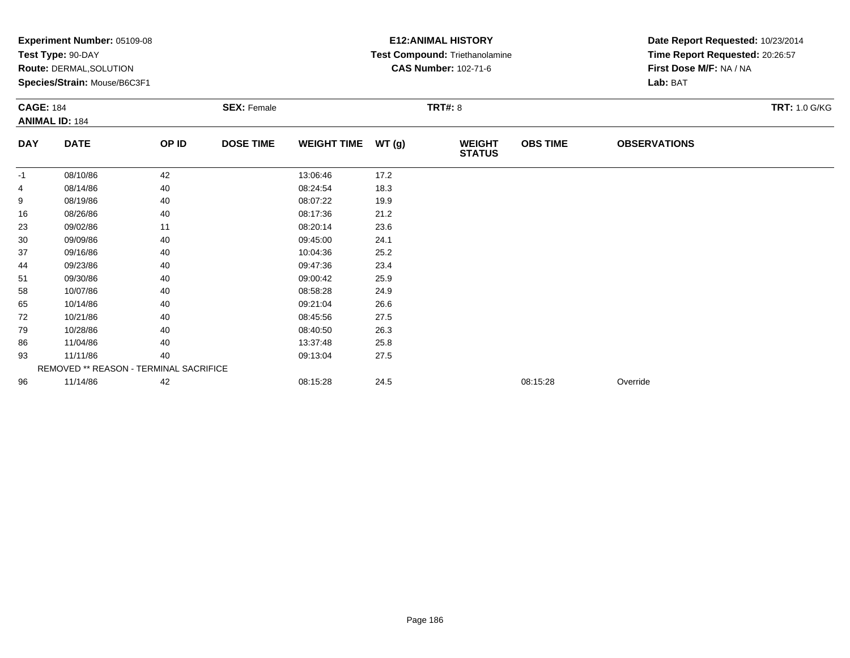|                  | Experiment Number: 05109-08<br>Test Type: 90-DAY<br>Route: DERMAL, SOLUTION<br>Species/Strain: Mouse/B6C3F1 |       |                    |                    |                | <b>E12: ANIMAL HISTORY</b><br>Test Compound: Triethanolamine<br><b>CAS Number: 102-71-6</b> | Date Report Requested: 10/23/2014<br>Time Report Requested: 20:26:57<br>First Dose M/F: NA / NA<br>Lab: BAT |                     |                      |
|------------------|-------------------------------------------------------------------------------------------------------------|-------|--------------------|--------------------|----------------|---------------------------------------------------------------------------------------------|-------------------------------------------------------------------------------------------------------------|---------------------|----------------------|
| <b>CAGE: 184</b> | <b>ANIMAL ID: 184</b>                                                                                       |       | <b>SEX: Female</b> |                    | <b>TRT#: 8</b> |                                                                                             |                                                                                                             |                     | <b>TRT: 1.0 G/KG</b> |
| <b>DAY</b>       | <b>DATE</b>                                                                                                 | OP ID | <b>DOSE TIME</b>   | <b>WEIGHT TIME</b> | WT(g)          | <b>WEIGHT</b><br><b>STATUS</b>                                                              | <b>OBS TIME</b>                                                                                             | <b>OBSERVATIONS</b> |                      |
| $-1$             | 08/10/86                                                                                                    | 42    |                    | 13:06:46           | 17.2           |                                                                                             |                                                                                                             |                     |                      |
|                  | 08/14/86                                                                                                    | 40    |                    | 08:24:54           | 18.3           |                                                                                             |                                                                                                             |                     |                      |
| 9                | 08/19/86                                                                                                    | 40    |                    | 08:07:22           | 19.9           |                                                                                             |                                                                                                             |                     |                      |
| 16               | 08/26/86                                                                                                    | 40    |                    | 08:17:36           | 21.2           |                                                                                             |                                                                                                             |                     |                      |
| 23               | 09/02/86                                                                                                    | 11    |                    | 08:20:14           | 23.6           |                                                                                             |                                                                                                             |                     |                      |
| 30               | 09/09/86                                                                                                    | 40    |                    | 09:45:00           | 24.1           |                                                                                             |                                                                                                             |                     |                      |
| 37               | 09/16/86                                                                                                    | 40    |                    | 10:04:36           | 25.2           |                                                                                             |                                                                                                             |                     |                      |
| 44               | 09/23/86                                                                                                    | 40    |                    | 09:47:36           | 23.4           |                                                                                             |                                                                                                             |                     |                      |
| 51               | 09/30/86                                                                                                    | 40    |                    | 09:00:42           | 25.9           |                                                                                             |                                                                                                             |                     |                      |
| 58               | 10/07/86                                                                                                    | 40    |                    | 08:58:28           | 24.9           |                                                                                             |                                                                                                             |                     |                      |
| 65               | 10/14/86                                                                                                    | 40    |                    | 09:21:04           | 26.6           |                                                                                             |                                                                                                             |                     |                      |
| 72               | 10/21/86                                                                                                    | 40    |                    | 08:45:56           | 27.5           |                                                                                             |                                                                                                             |                     |                      |
| 79               | 10/28/86                                                                                                    | 40    |                    | 08:40:50           | 26.3           |                                                                                             |                                                                                                             |                     |                      |
| 86               | 11/04/86                                                                                                    | 40    |                    | 13:37:48           | 25.8           |                                                                                             |                                                                                                             |                     |                      |
| 93               | 11/11/86                                                                                                    | 40    |                    | 09:13:04           | 27.5           |                                                                                             |                                                                                                             |                     |                      |
|                  | REMOVED ** REASON - TERMINAL SACRIFICE                                                                      |       |                    |                    |                |                                                                                             |                                                                                                             |                     |                      |
| 96               | 11/14/86                                                                                                    | 42    |                    | 08:15:28           | 24.5           |                                                                                             | 08:15:28                                                                                                    | Override            |                      |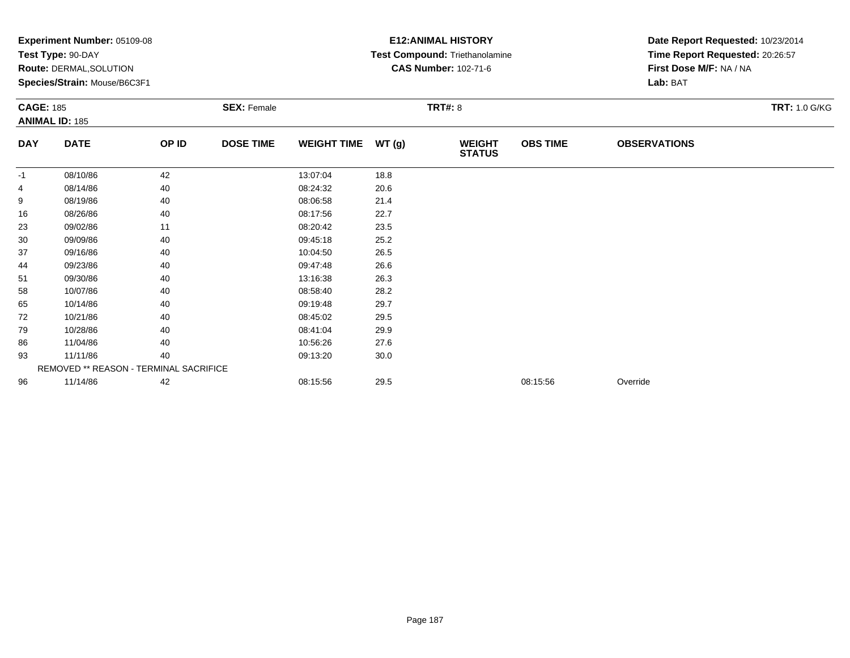|                  | Experiment Number: 05109-08<br>Test Type: 90-DAY<br>Route: DERMAL, SOLUTION<br>Species/Strain: Mouse/B6C3F1 |       |                    |                    |        | <b>E12: ANIMAL HISTORY</b><br>Test Compound: Triethanolamine<br><b>CAS Number: 102-71-6</b> | Date Report Requested: 10/23/2014<br>Time Report Requested: 20:26:57<br>First Dose M/F: NA / NA<br>Lab: BAT |                     |                      |
|------------------|-------------------------------------------------------------------------------------------------------------|-------|--------------------|--------------------|--------|---------------------------------------------------------------------------------------------|-------------------------------------------------------------------------------------------------------------|---------------------|----------------------|
| <b>CAGE: 185</b> | <b>ANIMAL ID: 185</b>                                                                                       |       | <b>SEX: Female</b> |                    |        | <b>TRT#: 8</b>                                                                              |                                                                                                             |                     | <b>TRT: 1.0 G/KG</b> |
| <b>DAY</b>       | <b>DATE</b>                                                                                                 | OP ID | <b>DOSE TIME</b>   | <b>WEIGHT TIME</b> | WT (g) | <b>WEIGHT</b><br><b>STATUS</b>                                                              | <b>OBS TIME</b>                                                                                             | <b>OBSERVATIONS</b> |                      |
| $-1$             | 08/10/86                                                                                                    | 42    |                    | 13:07:04           | 18.8   |                                                                                             |                                                                                                             |                     |                      |
|                  | 08/14/86                                                                                                    | 40    |                    | 08:24:32           | 20.6   |                                                                                             |                                                                                                             |                     |                      |
| 9                | 08/19/86                                                                                                    | 40    |                    | 08:06:58           | 21.4   |                                                                                             |                                                                                                             |                     |                      |
| 16               | 08/26/86                                                                                                    | 40    |                    | 08:17:56           | 22.7   |                                                                                             |                                                                                                             |                     |                      |
| 23               | 09/02/86                                                                                                    | 11    |                    | 08:20:42           | 23.5   |                                                                                             |                                                                                                             |                     |                      |
| 30               | 09/09/86                                                                                                    | 40    |                    | 09:45:18           | 25.2   |                                                                                             |                                                                                                             |                     |                      |
| 37               | 09/16/86                                                                                                    | 40    |                    | 10:04:50           | 26.5   |                                                                                             |                                                                                                             |                     |                      |
| 44               | 09/23/86                                                                                                    | 40    |                    | 09:47:48           | 26.6   |                                                                                             |                                                                                                             |                     |                      |
| 51               | 09/30/86                                                                                                    | 40    |                    | 13:16:38           | 26.3   |                                                                                             |                                                                                                             |                     |                      |
| 58               | 10/07/86                                                                                                    | 40    |                    | 08:58:40           | 28.2   |                                                                                             |                                                                                                             |                     |                      |
| 65               | 10/14/86                                                                                                    | 40    |                    | 09:19:48           | 29.7   |                                                                                             |                                                                                                             |                     |                      |
| 72               | 10/21/86                                                                                                    | 40    |                    | 08:45:02           | 29.5   |                                                                                             |                                                                                                             |                     |                      |
| 79               | 10/28/86                                                                                                    | 40    |                    | 08:41:04           | 29.9   |                                                                                             |                                                                                                             |                     |                      |
| 86               | 11/04/86                                                                                                    | 40    |                    | 10:56:26           | 27.6   |                                                                                             |                                                                                                             |                     |                      |
| 93               | 11/11/86                                                                                                    | 40    |                    | 09:13:20           | 30.0   |                                                                                             |                                                                                                             |                     |                      |
|                  | REMOVED ** REASON - TERMINAL SACRIFICE                                                                      |       |                    |                    |        |                                                                                             |                                                                                                             |                     |                      |
| 96               | 11/14/86                                                                                                    | 42    |                    | 08:15:56           | 29.5   |                                                                                             | 08:15:56                                                                                                    | Override            |                      |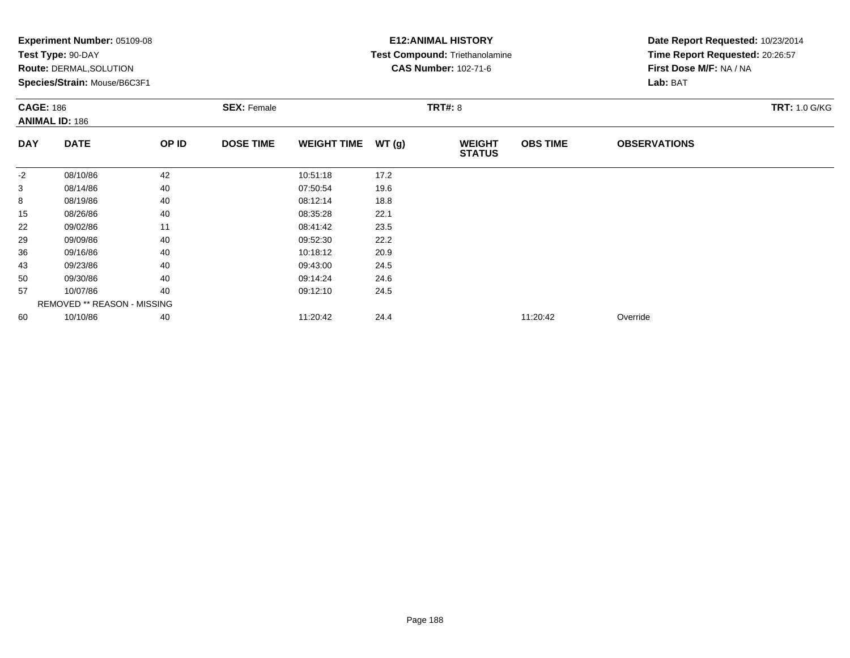|                  | <b>Experiment Number: 05109-08</b> |       |                    |                    |       | <b>E12: ANIMAL HISTORY</b>     |                 | Date Report Requested: 10/23/2014 |                      |
|------------------|------------------------------------|-------|--------------------|--------------------|-------|--------------------------------|-----------------|-----------------------------------|----------------------|
|                  | Test Type: 90-DAY                  |       |                    |                    |       | Test Compound: Triethanolamine |                 | Time Report Requested: 20:26:57   |                      |
|                  | Route: DERMAL, SOLUTION            |       |                    |                    |       | <b>CAS Number: 102-71-6</b>    |                 | First Dose M/F: NA / NA           |                      |
|                  | Species/Strain: Mouse/B6C3F1       |       |                    |                    |       |                                |                 | Lab: BAT                          |                      |
| <b>CAGE: 186</b> |                                    |       | <b>SEX: Female</b> |                    |       | <b>TRT#: 8</b>                 |                 |                                   | <b>TRT: 1.0 G/KG</b> |
|                  | <b>ANIMAL ID: 186</b>              |       |                    |                    |       |                                |                 |                                   |                      |
| <b>DAY</b>       | <b>DATE</b>                        | OP ID | <b>DOSE TIME</b>   | <b>WEIGHT TIME</b> | WT(g) | <b>WEIGHT</b><br><b>STATUS</b> | <b>OBS TIME</b> | <b>OBSERVATIONS</b>               |                      |
| $-2$             | 08/10/86                           | 42    |                    | 10:51:18           | 17.2  |                                |                 |                                   |                      |
| 3                | 08/14/86                           | 40    |                    | 07:50:54           | 19.6  |                                |                 |                                   |                      |
| 8                | 08/19/86                           | 40    |                    | 08:12:14           | 18.8  |                                |                 |                                   |                      |
| 15               | 08/26/86                           | 40    |                    | 08:35:28           | 22.1  |                                |                 |                                   |                      |
| 22               | 09/02/86                           | 11    |                    | 08:41:42           | 23.5  |                                |                 |                                   |                      |
| 29               | 09/09/86                           | 40    |                    | 09:52:30           | 22.2  |                                |                 |                                   |                      |
| 36               | 09/16/86                           | 40    |                    | 10:18:12           | 20.9  |                                |                 |                                   |                      |
| 43               | 09/23/86                           | 40    |                    | 09:43:00           | 24.5  |                                |                 |                                   |                      |
| 50               | 09/30/86                           | 40    |                    | 09:14:24           | 24.6  |                                |                 |                                   |                      |
| 57               | 10/07/86                           | 40    |                    | 09:12:10           | 24.5  |                                |                 |                                   |                      |
|                  | <b>REMOVED ** REASON - MISSING</b> |       |                    |                    |       |                                |                 |                                   |                      |
| 60               | 10/10/86                           | 40    |                    | 11:20:42           | 24.4  |                                | 11:20:42        | Override                          |                      |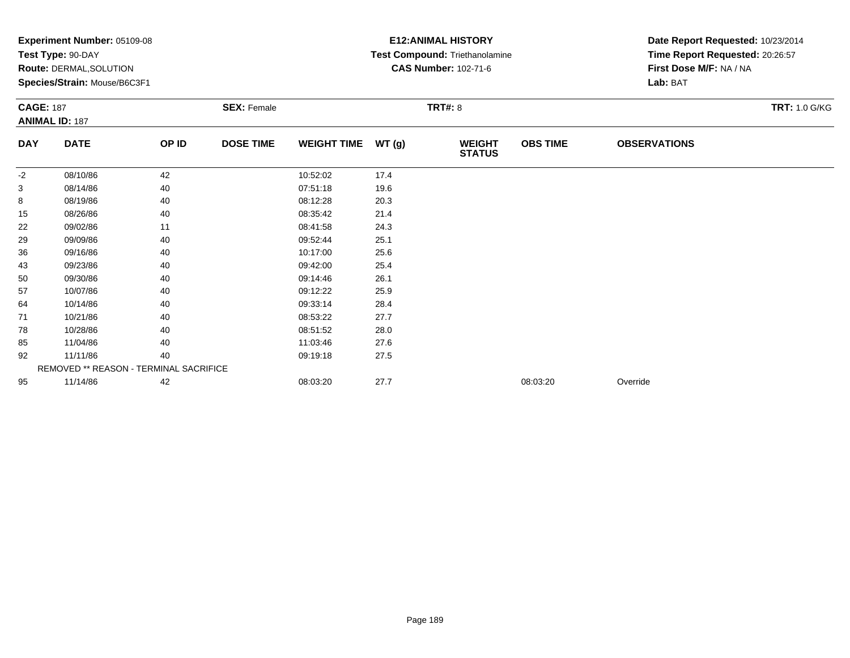|                  | Experiment Number: 05109-08<br>Test Type: 90-DAY<br>Route: DERMAL, SOLUTION<br>Species/Strain: Mouse/B6C3F1 |       |                    |                    |        | <b>E12: ANIMAL HISTORY</b><br>Test Compound: Triethanolamine<br><b>CAS Number: 102-71-6</b> | Date Report Requested: 10/23/2014<br>Time Report Requested: 20:26:57<br>First Dose M/F: NA / NA<br>Lab: BAT |                     |                      |
|------------------|-------------------------------------------------------------------------------------------------------------|-------|--------------------|--------------------|--------|---------------------------------------------------------------------------------------------|-------------------------------------------------------------------------------------------------------------|---------------------|----------------------|
| <b>CAGE: 187</b> | <b>ANIMAL ID: 187</b>                                                                                       |       | <b>SEX: Female</b> |                    |        | <b>TRT#: 8</b>                                                                              |                                                                                                             |                     | <b>TRT: 1.0 G/KG</b> |
| <b>DAY</b>       | <b>DATE</b>                                                                                                 | OP ID | <b>DOSE TIME</b>   | <b>WEIGHT TIME</b> | WT (g) | <b>WEIGHT</b><br><b>STATUS</b>                                                              | <b>OBS TIME</b>                                                                                             | <b>OBSERVATIONS</b> |                      |
| $-2$             | 08/10/86                                                                                                    | 42    |                    | 10:52:02           | 17.4   |                                                                                             |                                                                                                             |                     |                      |
| 3                | 08/14/86                                                                                                    | 40    |                    | 07:51:18           | 19.6   |                                                                                             |                                                                                                             |                     |                      |
| 8                | 08/19/86                                                                                                    | 40    |                    | 08:12:28           | 20.3   |                                                                                             |                                                                                                             |                     |                      |
| 15               | 08/26/86                                                                                                    | 40    |                    | 08:35:42           | 21.4   |                                                                                             |                                                                                                             |                     |                      |
| 22               | 09/02/86                                                                                                    | 11    |                    | 08:41:58           | 24.3   |                                                                                             |                                                                                                             |                     |                      |
| 29               | 09/09/86                                                                                                    | 40    |                    | 09:52:44           | 25.1   |                                                                                             |                                                                                                             |                     |                      |
| 36               | 09/16/86                                                                                                    | 40    |                    | 10:17:00           | 25.6   |                                                                                             |                                                                                                             |                     |                      |
| 43               | 09/23/86                                                                                                    | 40    |                    | 09:42:00           | 25.4   |                                                                                             |                                                                                                             |                     |                      |
| 50               | 09/30/86                                                                                                    | 40    |                    | 09:14:46           | 26.1   |                                                                                             |                                                                                                             |                     |                      |
| 57               | 10/07/86                                                                                                    | 40    |                    | 09:12:22           | 25.9   |                                                                                             |                                                                                                             |                     |                      |
| 64               | 10/14/86                                                                                                    | 40    |                    | 09:33:14           | 28.4   |                                                                                             |                                                                                                             |                     |                      |
| 71               | 10/21/86                                                                                                    | 40    |                    | 08:53:22           | 27.7   |                                                                                             |                                                                                                             |                     |                      |
| 78               | 10/28/86                                                                                                    | 40    |                    | 08:51:52           | 28.0   |                                                                                             |                                                                                                             |                     |                      |
| 85               | 11/04/86                                                                                                    | 40    |                    | 11:03:46           | 27.6   |                                                                                             |                                                                                                             |                     |                      |
| 92               | 11/11/86                                                                                                    | 40    |                    | 09:19:18           | 27.5   |                                                                                             |                                                                                                             |                     |                      |
|                  | REMOVED ** REASON - TERMINAL SACRIFICE                                                                      |       |                    |                    |        |                                                                                             |                                                                                                             |                     |                      |
| 95               | 11/14/86                                                                                                    | 42    |                    | 08:03:20           | 27.7   |                                                                                             | 08:03:20                                                                                                    | Override            |                      |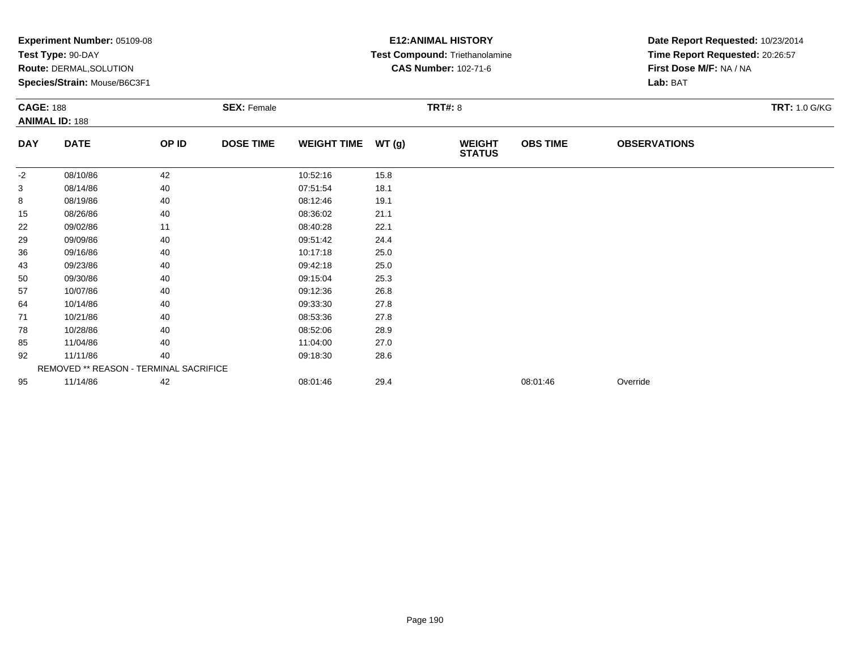|                  | Experiment Number: 05109-08<br>Test Type: 90-DAY<br>Route: DERMAL, SOLUTION<br>Species/Strain: Mouse/B6C3F1 |       |                    |                    |       | <b>E12: ANIMAL HISTORY</b><br>Test Compound: Triethanolamine<br><b>CAS Number: 102-71-6</b> |                 | Date Report Requested: 10/23/2014<br>Time Report Requested: 20:26:57<br>First Dose M/F: NA / NA<br>Lab: BAT<br><b>TRT: 1.0 G/KG</b> |  |  |
|------------------|-------------------------------------------------------------------------------------------------------------|-------|--------------------|--------------------|-------|---------------------------------------------------------------------------------------------|-----------------|-------------------------------------------------------------------------------------------------------------------------------------|--|--|
| <b>CAGE: 188</b> | <b>ANIMAL ID: 188</b>                                                                                       |       | <b>SEX: Female</b> |                    |       | <b>TRT#: 8</b>                                                                              |                 |                                                                                                                                     |  |  |
| <b>DAY</b>       | <b>DATE</b>                                                                                                 | OP ID | <b>DOSE TIME</b>   | <b>WEIGHT TIME</b> | WT(g) | <b>WEIGHT</b><br><b>STATUS</b>                                                              | <b>OBS TIME</b> | <b>OBSERVATIONS</b>                                                                                                                 |  |  |
| -2               | 08/10/86                                                                                                    | 42    |                    | 10:52:16           | 15.8  |                                                                                             |                 |                                                                                                                                     |  |  |
| 3                | 08/14/86                                                                                                    | 40    |                    | 07:51:54           | 18.1  |                                                                                             |                 |                                                                                                                                     |  |  |
| 8                | 08/19/86                                                                                                    | 40    |                    | 08:12:46           | 19.1  |                                                                                             |                 |                                                                                                                                     |  |  |
| 15               | 08/26/86                                                                                                    | 40    |                    | 08:36:02           | 21.1  |                                                                                             |                 |                                                                                                                                     |  |  |
| 22               | 09/02/86                                                                                                    | 11    |                    | 08:40:28           | 22.1  |                                                                                             |                 |                                                                                                                                     |  |  |
| 29               | 09/09/86                                                                                                    | 40    |                    | 09:51:42           | 24.4  |                                                                                             |                 |                                                                                                                                     |  |  |
| 36               | 09/16/86                                                                                                    | 40    |                    | 10:17:18           | 25.0  |                                                                                             |                 |                                                                                                                                     |  |  |
| 43               | 09/23/86                                                                                                    | 40    |                    | 09:42:18           | 25.0  |                                                                                             |                 |                                                                                                                                     |  |  |
| 50               | 09/30/86                                                                                                    | 40    |                    | 09:15:04           | 25.3  |                                                                                             |                 |                                                                                                                                     |  |  |
| 57               | 10/07/86                                                                                                    | 40    |                    | 09:12:36           | 26.8  |                                                                                             |                 |                                                                                                                                     |  |  |
| 64               | 10/14/86                                                                                                    | 40    |                    | 09:33:30           | 27.8  |                                                                                             |                 |                                                                                                                                     |  |  |
| 71               | 10/21/86                                                                                                    | 40    |                    | 08:53:36           | 27.8  |                                                                                             |                 |                                                                                                                                     |  |  |
| 78               | 10/28/86                                                                                                    | 40    |                    | 08:52:06           | 28.9  |                                                                                             |                 |                                                                                                                                     |  |  |
| 85               | 11/04/86                                                                                                    | 40    |                    | 11:04:00           | 27.0  |                                                                                             |                 |                                                                                                                                     |  |  |
| 92               | 11/11/86                                                                                                    | 40    |                    | 09:18:30           | 28.6  |                                                                                             |                 |                                                                                                                                     |  |  |
|                  | REMOVED ** REASON - TERMINAL SACRIFICE                                                                      |       |                    |                    |       |                                                                                             |                 |                                                                                                                                     |  |  |
| 95               | 11/14/86                                                                                                    | 42    |                    | 08:01:46           | 29.4  |                                                                                             | 08:01:46        | Override                                                                                                                            |  |  |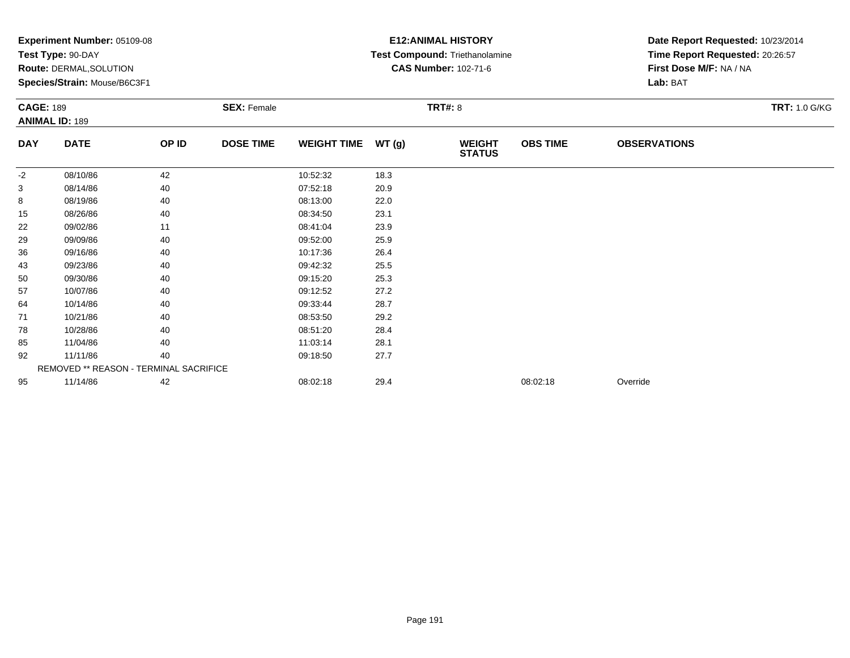|                  | Experiment Number: 05109-08<br>Test Type: 90-DAY<br>Route: DERMAL, SOLUTION<br>Species/Strain: Mouse/B6C3F1 |       |                    |                    |                | <b>E12: ANIMAL HISTORY</b><br>Test Compound: Triethanolamine<br><b>CAS Number: 102-71-6</b> | Date Report Requested: 10/23/2014<br>Time Report Requested: 20:26:57<br>First Dose M/F: NA / NA<br>Lab: BAT |                     |                      |
|------------------|-------------------------------------------------------------------------------------------------------------|-------|--------------------|--------------------|----------------|---------------------------------------------------------------------------------------------|-------------------------------------------------------------------------------------------------------------|---------------------|----------------------|
| <b>CAGE: 189</b> | <b>ANIMAL ID: 189</b>                                                                                       |       | <b>SEX: Female</b> |                    | <b>TRT#: 8</b> |                                                                                             |                                                                                                             |                     | <b>TRT: 1.0 G/KG</b> |
| <b>DAY</b>       | <b>DATE</b>                                                                                                 | OP ID | <b>DOSE TIME</b>   | <b>WEIGHT TIME</b> | WT(g)          | <b>WEIGHT</b><br><b>STATUS</b>                                                              | <b>OBS TIME</b>                                                                                             | <b>OBSERVATIONS</b> |                      |
| -2               | 08/10/86                                                                                                    | 42    |                    | 10:52:32           | 18.3           |                                                                                             |                                                                                                             |                     |                      |
| 3                | 08/14/86                                                                                                    | 40    |                    | 07:52:18           | 20.9           |                                                                                             |                                                                                                             |                     |                      |
| 8                | 08/19/86                                                                                                    | 40    |                    | 08:13:00           | 22.0           |                                                                                             |                                                                                                             |                     |                      |
| 15               | 08/26/86                                                                                                    | 40    |                    | 08:34:50           | 23.1           |                                                                                             |                                                                                                             |                     |                      |
| 22               | 09/02/86                                                                                                    | 11    |                    | 08:41:04           | 23.9           |                                                                                             |                                                                                                             |                     |                      |
| 29               | 09/09/86                                                                                                    | 40    |                    | 09:52:00           | 25.9           |                                                                                             |                                                                                                             |                     |                      |
| 36               | 09/16/86                                                                                                    | 40    |                    | 10:17:36           | 26.4           |                                                                                             |                                                                                                             |                     |                      |
| 43               | 09/23/86                                                                                                    | 40    |                    | 09:42:32           | 25.5           |                                                                                             |                                                                                                             |                     |                      |
| 50               | 09/30/86                                                                                                    | 40    |                    | 09:15:20           | 25.3           |                                                                                             |                                                                                                             |                     |                      |
| 57               | 10/07/86                                                                                                    | 40    |                    | 09:12:52           | 27.2           |                                                                                             |                                                                                                             |                     |                      |
| 64               | 10/14/86                                                                                                    | 40    |                    | 09:33:44           | 28.7           |                                                                                             |                                                                                                             |                     |                      |
| 71               | 10/21/86                                                                                                    | 40    |                    | 08:53:50           | 29.2           |                                                                                             |                                                                                                             |                     |                      |
| 78               | 10/28/86                                                                                                    | 40    |                    | 08:51:20           | 28.4           |                                                                                             |                                                                                                             |                     |                      |
| 85               | 11/04/86                                                                                                    | 40    |                    | 11:03:14           | 28.1           |                                                                                             |                                                                                                             |                     |                      |
| 92               | 11/11/86                                                                                                    | 40    |                    | 09:18:50           | 27.7           |                                                                                             |                                                                                                             |                     |                      |
|                  | REMOVED ** REASON - TERMINAL SACRIFICE                                                                      |       |                    |                    |                |                                                                                             |                                                                                                             |                     |                      |
| 95               | 11/14/86                                                                                                    | 42    |                    | 08:02:18           | 29.4           |                                                                                             | 08:02:18                                                                                                    | Override            |                      |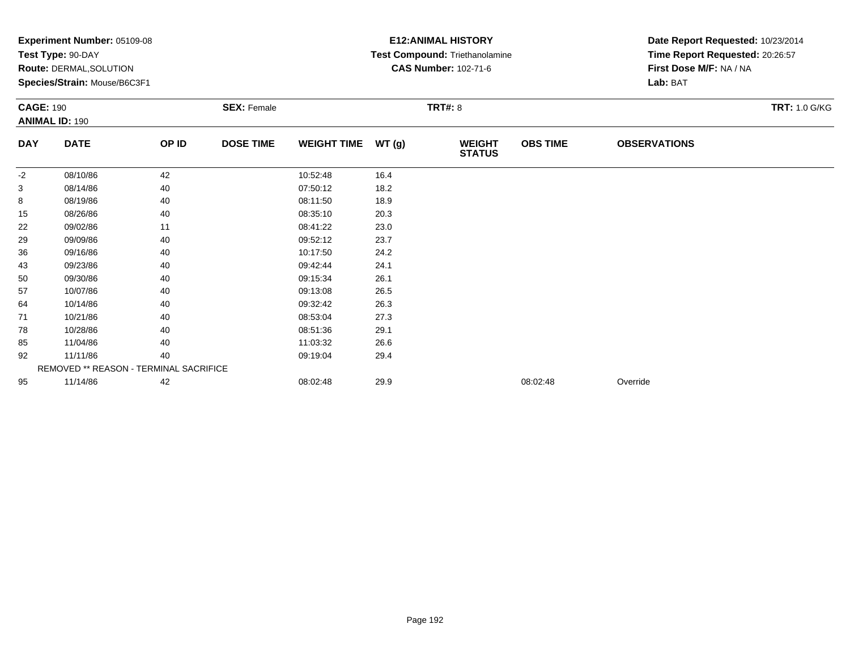|                  | Experiment Number: 05109-08<br>Test Type: 90-DAY<br>Route: DERMAL, SOLUTION<br>Species/Strain: Mouse/B6C3F1 |       |                    |                    |        | <b>E12: ANIMAL HISTORY</b><br>Test Compound: Triethanolamine<br><b>CAS Number: 102-71-6</b> | Date Report Requested: 10/23/2014<br>Time Report Requested: 20:26:57<br>First Dose M/F: NA / NA<br>Lab: BAT |                     |                      |
|------------------|-------------------------------------------------------------------------------------------------------------|-------|--------------------|--------------------|--------|---------------------------------------------------------------------------------------------|-------------------------------------------------------------------------------------------------------------|---------------------|----------------------|
| <b>CAGE: 190</b> | <b>ANIMAL ID: 190</b>                                                                                       |       | <b>SEX: Female</b> |                    |        | <b>TRT#: 8</b>                                                                              |                                                                                                             |                     | <b>TRT: 1.0 G/KG</b> |
| <b>DAY</b>       | <b>DATE</b>                                                                                                 | OP ID | <b>DOSE TIME</b>   | <b>WEIGHT TIME</b> | WT (g) | <b>WEIGHT</b><br><b>STATUS</b>                                                              | <b>OBS TIME</b>                                                                                             | <b>OBSERVATIONS</b> |                      |
| -2               | 08/10/86                                                                                                    | 42    |                    | 10:52:48           | 16.4   |                                                                                             |                                                                                                             |                     |                      |
| 3                | 08/14/86                                                                                                    | 40    |                    | 07:50:12           | 18.2   |                                                                                             |                                                                                                             |                     |                      |
| 8                | 08/19/86                                                                                                    | 40    |                    | 08:11:50           | 18.9   |                                                                                             |                                                                                                             |                     |                      |
| 15               | 08/26/86                                                                                                    | 40    |                    | 08:35:10           | 20.3   |                                                                                             |                                                                                                             |                     |                      |
| 22               | 09/02/86                                                                                                    | 11    |                    | 08:41:22           | 23.0   |                                                                                             |                                                                                                             |                     |                      |
| 29               | 09/09/86                                                                                                    | 40    |                    | 09:52:12           | 23.7   |                                                                                             |                                                                                                             |                     |                      |
| 36               | 09/16/86                                                                                                    | 40    |                    | 10:17:50           | 24.2   |                                                                                             |                                                                                                             |                     |                      |
| 43               | 09/23/86                                                                                                    | 40    |                    | 09:42:44           | 24.1   |                                                                                             |                                                                                                             |                     |                      |
| 50               | 09/30/86                                                                                                    | 40    |                    | 09:15:34           | 26.1   |                                                                                             |                                                                                                             |                     |                      |
| 57               | 10/07/86                                                                                                    | 40    |                    | 09:13:08           | 26.5   |                                                                                             |                                                                                                             |                     |                      |
| 64               | 10/14/86                                                                                                    | 40    |                    | 09:32:42           | 26.3   |                                                                                             |                                                                                                             |                     |                      |
| 71               | 10/21/86                                                                                                    | 40    |                    | 08:53:04           | 27.3   |                                                                                             |                                                                                                             |                     |                      |
| 78               | 10/28/86                                                                                                    | 40    |                    | 08:51:36           | 29.1   |                                                                                             |                                                                                                             |                     |                      |
| 85               | 11/04/86                                                                                                    | 40    |                    | 11:03:32           | 26.6   |                                                                                             |                                                                                                             |                     |                      |
| 92               | 11/11/86                                                                                                    | 40    |                    | 09:19:04           | 29.4   |                                                                                             |                                                                                                             |                     |                      |
|                  | REMOVED ** REASON - TERMINAL SACRIFICE                                                                      |       |                    |                    |        |                                                                                             |                                                                                                             |                     |                      |
| 95               | 11/14/86                                                                                                    | 42    |                    | 08:02:48           | 29.9   |                                                                                             | 08:02:48                                                                                                    | Override            |                      |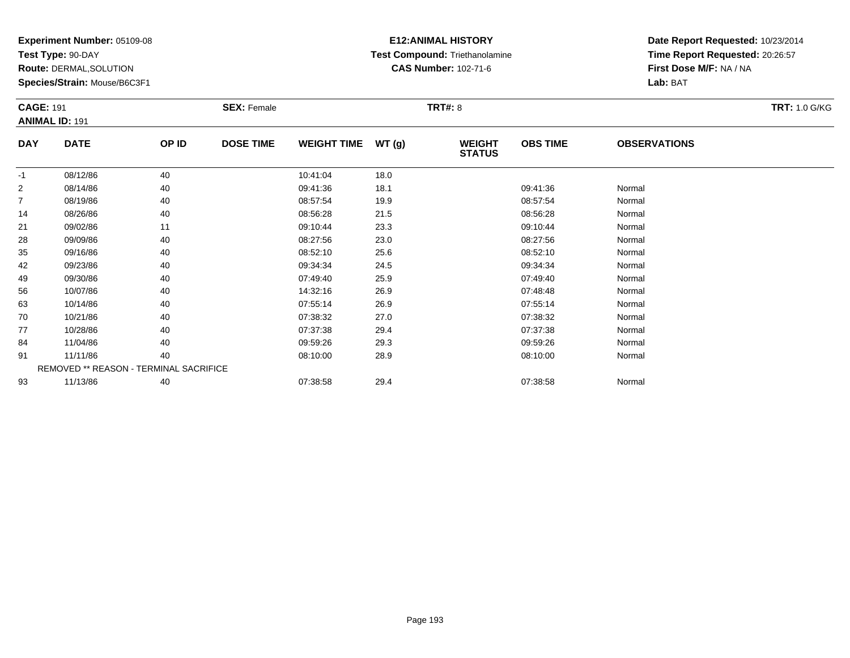**Test Type:** 90-DAY

**Route:** DERMAL,SOLUTION

**Species/Strain:** Mouse/B6C3F1

# **E12:ANIMAL HISTORY Test Compound:** Triethanolamine**CAS Number:** 102-71-6

| <b>CAGE: 191</b> | <b>ANIMAL ID: 191</b>                  |       | <b>SEX: Female</b> |                    |       | <b>TRT#: 8</b>                 |                 |                     | <b>TRT: 1.0 G/KG</b> |
|------------------|----------------------------------------|-------|--------------------|--------------------|-------|--------------------------------|-----------------|---------------------|----------------------|
| <b>DAY</b>       | <b>DATE</b>                            | OP ID | <b>DOSE TIME</b>   | <b>WEIGHT TIME</b> | WT(g) | <b>WEIGHT</b><br><b>STATUS</b> | <b>OBS TIME</b> | <b>OBSERVATIONS</b> |                      |
| $-1$             | 08/12/86                               | 40    |                    | 10:41:04           | 18.0  |                                |                 |                     |                      |
| $\overline{2}$   | 08/14/86                               | 40    |                    | 09:41:36           | 18.1  |                                | 09:41:36        | Normal              |                      |
| 7                | 08/19/86                               | 40    |                    | 08:57:54           | 19.9  |                                | 08:57:54        | Normal              |                      |
| 14               | 08/26/86                               | 40    |                    | 08:56:28           | 21.5  |                                | 08:56:28        | Normal              |                      |
| 21               | 09/02/86                               | 11    |                    | 09:10:44           | 23.3  |                                | 09:10:44        | Normal              |                      |
| 28               | 09/09/86                               | 40    |                    | 08:27:56           | 23.0  |                                | 08:27:56        | Normal              |                      |
| 35               | 09/16/86                               | 40    |                    | 08:52:10           | 25.6  |                                | 08:52:10        | Normal              |                      |
| 42               | 09/23/86                               | 40    |                    | 09:34:34           | 24.5  |                                | 09:34:34        | Normal              |                      |
| 49               | 09/30/86                               | 40    |                    | 07:49:40           | 25.9  |                                | 07:49:40        | Normal              |                      |
| 56               | 10/07/86                               | 40    |                    | 14:32:16           | 26.9  |                                | 07:48:48        | Normal              |                      |
| 63               | 10/14/86                               | 40    |                    | 07:55:14           | 26.9  |                                | 07:55:14        | Normal              |                      |
| 70               | 10/21/86                               | 40    |                    | 07:38:32           | 27.0  |                                | 07:38:32        | Normal              |                      |
| 77               | 10/28/86                               | 40    |                    | 07:37:38           | 29.4  |                                | 07:37:38        | Normal              |                      |
| 84               | 11/04/86                               | 40    |                    | 09:59:26           | 29.3  |                                | 09:59:26        | Normal              |                      |
| 91               | 11/11/86                               | 40    |                    | 08:10:00           | 28.9  |                                | 08:10:00        | Normal              |                      |
|                  | REMOVED ** REASON - TERMINAL SACRIFICE |       |                    |                    |       |                                |                 |                     |                      |
| 93               | 11/13/86                               | 40    |                    | 07:38:58           | 29.4  |                                | 07:38:58        | Normal              |                      |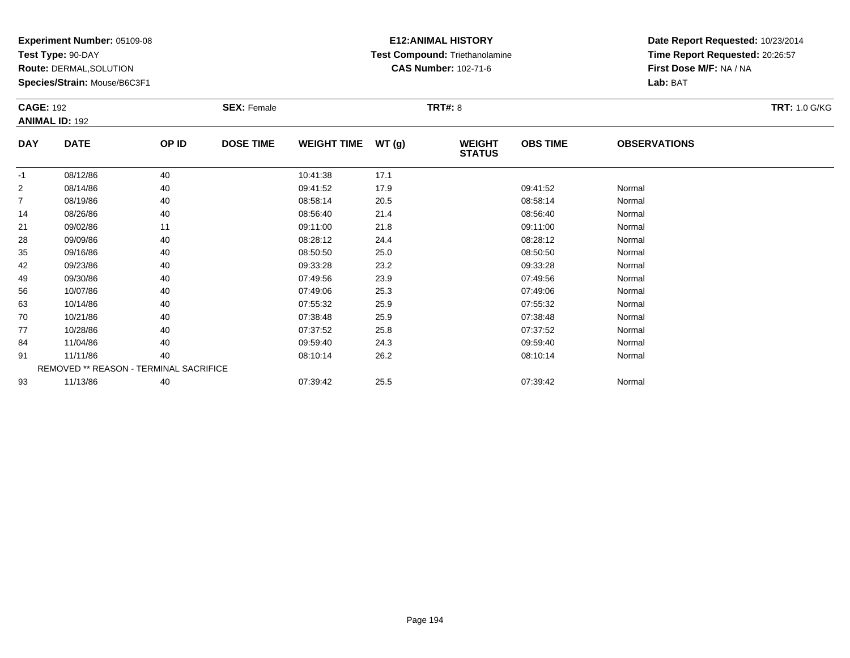**Test Type:** 90-DAY

**Route:** DERMAL,SOLUTION

**Species/Strain:** Mouse/B6C3F1

# **E12:ANIMAL HISTORY Test Compound:** Triethanolamine**CAS Number:** 102-71-6

| <b>CAGE: 192</b> | <b>ANIMAL ID: 192</b>                  |       | <b>SEX: Female</b> |                    |       | <b>TRT#: 8</b>                 |                 |                     | <b>TRT: 1.0 G/KG</b> |
|------------------|----------------------------------------|-------|--------------------|--------------------|-------|--------------------------------|-----------------|---------------------|----------------------|
| <b>DAY</b>       | <b>DATE</b>                            | OP ID | <b>DOSE TIME</b>   | <b>WEIGHT TIME</b> | WT(g) | <b>WEIGHT</b><br><b>STATUS</b> | <b>OBS TIME</b> | <b>OBSERVATIONS</b> |                      |
| $-1$             | 08/12/86                               | 40    |                    | 10:41:38           | 17.1  |                                |                 |                     |                      |
| 2                | 08/14/86                               | 40    |                    | 09:41:52           | 17.9  |                                | 09:41:52        | Normal              |                      |
| 7                | 08/19/86                               | 40    |                    | 08:58:14           | 20.5  |                                | 08:58:14        | Normal              |                      |
| 14               | 08/26/86                               | 40    |                    | 08:56:40           | 21.4  |                                | 08:56:40        | Normal              |                      |
| 21               | 09/02/86                               | 11    |                    | 09:11:00           | 21.8  |                                | 09:11:00        | Normal              |                      |
| 28               | 09/09/86                               | 40    |                    | 08:28:12           | 24.4  |                                | 08:28:12        | Normal              |                      |
| 35               | 09/16/86                               | 40    |                    | 08:50:50           | 25.0  |                                | 08:50:50        | Normal              |                      |
| 42               | 09/23/86                               | 40    |                    | 09:33:28           | 23.2  |                                | 09:33:28        | Normal              |                      |
| 49               | 09/30/86                               | 40    |                    | 07:49:56           | 23.9  |                                | 07:49:56        | Normal              |                      |
| 56               | 10/07/86                               | 40    |                    | 07:49:06           | 25.3  |                                | 07:49:06        | Normal              |                      |
| 63               | 10/14/86                               | 40    |                    | 07:55:32           | 25.9  |                                | 07:55:32        | Normal              |                      |
| 70               | 10/21/86                               | 40    |                    | 07:38:48           | 25.9  |                                | 07:38:48        | Normal              |                      |
| 77               | 10/28/86                               | 40    |                    | 07:37:52           | 25.8  |                                | 07:37:52        | Normal              |                      |
| 84               | 11/04/86                               | 40    |                    | 09:59:40           | 24.3  |                                | 09:59:40        | Normal              |                      |
| 91               | 11/11/86                               | 40    |                    | 08:10:14           | 26.2  |                                | 08:10:14        | Normal              |                      |
|                  | REMOVED ** REASON - TERMINAL SACRIFICE |       |                    |                    |       |                                |                 |                     |                      |
| 93               | 11/13/86                               | 40    |                    | 07:39:42           | 25.5  |                                | 07:39:42        | Normal              |                      |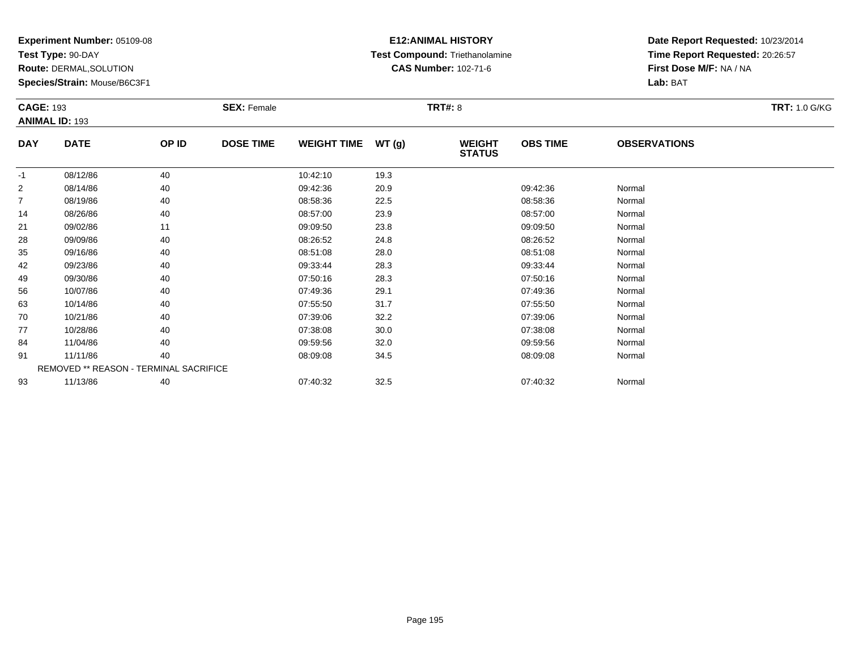**Test Type:** 90-DAY

**Route:** DERMAL,SOLUTION

**Species/Strain:** Mouse/B6C3F1

# **E12:ANIMAL HISTORY Test Compound:** Triethanolamine**CAS Number:** 102-71-6

| <b>CAGE: 193</b> |                                        |       | <b>SEX: Female</b> |                    |       | <b>TRT#: 8</b>                 |                 |                     | <b>TRT: 1.0 G/KG</b> |
|------------------|----------------------------------------|-------|--------------------|--------------------|-------|--------------------------------|-----------------|---------------------|----------------------|
|                  | <b>ANIMAL ID: 193</b>                  |       |                    |                    |       |                                |                 |                     |                      |
| <b>DAY</b>       | <b>DATE</b>                            | OP ID | <b>DOSE TIME</b>   | <b>WEIGHT TIME</b> | WT(g) | <b>WEIGHT</b><br><b>STATUS</b> | <b>OBS TIME</b> | <b>OBSERVATIONS</b> |                      |
| $-1$             | 08/12/86                               | 40    |                    | 10:42:10           | 19.3  |                                |                 |                     |                      |
| 2                | 08/14/86                               | 40    |                    | 09:42:36           | 20.9  |                                | 09:42:36        | Normal              |                      |
| 7                | 08/19/86                               | 40    |                    | 08:58:36           | 22.5  |                                | 08:58:36        | Normal              |                      |
| 14               | 08/26/86                               | 40    |                    | 08:57:00           | 23.9  |                                | 08:57:00        | Normal              |                      |
| 21               | 09/02/86                               | 11    |                    | 09:09:50           | 23.8  |                                | 09:09:50        | Normal              |                      |
| 28               | 09/09/86                               | 40    |                    | 08:26:52           | 24.8  |                                | 08:26:52        | Normal              |                      |
| 35               | 09/16/86                               | 40    |                    | 08:51:08           | 28.0  |                                | 08:51:08        | Normal              |                      |
| 42               | 09/23/86                               | 40    |                    | 09:33:44           | 28.3  |                                | 09:33:44        | Normal              |                      |
| 49               | 09/30/86                               | 40    |                    | 07:50:16           | 28.3  |                                | 07:50:16        | Normal              |                      |
| 56               | 10/07/86                               | 40    |                    | 07:49:36           | 29.1  |                                | 07:49:36        | Normal              |                      |
| 63               | 10/14/86                               | 40    |                    | 07:55:50           | 31.7  |                                | 07:55:50        | Normal              |                      |
| 70               | 10/21/86                               | 40    |                    | 07:39:06           | 32.2  |                                | 07:39:06        | Normal              |                      |
| 77               | 10/28/86                               | 40    |                    | 07:38:08           | 30.0  |                                | 07:38:08        | Normal              |                      |
| 84               | 11/04/86                               | 40    |                    | 09:59:56           | 32.0  |                                | 09:59:56        | Normal              |                      |
| 91               | 11/11/86                               | 40    |                    | 08:09:08           | 34.5  |                                | 08:09:08        | Normal              |                      |
|                  | REMOVED ** REASON - TERMINAL SACRIFICE |       |                    |                    |       |                                |                 |                     |                      |
| 93               | 11/13/86                               | 40    |                    | 07:40:32           | 32.5  |                                | 07:40:32        | Normal              |                      |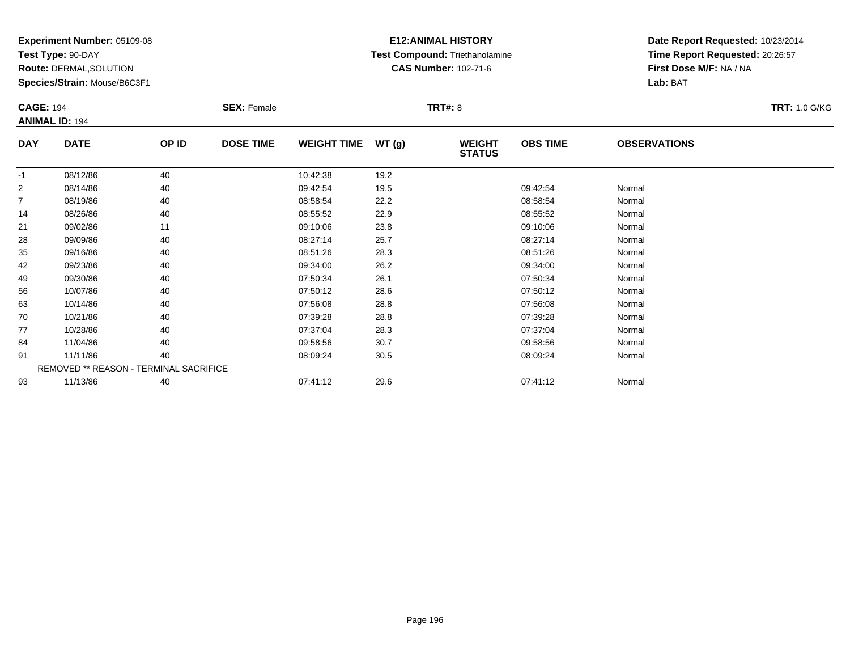**Test Type:** 90-DAY

**Route:** DERMAL,SOLUTION

**Species/Strain:** Mouse/B6C3F1

# **E12:ANIMAL HISTORY Test Compound:** Triethanolamine**CAS Number:** 102-71-6

| <b>CAGE: 194</b> | <b>ANIMAL ID: 194</b>                  |       | <b>SEX: Female</b> |                    |       | <b>TRT#:</b> 8                 |                 |                     | <b>TRT: 1.0 G/KG</b> |
|------------------|----------------------------------------|-------|--------------------|--------------------|-------|--------------------------------|-----------------|---------------------|----------------------|
| <b>DAY</b>       | <b>DATE</b>                            | OP ID | <b>DOSE TIME</b>   | <b>WEIGHT TIME</b> | WT(g) | <b>WEIGHT</b><br><b>STATUS</b> | <b>OBS TIME</b> | <b>OBSERVATIONS</b> |                      |
| $-1$             | 08/12/86                               | 40    |                    | 10:42:38           | 19.2  |                                |                 |                     |                      |
| $\overline{2}$   | 08/14/86                               | 40    |                    | 09:42:54           | 19.5  |                                | 09:42:54        | Normal              |                      |
| 7                | 08/19/86                               | 40    |                    | 08:58:54           | 22.2  |                                | 08:58:54        | Normal              |                      |
| 14               | 08/26/86                               | 40    |                    | 08:55:52           | 22.9  |                                | 08:55:52        | Normal              |                      |
| 21               | 09/02/86                               | 11    |                    | 09:10:06           | 23.8  |                                | 09:10:06        | Normal              |                      |
| 28               | 09/09/86                               | 40    |                    | 08:27:14           | 25.7  |                                | 08:27:14        | Normal              |                      |
| 35               | 09/16/86                               | 40    |                    | 08:51:26           | 28.3  |                                | 08:51:26        | Normal              |                      |
| 42               | 09/23/86                               | 40    |                    | 09:34:00           | 26.2  |                                | 09:34:00        | Normal              |                      |
| 49               | 09/30/86                               | 40    |                    | 07:50:34           | 26.1  |                                | 07:50:34        | Normal              |                      |
| 56               | 10/07/86                               | 40    |                    | 07:50:12           | 28.6  |                                | 07:50:12        | Normal              |                      |
| 63               | 10/14/86                               | 40    |                    | 07:56:08           | 28.8  |                                | 07:56:08        | Normal              |                      |
| 70               | 10/21/86                               | 40    |                    | 07:39:28           | 28.8  |                                | 07:39:28        | Normal              |                      |
| 77               | 10/28/86                               | 40    |                    | 07:37:04           | 28.3  |                                | 07:37:04        | Normal              |                      |
| 84               | 11/04/86                               | 40    |                    | 09:58:56           | 30.7  |                                | 09:58:56        | Normal              |                      |
| 91               | 11/11/86                               | 40    |                    | 08:09:24           | 30.5  |                                | 08:09:24        | Normal              |                      |
|                  | REMOVED ** REASON - TERMINAL SACRIFICE |       |                    |                    |       |                                |                 |                     |                      |
| 93               | 11/13/86                               | 40    |                    | 07:41:12           | 29.6  |                                | 07:41:12        | Normal              |                      |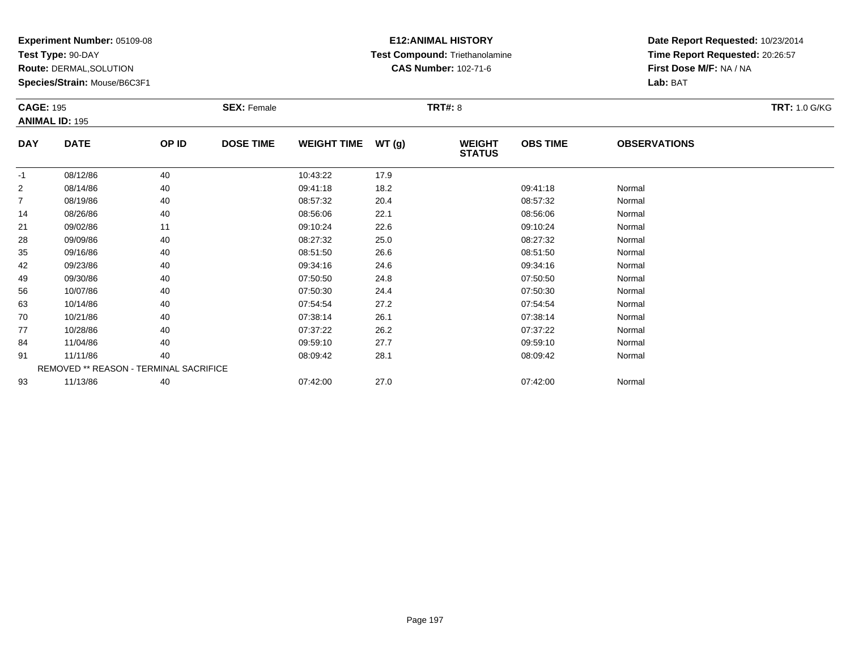**Test Type:** 90-DAY

**Route:** DERMAL,SOLUTION

**Species/Strain:** Mouse/B6C3F1

# **E12:ANIMAL HISTORY Test Compound:** Triethanolamine**CAS Number:** 102-71-6

| <b>CAGE: 195</b> | <b>ANIMAL ID: 195</b>                  |       | <b>SEX: Female</b> |                    |       | <b>TRT#: 8</b>                 |                 |                     | <b>TRT: 1.0 G/KG</b> |
|------------------|----------------------------------------|-------|--------------------|--------------------|-------|--------------------------------|-----------------|---------------------|----------------------|
| <b>DAY</b>       | <b>DATE</b>                            | OP ID | <b>DOSE TIME</b>   | <b>WEIGHT TIME</b> | WT(g) | <b>WEIGHT</b><br><b>STATUS</b> | <b>OBS TIME</b> | <b>OBSERVATIONS</b> |                      |
| $-1$             | 08/12/86                               | 40    |                    | 10:43:22           | 17.9  |                                |                 |                     |                      |
| 2                | 08/14/86                               | 40    |                    | 09:41:18           | 18.2  |                                | 09:41:18        | Normal              |                      |
| 7                | 08/19/86                               | 40    |                    | 08:57:32           | 20.4  |                                | 08:57:32        | Normal              |                      |
| 14               | 08/26/86                               | 40    |                    | 08:56:06           | 22.1  |                                | 08:56:06        | Normal              |                      |
| 21               | 09/02/86                               | 11    |                    | 09:10:24           | 22.6  |                                | 09:10:24        | Normal              |                      |
| 28               | 09/09/86                               | 40    |                    | 08:27:32           | 25.0  |                                | 08:27:32        | Normal              |                      |
| 35               | 09/16/86                               | 40    |                    | 08:51:50           | 26.6  |                                | 08:51:50        | Normal              |                      |
| 42               | 09/23/86                               | 40    |                    | 09:34:16           | 24.6  |                                | 09:34:16        | Normal              |                      |
| 49               | 09/30/86                               | 40    |                    | 07:50:50           | 24.8  |                                | 07:50:50        | Normal              |                      |
| 56               | 10/07/86                               | 40    |                    | 07:50:30           | 24.4  |                                | 07:50:30        | Normal              |                      |
| 63               | 10/14/86                               | 40    |                    | 07:54:54           | 27.2  |                                | 07:54:54        | Normal              |                      |
| 70               | 10/21/86                               | 40    |                    | 07:38:14           | 26.1  |                                | 07:38:14        | Normal              |                      |
| 77               | 10/28/86                               | 40    |                    | 07:37:22           | 26.2  |                                | 07:37:22        | Normal              |                      |
| 84               | 11/04/86                               | 40    |                    | 09:59:10           | 27.7  |                                | 09:59:10        | Normal              |                      |
| 91               | 11/11/86                               | 40    |                    | 08:09:42           | 28.1  |                                | 08:09:42        | Normal              |                      |
|                  | REMOVED ** REASON - TERMINAL SACRIFICE |       |                    |                    |       |                                |                 |                     |                      |
| 93               | 11/13/86                               | 40    |                    | 07:42:00           | 27.0  |                                | 07:42:00        | Normal              |                      |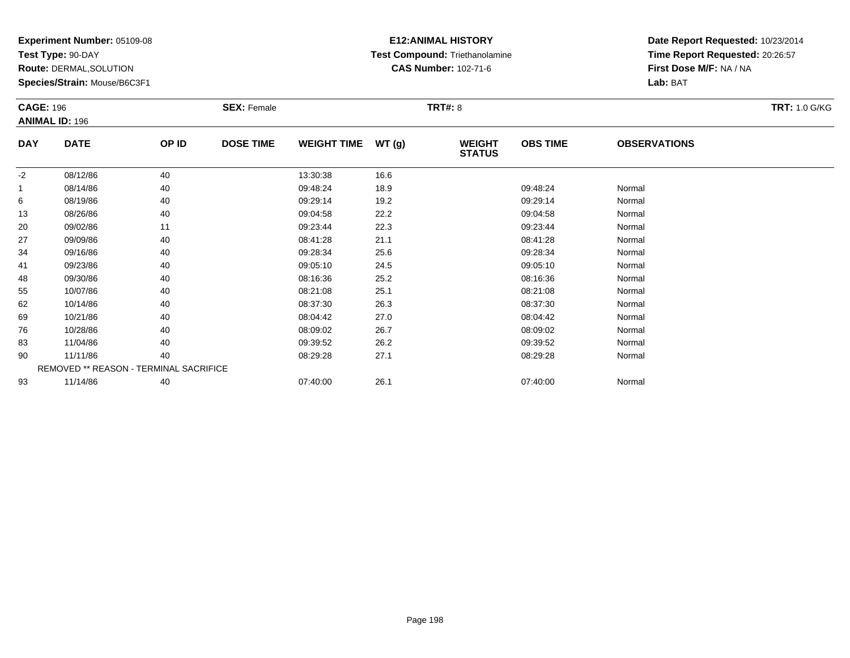**Test Type:** 90-DAY

**Route:** DERMAL,SOLUTION

**Species/Strain:** Mouse/B6C3F1

# **E12:ANIMAL HISTORY Test Compound:** Triethanolamine**CAS Number:** 102-71-6

| <b>CAGE: 196</b> | <b>ANIMAL ID: 196</b>                  |       | <b>SEX: Female</b> |                    |       | <b>TRT#: 8</b>                 |                 |                     | <b>TRT: 1.0 G/KG</b> |
|------------------|----------------------------------------|-------|--------------------|--------------------|-------|--------------------------------|-----------------|---------------------|----------------------|
| <b>DAY</b>       | <b>DATE</b>                            | OP ID | <b>DOSE TIME</b>   | <b>WEIGHT TIME</b> | WT(g) | <b>WEIGHT</b><br><b>STATUS</b> | <b>OBS TIME</b> | <b>OBSERVATIONS</b> |                      |
| $-2$             | 08/12/86                               | 40    |                    | 13:30:38           | 16.6  |                                |                 |                     |                      |
| 1                | 08/14/86                               | 40    |                    | 09:48:24           | 18.9  |                                | 09:48:24        | Normal              |                      |
| 6                | 08/19/86                               | 40    |                    | 09:29:14           | 19.2  |                                | 09:29:14        | Normal              |                      |
| 13               | 08/26/86                               | 40    |                    | 09:04:58           | 22.2  |                                | 09:04:58        | Normal              |                      |
| 20               | 09/02/86                               | 11    |                    | 09:23:44           | 22.3  |                                | 09:23:44        | Normal              |                      |
| 27               | 09/09/86                               | 40    |                    | 08:41:28           | 21.1  |                                | 08:41:28        | Normal              |                      |
| 34               | 09/16/86                               | 40    |                    | 09:28:34           | 25.6  |                                | 09:28:34        | Normal              |                      |
| 41               | 09/23/86                               | 40    |                    | 09:05:10           | 24.5  |                                | 09:05:10        | Normal              |                      |
| 48               | 09/30/86                               | 40    |                    | 08:16:36           | 25.2  |                                | 08:16:36        | Normal              |                      |
| 55               | 10/07/86                               | 40    |                    | 08:21:08           | 25.1  |                                | 08:21:08        | Normal              |                      |
| 62               | 10/14/86                               | 40    |                    | 08:37:30           | 26.3  |                                | 08:37:30        | Normal              |                      |
| 69               | 10/21/86                               | 40    |                    | 08:04:42           | 27.0  |                                | 08:04:42        | Normal              |                      |
| 76               | 10/28/86                               | 40    |                    | 08:09:02           | 26.7  |                                | 08:09:02        | Normal              |                      |
| 83               | 11/04/86                               | 40    |                    | 09:39:52           | 26.2  |                                | 09:39:52        | Normal              |                      |
| 90               | 11/11/86                               | 40    |                    | 08:29:28           | 27.1  |                                | 08:29:28        | Normal              |                      |
|                  | REMOVED ** REASON - TERMINAL SACRIFICE |       |                    |                    |       |                                |                 |                     |                      |
| 93               | 11/14/86                               | 40    |                    | 07:40:00           | 26.1  |                                | 07:40:00        | Normal              |                      |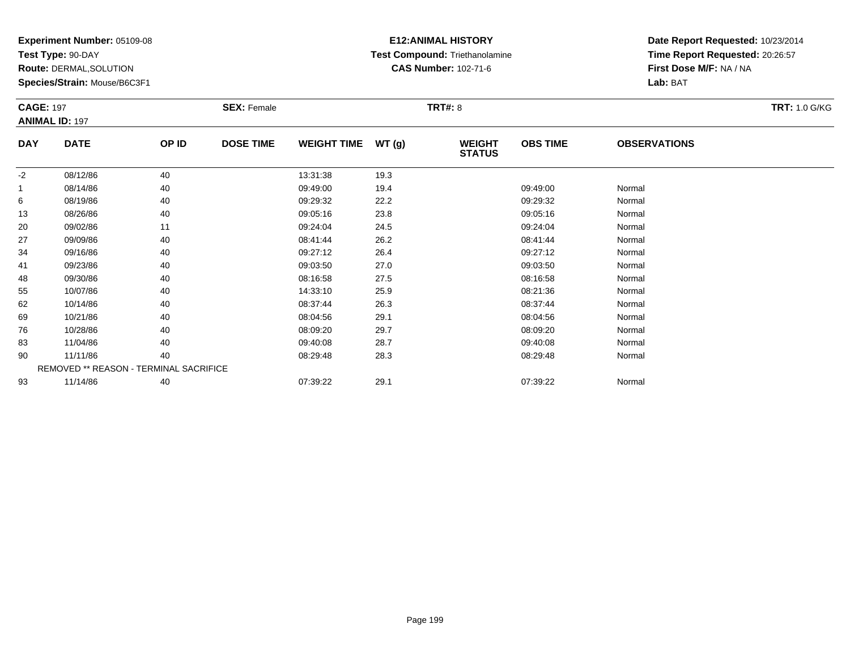**Test Type:** 90-DAY

**Route:** DERMAL,SOLUTION

**Species/Strain:** Mouse/B6C3F1

# **E12:ANIMAL HISTORY Test Compound:** Triethanolamine**CAS Number:** 102-71-6

| <b>CAGE: 197</b> | <b>ANIMAL ID: 197</b>                  |       | <b>SEX: Female</b> |                    |       | <b>TRT#:</b> 8                 |                 |                     | <b>TRT: 1.0 G/KG</b> |
|------------------|----------------------------------------|-------|--------------------|--------------------|-------|--------------------------------|-----------------|---------------------|----------------------|
| <b>DAY</b>       | <b>DATE</b>                            | OP ID | <b>DOSE TIME</b>   | <b>WEIGHT TIME</b> | WT(g) | <b>WEIGHT</b><br><b>STATUS</b> | <b>OBS TIME</b> | <b>OBSERVATIONS</b> |                      |
| $-2$             | 08/12/86                               | 40    |                    | 13:31:38           | 19.3  |                                |                 |                     |                      |
| -1               | 08/14/86                               | 40    |                    | 09:49:00           | 19.4  |                                | 09:49:00        | Normal              |                      |
| 6                | 08/19/86                               | 40    |                    | 09:29:32           | 22.2  |                                | 09:29:32        | Normal              |                      |
| 13               | 08/26/86                               | 40    |                    | 09:05:16           | 23.8  |                                | 09:05:16        | Normal              |                      |
| 20               | 09/02/86                               | 11    |                    | 09:24:04           | 24.5  |                                | 09:24:04        | Normal              |                      |
| 27               | 09/09/86                               | 40    |                    | 08:41:44           | 26.2  |                                | 08:41:44        | Normal              |                      |
| 34               | 09/16/86                               | 40    |                    | 09:27:12           | 26.4  |                                | 09:27:12        | Normal              |                      |
| 41               | 09/23/86                               | 40    |                    | 09:03:50           | 27.0  |                                | 09:03:50        | Normal              |                      |
| 48               | 09/30/86                               | 40    |                    | 08:16:58           | 27.5  |                                | 08:16:58        | Normal              |                      |
| 55               | 10/07/86                               | 40    |                    | 14:33:10           | 25.9  |                                | 08:21:36        | Normal              |                      |
| 62               | 10/14/86                               | 40    |                    | 08:37:44           | 26.3  |                                | 08:37:44        | Normal              |                      |
| 69               | 10/21/86                               | 40    |                    | 08:04:56           | 29.1  |                                | 08:04:56        | Normal              |                      |
| 76               | 10/28/86                               | 40    |                    | 08:09:20           | 29.7  |                                | 08:09:20        | Normal              |                      |
| 83               | 11/04/86                               | 40    |                    | 09:40:08           | 28.7  |                                | 09:40:08        | Normal              |                      |
| 90               | 11/11/86                               | 40    |                    | 08:29:48           | 28.3  |                                | 08:29:48        | Normal              |                      |
|                  | REMOVED ** REASON - TERMINAL SACRIFICE |       |                    |                    |       |                                |                 |                     |                      |
| 93               | 11/14/86                               | 40    |                    | 07:39:22           | 29.1  |                                | 07:39:22        | Normal              |                      |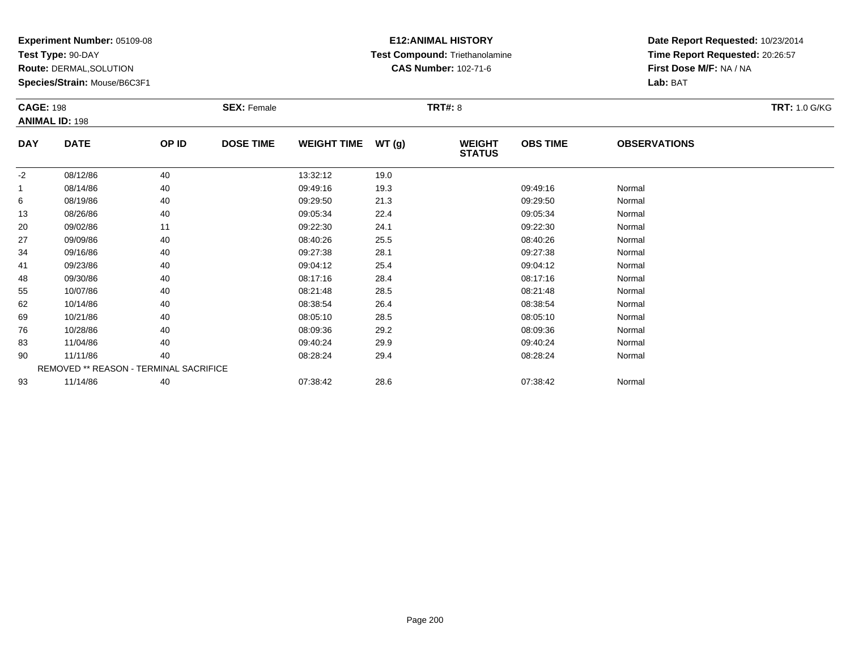**Test Type:** 90-DAY

**Route:** DERMAL,SOLUTION

**Species/Strain:** Mouse/B6C3F1

# **E12:ANIMAL HISTORY Test Compound:** Triethanolamine**CAS Number:** 102-71-6

| <b>CAGE: 198</b> | <b>ANIMAL ID: 198</b> |                                        | <b>SEX: Female</b> |                    |       | <b>TRT#: 8</b>                 |                 |                     | <b>TRT: 1.0 G/KG</b> |
|------------------|-----------------------|----------------------------------------|--------------------|--------------------|-------|--------------------------------|-----------------|---------------------|----------------------|
| <b>DAY</b>       | <b>DATE</b>           | OP ID                                  | <b>DOSE TIME</b>   | <b>WEIGHT TIME</b> | WT(g) | <b>WEIGHT</b><br><b>STATUS</b> | <b>OBS TIME</b> | <b>OBSERVATIONS</b> |                      |
| $-2$             | 08/12/86              | 40                                     |                    | 13:32:12           | 19.0  |                                |                 |                     |                      |
|                  | 08/14/86              | 40                                     |                    | 09:49:16           | 19.3  |                                | 09:49:16        | Normal              |                      |
| 6                | 08/19/86              | 40                                     |                    | 09:29:50           | 21.3  |                                | 09:29:50        | Normal              |                      |
| 13               | 08/26/86              | 40                                     |                    | 09:05:34           | 22.4  |                                | 09:05:34        | Normal              |                      |
| 20               | 09/02/86              | 11                                     |                    | 09:22:30           | 24.1  |                                | 09:22:30        | Normal              |                      |
| 27               | 09/09/86              | 40                                     |                    | 08:40:26           | 25.5  |                                | 08:40:26        | Normal              |                      |
| 34               | 09/16/86              | 40                                     |                    | 09:27:38           | 28.1  |                                | 09:27:38        | Normal              |                      |
| 41               | 09/23/86              | 40                                     |                    | 09:04:12           | 25.4  |                                | 09:04:12        | Normal              |                      |
| 48               | 09/30/86              | 40                                     |                    | 08:17:16           | 28.4  |                                | 08:17:16        | Normal              |                      |
| 55               | 10/07/86              | 40                                     |                    | 08:21:48           | 28.5  |                                | 08:21:48        | Normal              |                      |
| 62               | 10/14/86              | 40                                     |                    | 08:38:54           | 26.4  |                                | 08:38:54        | Normal              |                      |
| 69               | 10/21/86              | 40                                     |                    | 08:05:10           | 28.5  |                                | 08:05:10        | Normal              |                      |
| 76               | 10/28/86              | 40                                     |                    | 08:09:36           | 29.2  |                                | 08:09:36        | Normal              |                      |
| 83               | 11/04/86              | 40                                     |                    | 09:40:24           | 29.9  |                                | 09:40:24        | Normal              |                      |
| 90               | 11/11/86              | 40                                     |                    | 08:28:24           | 29.4  |                                | 08:28:24        | Normal              |                      |
|                  |                       | REMOVED ** REASON - TERMINAL SACRIFICE |                    |                    |       |                                |                 |                     |                      |
| 93               | 11/14/86              | 40                                     |                    | 07:38:42           | 28.6  |                                | 07:38:42        | Normal              |                      |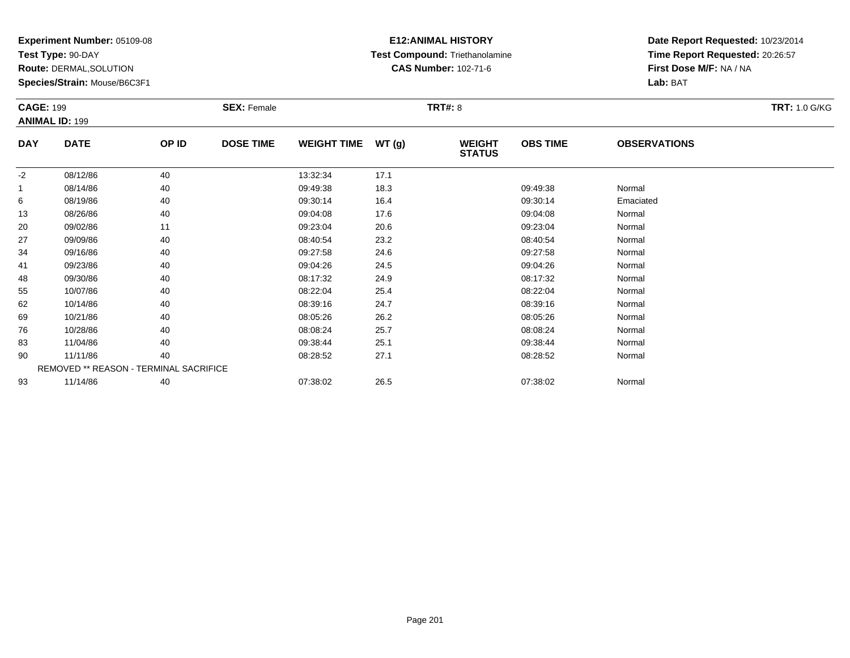**Test Type:** 90-DAY

**Route:** DERMAL,SOLUTION

**Species/Strain:** Mouse/B6C3F1

# **E12:ANIMAL HISTORY Test Compound:** Triethanolamine**CAS Number:** 102-71-6

| <b>CAGE: 199</b> | <b>ANIMAL ID: 199</b> |                                        | <b>SEX: Female</b> |                    |       | <b>TRT#: 8</b>                 |                 |                     | <b>TRT: 1.0 G/KG</b> |
|------------------|-----------------------|----------------------------------------|--------------------|--------------------|-------|--------------------------------|-----------------|---------------------|----------------------|
| <b>DAY</b>       | <b>DATE</b>           | OP ID                                  | <b>DOSE TIME</b>   | <b>WEIGHT TIME</b> | WT(g) | <b>WEIGHT</b><br><b>STATUS</b> | <b>OBS TIME</b> | <b>OBSERVATIONS</b> |                      |
| $-2$             | 08/12/86              | 40                                     |                    | 13:32:34           | 17.1  |                                |                 |                     |                      |
|                  | 08/14/86              | 40                                     |                    | 09:49:38           | 18.3  |                                | 09:49:38        | Normal              |                      |
| 6                | 08/19/86              | 40                                     |                    | 09:30:14           | 16.4  |                                | 09:30:14        | Emaciated           |                      |
| 13               | 08/26/86              | 40                                     |                    | 09:04:08           | 17.6  |                                | 09:04:08        | Normal              |                      |
| 20               | 09/02/86              | 11                                     |                    | 09:23:04           | 20.6  |                                | 09:23:04        | Normal              |                      |
| 27               | 09/09/86              | 40                                     |                    | 08:40:54           | 23.2  |                                | 08:40:54        | Normal              |                      |
| 34               | 09/16/86              | 40                                     |                    | 09:27:58           | 24.6  |                                | 09:27:58        | Normal              |                      |
| 41               | 09/23/86              | 40                                     |                    | 09:04:26           | 24.5  |                                | 09:04:26        | Normal              |                      |
| 48               | 09/30/86              | 40                                     |                    | 08:17:32           | 24.9  |                                | 08:17:32        | Normal              |                      |
| 55               | 10/07/86              | 40                                     |                    | 08:22:04           | 25.4  |                                | 08:22:04        | Normal              |                      |
| 62               | 10/14/86              | 40                                     |                    | 08:39:16           | 24.7  |                                | 08:39:16        | Normal              |                      |
| 69               | 10/21/86              | 40                                     |                    | 08:05:26           | 26.2  |                                | 08:05:26        | Normal              |                      |
| 76               | 10/28/86              | 40                                     |                    | 08:08:24           | 25.7  |                                | 08:08:24        | Normal              |                      |
| 83               | 11/04/86              | 40                                     |                    | 09:38:44           | 25.1  |                                | 09:38:44        | Normal              |                      |
| 90               | 11/11/86              | 40                                     |                    | 08:28:52           | 27.1  |                                | 08:28:52        | Normal              |                      |
|                  |                       | REMOVED ** REASON - TERMINAL SACRIFICE |                    |                    |       |                                |                 |                     |                      |
| 93               | 11/14/86              | 40                                     |                    | 07:38:02           | 26.5  |                                | 07:38:02        | Normal              |                      |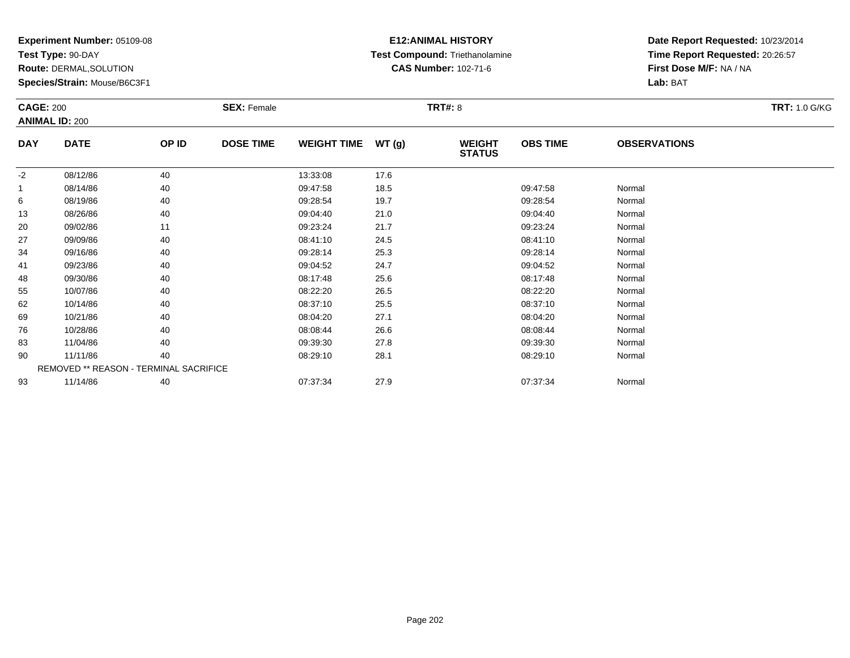**Test Type:** 90-DAY

**Route:** DERMAL,SOLUTION

**Species/Strain:** Mouse/B6C3F1

# **E12:ANIMAL HISTORY Test Compound:** Triethanolamine**CAS Number:** 102-71-6

| <b>CAGE: 200</b> | <b>ANIMAL ID: 200</b>                  |       | <b>SEX: Female</b> |                    |       | <b>TRT#: 8</b>                 |                 |                     | <b>TRT: 1.0 G/KG</b> |
|------------------|----------------------------------------|-------|--------------------|--------------------|-------|--------------------------------|-----------------|---------------------|----------------------|
| <b>DAY</b>       | <b>DATE</b>                            | OP ID | <b>DOSE TIME</b>   | <b>WEIGHT TIME</b> | WT(g) | <b>WEIGHT</b><br><b>STATUS</b> | <b>OBS TIME</b> | <b>OBSERVATIONS</b> |                      |
| $-2$             | 08/12/86                               | 40    |                    | 13:33:08           | 17.6  |                                |                 |                     |                      |
|                  | 08/14/86                               | 40    |                    | 09:47:58           | 18.5  |                                | 09:47:58        | Normal              |                      |
| 6                | 08/19/86                               | 40    |                    | 09:28:54           | 19.7  |                                | 09:28:54        | Normal              |                      |
| 13               | 08/26/86                               | 40    |                    | 09:04:40           | 21.0  |                                | 09:04:40        | Normal              |                      |
| 20               | 09/02/86                               | 11    |                    | 09:23:24           | 21.7  |                                | 09:23:24        | Normal              |                      |
| 27               | 09/09/86                               | 40    |                    | 08:41:10           | 24.5  |                                | 08:41:10        | Normal              |                      |
| 34               | 09/16/86                               | 40    |                    | 09:28:14           | 25.3  |                                | 09:28:14        | Normal              |                      |
| 41               | 09/23/86                               | 40    |                    | 09:04:52           | 24.7  |                                | 09:04:52        | Normal              |                      |
| 48               | 09/30/86                               | 40    |                    | 08:17:48           | 25.6  |                                | 08:17:48        | Normal              |                      |
| 55               | 10/07/86                               | 40    |                    | 08:22:20           | 26.5  |                                | 08:22:20        | Normal              |                      |
| 62               | 10/14/86                               | 40    |                    | 08:37:10           | 25.5  |                                | 08:37:10        | Normal              |                      |
| 69               | 10/21/86                               | 40    |                    | 08:04:20           | 27.1  |                                | 08:04:20        | Normal              |                      |
| 76               | 10/28/86                               | 40    |                    | 08:08:44           | 26.6  |                                | 08:08:44        | Normal              |                      |
| 83               | 11/04/86                               | 40    |                    | 09:39:30           | 27.8  |                                | 09:39:30        | Normal              |                      |
| 90               | 11/11/86                               | 40    |                    | 08:29:10           | 28.1  |                                | 08:29:10        | Normal              |                      |
|                  | REMOVED ** REASON - TERMINAL SACRIFICE |       |                    |                    |       |                                |                 |                     |                      |
| 93               | 11/14/86                               | 40    |                    | 07:37:34           | 27.9  |                                | 07:37:34        | Normal              |                      |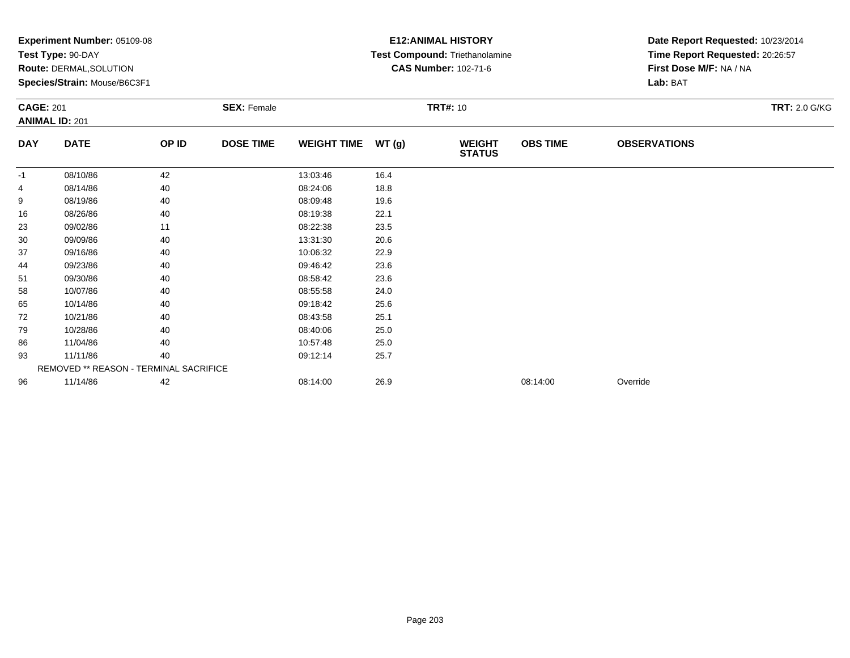|            | Experiment Number: 05109-08<br>Test Type: 90-DAY<br>Route: DERMAL, SOLUTION<br>Species/Strain: Mouse/B6C3F1<br><b>SEX: Female</b><br><b>CAGE: 201</b> |       |                  |                    |       | <b>E12: ANIMAL HISTORY</b><br>Test Compound: Triethanolamine<br><b>CAS Number: 102-71-6</b> | Date Report Requested: 10/23/2014<br>Time Report Requested: 20:26:57<br>First Dose M/F: NA / NA<br>Lab: BAT |                     |                      |
|------------|-------------------------------------------------------------------------------------------------------------------------------------------------------|-------|------------------|--------------------|-------|---------------------------------------------------------------------------------------------|-------------------------------------------------------------------------------------------------------------|---------------------|----------------------|
|            | <b>ANIMAL ID: 201</b>                                                                                                                                 |       |                  |                    |       | <b>TRT#: 10</b>                                                                             |                                                                                                             |                     | <b>TRT: 2.0 G/KG</b> |
| <b>DAY</b> | <b>DATE</b>                                                                                                                                           | OP ID | <b>DOSE TIME</b> | <b>WEIGHT TIME</b> | WT(g) | <b>WEIGHT</b><br><b>STATUS</b>                                                              | <b>OBS TIME</b>                                                                                             | <b>OBSERVATIONS</b> |                      |
| -1         | 08/10/86                                                                                                                                              | 42    |                  | 13:03:46           | 16.4  |                                                                                             |                                                                                                             |                     |                      |
| 4          | 08/14/86                                                                                                                                              | 40    |                  | 08:24:06           | 18.8  |                                                                                             |                                                                                                             |                     |                      |
| 9          | 08/19/86                                                                                                                                              | 40    |                  | 08:09:48           | 19.6  |                                                                                             |                                                                                                             |                     |                      |
| 16         | 08/26/86                                                                                                                                              | 40    |                  | 08:19:38           | 22.1  |                                                                                             |                                                                                                             |                     |                      |
| 23         | 09/02/86                                                                                                                                              | 11    |                  | 08:22:38           | 23.5  |                                                                                             |                                                                                                             |                     |                      |
| 30         | 09/09/86                                                                                                                                              | 40    |                  | 13:31:30           | 20.6  |                                                                                             |                                                                                                             |                     |                      |
| 37         | 09/16/86                                                                                                                                              | 40    |                  | 10:06:32           | 22.9  |                                                                                             |                                                                                                             |                     |                      |
| 44         | 09/23/86                                                                                                                                              | 40    |                  | 09:46:42           | 23.6  |                                                                                             |                                                                                                             |                     |                      |
| 51         | 09/30/86                                                                                                                                              | 40    |                  | 08:58:42           | 23.6  |                                                                                             |                                                                                                             |                     |                      |
| 58         | 10/07/86                                                                                                                                              | 40    |                  | 08:55:58           | 24.0  |                                                                                             |                                                                                                             |                     |                      |
| 65         | 10/14/86                                                                                                                                              | 40    |                  | 09:18:42           | 25.6  |                                                                                             |                                                                                                             |                     |                      |
| 72         | 10/21/86                                                                                                                                              | 40    |                  | 08:43:58           | 25.1  |                                                                                             |                                                                                                             |                     |                      |
| 79         | 10/28/86                                                                                                                                              | 40    |                  | 08:40:06           | 25.0  |                                                                                             |                                                                                                             |                     |                      |
| 86         | 11/04/86                                                                                                                                              | 40    |                  | 10:57:48           | 25.0  |                                                                                             |                                                                                                             |                     |                      |
| 93         | 11/11/86                                                                                                                                              | 40    |                  | 09:12:14           | 25.7  |                                                                                             |                                                                                                             |                     |                      |
|            | REMOVED ** REASON - TERMINAL SACRIFICE                                                                                                                |       |                  |                    |       |                                                                                             |                                                                                                             |                     |                      |
| 96         | 11/14/86                                                                                                                                              | 42    |                  | 08:14:00           | 26.9  |                                                                                             | 08:14:00                                                                                                    | Override            |                      |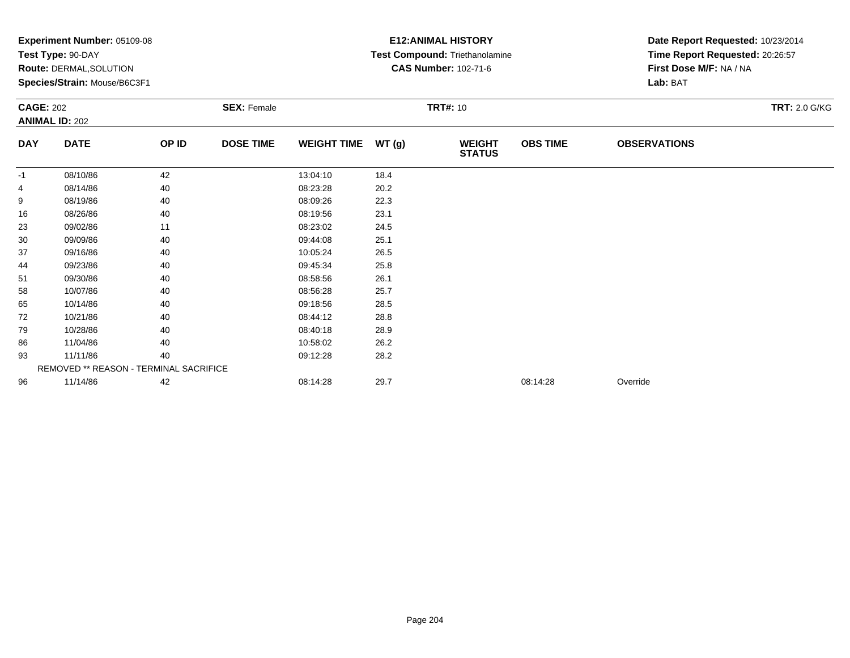|            | Experiment Number: 05109-08<br>Test Type: 90-DAY<br>Route: DERMAL, SOLUTION<br>Species/Strain: Mouse/B6C3F1<br><b>SEX: Female</b><br><b>CAGE: 202</b> |       |                  |                    |                 | <b>E12: ANIMAL HISTORY</b><br>Test Compound: Triethanolamine<br><b>CAS Number: 102-71-6</b> | Date Report Requested: 10/23/2014<br>Time Report Requested: 20:26:57<br>First Dose M/F: NA / NA<br>Lab: BAT |                     |                      |
|------------|-------------------------------------------------------------------------------------------------------------------------------------------------------|-------|------------------|--------------------|-----------------|---------------------------------------------------------------------------------------------|-------------------------------------------------------------------------------------------------------------|---------------------|----------------------|
|            | <b>ANIMAL ID: 202</b>                                                                                                                                 |       |                  |                    | <b>TRT#: 10</b> |                                                                                             |                                                                                                             |                     | <b>TRT: 2.0 G/KG</b> |
| <b>DAY</b> | <b>DATE</b>                                                                                                                                           | OP ID | <b>DOSE TIME</b> | <b>WEIGHT TIME</b> | WT(g)           | <b>WEIGHT</b><br><b>STATUS</b>                                                              | <b>OBS TIME</b>                                                                                             | <b>OBSERVATIONS</b> |                      |
| -1         | 08/10/86                                                                                                                                              | 42    |                  | 13:04:10           | 18.4            |                                                                                             |                                                                                                             |                     |                      |
| 4          | 08/14/86                                                                                                                                              | 40    |                  | 08:23:28           | 20.2            |                                                                                             |                                                                                                             |                     |                      |
| 9          | 08/19/86                                                                                                                                              | 40    |                  | 08:09:26           | 22.3            |                                                                                             |                                                                                                             |                     |                      |
| 16         | 08/26/86                                                                                                                                              | 40    |                  | 08:19:56           | 23.1            |                                                                                             |                                                                                                             |                     |                      |
| 23         | 09/02/86                                                                                                                                              | 11    |                  | 08:23:02           | 24.5            |                                                                                             |                                                                                                             |                     |                      |
| 30         | 09/09/86                                                                                                                                              | 40    |                  | 09:44:08           | 25.1            |                                                                                             |                                                                                                             |                     |                      |
| 37         | 09/16/86                                                                                                                                              | 40    |                  | 10:05:24           | 26.5            |                                                                                             |                                                                                                             |                     |                      |
| 44         | 09/23/86                                                                                                                                              | 40    |                  | 09:45:34           | 25.8            |                                                                                             |                                                                                                             |                     |                      |
| 51         | 09/30/86                                                                                                                                              | 40    |                  | 08:58:56           | 26.1            |                                                                                             |                                                                                                             |                     |                      |
| 58         | 10/07/86                                                                                                                                              | 40    |                  | 08:56:28           | 25.7            |                                                                                             |                                                                                                             |                     |                      |
| 65         | 10/14/86                                                                                                                                              | 40    |                  | 09:18:56           | 28.5            |                                                                                             |                                                                                                             |                     |                      |
| 72         | 10/21/86                                                                                                                                              | 40    |                  | 08:44:12           | 28.8            |                                                                                             |                                                                                                             |                     |                      |
| 79         | 10/28/86                                                                                                                                              | 40    |                  | 08:40:18           | 28.9            |                                                                                             |                                                                                                             |                     |                      |
| 86         | 11/04/86                                                                                                                                              | 40    |                  | 10:58:02           | 26.2            |                                                                                             |                                                                                                             |                     |                      |
| 93         | 11/11/86                                                                                                                                              | 40    |                  | 09:12:28           | 28.2            |                                                                                             |                                                                                                             |                     |                      |
|            | REMOVED ** REASON - TERMINAL SACRIFICE                                                                                                                |       |                  |                    |                 |                                                                                             |                                                                                                             |                     |                      |
| 96         | 11/14/86                                                                                                                                              | 42    |                  | 08:14:28           | 29.7            |                                                                                             | 08:14:28                                                                                                    | Override            |                      |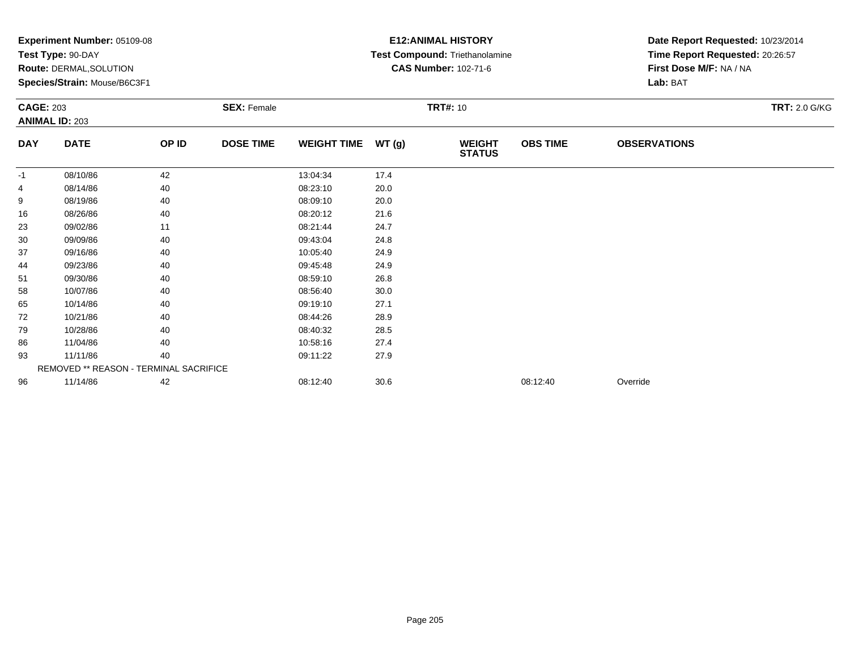| Experiment Number: 05109-08<br>Test Type: 90-DAY<br>Route: DERMAL, SOLUTION<br>Species/Strain: Mouse/B6C3F1 |                                        |                    |                  |                    |       | <b>E12: ANIMAL HISTORY</b><br>Test Compound: Triethanolamine<br><b>CAS Number: 102-71-6</b> | Date Report Requested: 10/23/2014<br>Time Report Requested: 20:26:57<br>First Dose M/F: NA / NA<br>Lab: BAT |                      |  |
|-------------------------------------------------------------------------------------------------------------|----------------------------------------|--------------------|------------------|--------------------|-------|---------------------------------------------------------------------------------------------|-------------------------------------------------------------------------------------------------------------|----------------------|--|
| <b>CAGE: 203</b><br><b>ANIMAL ID: 203</b>                                                                   |                                        | <b>SEX: Female</b> | <b>TRT#: 10</b>  |                    |       |                                                                                             |                                                                                                             | <b>TRT: 2.0 G/KG</b> |  |
| <b>DAY</b>                                                                                                  | <b>DATE</b>                            | OP ID              | <b>DOSE TIME</b> | <b>WEIGHT TIME</b> | WT(g) | <b>WEIGHT</b><br><b>STATUS</b>                                                              | <b>OBS TIME</b>                                                                                             | <b>OBSERVATIONS</b>  |  |
| $-1$                                                                                                        | 08/10/86                               | 42                 |                  | 13:04:34           | 17.4  |                                                                                             |                                                                                                             |                      |  |
|                                                                                                             | 08/14/86                               | 40                 |                  | 08:23:10           | 20.0  |                                                                                             |                                                                                                             |                      |  |
| 9                                                                                                           | 08/19/86                               | 40                 |                  | 08:09:10           | 20.0  |                                                                                             |                                                                                                             |                      |  |
| 16                                                                                                          | 08/26/86                               | 40                 |                  | 08:20:12           | 21.6  |                                                                                             |                                                                                                             |                      |  |
| 23                                                                                                          | 09/02/86                               | 11                 |                  | 08:21:44           | 24.7  |                                                                                             |                                                                                                             |                      |  |
| 30                                                                                                          | 09/09/86                               | 40                 |                  | 09:43:04           | 24.8  |                                                                                             |                                                                                                             |                      |  |
| 37                                                                                                          | 09/16/86                               | 40                 |                  | 10:05:40           | 24.9  |                                                                                             |                                                                                                             |                      |  |
| 44                                                                                                          | 09/23/86                               | 40                 |                  | 09:45:48           | 24.9  |                                                                                             |                                                                                                             |                      |  |
| 51                                                                                                          | 09/30/86                               | 40                 |                  | 08:59:10           | 26.8  |                                                                                             |                                                                                                             |                      |  |
| 58                                                                                                          | 10/07/86                               | 40                 |                  | 08:56:40           | 30.0  |                                                                                             |                                                                                                             |                      |  |
| 65                                                                                                          | 10/14/86                               | 40                 |                  | 09:19:10           | 27.1  |                                                                                             |                                                                                                             |                      |  |
| 72                                                                                                          | 10/21/86                               | 40                 |                  | 08:44:26           | 28.9  |                                                                                             |                                                                                                             |                      |  |
| 79                                                                                                          | 10/28/86                               | 40                 |                  | 08:40:32           | 28.5  |                                                                                             |                                                                                                             |                      |  |
| 86                                                                                                          | 11/04/86                               | 40                 |                  | 10:58:16           | 27.4  |                                                                                             |                                                                                                             |                      |  |
| 93                                                                                                          | 11/11/86                               | 40                 |                  | 09:11:22           | 27.9  |                                                                                             |                                                                                                             |                      |  |
|                                                                                                             | REMOVED ** REASON - TERMINAL SACRIFICE |                    |                  |                    |       |                                                                                             |                                                                                                             |                      |  |
| 96                                                                                                          | 11/14/86                               | 42                 |                  | 08:12:40           | 30.6  |                                                                                             | 08:12:40                                                                                                    | Override             |  |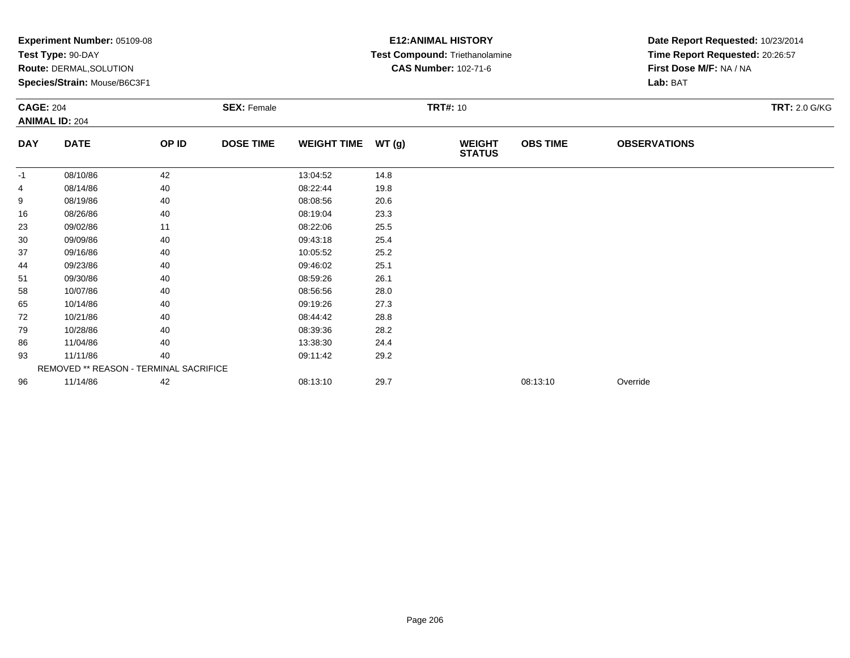| Experiment Number: 05109-08<br>Test Type: 90-DAY<br>Route: DERMAL, SOLUTION<br>Species/Strain: Mouse/B6C3F1<br><b>SEX: Female</b> |                                        |       |                  |                    | <b>E12: ANIMAL HISTORY</b><br>Test Compound: Triethanolamine<br><b>CAS Number: 102-71-6</b> | Date Report Requested: 10/23/2014<br>Time Report Requested: 20:26:57<br>First Dose M/F: NA / NA<br>Lab: BAT |                 |                     |                      |
|-----------------------------------------------------------------------------------------------------------------------------------|----------------------------------------|-------|------------------|--------------------|---------------------------------------------------------------------------------------------|-------------------------------------------------------------------------------------------------------------|-----------------|---------------------|----------------------|
| <b>CAGE: 204</b><br><b>ANIMAL ID: 204</b>                                                                                         |                                        |       |                  |                    | <b>TRT#: 10</b>                                                                             |                                                                                                             |                 |                     | <b>TRT: 2.0 G/KG</b> |
| <b>DAY</b>                                                                                                                        | <b>DATE</b>                            | OP ID | <b>DOSE TIME</b> | <b>WEIGHT TIME</b> | WT(g)                                                                                       | <b>WEIGHT</b><br><b>STATUS</b>                                                                              | <b>OBS TIME</b> | <b>OBSERVATIONS</b> |                      |
| -1                                                                                                                                | 08/10/86                               | 42    |                  | 13:04:52           | 14.8                                                                                        |                                                                                                             |                 |                     |                      |
| 4                                                                                                                                 | 08/14/86                               | 40    |                  | 08:22:44           | 19.8                                                                                        |                                                                                                             |                 |                     |                      |
| 9                                                                                                                                 | 08/19/86                               | 40    |                  | 08:08:56           | 20.6                                                                                        |                                                                                                             |                 |                     |                      |
| 16                                                                                                                                | 08/26/86                               | 40    |                  | 08:19:04           | 23.3                                                                                        |                                                                                                             |                 |                     |                      |
| 23                                                                                                                                | 09/02/86                               | 11    |                  | 08:22:06           | 25.5                                                                                        |                                                                                                             |                 |                     |                      |
| 30                                                                                                                                | 09/09/86                               | 40    |                  | 09:43:18           | 25.4                                                                                        |                                                                                                             |                 |                     |                      |
| 37                                                                                                                                | 09/16/86                               | 40    |                  | 10:05:52           | 25.2                                                                                        |                                                                                                             |                 |                     |                      |
| 44                                                                                                                                | 09/23/86                               | 40    |                  | 09:46:02           | 25.1                                                                                        |                                                                                                             |                 |                     |                      |
| 51                                                                                                                                | 09/30/86                               | 40    |                  | 08:59:26           | 26.1                                                                                        |                                                                                                             |                 |                     |                      |
| 58                                                                                                                                | 10/07/86                               | 40    |                  | 08:56:56           | 28.0                                                                                        |                                                                                                             |                 |                     |                      |
| 65                                                                                                                                | 10/14/86                               | 40    |                  | 09:19:26           | 27.3                                                                                        |                                                                                                             |                 |                     |                      |
| 72                                                                                                                                | 10/21/86                               | 40    |                  | 08:44:42           | 28.8                                                                                        |                                                                                                             |                 |                     |                      |
| 79                                                                                                                                | 10/28/86                               | 40    |                  | 08:39:36           | 28.2                                                                                        |                                                                                                             |                 |                     |                      |
| 86                                                                                                                                | 11/04/86                               | 40    |                  | 13:38:30           | 24.4                                                                                        |                                                                                                             |                 |                     |                      |
| 93                                                                                                                                | 11/11/86                               | 40    |                  | 09:11:42           | 29.2                                                                                        |                                                                                                             |                 |                     |                      |
|                                                                                                                                   | REMOVED ** REASON - TERMINAL SACRIFICE |       |                  |                    |                                                                                             |                                                                                                             |                 |                     |                      |
| 96                                                                                                                                | 11/14/86                               | 42    |                  | 08:13:10           | 29.7                                                                                        |                                                                                                             | 08:13:10        | Override            |                      |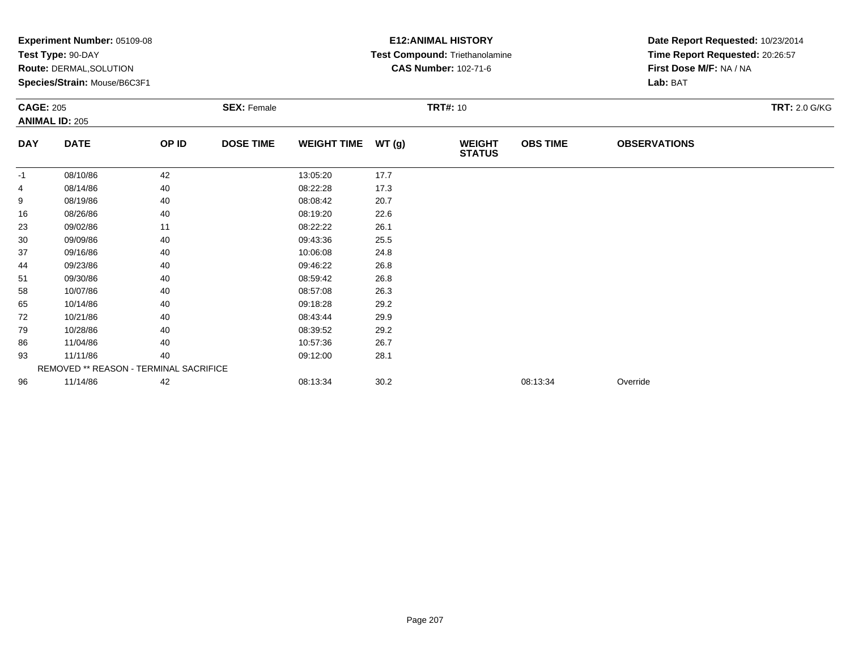| Experiment Number: 05109-08<br>Test Type: 90-DAY<br>Route: DERMAL, SOLUTION<br>Species/Strain: Mouse/B6C3F1<br><b>SEX: Female</b><br><b>CAGE: 205</b> |                                        |       |                  |                    | <b>E12: ANIMAL HISTORY</b><br>Test Compound: Triethanolamine<br><b>CAS Number: 102-71-6</b><br><b>TRT#: 10</b> | Date Report Requested: 10/23/2014<br>Time Report Requested: 20:26:57<br>First Dose M/F: NA / NA<br>Lab: BAT<br><b>TRT: 2.0 G/KG</b> |                 |                     |  |
|-------------------------------------------------------------------------------------------------------------------------------------------------------|----------------------------------------|-------|------------------|--------------------|----------------------------------------------------------------------------------------------------------------|-------------------------------------------------------------------------------------------------------------------------------------|-----------------|---------------------|--|
|                                                                                                                                                       | <b>ANIMAL ID: 205</b>                  |       |                  |                    |                                                                                                                |                                                                                                                                     |                 |                     |  |
| <b>DAY</b>                                                                                                                                            | <b>DATE</b>                            | OP ID | <b>DOSE TIME</b> | <b>WEIGHT TIME</b> | WT(g)                                                                                                          | <b>WEIGHT</b><br><b>STATUS</b>                                                                                                      | <b>OBS TIME</b> | <b>OBSERVATIONS</b> |  |
| $-1$                                                                                                                                                  | 08/10/86                               | 42    |                  | 13:05:20           | 17.7                                                                                                           |                                                                                                                                     |                 |                     |  |
| 4                                                                                                                                                     | 08/14/86                               | 40    |                  | 08:22:28           | 17.3                                                                                                           |                                                                                                                                     |                 |                     |  |
| 9                                                                                                                                                     | 08/19/86                               | 40    |                  | 08:08:42           | 20.7                                                                                                           |                                                                                                                                     |                 |                     |  |
| 16                                                                                                                                                    | 08/26/86                               | 40    |                  | 08:19:20           | 22.6                                                                                                           |                                                                                                                                     |                 |                     |  |
| 23                                                                                                                                                    | 09/02/86                               | 11    |                  | 08:22:22           | 26.1                                                                                                           |                                                                                                                                     |                 |                     |  |
| 30                                                                                                                                                    | 09/09/86                               | 40    |                  | 09:43:36           | 25.5                                                                                                           |                                                                                                                                     |                 |                     |  |
| 37                                                                                                                                                    | 09/16/86                               | 40    |                  | 10:06:08           | 24.8                                                                                                           |                                                                                                                                     |                 |                     |  |
| 44                                                                                                                                                    | 09/23/86                               | 40    |                  | 09:46:22           | 26.8                                                                                                           |                                                                                                                                     |                 |                     |  |
| 51                                                                                                                                                    | 09/30/86                               | 40    |                  | 08:59:42           | 26.8                                                                                                           |                                                                                                                                     |                 |                     |  |
| 58                                                                                                                                                    | 10/07/86                               | 40    |                  | 08:57:08           | 26.3                                                                                                           |                                                                                                                                     |                 |                     |  |
| 65                                                                                                                                                    | 10/14/86                               | 40    |                  | 09:18:28           | 29.2                                                                                                           |                                                                                                                                     |                 |                     |  |
| 72                                                                                                                                                    | 10/21/86                               | 40    |                  | 08:43:44           | 29.9                                                                                                           |                                                                                                                                     |                 |                     |  |
| 79                                                                                                                                                    | 10/28/86                               | 40    |                  | 08:39:52           | 29.2                                                                                                           |                                                                                                                                     |                 |                     |  |
| 86                                                                                                                                                    | 11/04/86                               | 40    |                  | 10:57:36           | 26.7                                                                                                           |                                                                                                                                     |                 |                     |  |
| 93                                                                                                                                                    | 11/11/86                               | 40    |                  | 09:12:00           | 28.1                                                                                                           |                                                                                                                                     |                 |                     |  |
|                                                                                                                                                       | REMOVED ** REASON - TERMINAL SACRIFICE |       |                  |                    |                                                                                                                |                                                                                                                                     |                 |                     |  |
| 96                                                                                                                                                    | 11/14/86                               | 42    |                  | 08:13:34           | 30.2                                                                                                           |                                                                                                                                     | 08:13:34        | Override            |  |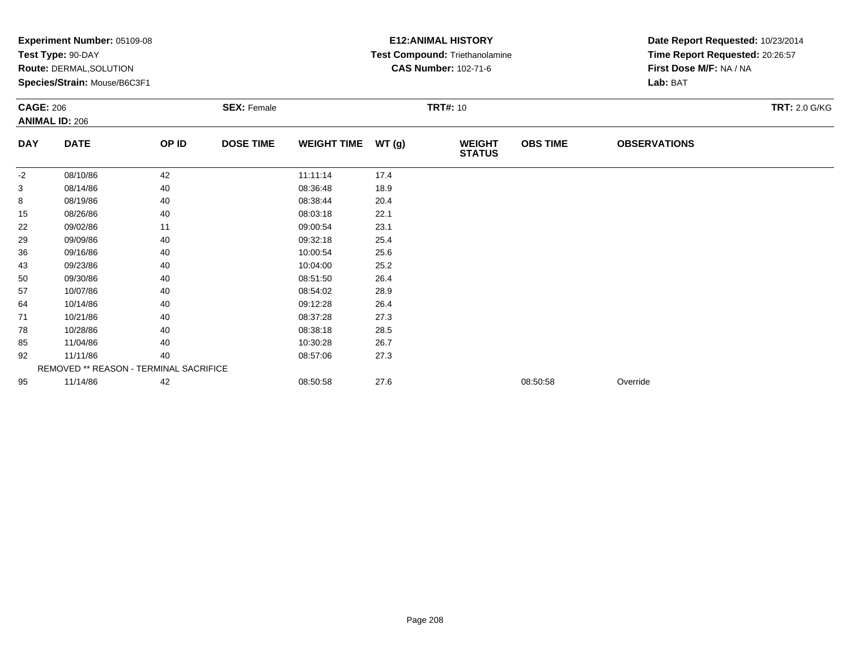|            | Experiment Number: 05109-08<br>Test Type: 90-DAY |       |                    | <b>E12: ANIMAL HISTORY</b><br>Test Compound: Triethanolamine | Date Report Requested: 10/23/2014<br>Time Report Requested: 20:26:57 |                                |                 |                         |                      |  |
|------------|--------------------------------------------------|-------|--------------------|--------------------------------------------------------------|----------------------------------------------------------------------|--------------------------------|-----------------|-------------------------|----------------------|--|
|            | <b>Route: DERMAL, SOLUTION</b>                   |       |                    |                                                              |                                                                      | <b>CAS Number: 102-71-6</b>    |                 | First Dose M/F: NA / NA |                      |  |
|            | Species/Strain: Mouse/B6C3F1                     |       |                    |                                                              |                                                                      |                                | Lab: BAT        |                         |                      |  |
|            | <b>CAGE: 206</b>                                 |       | <b>SEX: Female</b> |                                                              | <b>TRT#: 10</b>                                                      |                                |                 |                         | <b>TRT: 2.0 G/KG</b> |  |
|            | <b>ANIMAL ID: 206</b>                            |       |                    |                                                              |                                                                      |                                |                 |                         |                      |  |
| <b>DAY</b> | <b>DATE</b>                                      | OP ID | <b>DOSE TIME</b>   | <b>WEIGHT TIME</b>                                           | WT (g)                                                               | <b>WEIGHT</b><br><b>STATUS</b> | <b>OBS TIME</b> | <b>OBSERVATIONS</b>     |                      |  |
| $-2$       | 08/10/86                                         | 42    |                    | 11:11:14                                                     | 17.4                                                                 |                                |                 |                         |                      |  |
| 3          | 08/14/86                                         | 40    |                    | 08:36:48                                                     | 18.9                                                                 |                                |                 |                         |                      |  |
| 8          | 08/19/86                                         | 40    |                    | 08:38:44                                                     | 20.4                                                                 |                                |                 |                         |                      |  |
| 15         | 08/26/86                                         | 40    |                    | 08:03:18                                                     | 22.1                                                                 |                                |                 |                         |                      |  |
| 22         | 09/02/86                                         | 11    |                    | 09:00:54                                                     | 23.1                                                                 |                                |                 |                         |                      |  |
| 29         | 09/09/86                                         | 40    |                    | 09:32:18                                                     | 25.4                                                                 |                                |                 |                         |                      |  |
| 36         | 09/16/86                                         | 40    |                    | 10:00:54                                                     | 25.6                                                                 |                                |                 |                         |                      |  |
| 43         | 09/23/86                                         | 40    |                    | 10:04:00                                                     | 25.2                                                                 |                                |                 |                         |                      |  |
| 50         | 09/30/86                                         | 40    |                    | 08:51:50                                                     | 26.4                                                                 |                                |                 |                         |                      |  |
| 57         | 10/07/86                                         | 40    |                    | 08:54:02                                                     | 28.9                                                                 |                                |                 |                         |                      |  |
| 64         | 10/14/86                                         | 40    |                    | 09:12:28                                                     | 26.4                                                                 |                                |                 |                         |                      |  |
| 71         | 10/21/86                                         | 40    |                    | 08:37:28                                                     | 27.3                                                                 |                                |                 |                         |                      |  |
| 78         | 10/28/86                                         | 40    |                    | 08:38:18                                                     | 28.5                                                                 |                                |                 |                         |                      |  |
| 85         | 11/04/86                                         | 40    |                    | 10:30:28                                                     | 26.7                                                                 |                                |                 |                         |                      |  |
| 92         | 11/11/86                                         | 40    |                    | 08:57:06                                                     | 27.3                                                                 |                                |                 |                         |                      |  |
|            | REMOVED ** REASON - TERMINAL SACRIFICE           |       |                    |                                                              |                                                                      |                                |                 |                         |                      |  |
| 95         | 11/14/86                                         | 42    |                    | 08:50:58                                                     | 27.6                                                                 |                                | 08:50:58        | Override                |                      |  |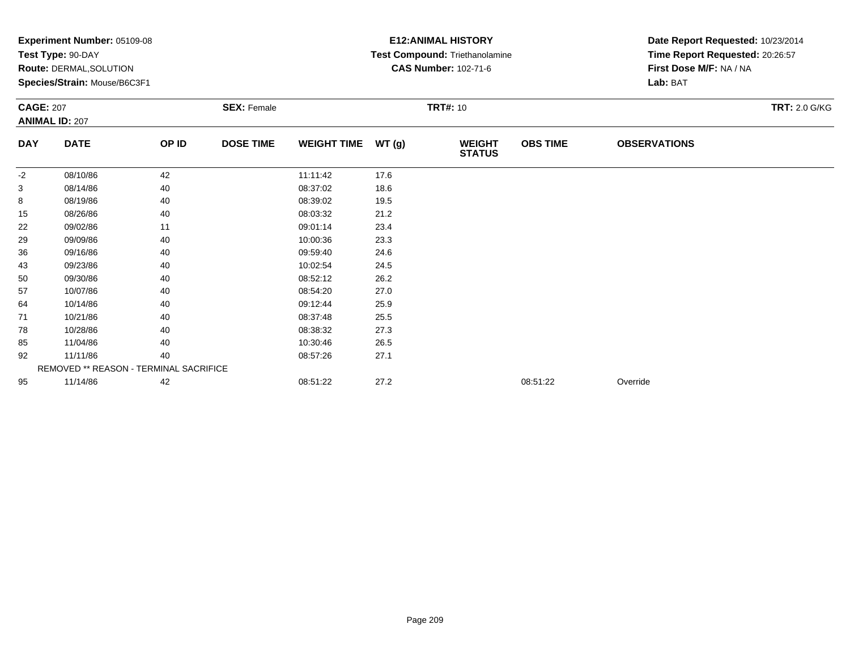|            | Experiment Number: 05109-08<br>Test Type: 90-DAY |       |                    | <b>E12: ANIMAL HISTORY</b><br>Test Compound: Triethanolamine | Date Report Requested: 10/23/2014<br>Time Report Requested: 20:26:57 |                                |                 |                         |                      |  |
|------------|--------------------------------------------------|-------|--------------------|--------------------------------------------------------------|----------------------------------------------------------------------|--------------------------------|-----------------|-------------------------|----------------------|--|
|            | <b>Route: DERMAL, SOLUTION</b>                   |       |                    |                                                              |                                                                      | <b>CAS Number: 102-71-6</b>    |                 | First Dose M/F: NA / NA |                      |  |
|            | Species/Strain: Mouse/B6C3F1                     |       |                    |                                                              |                                                                      |                                | Lab: BAT        |                         |                      |  |
|            | <b>CAGE: 207</b>                                 |       | <b>SEX: Female</b> |                                                              | <b>TRT#: 10</b>                                                      |                                |                 |                         | <b>TRT: 2.0 G/KG</b> |  |
|            | <b>ANIMAL ID: 207</b>                            |       |                    |                                                              |                                                                      |                                |                 |                         |                      |  |
| <b>DAY</b> | <b>DATE</b>                                      | OP ID | <b>DOSE TIME</b>   | <b>WEIGHT TIME</b>                                           | WT (g)                                                               | <b>WEIGHT</b><br><b>STATUS</b> | <b>OBS TIME</b> | <b>OBSERVATIONS</b>     |                      |  |
| $-2$       | 08/10/86                                         | 42    |                    | 11:11:42                                                     | 17.6                                                                 |                                |                 |                         |                      |  |
| 3          | 08/14/86                                         | 40    |                    | 08:37:02                                                     | 18.6                                                                 |                                |                 |                         |                      |  |
| 8          | 08/19/86                                         | 40    |                    | 08:39:02                                                     | 19.5                                                                 |                                |                 |                         |                      |  |
| 15         | 08/26/86                                         | 40    |                    | 08:03:32                                                     | 21.2                                                                 |                                |                 |                         |                      |  |
| 22         | 09/02/86                                         | 11    |                    | 09:01:14                                                     | 23.4                                                                 |                                |                 |                         |                      |  |
| 29         | 09/09/86                                         | 40    |                    | 10:00:36                                                     | 23.3                                                                 |                                |                 |                         |                      |  |
| 36         | 09/16/86                                         | 40    |                    | 09:59:40                                                     | 24.6                                                                 |                                |                 |                         |                      |  |
| 43         | 09/23/86                                         | 40    |                    | 10:02:54                                                     | 24.5                                                                 |                                |                 |                         |                      |  |
| 50         | 09/30/86                                         | 40    |                    | 08:52:12                                                     | 26.2                                                                 |                                |                 |                         |                      |  |
| 57         | 10/07/86                                         | 40    |                    | 08:54:20                                                     | 27.0                                                                 |                                |                 |                         |                      |  |
| 64         | 10/14/86                                         | 40    |                    | 09:12:44                                                     | 25.9                                                                 |                                |                 |                         |                      |  |
| 71         | 10/21/86                                         | 40    |                    | 08:37:48                                                     | 25.5                                                                 |                                |                 |                         |                      |  |
| 78         | 10/28/86                                         | 40    |                    | 08:38:32                                                     | 27.3                                                                 |                                |                 |                         |                      |  |
| 85         | 11/04/86                                         | 40    |                    | 10:30:46                                                     | 26.5                                                                 |                                |                 |                         |                      |  |
| 92         | 11/11/86                                         | 40    |                    | 08:57:26                                                     | 27.1                                                                 |                                |                 |                         |                      |  |
|            | REMOVED ** REASON - TERMINAL SACRIFICE           |       |                    |                                                              |                                                                      |                                |                 |                         |                      |  |
| 95         | 11/14/86                                         | 42    |                    | 08:51:22                                                     | 27.2                                                                 |                                | 08:51:22        | Override                |                      |  |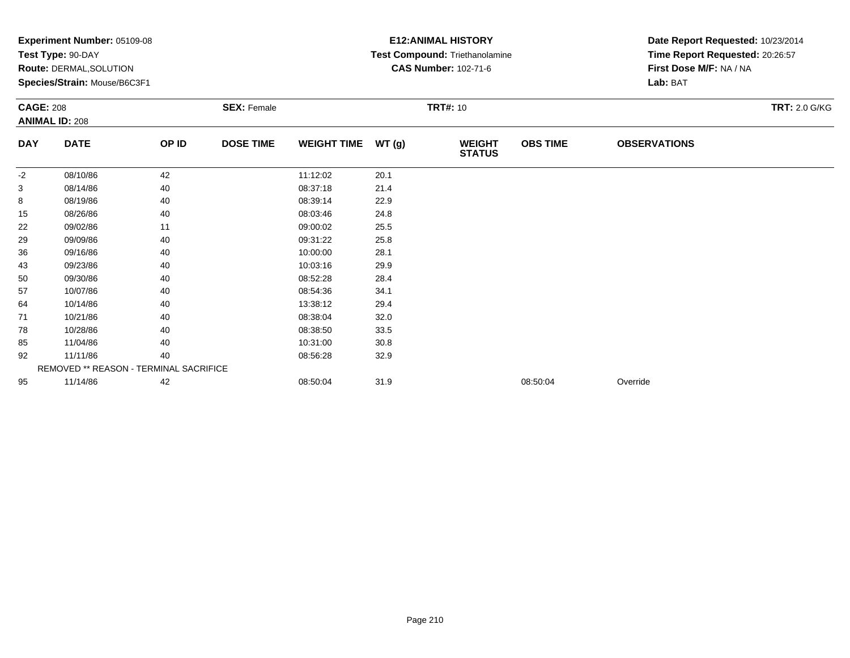|            | Experiment Number: 05109-08<br>Test Type: 90-DAY |       |                    | <b>E12: ANIMAL HISTORY</b><br>Test Compound: Triethanolamine |                 | Date Report Requested: 10/23/2014<br>Time Report Requested: 20:26:57 |                 |                         |                      |  |
|------------|--------------------------------------------------|-------|--------------------|--------------------------------------------------------------|-----------------|----------------------------------------------------------------------|-----------------|-------------------------|----------------------|--|
|            | <b>Route: DERMAL, SOLUTION</b>                   |       |                    |                                                              |                 | <b>CAS Number: 102-71-6</b>                                          |                 | First Dose M/F: NA / NA |                      |  |
|            | Species/Strain: Mouse/B6C3F1                     |       |                    |                                                              |                 |                                                                      | Lab: BAT        |                         |                      |  |
|            | <b>CAGE: 208</b>                                 |       | <b>SEX: Female</b> |                                                              | <b>TRT#: 10</b> |                                                                      |                 |                         | <b>TRT: 2.0 G/KG</b> |  |
|            | <b>ANIMAL ID: 208</b>                            |       |                    |                                                              |                 |                                                                      |                 |                         |                      |  |
| <b>DAY</b> | <b>DATE</b>                                      | OP ID | <b>DOSE TIME</b>   | <b>WEIGHT TIME</b>                                           | WT(g)           | <b>WEIGHT</b><br><b>STATUS</b>                                       | <b>OBS TIME</b> | <b>OBSERVATIONS</b>     |                      |  |
| $-2$       | 08/10/86                                         | 42    |                    | 11:12:02                                                     | 20.1            |                                                                      |                 |                         |                      |  |
| 3          | 08/14/86                                         | 40    |                    | 08:37:18                                                     | 21.4            |                                                                      |                 |                         |                      |  |
| 8          | 08/19/86                                         | 40    |                    | 08:39:14                                                     | 22.9            |                                                                      |                 |                         |                      |  |
| 15         | 08/26/86                                         | 40    |                    | 08:03:46                                                     | 24.8            |                                                                      |                 |                         |                      |  |
| 22         | 09/02/86                                         | 11    |                    | 09:00:02                                                     | 25.5            |                                                                      |                 |                         |                      |  |
| 29         | 09/09/86                                         | 40    |                    | 09:31:22                                                     | 25.8            |                                                                      |                 |                         |                      |  |
| 36         | 09/16/86                                         | 40    |                    | 10:00:00                                                     | 28.1            |                                                                      |                 |                         |                      |  |
| 43         | 09/23/86                                         | 40    |                    | 10:03:16                                                     | 29.9            |                                                                      |                 |                         |                      |  |
| 50         | 09/30/86                                         | 40    |                    | 08:52:28                                                     | 28.4            |                                                                      |                 |                         |                      |  |
| 57         | 10/07/86                                         | 40    |                    | 08:54:36                                                     | 34.1            |                                                                      |                 |                         |                      |  |
| 64         | 10/14/86                                         | 40    |                    | 13:38:12                                                     | 29.4            |                                                                      |                 |                         |                      |  |
| 71         | 10/21/86                                         | 40    |                    | 08:38:04                                                     | 32.0            |                                                                      |                 |                         |                      |  |
| 78         | 10/28/86                                         | 40    |                    | 08:38:50                                                     | 33.5            |                                                                      |                 |                         |                      |  |
| 85         | 11/04/86                                         | 40    |                    | 10:31:00                                                     | 30.8            |                                                                      |                 |                         |                      |  |
| 92         | 11/11/86                                         | 40    |                    | 08:56:28                                                     | 32.9            |                                                                      |                 |                         |                      |  |
|            | REMOVED ** REASON - TERMINAL SACRIFICE           |       |                    |                                                              |                 |                                                                      |                 |                         |                      |  |
| 95         | 11/14/86                                         | 42    |                    | 08:50:04                                                     | 31.9            |                                                                      | 08:50:04        | Override                |                      |  |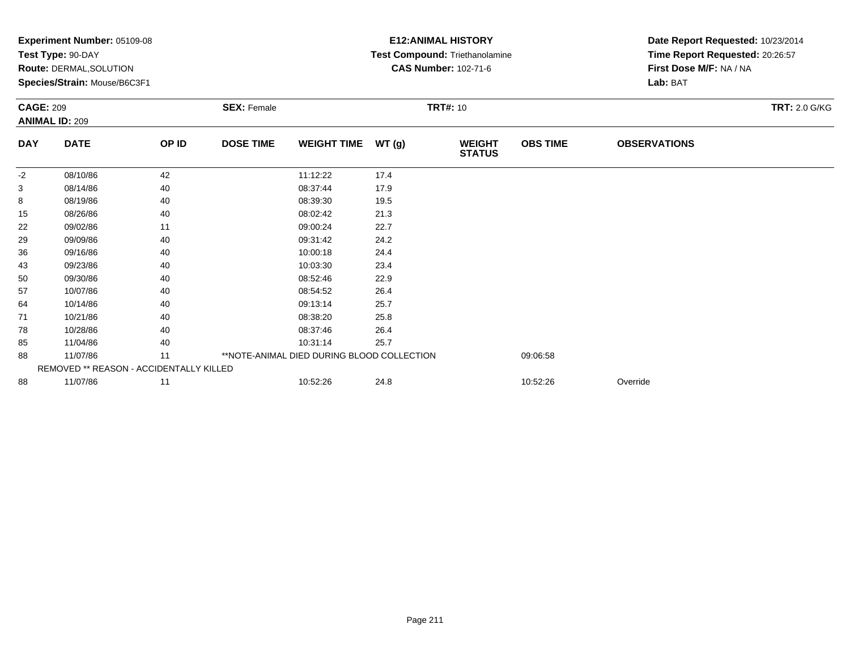|            | Experiment Number: 05109-08<br>Test Type: 90-DAY<br><b>Route: DERMAL, SOLUTION</b><br>Species/Strain: Mouse/B6C3F1 |       |                    |                    |       | <b>E12: ANIMAL HISTORY</b><br>Test Compound: Triethanolamine<br><b>CAS Number: 102-71-6</b> | Date Report Requested: 10/23/2014<br>Time Report Requested: 20:26:57<br>First Dose M/F: NA / NA<br>Lab: BAT |                     |                      |
|------------|--------------------------------------------------------------------------------------------------------------------|-------|--------------------|--------------------|-------|---------------------------------------------------------------------------------------------|-------------------------------------------------------------------------------------------------------------|---------------------|----------------------|
|            | <b>CAGE: 209</b><br><b>ANIMAL ID: 209</b>                                                                          |       | <b>SEX: Female</b> |                    |       | <b>TRT#: 10</b>                                                                             |                                                                                                             |                     | <b>TRT: 2.0 G/KG</b> |
| <b>DAY</b> | <b>DATE</b>                                                                                                        | OP ID | <b>DOSE TIME</b>   | <b>WEIGHT TIME</b> | WT(g) | <b>WEIGHT</b><br><b>STATUS</b>                                                              | <b>OBS TIME</b>                                                                                             | <b>OBSERVATIONS</b> |                      |
| $-2$       | 08/10/86                                                                                                           | 42    |                    | 11:12:22           | 17.4  |                                                                                             |                                                                                                             |                     |                      |
| 3          | 08/14/86                                                                                                           | 40    |                    | 08:37:44           | 17.9  |                                                                                             |                                                                                                             |                     |                      |
| 8          | 08/19/86                                                                                                           | 40    |                    | 08:39:30           | 19.5  |                                                                                             |                                                                                                             |                     |                      |
| 15         | 08/26/86                                                                                                           | 40    |                    | 08:02:42           | 21.3  |                                                                                             |                                                                                                             |                     |                      |
| 22         | 09/02/86                                                                                                           | 11    |                    | 09:00:24           | 22.7  |                                                                                             |                                                                                                             |                     |                      |
| 29         | 09/09/86                                                                                                           | 40    |                    | 09:31:42           | 24.2  |                                                                                             |                                                                                                             |                     |                      |
| 36         | 09/16/86                                                                                                           | 40    |                    | 10:00:18           | 24.4  |                                                                                             |                                                                                                             |                     |                      |
| 43         | 09/23/86                                                                                                           | 40    |                    | 10:03:30           | 23.4  |                                                                                             |                                                                                                             |                     |                      |
| 50         | 09/30/86                                                                                                           | 40    |                    | 08:52:46           | 22.9  |                                                                                             |                                                                                                             |                     |                      |
| 57         | 10/07/86                                                                                                           | 40    |                    | 08:54:52           | 26.4  |                                                                                             |                                                                                                             |                     |                      |
| 64         | 10/14/86                                                                                                           | 40    |                    | 09:13:14           | 25.7  |                                                                                             |                                                                                                             |                     |                      |
| 71         | 10/21/86                                                                                                           | 40    |                    | 08:38:20           | 25.8  |                                                                                             |                                                                                                             |                     |                      |
| 78         | 10/28/86                                                                                                           | 40    |                    | 08:37:46           | 26.4  |                                                                                             |                                                                                                             |                     |                      |
| 85         | 11/04/86                                                                                                           | 40    |                    | 10:31:14           | 25.7  |                                                                                             |                                                                                                             |                     |                      |
| 88         | **NOTE-ANIMAL DIED DURING BLOOD COLLECTION<br>11/07/86<br>11                                                       |       |                    |                    |       |                                                                                             | 09:06:58                                                                                                    |                     |                      |
|            | REMOVED ** REASON - ACCIDENTALLY KILLED                                                                            |       |                    |                    |       |                                                                                             |                                                                                                             |                     |                      |
| 88         | 11/07/86                                                                                                           | 11    |                    | 10:52:26           | 24.8  |                                                                                             | 10:52:26                                                                                                    | Override            |                      |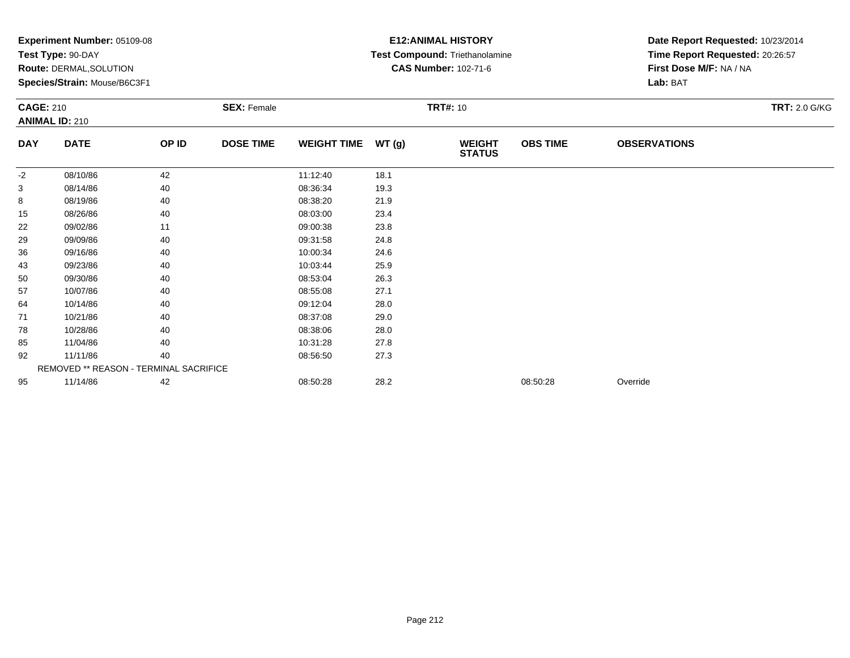|                                           | Experiment Number: 05109-08<br>Test Type: 90-DAY<br><b>Route: DERMAL, SOLUTION</b><br>Species/Strain: Mouse/B6C3F1 |                    |                  |                    |                 | <b>E12: ANIMAL HISTORY</b><br>Test Compound: Triethanolamine<br><b>CAS Number: 102-71-6</b> | Date Report Requested: 10/23/2014<br>Time Report Requested: 20:26:57<br>First Dose M/F: NA / NA<br>Lab: BAT |                      |  |
|-------------------------------------------|--------------------------------------------------------------------------------------------------------------------|--------------------|------------------|--------------------|-----------------|---------------------------------------------------------------------------------------------|-------------------------------------------------------------------------------------------------------------|----------------------|--|
| <b>CAGE: 210</b><br><b>ANIMAL ID: 210</b> |                                                                                                                    | <b>SEX: Female</b> |                  |                    | <b>TRT#: 10</b> |                                                                                             |                                                                                                             | <b>TRT: 2.0 G/KG</b> |  |
| <b>DAY</b>                                | <b>DATE</b>                                                                                                        | OP ID              | <b>DOSE TIME</b> | <b>WEIGHT TIME</b> | WT (g)          | <b>WEIGHT</b><br><b>STATUS</b>                                                              | <b>OBS TIME</b>                                                                                             | <b>OBSERVATIONS</b>  |  |
| $-2$                                      | 08/10/86                                                                                                           | 42                 |                  | 11:12:40           | 18.1            |                                                                                             |                                                                                                             |                      |  |
| 3                                         | 08/14/86                                                                                                           | 40                 |                  | 08:36:34           | 19.3            |                                                                                             |                                                                                                             |                      |  |
| 8                                         | 08/19/86                                                                                                           | 40                 |                  | 08:38:20           | 21.9            |                                                                                             |                                                                                                             |                      |  |
| 15                                        | 08/26/86                                                                                                           | 40                 |                  | 08:03:00           | 23.4            |                                                                                             |                                                                                                             |                      |  |
| 22                                        | 09/02/86                                                                                                           | 11                 |                  | 09:00:38           | 23.8            |                                                                                             |                                                                                                             |                      |  |
| 29                                        | 09/09/86                                                                                                           | 40                 |                  | 09:31:58           | 24.8            |                                                                                             |                                                                                                             |                      |  |
| 36                                        | 09/16/86                                                                                                           | 40                 |                  | 10:00:34           | 24.6            |                                                                                             |                                                                                                             |                      |  |
| 43                                        | 09/23/86                                                                                                           | 40                 |                  | 10:03:44           | 25.9            |                                                                                             |                                                                                                             |                      |  |
| 50                                        | 09/30/86                                                                                                           | 40                 |                  | 08:53:04           | 26.3            |                                                                                             |                                                                                                             |                      |  |
| 57                                        | 10/07/86                                                                                                           | 40                 |                  | 08:55:08           | 27.1            |                                                                                             |                                                                                                             |                      |  |
| 64                                        | 10/14/86                                                                                                           | 40                 |                  | 09:12:04           | 28.0            |                                                                                             |                                                                                                             |                      |  |
| 71                                        | 10/21/86                                                                                                           | 40                 |                  | 08:37:08           | 29.0            |                                                                                             |                                                                                                             |                      |  |
| 78                                        | 10/28/86                                                                                                           | 40                 |                  | 08:38:06           | 28.0            |                                                                                             |                                                                                                             |                      |  |
| 85                                        | 11/04/86                                                                                                           | 40                 |                  | 10:31:28           | 27.8            |                                                                                             |                                                                                                             |                      |  |
| 92                                        | 11/11/86                                                                                                           | 40                 |                  | 08:56:50           | 27.3            |                                                                                             |                                                                                                             |                      |  |
|                                           | REMOVED ** REASON - TERMINAL SACRIFICE                                                                             |                    |                  |                    |                 |                                                                                             |                                                                                                             |                      |  |
| 95                                        | 11/14/86                                                                                                           | 42                 |                  | 08:50:28           | 28.2            |                                                                                             | 08:50:28                                                                                                    | Override             |  |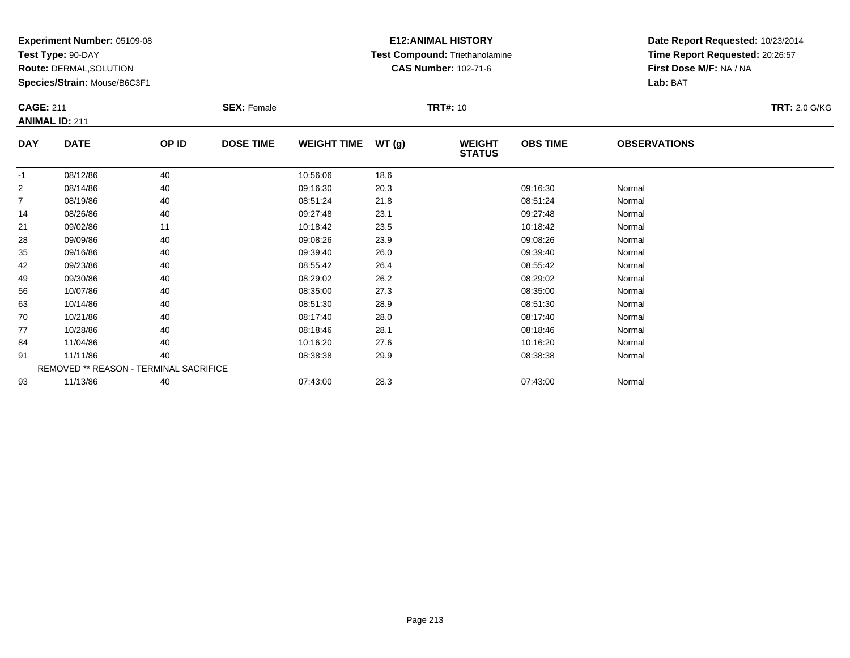**Test Type:** 90-DAY

**Route:** DERMAL,SOLUTION

**Species/Strain:** Mouse/B6C3F1

#### **E12:ANIMAL HISTORY Test Compound:** Triethanolamine**CAS Number:** 102-71-6

| <b>CAGE: 211</b> |                                        |       | <b>SEX: Female</b> |                    |       | <b>TRT#: 10</b>                |                 |                     | <b>TRT: 2.0 G/KG</b> |
|------------------|----------------------------------------|-------|--------------------|--------------------|-------|--------------------------------|-----------------|---------------------|----------------------|
|                  | <b>ANIMAL ID: 211</b>                  |       |                    |                    |       |                                |                 |                     |                      |
| <b>DAY</b>       | <b>DATE</b>                            | OP ID | <b>DOSE TIME</b>   | <b>WEIGHT TIME</b> | WT(g) | <b>WEIGHT</b><br><b>STATUS</b> | <b>OBS TIME</b> | <b>OBSERVATIONS</b> |                      |
| $-1$             | 08/12/86                               | 40    |                    | 10:56:06           | 18.6  |                                |                 |                     |                      |
| $\overline{2}$   | 08/14/86                               | 40    |                    | 09:16:30           | 20.3  |                                | 09:16:30        | Normal              |                      |
| $\overline{7}$   | 08/19/86                               | 40    |                    | 08:51:24           | 21.8  |                                | 08:51:24        | Normal              |                      |
| 14               | 08/26/86                               | 40    |                    | 09:27:48           | 23.1  |                                | 09:27:48        | Normal              |                      |
| 21               | 09/02/86                               | 11    |                    | 10:18:42           | 23.5  |                                | 10:18:42        | Normal              |                      |
| 28               | 09/09/86                               | 40    |                    | 09:08:26           | 23.9  |                                | 09:08:26        | Normal              |                      |
| 35               | 09/16/86                               | 40    |                    | 09:39:40           | 26.0  |                                | 09:39:40        | Normal              |                      |
| 42               | 09/23/86                               | 40    |                    | 08:55:42           | 26.4  |                                | 08:55:42        | Normal              |                      |
| 49               | 09/30/86                               | 40    |                    | 08:29:02           | 26.2  |                                | 08:29:02        | Normal              |                      |
| 56               | 10/07/86                               | 40    |                    | 08:35:00           | 27.3  |                                | 08:35:00        | Normal              |                      |
| 63               | 10/14/86                               | 40    |                    | 08:51:30           | 28.9  |                                | 08:51:30        | Normal              |                      |
| 70               | 10/21/86                               | 40    |                    | 08:17:40           | 28.0  |                                | 08:17:40        | Normal              |                      |
| 77               | 10/28/86                               | 40    |                    | 08:18:46           | 28.1  |                                | 08:18:46        | Normal              |                      |
| 84               | 11/04/86                               | 40    |                    | 10:16:20           | 27.6  |                                | 10:16:20        | Normal              |                      |
| 91               | 11/11/86                               | 40    |                    | 08:38:38           | 29.9  |                                | 08:38:38        | Normal              |                      |
|                  | REMOVED ** REASON - TERMINAL SACRIFICE |       |                    |                    |       |                                |                 |                     |                      |
| 93               | 11/13/86                               | 40    |                    | 07:43:00           | 28.3  |                                | 07:43:00        | Normal              |                      |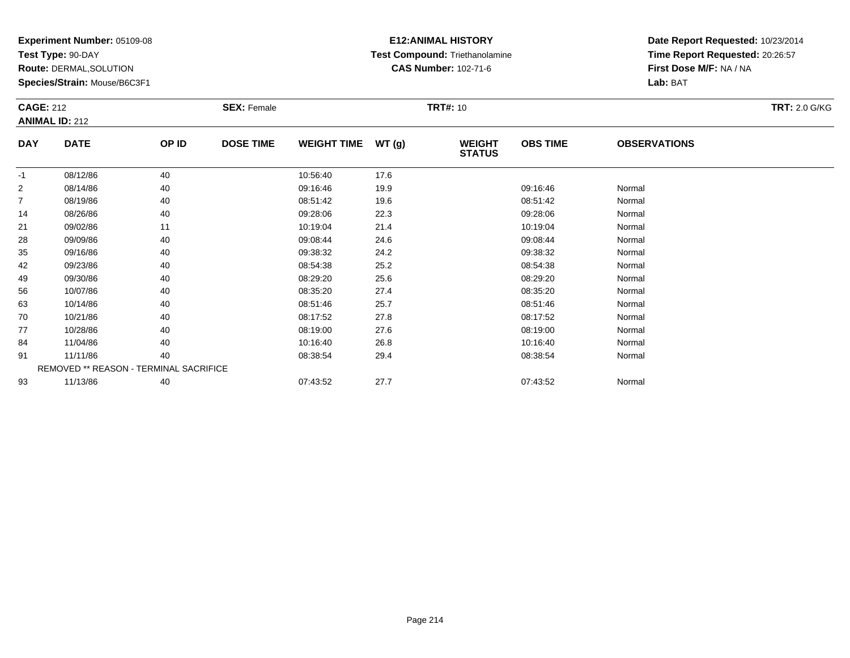**Test Type:** 90-DAY

**Route:** DERMAL,SOLUTION

**Species/Strain:** Mouse/B6C3F1

#### **E12:ANIMAL HISTORY Test Compound:** Triethanolamine**CAS Number:** 102-71-6

|                | <b>CAGE: 212</b>                       |       | <b>SEX: Female</b> |                    |       |                                | <b>TRT#: 10</b> |                     |  |  |  |
|----------------|----------------------------------------|-------|--------------------|--------------------|-------|--------------------------------|-----------------|---------------------|--|--|--|
|                | <b>ANIMAL ID: 212</b>                  |       |                    |                    |       |                                |                 |                     |  |  |  |
| <b>DAY</b>     | <b>DATE</b>                            | OP ID | <b>DOSE TIME</b>   | <b>WEIGHT TIME</b> | WT(g) | <b>WEIGHT</b><br><b>STATUS</b> | <b>OBS TIME</b> | <b>OBSERVATIONS</b> |  |  |  |
| $-1$           | 08/12/86                               | 40    |                    | 10:56:40           | 17.6  |                                |                 |                     |  |  |  |
| $\overline{2}$ | 08/14/86                               | 40    |                    | 09:16:46           | 19.9  |                                | 09:16:46        | Normal              |  |  |  |
| $\overline{7}$ | 08/19/86                               | 40    |                    | 08:51:42           | 19.6  |                                | 08:51:42        | Normal              |  |  |  |
| 14             | 08/26/86                               | 40    |                    | 09:28:06           | 22.3  |                                | 09:28:06        | Normal              |  |  |  |
| 21             | 09/02/86                               | 11    |                    | 10:19:04           | 21.4  |                                | 10:19:04        | Normal              |  |  |  |
| 28             | 09/09/86                               | 40    |                    | 09:08:44           | 24.6  |                                | 09:08:44        | Normal              |  |  |  |
| 35             | 09/16/86                               | 40    |                    | 09:38:32           | 24.2  |                                | 09:38:32        | Normal              |  |  |  |
| 42             | 09/23/86                               | 40    |                    | 08:54:38           | 25.2  |                                | 08:54:38        | Normal              |  |  |  |
| 49             | 09/30/86                               | 40    |                    | 08:29:20           | 25.6  |                                | 08:29:20        | Normal              |  |  |  |
| 56             | 10/07/86                               | 40    |                    | 08:35:20           | 27.4  |                                | 08:35:20        | Normal              |  |  |  |
| 63             | 10/14/86                               | 40    |                    | 08:51:46           | 25.7  |                                | 08:51:46        | Normal              |  |  |  |
| 70             | 10/21/86                               | 40    |                    | 08:17:52           | 27.8  |                                | 08:17:52        | Normal              |  |  |  |
| 77             | 10/28/86                               | 40    |                    | 08:19:00           | 27.6  |                                | 08:19:00        | Normal              |  |  |  |
| 84             | 11/04/86                               | 40    |                    | 10:16:40           | 26.8  |                                | 10:16:40        | Normal              |  |  |  |
| 91             | 11/11/86                               | 40    |                    | 08:38:54           | 29.4  |                                | 08:38:54        | Normal              |  |  |  |
|                | REMOVED ** REASON - TERMINAL SACRIFICE |       |                    |                    |       |                                |                 |                     |  |  |  |
| 93             | 11/13/86                               | 40    |                    | 07:43:52           | 27.7  |                                | 07:43:52        | Normal              |  |  |  |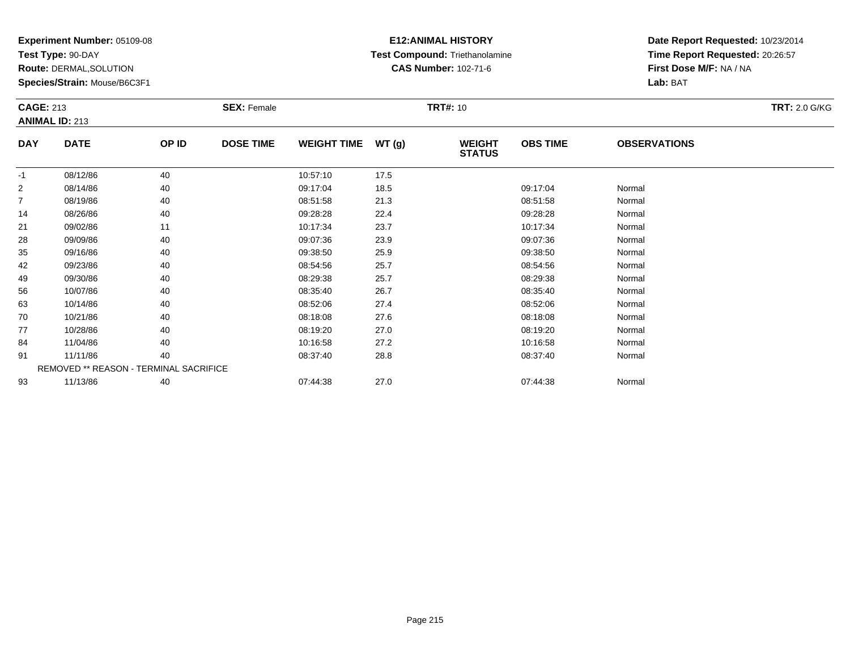**Test Type:** 90-DAY

**Route:** DERMAL,SOLUTION

**Species/Strain:** Mouse/B6C3F1

#### **E12:ANIMAL HISTORY Test Compound:** Triethanolamine**CAS Number:** 102-71-6

| <b>ANIMAL ID: 213</b><br><b>DATE</b><br><b>DOSE TIME</b><br><b>OBS TIME</b><br><b>DAY</b><br>OP ID<br><b>WEIGHT TIME</b><br>WT(g)<br><b>WEIGHT</b><br><b>OBSERVATIONS</b> |  |
|---------------------------------------------------------------------------------------------------------------------------------------------------------------------------|--|
|                                                                                                                                                                           |  |
| <b>STATUS</b>                                                                                                                                                             |  |
| 40<br>17.5<br>08/12/86<br>10:57:10<br>$-1$                                                                                                                                |  |
| $\overline{2}$<br>08/14/86<br>40<br>09:17:04<br>18.5<br>09:17:04<br>Normal                                                                                                |  |
| 21.3<br>$\overline{7}$<br>40<br>Normal<br>08/19/86<br>08:51:58<br>08:51:58                                                                                                |  |
| 40<br>09:28:28<br>22.4<br>09:28:28<br>14<br>08/26/86<br>Normal                                                                                                            |  |
| 21<br>11<br>10:17:34<br>23.7<br>10:17:34<br>09/02/86<br>Normal                                                                                                            |  |
| 40<br>Normal<br>28<br>09/09/86<br>09:07:36<br>23.9<br>09:07:36                                                                                                            |  |
| 40<br>25.9<br>35<br>09/16/86<br>09:38:50<br>09:38:50<br>Normal                                                                                                            |  |
| 25.7<br>40<br>08:54:56<br>08:54:56<br>42<br>09/23/86<br>Normal                                                                                                            |  |
| 40<br>25.7<br>08:29:38<br>09/30/86<br>08:29:38<br>Normal<br>49                                                                                                            |  |
| 10/07/86<br>40<br>08:35:40<br>26.7<br>08:35:40<br>Normal<br>56                                                                                                            |  |
| 08:52:06<br>27.4<br>08:52:06<br>63<br>10/14/86<br>40<br>Normal                                                                                                            |  |
| 70<br>10/21/86<br>40<br>08:18:08<br>27.6<br>08:18:08<br>Normal                                                                                                            |  |
| 77<br>10/28/86<br>40<br>08:19:20<br>27.0<br>08:19:20<br>Normal                                                                                                            |  |
| 27.2<br>84<br>11/04/86<br>40<br>10:16:58<br>10:16:58<br>Normal                                                                                                            |  |
| 40<br>91<br>11/11/86<br>28.8<br>08:37:40<br>Normal<br>08:37:40                                                                                                            |  |
| REMOVED ** REASON - TERMINAL SACRIFICE                                                                                                                                    |  |
| 27.0<br>40<br>93<br>11/13/86<br>07:44:38<br>07:44:38<br>Normal                                                                                                            |  |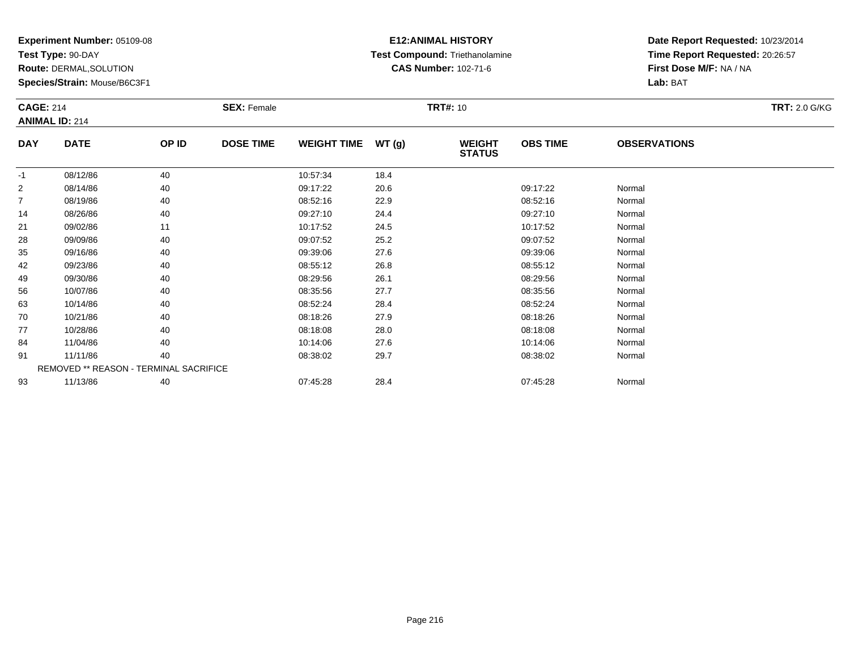**Test Type:** 90-DAY

**Route:** DERMAL,SOLUTION

**Species/Strain:** Mouse/B6C3F1

# **E12:ANIMAL HISTORY Test Compound:** Triethanolamine**CAS Number:** 102-71-6

|                | <b>CAGE: 214</b><br><b>ANIMAL ID: 214</b> |       | <b>SEX: Female</b> |                    |       | <b>TRT#:</b> 10                | <b>TRT: 2.0 G/KG</b> |                     |  |
|----------------|-------------------------------------------|-------|--------------------|--------------------|-------|--------------------------------|----------------------|---------------------|--|
| <b>DAY</b>     | <b>DATE</b>                               | OP ID | <b>DOSE TIME</b>   | <b>WEIGHT TIME</b> | WT(g) | <b>WEIGHT</b><br><b>STATUS</b> | <b>OBS TIME</b>      | <b>OBSERVATIONS</b> |  |
| $-1$           | 08/12/86                                  | 40    |                    | 10:57:34           | 18.4  |                                |                      |                     |  |
| $\overline{c}$ | 08/14/86                                  | 40    |                    | 09:17:22           | 20.6  |                                | 09:17:22             | Normal              |  |
| 7              | 08/19/86                                  | 40    |                    | 08:52:16           | 22.9  |                                | 08:52:16             | Normal              |  |
| 14             | 08/26/86                                  | 40    |                    | 09:27:10           | 24.4  |                                | 09:27:10             | Normal              |  |
| 21             | 09/02/86                                  | 11    |                    | 10:17:52           | 24.5  |                                | 10:17:52             | Normal              |  |
| 28             | 09/09/86                                  | 40    |                    | 09:07:52           | 25.2  |                                | 09:07:52             | Normal              |  |
| 35             | 09/16/86                                  | 40    |                    | 09:39:06           | 27.6  |                                | 09:39:06             | Normal              |  |
| 42             | 09/23/86                                  | 40    |                    | 08:55:12           | 26.8  |                                | 08:55:12             | Normal              |  |
| 49             | 09/30/86                                  | 40    |                    | 08:29:56           | 26.1  |                                | 08:29:56             | Normal              |  |
| 56             | 10/07/86                                  | 40    |                    | 08:35:56           | 27.7  |                                | 08:35:56             | Normal              |  |
| 63             | 10/14/86                                  | 40    |                    | 08:52:24           | 28.4  |                                | 08:52:24             | Normal              |  |
| 70             | 10/21/86                                  | 40    |                    | 08:18:26           | 27.9  |                                | 08:18:26             | Normal              |  |
| 77             | 10/28/86                                  | 40    |                    | 08:18:08           | 28.0  |                                | 08:18:08             | Normal              |  |
| 84             | 11/04/86                                  | 40    |                    | 10:14:06           | 27.6  |                                | 10:14:06             | Normal              |  |
| 91             | 11/11/86                                  | 40    |                    | 08:38:02           | 29.7  |                                | 08:38:02             | Normal              |  |
|                | REMOVED ** REASON - TERMINAL SACRIFICE    |       |                    |                    |       |                                |                      |                     |  |
| 93             | 11/13/86                                  | 40    |                    | 07:45:28           | 28.4  |                                | 07:45:28             | Normal              |  |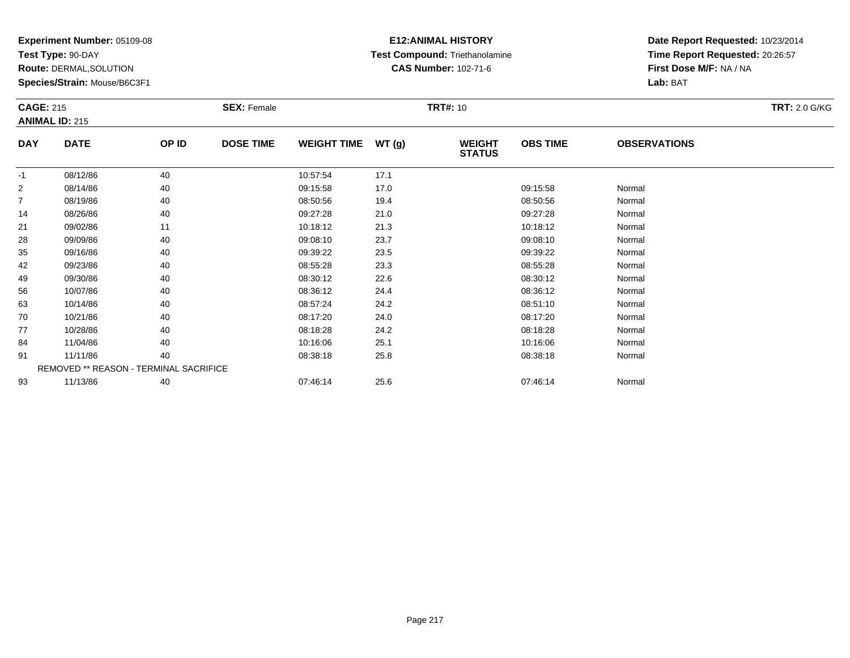**Test Type:** 90-DAY

**Route:** DERMAL,SOLUTION

**Species/Strain:** Mouse/B6C3F1

# **E12:ANIMAL HISTORY Test Compound:** Triethanolamine**CAS Number:** 102-71-6

| <b>CAGE: 215</b> | <b>ANIMAL ID: 215</b>                  |       | <b>SEX: Female</b> |                    |       | <b>TRT#: 10</b>                |                 |                     | <b>TRT: 2.0 G/KG</b> |
|------------------|----------------------------------------|-------|--------------------|--------------------|-------|--------------------------------|-----------------|---------------------|----------------------|
| <b>DAY</b>       | <b>DATE</b>                            | OP ID | <b>DOSE TIME</b>   | <b>WEIGHT TIME</b> | WT(g) | <b>WEIGHT</b><br><b>STATUS</b> | <b>OBS TIME</b> | <b>OBSERVATIONS</b> |                      |
| $-1$             | 08/12/86                               | 40    |                    | 10:57:54           | 17.1  |                                |                 |                     |                      |
| $\overline{2}$   | 08/14/86                               | 40    |                    | 09:15:58           | 17.0  |                                | 09:15:58        | Normal              |                      |
| 7                | 08/19/86                               | 40    |                    | 08:50:56           | 19.4  |                                | 08:50:56        | Normal              |                      |
| 14               | 08/26/86                               | 40    |                    | 09:27:28           | 21.0  |                                | 09:27:28        | Normal              |                      |
| 21               | 09/02/86                               | 11    |                    | 10:18:12           | 21.3  |                                | 10:18:12        | Normal              |                      |
| 28               | 09/09/86                               | 40    |                    | 09:08:10           | 23.7  |                                | 09:08:10        | Normal              |                      |
| 35               | 09/16/86                               | 40    |                    | 09:39:22           | 23.5  |                                | 09:39:22        | Normal              |                      |
| 42               | 09/23/86                               | 40    |                    | 08:55:28           | 23.3  |                                | 08:55:28        | Normal              |                      |
| 49               | 09/30/86                               | 40    |                    | 08:30:12           | 22.6  |                                | 08:30:12        | Normal              |                      |
| 56               | 10/07/86                               | 40    |                    | 08:36:12           | 24.4  |                                | 08:36:12        | Normal              |                      |
| 63               | 10/14/86                               | 40    |                    | 08:57:24           | 24.2  |                                | 08:51:10        | Normal              |                      |
| 70               | 10/21/86                               | 40    |                    | 08:17:20           | 24.0  |                                | 08:17:20        | Normal              |                      |
| 77               | 10/28/86                               | 40    |                    | 08:18:28           | 24.2  |                                | 08:18:28        | Normal              |                      |
| 84               | 11/04/86                               | 40    |                    | 10:16:06           | 25.1  |                                | 10:16:06        | Normal              |                      |
| 91               | 11/11/86                               | 40    |                    | 08:38:18           | 25.8  |                                | 08:38:18        | Normal              |                      |
|                  | REMOVED ** REASON - TERMINAL SACRIFICE |       |                    |                    |       |                                |                 |                     |                      |
| 93               | 11/13/86                               | 40    |                    | 07:46:14           | 25.6  |                                | 07:46:14        | Normal              |                      |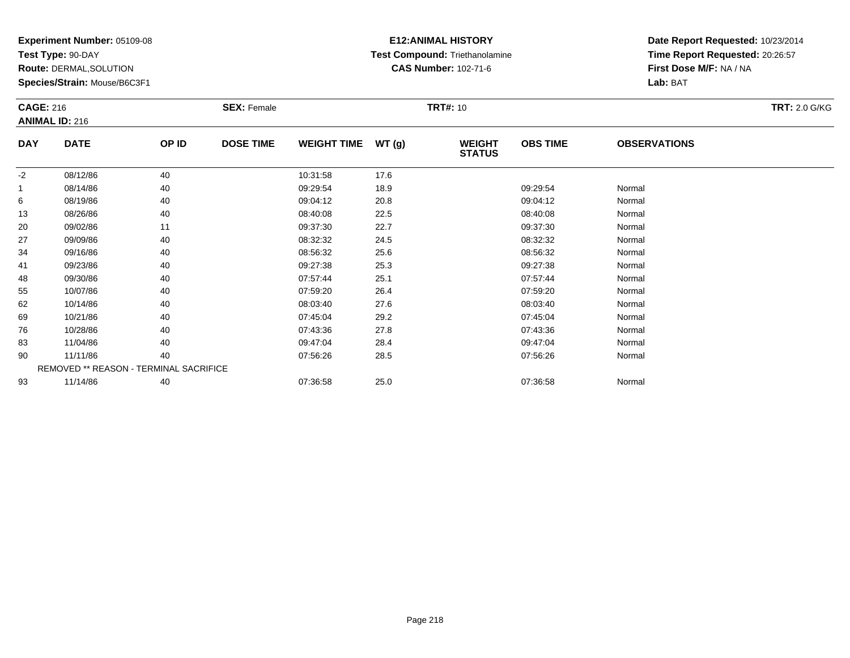**Test Type:** 90-DAY

**Route:** DERMAL,SOLUTION

**Species/Strain:** Mouse/B6C3F1

# **E12:ANIMAL HISTORY Test Compound:** Triethanolamine**CAS Number:** 102-71-6

| <b>CAGE: 216</b> | <b>ANIMAL ID: 216</b>                  |       | <b>SEX: Female</b> |                    |       | <b>TRT#: 10</b>                |                 |                     | <b>TRT: 2.0 G/KG</b> |
|------------------|----------------------------------------|-------|--------------------|--------------------|-------|--------------------------------|-----------------|---------------------|----------------------|
| <b>DAY</b>       | <b>DATE</b>                            | OP ID | <b>DOSE TIME</b>   | <b>WEIGHT TIME</b> | WT(g) | <b>WEIGHT</b><br><b>STATUS</b> | <b>OBS TIME</b> | <b>OBSERVATIONS</b> |                      |
| $-2$             | 08/12/86                               | 40    |                    | 10:31:58           | 17.6  |                                |                 |                     |                      |
|                  | 08/14/86                               | 40    |                    | 09:29:54           | 18.9  |                                | 09:29:54        | Normal              |                      |
| 6                | 08/19/86                               | 40    |                    | 09:04:12           | 20.8  |                                | 09:04:12        | Normal              |                      |
| 13               | 08/26/86                               | 40    |                    | 08:40:08           | 22.5  |                                | 08:40:08        | Normal              |                      |
| 20               | 09/02/86                               | 11    |                    | 09:37:30           | 22.7  |                                | 09:37:30        | Normal              |                      |
| 27               | 09/09/86                               | 40    |                    | 08:32:32           | 24.5  |                                | 08:32:32        | Normal              |                      |
| 34               | 09/16/86                               | 40    |                    | 08:56:32           | 25.6  |                                | 08:56:32        | Normal              |                      |
| 41               | 09/23/86                               | 40    |                    | 09:27:38           | 25.3  |                                | 09:27:38        | Normal              |                      |
| 48               | 09/30/86                               | 40    |                    | 07:57:44           | 25.1  |                                | 07:57:44        | Normal              |                      |
| 55               | 10/07/86                               | 40    |                    | 07:59:20           | 26.4  |                                | 07:59:20        | Normal              |                      |
| 62               | 10/14/86                               | 40    |                    | 08:03:40           | 27.6  |                                | 08:03:40        | Normal              |                      |
| 69               | 10/21/86                               | 40    |                    | 07:45:04           | 29.2  |                                | 07:45:04        | Normal              |                      |
| 76               | 10/28/86                               | 40    |                    | 07:43:36           | 27.8  |                                | 07:43:36        | Normal              |                      |
| 83               | 11/04/86                               | 40    |                    | 09:47:04           | 28.4  |                                | 09:47:04        | Normal              |                      |
| 90               | 11/11/86                               | 40    |                    | 07:56:26           | 28.5  |                                | 07:56:26        | Normal              |                      |
|                  | REMOVED ** REASON - TERMINAL SACRIFICE |       |                    |                    |       |                                |                 |                     |                      |
| 93               | 11/14/86                               | 40    |                    | 07:36:58           | 25.0  |                                | 07:36:58        | Normal              |                      |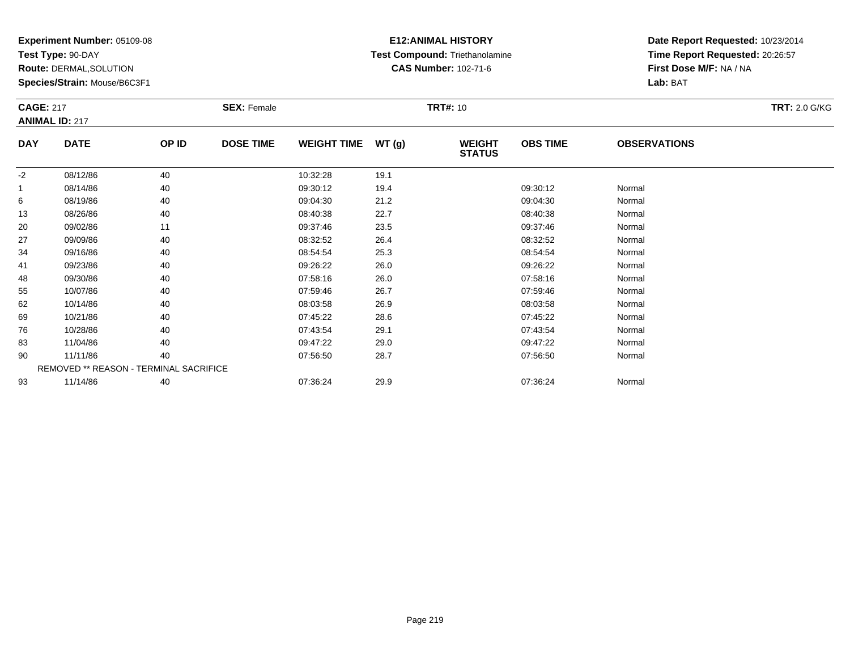**Test Type:** 90-DAY

**Route:** DERMAL,SOLUTION

**Species/Strain:** Mouse/B6C3F1

### **E12:ANIMAL HISTORY Test Compound:** Triethanolamine**CAS Number:** 102-71-6

| <b>CAGE: 217</b> |                                        |       | <b>SEX: Female</b> |                    |       | <b>TRT#: 10</b>                |                 |                     | <b>TRT: 2.0 G/KG</b> |
|------------------|----------------------------------------|-------|--------------------|--------------------|-------|--------------------------------|-----------------|---------------------|----------------------|
|                  | <b>ANIMAL ID: 217</b>                  |       |                    |                    |       |                                |                 |                     |                      |
| <b>DAY</b>       | <b>DATE</b>                            | OP ID | <b>DOSE TIME</b>   | <b>WEIGHT TIME</b> | WT(g) | <b>WEIGHT</b><br><b>STATUS</b> | <b>OBS TIME</b> | <b>OBSERVATIONS</b> |                      |
| $-2$             | 08/12/86                               | 40    |                    | 10:32:28           | 19.1  |                                |                 |                     |                      |
|                  | 08/14/86                               | 40    |                    | 09:30:12           | 19.4  |                                | 09:30:12        | Normal              |                      |
| 6                | 08/19/86                               | 40    |                    | 09:04:30           | 21.2  |                                | 09:04:30        | Normal              |                      |
| 13               | 08/26/86                               | 40    |                    | 08:40:38           | 22.7  |                                | 08:40:38        | Normal              |                      |
| 20               | 09/02/86                               | 11    |                    | 09:37:46           | 23.5  |                                | 09:37:46        | Normal              |                      |
| 27               | 09/09/86                               | 40    |                    | 08:32:52           | 26.4  |                                | 08:32:52        | Normal              |                      |
| 34               | 09/16/86                               | 40    |                    | 08:54:54           | 25.3  |                                | 08:54:54        | Normal              |                      |
| 41               | 09/23/86                               | 40    |                    | 09:26:22           | 26.0  |                                | 09:26:22        | Normal              |                      |
| 48               | 09/30/86                               | 40    |                    | 07:58:16           | 26.0  |                                | 07:58:16        | Normal              |                      |
| 55               | 10/07/86                               | 40    |                    | 07:59:46           | 26.7  |                                | 07:59:46        | Normal              |                      |
| 62               | 10/14/86                               | 40    |                    | 08:03:58           | 26.9  |                                | 08:03:58        | Normal              |                      |
| 69               | 10/21/86                               | 40    |                    | 07:45:22           | 28.6  |                                | 07:45:22        | Normal              |                      |
| 76               | 10/28/86                               | 40    |                    | 07:43:54           | 29.1  |                                | 07:43:54        | Normal              |                      |
| 83               | 11/04/86                               | 40    |                    | 09:47:22           | 29.0  |                                | 09:47:22        | Normal              |                      |
| 90               | 11/11/86                               | 40    |                    | 07:56:50           | 28.7  |                                | 07:56:50        | Normal              |                      |
|                  | REMOVED ** REASON - TERMINAL SACRIFICE |       |                    |                    |       |                                |                 |                     |                      |
| 93               | 11/14/86                               | 40    |                    | 07:36:24           | 29.9  |                                | 07:36:24        | Normal              |                      |
|                  |                                        |       |                    |                    |       |                                |                 |                     |                      |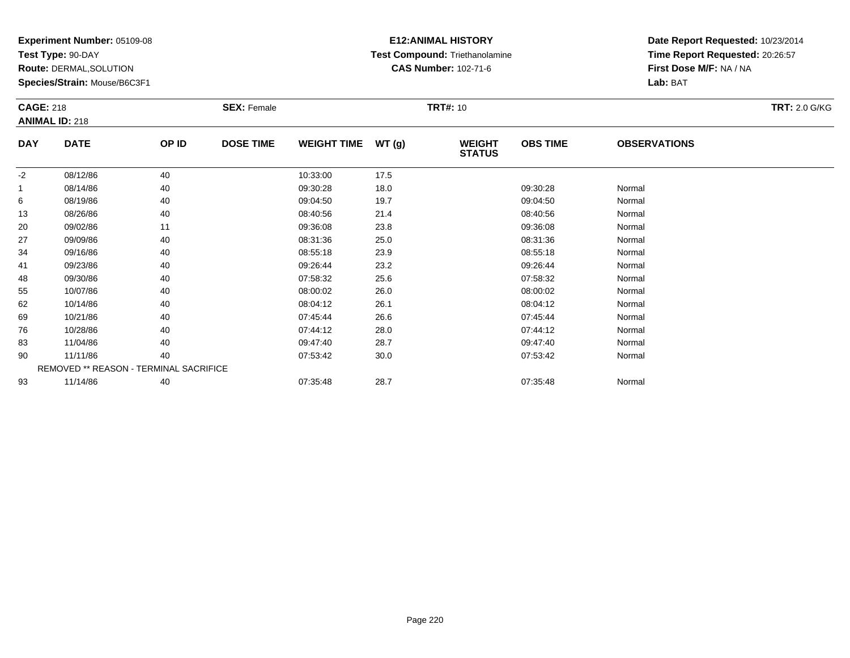**Test Type:** 90-DAY

**Route:** DERMAL,SOLUTION

**Species/Strain:** Mouse/B6C3F1

# **E12:ANIMAL HISTORY Test Compound:** Triethanolamine**CAS Number:** 102-71-6

| <b>CAGE: 218</b> |                       |                                        | <b>SEX: Female</b> |                    |        | <b>TRT#: 10</b>                |                 |                     | <b>TRT: 2.0 G/KG</b> |
|------------------|-----------------------|----------------------------------------|--------------------|--------------------|--------|--------------------------------|-----------------|---------------------|----------------------|
|                  | <b>ANIMAL ID: 218</b> |                                        |                    |                    |        |                                |                 |                     |                      |
| <b>DAY</b>       | <b>DATE</b>           | OP ID                                  | <b>DOSE TIME</b>   | <b>WEIGHT TIME</b> | WT (g) | <b>WEIGHT</b><br><b>STATUS</b> | <b>OBS TIME</b> | <b>OBSERVATIONS</b> |                      |
| $-2$             | 08/12/86              | 40                                     |                    | 10:33:00           | 17.5   |                                |                 |                     |                      |
| -1               | 08/14/86              | 40                                     |                    | 09:30:28           | 18.0   |                                | 09:30:28        | Normal              |                      |
| 6                | 08/19/86              | 40                                     |                    | 09:04:50           | 19.7   |                                | 09:04:50        | Normal              |                      |
| 13               | 08/26/86              | 40                                     |                    | 08:40:56           | 21.4   |                                | 08:40:56        | Normal              |                      |
| 20               | 09/02/86              | 11                                     |                    | 09:36:08           | 23.8   |                                | 09:36:08        | Normal              |                      |
| 27               | 09/09/86              | 40                                     |                    | 08:31:36           | 25.0   |                                | 08:31:36        | Normal              |                      |
| 34               | 09/16/86              | 40                                     |                    | 08:55:18           | 23.9   |                                | 08:55:18        | Normal              |                      |
| 41               | 09/23/86              | 40                                     |                    | 09:26:44           | 23.2   |                                | 09:26:44        | Normal              |                      |
| 48               | 09/30/86              | 40                                     |                    | 07:58:32           | 25.6   |                                | 07:58:32        | Normal              |                      |
| 55               | 10/07/86              | 40                                     |                    | 08:00:02           | 26.0   |                                | 08:00:02        | Normal              |                      |
| 62               | 10/14/86              | 40                                     |                    | 08:04:12           | 26.1   |                                | 08:04:12        | Normal              |                      |
| 69               | 10/21/86              | 40                                     |                    | 07:45:44           | 26.6   |                                | 07:45:44        | Normal              |                      |
| 76               | 10/28/86              | 40                                     |                    | 07:44:12           | 28.0   |                                | 07:44:12        | Normal              |                      |
| 83               | 11/04/86              | 40                                     |                    | 09:47:40           | 28.7   |                                | 09:47:40        | Normal              |                      |
| 90               | 11/11/86              | 40                                     |                    | 07:53:42           | 30.0   |                                | 07:53:42        | Normal              |                      |
|                  |                       | REMOVED ** REASON - TERMINAL SACRIFICE |                    |                    |        |                                |                 |                     |                      |
| 93               | 11/14/86              | 40                                     |                    | 07:35:48           | 28.7   |                                | 07:35:48        | Normal              |                      |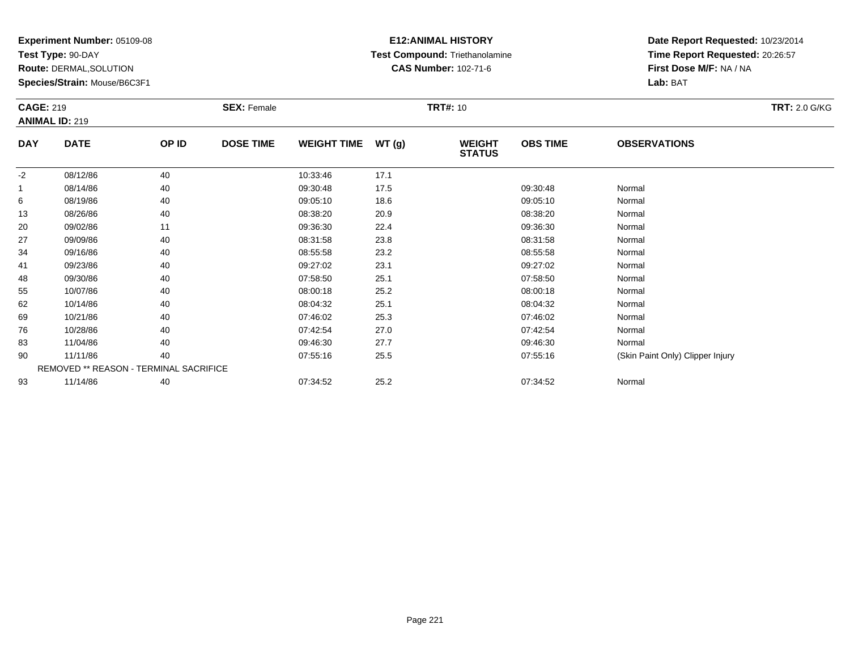**Test Type:** 90-DAY

**Route:** DERMAL,SOLUTION

**Species/Strain:** Mouse/B6C3F1

# **E12:ANIMAL HISTORY Test Compound:** Triethanolamine**CAS Number:** 102-71-6

| <b>CAGE: 219</b> |                                        |       | <b>SEX: Female</b> |                    |       | <b>TRT#: 10</b>                |                 |                                  | <b>TRT: 2.0 G/KG</b> |
|------------------|----------------------------------------|-------|--------------------|--------------------|-------|--------------------------------|-----------------|----------------------------------|----------------------|
|                  | <b>ANIMAL ID: 219</b>                  |       |                    |                    |       |                                |                 |                                  |                      |
| <b>DAY</b>       | <b>DATE</b>                            | OP ID | <b>DOSE TIME</b>   | <b>WEIGHT TIME</b> | WT(g) | <b>WEIGHT</b><br><b>STATUS</b> | <b>OBS TIME</b> | <b>OBSERVATIONS</b>              |                      |
| $-2$             | 08/12/86                               | 40    |                    | 10:33:46           | 17.1  |                                |                 |                                  |                      |
| 1                | 08/14/86                               | 40    |                    | 09:30:48           | 17.5  |                                | 09:30:48        | Normal                           |                      |
| 6                | 08/19/86                               | 40    |                    | 09:05:10           | 18.6  |                                | 09:05:10        | Normal                           |                      |
| 13               | 08/26/86                               | 40    |                    | 08:38:20           | 20.9  |                                | 08:38:20        | Normal                           |                      |
| 20               | 09/02/86                               | 11    |                    | 09:36:30           | 22.4  |                                | 09:36:30        | Normal                           |                      |
| 27               | 09/09/86                               | 40    |                    | 08:31:58           | 23.8  |                                | 08:31:58        | Normal                           |                      |
| 34               | 09/16/86                               | 40    |                    | 08:55:58           | 23.2  |                                | 08:55:58        | Normal                           |                      |
| 41               | 09/23/86                               | 40    |                    | 09:27:02           | 23.1  |                                | 09:27:02        | Normal                           |                      |
| 48               | 09/30/86                               | 40    |                    | 07:58:50           | 25.1  |                                | 07:58:50        | Normal                           |                      |
| 55               | 10/07/86                               | 40    |                    | 08:00:18           | 25.2  |                                | 08:00:18        | Normal                           |                      |
| 62               | 10/14/86                               | 40    |                    | 08:04:32           | 25.1  |                                | 08:04:32        | Normal                           |                      |
| 69               | 10/21/86                               | 40    |                    | 07:46:02           | 25.3  |                                | 07:46:02        | Normal                           |                      |
| 76               | 10/28/86                               | 40    |                    | 07:42:54           | 27.0  |                                | 07:42:54        | Normal                           |                      |
| 83               | 11/04/86                               | 40    |                    | 09:46:30           | 27.7  |                                | 09:46:30        | Normal                           |                      |
| 90               | 11/11/86                               | 40    |                    | 07:55:16           | 25.5  |                                | 07:55:16        | (Skin Paint Only) Clipper Injury |                      |
|                  | REMOVED ** REASON - TERMINAL SACRIFICE |       |                    |                    |       |                                |                 |                                  |                      |
| 93               | 11/14/86                               | 40    |                    | 07:34:52           | 25.2  |                                | 07:34:52        | Normal                           |                      |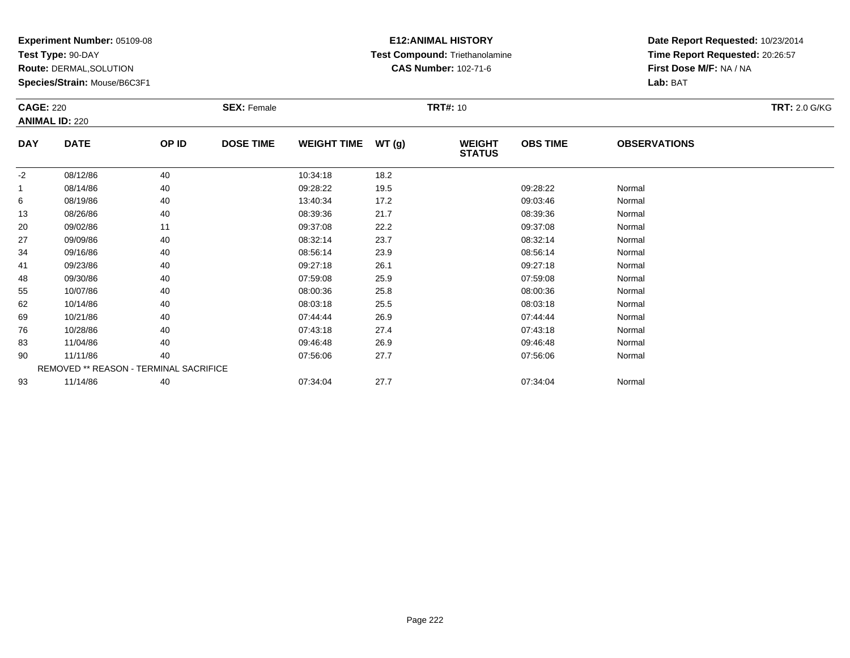**Test Type:** 90-DAY

**Route:** DERMAL,SOLUTION

**Species/Strain:** Mouse/B6C3F1

# **E12:ANIMAL HISTORY Test Compound:** Triethanolamine**CAS Number:** 102-71-6

| <b>CAGE: 220</b> | <b>ANIMAL ID: 220</b>                  |       | <b>SEX: Female</b> |                    |       | <b>TRT#:</b> 10                |                 |                     | <b>TRT: 2.0 G/KG</b> |
|------------------|----------------------------------------|-------|--------------------|--------------------|-------|--------------------------------|-----------------|---------------------|----------------------|
| <b>DAY</b>       | <b>DATE</b>                            | OP ID | <b>DOSE TIME</b>   | <b>WEIGHT TIME</b> | WT(g) | <b>WEIGHT</b><br><b>STATUS</b> | <b>OBS TIME</b> | <b>OBSERVATIONS</b> |                      |
| $-2$             | 08/12/86                               | 40    |                    | 10:34:18           | 18.2  |                                |                 |                     |                      |
|                  | 08/14/86                               | 40    |                    | 09:28:22           | 19.5  |                                | 09:28:22        | Normal              |                      |
| 6                | 08/19/86                               | 40    |                    | 13:40:34           | 17.2  |                                | 09:03:46        | Normal              |                      |
| 13               | 08/26/86                               | 40    |                    | 08:39:36           | 21.7  |                                | 08:39:36        | Normal              |                      |
| 20               | 09/02/86                               | 11    |                    | 09:37:08           | 22.2  |                                | 09:37:08        | Normal              |                      |
| 27               | 09/09/86                               | 40    |                    | 08:32:14           | 23.7  |                                | 08:32:14        | Normal              |                      |
| 34               | 09/16/86                               | 40    |                    | 08:56:14           | 23.9  |                                | 08:56:14        | Normal              |                      |
| 41               | 09/23/86                               | 40    |                    | 09:27:18           | 26.1  |                                | 09:27:18        | Normal              |                      |
| 48               | 09/30/86                               | 40    |                    | 07:59:08           | 25.9  |                                | 07:59:08        | Normal              |                      |
| 55               | 10/07/86                               | 40    |                    | 08:00:36           | 25.8  |                                | 08:00:36        | Normal              |                      |
| 62               | 10/14/86                               | 40    |                    | 08:03:18           | 25.5  |                                | 08:03:18        | Normal              |                      |
| 69               | 10/21/86                               | 40    |                    | 07:44:44           | 26.9  |                                | 07:44:44        | Normal              |                      |
| 76               | 10/28/86                               | 40    |                    | 07:43:18           | 27.4  |                                | 07:43:18        | Normal              |                      |
| 83               | 11/04/86                               | 40    |                    | 09:46:48           | 26.9  |                                | 09:46:48        | Normal              |                      |
| 90               | 11/11/86                               | 40    |                    | 07:56:06           | 27.7  |                                | 07:56:06        | Normal              |                      |
|                  | REMOVED ** REASON - TERMINAL SACRIFICE |       |                    |                    |       |                                |                 |                     |                      |
| 93               | 11/14/86                               | 40    |                    | 07:34:04           | 27.7  |                                | 07:34:04        | Normal              |                      |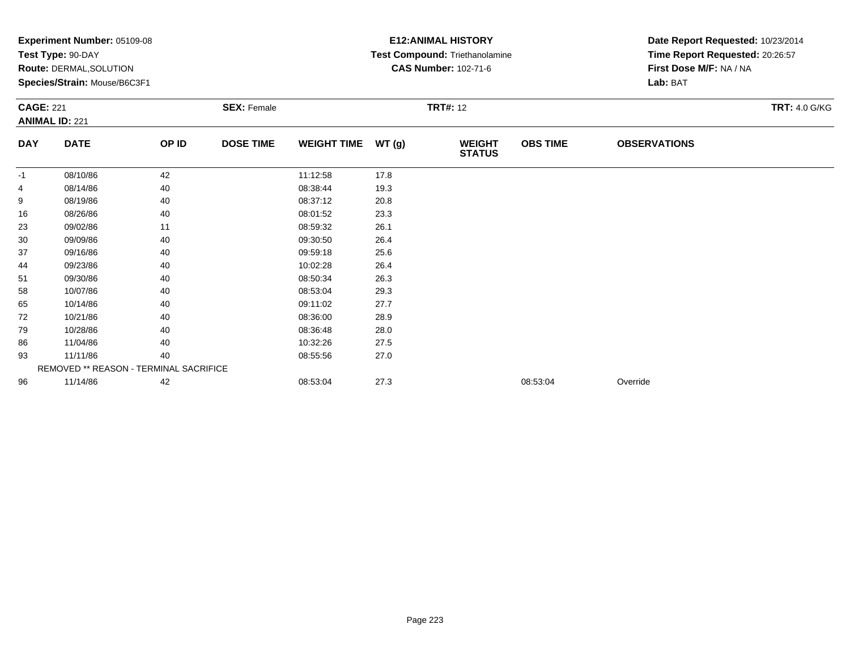|                  | <b>Experiment Number: 05109-08</b>     |       |                    |                    |       | <b>E12:ANIMAL HISTORY</b>      | Date Report Requested: 10/23/2014 |                                 |                      |
|------------------|----------------------------------------|-------|--------------------|--------------------|-------|--------------------------------|-----------------------------------|---------------------------------|----------------------|
|                  | Test Type: 90-DAY                      |       |                    |                    |       | Test Compound: Triethanolamine |                                   | Time Report Requested: 20:26:57 |                      |
|                  | <b>Route: DERMAL, SOLUTION</b>         |       |                    |                    |       | <b>CAS Number: 102-71-6</b>    |                                   | First Dose M/F: NA / NA         |                      |
|                  | Species/Strain: Mouse/B6C3F1           |       |                    |                    |       |                                |                                   | Lab: BAT                        |                      |
| <b>CAGE: 221</b> |                                        |       | <b>SEX: Female</b> |                    |       | <b>TRT#: 12</b>                |                                   |                                 | <b>TRT: 4.0 G/KG</b> |
|                  | <b>ANIMAL ID: 221</b>                  |       |                    |                    |       |                                |                                   |                                 |                      |
| <b>DAY</b>       | <b>DATE</b>                            | OP ID | <b>DOSE TIME</b>   | <b>WEIGHT TIME</b> | WT(g) | <b>WEIGHT</b><br><b>STATUS</b> | <b>OBS TIME</b>                   | <b>OBSERVATIONS</b>             |                      |
| -1               | 08/10/86                               | 42    |                    | 11:12:58           | 17.8  |                                |                                   |                                 |                      |
| 4                | 08/14/86                               | 40    |                    | 08:38:44           | 19.3  |                                |                                   |                                 |                      |
| 9                | 08/19/86                               | 40    |                    | 08:37:12           | 20.8  |                                |                                   |                                 |                      |
| 16               | 08/26/86                               | 40    |                    | 08:01:52           | 23.3  |                                |                                   |                                 |                      |
| 23               | 09/02/86                               | 11    |                    | 08:59:32           | 26.1  |                                |                                   |                                 |                      |
| 30               | 09/09/86                               | 40    |                    | 09:30:50           | 26.4  |                                |                                   |                                 |                      |
| 37               | 09/16/86                               | 40    |                    | 09:59:18           | 25.6  |                                |                                   |                                 |                      |
| 44               | 09/23/86                               | 40    |                    | 10:02:28           | 26.4  |                                |                                   |                                 |                      |
| 51               | 09/30/86                               | 40    |                    | 08:50:34           | 26.3  |                                |                                   |                                 |                      |
| 58               | 10/07/86                               | 40    |                    | 08:53:04           | 29.3  |                                |                                   |                                 |                      |
| 65               | 10/14/86                               | 40    |                    | 09:11:02           | 27.7  |                                |                                   |                                 |                      |
| 72               | 10/21/86                               | 40    |                    | 08:36:00           | 28.9  |                                |                                   |                                 |                      |
| 79               | 10/28/86                               | 40    |                    | 08:36:48           | 28.0  |                                |                                   |                                 |                      |
| 86               | 11/04/86                               | 40    |                    | 10:32:26           | 27.5  |                                |                                   |                                 |                      |
| 93               | 11/11/86                               | 40    |                    | 08:55:56           | 27.0  |                                |                                   |                                 |                      |
|                  | REMOVED ** REASON - TERMINAL SACRIFICE |       |                    |                    |       |                                |                                   |                                 |                      |
| 96               | 11/14/86                               | 42    |                    | 08:53:04           | 27.3  |                                | 08:53:04                          | Override                        |                      |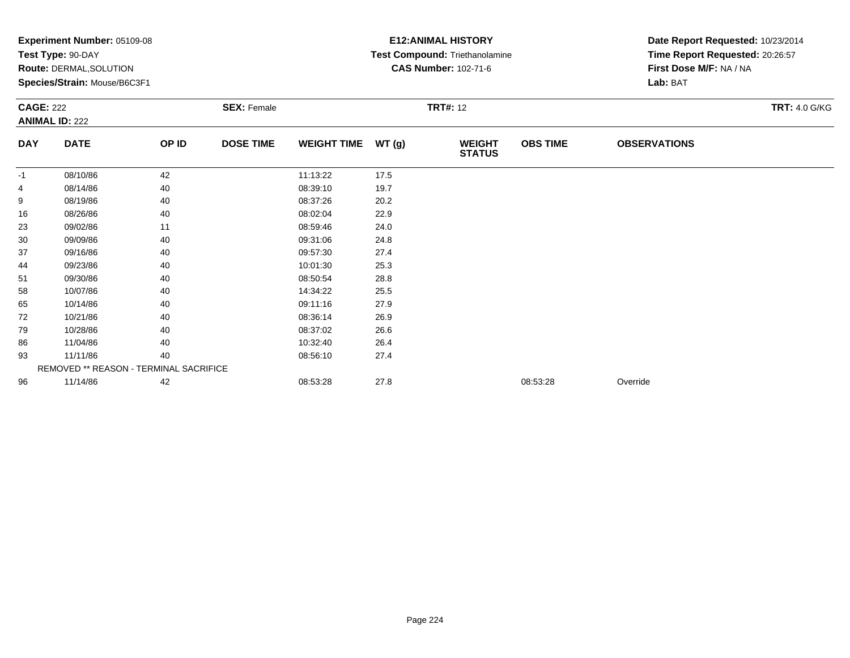| Test Type: 90-DAY<br>Route: DERMAL, SOLUTION<br>Species/Strain: Mouse/B6C3F1 |       |                  |                    |       | Test Compound: Triethanolamine         |                 |                         |                                 |  |  |
|------------------------------------------------------------------------------|-------|------------------|--------------------|-------|----------------------------------------|-----------------|-------------------------|---------------------------------|--|--|
|                                                                              |       |                  |                    |       |                                        |                 |                         | Time Report Requested: 20:26:57 |  |  |
|                                                                              |       |                  |                    |       | <b>CAS Number: 102-71-6</b>            |                 | First Dose M/F: NA / NA |                                 |  |  |
| <b>CAGE: 222</b><br><b>SEX: Female</b>                                       |       |                  |                    |       |                                        |                 | Lab: BAT                |                                 |  |  |
| <b>ANIMAL ID: 222</b>                                                        |       |                  |                    |       | <b>TRT#: 12</b>                        |                 |                         | <b>TRT: 4.0 G/KG</b>            |  |  |
|                                                                              |       |                  |                    |       |                                        |                 |                         |                                 |  |  |
| <b>DATE</b>                                                                  | OP ID | <b>DOSE TIME</b> | <b>WEIGHT TIME</b> | WT(g) | <b>WEIGHT</b><br><b>STATUS</b>         | <b>OBS TIME</b> | <b>OBSERVATIONS</b>     |                                 |  |  |
| 08/10/86                                                                     | 42    |                  | 11:13:22           | 17.5  |                                        |                 |                         |                                 |  |  |
| 08/14/86                                                                     | 40    |                  | 08:39:10           | 19.7  |                                        |                 |                         |                                 |  |  |
| 08/19/86                                                                     | 40    |                  | 08:37:26           | 20.2  |                                        |                 |                         |                                 |  |  |
| 08/26/86                                                                     | 40    |                  | 08:02:04           | 22.9  |                                        |                 |                         |                                 |  |  |
| 09/02/86                                                                     | 11    |                  | 08:59:46           | 24.0  |                                        |                 |                         |                                 |  |  |
| 09/09/86                                                                     | 40    |                  | 09:31:06           | 24.8  |                                        |                 |                         |                                 |  |  |
| 09/16/86                                                                     | 40    |                  | 09:57:30           | 27.4  |                                        |                 |                         |                                 |  |  |
| 09/23/86                                                                     | 40    |                  | 10:01:30           | 25.3  |                                        |                 |                         |                                 |  |  |
| 09/30/86                                                                     | 40    |                  | 08:50:54           | 28.8  |                                        |                 |                         |                                 |  |  |
| 10/07/86                                                                     | 40    |                  | 14:34:22           | 25.5  |                                        |                 |                         |                                 |  |  |
| 10/14/86                                                                     | 40    |                  | 09:11:16           | 27.9  |                                        |                 |                         |                                 |  |  |
| 10/21/86                                                                     | 40    |                  | 08:36:14           | 26.9  |                                        |                 |                         |                                 |  |  |
| 10/28/86                                                                     | 40    |                  | 08:37:02           | 26.6  |                                        |                 |                         |                                 |  |  |
| 11/04/86                                                                     | 40    |                  | 10:32:40           | 26.4  |                                        |                 |                         |                                 |  |  |
|                                                                              | 40    |                  | 08:56:10           | 27.4  |                                        |                 |                         |                                 |  |  |
| 11/11/86                                                                     |       |                  |                    |       |                                        |                 |                         |                                 |  |  |
|                                                                              |       |                  |                    |       |                                        |                 |                         |                                 |  |  |
|                                                                              |       |                  |                    |       | REMOVED ** REASON - TERMINAL SACRIFICE |                 |                         |                                 |  |  |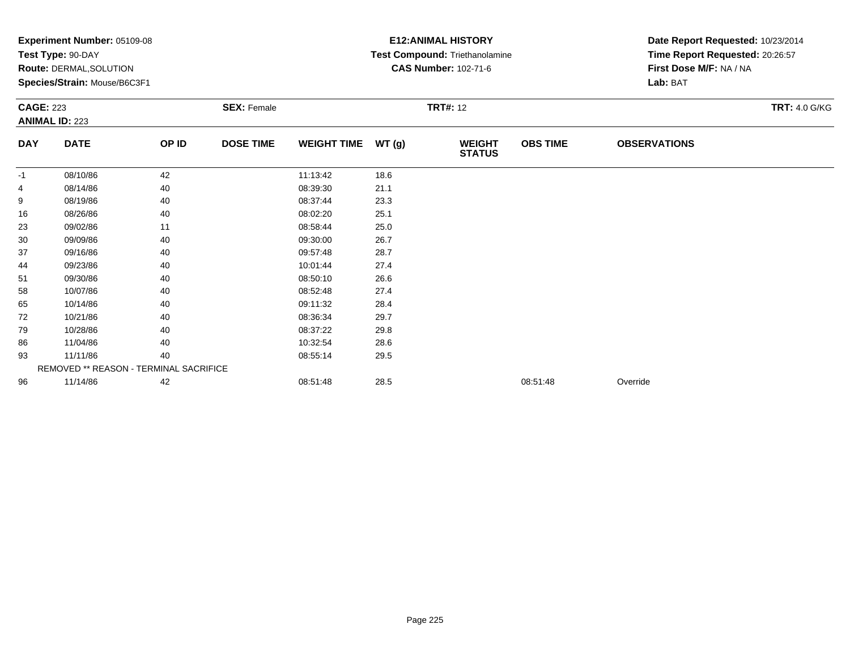|            | Experiment Number: 05109-08<br>Test Type: 90-DAY<br>Route: DERMAL, SOLUTION<br>Species/Strain: Mouse/B6C3F1<br><b>SEX: Female</b><br><b>CAGE: 223</b><br><b>ANIMAL ID: 223</b> |       |                  |                    |       | <b>E12: ANIMAL HISTORY</b><br>Test Compound: Triethanolamine<br><b>CAS Number: 102-71-6</b> | Date Report Requested: 10/23/2014<br>Time Report Requested: 20:26:57<br>First Dose M/F: NA / NA<br>Lab: BAT |                     |                      |
|------------|--------------------------------------------------------------------------------------------------------------------------------------------------------------------------------|-------|------------------|--------------------|-------|---------------------------------------------------------------------------------------------|-------------------------------------------------------------------------------------------------------------|---------------------|----------------------|
|            |                                                                                                                                                                                |       |                  |                    |       | <b>TRT#: 12</b>                                                                             |                                                                                                             |                     | <b>TRT: 4.0 G/KG</b> |
| <b>DAY</b> | <b>DATE</b>                                                                                                                                                                    | OP ID | <b>DOSE TIME</b> | <b>WEIGHT TIME</b> | WT(g) | <b>WEIGHT</b><br><b>STATUS</b>                                                              | <b>OBS TIME</b>                                                                                             | <b>OBSERVATIONS</b> |                      |
| -1         | 08/10/86                                                                                                                                                                       | 42    |                  | 11:13:42           | 18.6  |                                                                                             |                                                                                                             |                     |                      |
| 4          | 08/14/86                                                                                                                                                                       | 40    |                  | 08:39:30           | 21.1  |                                                                                             |                                                                                                             |                     |                      |
| 9          | 08/19/86                                                                                                                                                                       | 40    |                  | 08:37:44           | 23.3  |                                                                                             |                                                                                                             |                     |                      |
| 16         | 08/26/86                                                                                                                                                                       | 40    |                  | 08:02:20           | 25.1  |                                                                                             |                                                                                                             |                     |                      |
| 23         | 09/02/86                                                                                                                                                                       | 11    |                  | 08:58:44           | 25.0  |                                                                                             |                                                                                                             |                     |                      |
| 30         | 09/09/86                                                                                                                                                                       | 40    |                  | 09:30:00           | 26.7  |                                                                                             |                                                                                                             |                     |                      |
| 37         | 09/16/86                                                                                                                                                                       | 40    |                  | 09:57:48           | 28.7  |                                                                                             |                                                                                                             |                     |                      |
| 44         | 09/23/86                                                                                                                                                                       | 40    |                  | 10:01:44           | 27.4  |                                                                                             |                                                                                                             |                     |                      |
| 51         | 09/30/86                                                                                                                                                                       | 40    |                  | 08:50:10           | 26.6  |                                                                                             |                                                                                                             |                     |                      |
| 58         | 10/07/86                                                                                                                                                                       | 40    |                  | 08:52:48           | 27.4  |                                                                                             |                                                                                                             |                     |                      |
| 65         | 10/14/86                                                                                                                                                                       | 40    |                  | 09:11:32           | 28.4  |                                                                                             |                                                                                                             |                     |                      |
| 72         | 10/21/86                                                                                                                                                                       | 40    |                  | 08:36:34           | 29.7  |                                                                                             |                                                                                                             |                     |                      |
| 79         | 10/28/86                                                                                                                                                                       | 40    |                  | 08:37:22           | 29.8  |                                                                                             |                                                                                                             |                     |                      |
| 86         | 11/04/86                                                                                                                                                                       | 40    |                  | 10:32:54           | 28.6  |                                                                                             |                                                                                                             |                     |                      |
| 93         | 11/11/86                                                                                                                                                                       | 40    |                  | 08:55:14           | 29.5  |                                                                                             |                                                                                                             |                     |                      |
|            | REMOVED ** REASON - TERMINAL SACRIFICE                                                                                                                                         |       |                  |                    |       |                                                                                             |                                                                                                             |                     |                      |
| 96         | 11/14/86                                                                                                                                                                       | 42    |                  | 08:51:48           | 28.5  |                                                                                             | 08:51:48                                                                                                    | Override            |                      |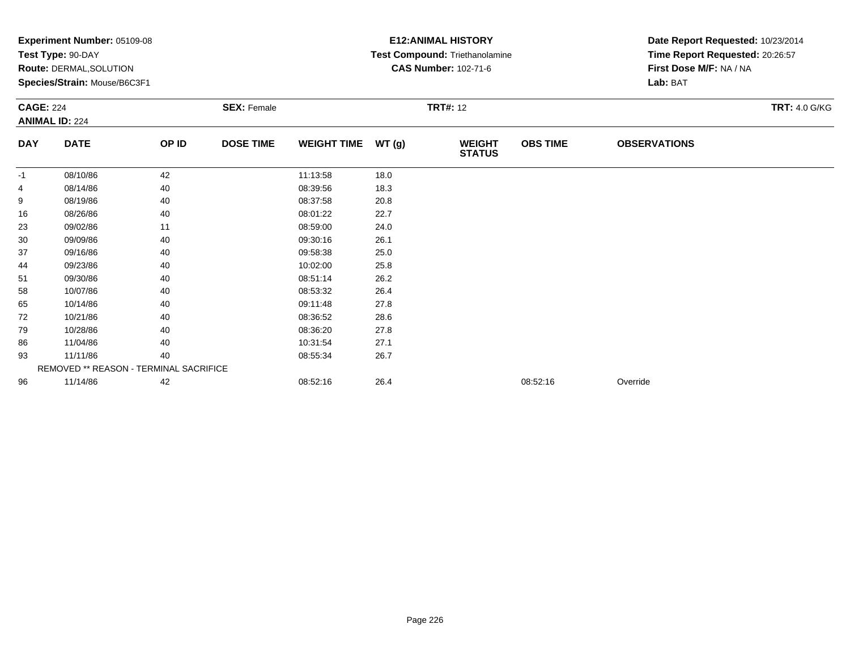|            | Experiment Number: 05109-08<br>Test Type: 90-DAY<br>Route: DERMAL, SOLUTION<br>Species/Strain: Mouse/B6C3F1<br><b>SEX: Female</b><br><b>CAGE: 224</b><br><b>ANIMAL ID: 224</b> |       |                  |                    |       | <b>E12: ANIMAL HISTORY</b><br>Test Compound: Triethanolamine<br><b>CAS Number: 102-71-6</b> |                 | Date Report Requested: 10/23/2014<br>Time Report Requested: 20:26:57<br>First Dose M/F: NA / NA<br>Lab: BAT |                      |  |
|------------|--------------------------------------------------------------------------------------------------------------------------------------------------------------------------------|-------|------------------|--------------------|-------|---------------------------------------------------------------------------------------------|-----------------|-------------------------------------------------------------------------------------------------------------|----------------------|--|
|            |                                                                                                                                                                                |       |                  |                    |       | <b>TRT#: 12</b>                                                                             |                 |                                                                                                             | <b>TRT: 4.0 G/KG</b> |  |
| <b>DAY</b> | <b>DATE</b>                                                                                                                                                                    | OP ID | <b>DOSE TIME</b> | <b>WEIGHT TIME</b> | WT(g) | <b>WEIGHT</b><br><b>STATUS</b>                                                              | <b>OBS TIME</b> | <b>OBSERVATIONS</b>                                                                                         |                      |  |
| -1         | 08/10/86                                                                                                                                                                       | 42    |                  | 11:13:58           | 18.0  |                                                                                             |                 |                                                                                                             |                      |  |
| 4          | 08/14/86                                                                                                                                                                       | 40    |                  | 08:39:56           | 18.3  |                                                                                             |                 |                                                                                                             |                      |  |
| 9          | 08/19/86                                                                                                                                                                       | 40    |                  | 08:37:58           | 20.8  |                                                                                             |                 |                                                                                                             |                      |  |
| 16         | 08/26/86                                                                                                                                                                       | 40    |                  | 08:01:22           | 22.7  |                                                                                             |                 |                                                                                                             |                      |  |
| 23         | 09/02/86                                                                                                                                                                       | 11    |                  | 08:59:00           | 24.0  |                                                                                             |                 |                                                                                                             |                      |  |
| 30         | 09/09/86                                                                                                                                                                       | 40    |                  | 09:30:16           | 26.1  |                                                                                             |                 |                                                                                                             |                      |  |
| 37         | 09/16/86                                                                                                                                                                       | 40    |                  | 09:58:38           | 25.0  |                                                                                             |                 |                                                                                                             |                      |  |
| 44         | 09/23/86                                                                                                                                                                       | 40    |                  | 10:02:00           | 25.8  |                                                                                             |                 |                                                                                                             |                      |  |
| 51         | 09/30/86                                                                                                                                                                       | 40    |                  | 08:51:14           | 26.2  |                                                                                             |                 |                                                                                                             |                      |  |
| 58         | 10/07/86                                                                                                                                                                       | 40    |                  | 08:53:32           | 26.4  |                                                                                             |                 |                                                                                                             |                      |  |
| 65         | 10/14/86                                                                                                                                                                       | 40    |                  | 09:11:48           | 27.8  |                                                                                             |                 |                                                                                                             |                      |  |
| 72         | 10/21/86                                                                                                                                                                       | 40    |                  | 08:36:52           | 28.6  |                                                                                             |                 |                                                                                                             |                      |  |
| 79         | 10/28/86                                                                                                                                                                       | 40    |                  | 08:36:20           | 27.8  |                                                                                             |                 |                                                                                                             |                      |  |
| 86         | 11/04/86                                                                                                                                                                       | 40    |                  | 10:31:54           | 27.1  |                                                                                             |                 |                                                                                                             |                      |  |
| 93         | 11/11/86                                                                                                                                                                       | 40    |                  | 08:55:34           | 26.7  |                                                                                             |                 |                                                                                                             |                      |  |
|            | REMOVED ** REASON - TERMINAL SACRIFICE                                                                                                                                         |       |                  |                    |       |                                                                                             |                 |                                                                                                             |                      |  |
| 96         | 11/14/86                                                                                                                                                                       | 42    |                  | 08:52:16           | 26.4  |                                                                                             | 08:52:16        | Override                                                                                                    |                      |  |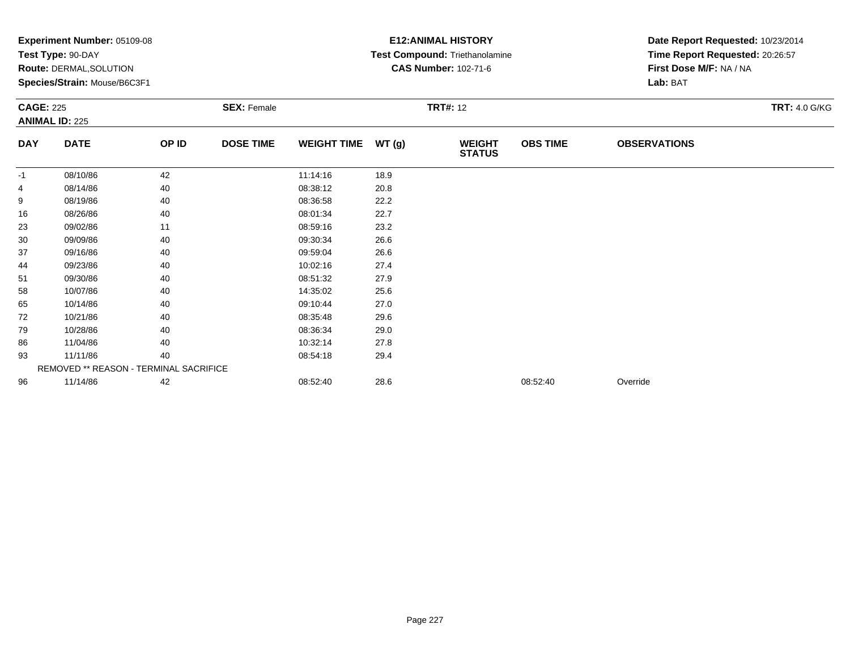| <b>DAY</b> | <b>Experiment Number: 05109-08</b>     |       |                    |                    |       | <b>E12:ANIMAL HISTORY</b>      | Date Report Requested: 10/23/2014 |                                 |                      |
|------------|----------------------------------------|-------|--------------------|--------------------|-------|--------------------------------|-----------------------------------|---------------------------------|----------------------|
|            | Test Type: 90-DAY                      |       |                    |                    |       | Test Compound: Triethanolamine |                                   | Time Report Requested: 20:26:57 |                      |
|            | <b>Route: DERMAL, SOLUTION</b>         |       |                    |                    |       | <b>CAS Number: 102-71-6</b>    |                                   | First Dose M/F: NA / NA         |                      |
|            | Species/Strain: Mouse/B6C3F1           |       |                    |                    |       |                                |                                   | Lab: BAT                        |                      |
|            | <b>CAGE: 225</b>                       |       | <b>SEX: Female</b> |                    |       | <b>TRT#: 12</b>                |                                   |                                 | <b>TRT: 4.0 G/KG</b> |
|            | <b>ANIMAL ID: 225</b>                  |       |                    |                    |       |                                |                                   |                                 |                      |
|            | <b>DATE</b>                            | OP ID | <b>DOSE TIME</b>   | <b>WEIGHT TIME</b> | WT(g) | <b>WEIGHT</b><br><b>STATUS</b> | <b>OBS TIME</b>                   | <b>OBSERVATIONS</b>             |                      |
| -1         | 08/10/86                               | 42    |                    | 11:14:16           | 18.9  |                                |                                   |                                 |                      |
| 4          | 08/14/86                               | 40    |                    | 08:38:12           | 20.8  |                                |                                   |                                 |                      |
| 9          | 08/19/86                               | 40    |                    | 08:36:58           | 22.2  |                                |                                   |                                 |                      |
| 16         | 08/26/86                               | 40    |                    | 08:01:34           | 22.7  |                                |                                   |                                 |                      |
| 23         | 09/02/86                               | 11    |                    | 08:59:16           | 23.2  |                                |                                   |                                 |                      |
| 30         | 09/09/86                               | 40    |                    | 09:30:34           | 26.6  |                                |                                   |                                 |                      |
| 37         | 09/16/86                               | 40    |                    | 09:59:04           | 26.6  |                                |                                   |                                 |                      |
| 44         | 09/23/86                               | 40    |                    | 10:02:16           | 27.4  |                                |                                   |                                 |                      |
| 51         | 09/30/86                               | 40    |                    | 08:51:32           | 27.9  |                                |                                   |                                 |                      |
| 58         | 10/07/86                               | 40    |                    | 14:35:02           | 25.6  |                                |                                   |                                 |                      |
| 65         | 10/14/86                               | 40    |                    | 09:10:44           | 27.0  |                                |                                   |                                 |                      |
| 72         | 10/21/86                               | 40    |                    | 08:35:48           | 29.6  |                                |                                   |                                 |                      |
| 79         | 10/28/86                               | 40    |                    | 08:36:34           | 29.0  |                                |                                   |                                 |                      |
| 86         | 11/04/86                               | 40    |                    | 10:32:14           | 27.8  |                                |                                   |                                 |                      |
| 93         | 11/11/86                               | 40    |                    | 08:54:18           | 29.4  |                                |                                   |                                 |                      |
|            | REMOVED ** REASON - TERMINAL SACRIFICE |       |                    |                    |       |                                |                                   |                                 |                      |
| 96         | 11/14/86                               |       |                    |                    |       |                                |                                   |                                 |                      |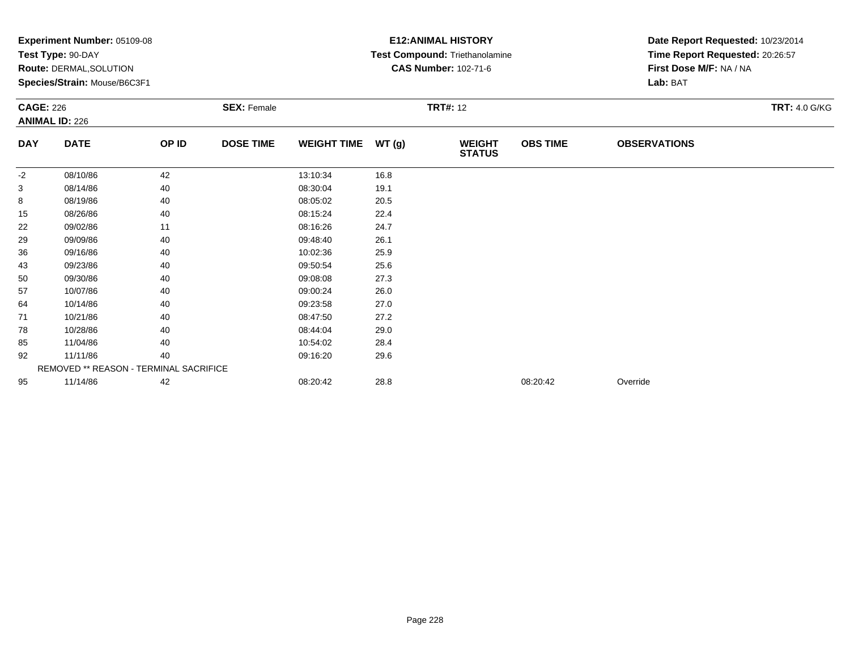|                  | <b>Experiment Number: 05109-08</b>     |       |                    |                    | <b>E12:ANIMAL HISTORY</b> | Date Report Requested: 10/23/2014 |                 |                                 |                      |  |
|------------------|----------------------------------------|-------|--------------------|--------------------|---------------------------|-----------------------------------|-----------------|---------------------------------|----------------------|--|
|                  | Test Type: 90-DAY                      |       |                    |                    |                           | Test Compound: Triethanolamine    |                 | Time Report Requested: 20:26:57 |                      |  |
|                  | Route: DERMAL, SOLUTION                |       |                    |                    |                           | <b>CAS Number: 102-71-6</b>       |                 | First Dose M/F: NA / NA         |                      |  |
|                  | Species/Strain: Mouse/B6C3F1           |       |                    |                    |                           |                                   |                 | Lab: BAT                        |                      |  |
| <b>CAGE: 226</b> |                                        |       | <b>SEX: Female</b> |                    |                           | <b>TRT#: 12</b>                   |                 |                                 | <b>TRT: 4.0 G/KG</b> |  |
|                  | <b>ANIMAL ID: 226</b>                  |       |                    |                    |                           |                                   |                 |                                 |                      |  |
| <b>DAY</b>       | <b>DATE</b>                            | OP ID | <b>DOSE TIME</b>   | <b>WEIGHT TIME</b> | WT(g)                     | <b>WEIGHT</b><br><b>STATUS</b>    | <b>OBS TIME</b> | <b>OBSERVATIONS</b>             |                      |  |
| $-2$             | 08/10/86                               | 42    |                    | 13:10:34           | 16.8                      |                                   |                 |                                 |                      |  |
| 3                | 08/14/86                               | 40    |                    | 08:30:04           | 19.1                      |                                   |                 |                                 |                      |  |
| 8                | 08/19/86                               | 40    |                    | 08:05:02           | 20.5                      |                                   |                 |                                 |                      |  |
| 15               | 08/26/86                               | 40    |                    | 08:15:24           | 22.4                      |                                   |                 |                                 |                      |  |
| 22               | 09/02/86                               | 11    |                    | 08:16:26           | 24.7                      |                                   |                 |                                 |                      |  |
| 29               | 09/09/86                               | 40    |                    | 09:48:40           | 26.1                      |                                   |                 |                                 |                      |  |
| 36               | 09/16/86                               | 40    |                    | 10:02:36           | 25.9                      |                                   |                 |                                 |                      |  |
| 43               | 09/23/86                               | 40    |                    | 09:50:54           | 25.6                      |                                   |                 |                                 |                      |  |
| 50               | 09/30/86                               | 40    |                    | 09:08:08           | 27.3                      |                                   |                 |                                 |                      |  |
| 57               | 10/07/86                               | 40    |                    | 09:00:24           | 26.0                      |                                   |                 |                                 |                      |  |
| 64               | 10/14/86                               | 40    |                    | 09:23:58           | 27.0                      |                                   |                 |                                 |                      |  |
| 71               | 10/21/86                               | 40    |                    | 08:47:50           | 27.2                      |                                   |                 |                                 |                      |  |
| 78               | 10/28/86                               | 40    |                    | 08:44:04           | 29.0                      |                                   |                 |                                 |                      |  |
| 85               | 11/04/86                               | 40    |                    | 10:54:02           | 28.4                      |                                   |                 |                                 |                      |  |
| 92               | 11/11/86                               | 40    |                    | 09:16:20           | 29.6                      |                                   |                 |                                 |                      |  |
|                  | REMOVED ** REASON - TERMINAL SACRIFICE |       |                    |                    |                           |                                   |                 |                                 |                      |  |
| 95               | 11/14/86                               | 42    |                    | 08:20:42           | 28.8                      |                                   | 08:20:42        | Override                        |                      |  |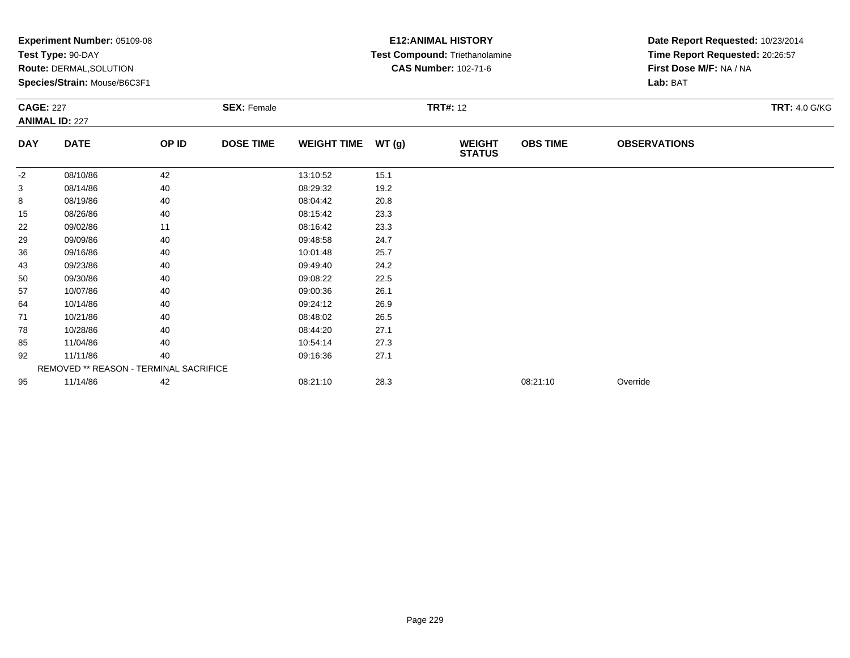|            | <b>Experiment Number: 05109-08</b>     |       |                    |                    |       | <b>E12: ANIMAL HISTORY</b>     | Date Report Requested: 10/23/2014 |                                 |                      |
|------------|----------------------------------------|-------|--------------------|--------------------|-------|--------------------------------|-----------------------------------|---------------------------------|----------------------|
|            | Test Type: 90-DAY                      |       |                    |                    |       | Test Compound: Triethanolamine |                                   | Time Report Requested: 20:26:57 |                      |
|            | <b>Route: DERMAL, SOLUTION</b>         |       |                    |                    |       | <b>CAS Number: 102-71-6</b>    |                                   | First Dose M/F: NA / NA         |                      |
|            | Species/Strain: Mouse/B6C3F1           |       |                    |                    |       |                                |                                   | Lab: BAT                        |                      |
|            | <b>CAGE: 227</b>                       |       | <b>SEX: Female</b> |                    |       | <b>TRT#: 12</b>                |                                   |                                 | <b>TRT: 4.0 G/KG</b> |
|            | <b>ANIMAL ID: 227</b>                  |       |                    |                    |       |                                |                                   |                                 |                      |
| <b>DAY</b> | <b>DATE</b>                            | OP ID | <b>DOSE TIME</b>   | <b>WEIGHT TIME</b> | WT(g) | <b>WEIGHT</b><br><b>STATUS</b> | <b>OBS TIME</b>                   | <b>OBSERVATIONS</b>             |                      |
| $-2$       | 08/10/86                               | 42    |                    | 13:10:52           | 15.1  |                                |                                   |                                 |                      |
| 3          | 08/14/86                               | 40    |                    | 08:29:32           | 19.2  |                                |                                   |                                 |                      |
| 8          | 08/19/86                               | 40    |                    | 08:04:42           | 20.8  |                                |                                   |                                 |                      |
| 15         | 08/26/86                               | 40    |                    | 08:15:42           | 23.3  |                                |                                   |                                 |                      |
| 22         | 09/02/86                               | 11    |                    | 08:16:42           | 23.3  |                                |                                   |                                 |                      |
| 29         | 09/09/86                               | 40    |                    | 09:48:58           | 24.7  |                                |                                   |                                 |                      |
| 36         | 09/16/86                               | 40    |                    | 10:01:48           | 25.7  |                                |                                   |                                 |                      |
| 43         | 09/23/86                               | 40    |                    | 09:49:40           | 24.2  |                                |                                   |                                 |                      |
| 50         | 09/30/86                               | 40    |                    | 09:08:22           | 22.5  |                                |                                   |                                 |                      |
| 57         | 10/07/86                               | 40    |                    | 09:00:36           | 26.1  |                                |                                   |                                 |                      |
| 64         | 10/14/86                               | 40    |                    | 09:24:12           | 26.9  |                                |                                   |                                 |                      |
| 71         | 10/21/86                               | 40    |                    | 08:48:02           | 26.5  |                                |                                   |                                 |                      |
| 78         | 10/28/86                               | 40    |                    | 08:44:20           | 27.1  |                                |                                   |                                 |                      |
| 85         | 11/04/86                               | 40    |                    | 10:54:14           | 27.3  |                                |                                   |                                 |                      |
| 92         | 11/11/86                               | 40    |                    | 09:16:36           | 27.1  |                                |                                   |                                 |                      |
|            | REMOVED ** REASON - TERMINAL SACRIFICE |       |                    |                    |       |                                |                                   |                                 |                      |
| 95         | 11/14/86                               | 42    |                    | 08:21:10           | 28.3  |                                | 08:21:10                          | Override                        |                      |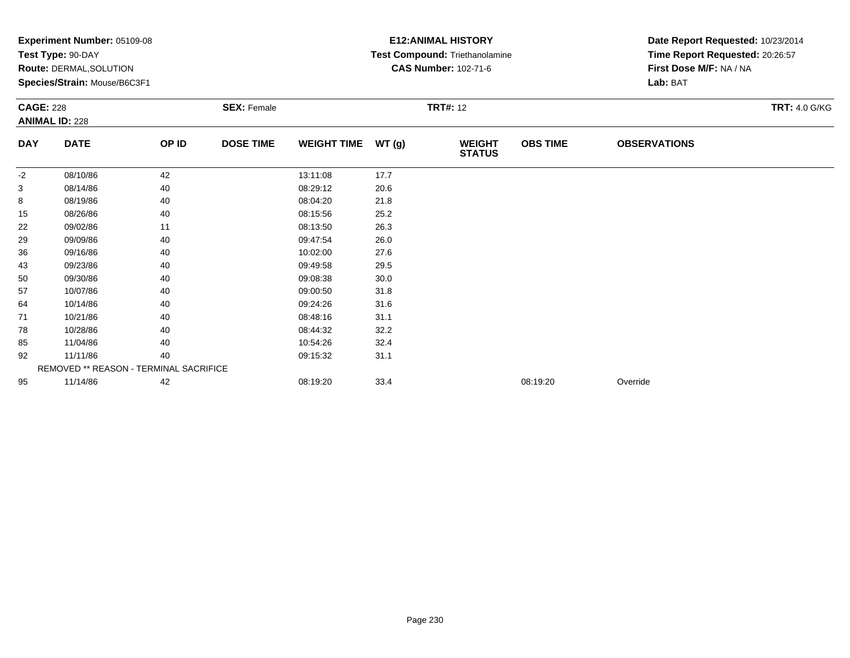|            | <b>Experiment Number: 05109-08</b>     |       |                  |                    |                 | <b>E12:ANIMAL HISTORY</b>      | Date Report Requested: 10/23/2014 |                                 |  |
|------------|----------------------------------------|-------|------------------|--------------------|-----------------|--------------------------------|-----------------------------------|---------------------------------|--|
|            | Test Type: 90-DAY                      |       |                  |                    |                 | Test Compound: Triethanolamine |                                   | Time Report Requested: 20:26:57 |  |
|            | Route: DERMAL, SOLUTION                |       |                  |                    |                 | <b>CAS Number: 102-71-6</b>    |                                   | First Dose M/F: NA / NA         |  |
|            | Species/Strain: Mouse/B6C3F1           |       |                  |                    |                 |                                |                                   | Lab: BAT                        |  |
|            | <b>CAGE: 228</b><br><b>SEX: Female</b> |       |                  |                    | <b>TRT#: 12</b> |                                |                                   | <b>TRT: 4.0 G/KG</b>            |  |
|            | <b>ANIMAL ID: 228</b>                  |       |                  |                    |                 |                                |                                   |                                 |  |
| <b>DAY</b> | <b>DATE</b>                            | OP ID | <b>DOSE TIME</b> | <b>WEIGHT TIME</b> | WT(g)           | <b>WEIGHT</b><br><b>STATUS</b> | <b>OBS TIME</b>                   | <b>OBSERVATIONS</b>             |  |
| $-2$       | 08/10/86                               | 42    |                  | 13:11:08           | 17.7            |                                |                                   |                                 |  |
| 3          | 08/14/86                               | 40    |                  | 08:29:12           | 20.6            |                                |                                   |                                 |  |
| 8          | 08/19/86                               | 40    |                  | 08:04:20           | 21.8            |                                |                                   |                                 |  |
| 15         | 08/26/86                               | 40    |                  | 08:15:56           | 25.2            |                                |                                   |                                 |  |
| 22         | 09/02/86                               | 11    |                  | 08:13:50           | 26.3            |                                |                                   |                                 |  |
| 29         | 09/09/86                               | 40    |                  | 09:47:54           | 26.0            |                                |                                   |                                 |  |
| 36         | 09/16/86                               | 40    |                  | 10:02:00           | 27.6            |                                |                                   |                                 |  |
| 43         | 09/23/86                               | 40    |                  | 09:49:58           | 29.5            |                                |                                   |                                 |  |
| 50         | 09/30/86                               | 40    |                  | 09:08:38           | 30.0            |                                |                                   |                                 |  |
| 57         | 10/07/86                               | 40    |                  | 09:00:50           | 31.8            |                                |                                   |                                 |  |
| 64         | 10/14/86                               | 40    |                  | 09:24:26           | 31.6            |                                |                                   |                                 |  |
| 71         | 10/21/86                               | 40    |                  | 08:48:16           | 31.1            |                                |                                   |                                 |  |
| 78         | 10/28/86                               | 40    |                  | 08:44:32           | 32.2            |                                |                                   |                                 |  |
| 85         | 11/04/86                               | 40    |                  | 10:54:26           | 32.4            |                                |                                   |                                 |  |
| 92         | 11/11/86                               | 40    |                  | 09:15:32           | 31.1            |                                |                                   |                                 |  |
|            | REMOVED ** REASON - TERMINAL SACRIFICE |       |                  |                    |                 |                                |                                   |                                 |  |
| 95         | 11/14/86                               | 42    |                  | 08:19:20           | 33.4            |                                | 08:19:20                          | Override                        |  |
|            |                                        |       |                  |                    |                 |                                |                                   |                                 |  |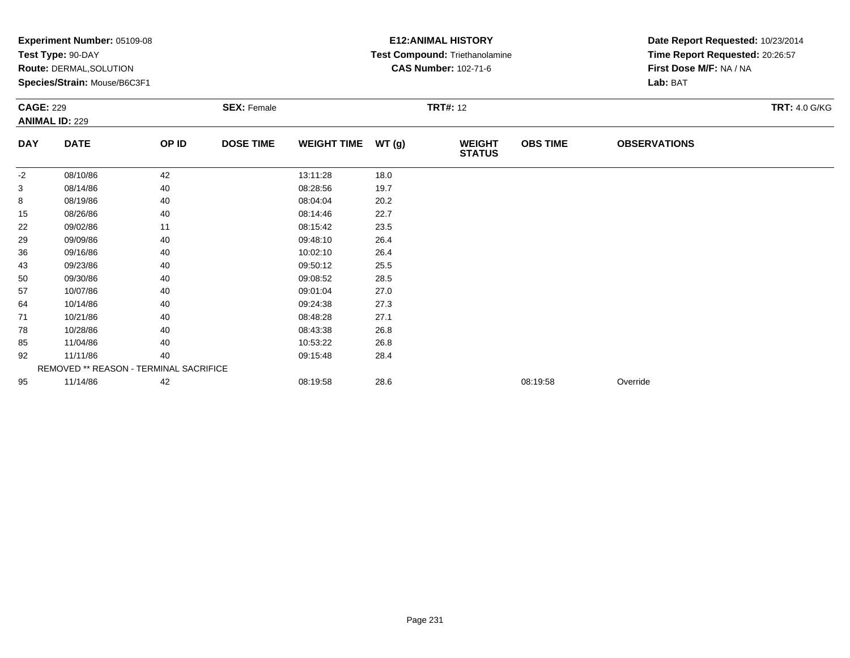|            | <b>Experiment Number: 05109-08</b>     |       |                    |                    |       | <b>E12:ANIMAL HISTORY</b>      | Date Report Requested: 10/23/2014 |                                 |                      |
|------------|----------------------------------------|-------|--------------------|--------------------|-------|--------------------------------|-----------------------------------|---------------------------------|----------------------|
|            | Test Type: 90-DAY                      |       |                    |                    |       | Test Compound: Triethanolamine |                                   | Time Report Requested: 20:26:57 |                      |
|            | Route: DERMAL, SOLUTION                |       |                    |                    |       | <b>CAS Number: 102-71-6</b>    |                                   | First Dose M/F: NA / NA         |                      |
|            | Species/Strain: Mouse/B6C3F1           |       |                    |                    |       |                                |                                   | Lab: BAT                        |                      |
|            | <b>CAGE: 229</b>                       |       | <b>SEX: Female</b> |                    |       | <b>TRT#: 12</b>                |                                   |                                 | <b>TRT: 4.0 G/KG</b> |
|            | <b>ANIMAL ID: 229</b>                  |       |                    |                    |       |                                |                                   |                                 |                      |
| <b>DAY</b> | <b>DATE</b>                            | OP ID | <b>DOSE TIME</b>   | <b>WEIGHT TIME</b> | WT(g) | <b>WEIGHT</b><br><b>STATUS</b> | <b>OBS TIME</b>                   | <b>OBSERVATIONS</b>             |                      |
| $-2$       | 08/10/86                               | 42    |                    | 13:11:28           | 18.0  |                                |                                   |                                 |                      |
| 3          | 08/14/86                               | 40    |                    | 08:28:56           | 19.7  |                                |                                   |                                 |                      |
| 8          | 08/19/86                               | 40    |                    | 08:04:04           | 20.2  |                                |                                   |                                 |                      |
| 15         | 08/26/86                               | 40    |                    | 08:14:46           | 22.7  |                                |                                   |                                 |                      |
| 22         | 09/02/86                               | 11    |                    | 08:15:42           | 23.5  |                                |                                   |                                 |                      |
| 29         | 09/09/86                               | 40    |                    | 09:48:10           | 26.4  |                                |                                   |                                 |                      |
| 36         | 09/16/86                               | 40    |                    | 10:02:10           | 26.4  |                                |                                   |                                 |                      |
| 43         | 09/23/86                               | 40    |                    | 09:50:12           | 25.5  |                                |                                   |                                 |                      |
| 50         | 09/30/86                               | 40    |                    | 09:08:52           | 28.5  |                                |                                   |                                 |                      |
| 57         | 10/07/86                               | 40    |                    | 09:01:04           | 27.0  |                                |                                   |                                 |                      |
| 64         | 10/14/86                               | 40    |                    | 09:24:38           | 27.3  |                                |                                   |                                 |                      |
| 71         | 10/21/86                               | 40    |                    | 08:48:28           | 27.1  |                                |                                   |                                 |                      |
| 78         | 10/28/86                               | 40    |                    | 08:43:38           | 26.8  |                                |                                   |                                 |                      |
| 85         | 11/04/86                               | 40    |                    | 10:53:22           | 26.8  |                                |                                   |                                 |                      |
| 92         | 11/11/86                               | 40    |                    | 09:15:48           | 28.4  |                                |                                   |                                 |                      |
|            | REMOVED ** REASON - TERMINAL SACRIFICE |       |                    |                    |       |                                |                                   |                                 |                      |
| 95         | 11/14/86                               | 42    |                    | 08:19:58           | 28.6  |                                | 08:19:58                          | Override                        |                      |
|            |                                        |       |                    |                    |       |                                |                                   |                                 |                      |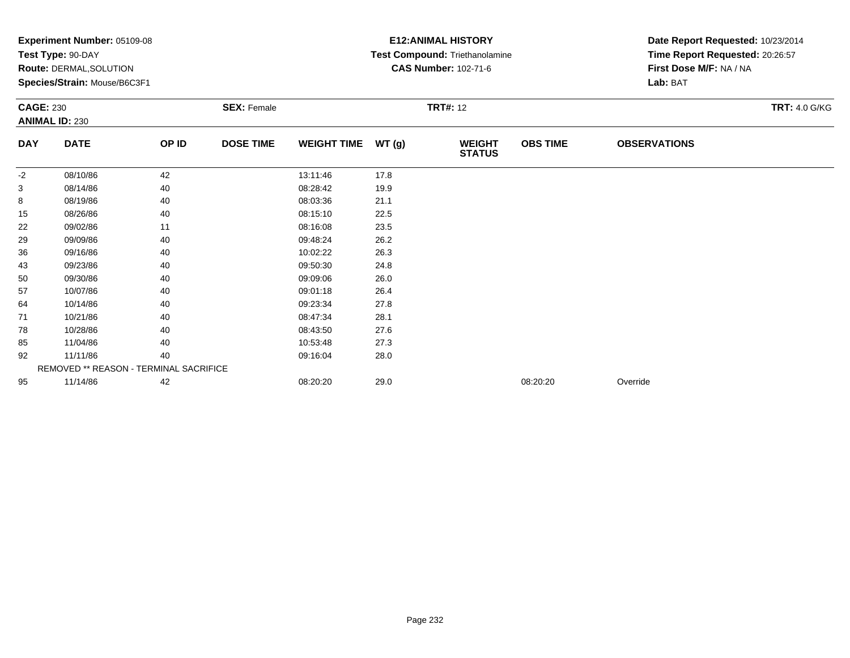|                  | <b>Experiment Number: 05109-08</b>     |       |                    |                    |       | <b>E12:ANIMAL HISTORY</b>      | Date Report Requested: 10/23/2014 |                                 |                      |
|------------------|----------------------------------------|-------|--------------------|--------------------|-------|--------------------------------|-----------------------------------|---------------------------------|----------------------|
|                  | Test Type: 90-DAY                      |       |                    |                    |       | Test Compound: Triethanolamine |                                   | Time Report Requested: 20:26:57 |                      |
|                  | <b>Route: DERMAL, SOLUTION</b>         |       |                    |                    |       | <b>CAS Number: 102-71-6</b>    |                                   | First Dose M/F: NA / NA         |                      |
|                  | Species/Strain: Mouse/B6C3F1           |       |                    |                    |       |                                |                                   | Lab: BAT                        |                      |
| <b>CAGE: 230</b> |                                        |       | <b>SEX: Female</b> |                    |       | <b>TRT#: 12</b>                |                                   |                                 | <b>TRT: 4.0 G/KG</b> |
|                  | <b>ANIMAL ID: 230</b>                  |       |                    |                    |       |                                |                                   |                                 |                      |
| <b>DAY</b>       | <b>DATE</b>                            | OP ID | <b>DOSE TIME</b>   | <b>WEIGHT TIME</b> | WT(g) | <b>WEIGHT</b><br><b>STATUS</b> | <b>OBS TIME</b>                   | <b>OBSERVATIONS</b>             |                      |
| -2               | 08/10/86                               | 42    |                    | 13:11:46           | 17.8  |                                |                                   |                                 |                      |
| 3                | 08/14/86                               | 40    |                    | 08:28:42           | 19.9  |                                |                                   |                                 |                      |
| 8                | 08/19/86                               | 40    |                    | 08:03:36           | 21.1  |                                |                                   |                                 |                      |
| 15               | 08/26/86                               | 40    |                    | 08:15:10           | 22.5  |                                |                                   |                                 |                      |
| 22               | 09/02/86                               | 11    |                    | 08:16:08           | 23.5  |                                |                                   |                                 |                      |
| 29               | 09/09/86                               | 40    |                    | 09:48:24           | 26.2  |                                |                                   |                                 |                      |
| 36               | 09/16/86                               | 40    |                    | 10:02:22           | 26.3  |                                |                                   |                                 |                      |
| 43               | 09/23/86                               | 40    |                    | 09:50:30           | 24.8  |                                |                                   |                                 |                      |
| 50               | 09/30/86                               | 40    |                    | 09:09:06           | 26.0  |                                |                                   |                                 |                      |
| 57               | 10/07/86                               | 40    |                    | 09:01:18           | 26.4  |                                |                                   |                                 |                      |
| 64               | 10/14/86                               | 40    |                    | 09:23:34           | 27.8  |                                |                                   |                                 |                      |
| 71               | 10/21/86                               | 40    |                    | 08:47:34           | 28.1  |                                |                                   |                                 |                      |
| 78               | 10/28/86                               | 40    |                    | 08:43:50           | 27.6  |                                |                                   |                                 |                      |
| 85               | 11/04/86                               | 40    |                    | 10:53:48           | 27.3  |                                |                                   |                                 |                      |
| 92               | 11/11/86                               | 40    |                    | 09:16:04           | 28.0  |                                |                                   |                                 |                      |
|                  | REMOVED ** REASON - TERMINAL SACRIFICE |       |                    |                    |       |                                |                                   |                                 |                      |
| 95               | 11/14/86                               | 42    |                    | 08:20:20           | 29.0  |                                | 08:20:20                          | Override                        |                      |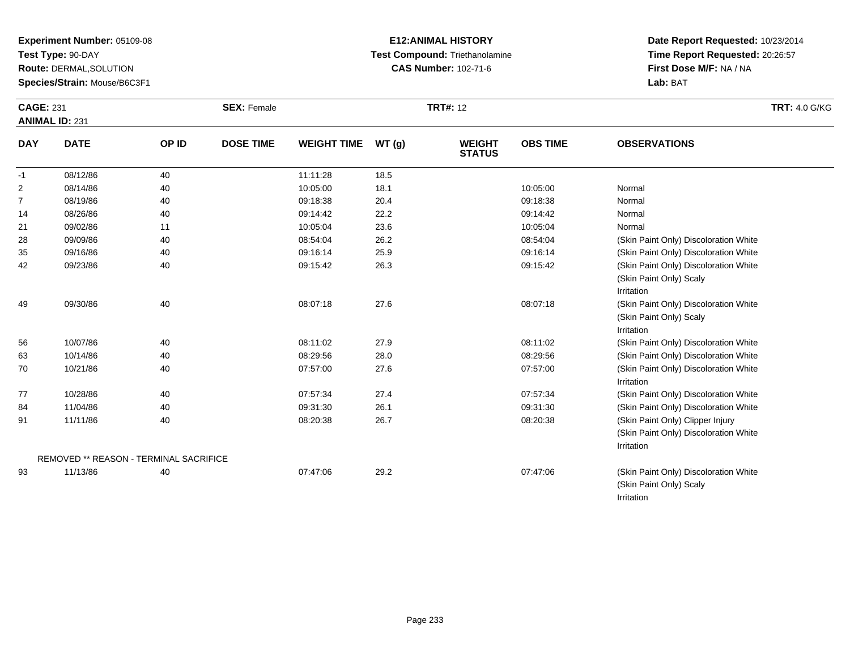**Test Type:** 90-DAY

**Route:** DERMAL,SOLUTION

**Species/Strain:** Mouse/B6C3F1

# **E12:ANIMAL HISTORY Test Compound:** Triethanolamine**CAS Number:** 102-71-6

| <b>CAGE: 231</b> | <b>ANIMAL ID: 231</b>                              |       | <b>SEX: Female</b> |                    |       | <b>TRT#: 12</b>                |                 |                                                                                         | <b>TRT: 4.0 G/KG</b> |
|------------------|----------------------------------------------------|-------|--------------------|--------------------|-------|--------------------------------|-----------------|-----------------------------------------------------------------------------------------|----------------------|
| <b>DAY</b>       | <b>DATE</b>                                        | OP ID | <b>DOSE TIME</b>   | <b>WEIGHT TIME</b> | WT(g) | <b>WEIGHT</b><br><b>STATUS</b> | <b>OBS TIME</b> | <b>OBSERVATIONS</b>                                                                     |                      |
| $-1$             | 08/12/86                                           | 40    |                    | 11:11:28           | 18.5  |                                |                 |                                                                                         |                      |
| 2                | 08/14/86                                           | 40    |                    | 10:05:00           | 18.1  |                                | 10:05:00        | Normal                                                                                  |                      |
| $\overline{7}$   | 08/19/86                                           | 40    |                    | 09:18:38           | 20.4  |                                | 09:18:38        | Normal                                                                                  |                      |
| 14               | 08/26/86                                           | 40    |                    | 09:14:42           | 22.2  |                                | 09:14:42        | Normal                                                                                  |                      |
| 21               | 09/02/86                                           | 11    |                    | 10:05:04           | 23.6  |                                | 10:05:04        | Normal                                                                                  |                      |
| 28               | 09/09/86                                           | 40    |                    | 08:54:04           | 26.2  |                                | 08:54:04        | (Skin Paint Only) Discoloration White                                                   |                      |
| 35               | 09/16/86                                           | 40    |                    | 09:16:14           | 25.9  |                                | 09:16:14        | (Skin Paint Only) Discoloration White                                                   |                      |
| 42               | 09/23/86                                           | 40    |                    | 09:15:42           | 26.3  |                                | 09:15:42        | (Skin Paint Only) Discoloration White<br>(Skin Paint Only) Scaly<br>Irritation          |                      |
| 49               | 09/30/86                                           | 40    |                    | 08:07:18           | 27.6  |                                | 08:07:18        | (Skin Paint Only) Discoloration White<br>(Skin Paint Only) Scaly<br>Irritation          |                      |
| 56               | 10/07/86                                           | 40    |                    | 08:11:02           | 27.9  |                                | 08:11:02        | (Skin Paint Only) Discoloration White                                                   |                      |
| 63               | 10/14/86                                           | 40    |                    | 08:29:56           | 28.0  |                                | 08:29:56        | (Skin Paint Only) Discoloration White                                                   |                      |
| 70               | 10/21/86                                           | 40    |                    | 07:57:00           | 27.6  |                                | 07:57:00        | (Skin Paint Only) Discoloration White<br>Irritation                                     |                      |
| 77               | 10/28/86                                           | 40    |                    | 07:57:34           | 27.4  |                                | 07:57:34        | (Skin Paint Only) Discoloration White                                                   |                      |
| 84               | 11/04/86                                           | 40    |                    | 09:31:30           | 26.1  |                                | 09:31:30        | (Skin Paint Only) Discoloration White                                                   |                      |
| 91               | 11/11/86<br>REMOVED ** REASON - TERMINAL SACRIFICE | 40    |                    | 08:20:38           | 26.7  |                                | 08:20:38        | (Skin Paint Only) Clipper Injury<br>(Skin Paint Only) Discoloration White<br>Irritation |                      |
| 93               | 11/13/86                                           | 40    |                    | 07:47:06           | 29.2  |                                | 07:47:06        | (Skin Paint Only) Discoloration White<br>(Skin Paint Only) Scaly<br>Irritation          |                      |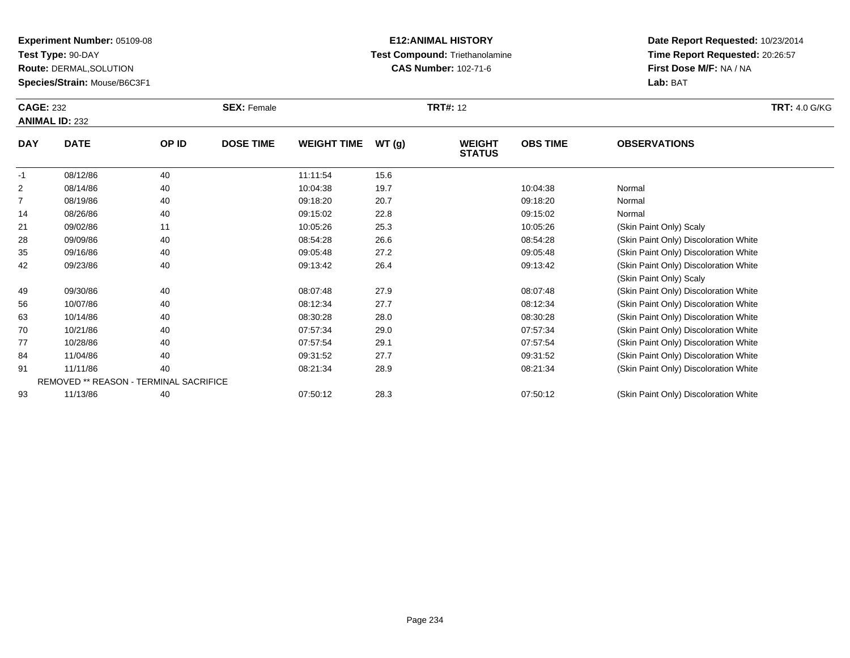**Test Type:** 90-DAY

**Route:** DERMAL,SOLUTION

**Species/Strain:** Mouse/B6C3F1

### **E12:ANIMAL HISTORY Test Compound:** Triethanolamine**CAS Number:** 102-71-6

| <b>CAGE: 232</b><br><b>ANIMAL ID: 232</b> |                                        |       | <b>SEX: Female</b> |                    |       | <b>TRT#: 12</b>                |                 |                                       | <b>TRT: 4.0 G/KG</b> |
|-------------------------------------------|----------------------------------------|-------|--------------------|--------------------|-------|--------------------------------|-----------------|---------------------------------------|----------------------|
| <b>DAY</b>                                | <b>DATE</b>                            | OP ID | <b>DOSE TIME</b>   | <b>WEIGHT TIME</b> | WT(g) | <b>WEIGHT</b><br><b>STATUS</b> | <b>OBS TIME</b> | <b>OBSERVATIONS</b>                   |                      |
| $-1$                                      | 08/12/86                               | 40    |                    | 11:11:54           | 15.6  |                                |                 |                                       |                      |
| 2                                         | 08/14/86                               | 40    |                    | 10:04:38           | 19.7  |                                | 10:04:38        | Normal                                |                      |
| 7                                         | 08/19/86                               | 40    |                    | 09:18:20           | 20.7  |                                | 09:18:20        | Normal                                |                      |
| 14                                        | 08/26/86                               | 40    |                    | 09:15:02           | 22.8  |                                | 09:15:02        | Normal                                |                      |
| 21                                        | 09/02/86                               | 11    |                    | 10:05:26           | 25.3  |                                | 10:05:26        | (Skin Paint Only) Scaly               |                      |
| 28                                        | 09/09/86                               | 40    |                    | 08:54:28           | 26.6  |                                | 08:54:28        | (Skin Paint Only) Discoloration White |                      |
| 35                                        | 09/16/86                               | 40    |                    | 09:05:48           | 27.2  |                                | 09:05:48        | (Skin Paint Only) Discoloration White |                      |
| 42                                        | 09/23/86                               | 40    |                    | 09:13:42           | 26.4  |                                | 09:13:42        | (Skin Paint Only) Discoloration White |                      |
|                                           |                                        |       |                    |                    |       |                                |                 | (Skin Paint Only) Scaly               |                      |
| 49                                        | 09/30/86                               | 40    |                    | 08:07:48           | 27.9  |                                | 08:07:48        | (Skin Paint Only) Discoloration White |                      |
| 56                                        | 10/07/86                               | 40    |                    | 08:12:34           | 27.7  |                                | 08:12:34        | (Skin Paint Only) Discoloration White |                      |
| 63                                        | 10/14/86                               | 40    |                    | 08:30:28           | 28.0  |                                | 08:30:28        | (Skin Paint Only) Discoloration White |                      |
| 70                                        | 10/21/86                               | 40    |                    | 07:57:34           | 29.0  |                                | 07:57:34        | (Skin Paint Only) Discoloration White |                      |
| 77                                        | 10/28/86                               | 40    |                    | 07:57:54           | 29.1  |                                | 07:57:54        | (Skin Paint Only) Discoloration White |                      |
| 84                                        | 11/04/86                               | 40    |                    | 09:31:52           | 27.7  |                                | 09:31:52        | (Skin Paint Only) Discoloration White |                      |
| 91                                        | 11/11/86                               | 40    |                    | 08:21:34           | 28.9  |                                | 08:21:34        | (Skin Paint Only) Discoloration White |                      |
|                                           | REMOVED ** REASON - TERMINAL SACRIFICE |       |                    |                    |       |                                |                 |                                       |                      |
| 93                                        | 11/13/86                               | 40    |                    | 07:50:12           | 28.3  |                                | 07:50:12        | (Skin Paint Only) Discoloration White |                      |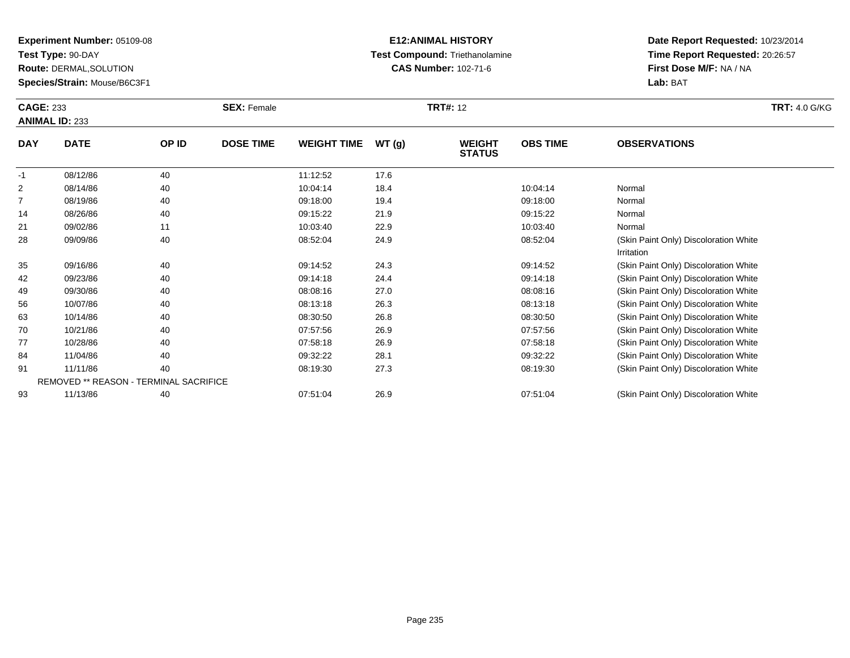**Test Type:** 90-DAY

**Route:** DERMAL,SOLUTION

**Species/Strain:** Mouse/B6C3F1

### **E12:ANIMAL HISTORY Test Compound:** Triethanolamine**CAS Number:** 102-71-6

|                | <b>CAGE: 233</b><br><b>ANIMAL ID: 233</b> |       | <b>SEX: Female</b> |                    |       | <b>TRT#: 12</b>                | <b>TRT: 4.0 G/KG</b> |                                       |  |
|----------------|-------------------------------------------|-------|--------------------|--------------------|-------|--------------------------------|----------------------|---------------------------------------|--|
| <b>DAY</b>     | <b>DATE</b>                               | OP ID | <b>DOSE TIME</b>   | <b>WEIGHT TIME</b> | WT(g) | <b>WEIGHT</b><br><b>STATUS</b> | <b>OBS TIME</b>      | <b>OBSERVATIONS</b>                   |  |
| $-1$           | 08/12/86                                  | 40    |                    | 11:12:52           | 17.6  |                                |                      |                                       |  |
| $\overline{2}$ | 08/14/86                                  | 40    |                    | 10:04:14           | 18.4  |                                | 10:04:14             | Normal                                |  |
| 7              | 08/19/86                                  | 40    |                    | 09:18:00           | 19.4  |                                | 09:18:00             | Normal                                |  |
| 14             | 08/26/86                                  | 40    |                    | 09:15:22           | 21.9  |                                | 09:15:22             | Normal                                |  |
| 21             | 09/02/86                                  | 11    |                    | 10:03:40           | 22.9  |                                | 10:03:40             | Normal                                |  |
| 28             | 09/09/86                                  | 40    |                    | 08:52:04           | 24.9  |                                | 08:52:04             | (Skin Paint Only) Discoloration White |  |
|                |                                           |       |                    |                    |       |                                |                      | Irritation                            |  |
| 35             | 09/16/86                                  | 40    |                    | 09:14:52           | 24.3  |                                | 09:14:52             | (Skin Paint Only) Discoloration White |  |
| 42             | 09/23/86                                  | 40    |                    | 09:14:18           | 24.4  |                                | 09:14:18             | (Skin Paint Only) Discoloration White |  |
| 49             | 09/30/86                                  | 40    |                    | 08:08:16           | 27.0  |                                | 08:08:16             | (Skin Paint Only) Discoloration White |  |
| 56             | 10/07/86                                  | 40    |                    | 08:13:18           | 26.3  |                                | 08:13:18             | (Skin Paint Only) Discoloration White |  |
| 63             | 10/14/86                                  | 40    |                    | 08:30:50           | 26.8  |                                | 08:30:50             | (Skin Paint Only) Discoloration White |  |
| 70             | 10/21/86                                  | 40    |                    | 07:57:56           | 26.9  |                                | 07:57:56             | (Skin Paint Only) Discoloration White |  |
| 77             | 10/28/86                                  | 40    |                    | 07:58:18           | 26.9  |                                | 07:58:18             | (Skin Paint Only) Discoloration White |  |
| 84             | 11/04/86                                  | 40    |                    | 09:32:22           | 28.1  |                                | 09:32:22             | (Skin Paint Only) Discoloration White |  |
| 91             | 11/11/86                                  | 40    |                    | 08:19:30           | 27.3  |                                | 08:19:30             | (Skin Paint Only) Discoloration White |  |
|                | REMOVED ** REASON - TERMINAL SACRIFICE    |       |                    |                    |       |                                |                      |                                       |  |
| 93             | 11/13/86                                  | 40    |                    | 07:51:04           | 26.9  |                                | 07:51:04             | (Skin Paint Only) Discoloration White |  |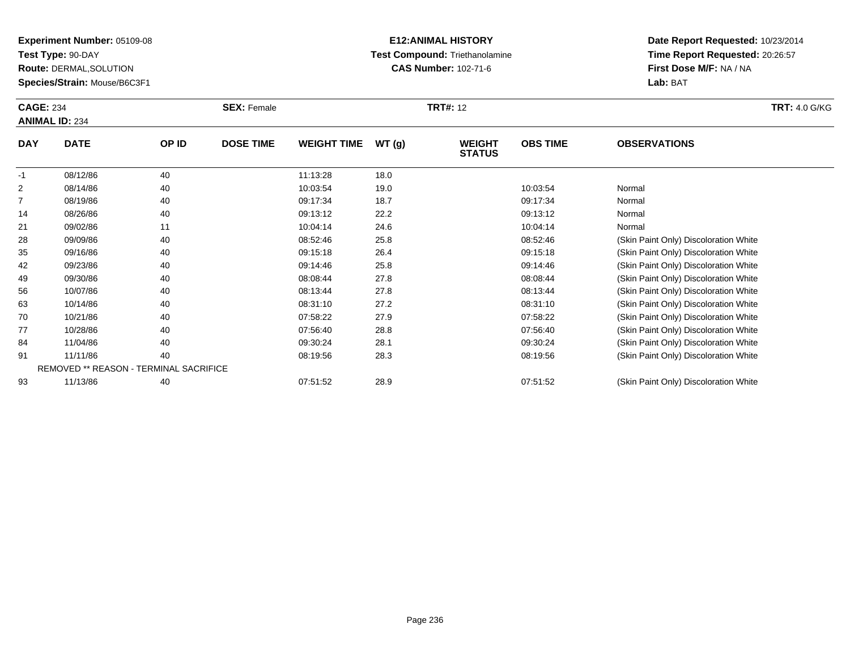**Test Type:** 90-DAY

**Route:** DERMAL,SOLUTION

**Species/Strain:** Mouse/B6C3F1

# **E12:ANIMAL HISTORY Test Compound:** Triethanolamine**CAS Number:** 102-71-6

| <b>CAGE: 234</b> | <b>ANIMAL ID: 234</b> |                                        | <b>SEX: Female</b> |                    |       | <b>TRT#: 12</b>                |                 |                                       | <b>TRT: 4.0 G/KG</b> |
|------------------|-----------------------|----------------------------------------|--------------------|--------------------|-------|--------------------------------|-----------------|---------------------------------------|----------------------|
| <b>DAY</b>       | <b>DATE</b>           | OP ID                                  | <b>DOSE TIME</b>   | <b>WEIGHT TIME</b> | WT(g) | <b>WEIGHT</b><br><b>STATUS</b> | <b>OBS TIME</b> | <b>OBSERVATIONS</b>                   |                      |
| $-1$             | 08/12/86              | 40                                     |                    | 11:13:28           | 18.0  |                                |                 |                                       |                      |
| 2                | 08/14/86              | 40                                     |                    | 10:03:54           | 19.0  |                                | 10:03:54        | Normal                                |                      |
| 7                | 08/19/86              | 40                                     |                    | 09:17:34           | 18.7  |                                | 09:17:34        | Normal                                |                      |
| 14               | 08/26/86              | 40                                     |                    | 09:13:12           | 22.2  |                                | 09:13:12        | Normal                                |                      |
| 21               | 09/02/86              | 11                                     |                    | 10:04:14           | 24.6  |                                | 10:04:14        | Normal                                |                      |
| 28               | 09/09/86              | 40                                     |                    | 08:52:46           | 25.8  |                                | 08:52:46        | (Skin Paint Only) Discoloration White |                      |
| 35               | 09/16/86              | 40                                     |                    | 09:15:18           | 26.4  |                                | 09:15:18        | (Skin Paint Only) Discoloration White |                      |
| 42               | 09/23/86              | 40                                     |                    | 09:14:46           | 25.8  |                                | 09:14:46        | (Skin Paint Only) Discoloration White |                      |
| 49               | 09/30/86              | 40                                     |                    | 08:08:44           | 27.8  |                                | 08:08:44        | (Skin Paint Only) Discoloration White |                      |
| 56               | 10/07/86              | 40                                     |                    | 08:13:44           | 27.8  |                                | 08:13:44        | (Skin Paint Only) Discoloration White |                      |
| 63               | 10/14/86              | 40                                     |                    | 08:31:10           | 27.2  |                                | 08:31:10        | (Skin Paint Only) Discoloration White |                      |
| 70               | 10/21/86              | 40                                     |                    | 07:58:22           | 27.9  |                                | 07:58:22        | (Skin Paint Only) Discoloration White |                      |
| 77               | 10/28/86              | 40                                     |                    | 07:56:40           | 28.8  |                                | 07:56:40        | (Skin Paint Only) Discoloration White |                      |
| 84               | 11/04/86              | 40                                     |                    | 09:30:24           | 28.1  |                                | 09:30:24        | (Skin Paint Only) Discoloration White |                      |
| 91               | 11/11/86              | 40                                     |                    | 08:19:56           | 28.3  |                                | 08:19:56        | (Skin Paint Only) Discoloration White |                      |
|                  |                       | REMOVED ** REASON - TERMINAL SACRIFICE |                    |                    |       |                                |                 |                                       |                      |
| 93               | 11/13/86              | 40                                     |                    | 07:51:52           | 28.9  |                                | 07:51:52        | (Skin Paint Only) Discoloration White |                      |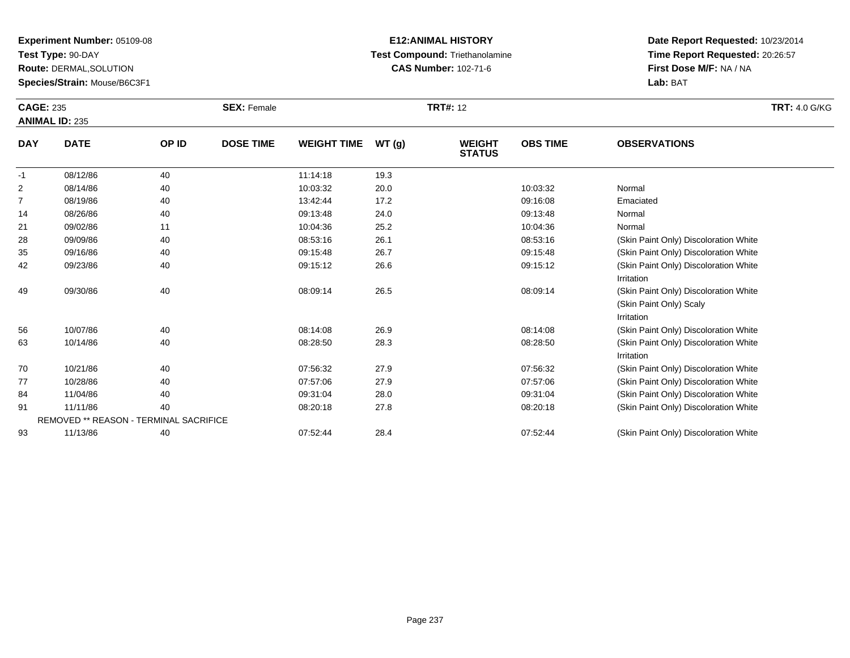**Test Type:** 90-DAY

**Route:** DERMAL,SOLUTION

**Species/Strain:** Mouse/B6C3F1

# **E12:ANIMAL HISTORY Test Compound:** Triethanolamine**CAS Number:** 102-71-6

| <b>CAGE: 235</b><br><b>ANIMAL ID: 235</b> |                                        |       | <b>SEX: Female</b> |                    |       | <b>TRT#: 12</b>                |                 | <b>TRT: 4.0 G/KG</b>                                                           |  |
|-------------------------------------------|----------------------------------------|-------|--------------------|--------------------|-------|--------------------------------|-----------------|--------------------------------------------------------------------------------|--|
| <b>DAY</b>                                | <b>DATE</b>                            | OP ID | <b>DOSE TIME</b>   | <b>WEIGHT TIME</b> | WT(g) | <b>WEIGHT</b><br><b>STATUS</b> | <b>OBS TIME</b> | <b>OBSERVATIONS</b>                                                            |  |
| $-1$                                      | 08/12/86                               | 40    |                    | 11:14:18           | 19.3  |                                |                 |                                                                                |  |
| $\overline{c}$                            | 08/14/86                               | 40    |                    | 10:03:32           | 20.0  |                                | 10:03:32        | Normal                                                                         |  |
| $\overline{7}$                            | 08/19/86                               | 40    |                    | 13:42:44           | 17.2  |                                | 09:16:08        | Emaciated                                                                      |  |
| 14                                        | 08/26/86                               | 40    |                    | 09:13:48           | 24.0  |                                | 09:13:48        | Normal                                                                         |  |
| 21                                        | 09/02/86                               | 11    |                    | 10:04:36           | 25.2  |                                | 10:04:36        | Normal                                                                         |  |
| 28                                        | 09/09/86                               | 40    |                    | 08:53:16           | 26.1  |                                | 08:53:16        | (Skin Paint Only) Discoloration White                                          |  |
| 35                                        | 09/16/86                               | 40    |                    | 09:15:48           | 26.7  |                                | 09:15:48        | (Skin Paint Only) Discoloration White                                          |  |
| 42                                        | 09/23/86                               | 40    |                    | 09:15:12           | 26.6  |                                | 09:15:12        | (Skin Paint Only) Discoloration White<br>Irritation                            |  |
| 49                                        | 09/30/86                               | 40    |                    | 08:09:14           | 26.5  |                                | 08:09:14        | (Skin Paint Only) Discoloration White<br>(Skin Paint Only) Scaly<br>Irritation |  |
| 56                                        | 10/07/86                               | 40    |                    | 08:14:08           | 26.9  |                                | 08:14:08        | (Skin Paint Only) Discoloration White                                          |  |
| 63                                        | 10/14/86                               | 40    |                    | 08:28:50           | 28.3  |                                | 08:28:50        | (Skin Paint Only) Discoloration White<br>Irritation                            |  |
| 70                                        | 10/21/86                               | 40    |                    | 07:56:32           | 27.9  |                                | 07:56:32        | (Skin Paint Only) Discoloration White                                          |  |
| 77                                        | 10/28/86                               | 40    |                    | 07:57:06           | 27.9  |                                | 07:57:06        | (Skin Paint Only) Discoloration White                                          |  |
| 84                                        | 11/04/86                               | 40    |                    | 09:31:04           | 28.0  |                                | 09:31:04        | (Skin Paint Only) Discoloration White                                          |  |
| 91                                        | 11/11/86                               | 40    |                    | 08:20:18           | 27.8  |                                | 08:20:18        | (Skin Paint Only) Discoloration White                                          |  |
|                                           | REMOVED ** REASON - TERMINAL SACRIFICE |       |                    |                    |       |                                |                 |                                                                                |  |
| 93                                        | 11/13/86                               | 40    |                    | 07:52:44           | 28.4  |                                | 07:52:44        | (Skin Paint Only) Discoloration White                                          |  |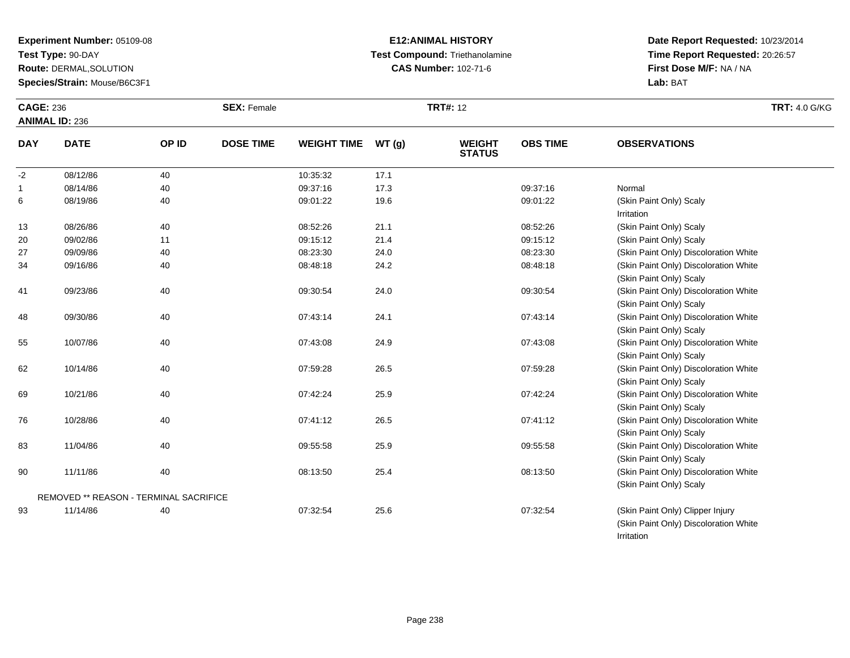**Test Type:** 90-DAY

**Route:** DERMAL,SOLUTION

**Species/Strain:** Mouse/B6C3F1

# **E12:ANIMAL HISTORY Test Compound:** Triethanolamine**CAS Number:** 102-71-6

**Date Report Requested:** 10/23/2014 **Time Report Requested:** 20:26:57**First Dose M/F:** NA / NA**Lab:** BAT

Irritation

| <b>CAGE: 236</b> |                                               |       | <b>SEX: Female</b> |                    |       | <b>TRT#: 12</b>                |                 |                                                                           | <b>TRT: 4.0 G/KG</b> |
|------------------|-----------------------------------------------|-------|--------------------|--------------------|-------|--------------------------------|-----------------|---------------------------------------------------------------------------|----------------------|
|                  | <b>ANIMAL ID: 236</b>                         |       |                    |                    |       |                                |                 |                                                                           |                      |
| <b>DAY</b>       | <b>DATE</b>                                   | OP ID | <b>DOSE TIME</b>   | <b>WEIGHT TIME</b> | WT(g) | <b>WEIGHT</b><br><b>STATUS</b> | <b>OBS TIME</b> | <b>OBSERVATIONS</b>                                                       |                      |
| $-2$             | 08/12/86                                      | 40    |                    | 10:35:32           | 17.1  |                                |                 |                                                                           |                      |
| $\mathbf{1}$     | 08/14/86                                      | 40    |                    | 09:37:16           | 17.3  |                                | 09:37:16        | Normal                                                                    |                      |
| 6                | 08/19/86                                      | 40    |                    | 09:01:22           | 19.6  |                                | 09:01:22        | (Skin Paint Only) Scaly<br>Irritation                                     |                      |
| 13               | 08/26/86                                      | 40    |                    | 08:52:26           | 21.1  |                                | 08:52:26        | (Skin Paint Only) Scaly                                                   |                      |
| 20               | 09/02/86                                      | 11    |                    | 09:15:12           | 21.4  |                                | 09:15:12        | (Skin Paint Only) Scaly                                                   |                      |
| 27               | 09/09/86                                      | 40    |                    | 08:23:30           | 24.0  |                                | 08:23:30        | (Skin Paint Only) Discoloration White                                     |                      |
| 34               | 09/16/86                                      | 40    |                    | 08:48:18           | 24.2  |                                | 08:48:18        | (Skin Paint Only) Discoloration White<br>(Skin Paint Only) Scaly          |                      |
| 41               | 09/23/86                                      | 40    |                    | 09:30:54           | 24.0  |                                | 09:30:54        | (Skin Paint Only) Discoloration White<br>(Skin Paint Only) Scaly          |                      |
| 48               | 09/30/86                                      | 40    |                    | 07:43:14           | 24.1  |                                | 07:43:14        | (Skin Paint Only) Discoloration White<br>(Skin Paint Only) Scaly          |                      |
| 55               | 10/07/86                                      | 40    |                    | 07:43:08           | 24.9  |                                | 07:43:08        | (Skin Paint Only) Discoloration White<br>(Skin Paint Only) Scaly          |                      |
| 62               | 10/14/86                                      | 40    |                    | 07:59:28           | 26.5  |                                | 07:59:28        | (Skin Paint Only) Discoloration White<br>(Skin Paint Only) Scaly          |                      |
| 69               | 10/21/86                                      | 40    |                    | 07:42:24           | 25.9  |                                | 07:42:24        | (Skin Paint Only) Discoloration White<br>(Skin Paint Only) Scaly          |                      |
| 76               | 10/28/86                                      | 40    |                    | 07:41:12           | 26.5  |                                | 07:41:12        | (Skin Paint Only) Discoloration White<br>(Skin Paint Only) Scaly          |                      |
| 83               | 11/04/86                                      | 40    |                    | 09:55:58           | 25.9  |                                | 09:55:58        | (Skin Paint Only) Discoloration White<br>(Skin Paint Only) Scaly          |                      |
| 90               | 11/11/86                                      | 40    |                    | 08:13:50           | 25.4  |                                | 08:13:50        | (Skin Paint Only) Discoloration White<br>(Skin Paint Only) Scaly          |                      |
|                  | <b>REMOVED ** REASON - TERMINAL SACRIFICE</b> |       |                    |                    |       |                                |                 |                                                                           |                      |
| 93               | 11/14/86                                      | 40    |                    | 07:32:54           | 25.6  |                                | 07:32:54        | (Skin Paint Only) Clipper Injury<br>(Skin Paint Only) Discoloration White |                      |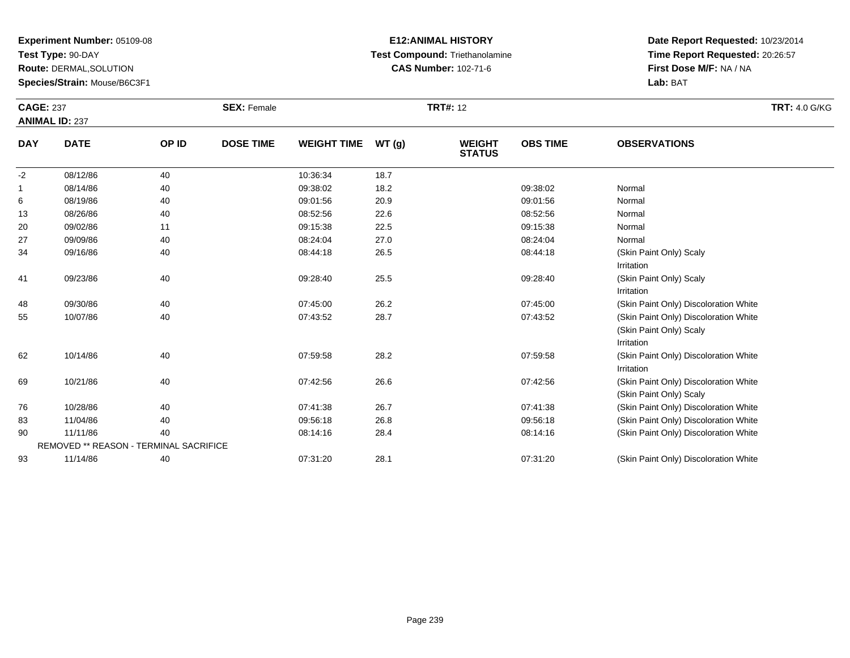**Test Type:** 90-DAY

**Route:** DERMAL,SOLUTION

**Species/Strain:** Mouse/B6C3F1

# **E12:ANIMAL HISTORY Test Compound:** Triethanolamine**CAS Number:** 102-71-6

|            | <b>CAGE: 237</b><br><b>ANIMAL ID: 237</b>     |       | <b>SEX: Female</b> |                    |       | <b>TRT#: 12</b>                |                 | <b>TRT: 4.0 G/KG</b>                                                           |
|------------|-----------------------------------------------|-------|--------------------|--------------------|-------|--------------------------------|-----------------|--------------------------------------------------------------------------------|
| <b>DAY</b> | <b>DATE</b><br>08/12/86                       | OP ID | <b>DOSE TIME</b>   | <b>WEIGHT TIME</b> | WT(g) | <b>WEIGHT</b><br><b>STATUS</b> | <b>OBS TIME</b> | <b>OBSERVATIONS</b>                                                            |
| $-2$       |                                               | 40    |                    | 10:36:34           | 18.7  |                                |                 |                                                                                |
|            | 08/14/86                                      | 40    |                    | 09:38:02           | 18.2  |                                | 09:38:02        | Normal                                                                         |
| 6          | 08/19/86                                      | 40    |                    | 09:01:56           | 20.9  |                                | 09:01:56        | Normal                                                                         |
| 13         | 08/26/86                                      | 40    |                    | 08:52:56           | 22.6  |                                | 08:52:56        | Normal                                                                         |
| 20         | 09/02/86                                      | 11    |                    | 09:15:38           | 22.5  |                                | 09:15:38        | Normal                                                                         |
| 27         | 09/09/86                                      | 40    |                    | 08:24:04           | 27.0  |                                | 08:24:04        | Normal                                                                         |
| 34         | 09/16/86                                      | 40    |                    | 08:44:18           | 26.5  |                                | 08:44:18        | (Skin Paint Only) Scaly<br>Irritation                                          |
| 41         | 09/23/86                                      | 40    |                    | 09:28:40           | 25.5  |                                | 09:28:40        | (Skin Paint Only) Scaly<br>Irritation                                          |
| 48         | 09/30/86                                      | 40    |                    | 07:45:00           | 26.2  |                                | 07:45:00        | (Skin Paint Only) Discoloration White                                          |
| 55         | 10/07/86                                      | 40    |                    | 07:43:52           | 28.7  |                                | 07:43:52        | (Skin Paint Only) Discoloration White<br>(Skin Paint Only) Scaly<br>Irritation |
| 62         | 10/14/86                                      | 40    |                    | 07:59:58           | 28.2  |                                | 07:59:58        | (Skin Paint Only) Discoloration White<br>Irritation                            |
| 69         | 10/21/86                                      | 40    |                    | 07:42:56           | 26.6  |                                | 07:42:56        | (Skin Paint Only) Discoloration White<br>(Skin Paint Only) Scaly               |
| 76         | 10/28/86                                      | 40    |                    | 07:41:38           | 26.7  |                                | 07:41:38        | (Skin Paint Only) Discoloration White                                          |
| 83         | 11/04/86                                      | 40    |                    | 09:56:18           | 26.8  |                                | 09:56:18        | (Skin Paint Only) Discoloration White                                          |
| 90         | 11/11/86                                      | 40    |                    | 08:14:16           | 28.4  |                                | 08:14:16        | (Skin Paint Only) Discoloration White                                          |
|            | <b>REMOVED ** REASON - TERMINAL SACRIFICE</b> |       |                    |                    |       |                                |                 |                                                                                |
| 93         | 11/14/86                                      | 40    |                    | 07:31:20           | 28.1  |                                | 07:31:20        | (Skin Paint Only) Discoloration White                                          |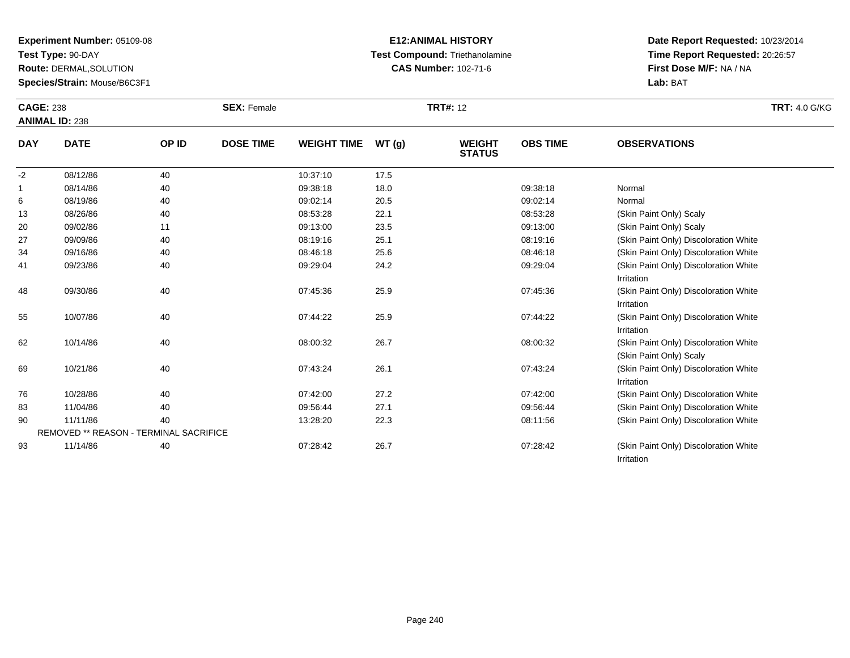**Test Type:** 90-DAY

**Route:** DERMAL,SOLUTION

**Species/Strain:** Mouse/B6C3F1

# **E12:ANIMAL HISTORY Test Compound:** Triethanolamine**CAS Number:** 102-71-6

| <b>CAGE: 238</b> | <b>ANIMAL ID: 238</b>                  |       | <b>SEX: Female</b> |                    |       | <b>TRT#: 12</b>                |                 | <b>TRT: 4.0 G/KG</b>                                             |
|------------------|----------------------------------------|-------|--------------------|--------------------|-------|--------------------------------|-----------------|------------------------------------------------------------------|
| <b>DAY</b>       | <b>DATE</b>                            | OP ID | <b>DOSE TIME</b>   | <b>WEIGHT TIME</b> | WT(g) | <b>WEIGHT</b><br><b>STATUS</b> | <b>OBS TIME</b> | <b>OBSERVATIONS</b>                                              |
| $-2$             | 08/12/86                               | 40    |                    | 10:37:10           | 17.5  |                                |                 |                                                                  |
| -1               | 08/14/86                               | 40    |                    | 09:38:18           | 18.0  |                                | 09:38:18        | Normal                                                           |
| 6                | 08/19/86                               | 40    |                    | 09:02:14           | 20.5  |                                | 09:02:14        | Normal                                                           |
| 13               | 08/26/86                               | 40    |                    | 08:53:28           | 22.1  |                                | 08:53:28        | (Skin Paint Only) Scaly                                          |
| 20               | 09/02/86                               | 11    |                    | 09:13:00           | 23.5  |                                | 09:13:00        | (Skin Paint Only) Scaly                                          |
| 27               | 09/09/86                               | 40    |                    | 08:19:16           | 25.1  |                                | 08:19:16        | (Skin Paint Only) Discoloration White                            |
| 34               | 09/16/86                               | 40    |                    | 08:46:18           | 25.6  |                                | 08:46:18        | (Skin Paint Only) Discoloration White                            |
| 41               | 09/23/86                               | 40    |                    | 09:29:04           | 24.2  |                                | 09:29:04        | (Skin Paint Only) Discoloration White<br>Irritation              |
| 48               | 09/30/86                               | 40    |                    | 07:45:36           | 25.9  |                                | 07:45:36        | (Skin Paint Only) Discoloration White<br>Irritation              |
| 55               | 10/07/86                               | 40    |                    | 07:44:22           | 25.9  |                                | 07:44:22        | (Skin Paint Only) Discoloration White<br>Irritation              |
| 62               | 10/14/86                               | 40    |                    | 08:00:32           | 26.7  |                                | 08:00:32        | (Skin Paint Only) Discoloration White<br>(Skin Paint Only) Scaly |
| 69               | 10/21/86                               | 40    |                    | 07:43:24           | 26.1  |                                | 07:43:24        | (Skin Paint Only) Discoloration White<br>Irritation              |
| 76               | 10/28/86                               | 40    |                    | 07:42:00           | 27.2  |                                | 07:42:00        | (Skin Paint Only) Discoloration White                            |
| 83               | 11/04/86                               | 40    |                    | 09:56:44           | 27.1  |                                | 09:56:44        | (Skin Paint Only) Discoloration White                            |
| 90               | 11/11/86                               | 40    |                    | 13:28:20           | 22.3  |                                | 08:11:56        | (Skin Paint Only) Discoloration White                            |
|                  | REMOVED ** REASON - TERMINAL SACRIFICE |       |                    |                    |       |                                |                 |                                                                  |
| 93               | 11/14/86                               | 40    |                    | 07:28:42           | 26.7  |                                | 07:28:42        | (Skin Paint Only) Discoloration White<br>Irritation              |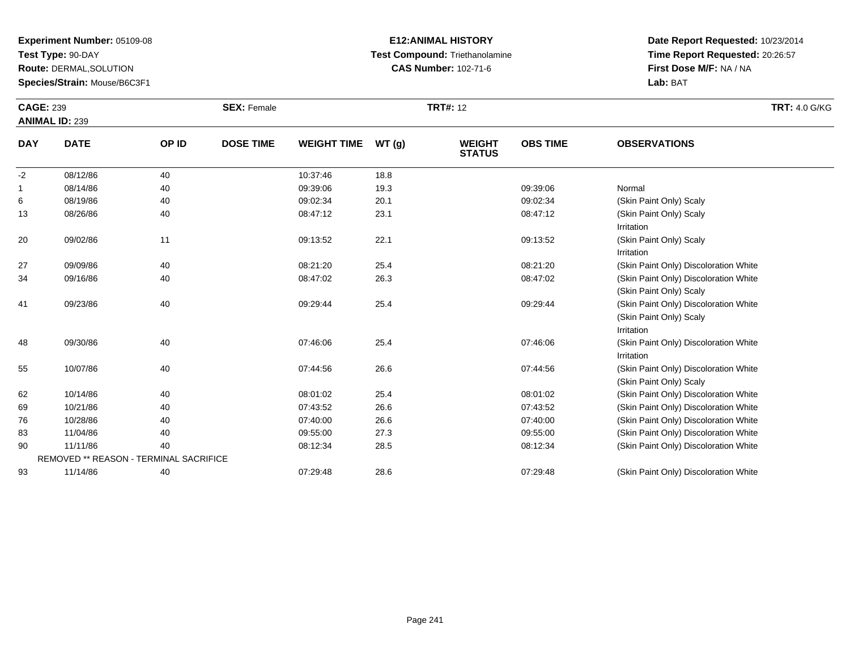**Test Type:** 90-DAY

**Route:** DERMAL,SOLUTION

**Species/Strain:** Mouse/B6C3F1

# **E12:ANIMAL HISTORY Test Compound:** Triethanolamine**CAS Number:** 102-71-6

| <b>CAGE: 239</b><br><b>ANIMAL ID: 239</b> |                                        |       | <b>SEX: Female</b> |                    |       | <b>TRT#: 12</b>                | <b>TRT: 4.0 G/KG</b> |                                                                                |
|-------------------------------------------|----------------------------------------|-------|--------------------|--------------------|-------|--------------------------------|----------------------|--------------------------------------------------------------------------------|
| <b>DAY</b>                                | <b>DATE</b>                            | OP ID | <b>DOSE TIME</b>   | <b>WEIGHT TIME</b> | WT(g) | <b>WEIGHT</b><br><b>STATUS</b> | <b>OBS TIME</b>      | <b>OBSERVATIONS</b>                                                            |
| $-2$                                      | 08/12/86                               | 40    |                    | 10:37:46           | 18.8  |                                |                      |                                                                                |
| -1                                        | 08/14/86                               | 40    |                    | 09:39:06           | 19.3  |                                | 09:39:06             | Normal                                                                         |
| 6                                         | 08/19/86                               | 40    |                    | 09:02:34           | 20.1  |                                | 09:02:34             | (Skin Paint Only) Scaly                                                        |
| 13                                        | 08/26/86                               | 40    |                    | 08:47:12           | 23.1  |                                | 08:47:12             | (Skin Paint Only) Scaly<br>Irritation                                          |
| 20                                        | 09/02/86                               | 11    |                    | 09:13:52           | 22.1  |                                | 09:13:52             | (Skin Paint Only) Scaly<br>Irritation                                          |
| 27                                        | 09/09/86                               | 40    |                    | 08:21:20           | 25.4  |                                | 08:21:20             | (Skin Paint Only) Discoloration White                                          |
| 34                                        | 09/16/86                               | 40    |                    | 08:47:02           | 26.3  |                                | 08:47:02             | (Skin Paint Only) Discoloration White<br>(Skin Paint Only) Scaly               |
| 41                                        | 09/23/86                               | 40    |                    | 09:29:44           | 25.4  |                                | 09:29:44             | (Skin Paint Only) Discoloration White<br>(Skin Paint Only) Scaly<br>Irritation |
| 48                                        | 09/30/86                               | 40    |                    | 07:46:06           | 25.4  |                                | 07:46:06             | (Skin Paint Only) Discoloration White<br>Irritation                            |
| 55                                        | 10/07/86                               | 40    |                    | 07:44:56           | 26.6  |                                | 07:44:56             | (Skin Paint Only) Discoloration White<br>(Skin Paint Only) Scaly               |
| 62                                        | 10/14/86                               | 40    |                    | 08:01:02           | 25.4  |                                | 08:01:02             | (Skin Paint Only) Discoloration White                                          |
| 69                                        | 10/21/86                               | 40    |                    | 07:43:52           | 26.6  |                                | 07:43:52             | (Skin Paint Only) Discoloration White                                          |
| 76                                        | 10/28/86                               | 40    |                    | 07:40:00           | 26.6  |                                | 07:40:00             | (Skin Paint Only) Discoloration White                                          |
| 83                                        | 11/04/86                               | 40    |                    | 09:55:00           | 27.3  |                                | 09:55:00             | (Skin Paint Only) Discoloration White                                          |
| 90                                        | 11/11/86                               | 40    |                    | 08:12:34           | 28.5  |                                | 08:12:34             | (Skin Paint Only) Discoloration White                                          |
|                                           | REMOVED ** REASON - TERMINAL SACRIFICE |       |                    |                    |       |                                |                      |                                                                                |
| 93                                        | 11/14/86                               | 40    |                    | 07:29:48           | 28.6  |                                | 07:29:48             | (Skin Paint Only) Discoloration White                                          |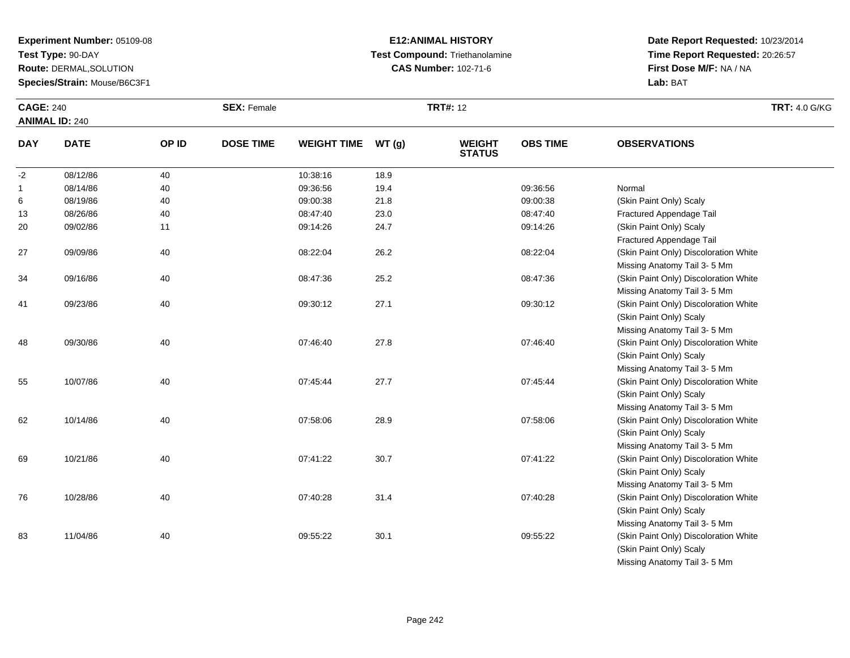**Test Type:** 90-DAY

**Route:** DERMAL,SOLUTION

**Species/Strain:** Mouse/B6C3F1

# **E12:ANIMAL HISTORY Test Compound:** Triethanolamine**CAS Number:** 102-71-6

**Date Report Requested:** 10/23/2014 **Time Report Requested:** 20:26:57**First Dose M/F:** NA / NA**Lab:** BAT

| <b>CAGE: 240</b><br><b>ANIMAL ID: 240</b> |             |       | <b>SEX: Female</b> |                    |       | <b>TRT#: 12</b>                |                 |                                       | <b>TRT: 4.0 G/KG</b> |
|-------------------------------------------|-------------|-------|--------------------|--------------------|-------|--------------------------------|-----------------|---------------------------------------|----------------------|
| <b>DAY</b>                                | <b>DATE</b> | OP ID | <b>DOSE TIME</b>   | <b>WEIGHT TIME</b> | WT(g) | <b>WEIGHT</b><br><b>STATUS</b> | <b>OBS TIME</b> | <b>OBSERVATIONS</b>                   |                      |
| $-2$                                      | 08/12/86    | 40    |                    | 10:38:16           | 18.9  |                                |                 |                                       |                      |
| $\mathbf{1}$                              | 08/14/86    | 40    |                    | 09:36:56           | 19.4  |                                | 09:36:56        | Normal                                |                      |
| 6                                         | 08/19/86    | 40    |                    | 09:00:38           | 21.8  |                                | 09:00:38        | (Skin Paint Only) Scaly               |                      |
| 13                                        | 08/26/86    | 40    |                    | 08:47:40           | 23.0  |                                | 08:47:40        | Fractured Appendage Tail              |                      |
| 20                                        | 09/02/86    | 11    |                    | 09:14:26           | 24.7  |                                | 09:14:26        | (Skin Paint Only) Scaly               |                      |
|                                           |             |       |                    |                    |       |                                |                 | Fractured Appendage Tail              |                      |
| 27                                        | 09/09/86    | 40    |                    | 08:22:04           | 26.2  |                                | 08:22:04        | (Skin Paint Only) Discoloration White |                      |
|                                           |             |       |                    |                    |       |                                |                 | Missing Anatomy Tail 3-5 Mm           |                      |
| 34                                        | 09/16/86    | 40    |                    | 08:47:36           | 25.2  |                                | 08:47:36        | (Skin Paint Only) Discoloration White |                      |
|                                           |             |       |                    |                    |       |                                |                 | Missing Anatomy Tail 3-5 Mm           |                      |
| 41                                        | 09/23/86    | 40    |                    | 09:30:12           | 27.1  |                                | 09:30:12        | (Skin Paint Only) Discoloration White |                      |
|                                           |             |       |                    |                    |       |                                |                 | (Skin Paint Only) Scaly               |                      |
|                                           |             |       |                    |                    |       |                                |                 | Missing Anatomy Tail 3-5 Mm           |                      |
| 48                                        | 09/30/86    | 40    |                    | 07:46:40           | 27.8  |                                | 07:46:40        | (Skin Paint Only) Discoloration White |                      |
|                                           |             |       |                    |                    |       |                                |                 | (Skin Paint Only) Scaly               |                      |
|                                           |             |       |                    |                    |       |                                |                 | Missing Anatomy Tail 3-5 Mm           |                      |
| 55                                        | 10/07/86    | 40    |                    | 07:45:44           | 27.7  |                                | 07:45:44        | (Skin Paint Only) Discoloration White |                      |
|                                           |             |       |                    |                    |       |                                |                 | (Skin Paint Only) Scaly               |                      |
|                                           |             |       |                    |                    |       |                                |                 | Missing Anatomy Tail 3-5 Mm           |                      |
| 62                                        | 10/14/86    | 40    |                    | 07:58:06           | 28.9  |                                | 07:58:06        | (Skin Paint Only) Discoloration White |                      |
|                                           |             |       |                    |                    |       |                                |                 | (Skin Paint Only) Scaly               |                      |
|                                           |             |       |                    |                    |       |                                |                 | Missing Anatomy Tail 3- 5 Mm          |                      |
| 69                                        | 10/21/86    | 40    |                    | 07:41:22           | 30.7  |                                | 07:41:22        | (Skin Paint Only) Discoloration White |                      |
|                                           |             |       |                    |                    |       |                                |                 | (Skin Paint Only) Scaly               |                      |
|                                           |             |       |                    |                    |       |                                |                 | Missing Anatomy Tail 3-5 Mm           |                      |
| 76                                        | 10/28/86    | 40    |                    | 07:40:28           | 31.4  |                                | 07:40:28        | (Skin Paint Only) Discoloration White |                      |
|                                           |             |       |                    |                    |       |                                |                 | (Skin Paint Only) Scaly               |                      |
|                                           |             |       |                    |                    |       |                                |                 | Missing Anatomy Tail 3-5 Mm           |                      |
| 83                                        | 11/04/86    | 40    |                    | 09:55:22           | 30.1  |                                | 09:55:22        | (Skin Paint Only) Discoloration White |                      |
|                                           |             |       |                    |                    |       |                                |                 | (Skin Paint Only) Scaly               |                      |

Missing Anatomy Tail 3- 5 Mm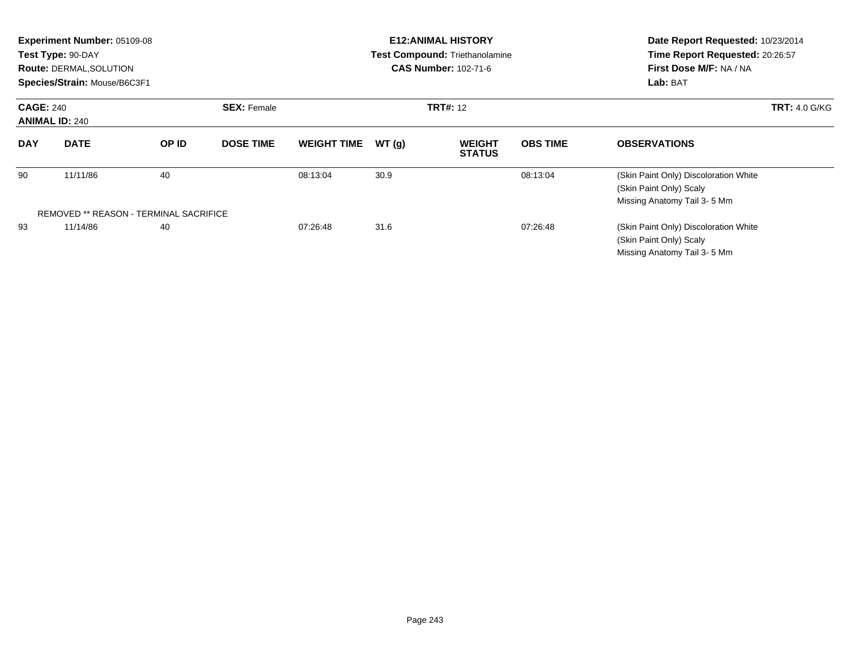| Experiment Number: 05109-08<br>Test Type: 90-DAY<br>Route: DERMAL, SOLUTION<br>Species/Strain: Mouse/B6C3F1 |                                               |       |                    | <b>E12: ANIMAL HISTORY</b><br>Test Compound: Triethanolamine<br><b>CAS Number: 102-71-6</b> |                 |                                |                 | Date Report Requested: 10/23/2014<br>Time Report Requested: 20:26:57<br>First Dose M/F: NA / NA<br>Lab: BAT |  |
|-------------------------------------------------------------------------------------------------------------|-----------------------------------------------|-------|--------------------|---------------------------------------------------------------------------------------------|-----------------|--------------------------------|-----------------|-------------------------------------------------------------------------------------------------------------|--|
| <b>CAGE: 240</b><br><b>ANIMAL ID: 240</b>                                                                   |                                               |       | <b>SEX: Female</b> |                                                                                             | <b>TRT#: 12</b> |                                |                 | <b>TRT: 4.0 G/KG</b>                                                                                        |  |
| <b>DAY</b>                                                                                                  | <b>DATE</b>                                   | OP ID | <b>DOSE TIME</b>   | <b>WEIGHT TIME</b>                                                                          | WT(g)           | <b>WEIGHT</b><br><b>STATUS</b> | <b>OBS TIME</b> | <b>OBSERVATIONS</b>                                                                                         |  |
| 90                                                                                                          | 11/11/86                                      | 40    |                    | 08:13:04                                                                                    | 30.9            |                                | 08:13:04        | (Skin Paint Only) Discoloration White<br>(Skin Paint Only) Scaly<br>Missing Anatomy Tail 3-5 Mm             |  |
|                                                                                                             | <b>REMOVED ** REASON - TERMINAL SACRIFICE</b> |       |                    |                                                                                             |                 |                                |                 |                                                                                                             |  |
| 93                                                                                                          | 11/14/86                                      | 40    |                    | 07:26:48                                                                                    | 31.6            |                                | 07:26:48        | (Skin Paint Only) Discoloration White<br>(Skin Paint Only) Scaly<br>Missing Anatomy Tail 3-5 Mm             |  |